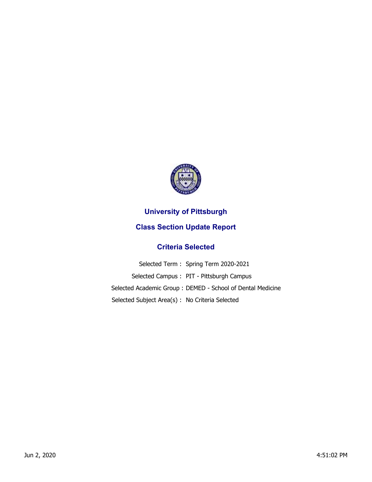

## **University of Pittsburgh**

## **Class Section Update Report**

## **Criteria Selected**

| Selected Term: Spring Term 2020-2021                       |
|------------------------------------------------------------|
| Selected Campus: PIT - Pittsburgh Campus                   |
| Selected Academic Group: DEMED - School of Dental Medicine |
| Selected Subject Area(s): No Criteria Selected             |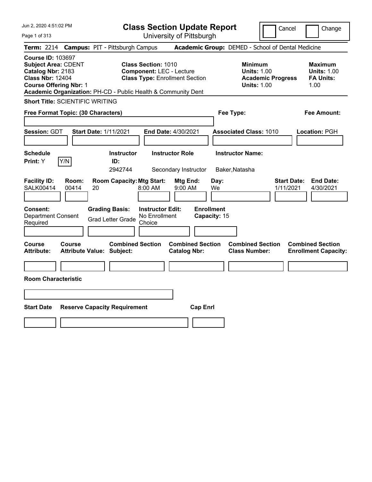**Class Section Update Report** University of Pittsburgh

Cancel Change

Page 1 of 313

|                                                                                                                                         |                |    | <b>Term: 2214 Campus: PIT - Pittsburgh Campus</b>             |                                                               |                                                |                                   | <b>Academic Group:</b> DEMED - School of Dental Medicine                               |                                 |                                                                  |
|-----------------------------------------------------------------------------------------------------------------------------------------|----------------|----|---------------------------------------------------------------|---------------------------------------------------------------|------------------------------------------------|-----------------------------------|----------------------------------------------------------------------------------------|---------------------------------|------------------------------------------------------------------|
| <b>Course ID: 103697</b><br><b>Subject Area: CDENT</b><br>Catalog Nbr: 2183<br><b>Class Nbr: 12404</b><br><b>Course Offering Nbr: 1</b> |                |    | Academic Organization: PH-CD - Public Health & Community Dent | <b>Class Section: 1010</b><br><b>Component: LEC - Lecture</b> | <b>Class Type: Enrollment Section</b>          |                                   | <b>Minimum</b><br><b>Units: 1.00</b><br><b>Academic Progress</b><br><b>Units: 1.00</b> |                                 | <b>Maximum</b><br><b>Units: 1.00</b><br><b>FA Units:</b><br>1.00 |
| <b>Short Title: SCIENTIFIC WRITING</b>                                                                                                  |                |    |                                                               |                                                               |                                                |                                   |                                                                                        |                                 |                                                                  |
| Free Format Topic: (30 Characters)                                                                                                      |                |    |                                                               |                                                               |                                                |                                   | Fee Type:                                                                              |                                 | <b>Fee Amount:</b>                                               |
| Session: GDT                                                                                                                            |                |    | <b>Start Date: 1/11/2021</b>                                  |                                                               | End Date: 4/30/2021                            |                                   | <b>Associated Class: 1010</b>                                                          |                                 | Location: PGH                                                    |
| <b>Schedule</b><br>Print: Y                                                                                                             | Y/N            |    | <b>Instructor</b><br>ID:<br>2942744                           |                                                               | <b>Instructor Role</b><br>Secondary Instructor |                                   | <b>Instructor Name:</b><br>Baker, Natasha                                              |                                 |                                                                  |
| <b>Facility ID:</b><br><b>SALK00414</b>                                                                                                 | Room:<br>00414 | 20 | <b>Room Capacity: Mtg Start:</b>                              | 8:00 AM                                                       | Mtg End:<br>9:00 AM                            | Day:<br>We                        |                                                                                        | <b>Start Date:</b><br>1/11/2021 | <b>End Date:</b><br>4/30/2021                                    |
| Consent:<br><b>Department Consent</b><br>Required                                                                                       |                |    | <b>Grading Basis:</b><br><b>Grad Letter Grade</b>             | <b>Instructor Edit:</b><br>No Enrollment<br>Choice            |                                                | <b>Enrollment</b><br>Capacity: 15 |                                                                                        |                                 |                                                                  |
| Course<br><b>Attribute:</b>                                                                                                             | Course         |    | <b>Combined Section</b><br><b>Attribute Value: Subject:</b>   |                                                               | <b>Combined Section</b><br><b>Catalog Nbr:</b> |                                   | <b>Combined Section</b><br><b>Class Number:</b>                                        |                                 | <b>Combined Section</b><br><b>Enrollment Capacity:</b>           |
| <b>Room Characteristic</b>                                                                                                              |                |    |                                                               |                                                               |                                                |                                   |                                                                                        |                                 |                                                                  |
| Start Date                                                                                                                              |                |    | <b>Reserve Capacity Requirement</b>                           |                                                               | <b>Cap Enrl</b>                                |                                   |                                                                                        |                                 |                                                                  |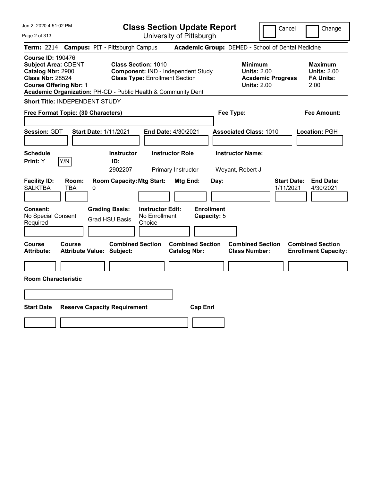| Jun 2, 2020 4:51:02 PM                                                                                                                                                                | <b>Class Section Update Report</b>                                                                                                                                         | Cancel                                                                                                                                                                                                          | Change |
|---------------------------------------------------------------------------------------------------------------------------------------------------------------------------------------|----------------------------------------------------------------------------------------------------------------------------------------------------------------------------|-----------------------------------------------------------------------------------------------------------------------------------------------------------------------------------------------------------------|--------|
| Page 2 of 313                                                                                                                                                                         | University of Pittsburgh                                                                                                                                                   |                                                                                                                                                                                                                 |        |
| Term: 2214 Campus: PIT - Pittsburgh Campus<br><b>Course ID: 190476</b><br><b>Subject Area: CDENT</b><br>Catalog Nbr: 2900<br><b>Class Nbr: 28524</b><br><b>Course Offering Nbr: 1</b> | <b>Class Section: 1010</b><br>Component: IND - Independent Study<br><b>Class Type: Enrollment Section</b><br>Academic Organization: PH-CD - Public Health & Community Dent | Academic Group: DEMED - School of Dental Medicine<br><b>Minimum</b><br><b>Maximum</b><br><b>Units: 2.00</b><br><b>Units: 2.00</b><br><b>Academic Progress</b><br><b>FA Units:</b><br><b>Units: 2.00</b><br>2.00 |        |
| Short Title: INDEPENDENT STUDY                                                                                                                                                        |                                                                                                                                                                            |                                                                                                                                                                                                                 |        |
| Free Format Topic: (30 Characters)                                                                                                                                                    |                                                                                                                                                                            | <b>Fee Amount:</b><br>Fee Type:                                                                                                                                                                                 |        |
| Session: GDT<br><b>Start Date: 1/11/2021</b>                                                                                                                                          | End Date: 4/30/2021                                                                                                                                                        | <b>Associated Class: 1010</b><br>Location: PGH                                                                                                                                                                  |        |
| <b>Schedule</b>                                                                                                                                                                       | <b>Instructor Role</b><br><b>Instructor</b>                                                                                                                                | <b>Instructor Name:</b>                                                                                                                                                                                         |        |
| Print: Y<br>Y/N                                                                                                                                                                       | ID:<br>2902207                                                                                                                                                             | Weyant, Robert J                                                                                                                                                                                                |        |
| <b>Facility ID:</b><br>Room:<br><b>SALKTBA</b><br>TBA<br>0<br><b>Consent:</b><br><b>Grading Basis:</b><br>No Special Consent<br><b>Grad HSU Basis</b><br>Required                     | Primary Instructor<br><b>Room Capacity: Mtg Start:</b><br>Mtg End:<br>Day:<br><b>Instructor Edit:</b><br><b>Enrollment</b><br>No Enrollment<br>Capacity: 5<br>Choice       | <b>Start Date:</b><br><b>End Date:</b><br>1/11/2021<br>4/30/2021                                                                                                                                                |        |
| Course<br>Course<br><b>Attribute Value: Subject:</b><br><b>Attribute:</b>                                                                                                             | <b>Combined Section</b><br><b>Combined Section</b><br><b>Catalog Nbr:</b>                                                                                                  | <b>Combined Section</b><br><b>Combined Section</b><br><b>Class Number:</b><br><b>Enrollment Capacity:</b>                                                                                                       |        |
|                                                                                                                                                                                       |                                                                                                                                                                            |                                                                                                                                                                                                                 |        |
| <b>Room Characteristic</b>                                                                                                                                                            |                                                                                                                                                                            |                                                                                                                                                                                                                 |        |
|                                                                                                                                                                                       |                                                                                                                                                                            |                                                                                                                                                                                                                 |        |
| <b>Start Date</b><br><b>Reserve Capacity Requirement</b>                                                                                                                              | <b>Cap Enrl</b>                                                                                                                                                            |                                                                                                                                                                                                                 |        |
|                                                                                                                                                                                       |                                                                                                                                                                            |                                                                                                                                                                                                                 |        |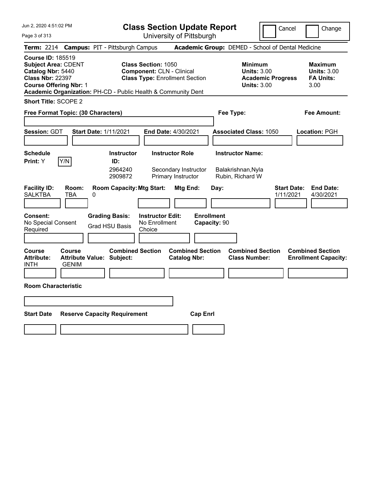**Class Section Update Report** University of Pittsburgh

Cancel Change

Page 3 of 313

|                                                                                                                                         | Term: 2214 Campus: PIT - Pittsburgh Campus                                                                                                                               |                                                | <b>Academic Group: DEMED - School of Dental Medicine</b>                               |                                                                  |
|-----------------------------------------------------------------------------------------------------------------------------------------|--------------------------------------------------------------------------------------------------------------------------------------------------------------------------|------------------------------------------------|----------------------------------------------------------------------------------------|------------------------------------------------------------------|
| <b>Course ID: 185519</b><br><b>Subject Area: CDENT</b><br>Catalog Nbr: 5440<br><b>Class Nbr: 22397</b><br><b>Course Offering Nbr: 1</b> | <b>Class Section: 1050</b><br><b>Component: CLN - Clinical</b><br><b>Class Type: Enrollment Section</b><br>Academic Organization: PH-CD - Public Health & Community Dent |                                                | <b>Minimum</b><br><b>Units: 3.00</b><br><b>Academic Progress</b><br><b>Units: 3.00</b> | <b>Maximum</b><br><b>Units: 3.00</b><br><b>FA Units:</b><br>3.00 |
| <b>Short Title: SCOPE 2</b>                                                                                                             |                                                                                                                                                                          |                                                |                                                                                        |                                                                  |
| Free Format Topic: (30 Characters)                                                                                                      |                                                                                                                                                                          |                                                | Fee Type:                                                                              | <b>Fee Amount:</b>                                               |
| Session: GDT                                                                                                                            | <b>Start Date: 1/11/2021</b>                                                                                                                                             | End Date: 4/30/2021                            | <b>Associated Class: 1050</b>                                                          | Location: PGH                                                    |
| <b>Schedule</b><br>Y/N<br>Print: Y                                                                                                      | <b>Instructor</b><br>ID:                                                                                                                                                 | <b>Instructor Role</b>                         | <b>Instructor Name:</b>                                                                |                                                                  |
|                                                                                                                                         | 2964240<br>2909872                                                                                                                                                       | Secondary Instructor<br>Primary Instructor     | Balakrishnan, Nyla<br>Rubin, Richard W                                                 |                                                                  |
| <b>Facility ID:</b><br>Room:<br><b>SALKTBA</b><br>TBA                                                                                   | <b>Room Capacity: Mtg Start:</b><br>0                                                                                                                                    | Mtg End:                                       | Day:<br>1/11/2021                                                                      | <b>Start Date:</b><br><b>End Date:</b><br>4/30/2021              |
| Consent:<br>No Special Consent<br>Required                                                                                              | <b>Grading Basis:</b><br><b>Instructor Edit:</b><br>No Enrollment<br><b>Grad HSU Basis</b><br>Choice                                                                     | <b>Enrollment</b>                              | Capacity: 90                                                                           |                                                                  |
|                                                                                                                                         |                                                                                                                                                                          |                                                |                                                                                        |                                                                  |
| Course<br>Course<br><b>Attribute:</b><br><b>Attribute Value:</b><br><b>INTH</b><br><b>GENIM</b>                                         | <b>Combined Section</b><br>Subject:                                                                                                                                      | <b>Combined Section</b><br><b>Catalog Nbr:</b> | <b>Combined Section</b><br><b>Class Number:</b>                                        | <b>Combined Section</b><br><b>Enrollment Capacity:</b>           |
| <b>Room Characteristic</b>                                                                                                              |                                                                                                                                                                          |                                                |                                                                                        |                                                                  |
|                                                                                                                                         |                                                                                                                                                                          |                                                |                                                                                        |                                                                  |
| <b>Start Date</b>                                                                                                                       | <b>Reserve Capacity Requirement</b>                                                                                                                                      | <b>Cap Enrl</b>                                |                                                                                        |                                                                  |
|                                                                                                                                         |                                                                                                                                                                          |                                                |                                                                                        |                                                                  |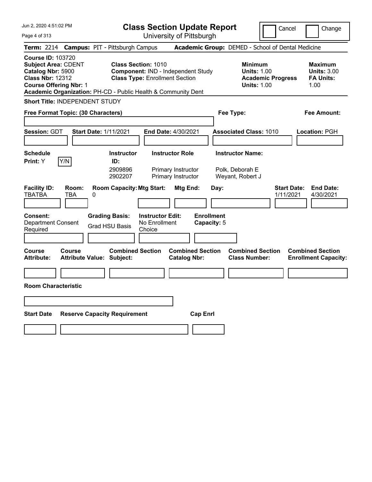| Jun 2, 2020 4:51:02 PM<br>Page 4 of 313 | <b>Class Section Update Report</b><br>University of Pittsburgh |                                           |                |  |  |
|-----------------------------------------|----------------------------------------------------------------|-------------------------------------------|----------------|--|--|
|                                         | Term: 2214 Campus: PIT - Pittsburgh Campus                     | Academic Group: DEMED - Scho              |                |  |  |
| <b>Course ID: 103720</b>                |                                                                |                                           |                |  |  |
| <b>Subject Area: CDENT</b>              | <b>Class Section: 1010</b>                                     |                                           | <b>Minimur</b> |  |  |
| Catalog Nbr: 5900                       |                                                                | <b>Component: IND - Independent Study</b> |                |  |  |
| <b>Class Nbr: 12312</b>                 | <b>Class Type: Enrollment Section</b>                          | Academ                                    |                |  |  |
| <b>Course Offering Nbr: 1</b>           |                                                                |                                           | Units: 1.      |  |  |
|                                         |                                                                |                                           |                |  |  |

Cancel **Change** 

|                                                                                                                                         |              | Term: 2214 Campus: PIT - Pittsburgh Campus                    |                                                                                                                  |                                                |                                  |      | Academic Group: DEMED - School of Dental Medicine                                      |                                 |                                                                  |
|-----------------------------------------------------------------------------------------------------------------------------------------|--------------|---------------------------------------------------------------|------------------------------------------------------------------------------------------------------------------|------------------------------------------------|----------------------------------|------|----------------------------------------------------------------------------------------|---------------------------------|------------------------------------------------------------------|
| <b>Course ID: 103720</b><br><b>Subject Area: CDENT</b><br>Catalog Nbr: 5900<br><b>Class Nbr: 12312</b><br><b>Course Offering Nbr: 1</b> |              | Academic Organization: PH-CD - Public Health & Community Dent | <b>Class Section: 1010</b><br><b>Component: IND - Independent Study</b><br><b>Class Type: Enrollment Section</b> |                                                |                                  |      | <b>Minimum</b><br><b>Units: 1.00</b><br><b>Academic Progress</b><br><b>Units: 1.00</b> |                                 | <b>Maximum</b><br><b>Units: 3.00</b><br><b>FA Units:</b><br>1.00 |
| Short Title: INDEPENDENT STUDY                                                                                                          |              |                                                               |                                                                                                                  |                                                |                                  |      |                                                                                        |                                 |                                                                  |
| Free Format Topic: (30 Characters)                                                                                                      |              |                                                               |                                                                                                                  |                                                |                                  |      | Fee Type:                                                                              |                                 | Fee Amount:                                                      |
| <b>Session: GDT</b>                                                                                                                     |              | <b>Start Date: 1/11/2021</b>                                  | End Date: 4/30/2021                                                                                              |                                                |                                  |      | <b>Associated Class: 1010</b>                                                          |                                 | Location: PGH                                                    |
| <b>Schedule</b><br>Print: Y                                                                                                             | Y/N          | <b>Instructor</b><br>ID:                                      |                                                                                                                  | <b>Instructor Role</b>                         |                                  |      | <b>Instructor Name:</b>                                                                |                                 |                                                                  |
|                                                                                                                                         |              | 2909896<br>2902207                                            |                                                                                                                  | Primary Instructor<br>Primary Instructor       |                                  |      | Polk, Deborah E<br>Weyant, Robert J                                                    |                                 |                                                                  |
| <b>Facility ID:</b><br><b>TBATBA</b>                                                                                                    | Room:<br>TBA | <b>Room Capacity: Mtg Start:</b><br>0                         |                                                                                                                  | <b>Mtg End:</b>                                |                                  | Day: |                                                                                        | <b>Start Date:</b><br>1/11/2021 | <b>End Date:</b><br>4/30/2021                                    |
| Consent:<br><b>Department Consent</b><br>Required                                                                                       |              | <b>Grading Basis:</b><br><b>Grad HSU Basis</b>                | <b>Instructor Edit:</b><br>No Enrollment<br>Choice                                                               |                                                | <b>Enrollment</b><br>Capacity: 5 |      |                                                                                        |                                 |                                                                  |
|                                                                                                                                         |              |                                                               |                                                                                                                  |                                                |                                  |      |                                                                                        |                                 |                                                                  |
| Course<br><b>Attribute:</b>                                                                                                             | Course       | <b>Combined Section</b><br><b>Attribute Value: Subject:</b>   |                                                                                                                  | <b>Combined Section</b><br><b>Catalog Nbr:</b> |                                  |      | <b>Combined Section</b><br><b>Class Number:</b>                                        |                                 | <b>Combined Section</b><br><b>Enrollment Capacity:</b>           |
|                                                                                                                                         |              |                                                               |                                                                                                                  |                                                |                                  |      |                                                                                        |                                 |                                                                  |
| <b>Room Characteristic</b>                                                                                                              |              |                                                               |                                                                                                                  |                                                |                                  |      |                                                                                        |                                 |                                                                  |
|                                                                                                                                         |              |                                                               |                                                                                                                  |                                                |                                  |      |                                                                                        |                                 |                                                                  |
| <b>Start Date</b>                                                                                                                       |              | <b>Reserve Capacity Requirement</b>                           |                                                                                                                  |                                                | <b>Cap Enrl</b>                  |      |                                                                                        |                                 |                                                                  |
|                                                                                                                                         |              |                                                               |                                                                                                                  |                                                |                                  |      |                                                                                        |                                 |                                                                  |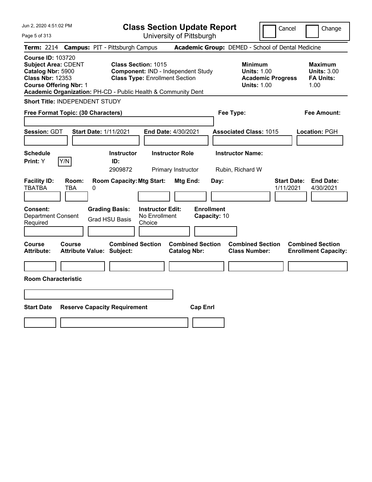| Jun 2, 2020 4:51:02 PM<br>Page 5 of 313                                                                                                                                                                  |                                            |                                                | <b>Class Section Update Report</b>                                                                        | University of Pittsburgh                      |                                   |                                                            | Cancel                                            | Change                                                           |
|----------------------------------------------------------------------------------------------------------------------------------------------------------------------------------------------------------|--------------------------------------------|------------------------------------------------|-----------------------------------------------------------------------------------------------------------|-----------------------------------------------|-----------------------------------|------------------------------------------------------------|---------------------------------------------------|------------------------------------------------------------------|
| <b>Term: 2214</b>                                                                                                                                                                                        | <b>Campus: PIT - Pittsburgh Campus</b>     |                                                |                                                                                                           |                                               |                                   |                                                            | Academic Group: DEMED - School of Dental Medicine |                                                                  |
| <b>Course ID: 103720</b><br><b>Subject Area: CDENT</b><br>Catalog Nbr: 5900<br><b>Class Nbr: 12353</b><br><b>Course Offering Nbr: 1</b><br>Academic Organization: PH-CD - Public Health & Community Dent |                                            |                                                | <b>Class Section: 1015</b><br>Component: IND - Independent Study<br><b>Class Type: Enrollment Section</b> |                                               |                                   | <b>Minimum</b><br><b>Units: 1.00</b><br><b>Units: 1.00</b> | <b>Academic Progress</b>                          | <b>Maximum</b><br><b>Units: 3.00</b><br><b>FA Units:</b><br>1.00 |
| Short Title: INDEPENDENT STUDY                                                                                                                                                                           |                                            |                                                |                                                                                                           |                                               |                                   |                                                            |                                                   |                                                                  |
| Free Format Topic: (30 Characters)                                                                                                                                                                       |                                            |                                                |                                                                                                           |                                               |                                   | Fee Type:                                                  |                                                   | <b>Fee Amount:</b>                                               |
| Session: GDT<br><b>Schedule</b>                                                                                                                                                                          | <b>Start Date: 1/11/2021</b>               | <b>Instructor</b>                              |                                                                                                           | End Date: 4/30/2021<br><b>Instructor Role</b> |                                   | <b>Associated Class: 1015</b><br><b>Instructor Name:</b>   |                                                   | Location: PGH                                                    |
| Y/N<br>Print: Y                                                                                                                                                                                          |                                            | ID:                                            |                                                                                                           |                                               |                                   |                                                            |                                                   |                                                                  |
|                                                                                                                                                                                                          |                                            | 2909872                                        |                                                                                                           | Primary Instructor                            |                                   | Rubin, Richard W                                           |                                                   |                                                                  |
| <b>Facility ID:</b><br><b>TBATBA</b>                                                                                                                                                                     | Room:<br>TBA<br>0                          | <b>Room Capacity: Mtg Start:</b>               |                                                                                                           | Mtg End:                                      | Day:                              |                                                            | <b>Start Date:</b><br>1/11/2021                   | <b>End Date:</b><br>4/30/2021                                    |
| <b>Consent:</b><br><b>Department Consent</b><br>Required                                                                                                                                                 |                                            | <b>Grading Basis:</b><br><b>Grad HSU Basis</b> | <b>Instructor Edit:</b><br>No Enrollment<br>Choice                                                        |                                               | <b>Enrollment</b><br>Capacity: 10 |                                                            |                                                   |                                                                  |
| Course<br><b>Attribute:</b>                                                                                                                                                                              | Course<br><b>Attribute Value: Subject:</b> | <b>Combined Section</b>                        |                                                                                                           | <b>Catalog Nbr:</b>                           | <b>Combined Section</b>           | <b>Combined Section</b><br><b>Class Number:</b>            |                                                   | <b>Combined Section</b><br><b>Enrollment Capacity:</b>           |
|                                                                                                                                                                                                          |                                            |                                                |                                                                                                           |                                               |                                   |                                                            |                                                   |                                                                  |
| <b>Room Characteristic</b>                                                                                                                                                                               |                                            |                                                |                                                                                                           |                                               |                                   |                                                            |                                                   |                                                                  |
|                                                                                                                                                                                                          |                                            |                                                |                                                                                                           |                                               |                                   |                                                            |                                                   |                                                                  |
|                                                                                                                                                                                                          |                                            |                                                |                                                                                                           |                                               |                                   |                                                            |                                                   |                                                                  |
| <b>Start Date</b>                                                                                                                                                                                        | <b>Reserve Capacity Requirement</b>        |                                                |                                                                                                           |                                               | <b>Cap Enrl</b>                   |                                                            |                                                   |                                                                  |
|                                                                                                                                                                                                          |                                            |                                                |                                                                                                           |                                               |                                   |                                                            |                                                   |                                                                  |
|                                                                                                                                                                                                          |                                            |                                                |                                                                                                           |                                               |                                   |                                                            |                                                   |                                                                  |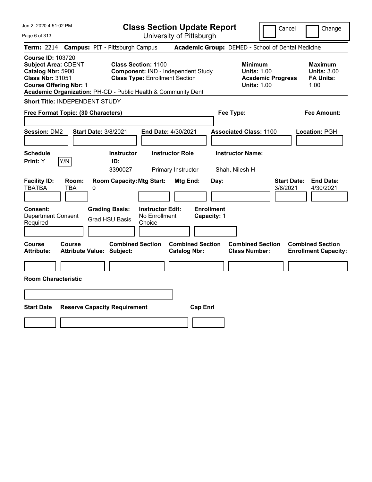Jun 2, 2020 4:51:02 PM Page 6 of 313 **Class Section Update Report** University of Pittsburgh Cancel | Change **Term:** 2214 **Campus:** PIT - Pittsburgh Campus **Academic Group:** DEMED - School of Dental Medicine **Course ID:** 103720 **Subject Area:** CDENT **Class Section:** 1100 **Minimum Maximum Catalog Nbr:** 5900 **Component:** IND - Independent Study **Units:** 1.00 **Units:** 3.00 **Class Nbr:** 31051 **Class Type:** Enrollment Section **Academic Progress FA Units: Course Offering Nbr:** 1 **Units:** 1.00 1.00 **Academic Organization:** PH-CD - Public Health & Community Dent **Short Title:** INDEPENDENT STUDY **Free Format Topic: (30 Characters) Fee Type: Fee Amount: Session:** DM2 **Start Date:** 3/8/2021 **End Date:** 4/30/2021 **Associated Class:** 1100 **Location:** PGH **Schedule Instructor Instructor Role Instructor Name: Print:**  $Y$   $|Y/N|$  **ID:** 3390027 Primary Instructor Shah, Nilesh H **Facility ID: Room: Room Capacity:Mtg Start: Mtg End: Day: Start Date: End Date:** TBATBA TBA 0 3/8/2021 4/30/2021 **Consent: Grading Basis: Instructor Edit: Enrollment** Department Consent Required Grad HSU Basis No Enrollment Choice **Capacity:** 1 **Course Course Combined Section Combined Section Combined Section Combined Section Attribute: Attribute Value: Subject: Catalog Nbr: Class Number: Enrollment Capacity: Room Characteristic Start Date Reserve Capacity Requirement Cap Enrl**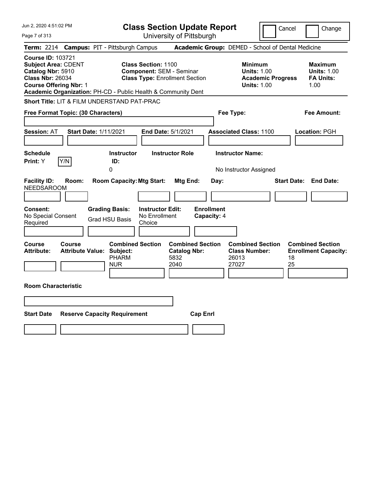| Jun 2, 2020 4:51:02 PM                                                                                                                                                                                   | <b>Class Section Update Report</b>                                                                     |                                                                |                                                                                        | Cancel<br>Change                                                   |
|----------------------------------------------------------------------------------------------------------------------------------------------------------------------------------------------------------|--------------------------------------------------------------------------------------------------------|----------------------------------------------------------------|----------------------------------------------------------------------------------------|--------------------------------------------------------------------|
| Page 7 of 313                                                                                                                                                                                            |                                                                                                        | University of Pittsburgh                                       |                                                                                        |                                                                    |
| <b>Term: 2214</b>                                                                                                                                                                                        | <b>Campus: PIT - Pittsburgh Campus</b>                                                                 |                                                                | Academic Group: DEMED - School of Dental Medicine                                      |                                                                    |
| <b>Course ID: 103721</b><br><b>Subject Area: CDENT</b><br>Catalog Nbr: 5910<br><b>Class Nbr: 26034</b><br><b>Course Offering Nbr: 1</b><br>Academic Organization: PH-CD - Public Health & Community Dent | <b>Class Section: 1100</b><br><b>Component: SEM - Seminar</b><br><b>Class Type: Enrollment Section</b> |                                                                | <b>Minimum</b><br><b>Units: 1.00</b><br><b>Academic Progress</b><br><b>Units: 1.00</b> | <b>Maximum</b><br><b>Units: 1.00</b><br><b>FA Units:</b><br>1.00   |
| Short Title: LIT & FILM UNDERSTAND PAT-PRAC                                                                                                                                                              |                                                                                                        |                                                                |                                                                                        |                                                                    |
| Free Format Topic: (30 Characters)                                                                                                                                                                       |                                                                                                        |                                                                | Fee Type:                                                                              | Fee Amount:                                                        |
| <b>Start Date: 1/11/2021</b><br><b>Session: AT</b>                                                                                                                                                       | End Date: 5/1/2021                                                                                     |                                                                | <b>Associated Class: 1100</b>                                                          | Location: PGH                                                      |
| <b>Schedule</b><br>Y/N<br>Print: Y                                                                                                                                                                       | <b>Instructor</b><br><b>Instructor Role</b><br>ID:<br>0                                                |                                                                | <b>Instructor Name:</b><br>No Instructor Assigned                                      |                                                                    |
| <b>Facility ID:</b><br>Room:<br><b>NEEDSAROOM</b>                                                                                                                                                        | <b>Room Capacity: Mtg Start:</b>                                                                       | Mtg End:<br>Day:                                               |                                                                                        | <b>Start Date: End Date:</b>                                       |
| <b>Consent:</b><br>No Special Consent<br>Required                                                                                                                                                        | <b>Grading Basis:</b><br><b>Instructor Edit:</b><br>No Enrollment<br><b>Grad HSU Basis</b><br>Choice   | <b>Enrollment</b><br>Capacity: 4                               |                                                                                        |                                                                    |
| <b>Course</b><br><b>Course</b><br><b>Attribute:</b><br><b>Attribute Value: Subject:</b>                                                                                                                  | <b>Combined Section</b><br><b>PHARM</b><br><b>NUR</b>                                                  | <b>Combined Section</b><br><b>Catalog Nbr:</b><br>5832<br>2040 | <b>Combined Section</b><br><b>Class Number:</b><br>26013<br>27027                      | <b>Combined Section</b><br><b>Enrollment Capacity:</b><br>18<br>25 |
| <b>Room Characteristic</b>                                                                                                                                                                               |                                                                                                        |                                                                |                                                                                        |                                                                    |
|                                                                                                                                                                                                          |                                                                                                        |                                                                |                                                                                        |                                                                    |
| <b>Start Date</b><br><b>Reserve Capacity Requirement</b>                                                                                                                                                 |                                                                                                        | <b>Cap Enrl</b>                                                |                                                                                        |                                                                    |
|                                                                                                                                                                                                          |                                                                                                        |                                                                |                                                                                        |                                                                    |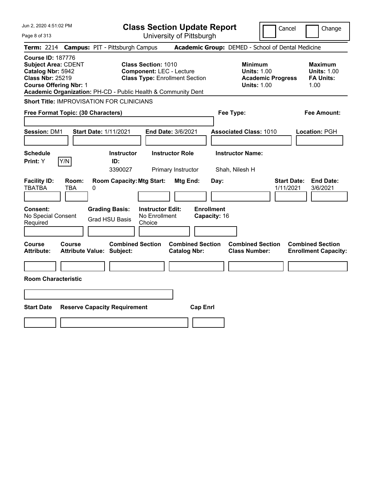| Jun 2, 2020 4:51:02 PM                                                                                                                                                                                   | <b>Class Section Update Report</b>                                                                                                      | Cancel                                                                                 | Change                                                           |
|----------------------------------------------------------------------------------------------------------------------------------------------------------------------------------------------------------|-----------------------------------------------------------------------------------------------------------------------------------------|----------------------------------------------------------------------------------------|------------------------------------------------------------------|
| Page 8 of 313                                                                                                                                                                                            | University of Pittsburgh                                                                                                                |                                                                                        |                                                                  |
| <b>Campus: PIT - Pittsburgh Campus</b><br><b>Term:</b> 2214                                                                                                                                              |                                                                                                                                         | Academic Group: DEMED - School of Dental Medicine                                      |                                                                  |
| <b>Course ID: 187776</b><br><b>Subject Area: CDENT</b><br>Catalog Nbr: 5942<br><b>Class Nbr: 25219</b><br><b>Course Offering Nbr: 1</b><br>Academic Organization: PH-CD - Public Health & Community Dent | <b>Class Section: 1010</b><br><b>Component: LEC - Lecture</b><br><b>Class Type: Enrollment Section</b>                                  | <b>Minimum</b><br><b>Units: 1.00</b><br><b>Academic Progress</b><br><b>Units: 1.00</b> | <b>Maximum</b><br><b>Units: 1.00</b><br><b>FA Units:</b><br>1.00 |
| <b>Short Title: IMPROVISATION FOR CLINICIANS</b>                                                                                                                                                         |                                                                                                                                         |                                                                                        |                                                                  |
| Free Format Topic: (30 Characters)                                                                                                                                                                       |                                                                                                                                         | Fee Type:                                                                              | Fee Amount:                                                      |
| <b>Session: DM1</b><br><b>Start Date: 1/11/2021</b>                                                                                                                                                      | <b>End Date: 3/6/2021</b>                                                                                                               | <b>Associated Class: 1010</b>                                                          | Location: PGH                                                    |
| <b>Schedule</b>                                                                                                                                                                                          | <b>Instructor</b><br><b>Instructor Role</b>                                                                                             | <b>Instructor Name:</b>                                                                |                                                                  |
| Print: Y<br>Y/N<br>ID:                                                                                                                                                                                   | 3390027<br>Primary Instructor                                                                                                           | Shah, Nilesh H                                                                         |                                                                  |
| <b>Facility ID:</b><br>Room:<br><b>TBATBA</b><br>0<br>TBA<br><b>Grading Basis:</b><br><b>Consent:</b><br>No Special Consent<br><b>Grad HSU Basis</b><br>Required                                         | <b>Room Capacity: Mtg Start:</b><br>Mtg End:<br><b>Instructor Edit:</b><br><b>Enrollment</b><br>No Enrollment<br>Capacity: 16<br>Choice | <b>Start Date:</b><br>Day:<br>1/11/2021                                                | <b>End Date:</b><br>3/6/2021                                     |
| Course<br>Course<br>Attribute Value: Subject:<br><b>Attribute:</b>                                                                                                                                       | <b>Combined Section</b><br><b>Combined Section</b><br><b>Catalog Nbr:</b>                                                               | <b>Combined Section</b><br><b>Class Number:</b>                                        | <b>Combined Section</b><br><b>Enrollment Capacity:</b>           |
|                                                                                                                                                                                                          |                                                                                                                                         |                                                                                        |                                                                  |
| <b>Room Characteristic</b>                                                                                                                                                                               |                                                                                                                                         |                                                                                        |                                                                  |
|                                                                                                                                                                                                          |                                                                                                                                         |                                                                                        |                                                                  |
| <b>Start Date</b><br><b>Reserve Capacity Requirement</b>                                                                                                                                                 | <b>Cap Enrl</b>                                                                                                                         |                                                                                        |                                                                  |
|                                                                                                                                                                                                          |                                                                                                                                         |                                                                                        |                                                                  |
|                                                                                                                                                                                                          |                                                                                                                                         |                                                                                        |                                                                  |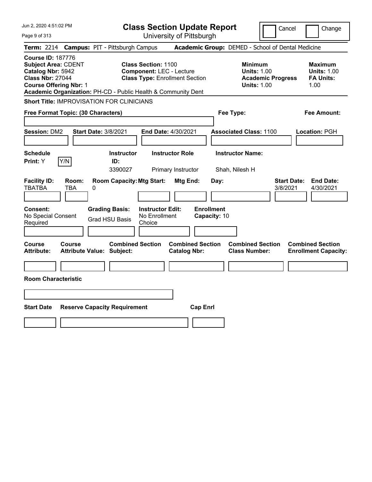| Jun 2, 2020 4:51:02 PM                                                                                                                                                                                   | <b>Class Section Update Report</b>                                                                     | Cancel                                                                                 | Change                                                           |
|----------------------------------------------------------------------------------------------------------------------------------------------------------------------------------------------------------|--------------------------------------------------------------------------------------------------------|----------------------------------------------------------------------------------------|------------------------------------------------------------------|
| Page 9 of 313                                                                                                                                                                                            | University of Pittsburgh                                                                               |                                                                                        |                                                                  |
| <b>Campus: PIT - Pittsburgh Campus</b><br><b>Term: 2214</b>                                                                                                                                              |                                                                                                        | Academic Group: DEMED - School of Dental Medicine                                      |                                                                  |
| <b>Course ID: 187776</b><br><b>Subject Area: CDENT</b><br>Catalog Nbr: 5942<br><b>Class Nbr: 27044</b><br><b>Course Offering Nbr: 1</b><br>Academic Organization: PH-CD - Public Health & Community Dent | <b>Class Section: 1100</b><br><b>Component: LEC - Lecture</b><br><b>Class Type: Enrollment Section</b> | <b>Minimum</b><br><b>Units: 1.00</b><br><b>Academic Progress</b><br><b>Units: 1.00</b> | <b>Maximum</b><br><b>Units: 1.00</b><br><b>FA Units:</b><br>1.00 |
| <b>Short Title: IMPROVISATION FOR CLINICIANS</b>                                                                                                                                                         |                                                                                                        |                                                                                        |                                                                  |
| Free Format Topic: (30 Characters)                                                                                                                                                                       |                                                                                                        | Fee Type:                                                                              | Fee Amount:                                                      |
| <b>Start Date: 3/8/2021</b><br><b>Session: DM2</b>                                                                                                                                                       | End Date: 4/30/2021                                                                                    | <b>Associated Class: 1100</b>                                                          | Location: PGH                                                    |
| <b>Schedule</b><br>Y/N<br>Print: Y<br>ID:                                                                                                                                                                | <b>Instructor</b><br><b>Instructor Role</b><br>3390027<br>Primary Instructor                           | <b>Instructor Name:</b><br>Shah, Nilesh H                                              |                                                                  |
| <b>Facility ID:</b><br>Room:<br><b>TBATBA</b><br><b>TBA</b><br>0                                                                                                                                         | <b>Room Capacity: Mtg Start:</b><br><b>Mtg End:</b>                                                    | <b>Start Date:</b><br>Day:<br>3/8/2021                                                 | <b>End Date:</b><br>4/30/2021                                    |
| Consent:<br><b>Grading Basis:</b><br>No Special Consent<br><b>Grad HSU Basis</b><br>Required                                                                                                             | <b>Enrollment</b><br><b>Instructor Edit:</b><br>No Enrollment<br>Capacity: 10<br>Choice                |                                                                                        |                                                                  |
| Course<br>Course<br><b>Attribute:</b><br><b>Attribute Value: Subject:</b>                                                                                                                                | <b>Combined Section</b><br><b>Combined Section</b><br><b>Catalog Nbr:</b>                              | <b>Combined Section</b><br><b>Class Number:</b>                                        | <b>Combined Section</b><br><b>Enrollment Capacity:</b>           |
| <b>Room Characteristic</b>                                                                                                                                                                               |                                                                                                        |                                                                                        |                                                                  |
|                                                                                                                                                                                                          |                                                                                                        |                                                                                        |                                                                  |
|                                                                                                                                                                                                          |                                                                                                        |                                                                                        |                                                                  |
| <b>Start Date</b><br><b>Reserve Capacity Requirement</b>                                                                                                                                                 | <b>Cap Enrl</b>                                                                                        |                                                                                        |                                                                  |
|                                                                                                                                                                                                          |                                                                                                        |                                                                                        |                                                                  |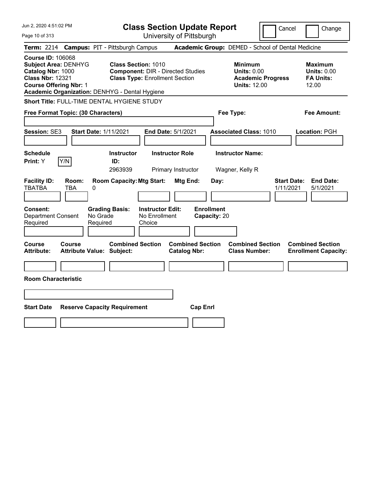| Jun 2, 2020 4:51:02 PM                                                                                                                                                                     | <b>Class Section Update Report</b>                                                                                                       | Cancel                                                                                  | Change                                                            |
|--------------------------------------------------------------------------------------------------------------------------------------------------------------------------------------------|------------------------------------------------------------------------------------------------------------------------------------------|-----------------------------------------------------------------------------------------|-------------------------------------------------------------------|
| Page 10 of 313                                                                                                                                                                             | University of Pittsburgh                                                                                                                 |                                                                                         |                                                                   |
| <b>Term: 2214</b>                                                                                                                                                                          | <b>Campus: PIT - Pittsburgh Campus</b>                                                                                                   | Academic Group: DEMED - School of Dental Medicine                                       |                                                                   |
| <b>Course ID: 106068</b><br><b>Subject Area: DENHYG</b><br>Catalog Nbr: 1000<br><b>Class Nbr: 12321</b><br><b>Course Offering Nbr: 1</b><br>Academic Organization: DENHYG - Dental Hygiene | <b>Class Section: 1010</b><br><b>Component: DIR - Directed Studies</b><br><b>Class Type: Enrollment Section</b>                          | <b>Minimum</b><br><b>Units: 0.00</b><br><b>Academic Progress</b><br><b>Units: 12.00</b> | <b>Maximum</b><br><b>Units: 0.00</b><br><b>FA Units:</b><br>12.00 |
| Short Title: FULL-TIME DENTAL HYGIENE STUDY                                                                                                                                                |                                                                                                                                          |                                                                                         |                                                                   |
| Free Format Topic: (30 Characters)                                                                                                                                                         |                                                                                                                                          | Fee Type:                                                                               | Fee Amount:                                                       |
| Session: SE3                                                                                                                                                                               | <b>Start Date: 1/11/2021</b><br><b>End Date: 5/1/2021</b>                                                                                | <b>Associated Class: 1010</b>                                                           | Location: PGH                                                     |
| <b>Schedule</b><br>Y/N<br>Print: Y                                                                                                                                                         | <b>Instructor Role</b><br><b>Instructor</b><br>ID:<br>2963939<br>Primary Instructor                                                      | <b>Instructor Name:</b><br>Wagner, Kelly R                                              |                                                                   |
| <b>Facility ID:</b><br>Room:<br><b>TBATBA</b><br>0<br>TBA                                                                                                                                  | <b>Room Capacity: Mtg Start:</b><br>Mtg End:<br>Day:                                                                                     | <b>Start Date:</b><br>1/11/2021                                                         | <b>End Date:</b><br>5/1/2021                                      |
| Consent:<br><b>Department Consent</b><br>Required                                                                                                                                          | <b>Enrollment</b><br><b>Grading Basis:</b><br><b>Instructor Edit:</b><br>No Grade<br>No Enrollment<br>Capacity: 20<br>Required<br>Choice |                                                                                         |                                                                   |
| <b>Course</b><br>Course<br><b>Attribute:</b>                                                                                                                                               | <b>Combined Section</b><br><b>Combined Section</b><br><b>Attribute Value: Subject:</b><br><b>Catalog Nbr:</b>                            | <b>Combined Section</b><br><b>Class Number:</b>                                         | <b>Combined Section</b><br><b>Enrollment Capacity:</b>            |
|                                                                                                                                                                                            |                                                                                                                                          |                                                                                         |                                                                   |
| <b>Room Characteristic</b>                                                                                                                                                                 |                                                                                                                                          |                                                                                         |                                                                   |
|                                                                                                                                                                                            |                                                                                                                                          |                                                                                         |                                                                   |
| <b>Start Date</b>                                                                                                                                                                          | <b>Reserve Capacity Requirement</b><br><b>Cap Enrl</b>                                                                                   |                                                                                         |                                                                   |
|                                                                                                                                                                                            |                                                                                                                                          |                                                                                         |                                                                   |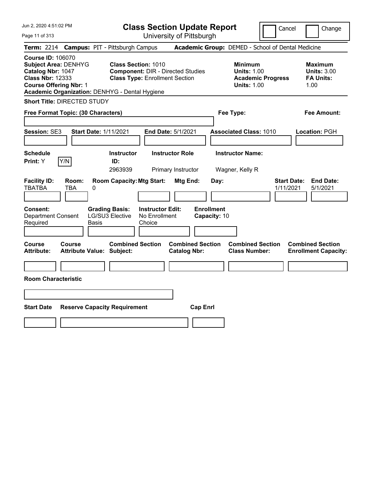| Jun 2, 2020 4:51:02 PM                                                                                                                                                                     | <b>Class Section Update Report</b>                                                                                                                                                          | Cancel                                                                                 | Change                                                           |
|--------------------------------------------------------------------------------------------------------------------------------------------------------------------------------------------|---------------------------------------------------------------------------------------------------------------------------------------------------------------------------------------------|----------------------------------------------------------------------------------------|------------------------------------------------------------------|
| Page 11 of 313                                                                                                                                                                             | University of Pittsburgh                                                                                                                                                                    |                                                                                        |                                                                  |
| <b>Term: 2214</b>                                                                                                                                                                          | <b>Campus: PIT - Pittsburgh Campus</b>                                                                                                                                                      | Academic Group: DEMED - School of Dental Medicine                                      |                                                                  |
| <b>Course ID: 106070</b><br><b>Subject Area: DENHYG</b><br>Catalog Nbr: 1047<br><b>Class Nbr: 12333</b><br><b>Course Offering Nbr: 1</b><br>Academic Organization: DENHYG - Dental Hygiene | <b>Class Section: 1010</b><br><b>Component: DIR - Directed Studies</b><br><b>Class Type: Enrollment Section</b>                                                                             | <b>Minimum</b><br><b>Units: 1.00</b><br><b>Academic Progress</b><br><b>Units: 1.00</b> | <b>Maximum</b><br><b>Units: 3.00</b><br><b>FA Units:</b><br>1.00 |
| <b>Short Title: DIRECTED STUDY</b>                                                                                                                                                         |                                                                                                                                                                                             |                                                                                        |                                                                  |
| Free Format Topic: (30 Characters)                                                                                                                                                         |                                                                                                                                                                                             | Fee Type:                                                                              | Fee Amount:                                                      |
| <b>Start Date: 1/11/2021</b><br>Session: SE3                                                                                                                                               | End Date: 5/1/2021                                                                                                                                                                          | <b>Associated Class: 1010</b>                                                          | Location: PGH                                                    |
| <b>Schedule</b>                                                                                                                                                                            | <b>Instructor Role</b><br><b>Instructor</b>                                                                                                                                                 | <b>Instructor Name:</b>                                                                |                                                                  |
| Y/N<br>Print: Y                                                                                                                                                                            | ID:<br>2963939<br>Primary Instructor                                                                                                                                                        | Wagner, Kelly R                                                                        |                                                                  |
| <b>Facility ID:</b><br>Room:<br><b>TBATBA</b><br>TBA<br>0<br><b>Consent:</b><br><b>Department Consent</b><br>Required<br><b>Basis</b>                                                      | <b>Room Capacity: Mtg Start:</b><br>Mtg End:<br>Day:<br><b>Enrollment</b><br><b>Instructor Edit:</b><br><b>Grading Basis:</b><br>LG/SU3 Elective<br>No Enrollment<br>Capacity: 10<br>Choice | <b>Start Date:</b><br>1/11/2021                                                        | <b>End Date:</b><br>5/1/2021                                     |
| Course<br><b>Course</b><br><b>Attribute:</b><br><b>Attribute Value: Subject:</b>                                                                                                           | <b>Combined Section</b><br><b>Combined Section</b><br><b>Catalog Nbr:</b>                                                                                                                   | <b>Combined Section</b><br><b>Class Number:</b>                                        | <b>Combined Section</b><br><b>Enrollment Capacity:</b>           |
| <b>Room Characteristic</b>                                                                                                                                                                 |                                                                                                                                                                                             |                                                                                        |                                                                  |
| <b>Start Date</b><br><b>Reserve Capacity Requirement</b>                                                                                                                                   | <b>Cap Enrl</b>                                                                                                                                                                             |                                                                                        |                                                                  |
|                                                                                                                                                                                            |                                                                                                                                                                                             |                                                                                        |                                                                  |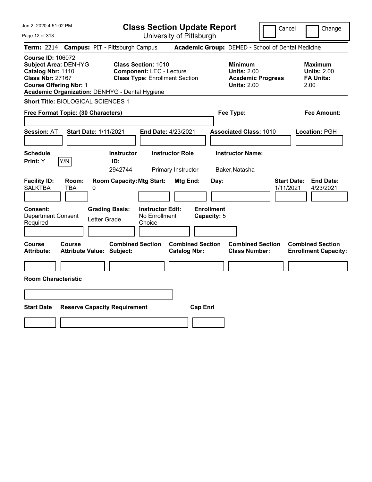| Jun 2, 2020 4:51:02 PM                                                                                                                                                                     |                                                   |                                     |                                                               | <b>Class Section Update Report</b>             |                                  |                                                                                        | Cancel                          | Change                                                           |
|--------------------------------------------------------------------------------------------------------------------------------------------------------------------------------------------|---------------------------------------------------|-------------------------------------|---------------------------------------------------------------|------------------------------------------------|----------------------------------|----------------------------------------------------------------------------------------|---------------------------------|------------------------------------------------------------------|
| Page 12 of 313                                                                                                                                                                             |                                                   |                                     |                                                               | University of Pittsburgh                       |                                  |                                                                                        |                                 |                                                                  |
| <b>Term: 2214</b>                                                                                                                                                                          | <b>Campus: PIT - Pittsburgh Campus</b>            |                                     |                                                               |                                                |                                  | Academic Group: DEMED - School of Dental Medicine                                      |                                 |                                                                  |
| <b>Course ID: 106072</b><br><b>Subject Area: DENHYG</b><br>Catalog Nbr: 1110<br><b>Class Nbr: 27167</b><br><b>Course Offering Nbr: 1</b><br>Academic Organization: DENHYG - Dental Hygiene |                                                   |                                     | <b>Class Section: 1010</b><br><b>Component: LEC - Lecture</b> | <b>Class Type: Enrollment Section</b>          |                                  | <b>Minimum</b><br><b>Units: 2.00</b><br><b>Academic Progress</b><br><b>Units: 2.00</b> |                                 | <b>Maximum</b><br><b>Units: 2.00</b><br><b>FA Units:</b><br>2.00 |
| Short Title: BIOLOGICAL SCIENCES 1                                                                                                                                                         |                                                   |                                     |                                                               |                                                |                                  |                                                                                        |                                 |                                                                  |
| Free Format Topic: (30 Characters)                                                                                                                                                         |                                                   |                                     |                                                               |                                                |                                  | Fee Type:                                                                              |                                 | Fee Amount:                                                      |
| <b>Session: AT</b>                                                                                                                                                                         | <b>Start Date: 1/11/2021</b>                      |                                     |                                                               | End Date: 4/23/2021                            |                                  | <b>Associated Class: 1010</b>                                                          |                                 | Location: PGH                                                    |
| <b>Schedule</b><br>Y/N<br>Print: Y                                                                                                                                                         |                                                   | <b>Instructor</b><br>ID:<br>2942744 |                                                               | <b>Instructor Role</b><br>Primary Instructor   |                                  | <b>Instructor Name:</b><br>Baker, Natasha                                              |                                 |                                                                  |
| <b>Facility ID:</b><br><b>SALKTBA</b>                                                                                                                                                      | Room:<br><b>TBA</b><br>0                          | <b>Room Capacity: Mtg Start:</b>    |                                                               | Mtg End:                                       | Day:                             |                                                                                        | <b>Start Date:</b><br>1/11/2021 | <b>End Date:</b><br>4/23/2021                                    |
| <b>Consent:</b><br><b>Department Consent</b><br>Required                                                                                                                                   | Letter Grade                                      | <b>Grading Basis:</b>               | <b>Instructor Edit:</b><br>No Enrollment<br>Choice            |                                                | <b>Enrollment</b><br>Capacity: 5 |                                                                                        |                                 |                                                                  |
| <b>Course</b><br><b>Attribute:</b>                                                                                                                                                         | <b>Course</b><br><b>Attribute Value: Subject:</b> | <b>Combined Section</b>             |                                                               | <b>Combined Section</b><br><b>Catalog Nbr:</b> |                                  | <b>Combined Section</b><br><b>Class Number:</b>                                        |                                 | <b>Combined Section</b><br><b>Enrollment Capacity:</b>           |
|                                                                                                                                                                                            |                                                   |                                     |                                                               |                                                |                                  |                                                                                        |                                 |                                                                  |
| <b>Room Characteristic</b>                                                                                                                                                                 |                                                   |                                     |                                                               |                                                |                                  |                                                                                        |                                 |                                                                  |
|                                                                                                                                                                                            |                                                   |                                     |                                                               |                                                |                                  |                                                                                        |                                 |                                                                  |
| <b>Start Date</b>                                                                                                                                                                          | <b>Reserve Capacity Requirement</b>               |                                     |                                                               | <b>Cap Enrl</b>                                |                                  |                                                                                        |                                 |                                                                  |
|                                                                                                                                                                                            |                                                   |                                     |                                                               |                                                |                                  |                                                                                        |                                 |                                                                  |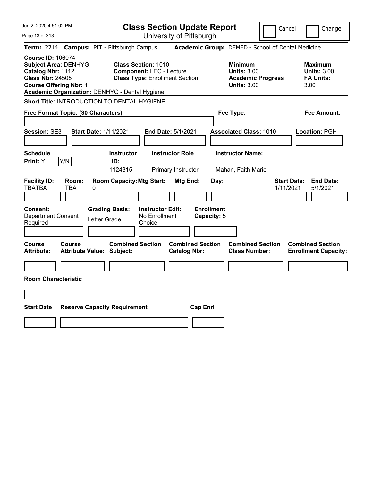| Jun 2, 2020 4:51:02 PM                                                                                                                                                                     | <b>Class Section Update Report</b>                                                                                                          | Cancel                                                                                 | Change                                                           |
|--------------------------------------------------------------------------------------------------------------------------------------------------------------------------------------------|---------------------------------------------------------------------------------------------------------------------------------------------|----------------------------------------------------------------------------------------|------------------------------------------------------------------|
| Page 13 of 313                                                                                                                                                                             | University of Pittsburgh                                                                                                                    |                                                                                        |                                                                  |
| <b>Term: 2214</b>                                                                                                                                                                          | <b>Campus: PIT - Pittsburgh Campus</b>                                                                                                      | Academic Group: DEMED - School of Dental Medicine                                      |                                                                  |
| <b>Course ID: 106074</b><br><b>Subject Area: DENHYG</b><br>Catalog Nbr: 1112<br><b>Class Nbr: 24505</b><br><b>Course Offering Nbr: 1</b><br>Academic Organization: DENHYG - Dental Hygiene | <b>Class Section: 1010</b><br><b>Component: LEC - Lecture</b><br><b>Class Type: Enrollment Section</b>                                      | <b>Minimum</b><br><b>Units: 3.00</b><br><b>Academic Progress</b><br><b>Units: 3.00</b> | <b>Maximum</b><br><b>Units: 3.00</b><br><b>FA Units:</b><br>3.00 |
| <b>Short Title: INTRODUCTION TO DENTAL HYGIENE</b>                                                                                                                                         |                                                                                                                                             |                                                                                        |                                                                  |
| Free Format Topic: (30 Characters)                                                                                                                                                         |                                                                                                                                             | Fee Type:                                                                              | Fee Amount:                                                      |
| Session: SE3<br><b>Start Date: 1/11/2021</b>                                                                                                                                               | End Date: 5/1/2021                                                                                                                          | <b>Associated Class: 1010</b>                                                          | Location: PGH                                                    |
| <b>Schedule</b><br>Y/N<br><b>Print: Y</b>                                                                                                                                                  | <b>Instructor Role</b><br><b>Instructor</b><br>ID:                                                                                          | <b>Instructor Name:</b>                                                                |                                                                  |
|                                                                                                                                                                                            | 1124315<br>Primary Instructor                                                                                                               | Mahan, Faith Marie                                                                     |                                                                  |
| <b>Facility ID:</b><br>Room:<br><b>TBATBA</b><br>TBA<br>0<br>Consent:<br><b>Department Consent</b><br>Required                                                                             | <b>Room Capacity: Mtg Start:</b><br>Mtg End:<br><b>Grading Basis:</b><br><b>Instructor Edit:</b><br>No Enrollment<br>Letter Grade<br>Choice | Day:<br>1/11/2021<br><b>Enrollment</b><br>Capacity: 5                                  | <b>Start Date:</b><br><b>End Date:</b><br>5/1/2021               |
|                                                                                                                                                                                            |                                                                                                                                             |                                                                                        |                                                                  |
| Course<br>Course<br><b>Attribute Value: Subject:</b><br><b>Attribute:</b>                                                                                                                  | <b>Combined Section</b><br><b>Combined Section</b><br><b>Catalog Nbr:</b>                                                                   | <b>Combined Section</b><br><b>Class Number:</b>                                        | <b>Combined Section</b><br><b>Enrollment Capacity:</b>           |
| <b>Room Characteristic</b>                                                                                                                                                                 |                                                                                                                                             |                                                                                        |                                                                  |
|                                                                                                                                                                                            |                                                                                                                                             |                                                                                        |                                                                  |
|                                                                                                                                                                                            |                                                                                                                                             |                                                                                        |                                                                  |
| <b>Start Date</b>                                                                                                                                                                          | <b>Reserve Capacity Requirement</b><br><b>Cap Enrl</b>                                                                                      |                                                                                        |                                                                  |
|                                                                                                                                                                                            |                                                                                                                                             |                                                                                        |                                                                  |
|                                                                                                                                                                                            |                                                                                                                                             |                                                                                        |                                                                  |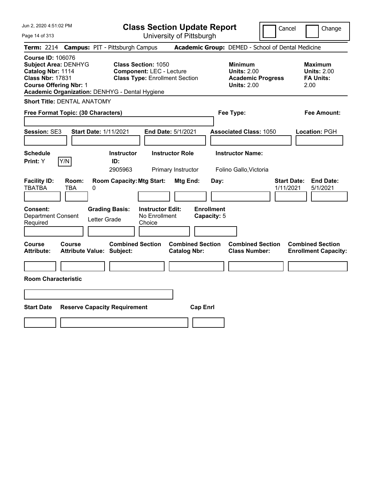Jun 2, 2020 4:51:02 PM Page 14 of 313 **Class Section Update Report** University of Pittsburgh Cancel | Change **Term:** 2214 **Campus:** PIT - Pittsburgh Campus **Academic Group:** DEMED - School of Dental Medicine **Course ID:** 106076 **Subject Area:** DENHYG **Class Section:** 1050 **Minimum Maximum Catalog Nbr:** 1114 **Component:** LEC - Lecture **Units:** 2.00 **Units:** 2.00 **Class Nbr:** 17831 **Class Type:** Enrollment Section **Academic Progress FA Units: Course Offering Nbr:** 1 **Units:** 2.00 2.00 **Academic Organization:** DENHYG - Dental Hygiene **Short Title:** DENTAL ANATOMY **Free Format Topic: (30 Characters) Fee Type: Fee Amount: Session:** SE3 **Start Date:** 1/11/2021 **End Date:** 5/1/2021 **Associated Class:** 1050 **Location:** PGH **Schedule Instructor Instructor Role Instructor Name: Print:**  $Y$   $|Y/N|$  **ID:** 2905963 Primary Instructor Folino Gallo,Victoria **Facility ID: Room: Room Capacity:Mtg Start: Mtg End: Day: Start Date: End Date:** TBATBA TBA 0 1/11/2021 5/1/2021 **Consent: Grading Basis: Instructor Edit: Enrollment** Department Consent Letter Grade No Enrollment<br>Required Letter Grade Choice Choice **Capacity:** 5 **Course Course Combined Section Combined Section Combined Section Combined Section Attribute: Attribute Value: Subject: Catalog Nbr: Class Number: Enrollment Capacity: Room Characteristic Start Date Reserve Capacity Requirement Cap Enrl**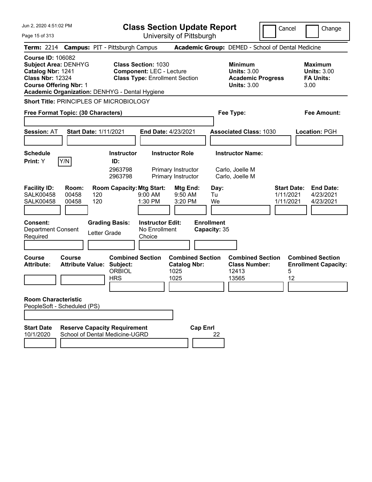| Jun 2, 2020 4:51:02 PM                                                                                                                                                                     |                                                                                            | <b>Class Section Update Report</b>                                                                     | Cancel                                                                                 | Change                                                            |
|--------------------------------------------------------------------------------------------------------------------------------------------------------------------------------------------|--------------------------------------------------------------------------------------------|--------------------------------------------------------------------------------------------------------|----------------------------------------------------------------------------------------|-------------------------------------------------------------------|
| Page 15 of 313                                                                                                                                                                             |                                                                                            | University of Pittsburgh                                                                               |                                                                                        |                                                                   |
| Term: 2214 Campus: PIT - Pittsburgh Campus                                                                                                                                                 |                                                                                            |                                                                                                        | Academic Group: DEMED - School of Dental Medicine                                      |                                                                   |
| <b>Course ID: 106082</b><br><b>Subject Area: DENHYG</b><br>Catalog Nbr: 1241<br><b>Class Nbr: 12324</b><br><b>Course Offering Nbr: 1</b><br>Academic Organization: DENHYG - Dental Hygiene |                                                                                            | <b>Class Section: 1030</b><br><b>Component: LEC - Lecture</b><br><b>Class Type: Enrollment Section</b> | <b>Minimum</b><br><b>Units: 3.00</b><br><b>Academic Progress</b><br><b>Units: 3.00</b> | <b>Maximum</b><br><b>Units: 3.00</b><br><b>FA Units:</b><br>3.00  |
| Short Title: PRINCIPLES OF MICROBIOLOGY                                                                                                                                                    |                                                                                            |                                                                                                        |                                                                                        |                                                                   |
| Free Format Topic: (30 Characters)                                                                                                                                                         |                                                                                            |                                                                                                        | Fee Type:                                                                              | Fee Amount:                                                       |
|                                                                                                                                                                                            |                                                                                            |                                                                                                        |                                                                                        |                                                                   |
| <b>Session: AT</b>                                                                                                                                                                         | <b>Start Date: 1/11/2021</b>                                                               | <b>End Date: 4/23/2021</b>                                                                             | <b>Associated Class: 1030</b>                                                          | Location: PGH                                                     |
|                                                                                                                                                                                            |                                                                                            |                                                                                                        |                                                                                        |                                                                   |
| <b>Schedule</b><br>Y/N<br>Print: Y                                                                                                                                                         | <b>Instructor</b><br>ID:                                                                   | <b>Instructor Role</b>                                                                                 | <b>Instructor Name:</b>                                                                |                                                                   |
|                                                                                                                                                                                            | 2963798<br>2963798                                                                         | Primary Instructor<br>Primary Instructor                                                               | Carlo, Joelle M<br>Carlo, Joelle M                                                     |                                                                   |
| <b>Facility ID:</b><br>Room:<br><b>SALK00458</b><br>00458<br><b>SALK00458</b><br>00458<br><b>Consent:</b>                                                                                  | <b>Room Capacity: Mtg Start:</b><br>120<br>120<br><b>Grading Basis:</b>                    | Mtg End:<br>9:00 AM<br>9:50 AM<br>1:30 PM<br>3:20 PM<br><b>Instructor Edit:</b>                        | Day:<br>1/11/2021<br>Tu<br>We<br>1/11/2021<br><b>Enrollment</b>                        | <b>Start Date:</b><br><b>End Date:</b><br>4/23/2021<br>4/23/2021  |
| Department Consent<br>Required                                                                                                                                                             | Letter Grade                                                                               | No Enrollment<br>Choice                                                                                | Capacity: 35                                                                           |                                                                   |
|                                                                                                                                                                                            |                                                                                            |                                                                                                        |                                                                                        |                                                                   |
| <b>Course</b><br>Course<br><b>Attribute:</b>                                                                                                                                               | <b>Combined Section</b><br><b>Attribute Value: Subject:</b><br><b>ORBIOL</b><br><b>HRS</b> | <b>Combined Section</b><br><b>Catalog Nbr:</b><br>1025<br>1025                                         | <b>Combined Section</b><br><b>Class Number:</b><br>12413<br>13565                      | <b>Combined Section</b><br><b>Enrollment Capacity:</b><br>5<br>12 |
| <b>Room Characteristic</b><br>PeopleSoft - Scheduled (PS)                                                                                                                                  |                                                                                            |                                                                                                        |                                                                                        |                                                                   |
| <b>Start Date</b><br>10/1/2020                                                                                                                                                             | <b>Reserve Capacity Requirement</b><br>School of Dental Medicine-UGRD                      | <b>Cap Enrl</b>                                                                                        | 22                                                                                     |                                                                   |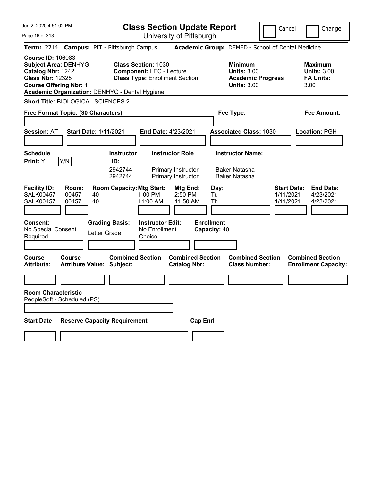| Jun 2, 2020 4:51:02 PM<br>Page 16 of 313                                                                                                                                                   | <b>Class Section Update Report</b><br>University of Pittsburgh                                                       | Cancel                                                                                 | Change                                                           |
|--------------------------------------------------------------------------------------------------------------------------------------------------------------------------------------------|----------------------------------------------------------------------------------------------------------------------|----------------------------------------------------------------------------------------|------------------------------------------------------------------|
| Term: 2214 Campus: PIT - Pittsburgh Campus                                                                                                                                                 |                                                                                                                      | Academic Group: DEMED - School of Dental Medicine                                      |                                                                  |
| <b>Course ID: 106083</b><br><b>Subject Area: DENHYG</b><br>Catalog Nbr: 1242<br><b>Class Nbr: 12325</b><br><b>Course Offering Nbr: 1</b><br>Academic Organization: DENHYG - Dental Hygiene | <b>Class Section: 1030</b><br><b>Component: LEC - Lecture</b><br><b>Class Type: Enrollment Section</b>               | <b>Minimum</b><br><b>Units: 3.00</b><br><b>Academic Progress</b><br><b>Units: 3.00</b> | <b>Maximum</b><br><b>Units: 3.00</b><br><b>FA Units:</b><br>3.00 |
| <b>Short Title: BIOLOGICAL SCIENCES 2</b>                                                                                                                                                  |                                                                                                                      |                                                                                        |                                                                  |
| Free Format Topic: (30 Characters)                                                                                                                                                         |                                                                                                                      | Fee Type:                                                                              | Fee Amount:                                                      |
| <b>Session: AT</b><br><b>Start Date: 1/11/2021</b>                                                                                                                                         | End Date: 4/23/2021                                                                                                  | <b>Associated Class: 1030</b>                                                          | Location: PGH                                                    |
| <b>Schedule</b><br>Y/N<br><b>Print:</b> Y                                                                                                                                                  | <b>Instructor Role</b><br><b>Instructor</b><br>ID:<br>2942744<br>Primary Instructor<br>2942744<br>Primary Instructor | <b>Instructor Name:</b><br>Baker, Natasha<br>Baker, Natasha                            |                                                                  |
| <b>Facility ID:</b><br>Room:<br><b>SALK00457</b><br>00457<br>40<br><b>SALK00457</b><br>00457<br>40                                                                                         | <b>Room Capacity: Mtg Start:</b><br>Mtg End:<br>1:00 PM<br>$2:50$ PM<br>11:00 AM<br>11:50 AM                         | <b>Start Date:</b><br>Day:<br>Tu<br>1/11/2021<br>Th<br>1/11/2021                       | <b>End Date:</b><br>4/23/2021<br>4/23/2021                       |
| <b>Consent:</b><br>No Special Consent<br>Required                                                                                                                                          | <b>Grading Basis:</b><br><b>Instructor Edit:</b><br>No Enrollment<br>Letter Grade<br>Choice                          | <b>Enrollment</b><br>Capacity: 40                                                      |                                                                  |
| <b>Course</b><br>Course<br><b>Attribute Value: Subject:</b><br><b>Attribute:</b>                                                                                                           | <b>Combined Section</b><br><b>Combined Section</b><br><b>Catalog Nbr:</b>                                            | <b>Combined Section</b><br><b>Class Number:</b>                                        | <b>Combined Section</b><br><b>Enrollment Capacity:</b>           |
|                                                                                                                                                                                            |                                                                                                                      |                                                                                        |                                                                  |
| <b>Room Characteristic</b><br>PeopleSoft - Scheduled (PS)                                                                                                                                  |                                                                                                                      |                                                                                        |                                                                  |
|                                                                                                                                                                                            |                                                                                                                      |                                                                                        |                                                                  |
| <b>Reserve Capacity Requirement</b><br><b>Start Date</b>                                                                                                                                   |                                                                                                                      | <b>Cap Enrl</b>                                                                        |                                                                  |
|                                                                                                                                                                                            |                                                                                                                      |                                                                                        |                                                                  |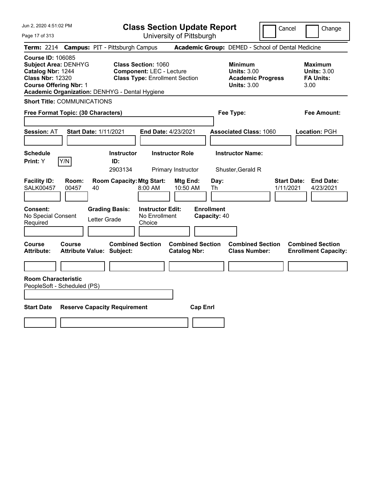| Jun 2, 2020 4:51:02 PM                                                                                                                                                                     | <b>Class Section Update Report</b>                                                                     | Cancel                                                                                 | Change                                                           |
|--------------------------------------------------------------------------------------------------------------------------------------------------------------------------------------------|--------------------------------------------------------------------------------------------------------|----------------------------------------------------------------------------------------|------------------------------------------------------------------|
| Page 17 of 313                                                                                                                                                                             | University of Pittsburgh                                                                               |                                                                                        |                                                                  |
| Term: 2214                                                                                                                                                                                 | <b>Campus: PIT - Pittsburgh Campus</b>                                                                 | Academic Group: DEMED - School of Dental Medicine                                      |                                                                  |
| <b>Course ID: 106085</b><br><b>Subject Area: DENHYG</b><br>Catalog Nbr: 1244<br><b>Class Nbr: 12320</b><br><b>Course Offering Nbr: 1</b><br>Academic Organization: DENHYG - Dental Hygiene | <b>Class Section: 1060</b><br><b>Component: LEC - Lecture</b><br><b>Class Type: Enrollment Section</b> | <b>Minimum</b><br><b>Units: 3.00</b><br><b>Academic Progress</b><br><b>Units: 3.00</b> | <b>Maximum</b><br><b>Units: 3.00</b><br><b>FA Units:</b><br>3.00 |
| <b>Short Title: COMMUNICATIONS</b>                                                                                                                                                         |                                                                                                        |                                                                                        |                                                                  |
| Free Format Topic: (30 Characters)                                                                                                                                                         |                                                                                                        | Fee Type:                                                                              | Fee Amount:                                                      |
| <b>Session: AT</b><br><b>Start Date: 1/11/2021</b>                                                                                                                                         | <b>End Date: 4/23/2021</b>                                                                             | <b>Associated Class: 1060</b>                                                          | Location: PGH                                                    |
| <b>Schedule</b><br>Y/N<br><b>Print: Y</b>                                                                                                                                                  | <b>Instructor Role</b><br><b>Instructor</b><br>ID:<br>2903134<br>Primary Instructor                    | <b>Instructor Name:</b><br>Shuster, Gerald R                                           |                                                                  |
| <b>Facility ID:</b><br>Room:<br><b>SALK00457</b><br>00457<br>40                                                                                                                            | <b>Room Capacity: Mtg Start:</b><br>Mtg End:<br>8:00 AM<br>10:50 AM                                    | Day:<br>1/11/2021<br>Th                                                                | <b>Start Date:</b><br><b>End Date:</b><br>4/23/2021              |
| Consent:<br><b>Grading Basis:</b><br>No Special Consent<br>Letter Grade<br>Required                                                                                                        | <b>Enrollment</b><br><b>Instructor Edit:</b><br>No Enrollment<br>Choice                                | Capacity: 40                                                                           |                                                                  |
| Course<br><b>Course</b><br><b>Attribute:</b><br><b>Attribute Value: Subject:</b>                                                                                                           | <b>Combined Section</b><br><b>Combined Section</b><br><b>Catalog Nbr:</b>                              | <b>Combined Section</b><br><b>Class Number:</b>                                        | <b>Combined Section</b><br><b>Enrollment Capacity:</b>           |
|                                                                                                                                                                                            |                                                                                                        |                                                                                        |                                                                  |
| <b>Room Characteristic</b><br>PeopleSoft - Scheduled (PS)                                                                                                                                  |                                                                                                        |                                                                                        |                                                                  |
| <b>Start Date</b><br><b>Reserve Capacity Requirement</b>                                                                                                                                   | <b>Cap Enrl</b>                                                                                        |                                                                                        |                                                                  |
|                                                                                                                                                                                            |                                                                                                        |                                                                                        |                                                                  |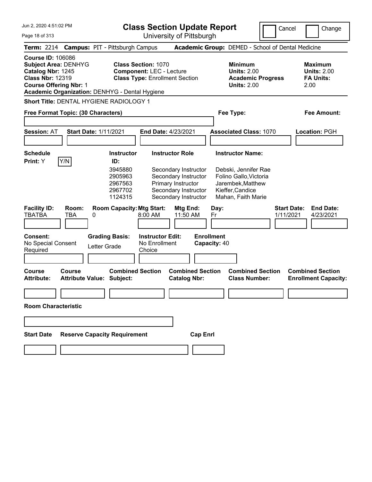Jun 2, 2020 4:51:02 PM Page 18 of 313 **Class Section Update Report** University of Pittsburgh Cancel Change **Term:** 2214 **Campus:** PIT - Pittsburgh Campus **Academic Group:** DEMED - School of Dental Medicine **Course ID:** 106086 **Subject Area:** DENHYG **Class Section:** 1070 **Minimum Maximum Catalog Nbr:** 1245 **Component:** LEC - Lecture **Units:** 2.00 **Units:** 2.00 **Class Nbr:** 12319 **Class Type:** Enrollment Section **Academic Progress FA Units: Course Offering Nbr:** 1 **Units:** 2.00 2.00 **Academic Organization:** DENHYG - Dental Hygiene **Short Title:** DENTAL HYGIENE RADIOLOGY 1 **Free Format Topic: (30 Characters) Fee Type: Fee Amount: Session:** AT **Start Date:** 1/11/2021 **End Date:** 4/23/2021 **Associated Class:** 1070 **Location:** PGH **Schedule Instructor Instructor Role Instructor Name: Print:**  $Y$   $|Y/N|$  **ID:** 3945880 Secondary Instructor Debski, Jennifer Rae 2905963 Secondary Instructor Folino Gallo,Victoria 2967563 Primary Instructor Jarembek,Matthew 2967702 Secondary Instructor Kieffer,Candice 1124315 Secondary Instructor Mahan, Faith Marie **Facility ID: Room: Room Capacity:Mtg Start: Mtg End: Day: Start Date: End Date:** TBATBA TBA 0 8:00 AM 11:50 AM Fr 1/11/2021 4/23/2021 **Consent: Grading Basis: Instructor Edit: Enrollment** No Special Consent Required Letter Grade No Enrollment **Choice Capacity:** 40 **Course Course Combined Section Combined Section Combined Section Combined Section Attribute: Attribute Value: Subject: Catalog Nbr: Class Number: Enrollment Capacity: Room Characteristic Start Date Reserve Capacity Requirement Cap Enrl**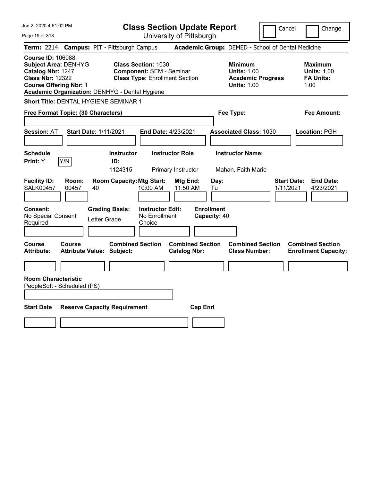| Jun 2, 2020 4:51:02 PM                                                                                                                                                                     | <b>Class Section Update Report</b>                                                                     | Cancel                                                                                 | Change                                                    |
|--------------------------------------------------------------------------------------------------------------------------------------------------------------------------------------------|--------------------------------------------------------------------------------------------------------|----------------------------------------------------------------------------------------|-----------------------------------------------------------|
| Page 19 of 313                                                                                                                                                                             | University of Pittsburgh                                                                               |                                                                                        |                                                           |
| <b>Term: 2214</b>                                                                                                                                                                          | <b>Campus: PIT - Pittsburgh Campus</b>                                                                 | Academic Group: DEMED - School of Dental Medicine                                      |                                                           |
| <b>Course ID: 106088</b><br><b>Subject Area: DENHYG</b><br>Catalog Nbr: 1247<br><b>Class Nbr: 12322</b><br><b>Course Offering Nbr: 1</b><br>Academic Organization: DENHYG - Dental Hygiene | <b>Class Section: 1030</b><br><b>Component: SEM - Seminar</b><br><b>Class Type: Enrollment Section</b> | <b>Minimum</b><br><b>Units: 1.00</b><br><b>Academic Progress</b><br><b>Units: 1.00</b> | Maximum<br><b>Units: 1.00</b><br><b>FA Units:</b><br>1.00 |
| Short Title: DENTAL HYGIENE SEMINAR 1                                                                                                                                                      |                                                                                                        |                                                                                        |                                                           |
| Free Format Topic: (30 Characters)                                                                                                                                                         |                                                                                                        | Fee Type:                                                                              | Fee Amount:                                               |
| <b>Session: AT</b><br><b>Start Date: 1/11/2021</b>                                                                                                                                         | End Date: 4/23/2021                                                                                    | <b>Associated Class: 1030</b>                                                          | Location: PGH                                             |
| <b>Schedule</b><br>Y/N<br>Print: Y                                                                                                                                                         | <b>Instructor</b><br><b>Instructor Role</b><br>ID:<br>1124315<br>Primary Instructor                    | <b>Instructor Name:</b><br>Mahan, Faith Marie                                          |                                                           |
| <b>Facility ID:</b><br>Room:<br><b>SALK00457</b><br>00457<br>40                                                                                                                            | <b>Room Capacity: Mtg Start:</b><br>Mtg End:<br>10:00 AM<br>11:50 AM                                   | Day:<br>Tu<br>1/11/2021                                                                | <b>End Date:</b><br><b>Start Date:</b><br>4/23/2021       |
| Consent:<br>No Special Consent<br>Letter Grade<br>Required                                                                                                                                 | <b>Instructor Edit:</b><br><b>Grading Basis:</b><br>No Enrollment<br>Choice                            | <b>Enrollment</b><br>Capacity: 40                                                      |                                                           |
| <b>Course</b><br>Course<br><b>Attribute Value: Subject:</b><br><b>Attribute:</b>                                                                                                           | <b>Combined Section</b><br><b>Combined Section</b><br><b>Catalog Nbr:</b>                              | <b>Combined Section</b><br><b>Class Number:</b>                                        | <b>Combined Section</b><br><b>Enrollment Capacity:</b>    |
|                                                                                                                                                                                            |                                                                                                        |                                                                                        |                                                           |
| <b>Room Characteristic</b><br>PeopleSoft - Scheduled (PS)                                                                                                                                  |                                                                                                        |                                                                                        |                                                           |
| <b>Start Date</b><br><b>Reserve Capacity Requirement</b>                                                                                                                                   | <b>Cap Enrl</b>                                                                                        |                                                                                        |                                                           |
|                                                                                                                                                                                            |                                                                                                        |                                                                                        |                                                           |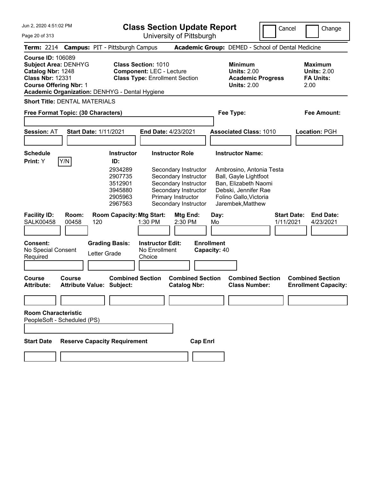**Class Section Update Report**

Cancel **Change** 

| Jun 2, 2020 4:51:02 PM<br>Page 20 of 313                                                                                                 |                |                                                                                            | <b>Class Section Update Report</b><br>Cancel<br>Change<br>University of Pittsburgh |                                                                                                                                                                      |                                   |                                                                                                                                                                             |                                 |                                                                  |
|------------------------------------------------------------------------------------------------------------------------------------------|----------------|--------------------------------------------------------------------------------------------|------------------------------------------------------------------------------------|----------------------------------------------------------------------------------------------------------------------------------------------------------------------|-----------------------------------|-----------------------------------------------------------------------------------------------------------------------------------------------------------------------------|---------------------------------|------------------------------------------------------------------|
| <b>Term: 2214</b>                                                                                                                        |                | <b>Campus: PIT - Pittsburgh Campus</b>                                                     |                                                                                    |                                                                                                                                                                      |                                   | Academic Group: DEMED - School of Dental Medicine                                                                                                                           |                                 |                                                                  |
| <b>Course ID: 106089</b><br><b>Subject Area: DENHYG</b><br>Catalog Nbr: 1248<br><b>Class Nbr: 12331</b><br><b>Course Offering Nbr: 1</b> |                | Academic Organization: DENHYG - Dental Hygiene                                             | <b>Class Section: 1010</b><br><b>Component: LEC - Lecture</b>                      | <b>Class Type: Enrollment Section</b>                                                                                                                                |                                   | <b>Minimum</b><br><b>Units: 2.00</b><br><b>Academic Progress</b><br><b>Units: 2.00</b>                                                                                      |                                 | <b>Maximum</b><br><b>Units: 2.00</b><br><b>FA Units:</b><br>2.00 |
| <b>Short Title: DENTAL MATERIALS</b>                                                                                                     |                |                                                                                            |                                                                                    |                                                                                                                                                                      |                                   |                                                                                                                                                                             |                                 |                                                                  |
| Free Format Topic: (30 Characters)                                                                                                       |                |                                                                                            |                                                                                    |                                                                                                                                                                      |                                   | Fee Type:                                                                                                                                                                   |                                 | Fee Amount:                                                      |
| <b>Session: AT</b>                                                                                                                       |                | <b>Start Date: 1/11/2021</b>                                                               |                                                                                    | <b>End Date: 4/23/2021</b>                                                                                                                                           |                                   | <b>Associated Class: 1010</b>                                                                                                                                               |                                 | Location: PGH                                                    |
| <b>Schedule</b><br>Print: Y                                                                                                              | Y/N            | <b>Instructor</b><br>ID:<br>2934289<br>2907735<br>3512901<br>3945880<br>2905963<br>2967563 |                                                                                    | <b>Instructor Role</b><br>Secondary Instructor<br>Secondary Instructor<br>Secondary Instructor<br>Secondary Instructor<br>Primary Instructor<br>Secondary Instructor |                                   | <b>Instructor Name:</b><br>Ambrosino, Antonia Testa<br>Ball, Gayle Lightfoot<br>Ban, Elizabeth Naomi<br>Debski, Jennifer Rae<br>Folino Gallo, Victoria<br>Jarembek, Matthew |                                 |                                                                  |
| <b>Facility ID:</b><br><b>SALK00458</b>                                                                                                  | Room:<br>00458 | <b>Room Capacity: Mtg Start:</b><br>120                                                    | 1:30 PM                                                                            | Mtg End:<br>2:30 PM                                                                                                                                                  | Day:<br>Mo                        |                                                                                                                                                                             | <b>Start Date:</b><br>1/11/2021 | <b>End Date:</b><br>4/23/2021                                    |
| <b>Consent:</b><br>No Special Consent<br>Required                                                                                        |                | <b>Grading Basis:</b><br>Letter Grade                                                      | <b>Instructor Edit:</b><br>No Enrollment<br>Choice                                 |                                                                                                                                                                      | <b>Enrollment</b><br>Capacity: 40 |                                                                                                                                                                             |                                 |                                                                  |
| <b>Course</b><br><b>Attribute:</b>                                                                                                       | <b>Course</b>  | <b>Combined Section</b><br><b>Attribute Value: Subject:</b>                                |                                                                                    | <b>Combined Section</b><br><b>Catalog Nbr:</b>                                                                                                                       |                                   | <b>Combined Section</b><br><b>Class Number:</b>                                                                                                                             |                                 | <b>Combined Section</b><br><b>Enrollment Capacity:</b>           |
|                                                                                                                                          |                |                                                                                            |                                                                                    |                                                                                                                                                                      |                                   |                                                                                                                                                                             |                                 |                                                                  |
| <b>Room Characteristic</b><br>PeopleSoft - Scheduled (PS)                                                                                |                |                                                                                            |                                                                                    |                                                                                                                                                                      |                                   |                                                                                                                                                                             |                                 |                                                                  |
| <b>Start Date</b>                                                                                                                        |                | <b>Reserve Capacity Requirement</b>                                                        |                                                                                    | <b>Cap Enrl</b>                                                                                                                                                      |                                   |                                                                                                                                                                             |                                 |                                                                  |
|                                                                                                                                          |                |                                                                                            |                                                                                    |                                                                                                                                                                      |                                   |                                                                                                                                                                             |                                 |                                                                  |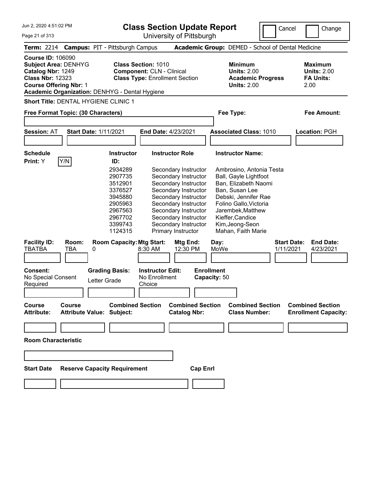**Class Section Update Report**

University of Pittsburgh

Cancel Change

Page 21 of 313

| Term: 2214 Campus: PIT - Pittsburgh Campus                                                                                                                                          |                                                                                                                                                                                                                                                                                                                                                                                                                                                                                                                | Academic Group: DEMED - School of Dental Medicine                                                                                                                                                                                                                                                                       |                                                                  |
|-------------------------------------------------------------------------------------------------------------------------------------------------------------------------------------|----------------------------------------------------------------------------------------------------------------------------------------------------------------------------------------------------------------------------------------------------------------------------------------------------------------------------------------------------------------------------------------------------------------------------------------------------------------------------------------------------------------|-------------------------------------------------------------------------------------------------------------------------------------------------------------------------------------------------------------------------------------------------------------------------------------------------------------------------|------------------------------------------------------------------|
| <b>Course ID: 106090</b><br>Subject Area: DENHYG<br>Catalog Nbr: 1249<br><b>Class Nbr: 12323</b><br><b>Course Offering Nbr: 1</b><br>Academic Organization: DENHYG - Dental Hygiene | <b>Class Section: 1010</b><br><b>Component: CLN - Clinical</b><br><b>Class Type: Enrollment Section</b>                                                                                                                                                                                                                                                                                                                                                                                                        | <b>Minimum</b><br><b>Units: 2.00</b><br><b>Academic Progress</b><br><b>Units: 2.00</b>                                                                                                                                                                                                                                  | <b>Maximum</b><br><b>Units: 2.00</b><br><b>FA Units:</b><br>2.00 |
| Short Title: DENTAL HYGIENE CLINIC 1                                                                                                                                                |                                                                                                                                                                                                                                                                                                                                                                                                                                                                                                                |                                                                                                                                                                                                                                                                                                                         |                                                                  |
| Free Format Topic: (30 Characters)                                                                                                                                                  |                                                                                                                                                                                                                                                                                                                                                                                                                                                                                                                | Fee Type:                                                                                                                                                                                                                                                                                                               | Fee Amount:                                                      |
|                                                                                                                                                                                     |                                                                                                                                                                                                                                                                                                                                                                                                                                                                                                                |                                                                                                                                                                                                                                                                                                                         |                                                                  |
| <b>Session: AT</b><br><b>Start Date: 1/11/2021</b>                                                                                                                                  | End Date: 4/23/2021                                                                                                                                                                                                                                                                                                                                                                                                                                                                                            | <b>Associated Class: 1010</b>                                                                                                                                                                                                                                                                                           | Location: PGH                                                    |
|                                                                                                                                                                                     |                                                                                                                                                                                                                                                                                                                                                                                                                                                                                                                |                                                                                                                                                                                                                                                                                                                         |                                                                  |
| <b>Schedule</b>                                                                                                                                                                     | <b>Instructor Role</b><br><b>Instructor</b>                                                                                                                                                                                                                                                                                                                                                                                                                                                                    | <b>Instructor Name:</b>                                                                                                                                                                                                                                                                                                 |                                                                  |
| Y/N<br>Print: Y                                                                                                                                                                     | ID:                                                                                                                                                                                                                                                                                                                                                                                                                                                                                                            |                                                                                                                                                                                                                                                                                                                         |                                                                  |
| <b>Facility ID:</b><br>Room:<br><b>TBATBA</b><br><b>TBA</b><br>0<br><b>Consent:</b><br>No Special Consent<br>Letter Grade<br>Required                                               | 2934289<br>Secondary Instructor<br>Secondary Instructor<br>2907735<br>3512901<br>Secondary Instructor<br>Secondary Instructor<br>3376527<br>Secondary Instructor<br>3945880<br>Secondary Instructor<br>2905963<br>Secondary Instructor<br>2967563<br>2967702<br>Secondary Instructor<br>Secondary Instructor<br>3399743<br>1124315<br>Primary Instructor<br><b>Room Capacity: Mtg Start:</b><br>Mtg End:<br>8:30 AM<br>12:30 PM<br><b>Grading Basis:</b><br><b>Instructor Edit:</b><br>No Enrollment<br>Choice | Ambrosino, Antonia Testa<br>Ball, Gayle Lightfoot<br>Ban, Elizabeth Naomi<br>Ban, Susan Lee<br>Debski, Jennifer Rae<br>Folino Gallo, Victoria<br>Jarembek, Matthew<br>Kieffer, Candice<br>Kim, Jeong-Seon<br>Mahan, Faith Marie<br><b>Start Date:</b><br>Day:<br>1/11/2021<br>MoWe<br><b>Enrollment</b><br>Capacity: 50 | <b>End Date:</b><br>4/23/2021                                    |
|                                                                                                                                                                                     |                                                                                                                                                                                                                                                                                                                                                                                                                                                                                                                |                                                                                                                                                                                                                                                                                                                         |                                                                  |
| Course<br><b>Course</b><br>Attribute:<br><b>Attribute Value:</b>                                                                                                                    | <b>Combined Section</b><br><b>Combined Section</b><br>Subject:<br><b>Catalog Nbr:</b>                                                                                                                                                                                                                                                                                                                                                                                                                          | <b>Combined Section</b><br><b>Class Number:</b>                                                                                                                                                                                                                                                                         | <b>Combined Section</b><br><b>Enrollment Capacity:</b>           |
| <b>Room Characteristic</b>                                                                                                                                                          |                                                                                                                                                                                                                                                                                                                                                                                                                                                                                                                |                                                                                                                                                                                                                                                                                                                         |                                                                  |
| <b>Start Date</b><br><b>Reserve Capacity Requirement</b>                                                                                                                            | <b>Cap Enrl</b>                                                                                                                                                                                                                                                                                                                                                                                                                                                                                                |                                                                                                                                                                                                                                                                                                                         |                                                                  |
|                                                                                                                                                                                     |                                                                                                                                                                                                                                                                                                                                                                                                                                                                                                                |                                                                                                                                                                                                                                                                                                                         |                                                                  |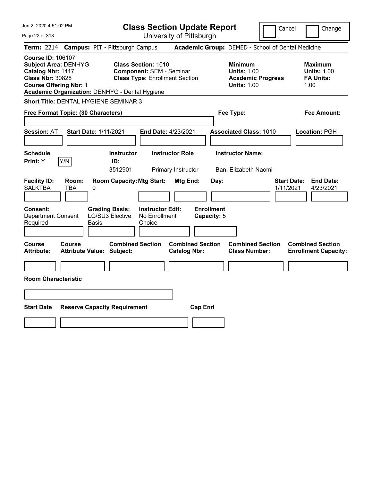| Jun 2, 2020 4:51:02 PM                                                                                                                                                                     | <b>Class Section Update Report</b>                                                                     | Cancel                                                                                 | Change                                                           |
|--------------------------------------------------------------------------------------------------------------------------------------------------------------------------------------------|--------------------------------------------------------------------------------------------------------|----------------------------------------------------------------------------------------|------------------------------------------------------------------|
| Page 22 of 313                                                                                                                                                                             | University of Pittsburgh                                                                               |                                                                                        |                                                                  |
| <b>Term: 2214</b>                                                                                                                                                                          | <b>Campus: PIT - Pittsburgh Campus</b>                                                                 | Academic Group: DEMED - School of Dental Medicine                                      |                                                                  |
| <b>Course ID: 106107</b><br><b>Subject Area: DENHYG</b><br>Catalog Nbr: 1417<br><b>Class Nbr: 30828</b><br><b>Course Offering Nbr: 1</b><br>Academic Organization: DENHYG - Dental Hygiene | <b>Class Section: 1010</b><br><b>Component: SEM - Seminar</b><br><b>Class Type: Enrollment Section</b> | <b>Minimum</b><br><b>Units: 1.00</b><br><b>Academic Progress</b><br><b>Units: 1.00</b> | <b>Maximum</b><br><b>Units: 1.00</b><br><b>FA Units:</b><br>1.00 |
| Short Title: DENTAL HYGIENE SEMINAR 3                                                                                                                                                      |                                                                                                        |                                                                                        |                                                                  |
| Free Format Topic: (30 Characters)                                                                                                                                                         |                                                                                                        | Fee Type:                                                                              | Fee Amount:                                                      |
| <b>Start Date: 1/11/2021</b><br><b>Session: AT</b>                                                                                                                                         | End Date: 4/23/2021                                                                                    | <b>Associated Class: 1010</b>                                                          | Location: PGH                                                    |
| <b>Schedule</b><br>Y/N<br>Print: Y                                                                                                                                                         | <b>Instructor Role</b><br><b>Instructor</b><br>ID:<br>3512901<br>Primary Instructor                    | <b>Instructor Name:</b><br>Ban, Elizabeth Naomi                                        |                                                                  |
| <b>Facility ID:</b><br>Room:<br><b>SALKTBA</b><br>TBA<br>0                                                                                                                                 | <b>Room Capacity: Mtg Start:</b><br>Mtg End:                                                           | Day:<br>1/11/2021                                                                      | <b>Start Date:</b><br><b>End Date:</b><br>4/23/2021              |
| Consent:<br><b>Department Consent</b><br>Required<br>Basis                                                                                                                                 | <b>Instructor Edit:</b><br><b>Grading Basis:</b><br>LG/SU3 Elective<br>No Enrollment<br>Choice         | <b>Enrollment</b><br>Capacity: 5                                                       |                                                                  |
| <b>Course</b><br><b>Course</b><br><b>Attribute:</b><br>Attribute Value: Subject:                                                                                                           | <b>Combined Section</b><br><b>Combined Section</b><br><b>Catalog Nbr:</b>                              | <b>Combined Section</b><br><b>Class Number:</b>                                        | <b>Combined Section</b><br><b>Enrollment Capacity:</b>           |
|                                                                                                                                                                                            |                                                                                                        |                                                                                        |                                                                  |
| <b>Room Characteristic</b>                                                                                                                                                                 |                                                                                                        |                                                                                        |                                                                  |
|                                                                                                                                                                                            |                                                                                                        |                                                                                        |                                                                  |
| <b>Start Date</b><br><b>Reserve Capacity Requirement</b>                                                                                                                                   | <b>Cap Enrl</b>                                                                                        |                                                                                        |                                                                  |
|                                                                                                                                                                                            |                                                                                                        |                                                                                        |                                                                  |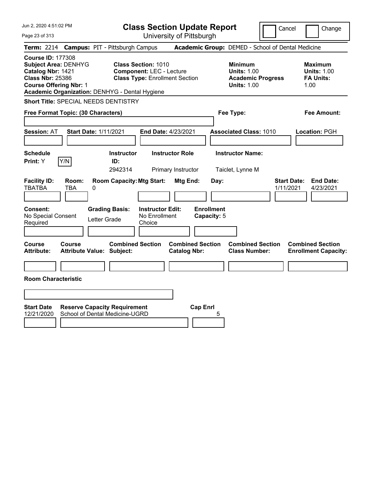| Jun 2, 2020 4:51:02 PM                                                                                                                                                                     |                                        | <b>Class Section Update Report</b>                                                                     |                                                |                                                                                        | Cancel                          | Change                                                           |
|--------------------------------------------------------------------------------------------------------------------------------------------------------------------------------------------|----------------------------------------|--------------------------------------------------------------------------------------------------------|------------------------------------------------|----------------------------------------------------------------------------------------|---------------------------------|------------------------------------------------------------------|
| Page 23 of 313                                                                                                                                                                             |                                        | University of Pittsburgh                                                                               |                                                |                                                                                        |                                 |                                                                  |
| <b>Term: 2214</b>                                                                                                                                                                          | <b>Campus: PIT - Pittsburgh Campus</b> |                                                                                                        |                                                | Academic Group: DEMED - School of Dental Medicine                                      |                                 |                                                                  |
| <b>Course ID: 177308</b><br><b>Subject Area: DENHYG</b><br>Catalog Nbr: 1421<br><b>Class Nbr: 25386</b><br><b>Course Offering Nbr: 1</b><br>Academic Organization: DENHYG - Dental Hygiene |                                        | <b>Class Section: 1010</b><br><b>Component: LEC - Lecture</b><br><b>Class Type: Enrollment Section</b> |                                                | <b>Minimum</b><br><b>Units: 1.00</b><br><b>Academic Progress</b><br><b>Units: 1.00</b> |                                 | <b>Maximum</b><br><b>Units: 1.00</b><br><b>FA Units:</b><br>1.00 |
| <b>Short Title: SPECIAL NEEDS DENTISTRY</b>                                                                                                                                                |                                        |                                                                                                        |                                                |                                                                                        |                                 |                                                                  |
| Free Format Topic: (30 Characters)                                                                                                                                                         |                                        |                                                                                                        |                                                | Fee Type:                                                                              |                                 | Fee Amount:                                                      |
| <b>Session: AT</b><br><b>Start Date: 1/11/2021</b>                                                                                                                                         |                                        | End Date: 4/23/2021                                                                                    |                                                | <b>Associated Class: 1010</b>                                                          |                                 | Location: PGH                                                    |
| <b>Schedule</b><br>Y/N<br><b>Print: Y</b>                                                                                                                                                  | <b>Instructor</b><br>ID:<br>2942314    | <b>Instructor Role</b><br>Primary Instructor                                                           |                                                | <b>Instructor Name:</b><br>Taiclet, Lynne M                                            |                                 |                                                                  |
| <b>Facility ID:</b><br>Room:<br><b>TBATBA</b><br>TBA<br>0                                                                                                                                  | <b>Room Capacity: Mtg Start:</b>       |                                                                                                        | Mtg End:<br>Day:                               |                                                                                        | <b>Start Date:</b><br>1/11/2021 | <b>End Date:</b><br>4/23/2021                                    |
| <b>Consent:</b><br>No Special Consent<br>Required                                                                                                                                          | <b>Grading Basis:</b><br>Letter Grade  | <b>Instructor Edit:</b><br>No Enrollment<br>Choice                                                     | <b>Enrollment</b><br>Capacity: 5               |                                                                                        |                                 |                                                                  |
| <b>Course</b><br>Course<br><b>Attribute:</b><br><b>Attribute Value: Subject:</b>                                                                                                           | <b>Combined Section</b>                |                                                                                                        | <b>Combined Section</b><br><b>Catalog Nbr:</b> | <b>Combined Section</b><br><b>Class Number:</b>                                        |                                 | <b>Combined Section</b><br><b>Enrollment Capacity:</b>           |
| <b>Room Characteristic</b>                                                                                                                                                                 |                                        |                                                                                                        |                                                |                                                                                        |                                 |                                                                  |
|                                                                                                                                                                                            |                                        |                                                                                                        |                                                |                                                                                        |                                 |                                                                  |
| <b>Start Date</b><br><b>Reserve Capacity Requirement</b><br>School of Dental Medicine-UGRD<br>12/21/2020                                                                                   |                                        |                                                                                                        | <b>Cap Enrl</b><br>5                           |                                                                                        |                                 |                                                                  |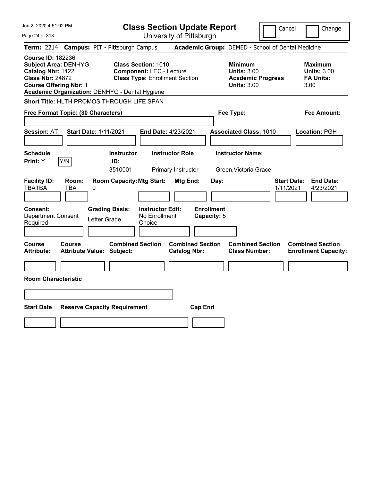| Jun 2, 2020 4:51:02 PM                                                                                                                                                                     | <b>Class Section Update Report</b>                                                                     | Cancel                                                                                 | Change                                                           |
|--------------------------------------------------------------------------------------------------------------------------------------------------------------------------------------------|--------------------------------------------------------------------------------------------------------|----------------------------------------------------------------------------------------|------------------------------------------------------------------|
| Page 24 of 313                                                                                                                                                                             | University of Pittsburgh                                                                               |                                                                                        |                                                                  |
| <b>Term: 2214</b>                                                                                                                                                                          | <b>Campus: PIT - Pittsburgh Campus</b>                                                                 | Academic Group: DEMED - School of Dental Medicine                                      |                                                                  |
| <b>Course ID: 182236</b><br><b>Subject Area: DENHYG</b><br>Catalog Nbr: 1422<br><b>Class Nbr: 24872</b><br><b>Course Offering Nbr: 1</b><br>Academic Organization: DENHYG - Dental Hygiene | <b>Class Section: 1010</b><br><b>Component: LEC - Lecture</b><br><b>Class Type: Enrollment Section</b> | <b>Minimum</b><br><b>Units: 3.00</b><br><b>Academic Progress</b><br><b>Units: 3.00</b> | <b>Maximum</b><br><b>Units: 3.00</b><br><b>FA Units:</b><br>3.00 |
| Short Title: HLTH PROMOS THROUGH LIFE SPAN                                                                                                                                                 |                                                                                                        |                                                                                        |                                                                  |
| Free Format Topic: (30 Characters)                                                                                                                                                         |                                                                                                        | Fee Type:                                                                              | Fee Amount:                                                      |
| <b>Start Date: 1/11/2021</b><br><b>Session: AT</b>                                                                                                                                         | End Date: 4/23/2021                                                                                    | <b>Associated Class: 1010</b>                                                          | Location: PGH                                                    |
| <b>Schedule</b><br>Y/N<br>Print: Y                                                                                                                                                         | <b>Instructor Role</b><br><b>Instructor</b><br>ID:<br>3510001<br>Primary Instructor                    | <b>Instructor Name:</b><br>Green, Victoria Grace                                       |                                                                  |
| <b>Facility ID:</b><br>Room:<br><b>TBATBA</b><br>TBA<br>0                                                                                                                                  | <b>Room Capacity: Mtg Start:</b><br>Mtg End:                                                           | Day:<br>1/11/2021                                                                      | <b>End Date:</b><br><b>Start Date:</b><br>4/23/2021              |
| <b>Consent:</b><br><b>Department Consent</b><br>Letter Grade<br>Required                                                                                                                   | <b>Grading Basis:</b><br><b>Instructor Edit:</b><br>No Enrollment<br>Choice                            | <b>Enrollment</b><br>Capacity: 5                                                       |                                                                  |
| Course<br><b>Course</b><br><b>Attribute:</b><br><b>Attribute Value: Subject:</b>                                                                                                           | <b>Combined Section</b><br><b>Combined Section</b><br><b>Catalog Nbr:</b>                              | <b>Combined Section</b><br><b>Class Number:</b>                                        | <b>Combined Section</b><br><b>Enrollment Capacity:</b>           |
|                                                                                                                                                                                            |                                                                                                        |                                                                                        |                                                                  |
| <b>Room Characteristic</b>                                                                                                                                                                 |                                                                                                        |                                                                                        |                                                                  |
|                                                                                                                                                                                            |                                                                                                        |                                                                                        |                                                                  |
| <b>Start Date</b><br><b>Reserve Capacity Requirement</b>                                                                                                                                   |                                                                                                        | <b>Cap Enrl</b>                                                                        |                                                                  |
|                                                                                                                                                                                            |                                                                                                        |                                                                                        |                                                                  |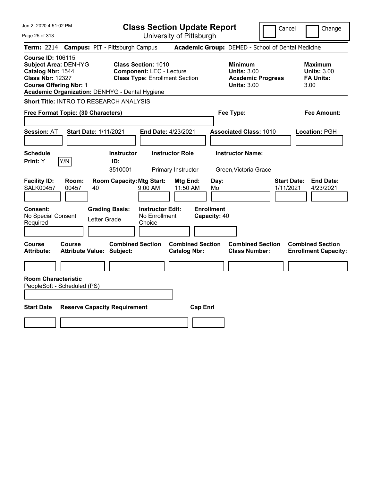| Jun 2, 2020 4:51:02 PM                                                                                                                                                                     | <b>Class Section Update Report</b>                                                                     |                                                                                                   | Cancel<br>Change                                                 |
|--------------------------------------------------------------------------------------------------------------------------------------------------------------------------------------------|--------------------------------------------------------------------------------------------------------|---------------------------------------------------------------------------------------------------|------------------------------------------------------------------|
| Page 25 of 313                                                                                                                                                                             | University of Pittsburgh                                                                               |                                                                                                   |                                                                  |
| <b>Term: 2214</b>                                                                                                                                                                          | <b>Campus: PIT - Pittsburgh Campus</b>                                                                 | Academic Group: DEMED - School of Dental Medicine                                                 |                                                                  |
| <b>Course ID: 106115</b><br><b>Subject Area: DENHYG</b><br>Catalog Nbr: 1544<br><b>Class Nbr: 12327</b><br><b>Course Offering Nbr: 1</b><br>Academic Organization: DENHYG - Dental Hygiene | <b>Class Section: 1010</b><br><b>Component: LEC - Lecture</b><br><b>Class Type: Enrollment Section</b> | <b>Minimum</b><br><b>Units: 3.00</b><br><b>Academic Progress</b><br><b>Units: 3.00</b>            | <b>Maximum</b><br><b>Units: 3.00</b><br><b>FA Units:</b><br>3.00 |
| <b>Short Title: INTRO TO RESEARCH ANALYSIS</b>                                                                                                                                             |                                                                                                        |                                                                                                   |                                                                  |
| Free Format Topic: (30 Characters)                                                                                                                                                         |                                                                                                        | Fee Type:                                                                                         | Fee Amount:                                                      |
| <b>Session: AT</b><br><b>Start Date: 1/11/2021</b>                                                                                                                                         | End Date: 4/23/2021                                                                                    | <b>Associated Class: 1010</b>                                                                     | Location: PGH                                                    |
| <b>Schedule</b><br>Y/N<br>Print: Y                                                                                                                                                         | <b>Instructor Role</b><br><b>Instructor</b><br>ID:<br>3510001<br>Primary Instructor                    | <b>Instructor Name:</b><br>Green, Victoria Grace                                                  |                                                                  |
| <b>Facility ID:</b><br>Room:<br><b>SALK00457</b><br>00457<br>40                                                                                                                            | <b>Room Capacity: Mtg Start:</b><br>$9:00 \, \text{AM}$                                                | Mtg End:<br>Day:<br>11:50 AM<br>Mo                                                                | <b>Start Date:</b><br><b>End Date:</b><br>1/11/2021<br>4/23/2021 |
| Consent:<br>No Special Consent<br>Letter Grade<br>Required                                                                                                                                 | <b>Grading Basis:</b><br><b>Instructor Edit:</b><br>No Enrollment<br>Choice                            | <b>Enrollment</b><br>Capacity: 40                                                                 |                                                                  |
| Course<br>Course<br><b>Attribute Value: Subject:</b><br>Attribute:                                                                                                                         | <b>Combined Section</b>                                                                                | <b>Combined Section</b><br><b>Combined Section</b><br><b>Catalog Nbr:</b><br><b>Class Number:</b> | <b>Combined Section</b><br><b>Enrollment Capacity:</b>           |
| <b>Room Characteristic</b>                                                                                                                                                                 |                                                                                                        |                                                                                                   |                                                                  |
| PeopleSoft - Scheduled (PS)                                                                                                                                                                |                                                                                                        |                                                                                                   |                                                                  |
| <b>Start Date</b><br><b>Reserve Capacity Requirement</b>                                                                                                                                   |                                                                                                        | <b>Cap Enrl</b>                                                                                   |                                                                  |
|                                                                                                                                                                                            |                                                                                                        |                                                                                                   |                                                                  |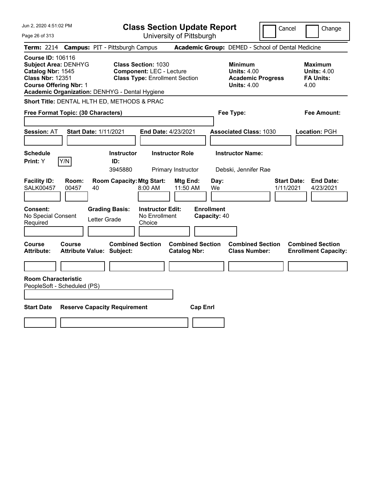| Jun 2, 2020 4:51:02 PM                                                                                                                                                                     | <b>Class Section Update Report</b>                                                                     |                                                                                        | Cancel<br>Change                                                 |
|--------------------------------------------------------------------------------------------------------------------------------------------------------------------------------------------|--------------------------------------------------------------------------------------------------------|----------------------------------------------------------------------------------------|------------------------------------------------------------------|
| Page 26 of 313                                                                                                                                                                             | University of Pittsburgh                                                                               |                                                                                        |                                                                  |
| <b>Term: 2214</b>                                                                                                                                                                          | <b>Campus: PIT - Pittsburgh Campus</b>                                                                 | Academic Group: DEMED - School of Dental Medicine                                      |                                                                  |
| <b>Course ID: 106116</b><br><b>Subject Area: DENHYG</b><br>Catalog Nbr: 1545<br><b>Class Nbr: 12351</b><br><b>Course Offering Nbr: 1</b><br>Academic Organization: DENHYG - Dental Hygiene | <b>Class Section: 1030</b><br><b>Component: LEC - Lecture</b><br><b>Class Type: Enrollment Section</b> | <b>Minimum</b><br><b>Units: 4.00</b><br><b>Academic Progress</b><br><b>Units: 4.00</b> | Maximum<br><b>Units: 4.00</b><br><b>FA Units:</b><br>4.00        |
| Short Title: DENTAL HLTH ED, METHODS & PRAC                                                                                                                                                |                                                                                                        |                                                                                        |                                                                  |
| <b>Free Format Topic: (30 Characters)</b>                                                                                                                                                  |                                                                                                        | Fee Type:                                                                              | Fee Amount:                                                      |
| <b>Session: AT</b><br><b>Start Date: 1/11/2021</b>                                                                                                                                         | End Date: 4/23/2021                                                                                    | <b>Associated Class: 1030</b>                                                          | Location: PGH                                                    |
| <b>Schedule</b><br>Y/N<br>Print: Y                                                                                                                                                         | <b>Instructor</b><br><b>Instructor Role</b><br>ID:<br>3945880<br>Primary Instructor                    | <b>Instructor Name:</b><br>Debski, Jennifer Rae                                        |                                                                  |
| <b>Facility ID:</b><br>Room:<br><b>SALK00457</b><br>00457<br>40                                                                                                                            | <b>Room Capacity: Mtg Start:</b><br>Mtg End:<br>$8:00$ AM<br>11:50 AM                                  | Day:<br>We                                                                             | <b>End Date:</b><br><b>Start Date:</b><br>4/23/2021<br>1/11/2021 |
| Consent:<br>No Special Consent<br>Letter Grade<br>Required                                                                                                                                 | <b>Grading Basis:</b><br><b>Instructor Edit:</b><br>No Enrollment<br>Choice                            | <b>Enrollment</b><br>Capacity: 40                                                      |                                                                  |
| Course<br>Course<br><b>Attribute Value: Subject:</b><br><b>Attribute:</b>                                                                                                                  | <b>Combined Section</b><br><b>Combined Section</b><br><b>Catalog Nbr:</b>                              | <b>Combined Section</b><br><b>Class Number:</b>                                        | <b>Combined Section</b><br><b>Enrollment Capacity:</b>           |
|                                                                                                                                                                                            |                                                                                                        |                                                                                        |                                                                  |
| <b>Room Characteristic</b><br>PeopleSoft - Scheduled (PS)                                                                                                                                  |                                                                                                        |                                                                                        |                                                                  |
| <b>Start Date</b><br><b>Reserve Capacity Requirement</b>                                                                                                                                   | <b>Cap Enrl</b>                                                                                        |                                                                                        |                                                                  |
|                                                                                                                                                                                            |                                                                                                        |                                                                                        |                                                                  |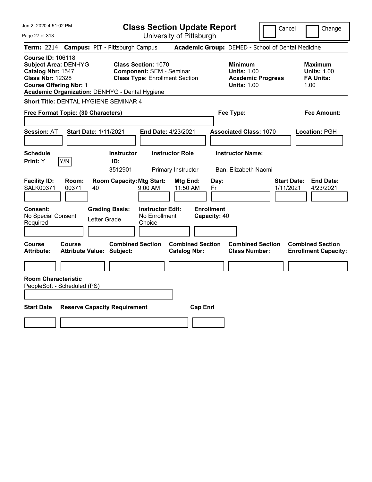| Jun 2, 2020 4:51:02 PM                                                                                                                                                                     | <b>Class Section Update Report</b>                                                                     | Cancel                                                                                 | Change                                                           |
|--------------------------------------------------------------------------------------------------------------------------------------------------------------------------------------------|--------------------------------------------------------------------------------------------------------|----------------------------------------------------------------------------------------|------------------------------------------------------------------|
| Page 27 of 313                                                                                                                                                                             | University of Pittsburgh                                                                               |                                                                                        |                                                                  |
| <b>Term: 2214</b>                                                                                                                                                                          | <b>Campus: PIT - Pittsburgh Campus</b>                                                                 | Academic Group: DEMED - School of Dental Medicine                                      |                                                                  |
| <b>Course ID: 106118</b><br><b>Subject Area: DENHYG</b><br>Catalog Nbr: 1547<br><b>Class Nbr: 12328</b><br><b>Course Offering Nbr: 1</b><br>Academic Organization: DENHYG - Dental Hygiene | <b>Class Section: 1070</b><br><b>Component: SEM - Seminar</b><br><b>Class Type: Enrollment Section</b> | <b>Minimum</b><br><b>Units: 1.00</b><br><b>Academic Progress</b><br><b>Units: 1.00</b> | Maximum<br><b>Units: 1.00</b><br><b>FA Units:</b><br>1.00        |
| Short Title: DENTAL HYGIENE SEMINAR 4                                                                                                                                                      |                                                                                                        |                                                                                        |                                                                  |
| Free Format Topic: (30 Characters)                                                                                                                                                         |                                                                                                        | Fee Type:                                                                              | Fee Amount:                                                      |
| <b>Session: AT</b><br><b>Start Date: 1/11/2021</b>                                                                                                                                         | End Date: 4/23/2021                                                                                    | <b>Associated Class: 1070</b>                                                          | Location: PGH                                                    |
| <b>Schedule</b><br>Y/N<br>Print: Y                                                                                                                                                         | <b>Instructor</b><br><b>Instructor Role</b><br>ID:<br>3512901<br>Primary Instructor                    | <b>Instructor Name:</b><br>Ban, Elizabeth Naomi                                        |                                                                  |
| <b>Facility ID:</b><br>Room:<br><b>SALK00371</b><br>40<br>00371                                                                                                                            | <b>Room Capacity: Mtg Start:</b><br>Mtg End:<br>$9:00$ AM<br>11:50 AM                                  | Day:<br>Fr                                                                             | <b>End Date:</b><br><b>Start Date:</b><br>4/23/2021<br>1/11/2021 |
| Consent:<br>No Special Consent<br>Letter Grade<br>Required                                                                                                                                 | <b>Instructor Edit:</b><br><b>Grading Basis:</b><br>No Enrollment<br>Choice                            | <b>Enrollment</b><br>Capacity: 40                                                      |                                                                  |
| <b>Course</b><br>Course<br><b>Attribute Value: Subject:</b><br><b>Attribute:</b>                                                                                                           | <b>Combined Section</b><br><b>Combined Section</b><br><b>Catalog Nbr:</b>                              | <b>Combined Section</b><br><b>Class Number:</b>                                        | <b>Combined Section</b><br><b>Enrollment Capacity:</b>           |
|                                                                                                                                                                                            |                                                                                                        |                                                                                        |                                                                  |
| <b>Room Characteristic</b><br>PeopleSoft - Scheduled (PS)                                                                                                                                  |                                                                                                        |                                                                                        |                                                                  |
| <b>Start Date</b><br><b>Reserve Capacity Requirement</b>                                                                                                                                   | <b>Cap Enrl</b>                                                                                        |                                                                                        |                                                                  |
|                                                                                                                                                                                            |                                                                                                        |                                                                                        |                                                                  |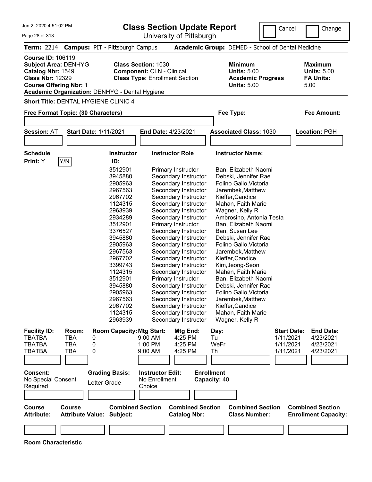**Class Section Update Report**

 $\Box$ Cancel  $\Box$ Ch

|                                                                                                                                                                                            |                                                                                                                                                                                                                                     | <b>Class Section update Report</b>                                                                                                                                                                                                                                                                                                                                                                                                                                                                               |                                                                                                                                                                                                                                                                                                                                                                                                                                                                               | Cancel                                                    | Change                                                           |
|--------------------------------------------------------------------------------------------------------------------------------------------------------------------------------------------|-------------------------------------------------------------------------------------------------------------------------------------------------------------------------------------------------------------------------------------|------------------------------------------------------------------------------------------------------------------------------------------------------------------------------------------------------------------------------------------------------------------------------------------------------------------------------------------------------------------------------------------------------------------------------------------------------------------------------------------------------------------|-------------------------------------------------------------------------------------------------------------------------------------------------------------------------------------------------------------------------------------------------------------------------------------------------------------------------------------------------------------------------------------------------------------------------------------------------------------------------------|-----------------------------------------------------------|------------------------------------------------------------------|
| Page 28 of 313                                                                                                                                                                             |                                                                                                                                                                                                                                     | University of Pittsburgh                                                                                                                                                                                                                                                                                                                                                                                                                                                                                         |                                                                                                                                                                                                                                                                                                                                                                                                                                                                               |                                                           |                                                                  |
| Term: 2214 Campus: PIT - Pittsburgh Campus                                                                                                                                                 |                                                                                                                                                                                                                                     |                                                                                                                                                                                                                                                                                                                                                                                                                                                                                                                  | Academic Group: DEMED - School of Dental Medicine                                                                                                                                                                                                                                                                                                                                                                                                                             |                                                           |                                                                  |
| <b>Course ID: 106119</b><br><b>Subject Area: DENHYG</b><br>Catalog Nbr: 1549<br><b>Class Nbr: 12329</b><br><b>Course Offering Nbr: 1</b><br>Academic Organization: DENHYG - Dental Hygiene | <b>Class Section: 1030</b><br><b>Component: CLN - Clinical</b><br><b>Class Type: Enrollment Section</b>                                                                                                                             |                                                                                                                                                                                                                                                                                                                                                                                                                                                                                                                  | <b>Minimum</b><br><b>Units: 5.00</b><br><b>Academic Progress</b><br><b>Units: 5.00</b>                                                                                                                                                                                                                                                                                                                                                                                        |                                                           | <b>Maximum</b><br><b>Units: 5.00</b><br><b>FA Units:</b><br>5.00 |
| <b>Short Title: DENTAL HYGIENE CLINIC 4</b>                                                                                                                                                |                                                                                                                                                                                                                                     |                                                                                                                                                                                                                                                                                                                                                                                                                                                                                                                  |                                                                                                                                                                                                                                                                                                                                                                                                                                                                               |                                                           |                                                                  |
| Free Format Topic: (30 Characters)                                                                                                                                                         |                                                                                                                                                                                                                                     |                                                                                                                                                                                                                                                                                                                                                                                                                                                                                                                  | Fee Type:                                                                                                                                                                                                                                                                                                                                                                                                                                                                     |                                                           | <b>Fee Amount:</b>                                               |
| <b>Session: AT</b><br><b>Start Date: 1/11/2021</b>                                                                                                                                         |                                                                                                                                                                                                                                     | End Date: 4/23/2021                                                                                                                                                                                                                                                                                                                                                                                                                                                                                              | <b>Associated Class: 1030</b>                                                                                                                                                                                                                                                                                                                                                                                                                                                 |                                                           | Location: PGH                                                    |
|                                                                                                                                                                                            |                                                                                                                                                                                                                                     |                                                                                                                                                                                                                                                                                                                                                                                                                                                                                                                  |                                                                                                                                                                                                                                                                                                                                                                                                                                                                               |                                                           |                                                                  |
| <b>Schedule</b><br>Y/N<br>Print: Y                                                                                                                                                         | <b>Instructor</b><br>ID:                                                                                                                                                                                                            | <b>Instructor Role</b>                                                                                                                                                                                                                                                                                                                                                                                                                                                                                           | <b>Instructor Name:</b>                                                                                                                                                                                                                                                                                                                                                                                                                                                       |                                                           |                                                                  |
|                                                                                                                                                                                            | 2905963<br>2967563<br>2967702<br>1124315<br>2963939<br>2934289<br>3512901<br>3376527<br>3945880<br>2905963<br>2967563<br>2967702<br>3399743<br>1124315<br>3512901<br>3945880<br>2905963<br>2967563<br>2967702<br>1124315<br>2963939 | Secondary Instructor<br>Secondary Instructor<br>Secondary Instructor<br>Secondary Instructor<br>Secondary Instructor<br>Secondary Instructor<br>Primary Instructor<br>Secondary Instructor<br>Secondary Instructor<br>Secondary Instructor<br>Secondary Instructor<br>Secondary Instructor<br>Secondary Instructor<br>Secondary Instructor<br>Primary Instructor<br>Secondary Instructor<br>Secondary Instructor<br>Secondary Instructor<br>Secondary Instructor<br>Secondary Instructor<br>Secondary Instructor | Folino Gallo, Victoria<br>Jarembek, Matthew<br>Kieffer, Candice<br>Mahan, Faith Marie<br>Wagner, Kelly R<br>Ambrosino, Antonia Testa<br>Ban, Elizabeth Naomi<br>Ban, Susan Lee<br>Debski, Jennifer Rae<br>Folino Gallo, Victoria<br>Jarembek, Matthew<br>Kieffer, Candice<br>Kim, Jeong-Seon<br>Mahan, Faith Marie<br>Ban, Elizabeth Naomi<br>Debski, Jennifer Rae<br>Folino Gallo, Victoria<br>Jarembek,Matthew<br>Kieffer, Candice<br>Mahan, Faith Marie<br>Wagner, Kelly R |                                                           |                                                                  |
| <b>Facility ID:</b><br>Room:<br>TBATBA<br>TBA<br>0<br><b>TBATBA</b><br>TBA<br>0<br>TBATBA<br>TBA<br>0<br><b>Consent:</b><br>No Special Consent<br>Letter Grade<br>Required                 | <b>Room Capacity: Mtg Start:</b><br>$9:00$ AM<br>1:00 PM<br>9:00 AM<br><b>Grading Basis:</b><br><b>Instructor Edit:</b><br>No Enrollment<br>Choice                                                                                  | Mtg End:<br>4:25 PM<br>4:25 PM<br>4:25 PM                                                                                                                                                                                                                                                                                                                                                                                                                                                                        | Day:<br>Tu<br>WeFr<br>Th<br><b>Enrollment</b><br>Capacity: 40                                                                                                                                                                                                                                                                                                                                                                                                                 | <b>Start Date:</b><br>1/11/2021<br>1/11/2021<br>1/11/2021 | <b>End Date:</b><br>4/23/2021<br>4/23/2021<br>4/23/2021          |
| <b>Course</b><br><b>Course</b><br><b>Attribute Value: Subject:</b><br><b>Attribute:</b>                                                                                                    | <b>Combined Section</b>                                                                                                                                                                                                             | <b>Combined Section</b><br><b>Catalog Nbr:</b>                                                                                                                                                                                                                                                                                                                                                                                                                                                                   | <b>Combined Section</b><br><b>Class Number:</b>                                                                                                                                                                                                                                                                                                                                                                                                                               |                                                           | <b>Combined Section</b><br><b>Enrollment Capacity:</b>           |
| <b>Room Characteristic</b>                                                                                                                                                                 |                                                                                                                                                                                                                                     |                                                                                                                                                                                                                                                                                                                                                                                                                                                                                                                  |                                                                                                                                                                                                                                                                                                                                                                                                                                                                               |                                                           |                                                                  |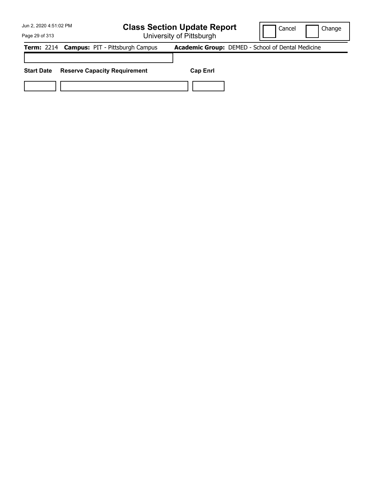University of Pittsburgh

Cancel **Change** 

Page 29 of 313

**Term:** 2214 **Campus:** PIT - Pittsburgh Campus **Academic Group:** DEMED - School of Dental Medicine **Start Date Reserve Capacity Requirement Cap Enrl**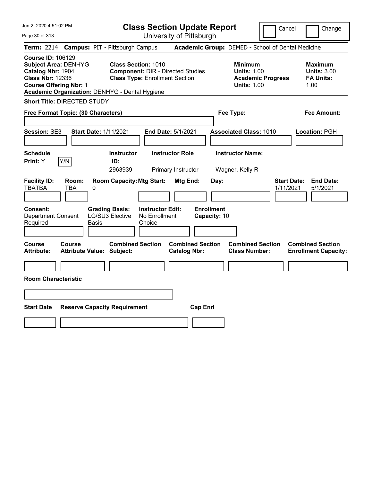| Jun 2, 2020 4:51:02 PM                                                                                                                                                                     | <b>Class Section Update Report</b>                                                                              | Cancel                                                                                 | Change                                                           |
|--------------------------------------------------------------------------------------------------------------------------------------------------------------------------------------------|-----------------------------------------------------------------------------------------------------------------|----------------------------------------------------------------------------------------|------------------------------------------------------------------|
| Page 30 of 313                                                                                                                                                                             | University of Pittsburgh                                                                                        |                                                                                        |                                                                  |
| Term: 2214 Campus: PIT - Pittsburgh Campus                                                                                                                                                 |                                                                                                                 | Academic Group: DEMED - School of Dental Medicine                                      |                                                                  |
| <b>Course ID: 106129</b><br><b>Subject Area: DENHYG</b><br>Catalog Nbr: 1904<br><b>Class Nbr: 12336</b><br><b>Course Offering Nbr: 1</b><br>Academic Organization: DENHYG - Dental Hygiene | <b>Class Section: 1010</b><br><b>Component: DIR - Directed Studies</b><br><b>Class Type: Enrollment Section</b> | <b>Minimum</b><br><b>Units: 1.00</b><br><b>Academic Progress</b><br><b>Units: 1.00</b> | <b>Maximum</b><br><b>Units: 3.00</b><br><b>FA Units:</b><br>1.00 |
| <b>Short Title: DIRECTED STUDY</b>                                                                                                                                                         |                                                                                                                 |                                                                                        |                                                                  |
| Free Format Topic: (30 Characters)                                                                                                                                                         |                                                                                                                 | Fee Type:                                                                              | Fee Amount:                                                      |
| Session: SE3<br><b>Start Date: 1/11/2021</b>                                                                                                                                               | End Date: 5/1/2021                                                                                              | <b>Associated Class: 1010</b>                                                          | Location: PGH                                                    |
| <b>Schedule</b><br>Y/N<br><b>Print:</b> Y                                                                                                                                                  | <b>Instructor Role</b><br><b>Instructor</b><br>ID:<br>2963939<br>Primary Instructor                             | <b>Instructor Name:</b><br>Wagner, Kelly R                                             |                                                                  |
| <b>Facility ID:</b><br>Room:<br><b>TBATBA</b><br>TBA<br>0                                                                                                                                  | <b>Room Capacity: Mtg Start:</b><br>Mtg End:<br>Day:                                                            | <b>Start Date:</b><br>1/11/2021                                                        | <b>End Date:</b><br>5/1/2021                                     |
| <b>Consent:</b><br><b>Grading Basis:</b><br>LG/SU3 Elective<br><b>Department Consent</b><br>Required<br>Basis                                                                              | <b>Enrollment</b><br><b>Instructor Edit:</b><br>No Enrollment<br>Capacity: 10<br>Choice                         |                                                                                        |                                                                  |
| Course<br><b>Course</b><br><b>Attribute:</b><br><b>Attribute Value: Subject:</b>                                                                                                           | <b>Combined Section</b><br><b>Combined Section</b><br><b>Catalog Nbr:</b>                                       | <b>Combined Section</b><br><b>Class Number:</b>                                        | <b>Combined Section</b><br><b>Enrollment Capacity:</b>           |
| <b>Room Characteristic</b>                                                                                                                                                                 |                                                                                                                 |                                                                                        |                                                                  |
|                                                                                                                                                                                            |                                                                                                                 |                                                                                        |                                                                  |
| <b>Start Date</b><br><b>Reserve Capacity Requirement</b>                                                                                                                                   | <b>Cap Enrl</b>                                                                                                 |                                                                                        |                                                                  |
|                                                                                                                                                                                            |                                                                                                                 |                                                                                        |                                                                  |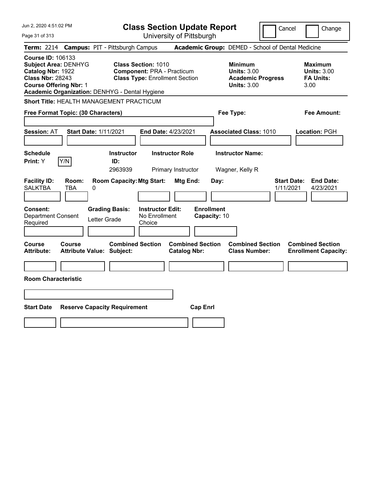| Jun 2, 2020 4:51:02 PM                                                                                                                                                                     | <b>Class Section Update Report</b>                                                                       |                                                                                                   | Cancel<br>Change                                                 |
|--------------------------------------------------------------------------------------------------------------------------------------------------------------------------------------------|----------------------------------------------------------------------------------------------------------|---------------------------------------------------------------------------------------------------|------------------------------------------------------------------|
| Page 31 of 313                                                                                                                                                                             | University of Pittsburgh                                                                                 |                                                                                                   |                                                                  |
| Term: 2214 Campus: PIT - Pittsburgh Campus                                                                                                                                                 |                                                                                                          | Academic Group: DEMED - School of Dental Medicine                                                 |                                                                  |
| <b>Course ID: 106133</b><br><b>Subject Area: DENHYG</b><br>Catalog Nbr: 1922<br><b>Class Nbr: 28243</b><br><b>Course Offering Nbr: 1</b><br>Academic Organization: DENHYG - Dental Hygiene | <b>Class Section: 1010</b><br><b>Component: PRA - Practicum</b><br><b>Class Type: Enrollment Section</b> | <b>Minimum</b><br><b>Units: 3.00</b><br><b>Academic Progress</b><br><b>Units: 3.00</b>            | <b>Maximum</b><br><b>Units: 3.00</b><br><b>FA Units:</b><br>3.00 |
| <b>Short Title: HEALTH MANAGEMENT PRACTICUM</b>                                                                                                                                            |                                                                                                          |                                                                                                   |                                                                  |
| Free Format Topic: (30 Characters)                                                                                                                                                         |                                                                                                          | Fee Type:                                                                                         | Fee Amount:                                                      |
| <b>Start Date: 1/11/2021</b><br><b>Session: AT</b>                                                                                                                                         | End Date: 4/23/2021                                                                                      | <b>Associated Class: 1010</b>                                                                     | Location: PGH                                                    |
| <b>Schedule</b><br>Y/N<br><b>Print: Y</b>                                                                                                                                                  | <b>Instructor Role</b><br><b>Instructor</b><br>ID:<br>2963939<br>Primary Instructor                      | <b>Instructor Name:</b><br>Wagner, Kelly R                                                        |                                                                  |
| <b>Facility ID:</b><br>Room:<br><b>SALKTBA</b><br><b>TBA</b><br>0                                                                                                                          | <b>Room Capacity: Mtg Start:</b>                                                                         | Mtg End:<br>Day:                                                                                  | <b>Start Date:</b><br><b>End Date:</b><br>1/11/2021<br>4/23/2021 |
| Consent:<br><b>Department Consent</b><br>Letter Grade<br>Required                                                                                                                          | <b>Grading Basis:</b><br><b>Instructor Edit:</b><br>No Enrollment<br>Choice                              | <b>Enrollment</b><br>Capacity: 10                                                                 |                                                                  |
| Course<br>Course<br><b>Attribute Value: Subject:</b><br><b>Attribute:</b>                                                                                                                  | <b>Combined Section</b>                                                                                  | <b>Combined Section</b><br><b>Combined Section</b><br><b>Catalog Nbr:</b><br><b>Class Number:</b> | <b>Combined Section</b><br><b>Enrollment Capacity:</b>           |
|                                                                                                                                                                                            |                                                                                                          |                                                                                                   |                                                                  |
| <b>Room Characteristic</b>                                                                                                                                                                 |                                                                                                          |                                                                                                   |                                                                  |
|                                                                                                                                                                                            |                                                                                                          |                                                                                                   |                                                                  |
| <b>Start Date</b><br><b>Reserve Capacity Requirement</b>                                                                                                                                   |                                                                                                          | <b>Cap Enrl</b>                                                                                   |                                                                  |
|                                                                                                                                                                                            |                                                                                                          |                                                                                                   |                                                                  |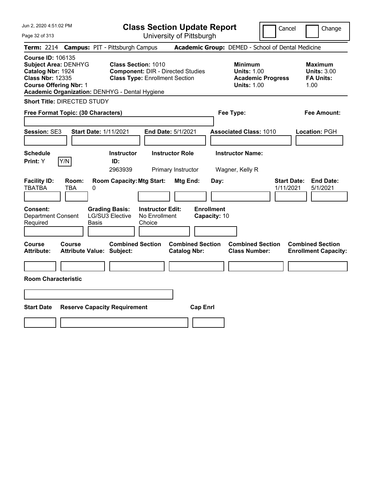| Jun 2, 2020 4:51:02 PM<br>Page 32 of 313                                                                                                                                                   | <b>Class Section Update Report</b><br>University of Pittsburgh                                                                      | Cancel                                                                                 | Change                                                           |
|--------------------------------------------------------------------------------------------------------------------------------------------------------------------------------------------|-------------------------------------------------------------------------------------------------------------------------------------|----------------------------------------------------------------------------------------|------------------------------------------------------------------|
| <b>Term: 2214</b>                                                                                                                                                                          | <b>Campus: PIT - Pittsburgh Campus</b>                                                                                              | Academic Group: DEMED - School of Dental Medicine                                      |                                                                  |
| <b>Course ID: 106135</b><br><b>Subject Area: DENHYG</b><br>Catalog Nbr: 1924<br><b>Class Nbr: 12335</b><br><b>Course Offering Nbr: 1</b><br>Academic Organization: DENHYG - Dental Hygiene | <b>Class Section: 1010</b><br><b>Component: DIR - Directed Studies</b><br><b>Class Type: Enrollment Section</b>                     | <b>Minimum</b><br><b>Units: 1.00</b><br><b>Academic Progress</b><br><b>Units: 1.00</b> | <b>Maximum</b><br><b>Units: 3.00</b><br><b>FA Units:</b><br>1.00 |
| <b>Short Title: DIRECTED STUDY</b>                                                                                                                                                         |                                                                                                                                     |                                                                                        |                                                                  |
| Free Format Topic: (30 Characters)                                                                                                                                                         |                                                                                                                                     | Fee Type:                                                                              | Fee Amount:                                                      |
| <b>Session: SE3</b><br><b>Start Date: 1/11/2021</b>                                                                                                                                        | End Date: 5/1/2021                                                                                                                  | <b>Associated Class: 1010</b>                                                          | Location: PGH                                                    |
| <b>Schedule</b><br>Y/N<br>Print: Y                                                                                                                                                         | <b>Instructor Role</b><br><b>Instructor</b><br>ID:<br>2963939<br>Primary Instructor                                                 | <b>Instructor Name:</b><br>Wagner, Kelly R                                             |                                                                  |
| <b>Facility ID:</b><br>Room:<br><b>TBATBA</b><br>TBA<br>$\pmb{0}$                                                                                                                          | <b>Room Capacity: Mtg Start:</b><br>Mtg End:<br>Day:                                                                                | 1/11/2021                                                                              | <b>Start Date:</b><br><b>End Date:</b><br>5/1/2021               |
| <b>Consent:</b><br><b>Department Consent</b><br>Required<br>Basis                                                                                                                          | <b>Enrollment</b><br><b>Instructor Edit:</b><br><b>Grading Basis:</b><br>LG/SU3 Elective<br>No Enrollment<br>Capacity: 10<br>Choice |                                                                                        |                                                                  |
| Course<br><b>Course</b><br><b>Attribute:</b><br><b>Attribute Value: Subject:</b>                                                                                                           | <b>Combined Section</b><br><b>Combined Section</b><br><b>Catalog Nbr:</b>                                                           | <b>Combined Section</b><br><b>Class Number:</b>                                        | <b>Combined Section</b><br><b>Enrollment Capacity:</b>           |
| <b>Room Characteristic</b>                                                                                                                                                                 |                                                                                                                                     |                                                                                        |                                                                  |
|                                                                                                                                                                                            |                                                                                                                                     |                                                                                        |                                                                  |
| <b>Start Date</b><br><b>Reserve Capacity Requirement</b>                                                                                                                                   | <b>Cap Enrl</b>                                                                                                                     |                                                                                        |                                                                  |
|                                                                                                                                                                                            |                                                                                                                                     |                                                                                        |                                                                  |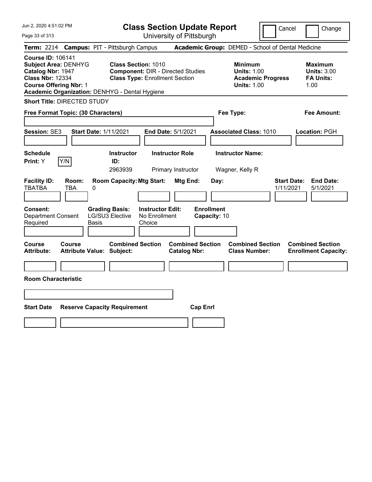| Jun 2, 2020 4:51:02 PM                                                                                                                                                                     | <b>Class Section Update Report</b>                                                                              | Cancel                                                                                 | Change                                                           |
|--------------------------------------------------------------------------------------------------------------------------------------------------------------------------------------------|-----------------------------------------------------------------------------------------------------------------|----------------------------------------------------------------------------------------|------------------------------------------------------------------|
| Page 33 of 313                                                                                                                                                                             | University of Pittsburgh                                                                                        |                                                                                        |                                                                  |
| <b>Term: 2214</b>                                                                                                                                                                          | <b>Campus: PIT - Pittsburgh Campus</b>                                                                          | Academic Group: DEMED - School of Dental Medicine                                      |                                                                  |
| <b>Course ID: 106141</b><br><b>Subject Area: DENHYG</b><br>Catalog Nbr: 1947<br><b>Class Nbr: 12334</b><br><b>Course Offering Nbr: 1</b><br>Academic Organization: DENHYG - Dental Hygiene | <b>Class Section: 1010</b><br><b>Component: DIR - Directed Studies</b><br><b>Class Type: Enrollment Section</b> | <b>Minimum</b><br><b>Units: 1.00</b><br><b>Academic Progress</b><br><b>Units: 1.00</b> | <b>Maximum</b><br><b>Units: 3.00</b><br><b>FA Units:</b><br>1.00 |
| <b>Short Title: DIRECTED STUDY</b>                                                                                                                                                         |                                                                                                                 |                                                                                        |                                                                  |
| Free Format Topic: (30 Characters)                                                                                                                                                         |                                                                                                                 | Fee Type:                                                                              | Fee Amount:                                                      |
| <b>Start Date: 1/11/2021</b><br>Session: SE3                                                                                                                                               | End Date: 5/1/2021                                                                                              | <b>Associated Class: 1010</b>                                                          | Location: PGH                                                    |
| <b>Schedule</b><br>Y/N<br>Print: Y                                                                                                                                                         | <b>Instructor Role</b><br><b>Instructor</b><br>ID:<br>2963939<br>Primary Instructor                             | <b>Instructor Name:</b><br>Wagner, Kelly R                                             |                                                                  |
| <b>Facility ID:</b><br>Room:<br><b>TBATBA</b><br>TBA<br>0                                                                                                                                  | <b>Room Capacity: Mtg Start:</b><br>Mtg End:<br>Day:                                                            | <b>Start Date:</b><br>1/11/2021                                                        | <b>End Date:</b><br>5/1/2021                                     |
| <b>Consent:</b><br><b>Grading Basis:</b><br><b>Department Consent</b><br>Required<br><b>Basis</b>                                                                                          | <b>Enrollment</b><br><b>Instructor Edit:</b><br>LG/SU3 Elective<br>No Enrollment<br>Capacity: 10<br>Choice      |                                                                                        |                                                                  |
| Course<br><b>Course</b><br><b>Attribute:</b><br><b>Attribute Value: Subject:</b>                                                                                                           | <b>Combined Section</b><br><b>Combined Section</b><br><b>Catalog Nbr:</b>                                       | <b>Combined Section</b><br><b>Class Number:</b>                                        | <b>Combined Section</b><br><b>Enrollment Capacity:</b>           |
| <b>Room Characteristic</b>                                                                                                                                                                 |                                                                                                                 |                                                                                        |                                                                  |
|                                                                                                                                                                                            |                                                                                                                 |                                                                                        |                                                                  |
|                                                                                                                                                                                            |                                                                                                                 |                                                                                        |                                                                  |
| <b>Start Date</b><br><b>Reserve Capacity Requirement</b>                                                                                                                                   | <b>Cap Enrl</b>                                                                                                 |                                                                                        |                                                                  |
|                                                                                                                                                                                            |                                                                                                                 |                                                                                        |                                                                  |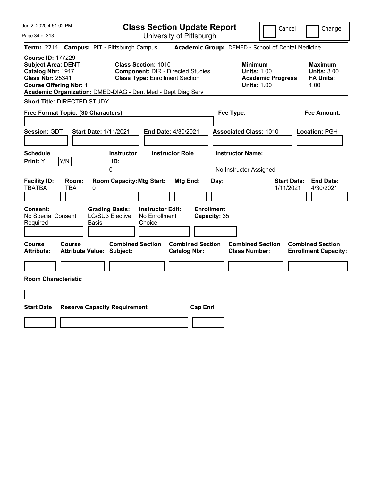| Jun 2, 2020 4:51:02 PM<br>Page 34 of 313                                                                                               | <b>Class Section Update Report</b><br>University of Pittsburgh                                                                                                                  |                                                                                    | Cancel                          | Change                                                           |
|----------------------------------------------------------------------------------------------------------------------------------------|---------------------------------------------------------------------------------------------------------------------------------------------------------------------------------|------------------------------------------------------------------------------------|---------------------------------|------------------------------------------------------------------|
| Term: 2214 Campus: PIT - Pittsburgh Campus                                                                                             |                                                                                                                                                                                 | Academic Group: DEMED - School of Dental Medicine                                  |                                 |                                                                  |
| <b>Course ID: 177229</b><br><b>Subject Area: DENT</b><br>Catalog Nbr: 1917<br><b>Class Nbr: 25341</b><br><b>Course Offering Nbr: 1</b> | <b>Class Section: 1010</b><br><b>Component: DIR - Directed Studies</b><br><b>Class Type: Enrollment Section</b><br>Academic Organization: DMED-DIAG - Dent Med - Dept Diag Serv | <b>Minimum</b><br><b>Units: 1.00</b><br><b>Units: 1.00</b>                         | <b>Academic Progress</b>        | <b>Maximum</b><br><b>Units: 3.00</b><br><b>FA Units:</b><br>1.00 |
| <b>Short Title: DIRECTED STUDY</b>                                                                                                     |                                                                                                                                                                                 |                                                                                    |                                 |                                                                  |
| Free Format Topic: (30 Characters)                                                                                                     |                                                                                                                                                                                 | Fee Type:                                                                          |                                 | Fee Amount:                                                      |
| Session: GDT<br><b>Start Date: 1/11/2021</b><br><b>Schedule</b><br>Y/N<br><b>Print:</b> Y                                              | End Date: 4/30/2021<br><b>Instructor</b><br><b>Instructor Role</b><br>ID:<br>0                                                                                                  | <b>Associated Class: 1010</b><br><b>Instructor Name:</b><br>No Instructor Assigned |                                 | <b>Location: PGH</b>                                             |
| <b>Facility ID:</b><br>Room:<br><b>TBATBA</b><br>TBA<br>0                                                                              | <b>Room Capacity: Mtg Start:</b><br>Mtg End:                                                                                                                                    | Day:                                                                               | <b>Start Date:</b><br>1/11/2021 | <b>End Date:</b><br>4/30/2021                                    |
| <b>Grading Basis:</b><br><b>Consent:</b><br>LG/SU3 Elective<br>No Special Consent<br>Required<br><b>Basis</b>                          | <b>Instructor Edit:</b><br>No Enrollment<br>Choice                                                                                                                              | <b>Enrollment</b><br>Capacity: 35                                                  |                                 |                                                                  |
| <b>Course</b><br>Course<br><b>Attribute:</b><br><b>Attribute Value: Subject:</b>                                                       | <b>Combined Section</b><br><b>Combined Section</b><br><b>Catalog Nbr:</b>                                                                                                       | <b>Combined Section</b><br><b>Class Number:</b>                                    |                                 | <b>Combined Section</b><br><b>Enrollment Capacity:</b>           |
| <b>Room Characteristic</b>                                                                                                             |                                                                                                                                                                                 |                                                                                    |                                 |                                                                  |
|                                                                                                                                        |                                                                                                                                                                                 |                                                                                    |                                 |                                                                  |
| <b>Start Date</b><br><b>Reserve Capacity Requirement</b>                                                                               |                                                                                                                                                                                 | <b>Cap Enrl</b>                                                                    |                                 |                                                                  |
|                                                                                                                                        |                                                                                                                                                                                 |                                                                                    |                                 |                                                                  |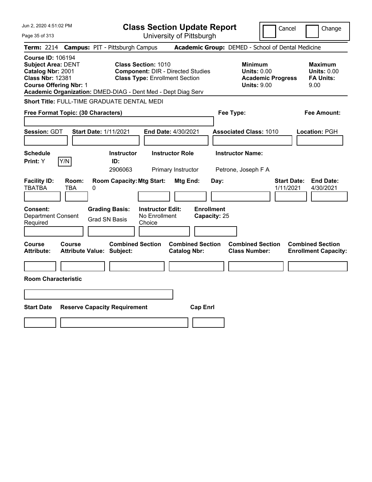| Jun 2, 2020 4:51:02 PM                                                                                                                 | <b>Class Section Update Report</b>                                                                                                                                              | Cancel<br>Change                                                                                                                                           |
|----------------------------------------------------------------------------------------------------------------------------------------|---------------------------------------------------------------------------------------------------------------------------------------------------------------------------------|------------------------------------------------------------------------------------------------------------------------------------------------------------|
| Page 35 of 313                                                                                                                         | University of Pittsburgh                                                                                                                                                        |                                                                                                                                                            |
| <b>Term: 2214</b>                                                                                                                      | <b>Campus: PIT - Pittsburgh Campus</b>                                                                                                                                          | Academic Group: DEMED - School of Dental Medicine                                                                                                          |
| <b>Course ID: 106194</b><br><b>Subject Area: DENT</b><br>Catalog Nbr: 2001<br><b>Class Nbr: 12381</b><br><b>Course Offering Nbr: 1</b> | <b>Class Section: 1010</b><br><b>Component: DIR - Directed Studies</b><br><b>Class Type: Enrollment Section</b><br>Academic Organization: DMED-DIAG - Dent Med - Dept Diag Serv | <b>Minimum</b><br><b>Maximum</b><br><b>Units: 0.00</b><br><b>Units: 0.00</b><br><b>Academic Progress</b><br><b>FA Units:</b><br><b>Units: 9.00</b><br>9.00 |
| Short Title: FULL-TIME GRADUATE DENTAL MEDI                                                                                            |                                                                                                                                                                                 |                                                                                                                                                            |
| Free Format Topic: (30 Characters)                                                                                                     |                                                                                                                                                                                 | Fee Type:<br>Fee Amount:                                                                                                                                   |
| Session: GDT<br><b>Start Date: 1/11/2021</b>                                                                                           | <b>End Date: 4/30/2021</b>                                                                                                                                                      | <b>Associated Class: 1010</b><br>Location: PGH                                                                                                             |
| <b>Schedule</b><br>Y/N<br>Print: Y                                                                                                     | <b>Instructor</b><br><b>Instructor Role</b><br>ID:<br>2906063<br>Primary Instructor                                                                                             | <b>Instructor Name:</b><br>Petrone, Joseph F A                                                                                                             |
| <b>Facility ID:</b><br>Room:<br><b>TBATBA</b><br>TBA<br>0                                                                              | <b>Room Capacity: Mtg Start:</b><br><b>Mtg End:</b><br>Day:                                                                                                                     | <b>Start Date:</b><br><b>End Date:</b><br>1/11/2021<br>4/30/2021                                                                                           |
| <b>Consent:</b><br><b>Department Consent</b><br>Required                                                                               | <b>Enrollment</b><br><b>Instructor Edit:</b><br><b>Grading Basis:</b><br>No Enrollment<br>Capacity: 25<br><b>Grad SN Basis</b><br>Choice                                        |                                                                                                                                                            |
| Course<br>Course<br><b>Attribute:</b><br><b>Attribute Value: Subject:</b>                                                              | <b>Combined Section</b><br><b>Combined Section</b><br><b>Catalog Nbr:</b>                                                                                                       | <b>Combined Section</b><br><b>Combined Section</b><br><b>Class Number:</b><br><b>Enrollment Capacity:</b>                                                  |
|                                                                                                                                        |                                                                                                                                                                                 |                                                                                                                                                            |
| <b>Room Characteristic</b>                                                                                                             |                                                                                                                                                                                 |                                                                                                                                                            |
|                                                                                                                                        |                                                                                                                                                                                 |                                                                                                                                                            |
| <b>Start Date</b><br><b>Reserve Capacity Requirement</b>                                                                               | <b>Cap Enrl</b>                                                                                                                                                                 |                                                                                                                                                            |
|                                                                                                                                        |                                                                                                                                                                                 |                                                                                                                                                            |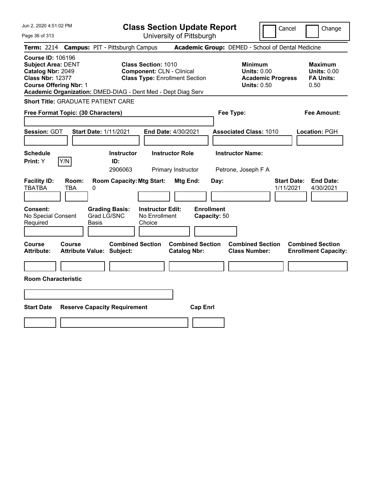Cancel Change

Page 36 of 313

|                                                                                                                                        |               | <b>Term: 2214 Campus: PIT - Pittsburgh Campus</b>            |                                                                                                         |                                                |                                   | <b>Academic Group:</b> DEMED - School of Dental Medicine                               |                                 |                                                                  |
|----------------------------------------------------------------------------------------------------------------------------------------|---------------|--------------------------------------------------------------|---------------------------------------------------------------------------------------------------------|------------------------------------------------|-----------------------------------|----------------------------------------------------------------------------------------|---------------------------------|------------------------------------------------------------------|
| <b>Course ID: 106196</b><br><b>Subject Area: DENT</b><br>Catalog Nbr: 2049<br><b>Class Nbr: 12377</b><br><b>Course Offering Nbr: 1</b> |               | Academic Organization: DMED-DIAG - Dent Med - Dept Diag Serv | <b>Class Section: 1010</b><br><b>Component: CLN - Clinical</b><br><b>Class Type: Enrollment Section</b> |                                                |                                   | <b>Minimum</b><br><b>Units: 0.00</b><br><b>Academic Progress</b><br><b>Units: 0.50</b> |                                 | <b>Maximum</b><br><b>Units: 0.00</b><br><b>FA Units:</b><br>0.50 |
|                                                                                                                                        |               | <b>Short Title: GRADUATE PATIENT CARE</b>                    |                                                                                                         |                                                |                                   |                                                                                        |                                 |                                                                  |
| Free Format Topic: (30 Characters)                                                                                                     |               |                                                              |                                                                                                         |                                                | Fee Type:                         |                                                                                        |                                 | <b>Fee Amount:</b>                                               |
| <b>Session: GDT</b>                                                                                                                    |               | <b>Start Date: 1/11/2021</b>                                 | End Date: 4/30/2021                                                                                     |                                                |                                   | <b>Associated Class: 1010</b>                                                          |                                 | Location: PGH                                                    |
| <b>Schedule</b><br>Print: Y                                                                                                            | Y/N           | <b>Instructor</b><br>ID:<br>2906063                          |                                                                                                         | <b>Instructor Role</b><br>Primary Instructor   |                                   | <b>Instructor Name:</b><br>Petrone, Joseph F A                                         |                                 |                                                                  |
| <b>Facility ID:</b><br><b>TBATBA</b>                                                                                                   | Room:<br>TBA  | <b>Room Capacity: Mtg Start:</b><br>0                        |                                                                                                         | Mtg End:                                       | Day:                              |                                                                                        | <b>Start Date:</b><br>1/11/2021 | <b>End Date:</b><br>4/30/2021                                    |
| <b>Consent:</b><br>No Special Consent<br>Required                                                                                      |               | <b>Grading Basis:</b><br>Grad LG/SNC<br>Basis                | <b>Instructor Edit:</b><br>No Enrollment<br>Choice                                                      |                                                | <b>Enrollment</b><br>Capacity: 50 |                                                                                        |                                 |                                                                  |
| <b>Course</b><br><b>Attribute:</b>                                                                                                     | <b>Course</b> | <b>Combined Section</b><br><b>Attribute Value: Subject:</b>  |                                                                                                         | <b>Combined Section</b><br><b>Catalog Nbr:</b> |                                   | <b>Combined Section</b><br><b>Class Number:</b>                                        |                                 | <b>Combined Section</b><br><b>Enrollment Capacity:</b>           |
| <b>Room Characteristic</b>                                                                                                             |               |                                                              |                                                                                                         |                                                |                                   |                                                                                        |                                 |                                                                  |
|                                                                                                                                        |               |                                                              |                                                                                                         |                                                |                                   |                                                                                        |                                 |                                                                  |
| <b>Start Date</b>                                                                                                                      |               | <b>Reserve Capacity Requirement</b>                          |                                                                                                         | <b>Cap Enrl</b>                                |                                   |                                                                                        |                                 |                                                                  |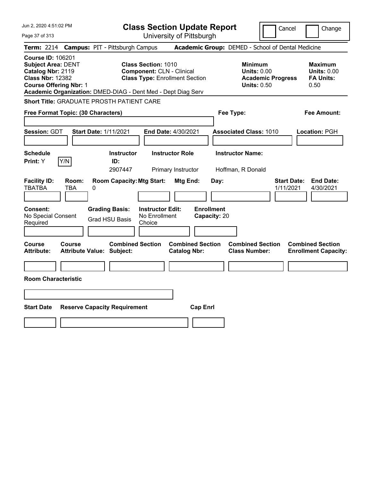| Jun 2, 2020 4:51:02 PM                                                                                                                 | <b>Class Section Update Report</b>                                                                                                                               | Cancel                                                                                 | Change                                                           |
|----------------------------------------------------------------------------------------------------------------------------------------|------------------------------------------------------------------------------------------------------------------------------------------------------------------|----------------------------------------------------------------------------------------|------------------------------------------------------------------|
| Page 37 of 313                                                                                                                         | University of Pittsburgh                                                                                                                                         |                                                                                        |                                                                  |
| <b>Term: 2214</b>                                                                                                                      | <b>Campus: PIT - Pittsburgh Campus</b>                                                                                                                           | Academic Group: DEMED - School of Dental Medicine                                      |                                                                  |
| <b>Course ID: 106201</b><br><b>Subject Area: DENT</b><br>Catalog Nbr: 2119<br><b>Class Nbr: 12382</b><br><b>Course Offering Nbr: 1</b> | Class Section: 1010<br><b>Component: CLN - Clinical</b><br><b>Class Type: Enrollment Section</b><br>Academic Organization: DMED-DIAG - Dent Med - Dept Diag Serv | <b>Minimum</b><br><b>Units: 0.00</b><br><b>Academic Progress</b><br><b>Units: 0.50</b> | <b>Maximum</b><br><b>Units: 0.00</b><br><b>FA Units:</b><br>0.50 |
| <b>Short Title: GRADUATE PROSTH PATIENT CARE</b>                                                                                       |                                                                                                                                                                  |                                                                                        |                                                                  |
| Free Format Topic: (30 Characters)                                                                                                     |                                                                                                                                                                  | Fee Type:                                                                              | Fee Amount:                                                      |
| Session: GDT<br><b>Start Date: 1/11/2021</b>                                                                                           | End Date: 4/30/2021                                                                                                                                              | <b>Associated Class: 1010</b>                                                          | Location: PGH                                                    |
| <b>Schedule</b><br>Y/N<br>Print: Y                                                                                                     | <b>Instructor</b><br><b>Instructor Role</b><br>ID:<br>2907447<br>Primary Instructor                                                                              | <b>Instructor Name:</b><br>Hoffman, R Donald                                           |                                                                  |
| <b>Facility ID:</b><br>Room:<br><b>TBATBA</b><br><b>TBA</b><br>0                                                                       | <b>Room Capacity: Mtg Start:</b><br>Mtg End:                                                                                                                     | <b>Start Date:</b><br>Day:<br>1/11/2021                                                | <b>End Date:</b><br>4/30/2021                                    |
| Consent:<br>No Special Consent<br>Required                                                                                             | <b>Enrollment</b><br><b>Grading Basis:</b><br><b>Instructor Edit:</b><br>No Enrollment<br>Capacity: 20<br><b>Grad HSU Basis</b><br>Choice                        |                                                                                        |                                                                  |
| Course<br><b>Course</b><br><b>Attribute:</b><br><b>Attribute Value: Subject:</b>                                                       | <b>Combined Section</b><br><b>Combined Section</b><br><b>Catalog Nbr:</b>                                                                                        | <b>Combined Section</b><br><b>Class Number:</b>                                        | <b>Combined Section</b><br><b>Enrollment Capacity:</b>           |
|                                                                                                                                        |                                                                                                                                                                  |                                                                                        |                                                                  |
| <b>Room Characteristic</b>                                                                                                             |                                                                                                                                                                  |                                                                                        |                                                                  |
|                                                                                                                                        |                                                                                                                                                                  |                                                                                        |                                                                  |
| <b>Start Date</b><br><b>Reserve Capacity Requirement</b>                                                                               | <b>Cap Enrl</b>                                                                                                                                                  |                                                                                        |                                                                  |
|                                                                                                                                        |                                                                                                                                                                  |                                                                                        |                                                                  |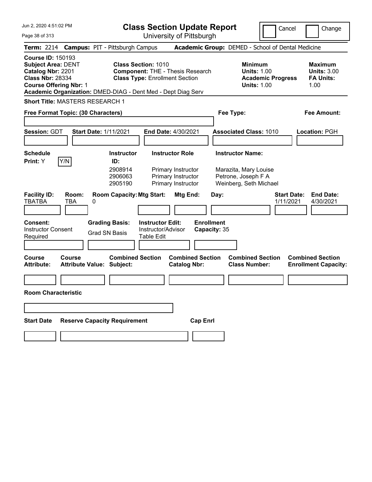|  |  | Jun 2, 2020 4:51:02 PM |  |
|--|--|------------------------|--|
|--|--|------------------------|--|

Cancel Change

Page 38 of 313

|                                                                                                                                        |                     | Term: 2214 Campus: PIT - Pittsburgh Campus                                                        |                                                                                                                |                                                | Academic Group: DEMED - School of Dental Medicine                                      |                                                                  |
|----------------------------------------------------------------------------------------------------------------------------------------|---------------------|---------------------------------------------------------------------------------------------------|----------------------------------------------------------------------------------------------------------------|------------------------------------------------|----------------------------------------------------------------------------------------|------------------------------------------------------------------|
| <b>Course ID: 150193</b><br><b>Subject Area: DENT</b><br>Catalog Nbr: 2201<br><b>Class Nbr: 28334</b><br><b>Course Offering Nbr: 1</b> |                     | Academic Organization: DMED-DIAG - Dent Med - Dept Diag Serv                                      | <b>Class Section: 1010</b><br><b>Component: THE - Thesis Research</b><br><b>Class Type: Enrollment Section</b> |                                                | <b>Minimum</b><br><b>Units: 1.00</b><br><b>Academic Progress</b><br><b>Units: 1.00</b> | <b>Maximum</b><br><b>Units: 3.00</b><br><b>FA Units:</b><br>1.00 |
| <b>Short Title: MASTERS RESEARCH 1</b>                                                                                                 |                     |                                                                                                   |                                                                                                                |                                                |                                                                                        |                                                                  |
| Free Format Topic: (30 Characters)                                                                                                     |                     |                                                                                                   |                                                                                                                |                                                | Fee Type:                                                                              | Fee Amount:                                                      |
| <b>Session: GDT</b>                                                                                                                    |                     | Start Date: 1/11/2021                                                                             | End Date: 4/30/2021                                                                                            |                                                | <b>Associated Class: 1010</b>                                                          | Location: PGH                                                    |
| <b>Schedule</b><br>Print: Y                                                                                                            | Y/N                 | <b>Instructor</b><br>ID:<br>2908914<br>2906063                                                    | <b>Instructor Role</b><br>Primary Instructor<br>Primary Instructor                                             |                                                | <b>Instructor Name:</b><br>Marazita, Mary Louise<br>Petrone, Joseph F A                |                                                                  |
| <b>Facility ID:</b><br><b>TBATBA</b><br>Consent:<br><b>Instructor Consent</b><br>Required                                              | Room:<br><b>TBA</b> | 2905190<br><b>Room Capacity: Mtg Start:</b><br>0<br><b>Grading Basis:</b><br><b>Grad SN Basis</b> | Primary Instructor<br><b>Instructor Edit:</b><br>Instructor/Advisor<br><b>Table Edit</b>                       | Mtg End:<br><b>Enrollment</b><br>Capacity: 35  | Weinberg, Seth Michael<br>Day:                                                         | <b>Start Date:</b><br><b>End Date:</b><br>1/11/2021<br>4/30/2021 |
| Course<br>Attribute:                                                                                                                   | <b>Course</b>       | <b>Combined Section</b><br><b>Attribute Value: Subject:</b>                                       |                                                                                                                | <b>Combined Section</b><br><b>Catalog Nbr:</b> | <b>Combined Section</b><br><b>Class Number:</b>                                        | <b>Combined Section</b><br><b>Enrollment Capacity:</b>           |
| <b>Room Characteristic</b>                                                                                                             |                     |                                                                                                   |                                                                                                                |                                                |                                                                                        |                                                                  |
| <b>Start Date</b>                                                                                                                      |                     | <b>Reserve Capacity Requirement</b>                                                               |                                                                                                                | <b>Cap Enrl</b>                                |                                                                                        |                                                                  |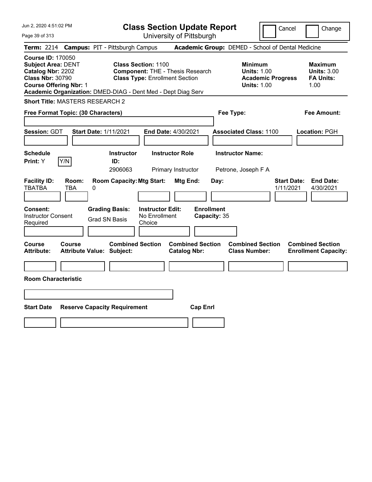| Jun 2, 2020 4:51:02 PM<br>Page 39 of 313                                                                                               | <b>Class Section Update Report</b><br>University of Pittsburgh                                                                                                                 | Cancel                                                                                 | Change                                                           |
|----------------------------------------------------------------------------------------------------------------------------------------|--------------------------------------------------------------------------------------------------------------------------------------------------------------------------------|----------------------------------------------------------------------------------------|------------------------------------------------------------------|
| <b>Campus: PIT - Pittsburgh Campus</b><br><b>Term: 2214</b>                                                                            |                                                                                                                                                                                | Academic Group: DEMED - School of Dental Medicine                                      |                                                                  |
| <b>Course ID: 170050</b><br><b>Subject Area: DENT</b><br>Catalog Nbr: 2202<br><b>Class Nbr: 30790</b><br><b>Course Offering Nbr: 1</b> | <b>Class Section: 1100</b><br><b>Component: THE - Thesis Research</b><br><b>Class Type: Enrollment Section</b><br>Academic Organization: DMED-DIAG - Dent Med - Dept Diag Serv | <b>Minimum</b><br><b>Units: 1.00</b><br><b>Academic Progress</b><br><b>Units: 1.00</b> | <b>Maximum</b><br><b>Units: 3.00</b><br><b>FA Units:</b><br>1.00 |
| Short Title: MASTERS RESEARCH 2                                                                                                        |                                                                                                                                                                                |                                                                                        |                                                                  |
| Free Format Topic: (30 Characters)                                                                                                     |                                                                                                                                                                                | Fee Type:                                                                              | Fee Amount:                                                      |
| <b>Session: GDT</b><br><b>Start Date: 1/11/2021</b>                                                                                    | End Date: 4/30/2021                                                                                                                                                            | <b>Associated Class: 1100</b>                                                          | Location: PGH                                                    |
| Schedule<br>Y/N<br>Print: Y                                                                                                            | <b>Instructor Role</b><br><b>Instructor</b><br>ID:<br>2906063<br>Primary Instructor                                                                                            | <b>Instructor Name:</b><br>Petrone, Joseph F A                                         |                                                                  |
| <b>Facility ID:</b><br>Room:<br><b>TBATBA</b><br>TBA<br>0                                                                              | <b>Room Capacity: Mtg Start:</b><br>Mtg End:                                                                                                                                   | <b>Start Date:</b><br>Day:<br>1/11/2021                                                | <b>End Date:</b><br>4/30/2021                                    |
| <b>Grading Basis:</b><br><b>Consent:</b><br><b>Instructor Consent</b><br>Grad SN Basis<br>Required                                     | <b>Enrollment</b><br><b>Instructor Edit:</b><br>No Enrollment<br>Capacity: 35<br>Choice                                                                                        |                                                                                        |                                                                  |
| <b>Course</b><br>Course<br><b>Attribute:</b><br><b>Attribute Value: Subject:</b>                                                       | <b>Combined Section</b><br><b>Combined Section</b><br><b>Catalog Nbr:</b>                                                                                                      | <b>Combined Section</b><br><b>Class Number:</b>                                        | <b>Combined Section</b><br><b>Enrollment Capacity:</b>           |
| <b>Room Characteristic</b>                                                                                                             |                                                                                                                                                                                |                                                                                        |                                                                  |
|                                                                                                                                        |                                                                                                                                                                                |                                                                                        |                                                                  |
|                                                                                                                                        |                                                                                                                                                                                |                                                                                        |                                                                  |
| <b>Start Date</b><br><b>Reserve Capacity Requirement</b>                                                                               | <b>Cap Enrl</b>                                                                                                                                                                |                                                                                        |                                                                  |
|                                                                                                                                        |                                                                                                                                                                                |                                                                                        |                                                                  |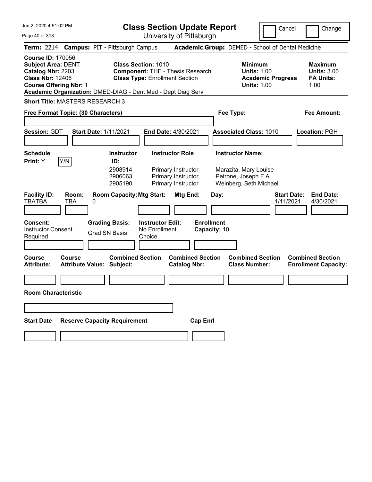Jun 2, 2020 4:51:02 PM

**Class Section Update Report** University of Pittsburgh

Cancel Change

Page 40 of 313

| Term: 2214 Campus: PIT - Pittsburgh Campus                                                                                      |                                               |                                                                                                                                                                                | Academic Group: DEMED - School of Dental Medicine                                      |                                                                  |
|---------------------------------------------------------------------------------------------------------------------------------|-----------------------------------------------|--------------------------------------------------------------------------------------------------------------------------------------------------------------------------------|----------------------------------------------------------------------------------------|------------------------------------------------------------------|
| <b>Course ID: 170056</b><br><b>Subject Area: DENT</b><br>Catalog Nbr: 2203<br><b>Class Nbr: 12406</b><br>Course Offering Nbr: 1 |                                               | <b>Class Section: 1010</b><br><b>Component: THE - Thesis Research</b><br><b>Class Type: Enrollment Section</b><br>Academic Organization: DMED-DIAG - Dent Med - Dept Diag Serv | <b>Minimum</b><br><b>Units: 1.00</b><br><b>Academic Progress</b><br><b>Units: 1.00</b> | <b>Maximum</b><br><b>Units: 3.00</b><br><b>FA Units:</b><br>1.00 |
| Short Title: MASTERS RESEARCH 3                                                                                                 |                                               |                                                                                                                                                                                |                                                                                        |                                                                  |
| Free Format Topic: (30 Characters)                                                                                              |                                               |                                                                                                                                                                                | Fee Type:                                                                              | <b>Fee Amount:</b>                                               |
|                                                                                                                                 |                                               |                                                                                                                                                                                |                                                                                        |                                                                  |
| <b>Session: GDT</b>                                                                                                             | <b>Start Date: 1/11/2021</b>                  | End Date: 4/30/2021                                                                                                                                                            | <b>Associated Class: 1010</b>                                                          | Location: PGH                                                    |
|                                                                                                                                 |                                               |                                                                                                                                                                                |                                                                                        |                                                                  |
| Schedule                                                                                                                        | <b>Instructor</b>                             | <b>Instructor Role</b>                                                                                                                                                         | <b>Instructor Name:</b>                                                                |                                                                  |
| Y/N<br>Print: Y                                                                                                                 | ID:<br>2908914<br>2906063<br>2905190          | Primary Instructor<br>Primary Instructor<br>Primary Instructor                                                                                                                 | Marazita, Mary Louise<br>Petrone, Joseph F A<br>Weinberg, Seth Michael                 |                                                                  |
| <b>Facility ID:</b><br>Room:<br><b>TBATBA</b><br><b>TBA</b>                                                                     | <b>Room Capacity: Mtg Start:</b><br>0         | Mtg End:                                                                                                                                                                       | Day:                                                                                   | <b>Start Date:</b><br><b>End Date:</b><br>1/11/2021<br>4/30/2021 |
| Consent:<br>Instructor Consent<br>Required                                                                                      | <b>Grading Basis:</b><br><b>Grad SN Basis</b> | <b>Instructor Edit:</b><br>No Enrollment<br>Choice                                                                                                                             | <b>Enrollment</b><br>Capacity: 10                                                      |                                                                  |
| Course<br><b>Course</b><br>Attribute:                                                                                           | <b>Attribute Value: Subject:</b>              | <b>Combined Section</b><br><b>Catalog Nbr:</b>                                                                                                                                 | <b>Combined Section</b><br><b>Combined Section</b><br><b>Class Number:</b>             | <b>Combined Section</b><br><b>Enrollment Capacity:</b>           |
| <b>Room Characteristic</b>                                                                                                      |                                               |                                                                                                                                                                                |                                                                                        |                                                                  |
| <b>Start Date</b>                                                                                                               | <b>Reserve Capacity Requirement</b>           |                                                                                                                                                                                | <b>Cap Enrl</b>                                                                        |                                                                  |
|                                                                                                                                 |                                               |                                                                                                                                                                                |                                                                                        |                                                                  |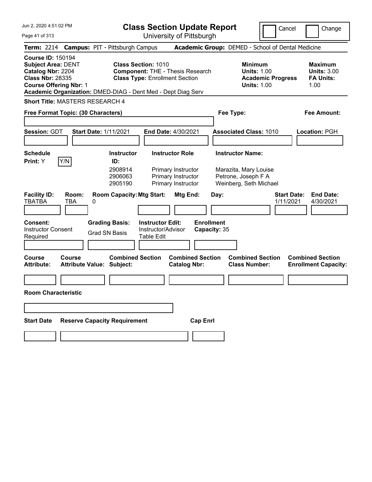|  |  | Jun 2, 2020 4:51:02 PM |  |
|--|--|------------------------|--|
|--|--|------------------------|--|

Cancel Change

Page 41 of 313

|                                                                                                                                        |                     | <b>Term: 2214 Campus: PIT - Pittsburgh Campus</b>            |                                                                                                                |                                                | <b>Academic Group:</b> DEMED - School of Dental Medicine                                          |                                                        |                                                          |
|----------------------------------------------------------------------------------------------------------------------------------------|---------------------|--------------------------------------------------------------|----------------------------------------------------------------------------------------------------------------|------------------------------------------------|---------------------------------------------------------------------------------------------------|--------------------------------------------------------|----------------------------------------------------------|
| <b>Course ID: 150194</b><br><b>Subject Area: DENT</b><br>Catalog Nbr: 2204<br><b>Class Nbr: 28335</b><br><b>Course Offering Nbr: 1</b> |                     | Academic Organization: DMED-DIAG - Dent Med - Dept Diag Serv | <b>Class Section: 1010</b><br><b>Component: THE - Thesis Research</b><br><b>Class Type: Enrollment Section</b> |                                                | <b>Minimum</b><br><b>Units: 1.00</b><br><b>Academic Progress</b><br><b>Units: 1.00</b>            | 1.00                                                   | <b>Maximum</b><br><b>Units: 3.00</b><br><b>FA Units:</b> |
| <b>Short Title: MASTERS RESEARCH 4</b>                                                                                                 |                     |                                                              |                                                                                                                |                                                |                                                                                                   |                                                        |                                                          |
| Free Format Topic: (30 Characters)                                                                                                     |                     |                                                              |                                                                                                                |                                                | Fee Type:                                                                                         |                                                        | Fee Amount:                                              |
| <b>Session: GDT</b>                                                                                                                    |                     | Start Date: 1/11/2021                                        | End Date: 4/30/2021                                                                                            |                                                | <b>Associated Class: 1010</b>                                                                     | Location: PGH                                          |                                                          |
| <b>Schedule</b><br><b>Print:</b> Y                                                                                                     | Y/N                 | <b>Instructor</b><br>ID:<br>2908914<br>2906063<br>2905190    | <b>Instructor Role</b><br>Primary Instructor<br>Primary Instructor<br>Primary Instructor                       |                                                | <b>Instructor Name:</b><br>Marazita, Mary Louise<br>Petrone, Joseph F A<br>Weinberg, Seth Michael |                                                        |                                                          |
| <b>Facility ID:</b><br>TBATBA                                                                                                          | Room:<br><b>TBA</b> | <b>Room Capacity: Mtg Start:</b><br>0                        |                                                                                                                | Mtg End:<br>Day:                               |                                                                                                   | <b>Start Date:</b><br>1/11/2021                        | <b>End Date:</b><br>4/30/2021                            |
| Consent:<br><b>Instructor Consent</b><br>Required                                                                                      |                     | <b>Grading Basis:</b><br><b>Grad SN Basis</b>                | <b>Instructor Edit:</b><br>Instructor/Advisor<br><b>Table Edit</b>                                             | <b>Enrollment</b><br>Capacity: 35              |                                                                                                   |                                                        |                                                          |
| Course<br><b>Attribute:</b>                                                                                                            | Course              | <b>Combined Section</b><br><b>Attribute Value: Subject:</b>  |                                                                                                                | <b>Combined Section</b><br><b>Catalog Nbr:</b> | <b>Combined Section</b><br><b>Class Number:</b>                                                   | <b>Combined Section</b><br><b>Enrollment Capacity:</b> |                                                          |
| <b>Room Characteristic</b>                                                                                                             |                     |                                                              |                                                                                                                |                                                |                                                                                                   |                                                        |                                                          |
| <b>Start Date</b>                                                                                                                      |                     | <b>Reserve Capacity Requirement</b>                          |                                                                                                                | <b>Cap Enrl</b>                                |                                                                                                   |                                                        |                                                          |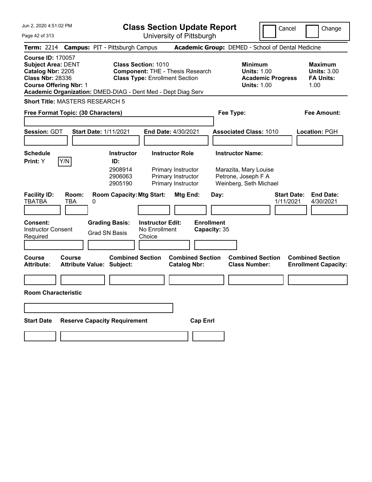Jun 2, 2020 4:51:02 PM

**Class Section Update Report** University of Pittsburgh

Cancel Change

Page 42 of 313

|                                                                                                                                        |                     | Term: 2214 Campus: PIT - Pittsburgh Campus                                             |                                                                     |                                                                                          |                                           | Academic Group: DEMED - School of Dental Medicine                                                 |                                                                  |
|----------------------------------------------------------------------------------------------------------------------------------------|---------------------|----------------------------------------------------------------------------------------|---------------------------------------------------------------------|------------------------------------------------------------------------------------------|-------------------------------------------|---------------------------------------------------------------------------------------------------|------------------------------------------------------------------|
| <b>Course ID: 170057</b><br><b>Subject Area: DENT</b><br>Catalog Nbr: 2205<br><b>Class Nbr: 28336</b><br><b>Course Offering Nbr: 1</b> |                     | Academic Organization: DMED-DIAG - Dent Med - Dept Diag Serv                           | <b>Class Section: 1010</b><br><b>Class Type: Enrollment Section</b> | <b>Component: THE - Thesis Research</b>                                                  |                                           | <b>Minimum</b><br><b>Units: 1.00</b><br><b>Academic Progress</b><br><b>Units: 1.00</b>            | <b>Maximum</b><br><b>Units: 3.00</b><br><b>FA Units:</b><br>1.00 |
| <b>Short Title: MASTERS RESEARCH 5</b>                                                                                                 |                     |                                                                                        |                                                                     |                                                                                          |                                           |                                                                                                   |                                                                  |
| Free Format Topic: (30 Characters)                                                                                                     |                     |                                                                                        |                                                                     |                                                                                          |                                           | Fee Type:                                                                                         | <b>Fee Amount:</b>                                               |
| <b>Session: GDT</b>                                                                                                                    |                     | <b>Start Date: 1/11/2021</b>                                                           |                                                                     | End Date: 4/30/2021                                                                      |                                           | <b>Associated Class: 1010</b>                                                                     | Location: PGH                                                    |
| <b>Schedule</b><br>Print: Y                                                                                                            | Y/N                 | <b>Instructor</b><br>ID:<br>2908914<br>2906063<br>2905190                              |                                                                     | <b>Instructor Role</b><br>Primary Instructor<br>Primary Instructor<br>Primary Instructor |                                           | <b>Instructor Name:</b><br>Marazita, Mary Louise<br>Petrone, Joseph F A<br>Weinberg, Seth Michael |                                                                  |
| <b>Facility ID:</b><br>TBATBA<br>Consent:<br><b>Instructor Consent</b><br>Required                                                     | Room:<br><b>TBA</b> | <b>Room Capacity: Mtg Start:</b><br>0<br><b>Grading Basis:</b><br><b>Grad SN Basis</b> | <b>Instructor Edit:</b><br>No Enrollment<br>Choice                  | Mtg End:                                                                                 | Day:<br><b>Enrollment</b><br>Capacity: 35 |                                                                                                   | <b>Start Date:</b><br><b>End Date:</b><br>1/11/2021<br>4/30/2021 |
| Course<br><b>Attribute:</b>                                                                                                            | Course              | <b>Combined Section</b><br><b>Attribute Value: Subject:</b>                            |                                                                     | <b>Combined Section</b><br><b>Catalog Nbr:</b>                                           |                                           | <b>Combined Section</b><br><b>Class Number:</b>                                                   | <b>Combined Section</b><br><b>Enrollment Capacity:</b>           |
| <b>Room Characteristic</b>                                                                                                             |                     |                                                                                        |                                                                     |                                                                                          |                                           |                                                                                                   |                                                                  |
| <b>Start Date</b>                                                                                                                      |                     | <b>Reserve Capacity Requirement</b>                                                    |                                                                     | <b>Cap Enrl</b>                                                                          |                                           |                                                                                                   |                                                                  |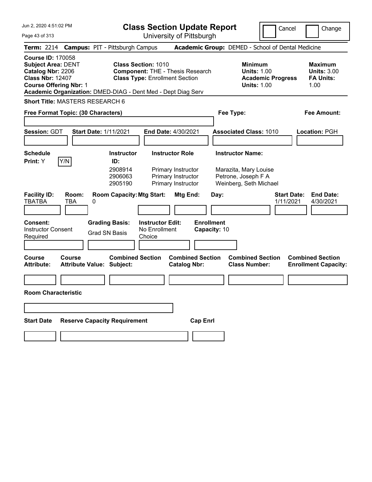Jun 2, 2020 4:51:02 PM

**Class Section Update Report** University of Pittsburgh

Cancel Change

Page 43 of 313

|                                                                                                                          | Term: 2214 Campus: PIT - Pittsburgh Campus                                                                                          |                                                                | Academic Group: DEMED - School of Dental Medicine                                      |                                                                  |
|--------------------------------------------------------------------------------------------------------------------------|-------------------------------------------------------------------------------------------------------------------------------------|----------------------------------------------------------------|----------------------------------------------------------------------------------------|------------------------------------------------------------------|
| Course ID: 170058<br><b>Subject Area: DENT</b><br>Catalog Nbr: 2206<br><b>Class Nbr: 12407</b><br>Course Offering Nbr: 1 | <b>Class Section: 1010</b><br><b>Class Type: Enrollment Section</b><br>Academic Organization: DMED-DIAG - Dent Med - Dept Diag Serv | <b>Component: THE - Thesis Research</b>                        | <b>Minimum</b><br><b>Units: 1.00</b><br><b>Academic Progress</b><br><b>Units: 1.00</b> | <b>Maximum</b><br><b>Units: 3.00</b><br><b>FA Units:</b><br>1.00 |
| Short Title: MASTERS RESEARCH 6                                                                                          |                                                                                                                                     |                                                                |                                                                                        |                                                                  |
| Free Format Topic: (30 Characters)                                                                                       |                                                                                                                                     |                                                                | Fee Type:                                                                              | <b>Fee Amount:</b>                                               |
|                                                                                                                          |                                                                                                                                     |                                                                |                                                                                        |                                                                  |
| <b>Session: GDT</b>                                                                                                      | <b>Start Date: 1/11/2021</b>                                                                                                        | End Date: 4/30/2021                                            | <b>Associated Class: 1010</b>                                                          | Location: PGH                                                    |
| Schedule                                                                                                                 | <b>Instructor</b>                                                                                                                   | <b>Instructor Role</b>                                         | <b>Instructor Name:</b>                                                                |                                                                  |
| Y/N<br>Print: Y                                                                                                          | ID:<br>2908914<br>2906063<br>2905190                                                                                                | Primary Instructor<br>Primary Instructor<br>Primary Instructor | Marazita, Mary Louise<br>Petrone, Joseph F A<br>Weinberg, Seth Michael                 |                                                                  |
| <b>Facility ID:</b><br>Room:<br><b>TBATBA</b><br><b>TBA</b>                                                              | <b>Room Capacity: Mtg Start:</b><br>0                                                                                               | Mtg End:                                                       | <b>Start Date:</b><br>Day:<br>1/11/2021                                                | <b>End Date:</b><br>4/30/2021                                    |
| <b>Consent:</b><br>Instructor Consent<br>Required                                                                        | <b>Grading Basis:</b><br>No Enrollment<br><b>Grad SN Basis</b><br>Choice                                                            | <b>Instructor Edit:</b>                                        | <b>Enrollment</b><br>Capacity: 10                                                      |                                                                  |
| Course<br>Course<br>Attribute:                                                                                           | <b>Combined Section</b><br><b>Attribute Value: Subject:</b>                                                                         | <b>Combined Section</b><br><b>Catalog Nbr:</b>                 | <b>Combined Section</b><br><b>Class Number:</b>                                        | <b>Combined Section</b><br><b>Enrollment Capacity:</b>           |
| <b>Room Characteristic</b>                                                                                               |                                                                                                                                     |                                                                |                                                                                        |                                                                  |
| Start Date                                                                                                               | <b>Reserve Capacity Requirement</b>                                                                                                 | <b>Cap Enrl</b>                                                |                                                                                        |                                                                  |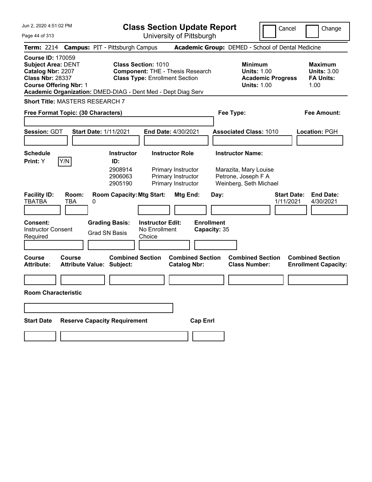|  |  | Jun 2, 2020 4:51:02 PM |  |
|--|--|------------------------|--|
|--|--|------------------------|--|

Cancel Change

Page 44 of 313

| <b>Term: 2214 Campus: PIT - Pittsburgh Campus</b>                                                                                                                                                      |              |                                  |                                               |                                                    |                                                                                  |                                   | <b>Academic Group:</b> DEMED - School of Dental Medicine               |                                 |                                                                  |
|--------------------------------------------------------------------------------------------------------------------------------------------------------------------------------------------------------|--------------|----------------------------------|-----------------------------------------------|----------------------------------------------------|----------------------------------------------------------------------------------|-----------------------------------|------------------------------------------------------------------------|---------------------------------|------------------------------------------------------------------|
| <b>Course ID: 170059</b><br><b>Subject Area: DENT</b><br>Catalog Nbr: 2207<br><b>Class Nbr: 28337</b><br><b>Course Offering Nbr: 1</b><br>Academic Organization: DMED-DIAG - Dent Med - Dept Diag Serv |              |                                  | <b>Class Section: 1010</b>                    |                                                    | <b>Component: THE - Thesis Research</b><br><b>Class Type: Enrollment Section</b> |                                   | <b>Minimum</b><br><b>Units: 1.00</b><br><b>Units: 1.00</b>             | <b>Academic Progress</b>        | <b>Maximum</b><br><b>Units: 3.00</b><br><b>FA Units:</b><br>1.00 |
| Short Title: MASTERS RESEARCH 7                                                                                                                                                                        |              |                                  |                                               |                                                    |                                                                                  |                                   |                                                                        |                                 |                                                                  |
| Free Format Topic: (30 Characters)                                                                                                                                                                     |              |                                  |                                               |                                                    |                                                                                  |                                   | Fee Type:                                                              |                                 | Fee Amount:                                                      |
|                                                                                                                                                                                                        |              |                                  |                                               |                                                    |                                                                                  |                                   |                                                                        |                                 |                                                                  |
| Session: GDT                                                                                                                                                                                           |              | <b>Start Date: 1/11/2021</b>     |                                               |                                                    | End Date: 4/30/2021                                                              |                                   | <b>Associated Class: 1010</b>                                          |                                 | Location: PGH                                                    |
| Schedule                                                                                                                                                                                               | Y/N          |                                  | <b>Instructor</b><br>ID:                      |                                                    | <b>Instructor Role</b>                                                           |                                   | <b>Instructor Name:</b>                                                |                                 |                                                                  |
| Print: Y                                                                                                                                                                                               |              |                                  | 2908914<br>2906063<br>2905190                 |                                                    | Primary Instructor<br>Primary Instructor<br>Primary Instructor                   |                                   | Marazita, Mary Louise<br>Petrone, Joseph F A<br>Weinberg, Seth Michael |                                 |                                                                  |
| <b>Facility ID:</b><br>TBATBA                                                                                                                                                                          | Room:<br>TBA | 0                                | <b>Room Capacity: Mtg Start:</b>              |                                                    | Mtg End:                                                                         | Day:                              |                                                                        | <b>Start Date:</b><br>1/11/2021 | <b>End Date:</b><br>4/30/2021                                    |
| Consent:<br><b>Instructor Consent</b><br>Required                                                                                                                                                      |              |                                  | <b>Grading Basis:</b><br><b>Grad SN Basis</b> | <b>Instructor Edit:</b><br>No Enrollment<br>Choice |                                                                                  | <b>Enrollment</b><br>Capacity: 35 |                                                                        |                                 |                                                                  |
| Course<br><b>Attribute:</b>                                                                                                                                                                            | Course       | <b>Attribute Value: Subject:</b> | <b>Combined Section</b>                       |                                                    | <b>Combined Section</b><br><b>Catalog Nbr:</b>                                   |                                   | <b>Combined Section</b><br><b>Class Number:</b>                        |                                 | <b>Combined Section</b><br><b>Enrollment Capacity:</b>           |
| <b>Room Characteristic</b>                                                                                                                                                                             |              |                                  |                                               |                                                    |                                                                                  |                                   |                                                                        |                                 |                                                                  |
|                                                                                                                                                                                                        |              |                                  |                                               |                                                    |                                                                                  |                                   |                                                                        |                                 |                                                                  |
| <b>Start Date</b>                                                                                                                                                                                      |              |                                  | <b>Reserve Capacity Requirement</b>           |                                                    |                                                                                  | <b>Cap Enrl</b>                   |                                                                        |                                 |                                                                  |
|                                                                                                                                                                                                        |              |                                  |                                               |                                                    |                                                                                  |                                   |                                                                        |                                 |                                                                  |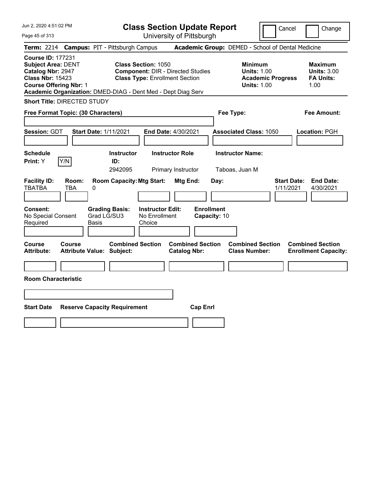| Jun 2, 2020 4:51:02 PM<br>Page 45 of 313                                                                                               | <b>Class Section Update Report</b><br>University of Pittsburgh                                                                                                                  |                                                                                        | Cancel<br>Change                                                 |
|----------------------------------------------------------------------------------------------------------------------------------------|---------------------------------------------------------------------------------------------------------------------------------------------------------------------------------|----------------------------------------------------------------------------------------|------------------------------------------------------------------|
| <b>Term: 2214</b>                                                                                                                      | <b>Campus: PIT - Pittsburgh Campus</b>                                                                                                                                          | Academic Group: DEMED - School of Dental Medicine                                      |                                                                  |
| <b>Course ID: 177231</b><br><b>Subject Area: DENT</b><br>Catalog Nbr: 2947<br><b>Class Nbr: 15423</b><br><b>Course Offering Nbr: 1</b> | <b>Class Section: 1050</b><br><b>Component: DIR - Directed Studies</b><br><b>Class Type: Enrollment Section</b><br>Academic Organization: DMED-DIAG - Dent Med - Dept Diag Serv | <b>Minimum</b><br><b>Units: 1.00</b><br><b>Academic Progress</b><br><b>Units: 1.00</b> | <b>Maximum</b><br><b>Units: 3.00</b><br><b>FA Units:</b><br>1.00 |
| <b>Short Title: DIRECTED STUDY</b>                                                                                                     |                                                                                                                                                                                 |                                                                                        |                                                                  |
| Free Format Topic: (30 Characters)                                                                                                     |                                                                                                                                                                                 | Fee Type:                                                                              | Fee Amount:                                                      |
| <b>Session: GDT</b><br><b>Start Date: 1/11/2021</b>                                                                                    | End Date: 4/30/2021                                                                                                                                                             | <b>Associated Class: 1050</b>                                                          | Location: PGH                                                    |
| Schedule<br>Y/N<br>Print: Y                                                                                                            | <b>Instructor Role</b><br><b>Instructor</b><br>ID:<br>2942095<br>Primary Instructor                                                                                             | <b>Instructor Name:</b><br>Taboas, Juan M                                              |                                                                  |
| <b>Facility ID:</b><br>Room:<br><b>TBATBA</b><br>TBA<br>0                                                                              | <b>Room Capacity: Mtg Start:</b><br>Mtg End:                                                                                                                                    | Day:                                                                                   | <b>Start Date:</b><br><b>End Date:</b><br>1/11/2021<br>4/30/2021 |
| <b>Consent:</b><br>Grad LG/SU3<br>No Special Consent<br>Required<br>Basis                                                              | <b>Grading Basis:</b><br><b>Instructor Edit:</b><br>No Enrollment<br>Choice                                                                                                     | <b>Enrollment</b><br>Capacity: 10                                                      |                                                                  |
| <b>Course</b><br>Course<br><b>Attribute:</b><br><b>Attribute Value: Subject:</b>                                                       | <b>Combined Section</b><br><b>Combined Section</b><br><b>Catalog Nbr:</b>                                                                                                       | <b>Combined Section</b><br><b>Class Number:</b>                                        | <b>Combined Section</b><br><b>Enrollment Capacity:</b>           |
| <b>Room Characteristic</b>                                                                                                             |                                                                                                                                                                                 |                                                                                        |                                                                  |
|                                                                                                                                        |                                                                                                                                                                                 |                                                                                        |                                                                  |
| <b>Start Date</b><br><b>Reserve Capacity Requirement</b>                                                                               |                                                                                                                                                                                 | <b>Cap Enrl</b>                                                                        |                                                                  |
|                                                                                                                                        |                                                                                                                                                                                 |                                                                                        |                                                                  |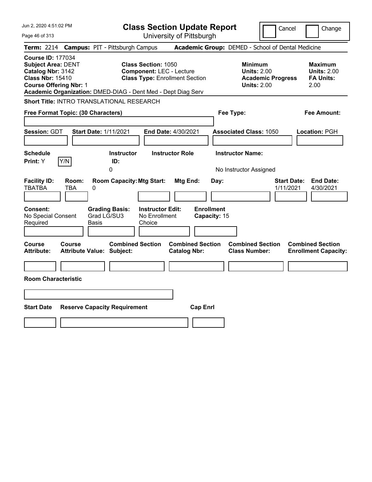| Jun 2, 2020 4:51:02 PM                                                                                                                                   | <b>Class Section Update Report</b>                                                                                                                                     | Cancel                                                                                 | Change                                                    |
|----------------------------------------------------------------------------------------------------------------------------------------------------------|------------------------------------------------------------------------------------------------------------------------------------------------------------------------|----------------------------------------------------------------------------------------|-----------------------------------------------------------|
| Page 46 of 313                                                                                                                                           | University of Pittsburgh                                                                                                                                               |                                                                                        |                                                           |
| <b>Term: 2214</b><br><b>Campus: PIT - Pittsburgh Campus</b>                                                                                              |                                                                                                                                                                        | Academic Group: DEMED - School of Dental Medicine                                      |                                                           |
| <b>Course ID: 177034</b><br><b>Subject Area: DENT</b><br>Catalog Nbr: 3142<br><b>Class Nbr: 15410</b><br><b>Course Offering Nbr: 1</b>                   | <b>Class Section: 1050</b><br><b>Component: LEC - Lecture</b><br><b>Class Type: Enrollment Section</b><br>Academic Organization: DMED-DIAG - Dent Med - Dept Diag Serv | <b>Minimum</b><br><b>Units: 2.00</b><br><b>Academic Progress</b><br><b>Units: 2.00</b> | Maximum<br><b>Units: 2.00</b><br><b>FA Units:</b><br>2.00 |
| Short Title: INTRO TRANSLATIONAL RESEARCH                                                                                                                |                                                                                                                                                                        |                                                                                        |                                                           |
| Free Format Topic: (30 Characters)                                                                                                                       |                                                                                                                                                                        | Fee Type:                                                                              | <b>Fee Amount:</b>                                        |
| Session: GDT<br><b>Start Date: 1/11/2021</b>                                                                                                             | End Date: 4/30/2021                                                                                                                                                    | <b>Associated Class: 1050</b>                                                          | Location: PGH                                             |
| <b>Schedule</b><br>Y/N<br>Print: Y<br>0                                                                                                                  | <b>Instructor Role</b><br><b>Instructor</b><br>ID:                                                                                                                     | <b>Instructor Name:</b><br>No Instructor Assigned                                      |                                                           |
| <b>Facility ID:</b><br>Room:<br><b>TBATBA</b><br>TBA<br>0<br>Consent:<br><b>Grading Basis:</b><br>Grad LG/SU3<br>No Special Consent<br>Required<br>Basis | <b>Room Capacity: Mtg Start:</b><br>Mtg End:<br><b>Enrollment</b><br><b>Instructor Edit:</b><br>No Enrollment<br>Choice                                                | <b>Start Date:</b><br>Day:<br>1/11/2021<br>Capacity: 15                                | <b>End Date:</b><br>4/30/2021                             |
|                                                                                                                                                          |                                                                                                                                                                        |                                                                                        |                                                           |
| <b>Course</b><br>Course<br><b>Attribute:</b><br><b>Attribute Value: Subject:</b><br><b>Room Characteristic</b>                                           | <b>Combined Section</b><br><b>Combined Section</b><br><b>Catalog Nbr:</b>                                                                                              | <b>Combined Section</b><br><b>Class Number:</b>                                        | <b>Combined Section</b><br><b>Enrollment Capacity:</b>    |
|                                                                                                                                                          |                                                                                                                                                                        |                                                                                        |                                                           |
| <b>Start Date</b><br><b>Reserve Capacity Requirement</b>                                                                                                 | <b>Cap Enrl</b>                                                                                                                                                        |                                                                                        |                                                           |
|                                                                                                                                                          |                                                                                                                                                                        |                                                                                        |                                                           |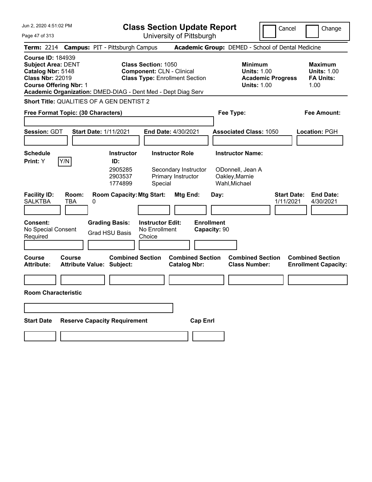Jun 2, 2020 4:51:02 PM Page 47 of 313 **Class Section Update Report** University of Pittsburgh Cancel Change **Term:** 2214 **Campus:** PIT - Pittsburgh Campus **Academic Group:** DEMED - School of Dental Medicine **Course ID:** 184939 **Subject Area:** DENT **Class Section:** 1050 **Minimum Maximum Catalog Nbr:** 5148 **Component:** CLN - Clinical **Units:** 1.00 **Units:** 1.00 **Class Nbr:** 22019 **Class Type:** Enrollment Section **Academic Progress FA Units: Course Offering Nbr:** 1 **Units:** 1.00 1.00 **Academic Organization:** DMED-DIAG - Dent Med - Dept Diag Serv **Short Title:** QUALITIES OF A GEN DENTIST 2 **Free Format Topic: (30 Characters) Fee Type: Fee Amount: Session:** GDT **Start Date:** 1/11/2021 **End Date:** 4/30/2021 **Associated Class:** 1050 **Location:** PGH **Schedule Instructor Instructor Role Instructor Name: Print:**  $Y$   $|Y/N|$  **ID:** 2905285 Secondary Instructor ODonnell, Jean A 2903537 Primary Instructor Oakley,Marnie 1774899 Special Wahl,Michael **Facility ID: Room: Room Capacity:Mtg Start: Mtg End: Day: Start Date: End Date:** SALKTBA TBA 0 1/11/2021 4/30/2021 **Consent: Grading Basis: Instructor Edit: Enrollment** No Special Consent Required Grad HSU Basis No Enrollment **Choice Capacity:** 90 **Course Course Combined Section Combined Section Combined Section Combined Section Attribute: Attribute Value: Subject: Catalog Nbr: Class Number: Enrollment Capacity: Room Characteristic Start Date Reserve Capacity Requirement Cap Enrl**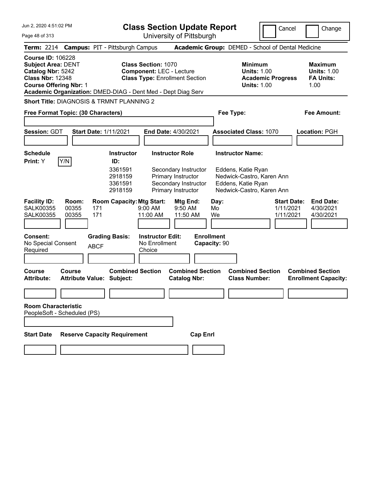|  |  |  | Jun 2, 2020 4:51:02 PM |  |
|--|--|--|------------------------|--|
|--|--|--|------------------------|--|

Cancel Change

Page 48 of 313

|                                                                                                                                        |                         | Term: 2214 Campus: PIT - Pittsburgh Campus                           |                                                                                                        |                                                |                                   | Academic Group: DEMED - School of Dental Medicine                                                                             |                                              |                                                                  |
|----------------------------------------------------------------------------------------------------------------------------------------|-------------------------|----------------------------------------------------------------------|--------------------------------------------------------------------------------------------------------|------------------------------------------------|-----------------------------------|-------------------------------------------------------------------------------------------------------------------------------|----------------------------------------------|------------------------------------------------------------------|
| <b>Course ID: 106228</b><br><b>Subject Area: DENT</b><br>Catalog Nbr: 5242<br><b>Class Nbr: 12348</b><br><b>Course Offering Nbr: 1</b> |                         | Academic Organization: DMED-DIAG - Dent Med - Dept Diag Serv         | <b>Class Section: 1070</b><br><b>Component: LEC - Lecture</b><br><b>Class Type: Enrollment Section</b> |                                                |                                   | <b>Minimum</b><br><b>Units: 1.00</b><br><b>Academic Progress</b><br><b>Units: 1.00</b>                                        |                                              | <b>Maximum</b><br><b>Units: 1.00</b><br><b>FA Units:</b><br>1.00 |
|                                                                                                                                        |                         | Short Title: DIAGNOSIS & TRMNT PLANNING 2                            |                                                                                                        |                                                |                                   |                                                                                                                               |                                              |                                                                  |
| Free Format Topic: (30 Characters)                                                                                                     |                         |                                                                      |                                                                                                        |                                                | Fee Type:                         |                                                                                                                               |                                              | <b>Fee Amount:</b>                                               |
| Session: GDT                                                                                                                           |                         | <b>Start Date: 1/11/2021</b>                                         | <b>End Date: 4/30/2021</b>                                                                             |                                                |                                   | <b>Associated Class: 1070</b>                                                                                                 |                                              | Location: PGH                                                    |
| Schedule<br>Print: Y                                                                                                                   | Y/N                     | <b>Instructor</b><br>ID:<br>3361591<br>2918159<br>3361591<br>2918159 | <b>Instructor Role</b><br>Primary Instructor<br>Primary Instructor                                     | Secondary Instructor<br>Secondary Instructor   |                                   | <b>Instructor Name:</b><br>Eddens, Katie Ryan<br>Nedwick-Castro, Karen Ann<br>Eddens, Katie Ryan<br>Nedwick-Castro, Karen Ann |                                              |                                                                  |
| <b>Facility ID:</b><br><b>SALK00355</b><br>SALK00355                                                                                   | Room:<br>00355<br>00355 | <b>Room Capacity: Mtg Start:</b><br>171<br>171                       | $9:00$ AM<br>11:00 AM                                                                                  | Mtg End:<br>9:50 AM<br>11:50 AM                | Day:<br>Mo<br>We                  |                                                                                                                               | <b>Start Date:</b><br>1/11/2021<br>1/11/2021 | <b>End Date:</b><br>4/30/2021<br>4/30/2021                       |
| Consent:<br>No Special Consent<br>Required                                                                                             |                         | <b>Grading Basis:</b><br><b>ABCF</b>                                 | <b>Instructor Edit:</b><br>No Enrollment<br>Choice                                                     |                                                | <b>Enrollment</b><br>Capacity: 90 |                                                                                                                               |                                              |                                                                  |
| Course<br>Attribute:                                                                                                                   | Course                  | <b>Combined Section</b><br><b>Attribute Value: Subject:</b>          |                                                                                                        | <b>Combined Section</b><br><b>Catalog Nbr:</b> |                                   | <b>Combined Section</b><br><b>Class Number:</b>                                                                               |                                              | <b>Combined Section</b><br><b>Enrollment Capacity:</b>           |
| <b>Room Characteristic</b><br>PeopleSoft - Scheduled (PS)                                                                              |                         |                                                                      |                                                                                                        |                                                |                                   |                                                                                                                               |                                              |                                                                  |
| <b>Start Date</b>                                                                                                                      |                         | <b>Reserve Capacity Requirement</b>                                  |                                                                                                        | <b>Cap Enrl</b>                                |                                   |                                                                                                                               |                                              |                                                                  |
|                                                                                                                                        |                         |                                                                      |                                                                                                        |                                                |                                   |                                                                                                                               |                                              |                                                                  |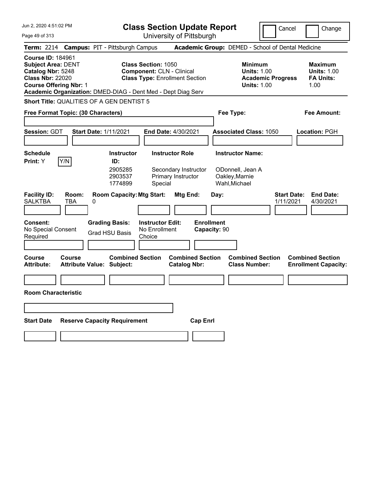Jun 2, 2020 4:51:02 PM Page 49 of 313 **Class Section Update Report** University of Pittsburgh Cancel Change **Term:** 2214 **Campus:** PIT - Pittsburgh Campus **Academic Group:** DEMED - School of Dental Medicine **Course ID:** 184961 **Subject Area:** DENT **Class Section:** 1050 **Minimum Maximum Catalog Nbr:** 5248 **Component:** CLN - Clinical **Units:** 1.00 **Units:** 1.00 **Class Nbr:** 22020 **Class Type:** Enrollment Section **Academic Progress FA Units: Course Offering Nbr:** 1 **Units:** 1.00 1.00 **Academic Organization:** DMED-DIAG - Dent Med - Dept Diag Serv **Short Title:** QUALITIES OF A GEN DENTIST 5 **Free Format Topic: (30 Characters) Fee Type: Fee Amount: Session:** GDT **Start Date:** 1/11/2021 **End Date:** 4/30/2021 **Associated Class:** 1050 **Location:** PGH **Schedule Instructor Instructor Role Instructor Name: Print:**  $Y$   $|Y/N|$  **ID:** 2905285 Secondary Instructor ODonnell, Jean A 2903537 Primary Instructor Oakley,Marnie 1774899 Special Wahl,Michael **Facility ID: Room: Room Capacity:Mtg Start: Mtg End: Day: Start Date: End Date:** SALKTBA TBA 0 1/11/2021 4/30/2021 **Consent: Grading Basis: Instructor Edit: Enrollment** No Special Consent Required Grad HSU Basis No Enrollment **Choice Capacity:** 90 **Course Course Combined Section Combined Section Combined Section Combined Section Attribute: Attribute Value: Subject: Catalog Nbr: Class Number: Enrollment Capacity: Room Characteristic Start Date Reserve Capacity Requirement Cap Enrl**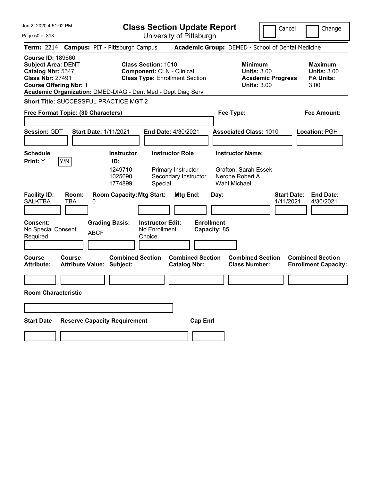Jun 2, 2020 4:51:02 PM Page 50 of 313 **Class Section Update Report** University of Pittsburgh Cancel Change **Term:** 2214 **Campus:** PIT - Pittsburgh Campus **Academic Group:** DEMED - School of Dental Medicine **Course ID:** 189660 **Subject Area:** DENT **Class Section:** 1010 **Minimum Maximum Catalog Nbr:** 5347 **Component:** CLN - Clinical **Units:** 3.00 **Units:** 3.00 **Class Nbr:** 27491 **Class Type:** Enrollment Section **Academic Progress FA Units: Course Offering Nbr: 1 Course Offering Nbr: 1 1 Units: 3.00** 3.00 **Academic Organization:** DMED-DIAG - Dent Med - Dept Diag Serv **Short Title:** SUCCESSFUL PRACTICE MGT 2 **Free Format Topic: (30 Characters) Fee Type: Fee Amount: Session:** GDT **Start Date:** 1/11/2021 **End Date:** 4/30/2021 **Associated Class:** 1010 **Location:** PGH **Schedule Instructor Instructor Role Instructor Name: Print:**  $Y$   $|Y/N|$  **ID:** 1249710 Primary Instructor Grafton, Sarah Essek 1025690 Secondary Instructor Nerone,Robert A 1774899 Special Wahl,Michael **Facility ID: Room: Room Capacity:Mtg Start: Mtg End: Day: Start Date: End Date:** SALKTBA TBA 0 1/11/2021 4/30/2021 **Consent: Grading Basis: Instructor Edit: Enrollment** No Special Consent No Enrollment<br>Required ABCF Choice **Choice Capacity:** 85 **Course Course Combined Section Combined Section Combined Section Combined Section**  Attribute: Attribute Value: Subject: Catalog Nbr: Class Number: Enrollment Capacity: **Room Characteristic Start Date Reserve Capacity Requirement Cap Enrl**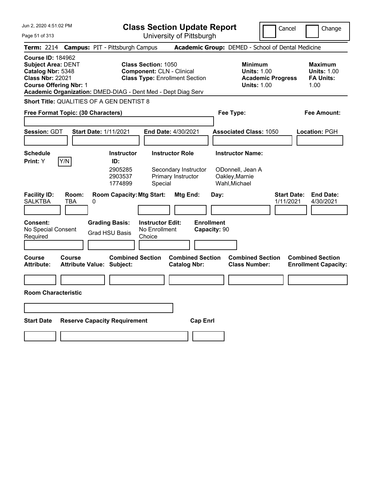| Jun 2, 2020 4:51:02 PM                                                                                                                                                                                 |                                                |                                                                                               |                                                                | <b>Class Section Update Report</b>                       |                                   |                                                                                |                          | Cancel                          | Change                                                           |
|--------------------------------------------------------------------------------------------------------------------------------------------------------------------------------------------------------|------------------------------------------------|-----------------------------------------------------------------------------------------------|----------------------------------------------------------------|----------------------------------------------------------|-----------------------------------|--------------------------------------------------------------------------------|--------------------------|---------------------------------|------------------------------------------------------------------|
| Page 51 of 313                                                                                                                                                                                         |                                                |                                                                                               |                                                                | University of Pittsburgh                                 |                                   |                                                                                |                          |                                 |                                                                  |
| Term: 2214 Campus: PIT - Pittsburgh Campus                                                                                                                                                             |                                                |                                                                                               |                                                                | <b>Academic Group: DEMED - School of Dental Medicine</b> |                                   |                                                                                |                          |                                 |                                                                  |
| <b>Course ID: 184962</b><br><b>Subject Area: DENT</b><br>Catalog Nbr: 5348<br><b>Class Nbr: 22021</b><br><b>Course Offering Nbr: 1</b><br>Academic Organization: DMED-DIAG - Dent Med - Dept Diag Serv |                                                |                                                                                               | <b>Class Section: 1050</b><br><b>Component: CLN - Clinical</b> | <b>Class Type: Enrollment Section</b>                    |                                   | <b>Minimum</b><br><b>Units: 1.00</b><br><b>Units: 1.00</b>                     | <b>Academic Progress</b> |                                 | <b>Maximum</b><br><b>Units: 1.00</b><br><b>FA Units:</b><br>1.00 |
| <b>Short Title: QUALITIES OF A GEN DENTIST 8</b>                                                                                                                                                       |                                                |                                                                                               |                                                                |                                                          |                                   |                                                                                |                          |                                 |                                                                  |
| Free Format Topic: (30 Characters)                                                                                                                                                                     |                                                |                                                                                               |                                                                |                                                          |                                   | Fee Type:                                                                      |                          |                                 | Fee Amount:                                                      |
|                                                                                                                                                                                                        |                                                |                                                                                               |                                                                |                                                          |                                   |                                                                                |                          |                                 |                                                                  |
| Session: GDT                                                                                                                                                                                           | <b>Start Date: 1/11/2021</b>                   |                                                                                               | <b>End Date: 4/30/2021</b>                                     |                                                          |                                   | <b>Associated Class: 1050</b>                                                  |                          |                                 | Location: PGH                                                    |
| <b>Schedule</b><br>Y/N<br><b>Print:</b> Y<br><b>Facility ID:</b><br><b>SALKTBA</b><br><b>TBA</b>                                                                                                       | Room:<br>0                                     | <b>Instructor</b><br>ID:<br>2905285<br>2903537<br>1774899<br><b>Room Capacity: Mtg Start:</b> | <b>Instructor Role</b><br>Special                              | Secondary Instructor<br>Primary Instructor<br>Mtg End:   | Day:                              | <b>Instructor Name:</b><br>ODonnell, Jean A<br>Oakley, Marnie<br>Wahl, Michael |                          | <b>Start Date:</b><br>1/11/2021 | <b>End Date:</b><br>4/30/2021                                    |
| <b>Consent:</b><br>No Special Consent<br>Required                                                                                                                                                      | <b>Grading Basis:</b><br><b>Grad HSU Basis</b> |                                                                                               | <b>Instructor Edit:</b><br>No Enrollment<br>Choice             |                                                          | <b>Enrollment</b><br>Capacity: 90 |                                                                                |                          |                                 |                                                                  |
| <b>Course</b><br>Course<br><b>Attribute:</b>                                                                                                                                                           | <b>Attribute Value: Subject:</b>               | <b>Combined Section</b>                                                                       |                                                                | <b>Combined Section</b><br><b>Catalog Nbr:</b>           |                                   | <b>Combined Section</b><br><b>Class Number:</b>                                |                          |                                 | <b>Combined Section</b><br><b>Enrollment Capacity:</b>           |
| <b>Room Characteristic</b>                                                                                                                                                                             |                                                |                                                                                               |                                                                |                                                          |                                   |                                                                                |                          |                                 |                                                                  |
|                                                                                                                                                                                                        |                                                |                                                                                               |                                                                |                                                          |                                   |                                                                                |                          |                                 |                                                                  |
| <b>Start Date</b>                                                                                                                                                                                      | <b>Reserve Capacity Requirement</b>            |                                                                                               |                                                                | <b>Cap Enrl</b>                                          |                                   |                                                                                |                          |                                 |                                                                  |
|                                                                                                                                                                                                        |                                                |                                                                                               |                                                                |                                                          |                                   |                                                                                |                          |                                 |                                                                  |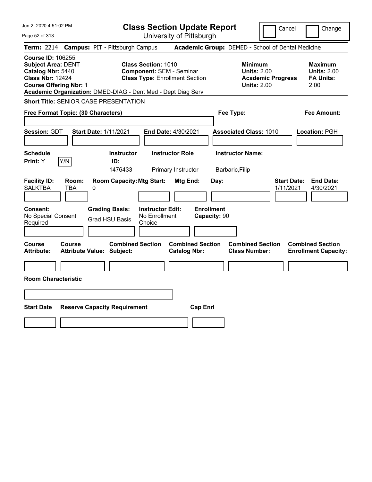| Jun 2, 2020 4:51:02 PM                                                                                                                                                                                 | <b>Class Section Update Report</b>                                                                                            | Cancel                                                                                 | Change                                                    |
|--------------------------------------------------------------------------------------------------------------------------------------------------------------------------------------------------------|-------------------------------------------------------------------------------------------------------------------------------|----------------------------------------------------------------------------------------|-----------------------------------------------------------|
| Page 52 of 313                                                                                                                                                                                         | University of Pittsburgh                                                                                                      |                                                                                        |                                                           |
| <b>Term: 2214</b><br><b>Campus: PIT - Pittsburgh Campus</b>                                                                                                                                            |                                                                                                                               | Academic Group: DEMED - School of Dental Medicine                                      |                                                           |
| <b>Course ID: 106255</b><br><b>Subject Area: DENT</b><br>Catalog Nbr: 5440<br><b>Class Nbr: 12424</b><br><b>Course Offering Nbr: 1</b><br>Academic Organization: DMED-DIAG - Dent Med - Dept Diag Serv | <b>Class Section: 1010</b><br><b>Component: SEM - Seminar</b><br><b>Class Type: Enrollment Section</b>                        | <b>Minimum</b><br><b>Units: 2.00</b><br><b>Academic Progress</b><br><b>Units: 2.00</b> | Maximum<br><b>Units: 2.00</b><br><b>FA Units:</b><br>2.00 |
| <b>Short Title: SENIOR CASE PRESENTATION</b>                                                                                                                                                           |                                                                                                                               |                                                                                        |                                                           |
| Free Format Topic: (30 Characters)                                                                                                                                                                     |                                                                                                                               | Fee Type:                                                                              | Fee Amount:                                               |
| Session: GDT<br><b>Start Date: 1/11/2021</b>                                                                                                                                                           | End Date: 4/30/2021                                                                                                           | <b>Associated Class: 1010</b>                                                          | Location: PGH                                             |
| <b>Schedule</b><br>Y/N<br>Print: Y<br>ID:                                                                                                                                                              | <b>Instructor Role</b><br><b>Instructor</b><br>1476433<br>Primary Instructor                                                  | <b>Instructor Name:</b><br>Barbaric, Filip                                             |                                                           |
| <b>Facility ID:</b><br>Room:<br><b>SALKTBA</b><br>TBA<br>0<br>Consent:<br><b>Grading Basis:</b><br>No Special Consent                                                                                  | <b>Room Capacity: Mtg Start:</b><br>Mtg End:<br><b>Enrollment</b><br><b>Instructor Edit:</b><br>No Enrollment<br>Capacity: 90 | <b>Start Date:</b><br>Day:<br>1/11/2021                                                | <b>End Date:</b><br>4/30/2021                             |
| <b>Grad HSU Basis</b><br>Required                                                                                                                                                                      | Choice                                                                                                                        |                                                                                        |                                                           |
| Course<br>Course<br><b>Attribute Value: Subject:</b><br>Attribute:                                                                                                                                     | <b>Combined Section</b><br><b>Combined Section</b><br><b>Catalog Nbr:</b>                                                     | <b>Combined Section</b><br><b>Class Number:</b>                                        | <b>Combined Section</b><br><b>Enrollment Capacity:</b>    |
| <b>Room Characteristic</b>                                                                                                                                                                             |                                                                                                                               |                                                                                        |                                                           |
|                                                                                                                                                                                                        |                                                                                                                               |                                                                                        |                                                           |
| <b>Start Date</b><br><b>Reserve Capacity Requirement</b>                                                                                                                                               | <b>Cap Enrl</b>                                                                                                               |                                                                                        |                                                           |
|                                                                                                                                                                                                        |                                                                                                                               |                                                                                        |                                                           |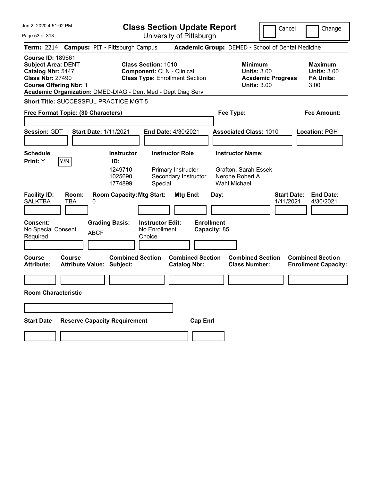Jun 2, 2020 4:51:02 PM Page 53 of 313 **Class Section Update Report** University of Pittsburgh Cancel Change **Term:** 2214 **Campus:** PIT - Pittsburgh Campus **Academic Group:** DEMED - School of Dental Medicine **Course ID:** 189661 **Subject Area:** DENT **Class Section:** 1010 **Minimum Maximum Catalog Nbr:** 5447 **Component:** CLN - Clinical **Units:** 3.00 **Units:** 3.00 **Class Nbr:** 27490 **Class Type:** Enrollment Section **Academic Progress FA Units: Course Offering Nbr: 1 Course Offering Nbr: 1 1 Units: 3.00** 3.00 **Academic Organization:** DMED-DIAG - Dent Med - Dept Diag Serv **Short Title:** SUCCESSFUL PRACTICE MGT 5 **Free Format Topic: (30 Characters) Fee Type: Fee Amount: Session:** GDT **Start Date:** 1/11/2021 **End Date:** 4/30/2021 **Associated Class:** 1010 **Location:** PGH **Schedule Instructor Instructor Role Instructor Name: Print:**  $Y$   $|Y/N|$  **ID:** 1249710 Primary Instructor Grafton, Sarah Essek 1025690 Secondary Instructor Nerone,Robert A 1774899 Special Wahl,Michael **Facility ID: Room: Room Capacity:Mtg Start: Mtg End: Day: Start Date: End Date:** SALKTBA TBA 0 1/11/2021 4/30/2021 **Consent: Grading Basis: Instructor Edit: Enrollment** No Special Consent No Enrollment<br>Required ABCF Choice **Choice Capacity:** 85 **Course Course Combined Section Combined Section Combined Section Combined Section**  Attribute: Attribute Value: Subject: Catalog Nbr: Class Number: Enrollment Capacity: **Room Characteristic Start Date Reserve Capacity Requirement Cap Enrl**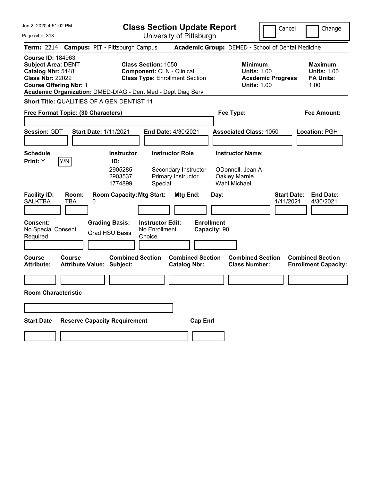| Jun 2, 2020 4:51:02 PM                                                                                                                                                                                 | <b>Class Section Update Report</b>                                                                      | Cancel                                                                          | Change                                                           |
|--------------------------------------------------------------------------------------------------------------------------------------------------------------------------------------------------------|---------------------------------------------------------------------------------------------------------|---------------------------------------------------------------------------------|------------------------------------------------------------------|
| Page 54 of 313                                                                                                                                                                                         | University of Pittsburgh                                                                                |                                                                                 |                                                                  |
| Term: 2214 Campus: PIT - Pittsburgh Campus                                                                                                                                                             |                                                                                                         | Academic Group: DEMED - School of Dental Medicine                               |                                                                  |
| <b>Course ID: 184963</b><br><b>Subject Area: DENT</b><br>Catalog Nbr: 5448<br><b>Class Nbr: 22022</b><br><b>Course Offering Nbr: 1</b><br>Academic Organization: DMED-DIAG - Dent Med - Dept Diag Serv | <b>Class Section: 1050</b><br><b>Component: CLN - Clinical</b><br><b>Class Type: Enrollment Section</b> | Minimum<br><b>Units: 1.00</b><br><b>Academic Progress</b><br><b>Units: 1.00</b> | <b>Maximum</b><br><b>Units: 1.00</b><br><b>FA Units:</b><br>1.00 |
| Short Title: QUALITIES OF A GEN DENTIST 11                                                                                                                                                             |                                                                                                         |                                                                                 |                                                                  |
| Free Format Topic: (30 Characters)                                                                                                                                                                     |                                                                                                         | Fee Type:                                                                       | <b>Fee Amount:</b>                                               |
|                                                                                                                                                                                                        |                                                                                                         |                                                                                 |                                                                  |
| <b>Session: GDT</b><br><b>Start Date: 1/11/2021</b>                                                                                                                                                    | End Date: 4/30/2021                                                                                     | <b>Associated Class: 1050</b>                                                   | Location: PGH                                                    |
| <b>Schedule</b>                                                                                                                                                                                        | <b>Instructor</b><br><b>Instructor Role</b>                                                             | <b>Instructor Name:</b>                                                         |                                                                  |
| Y/N <br>Print: Y<br>ID:                                                                                                                                                                                |                                                                                                         |                                                                                 |                                                                  |
|                                                                                                                                                                                                        | 2905285<br>Secondary Instructor<br>2903537<br>Primary Instructor<br>1774899<br>Special                  | ODonnell, Jean A<br>Oakley, Marnie<br>Wahl, Michael                             |                                                                  |
| <b>Facility ID:</b><br>Room:<br><b>SALKTBA</b><br>TBA<br>0                                                                                                                                             | <b>Room Capacity: Mtg Start:</b><br>Mtg End:                                                            | <b>Start Date:</b><br>Day:<br>1/11/2021                                         | <b>End Date:</b><br>4/30/2021                                    |
| Consent:<br><b>Grading Basis:</b><br>No Special Consent<br><b>Grad HSU Basis</b><br>Required                                                                                                           | <b>Enrollment</b><br><b>Instructor Edit:</b><br>No Enrollment<br>Choice                                 | Capacity: 90                                                                    |                                                                  |
| <b>Course</b><br>Course<br><b>Attribute Value: Subject:</b><br><b>Attribute:</b>                                                                                                                       | <b>Combined Section</b><br><b>Combined Section</b><br><b>Catalog Nbr:</b>                               | <b>Combined Section</b><br><b>Class Number:</b>                                 | <b>Combined Section</b><br><b>Enrollment Capacity:</b>           |
|                                                                                                                                                                                                        |                                                                                                         |                                                                                 |                                                                  |
| <b>Room Characteristic</b>                                                                                                                                                                             |                                                                                                         |                                                                                 |                                                                  |
|                                                                                                                                                                                                        |                                                                                                         |                                                                                 |                                                                  |
| <b>Reserve Capacity Requirement</b><br><b>Start Date</b>                                                                                                                                               | <b>Cap Enrl</b>                                                                                         |                                                                                 |                                                                  |
|                                                                                                                                                                                                        |                                                                                                         |                                                                                 |                                                                  |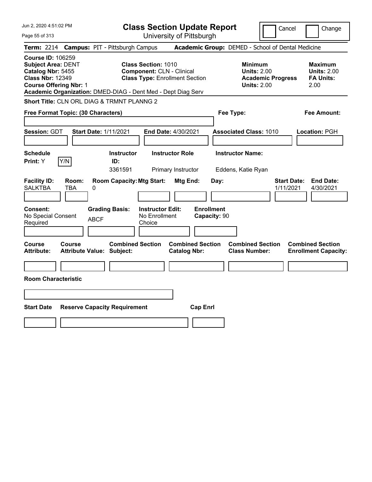Jun 2, 2020 4:51:02 PM Page 55 of 313 **Class Section Update Report** University of Pittsburgh Cancel | Change **Term:** 2214 **Campus:** PIT - Pittsburgh Campus **Academic Group:** DEMED - School of Dental Medicine **Course ID:** 106259 **Subject Area:** DENT **Class Section:** 1010 **Minimum Maximum Catalog Nbr:** 5455 **Component:** CLN - Clinical **Units: 2.00** Units: 2.00 **Units: 2.00**<br> **Class Nbr:** 12349 **Class Type:** Enrollment Section **Academic Progress** FA Units: **Class Type: Enrollment Section <b>Academic Progress FA Units: Course Offering Nbr:** 1 **Units:** 2.00 2.00 **Academic Organization:** DMED-DIAG - Dent Med - Dept Diag Serv **Short Title:** CLN ORL DIAG & TRMNT PLANNG 2 **Free Format Topic: (30 Characters) Fee Type: Fee Amount: Session:** GDT **Start Date:** 1/11/2021 **End Date:** 4/30/2021 **Associated Class:** 1010 **Location:** PGH **Schedule Instructor Instructor Role Instructor Name: Print:**  $Y$   $|Y/N|$  **ID:** 3361591 Primary Instructor Eddens, Katie Ryan **Facility ID: Room: Room Capacity:Mtg Start: Mtg End: Day: Start Date: End Date:** SALKTBA TBA 0 1/11/2021 4/30/2021 **Consent: Grading Basis: Instructor Edit: Enrollment** No Special Consent BCF No Enrollment<br>Required ABCF Choice Choice **Capacity:** 90 **Course Course Combined Section Combined Section Combined Section Combined Section Attribute: Attribute Value: Subject: Catalog Nbr: Class Number: Enrollment Capacity: Room Characteristic Start Date Reserve Capacity Requirement Cap Enrl**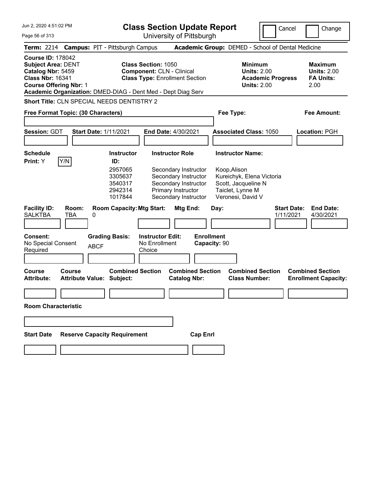|  |  | Jun 2, 2020 4:51:02 PM |  |
|--|--|------------------------|--|
|--|--|------------------------|--|

Page 56 of 313

## **Class Section Update Report**

University of Pittsburgh

Cancel Change

**Term:** 2214 **Campus:** PIT - Pittsburgh Campus **Academic Group:** DEMED - School of Dental Medicine **Course ID:** 178042 **Subject Area:** DENT **Class Section:** 1050 **Minimum Maximum Catalog Nbr:** 5459 **Component:** CLN - Clinical **Units:** 2.00 **Units:** 2.00 **Class Nbr:** 16341 **Class Type:** Enrollment Section **Academic Progress FA Units: Course Offering Nbr:** 1 **Units:** 2.00 2.00 **Academic Organization:** DMED-DIAG - Dent Med - Dept Diag Serv **Short Title:** CLN SPECIAL NEEDS DENTISTRY 2 **Free Format Topic: (30 Characters) Fee Type: Fee Amount: Session:** GDT **Start Date:** 1/11/2021 **End Date:** 4/30/2021 **Associated Class:** 1050 **Location:** PGH **Schedule Instructor Instructor Role Instructor Name: Print:**  $Y$   $|Y/N|$  **ID:** 2957065 Secondary Instructor Koop,Alison 3305637 Secondary Instructor Kureichyk, Elena Victoria 3540317 Secondary Instructor Scott, Jacqueline N 2942314 Primary Instructor Taiclet, Lynne M 1017844 Secondary Instructor Veronesi, David V **Facility ID: Room: Room Capacity:Mtg Start: Mtg End: Day: Start Date: End Date:** SALKTBA TBA 0 1/11/2021 4/30/2021 **Consent: Grading Basis: Instructor Edit: Enrollment** No Special Consent Required ABCF No Enrollment **Choice Capacity:** 90 **Course Course Combined Section Combined Section Combined Section Combined Section Attribute: Attribute Value: Subject: Catalog Nbr: Class Number: Enrollment Capacity: Room Characteristic Start Date Reserve Capacity Requirement Cap Enrl**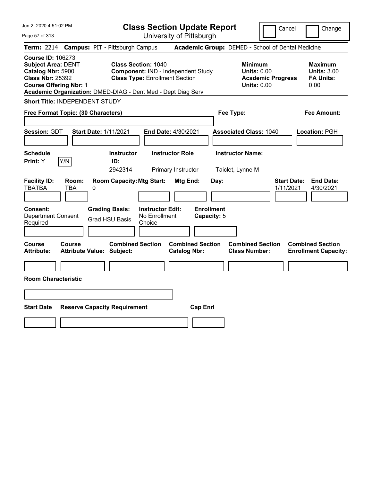| Academic Group: DEMED - School of Dental Medicine<br><b>Term: 2214</b><br><b>Campus: PIT - Pittsburgh Campus</b>                                                                                                                                                                                                                                                                                                                                                                  |  |
|-----------------------------------------------------------------------------------------------------------------------------------------------------------------------------------------------------------------------------------------------------------------------------------------------------------------------------------------------------------------------------------------------------------------------------------------------------------------------------------|--|
| <b>Course ID: 106273</b><br><b>Class Section: 1040</b><br><b>Subject Area: DENT</b><br><b>Minimum</b><br><b>Maximum</b><br>Catalog Nbr: 5900<br>Component: IND - Independent Study<br><b>Units: 0.00</b><br><b>Units: 3.00</b><br><b>Class Nbr: 25392</b><br><b>Class Type: Enrollment Section</b><br><b>FA Units:</b><br><b>Academic Progress</b><br><b>Course Offering Nbr: 1</b><br><b>Units: 0.00</b><br>0.00<br>Academic Organization: DMED-DIAG - Dent Med - Dept Diag Serv |  |
| <b>Short Title: INDEPENDENT STUDY</b>                                                                                                                                                                                                                                                                                                                                                                                                                                             |  |
| <b>Fee Amount:</b><br>Free Format Topic: (30 Characters)<br>Fee Type:                                                                                                                                                                                                                                                                                                                                                                                                             |  |
| Session: GDT<br><b>Start Date: 1/11/2021</b><br>End Date: 4/30/2021<br><b>Associated Class: 1040</b><br>Location: PGH                                                                                                                                                                                                                                                                                                                                                             |  |
| <b>Instructor Name:</b><br><b>Schedule</b><br><b>Instructor</b><br><b>Instructor Role</b>                                                                                                                                                                                                                                                                                                                                                                                         |  |
| Y/N<br>Print: Y<br>ID:<br>2942314<br>Primary Instructor<br>Taiclet, Lynne M                                                                                                                                                                                                                                                                                                                                                                                                       |  |
| <b>Room Capacity: Mtg Start:</b><br><b>Start Date:</b><br><b>End Date:</b><br><b>Facility ID:</b><br>Room:<br>Mtg End:<br>Day:<br><b>TBATBA</b><br>TBA<br>0<br>1/11/2021<br>4/30/2021                                                                                                                                                                                                                                                                                             |  |
| <b>Enrollment</b><br>Consent:<br><b>Grading Basis:</b><br><b>Instructor Edit:</b><br><b>Department Consent</b><br>No Enrollment<br>Capacity: 5<br><b>Grad HSU Basis</b><br>Required<br>Choice                                                                                                                                                                                                                                                                                     |  |
| <b>Combined Section</b><br><b>Combined Section</b><br><b>Combined Section</b><br><b>Course</b><br><b>Course</b><br><b>Combined Section</b><br><b>Attribute Value: Subject:</b><br><b>Catalog Nbr:</b><br><b>Class Number:</b><br><b>Attribute:</b><br><b>Enrollment Capacity:</b>                                                                                                                                                                                                 |  |
|                                                                                                                                                                                                                                                                                                                                                                                                                                                                                   |  |
| <b>Room Characteristic</b>                                                                                                                                                                                                                                                                                                                                                                                                                                                        |  |
|                                                                                                                                                                                                                                                                                                                                                                                                                                                                                   |  |
|                                                                                                                                                                                                                                                                                                                                                                                                                                                                                   |  |
| <b>Start Date</b><br><b>Reserve Capacity Requirement</b><br><b>Cap Enrl</b>                                                                                                                                                                                                                                                                                                                                                                                                       |  |
|                                                                                                                                                                                                                                                                                                                                                                                                                                                                                   |  |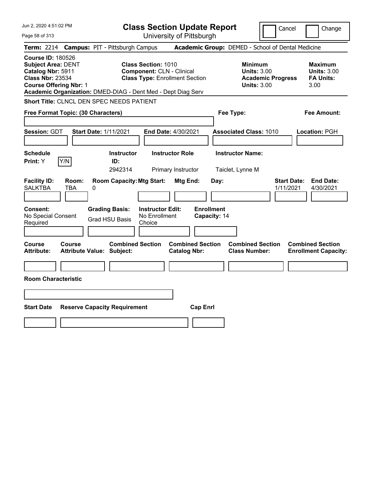| Jun 2, 2020 4:51:02 PM                                                                                                                                                                                 | <b>Class Section Update Report</b>                                                                      | Cancel                                                                                 | Change                                                           |
|--------------------------------------------------------------------------------------------------------------------------------------------------------------------------------------------------------|---------------------------------------------------------------------------------------------------------|----------------------------------------------------------------------------------------|------------------------------------------------------------------|
| Page 58 of 313                                                                                                                                                                                         | University of Pittsburgh                                                                                |                                                                                        |                                                                  |
| <b>Campus: PIT - Pittsburgh Campus</b><br><b>Term: 2214</b>                                                                                                                                            |                                                                                                         | Academic Group: DEMED - School of Dental Medicine                                      |                                                                  |
| <b>Course ID: 180526</b><br><b>Subject Area: DENT</b><br>Catalog Nbr: 5911<br><b>Class Nbr: 23534</b><br><b>Course Offering Nbr: 1</b><br>Academic Organization: DMED-DIAG - Dent Med - Dept Diag Serv | <b>Class Section: 1010</b><br><b>Component: CLN - Clinical</b><br><b>Class Type: Enrollment Section</b> | <b>Minimum</b><br><b>Units: 3.00</b><br><b>Academic Progress</b><br><b>Units: 3.00</b> | <b>Maximum</b><br><b>Units: 3.00</b><br><b>FA Units:</b><br>3.00 |
| Short Title: CLNCL DEN SPEC NEEDS PATIENT                                                                                                                                                              |                                                                                                         |                                                                                        |                                                                  |
| Free Format Topic: (30 Characters)                                                                                                                                                                     |                                                                                                         | Fee Type:                                                                              | Fee Amount:                                                      |
| Session: GDT<br><b>Start Date: 1/11/2021</b>                                                                                                                                                           | End Date: 4/30/2021                                                                                     | <b>Associated Class: 1010</b>                                                          | Location: PGH                                                    |
| <b>Schedule</b><br>Y/N<br>Print: Y<br>ID:                                                                                                                                                              | <b>Instructor Role</b><br><b>Instructor</b><br>2942314<br>Primary Instructor                            | <b>Instructor Name:</b><br>Taiclet, Lynne M                                            |                                                                  |
| <b>Facility ID:</b><br>Room:<br><b>SALKTBA</b><br>TBA<br>0                                                                                                                                             | <b>Room Capacity: Mtg Start:</b><br>Mtg End:                                                            | <b>Start Date:</b><br>Day:<br>1/11/2021                                                | <b>End Date:</b><br>4/30/2021                                    |
| <b>Consent:</b><br><b>Grading Basis:</b><br>No Special Consent<br><b>Grad HSU Basis</b><br>Required                                                                                                    | <b>Enrollment</b><br><b>Instructor Edit:</b><br>No Enrollment<br>Capacity: 14<br>Choice                 |                                                                                        |                                                                  |
| Course<br>Course<br><b>Attribute Value: Subject:</b><br>Attribute:                                                                                                                                     | <b>Combined Section</b><br><b>Combined Section</b><br><b>Catalog Nbr:</b>                               | <b>Combined Section</b><br><b>Class Number:</b>                                        | <b>Combined Section</b><br><b>Enrollment Capacity:</b>           |
|                                                                                                                                                                                                        |                                                                                                         |                                                                                        |                                                                  |
| <b>Room Characteristic</b>                                                                                                                                                                             |                                                                                                         |                                                                                        |                                                                  |
|                                                                                                                                                                                                        |                                                                                                         |                                                                                        |                                                                  |
| <b>Start Date</b><br><b>Reserve Capacity Requirement</b>                                                                                                                                               | <b>Cap Enrl</b>                                                                                         |                                                                                        |                                                                  |
|                                                                                                                                                                                                        |                                                                                                         |                                                                                        |                                                                  |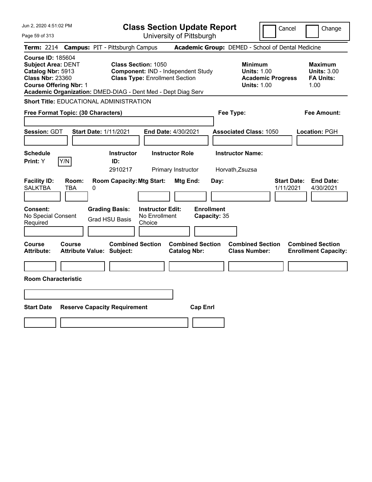| Jun 2, 2020 4:51:02 PM<br><b>Class Section Update Report</b><br>Cancel                                                                                                                                                                                                                                                                                                                                        | Change                                                           |
|---------------------------------------------------------------------------------------------------------------------------------------------------------------------------------------------------------------------------------------------------------------------------------------------------------------------------------------------------------------------------------------------------------------|------------------------------------------------------------------|
| University of Pittsburgh<br>Page 59 of 313                                                                                                                                                                                                                                                                                                                                                                    |                                                                  |
| Academic Group: DEMED - School of Dental Medicine<br><b>Campus: PIT - Pittsburgh Campus</b><br><b>Term: 2214</b>                                                                                                                                                                                                                                                                                              |                                                                  |
| <b>Course ID: 185604</b><br><b>Subject Area: DENT</b><br><b>Class Section: 1050</b><br><b>Minimum</b><br>Catalog Nbr: 5913<br>Component: IND - Independent Study<br><b>Units: 1.00</b><br><b>Class Nbr: 23360</b><br><b>Class Type: Enrollment Section</b><br><b>Academic Progress</b><br><b>Course Offering Nbr: 1</b><br><b>Units: 1.00</b><br>Academic Organization: DMED-DIAG - Dent Med - Dept Diag Serv | <b>Maximum</b><br><b>Units: 3.00</b><br><b>FA Units:</b><br>1.00 |
| <b>Short Title: EDUCATIONAL ADMINISTRATION</b>                                                                                                                                                                                                                                                                                                                                                                |                                                                  |
| Free Format Topic: (30 Characters)<br>Fee Type:                                                                                                                                                                                                                                                                                                                                                               | Fee Amount:                                                      |
| Session: GDT<br><b>Start Date: 1/11/2021</b><br>End Date: 4/30/2021<br><b>Associated Class: 1050</b>                                                                                                                                                                                                                                                                                                          | Location: PGH                                                    |
| <b>Schedule</b><br><b>Instructor Role</b><br><b>Instructor Name:</b><br><b>Instructor</b><br>Y/N<br>Print: Y<br>ID:                                                                                                                                                                                                                                                                                           |                                                                  |
| 2910217<br>Primary Instructor<br>Horvath, Zsuzsa                                                                                                                                                                                                                                                                                                                                                              |                                                                  |
| <b>Facility ID:</b><br>Room:<br><b>Room Capacity: Mtg Start:</b><br>Mtg End:<br><b>Start Date:</b><br>Day:<br><b>SALKTBA</b><br>TBA<br>0<br>1/11/2021<br><b>Enrollment</b><br>Consent:<br><b>Grading Basis:</b><br><b>Instructor Edit:</b><br>No Special Consent<br>No Enrollment<br>Capacity: 35<br><b>Grad HSU Basis</b><br>Required<br>Choice                                                              | <b>End Date:</b><br>4/30/2021                                    |
| <b>Combined Section</b><br><b>Combined Section</b><br><b>Combined Section</b><br>Course<br><b>Course</b><br><b>Class Number:</b><br><b>Attribute:</b><br><b>Attribute Value: Subject:</b><br><b>Catalog Nbr:</b>                                                                                                                                                                                              | <b>Combined Section</b><br><b>Enrollment Capacity:</b>           |
|                                                                                                                                                                                                                                                                                                                                                                                                               |                                                                  |
| <b>Room Characteristic</b>                                                                                                                                                                                                                                                                                                                                                                                    |                                                                  |
|                                                                                                                                                                                                                                                                                                                                                                                                               |                                                                  |
| <b>Start Date</b><br><b>Reserve Capacity Requirement</b><br><b>Cap Enrl</b>                                                                                                                                                                                                                                                                                                                                   |                                                                  |
|                                                                                                                                                                                                                                                                                                                                                                                                               |                                                                  |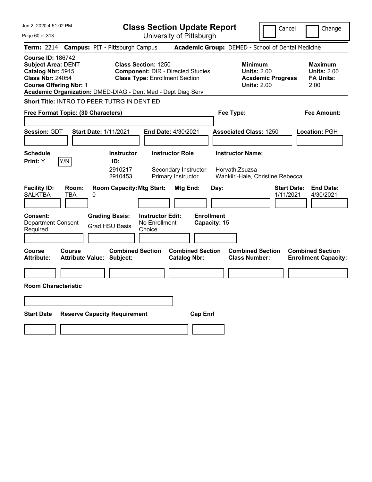| Jun 2, 2020 4:51:02 PM                                                                                                                 |                                                              |                                                | <b>Class Section Update Report</b>                                                                              |                                                                      |                   |              |                                                                                |                          | Cancel                          | Change                                                           |
|----------------------------------------------------------------------------------------------------------------------------------------|--------------------------------------------------------------|------------------------------------------------|-----------------------------------------------------------------------------------------------------------------|----------------------------------------------------------------------|-------------------|--------------|--------------------------------------------------------------------------------|--------------------------|---------------------------------|------------------------------------------------------------------|
| Page 60 of 313                                                                                                                         |                                                              |                                                |                                                                                                                 | University of Pittsburgh                                             |                   |              |                                                                                |                          |                                 |                                                                  |
| <b>Term: 2214</b>                                                                                                                      | <b>Campus: PIT - Pittsburgh Campus</b>                       |                                                |                                                                                                                 |                                                                      |                   |              | Academic Group: DEMED - School of Dental Medicine                              |                          |                                 |                                                                  |
| <b>Course ID: 186742</b><br><b>Subject Area: DENT</b><br>Catalog Nbr: 5915<br><b>Class Nbr: 24054</b><br><b>Course Offering Nbr: 1</b> | Academic Organization: DMED-DIAG - Dent Med - Dept Diag Serv |                                                | <b>Class Section: 1250</b><br><b>Component: DIR - Directed Studies</b><br><b>Class Type: Enrollment Section</b> |                                                                      |                   |              | <b>Minimum</b><br><b>Units: 2.00</b><br><b>Units: 2.00</b>                     | <b>Academic Progress</b> |                                 | <b>Maximum</b><br><b>Units: 2.00</b><br><b>FA Units:</b><br>2.00 |
|                                                                                                                                        | Short Title: INTRO TO PEER TUTRG IN DENT ED                  |                                                |                                                                                                                 |                                                                      |                   |              |                                                                                |                          |                                 |                                                                  |
|                                                                                                                                        | Free Format Topic: (30 Characters)                           |                                                |                                                                                                                 |                                                                      |                   |              | Fee Type:                                                                      |                          |                                 | Fee Amount:                                                      |
| Session: GDT                                                                                                                           | <b>Start Date: 1/11/2021</b>                                 |                                                |                                                                                                                 | <b>End Date: 4/30/2021</b>                                           |                   |              | <b>Associated Class: 1250</b>                                                  |                          |                                 | Location: PGH                                                    |
| <b>Schedule</b><br>Print: Y                                                                                                            | Y/N                                                          | <b>Instructor</b><br>ID:<br>2910217<br>2910453 |                                                                                                                 | <b>Instructor Role</b><br>Secondary Instructor<br>Primary Instructor |                   |              | <b>Instructor Name:</b><br>Horvath, Zsuzsa<br>Wankiiri-Hale, Christine Rebecca |                          |                                 |                                                                  |
| <b>Facility ID:</b><br><b>SALKTBA</b>                                                                                                  | Room:<br><b>TBA</b><br>0                                     | <b>Room Capacity: Mtg Start:</b>               |                                                                                                                 | Mtg End:                                                             |                   | Day:         |                                                                                |                          | <b>Start Date:</b><br>1/11/2021 | <b>End Date:</b><br>4/30/2021                                    |
| <b>Consent:</b><br><b>Department Consent</b><br>Required                                                                               |                                                              | <b>Grading Basis:</b><br><b>Grad HSU Basis</b> | <b>Instructor Edit:</b><br>No Enrollment<br>Choice                                                              |                                                                      | <b>Enrollment</b> | Capacity: 15 |                                                                                |                          |                                 |                                                                  |
| Course<br><b>Attribute:</b>                                                                                                            | Course<br><b>Attribute Value: Subject:</b>                   | <b>Combined Section</b>                        |                                                                                                                 | <b>Combined Section</b><br><b>Catalog Nbr:</b>                       |                   |              | <b>Combined Section</b><br><b>Class Number:</b>                                |                          |                                 | <b>Combined Section</b><br><b>Enrollment Capacity:</b>           |
|                                                                                                                                        |                                                              |                                                |                                                                                                                 |                                                                      |                   |              |                                                                                |                          |                                 |                                                                  |
| <b>Room Characteristic</b>                                                                                                             |                                                              |                                                |                                                                                                                 |                                                                      |                   |              |                                                                                |                          |                                 |                                                                  |
|                                                                                                                                        |                                                              |                                                |                                                                                                                 |                                                                      |                   |              |                                                                                |                          |                                 |                                                                  |
| <b>Start Date</b>                                                                                                                      | <b>Reserve Capacity Requirement</b>                          |                                                |                                                                                                                 |                                                                      | <b>Cap Enri</b>   |              |                                                                                |                          |                                 |                                                                  |
|                                                                                                                                        |                                                              |                                                |                                                                                                                 |                                                                      |                   |              |                                                                                |                          |                                 |                                                                  |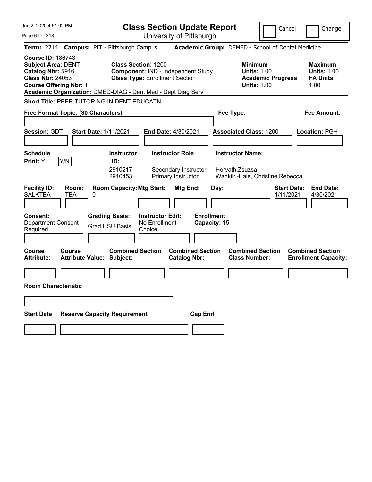| Jun 2, 2020 4:51:02 PM                                                                                                                 |                                                              |                                                                     |                                                    | <b>Class Section Update Report</b>                                   |                                   |                                                            | Cancel                                            | Change                                                           |
|----------------------------------------------------------------------------------------------------------------------------------------|--------------------------------------------------------------|---------------------------------------------------------------------|----------------------------------------------------|----------------------------------------------------------------------|-----------------------------------|------------------------------------------------------------|---------------------------------------------------|------------------------------------------------------------------|
| Page 61 of 313                                                                                                                         |                                                              |                                                                     |                                                    | University of Pittsburgh                                             |                                   |                                                            |                                                   |                                                                  |
| <b>Term: 2214</b>                                                                                                                      | <b>Campus: PIT - Pittsburgh Campus</b>                       |                                                                     |                                                    |                                                                      |                                   |                                                            | Academic Group: DEMED - School of Dental Medicine |                                                                  |
| <b>Course ID: 186743</b><br><b>Subject Area: DENT</b><br>Catalog Nbr: 5916<br><b>Class Nbr: 24053</b><br><b>Course Offering Nbr: 1</b> | Academic Organization: DMED-DIAG - Dent Med - Dept Diag Serv | <b>Class Section: 1200</b><br><b>Class Type: Enrollment Section</b> |                                                    | Component: IND - Independent Study                                   |                                   | <b>Minimum</b><br><b>Units: 1.00</b><br><b>Units: 1.00</b> | <b>Academic Progress</b>                          | <b>Maximum</b><br><b>Units: 1.00</b><br><b>FA Units:</b><br>1.00 |
|                                                                                                                                        | Short Title: PEER TUTORING IN DENT EDUCATN                   |                                                                     |                                                    |                                                                      |                                   |                                                            |                                                   |                                                                  |
|                                                                                                                                        | Free Format Topic: (30 Characters)                           |                                                                     |                                                    |                                                                      |                                   | Fee Type:                                                  |                                                   | Fee Amount:                                                      |
| Session: GDT                                                                                                                           | <b>Start Date: 1/11/2021</b>                                 |                                                                     |                                                    | <b>End Date: 4/30/2021</b>                                           |                                   | <b>Associated Class: 1200</b>                              |                                                   | Location: PGH                                                    |
| <b>Schedule</b><br>Print: Y                                                                                                            | Y/N                                                          | <b>Instructor</b><br>ID:<br>2910217<br>2910453                      |                                                    | <b>Instructor Role</b><br>Secondary Instructor<br>Primary Instructor |                                   | <b>Instructor Name:</b><br>Horvath, Zsuzsa                 | Wankiiri-Hale, Christine Rebecca                  |                                                                  |
| <b>Facility ID:</b><br><b>SALKTBA</b>                                                                                                  | Room:<br>TBA<br>0                                            | <b>Room Capacity: Mtg Start:</b>                                    |                                                    | Mtg End:                                                             | Day:                              |                                                            | <b>Start Date:</b><br>1/11/2021                   | <b>End Date:</b><br>4/30/2021                                    |
| <b>Consent:</b><br><b>Department Consent</b><br>Required                                                                               |                                                              | <b>Grading Basis:</b><br><b>Grad HSU Basis</b>                      | <b>Instructor Edit:</b><br>No Enrollment<br>Choice |                                                                      | <b>Enrollment</b><br>Capacity: 15 |                                                            |                                                   |                                                                  |
| Course<br><b>Attribute:</b>                                                                                                            | Course<br><b>Attribute Value: Subject:</b>                   | <b>Combined Section</b>                                             |                                                    | <b>Combined Section</b><br><b>Catalog Nbr:</b>                       |                                   | <b>Combined Section</b><br><b>Class Number:</b>            |                                                   | <b>Combined Section</b><br><b>Enrollment Capacity:</b>           |
|                                                                                                                                        |                                                              |                                                                     |                                                    |                                                                      |                                   |                                                            |                                                   |                                                                  |
| <b>Room Characteristic</b>                                                                                                             |                                                              |                                                                     |                                                    |                                                                      |                                   |                                                            |                                                   |                                                                  |
|                                                                                                                                        |                                                              |                                                                     |                                                    |                                                                      |                                   |                                                            |                                                   |                                                                  |
| <b>Start Date</b>                                                                                                                      | <b>Reserve Capacity Requirement</b>                          |                                                                     |                                                    | <b>Cap Enrl</b>                                                      |                                   |                                                            |                                                   |                                                                  |
|                                                                                                                                        |                                                              |                                                                     |                                                    |                                                                      |                                   |                                                            |                                                   |                                                                  |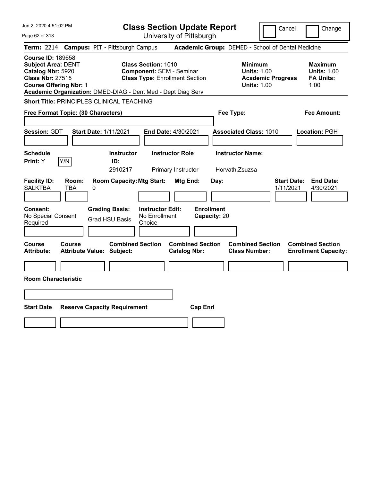| Jun 2, 2020 4:51:02 PM                                                                                                                                                                                 | <b>Class Section Update Report</b>                                                                     | Cancel                                                                                 | Change                                                           |
|--------------------------------------------------------------------------------------------------------------------------------------------------------------------------------------------------------|--------------------------------------------------------------------------------------------------------|----------------------------------------------------------------------------------------|------------------------------------------------------------------|
| Page 62 of 313                                                                                                                                                                                         | University of Pittsburgh                                                                               |                                                                                        |                                                                  |
| <b>Term: 2214</b><br><b>Campus: PIT - Pittsburgh Campus</b>                                                                                                                                            |                                                                                                        | Academic Group: DEMED - School of Dental Medicine                                      |                                                                  |
| <b>Course ID: 189658</b><br><b>Subject Area: DENT</b><br>Catalog Nbr: 5920<br><b>Class Nbr: 27515</b><br><b>Course Offering Nbr: 1</b><br>Academic Organization: DMED-DIAG - Dent Med - Dept Diag Serv | <b>Class Section: 1010</b><br><b>Component: SEM - Seminar</b><br><b>Class Type: Enrollment Section</b> | <b>Minimum</b><br><b>Units: 1.00</b><br><b>Academic Progress</b><br><b>Units: 1.00</b> | <b>Maximum</b><br><b>Units: 1.00</b><br><b>FA Units:</b><br>1.00 |
| <b>Short Title: PRINCIPLES CLINICAL TEACHING</b>                                                                                                                                                       |                                                                                                        |                                                                                        |                                                                  |
| Free Format Topic: (30 Characters)                                                                                                                                                                     |                                                                                                        | Fee Type:                                                                              | <b>Fee Amount:</b>                                               |
| Session: GDT<br><b>Start Date: 1/11/2021</b>                                                                                                                                                           | End Date: 4/30/2021                                                                                    | <b>Associated Class: 1010</b>                                                          | Location: PGH                                                    |
| <b>Schedule</b><br>Y/N<br>Print: Y<br>ID:                                                                                                                                                              | <b>Instructor Role</b><br><b>Instructor</b><br>2910217<br>Primary Instructor                           | <b>Instructor Name:</b><br>Horvath, Zsuzsa                                             |                                                                  |
| <b>Facility ID:</b><br>Room:<br><b>SALKTBA</b><br>TBA<br>0                                                                                                                                             | <b>Room Capacity: Mtg Start:</b><br>Mtg End:                                                           | <b>Start Date:</b><br>Day:<br>1/11/2021                                                | <b>End Date:</b><br>4/30/2021                                    |
| <b>Consent:</b><br><b>Grading Basis:</b><br>No Special Consent<br><b>Grad HSU Basis</b><br>Required                                                                                                    | <b>Enrollment</b><br><b>Instructor Edit:</b><br>No Enrollment<br>Capacity: 20<br>Choice                |                                                                                        |                                                                  |
| Course<br><b>Course</b><br><b>Attribute:</b><br><b>Attribute Value: Subject:</b>                                                                                                                       | <b>Combined Section</b><br><b>Combined Section</b><br><b>Catalog Nbr:</b>                              | <b>Combined Section</b><br><b>Class Number:</b>                                        | <b>Combined Section</b><br><b>Enrollment Capacity:</b>           |
|                                                                                                                                                                                                        |                                                                                                        |                                                                                        |                                                                  |
| <b>Room Characteristic</b>                                                                                                                                                                             |                                                                                                        |                                                                                        |                                                                  |
|                                                                                                                                                                                                        |                                                                                                        |                                                                                        |                                                                  |
| <b>Start Date</b><br><b>Reserve Capacity Requirement</b>                                                                                                                                               | <b>Cap Enrl</b>                                                                                        |                                                                                        |                                                                  |
|                                                                                                                                                                                                        |                                                                                                        |                                                                                        |                                                                  |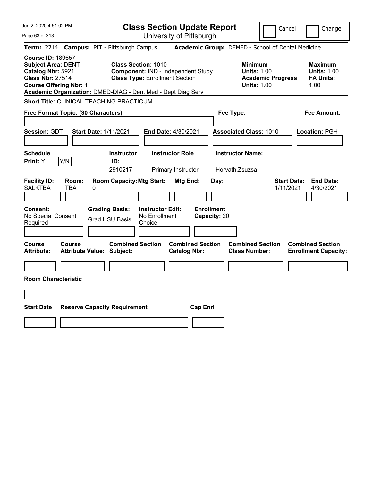| Jun 2, 2020 4:51:02 PM                                                                                                                 | <b>Class Section Update Report</b>                                                                                                                                        | Cancel                                                                                 | Change                                                           |
|----------------------------------------------------------------------------------------------------------------------------------------|---------------------------------------------------------------------------------------------------------------------------------------------------------------------------|----------------------------------------------------------------------------------------|------------------------------------------------------------------|
| Page 63 of 313                                                                                                                         | University of Pittsburgh                                                                                                                                                  |                                                                                        |                                                                  |
| <b>Term: 2214</b>                                                                                                                      | <b>Campus: PIT - Pittsburgh Campus</b>                                                                                                                                    | Academic Group: DEMED - School of Dental Medicine                                      |                                                                  |
| <b>Course ID: 189657</b><br><b>Subject Area: DENT</b><br>Catalog Nbr: 5921<br><b>Class Nbr: 27514</b><br><b>Course Offering Nbr: 1</b> | <b>Class Section: 1010</b><br>Component: IND - Independent Study<br><b>Class Type: Enrollment Section</b><br>Academic Organization: DMED-DIAG - Dent Med - Dept Diag Serv | <b>Minimum</b><br><b>Units: 1.00</b><br><b>Academic Progress</b><br><b>Units: 1.00</b> | <b>Maximum</b><br><b>Units: 1.00</b><br><b>FA Units:</b><br>1.00 |
| <b>Short Title: CLINICAL TEACHING PRACTICUM</b>                                                                                        |                                                                                                                                                                           |                                                                                        |                                                                  |
| Free Format Topic: (30 Characters)                                                                                                     |                                                                                                                                                                           | Fee Type:                                                                              | Fee Amount:                                                      |
| Session: GDT<br><b>Start Date: 1/11/2021</b>                                                                                           | End Date: 4/30/2021                                                                                                                                                       | <b>Associated Class: 1010</b>                                                          | Location: PGH                                                    |
| <b>Schedule</b><br>Y/N<br>Print: Y                                                                                                     | <b>Instructor Role</b><br><b>Instructor</b><br>ID:<br>2910217<br>Primary Instructor                                                                                       | <b>Instructor Name:</b><br>Horvath, Zsuzsa                                             |                                                                  |
| <b>Facility ID:</b><br>Room:<br><b>SALKTBA</b><br>TBA<br>0                                                                             | <b>Room Capacity: Mtg Start:</b><br>Mtg End:                                                                                                                              | <b>Start Date:</b><br>Day:<br>1/11/2021                                                | <b>End Date:</b><br>4/30/2021                                    |
| <b>Consent:</b><br>No Special Consent<br>Required                                                                                      | <b>Enrollment</b><br><b>Grading Basis:</b><br><b>Instructor Edit:</b><br>No Enrollment<br><b>Grad HSU Basis</b><br>Choice                                                 | Capacity: 20                                                                           |                                                                  |
| Course<br>Course<br><b>Attribute Value: Subject:</b><br>Attribute:                                                                     | <b>Combined Section</b><br><b>Combined Section</b><br><b>Catalog Nbr:</b>                                                                                                 | <b>Combined Section</b><br><b>Class Number:</b>                                        | <b>Combined Section</b><br><b>Enrollment Capacity:</b>           |
|                                                                                                                                        |                                                                                                                                                                           |                                                                                        |                                                                  |
| <b>Room Characteristic</b>                                                                                                             |                                                                                                                                                                           |                                                                                        |                                                                  |
|                                                                                                                                        |                                                                                                                                                                           |                                                                                        |                                                                  |
| <b>Start Date</b><br><b>Reserve Capacity Requirement</b>                                                                               | <b>Cap Enrl</b>                                                                                                                                                           |                                                                                        |                                                                  |
|                                                                                                                                        |                                                                                                                                                                           |                                                                                        |                                                                  |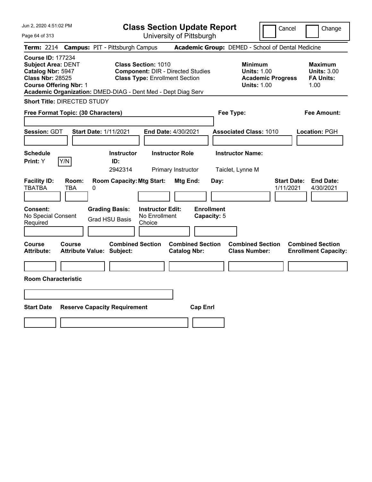| Jun 2, 2020 4:51:02 PM<br>Page 64 of 313                                                                                               | <b>Class Section Update Report</b><br>University of Pittsburgh                                                                                                                  |                                                                                        | Cancel<br>Change                                                 |
|----------------------------------------------------------------------------------------------------------------------------------------|---------------------------------------------------------------------------------------------------------------------------------------------------------------------------------|----------------------------------------------------------------------------------------|------------------------------------------------------------------|
| Term: 2214 Campus: PIT - Pittsburgh Campus                                                                                             |                                                                                                                                                                                 | Academic Group: DEMED - School of Dental Medicine                                      |                                                                  |
| <b>Course ID: 177234</b><br><b>Subject Area: DENT</b><br>Catalog Nbr: 5947<br><b>Class Nbr: 28525</b><br><b>Course Offering Nbr: 1</b> | <b>Class Section: 1010</b><br><b>Component: DIR - Directed Studies</b><br><b>Class Type: Enrollment Section</b><br>Academic Organization: DMED-DIAG - Dent Med - Dept Diag Serv | <b>Minimum</b><br><b>Units: 1.00</b><br><b>Academic Progress</b><br><b>Units: 1.00</b> | <b>Maximum</b><br><b>Units: 3.00</b><br><b>FA Units:</b><br>1.00 |
| <b>Short Title: DIRECTED STUDY</b>                                                                                                     |                                                                                                                                                                                 |                                                                                        |                                                                  |
| Free Format Topic: (30 Characters)                                                                                                     |                                                                                                                                                                                 | Fee Type:                                                                              | <b>Fee Amount:</b>                                               |
| Session: GDT<br><b>Start Date: 1/11/2021</b><br>Schedule                                                                               | End Date: 4/30/2021<br><b>Instructor Role</b><br><b>Instructor</b>                                                                                                              | <b>Associated Class: 1010</b><br><b>Instructor Name:</b>                               | Location: PGH                                                    |
| Y/N<br>Print: Y                                                                                                                        | ID:                                                                                                                                                                             |                                                                                        |                                                                  |
| <b>Facility ID:</b><br>Room:<br>TBATBA<br>TBA<br>0                                                                                     | 2942314<br>Primary Instructor<br><b>Room Capacity: Mtg Start:</b><br>Mtg End:                                                                                                   | Taiclet, Lynne M<br>Day:                                                               | <b>Start Date:</b><br><b>End Date:</b><br>1/11/2021<br>4/30/2021 |
| Consent:<br><b>Grading Basis:</b><br>No Special Consent<br><b>Grad HSU Basis</b><br>Required                                           | <b>Instructor Edit:</b><br>No Enrollment<br>Choice                                                                                                                              | <b>Enrollment</b><br>Capacity: 5                                                       |                                                                  |
| <b>Course</b><br><b>Course</b><br><b>Attribute:</b><br><b>Attribute Value: Subject:</b>                                                | <b>Combined Section</b><br><b>Combined Section</b><br><b>Catalog Nbr:</b>                                                                                                       | <b>Combined Section</b><br><b>Class Number:</b>                                        | <b>Combined Section</b><br><b>Enrollment Capacity:</b>           |
|                                                                                                                                        |                                                                                                                                                                                 |                                                                                        |                                                                  |
| <b>Room Characteristic</b>                                                                                                             |                                                                                                                                                                                 |                                                                                        |                                                                  |
|                                                                                                                                        |                                                                                                                                                                                 |                                                                                        |                                                                  |
| <b>Start Date</b><br><b>Reserve Capacity Requirement</b>                                                                               | <b>Cap Enrl</b>                                                                                                                                                                 |                                                                                        |                                                                  |
|                                                                                                                                        |                                                                                                                                                                                 |                                                                                        |                                                                  |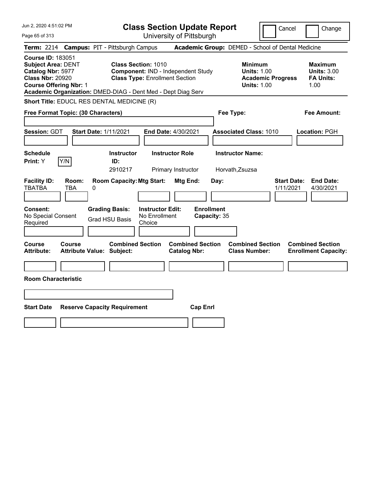| Jun 2, 2020 4:51:02 PM                                                                                                                 | <b>Class Section Update Report</b>                                                                                                                                        |                                                                            | Cancel<br>Change                                                                             |
|----------------------------------------------------------------------------------------------------------------------------------------|---------------------------------------------------------------------------------------------------------------------------------------------------------------------------|----------------------------------------------------------------------------|----------------------------------------------------------------------------------------------|
| Page 65 of 313                                                                                                                         | University of Pittsburgh                                                                                                                                                  |                                                                            |                                                                                              |
| <b>Term: 2214</b>                                                                                                                      | <b>Campus: PIT - Pittsburgh Campus</b>                                                                                                                                    | Academic Group: DEMED - School of Dental Medicine                          |                                                                                              |
| <b>Course ID: 183051</b><br><b>Subject Area: DENT</b><br>Catalog Nbr: 5977<br><b>Class Nbr: 20920</b><br><b>Course Offering Nbr: 1</b> | <b>Class Section: 1010</b><br>Component: IND - Independent Study<br><b>Class Type: Enrollment Section</b><br>Academic Organization: DMED-DIAG - Dent Med - Dept Diag Serv | <b>Minimum</b><br><b>Units: 1.00</b><br><b>Units: 1.00</b>                 | <b>Maximum</b><br><b>Units: 3.00</b><br><b>Academic Progress</b><br><b>FA Units:</b><br>1.00 |
|                                                                                                                                        | Short Title: EDUCL RES DENTAL MEDICINE (R)                                                                                                                                |                                                                            |                                                                                              |
| Free Format Topic: (30 Characters)                                                                                                     |                                                                                                                                                                           | Fee Type:                                                                  | Fee Amount:                                                                                  |
| <b>Session: GDT</b>                                                                                                                    | <b>Start Date: 1/11/2021</b><br>End Date: 4/30/2021                                                                                                                       | <b>Associated Class: 1010</b>                                              | Location: PGH                                                                                |
| <b>Schedule</b><br>Y/N<br>Print: Y                                                                                                     | <b>Instructor Role</b><br><b>Instructor</b><br>ID:<br>2910217<br>Primary Instructor                                                                                       | <b>Instructor Name:</b><br>Horvath, Zsuzsa                                 |                                                                                              |
| <b>Facility ID:</b><br>Room:<br><b>TBATBA</b><br>TBA                                                                                   | <b>Room Capacity: Mtg Start:</b><br>Mtg End:<br>0                                                                                                                         | Day:                                                                       | <b>Start Date:</b><br><b>End Date:</b><br>1/11/2021<br>4/30/2021                             |
| <b>Consent:</b><br>No Special Consent<br>Required                                                                                      | <b>Grading Basis:</b><br><b>Instructor Edit:</b><br>No Enrollment<br><b>Grad HSU Basis</b><br>Choice                                                                      | <b>Enrollment</b><br>Capacity: 35                                          |                                                                                              |
| Course<br><b>Course</b><br><b>Attribute:</b>                                                                                           | <b>Combined Section</b><br><b>Catalog Nbr:</b><br><b>Attribute Value: Subject:</b>                                                                                        | <b>Combined Section</b><br><b>Combined Section</b><br><b>Class Number:</b> | <b>Combined Section</b><br><b>Enrollment Capacity:</b>                                       |
|                                                                                                                                        |                                                                                                                                                                           |                                                                            |                                                                                              |
| <b>Room Characteristic</b>                                                                                                             |                                                                                                                                                                           |                                                                            |                                                                                              |
|                                                                                                                                        |                                                                                                                                                                           |                                                                            |                                                                                              |
| <b>Start Date</b>                                                                                                                      | <b>Reserve Capacity Requirement</b>                                                                                                                                       | <b>Cap Enrl</b>                                                            |                                                                                              |
|                                                                                                                                        |                                                                                                                                                                           |                                                                            |                                                                                              |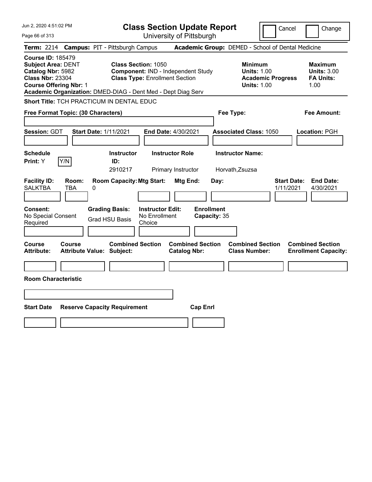| Jun 2, 2020 4:51:02 PM                                                                                                                                                                                 |                                                   |                                                                                                           | <b>Class Section Update Report</b>       |                                                |                                           |                                                            | Cancel                   | Change                                                           |  |
|--------------------------------------------------------------------------------------------------------------------------------------------------------------------------------------------------------|---------------------------------------------------|-----------------------------------------------------------------------------------------------------------|------------------------------------------|------------------------------------------------|-------------------------------------------|------------------------------------------------------------|--------------------------|------------------------------------------------------------------|--|
| Page 66 of 313                                                                                                                                                                                         |                                                   |                                                                                                           | University of Pittsburgh                 |                                                |                                           |                                                            |                          |                                                                  |  |
| <b>Term: 2214</b>                                                                                                                                                                                      |                                                   | <b>Campus: PIT - Pittsburgh Campus</b>                                                                    |                                          |                                                |                                           |                                                            |                          | Academic Group: DEMED - School of Dental Medicine                |  |
| <b>Course ID: 185479</b><br><b>Subject Area: DENT</b><br>Catalog Nbr: 5982<br><b>Class Nbr: 23304</b><br><b>Course Offering Nbr: 1</b><br>Academic Organization: DMED-DIAG - Dent Med - Dept Diag Serv |                                                   | <b>Class Section: 1050</b><br>Component: IND - Independent Study<br><b>Class Type: Enrollment Section</b> |                                          |                                                |                                           | <b>Minimum</b><br><b>Units: 1.00</b><br><b>Units: 1.00</b> | <b>Academic Progress</b> | <b>Maximum</b><br><b>Units: 3.00</b><br><b>FA Units:</b><br>1.00 |  |
| Short Title: TCH PRACTICUM IN DENTAL EDUC                                                                                                                                                              |                                                   |                                                                                                           |                                          |                                                |                                           |                                                            |                          |                                                                  |  |
| Free Format Topic: (30 Characters)                                                                                                                                                                     |                                                   |                                                                                                           |                                          |                                                |                                           | Fee Type:                                                  |                          | Fee Amount:                                                      |  |
| Session: GDT                                                                                                                                                                                           | <b>Start Date: 1/11/2021</b>                      |                                                                                                           | End Date: 4/30/2021                      |                                                |                                           | <b>Associated Class: 1050</b>                              |                          | Location: PGH                                                    |  |
| <b>Schedule</b><br>Y/N<br>Print: Y                                                                                                                                                                     |                                                   | <b>Instructor</b><br>ID:                                                                                  | <b>Instructor Role</b>                   |                                                |                                           | <b>Instructor Name:</b>                                    |                          |                                                                  |  |
|                                                                                                                                                                                                        |                                                   | 2910217                                                                                                   | Primary Instructor                       |                                                |                                           | Horvath, Zsuzsa                                            |                          |                                                                  |  |
| <b>Facility ID:</b><br><b>SALKTBA</b><br>Consent:<br>No Special Consent<br>Required                                                                                                                    | Room:<br><b>TBA</b><br>0                          | <b>Room Capacity: Mtg Start:</b><br><b>Grading Basis:</b><br><b>Grad HSU Basis</b><br>Choice              | <b>Instructor Edit:</b><br>No Enrollment | Mtg End:                                       | Day:<br><b>Enrollment</b><br>Capacity: 35 |                                                            | 1/11/2021                | <b>Start Date:</b><br><b>End Date:</b><br>4/30/2021              |  |
| <b>Course</b><br><b>Attribute:</b>                                                                                                                                                                     | <b>Course</b><br><b>Attribute Value: Subject:</b> | <b>Combined Section</b>                                                                                   |                                          | <b>Combined Section</b><br><b>Catalog Nbr:</b> |                                           | <b>Combined Section</b><br><b>Class Number:</b>            |                          | <b>Combined Section</b><br><b>Enrollment Capacity:</b>           |  |
|                                                                                                                                                                                                        |                                                   |                                                                                                           |                                          |                                                |                                           |                                                            |                          |                                                                  |  |
| <b>Room Characteristic</b>                                                                                                                                                                             |                                                   |                                                                                                           |                                          |                                                |                                           |                                                            |                          |                                                                  |  |
|                                                                                                                                                                                                        |                                                   |                                                                                                           |                                          |                                                |                                           |                                                            |                          |                                                                  |  |
| <b>Start Date</b>                                                                                                                                                                                      |                                                   | <b>Reserve Capacity Requirement</b>                                                                       |                                          | <b>Cap Enrl</b>                                |                                           |                                                            |                          |                                                                  |  |
|                                                                                                                                                                                                        |                                                   |                                                                                                           |                                          |                                                |                                           |                                                            |                          |                                                                  |  |
|                                                                                                                                                                                                        |                                                   |                                                                                                           |                                          |                                                |                                           |                                                            |                          |                                                                  |  |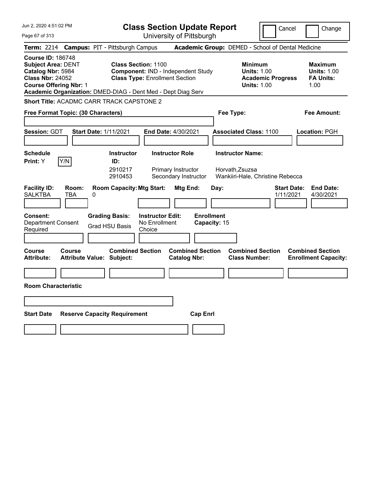| Jun 2, 2020 4:51:02 PM                                                                                                                 |                                                              |                                                                                                           | <b>Class Section Update Report</b>                                   |                                                |                                   |                                                            | Cancel                                            | Change                                                           |
|----------------------------------------------------------------------------------------------------------------------------------------|--------------------------------------------------------------|-----------------------------------------------------------------------------------------------------------|----------------------------------------------------------------------|------------------------------------------------|-----------------------------------|------------------------------------------------------------|---------------------------------------------------|------------------------------------------------------------------|
| Page 67 of 313                                                                                                                         |                                                              |                                                                                                           | University of Pittsburgh                                             |                                                |                                   |                                                            |                                                   |                                                                  |
| <b>Term: 2214</b>                                                                                                                      | <b>Campus: PIT - Pittsburgh Campus</b>                       |                                                                                                           |                                                                      |                                                |                                   |                                                            | Academic Group: DEMED - School of Dental Medicine |                                                                  |
| <b>Course ID: 186748</b><br><b>Subject Area: DENT</b><br>Catalog Nbr: 5984<br><b>Class Nbr: 24052</b><br><b>Course Offering Nbr: 1</b> | Academic Organization: DMED-DIAG - Dent Med - Dept Diag Serv | <b>Class Section: 1100</b><br>Component: IND - Independent Study<br><b>Class Type: Enrollment Section</b> |                                                                      |                                                |                                   | <b>Minimum</b><br><b>Units: 1.00</b><br><b>Units: 1.00</b> | <b>Academic Progress</b>                          | <b>Maximum</b><br><b>Units: 1.00</b><br><b>FA Units:</b><br>1.00 |
|                                                                                                                                        | Short Title: ACADMC CARR TRACK CAPSTONE 2                    |                                                                                                           |                                                                      |                                                |                                   |                                                            |                                                   |                                                                  |
|                                                                                                                                        | Free Format Topic: (30 Characters)                           |                                                                                                           |                                                                      |                                                | Fee Type:                         |                                                            |                                                   | Fee Amount:                                                      |
| Session: GDT                                                                                                                           | <b>Start Date: 1/11/2021</b>                                 |                                                                                                           | <b>End Date: 4/30/2021</b>                                           |                                                |                                   | <b>Associated Class: 1100</b>                              |                                                   | Location: PGH                                                    |
| <b>Schedule</b><br>Print: Y                                                                                                            | Y/N                                                          | <b>Instructor</b><br>ID:<br>2910217<br>2910453                                                            | <b>Instructor Role</b><br>Primary Instructor<br>Secondary Instructor |                                                |                                   | <b>Instructor Name:</b><br>Horvath, Zsuzsa                 | Wankiiri-Hale, Christine Rebecca                  |                                                                  |
| <b>Facility ID:</b><br><b>SALKTBA</b>                                                                                                  | Room:<br>TBA<br>0                                            | <b>Room Capacity: Mtg Start:</b>                                                                          |                                                                      | Mtg End:                                       | Day:                              |                                                            | <b>Start Date:</b><br>1/11/2021                   | <b>End Date:</b><br>4/30/2021                                    |
| <b>Consent:</b><br><b>Department Consent</b><br>Required                                                                               |                                                              | <b>Grading Basis:</b><br><b>Grad HSU Basis</b>                                                            | <b>Instructor Edit:</b><br>No Enrollment<br>Choice                   |                                                | <b>Enrollment</b><br>Capacity: 15 |                                                            |                                                   |                                                                  |
| Course<br><b>Attribute:</b>                                                                                                            | Course<br><b>Attribute Value: Subject:</b>                   | <b>Combined Section</b>                                                                                   |                                                                      | <b>Combined Section</b><br><b>Catalog Nbr:</b> |                                   | <b>Combined Section</b><br><b>Class Number:</b>            |                                                   | <b>Combined Section</b><br><b>Enrollment Capacity:</b>           |
|                                                                                                                                        |                                                              |                                                                                                           |                                                                      |                                                |                                   |                                                            |                                                   |                                                                  |
| <b>Room Characteristic</b>                                                                                                             |                                                              |                                                                                                           |                                                                      |                                                |                                   |                                                            |                                                   |                                                                  |
|                                                                                                                                        |                                                              |                                                                                                           |                                                                      |                                                |                                   |                                                            |                                                   |                                                                  |
| <b>Start Date</b>                                                                                                                      | <b>Reserve Capacity Requirement</b>                          |                                                                                                           |                                                                      | <b>Cap Enrl</b>                                |                                   |                                                            |                                                   |                                                                  |
|                                                                                                                                        |                                                              |                                                                                                           |                                                                      |                                                |                                   |                                                            |                                                   |                                                                  |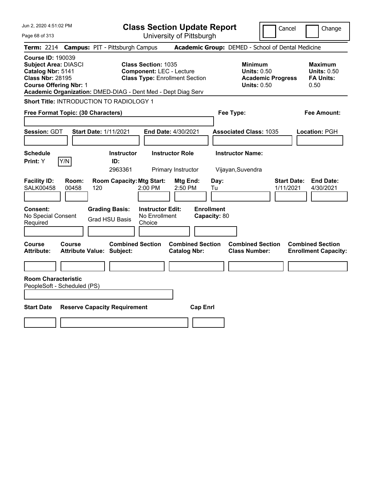| Jun 2, 2020 4:51:02 PM                                                                                                                   | <b>Class Section Update Report</b>                                                                                                                                     |                                                                                        | Change<br>Cancel                                                 |
|------------------------------------------------------------------------------------------------------------------------------------------|------------------------------------------------------------------------------------------------------------------------------------------------------------------------|----------------------------------------------------------------------------------------|------------------------------------------------------------------|
| Page 68 of 313                                                                                                                           | University of Pittsburgh                                                                                                                                               |                                                                                        |                                                                  |
| <b>Term: 2214</b>                                                                                                                        | <b>Campus: PIT - Pittsburgh Campus</b>                                                                                                                                 | Academic Group: DEMED - School of Dental Medicine                                      |                                                                  |
| <b>Course ID: 190039</b><br><b>Subject Area: DIASCI</b><br>Catalog Nbr: 5141<br><b>Class Nbr: 28195</b><br><b>Course Offering Nbr: 1</b> | <b>Class Section: 1035</b><br><b>Component: LEC - Lecture</b><br><b>Class Type: Enrollment Section</b><br>Academic Organization: DMED-DIAG - Dent Med - Dept Diag Serv | <b>Minimum</b><br><b>Units: 0.50</b><br><b>Academic Progress</b><br><b>Units: 0.50</b> | <b>Maximum</b><br><b>Units: 0.50</b><br><b>FA Units:</b><br>0.50 |
| <b>Short Title: INTRODUCTION TO RADIOLOGY 1</b>                                                                                          |                                                                                                                                                                        |                                                                                        |                                                                  |
| Free Format Topic: (30 Characters)                                                                                                       |                                                                                                                                                                        | Fee Type:                                                                              | Fee Amount:                                                      |
| Session: GDT<br><b>Start Date: 1/11/2021</b>                                                                                             | End Date: 4/30/2021                                                                                                                                                    | <b>Associated Class: 1035</b>                                                          | Location: PGH                                                    |
| <b>Schedule</b><br>Y/N<br>Print: Y                                                                                                       | <b>Instructor</b><br><b>Instructor Role</b><br>ID:<br>2963361<br>Primary Instructor                                                                                    | <b>Instructor Name:</b><br>Vijayan, Suvendra                                           |                                                                  |
| <b>Facility ID:</b><br>Room:<br><b>SALK00458</b><br>00458<br>120                                                                         | <b>Room Capacity: Mtg Start:</b><br>Mtg End:<br>$2:00$ PM<br>2:50 PM                                                                                                   | Day:<br>Tu                                                                             | <b>End Date:</b><br><b>Start Date:</b><br>1/11/2021<br>4/30/2021 |
| <b>Consent:</b><br>No Special Consent<br>Required                                                                                        | <b>Instructor Edit:</b><br><b>Grading Basis:</b><br>No Enrollment<br><b>Grad HSU Basis</b><br>Choice                                                                   | <b>Enrollment</b><br>Capacity: 80                                                      |                                                                  |
| <b>Course</b><br>Course<br><b>Attribute:</b><br><b>Attribute Value: Subject:</b>                                                         | <b>Combined Section</b><br><b>Combined Section</b><br><b>Catalog Nbr:</b>                                                                                              | <b>Combined Section</b><br><b>Class Number:</b>                                        | <b>Combined Section</b><br><b>Enrollment Capacity:</b>           |
|                                                                                                                                          |                                                                                                                                                                        |                                                                                        |                                                                  |
| <b>Room Characteristic</b><br>PeopleSoft - Scheduled (PS)                                                                                |                                                                                                                                                                        |                                                                                        |                                                                  |
| <b>Start Date</b>                                                                                                                        | <b>Reserve Capacity Requirement</b><br><b>Cap Enrl</b>                                                                                                                 |                                                                                        |                                                                  |
|                                                                                                                                          |                                                                                                                                                                        |                                                                                        |                                                                  |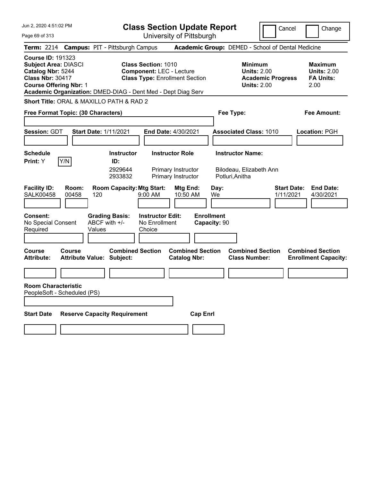| Jun 2, 2020 4:51:02 PM                                                                                                                                                                                   | <b>Class Section Update Report</b>                                                                     | Cancel                                                                                 | Change                                                    |
|----------------------------------------------------------------------------------------------------------------------------------------------------------------------------------------------------------|--------------------------------------------------------------------------------------------------------|----------------------------------------------------------------------------------------|-----------------------------------------------------------|
| Page 69 of 313                                                                                                                                                                                           | University of Pittsburgh                                                                               |                                                                                        |                                                           |
| <b>Campus: PIT - Pittsburgh Campus</b><br><b>Term: 2214</b>                                                                                                                                              |                                                                                                        | Academic Group: DEMED - School of Dental Medicine                                      |                                                           |
| <b>Course ID: 191323</b><br><b>Subject Area: DIASCI</b><br>Catalog Nbr: 5244<br><b>Class Nbr: 30417</b><br><b>Course Offering Nbr: 1</b><br>Academic Organization: DMED-DIAG - Dent Med - Dept Diag Serv | <b>Class Section: 1010</b><br><b>Component: LEC - Lecture</b><br><b>Class Type: Enrollment Section</b> | <b>Minimum</b><br><b>Units: 2.00</b><br><b>Academic Progress</b><br><b>Units: 2.00</b> | Maximum<br><b>Units: 2.00</b><br><b>FA Units:</b><br>2.00 |
| Short Title: ORAL & MAXILLO PATH & RAD 2                                                                                                                                                                 |                                                                                                        |                                                                                        |                                                           |
| Free Format Topic: (30 Characters)                                                                                                                                                                       |                                                                                                        | Fee Type:                                                                              | Fee Amount:                                               |
|                                                                                                                                                                                                          |                                                                                                        |                                                                                        |                                                           |
| Session: GDT<br><b>Start Date: 1/11/2021</b>                                                                                                                                                             | <b>End Date: 4/30/2021</b>                                                                             | <b>Associated Class: 1010</b>                                                          | Location: PGH                                             |
|                                                                                                                                                                                                          |                                                                                                        |                                                                                        |                                                           |
| <b>Schedule</b><br>Y/N<br>Print: Y<br>ID:                                                                                                                                                                | <b>Instructor Role</b><br><b>Instructor</b>                                                            | <b>Instructor Name:</b>                                                                |                                                           |
|                                                                                                                                                                                                          | 2929644<br>Primary Instructor<br>2933832<br>Primary Instructor                                         | Bilodeau, Elizabeth Ann<br>Potluri, Anitha                                             |                                                           |
| <b>Facility ID:</b><br>Room:<br><b>SALK00458</b><br>00458<br>120                                                                                                                                         | <b>Room Capacity: Mtg Start:</b><br>Mtg End:<br>9:00 AM<br>10:50 AM                                    | <b>Start Date:</b><br>Day:<br>1/11/2021<br>We                                          | <b>End Date:</b><br>4/30/2021                             |
| <b>Grading Basis:</b><br><b>Consent:</b><br>No Special Consent<br>ABCF with +/-<br>Required<br>Values                                                                                                    | <b>Enrollment</b><br><b>Instructor Edit:</b><br>No Enrollment<br>Choice                                | Capacity: 90                                                                           |                                                           |
| Course<br>Course<br><b>Attribute:</b><br><b>Attribute Value: Subject:</b>                                                                                                                                | <b>Combined Section</b><br><b>Combined Section</b><br><b>Catalog Nbr:</b>                              | <b>Combined Section</b><br><b>Class Number:</b>                                        | <b>Combined Section</b><br><b>Enrollment Capacity:</b>    |
|                                                                                                                                                                                                          |                                                                                                        |                                                                                        |                                                           |
| <b>Room Characteristic</b><br>PeopleSoft - Scheduled (PS)                                                                                                                                                |                                                                                                        |                                                                                        |                                                           |
| <b>Start Date</b><br><b>Reserve Capacity Requirement</b>                                                                                                                                                 | <b>Cap Enrl</b>                                                                                        |                                                                                        |                                                           |
|                                                                                                                                                                                                          |                                                                                                        |                                                                                        |                                                           |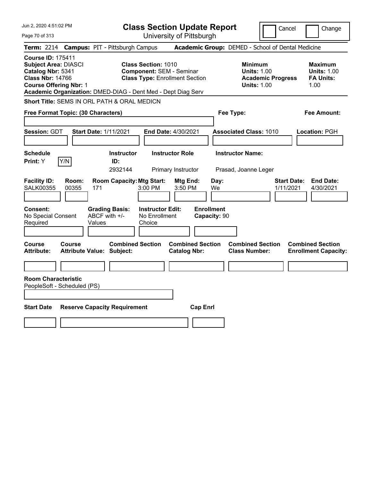| Jun 2, 2020 4:51:02 PM                                                                                                                                                                                   | <b>Class Section Update Report</b>                                                                                                                              | Cancel                                                                                 | Change                                                           |
|----------------------------------------------------------------------------------------------------------------------------------------------------------------------------------------------------------|-----------------------------------------------------------------------------------------------------------------------------------------------------------------|----------------------------------------------------------------------------------------|------------------------------------------------------------------|
| Page 70 of 313                                                                                                                                                                                           | University of Pittsburgh                                                                                                                                        |                                                                                        |                                                                  |
| <b>Term: 2214</b><br><b>Campus: PIT - Pittsburgh Campus</b>                                                                                                                                              |                                                                                                                                                                 | Academic Group: DEMED - School of Dental Medicine                                      |                                                                  |
| <b>Course ID: 175411</b><br><b>Subject Area: DIASCI</b><br>Catalog Nbr: 5341<br><b>Class Nbr: 14766</b><br><b>Course Offering Nbr: 1</b><br>Academic Organization: DMED-DIAG - Dent Med - Dept Diag Serv | <b>Class Section: 1010</b><br><b>Component: SEM - Seminar</b><br><b>Class Type: Enrollment Section</b>                                                          | <b>Minimum</b><br><b>Units: 1.00</b><br><b>Academic Progress</b><br><b>Units: 1.00</b> | <b>Maximum</b><br><b>Units: 1.00</b><br><b>FA Units:</b><br>1.00 |
| Short Title: SEMS IN ORL PATH & ORAL MEDICN                                                                                                                                                              |                                                                                                                                                                 |                                                                                        |                                                                  |
| Free Format Topic: (30 Characters)                                                                                                                                                                       |                                                                                                                                                                 | Fee Type:                                                                              | Fee Amount:                                                      |
| <b>Session: GDT</b><br><b>Start Date: 1/11/2021</b>                                                                                                                                                      | End Date: 4/30/2021                                                                                                                                             | <b>Associated Class: 1010</b>                                                          | Location: PGH                                                    |
| <b>Schedule</b><br>Y/N<br>Print: Y<br>ID:                                                                                                                                                                | <b>Instructor Role</b><br><b>Instructor</b><br>2932144<br>Primary Instructor                                                                                    | <b>Instructor Name:</b><br>Prasad, Joanne Leger                                        |                                                                  |
| <b>Facility ID:</b><br>Room:<br><b>SALK00355</b><br>00355<br>171<br><b>Consent:</b><br><b>Grading Basis:</b><br>ABCF with +/-<br>No Special Consent<br>Required<br>Values                                | <b>Room Capacity: Mtg Start:</b><br>Mtg End:<br>$3:00$ PM<br>3:50 PM<br><b>Enrollment</b><br><b>Instructor Edit:</b><br>No Enrollment<br>Capacity: 90<br>Choice | Day:<br><b>Start Date:</b><br>1/11/2021<br>We                                          | <b>End Date:</b><br>4/30/2021                                    |
| Course<br><b>Course</b><br><b>Attribute:</b><br><b>Attribute Value: Subject:</b><br><b>Room Characteristic</b><br>PeopleSoft - Scheduled (PS)                                                            | <b>Combined Section</b><br><b>Combined Section</b><br><b>Catalog Nbr:</b>                                                                                       | <b>Combined Section</b><br><b>Class Number:</b>                                        | <b>Combined Section</b><br><b>Enrollment Capacity:</b>           |
| <b>Start Date</b><br><b>Reserve Capacity Requirement</b>                                                                                                                                                 | <b>Cap Enrl</b>                                                                                                                                                 |                                                                                        |                                                                  |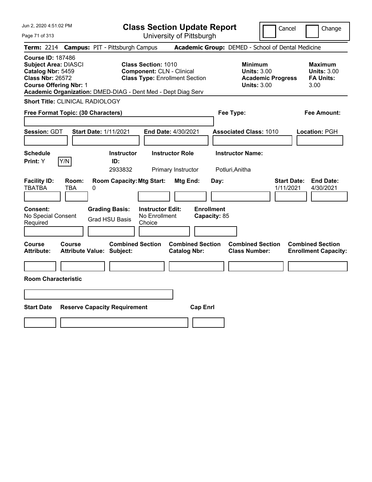|  |  | Jun 2, 2020 4:51:02 PM |  |
|--|--|------------------------|--|
|--|--|------------------------|--|

Page 71 of 313

**Class Section Update Report**

Cancel **Change** 

University of Pittsburgh

|                                                                                                                                                                                         |                     | Term: 2214 Campus: PIT - Pittsburgh Campus                                                                                     |                                                | Academic Group: DEMED - School of Dental Medicine                                      |                                                                  |
|-----------------------------------------------------------------------------------------------------------------------------------------------------------------------------------------|---------------------|--------------------------------------------------------------------------------------------------------------------------------|------------------------------------------------|----------------------------------------------------------------------------------------|------------------------------------------------------------------|
| <b>Course ID: 187486</b><br><b>Subject Area: DIASCI</b><br>Catalog Nbr: 5459<br><b>Class Nbr: 26572</b><br><b>Course Offering Nbr: 1</b>                                                |                     | <b>Class Section: 1010</b><br><b>Component: CLN - Clinical</b><br>Academic Organization: DMED-DIAG - Dent Med - Dept Diag Serv | <b>Class Type: Enrollment Section</b>          | <b>Minimum</b><br><b>Units: 3.00</b><br><b>Academic Progress</b><br><b>Units: 3.00</b> | <b>Maximum</b><br><b>Units: 3.00</b><br><b>FA Units:</b><br>3.00 |
| Short Title: CLINICAL RADIOLOGY                                                                                                                                                         |                     |                                                                                                                                |                                                |                                                                                        |                                                                  |
| Free Format Topic: (30 Characters)                                                                                                                                                      |                     |                                                                                                                                |                                                | Fee Type:                                                                              | <b>Fee Amount:</b>                                               |
| Session: GDT                                                                                                                                                                            |                     | <b>Start Date: 1/11/2021</b>                                                                                                   | End Date: 4/30/2021                            | <b>Associated Class: 1010</b>                                                          | Location: PGH                                                    |
| <b>Schedule</b>                                                                                                                                                                         |                     | <b>Instructor</b>                                                                                                              | <b>Instructor Role</b>                         | <b>Instructor Name:</b>                                                                |                                                                  |
| <b>Print:</b> Y                                                                                                                                                                         | Y/N                 | ID:<br>2933832                                                                                                                 | Primary Instructor                             | Potluri, Anitha                                                                        |                                                                  |
| <b>Facility ID:</b><br><b>TBATBA</b>                                                                                                                                                    | Room:<br><b>TBA</b> | <b>Room Capacity: Mtg Start:</b><br>$\mathbf{0}$                                                                               | Mtg End:                                       | <b>Start Date:</b><br>Day:<br>1/11/2021                                                | <b>End Date:</b><br>4/30/2021                                    |
| <b>Enrollment</b><br>Consent:<br><b>Grading Basis:</b><br><b>Instructor Edit:</b><br>No Special Consent<br>No Enrollment<br>Capacity: 85<br><b>Grad HSU Basis</b><br>Required<br>Choice |                     |                                                                                                                                |                                                |                                                                                        |                                                                  |
| Course<br>Attribute:                                                                                                                                                                    | Course              | <b>Combined Section</b><br><b>Attribute Value: Subject:</b>                                                                    | <b>Combined Section</b><br><b>Catalog Nbr:</b> | <b>Combined Section</b><br><b>Class Number:</b>                                        | <b>Combined Section</b><br><b>Enrollment Capacity:</b>           |
|                                                                                                                                                                                         |                     |                                                                                                                                |                                                |                                                                                        |                                                                  |
| <b>Room Characteristic</b>                                                                                                                                                              |                     |                                                                                                                                |                                                |                                                                                        |                                                                  |
|                                                                                                                                                                                         |                     |                                                                                                                                |                                                |                                                                                        |                                                                  |
| <b>Start Date</b><br><b>Reserve Capacity Requirement</b><br><b>Cap Enrl</b>                                                                                                             |                     |                                                                                                                                |                                                |                                                                                        |                                                                  |
|                                                                                                                                                                                         |                     |                                                                                                                                |                                                |                                                                                        |                                                                  |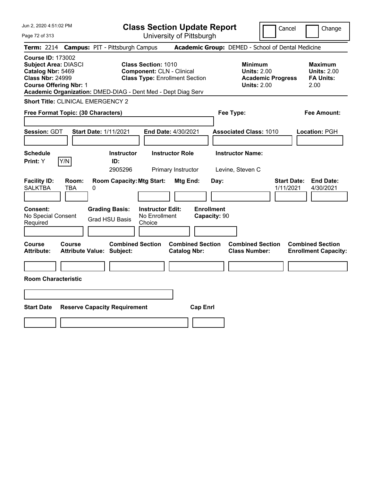Jun 2, 2020 4:51:02 PM Page 72 of 313 **Class Section Update Report** University of Pittsburgh Cancel | Change **Term:** 2214 **Campus:** PIT - Pittsburgh Campus **Academic Group:** DEMED - School of Dental Medicine **Course ID:** 173002 **Subject Area:** DIASCI **Class Section:** 1010 **Minimum Maximum Catalog Nbr:** 5469 **Component:** CLN - Clinical **Units: 2.00** Units: 2.00 **Units: 2.00**<br> **Class Nbr: 24999 Class Type:** Enrollment Section **Academic Progress** FA Units: **Class Type: Enrollment Section <b>Academic Progress FA Units: Course Offering Nbr:** 1 **Units:** 2.00 2.00 **Academic Organization:** DMED-DIAG - Dent Med - Dept Diag Serv **Short Title:** CLINICAL EMERGENCY 2 **Free Format Topic: (30 Characters) Fee Type: Fee Amount: Session:** GDT **Start Date:** 1/11/2021 **End Date:** 4/30/2021 **Associated Class:** 1010 **Location:** PGH **Schedule Instructor Instructor Role Instructor Name: Print:**  $Y$   $|Y/N|$  **ID:** 2905296 Primary Instructor Levine, Steven C **Facility ID: Room: Room Capacity:Mtg Start: Mtg End: Day: Start Date: End Date:** SALKTBA TBA 0 1/11/2021 4/30/2021 **Consent: Grading Basis: Instructor Edit: Enrollment** No Special Consent Required Grad HSU Basis No Enrollment Choice **Capacity:** 90 **Course Course Combined Section Combined Section Combined Section Combined Section Attribute: Attribute Value: Subject: Catalog Nbr: Class Number: Enrollment Capacity: Room Characteristic Start Date Reserve Capacity Requirement Cap Enrl**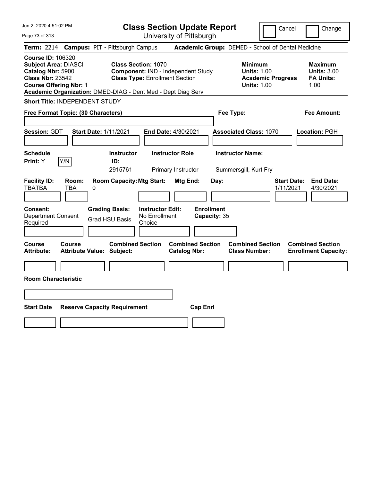| Jun 2, 2020 4:51:02 PM                                                                                                                   | <b>Class Section Update Report</b>                                                                                                                                        | Change<br>Cancel                                                                                                                                           |
|------------------------------------------------------------------------------------------------------------------------------------------|---------------------------------------------------------------------------------------------------------------------------------------------------------------------------|------------------------------------------------------------------------------------------------------------------------------------------------------------|
| Page 73 of 313                                                                                                                           | University of Pittsburgh                                                                                                                                                  |                                                                                                                                                            |
| <b>Term: 2214</b>                                                                                                                        | <b>Campus: PIT - Pittsburgh Campus</b>                                                                                                                                    | Academic Group: DEMED - School of Dental Medicine                                                                                                          |
| <b>Course ID: 106320</b><br><b>Subject Area: DIASCI</b><br>Catalog Nbr: 5900<br><b>Class Nbr: 23542</b><br><b>Course Offering Nbr: 1</b> | <b>Class Section: 1070</b><br>Component: IND - Independent Study<br><b>Class Type: Enrollment Section</b><br>Academic Organization: DMED-DIAG - Dent Med - Dept Diag Serv | <b>Minimum</b><br><b>Maximum</b><br><b>Units: 1.00</b><br><b>Units: 3.00</b><br><b>FA Units:</b><br><b>Academic Progress</b><br><b>Units: 1.00</b><br>1.00 |
| Short Title: INDEPENDENT STUDY                                                                                                           |                                                                                                                                                                           |                                                                                                                                                            |
| Free Format Topic: (30 Characters)                                                                                                       | Fee Type:                                                                                                                                                                 | Fee Amount:                                                                                                                                                |
| <b>Session: GDT</b><br><b>Start Date: 1/11/2021</b><br><b>Schedule</b><br>Y/N<br>Print: Y                                                | <b>End Date: 4/30/2021</b><br><b>Instructor Role</b><br><b>Instructor</b><br>ID:<br>2915761<br>Primary Instructor                                                         | <b>Associated Class: 1070</b><br>Location: PGH<br><b>Instructor Name:</b><br>Summersgill, Kurt Fry                                                         |
| <b>Facility ID:</b><br>Room:<br><b>TBATBA</b><br><b>TBA</b><br>0<br><b>Consent:</b>                                                      | <b>Room Capacity: Mtg Start:</b><br>Mtg End:<br>Day:<br><b>Enrollment</b><br><b>Grading Basis:</b><br><b>Instructor Edit:</b>                                             | <b>Start Date:</b><br><b>End Date:</b><br>1/11/2021<br>4/30/2021                                                                                           |
| <b>Department Consent</b><br>Required                                                                                                    | No Enrollment<br>Capacity: 35<br><b>Grad HSU Basis</b><br>Choice                                                                                                          |                                                                                                                                                            |
| <b>Course</b><br><b>Course</b><br><b>Attribute Value: Subject:</b><br><b>Attribute:</b>                                                  | <b>Combined Section</b><br><b>Combined Section</b><br><b>Catalog Nbr:</b>                                                                                                 | <b>Combined Section</b><br><b>Combined Section</b><br><b>Class Number:</b><br><b>Enrollment Capacity:</b>                                                  |
|                                                                                                                                          |                                                                                                                                                                           |                                                                                                                                                            |
| <b>Room Characteristic</b>                                                                                                               |                                                                                                                                                                           |                                                                                                                                                            |
|                                                                                                                                          |                                                                                                                                                                           |                                                                                                                                                            |
| <b>Start Date</b><br><b>Reserve Capacity Requirement</b>                                                                                 | <b>Cap Enrl</b>                                                                                                                                                           |                                                                                                                                                            |
|                                                                                                                                          |                                                                                                                                                                           |                                                                                                                                                            |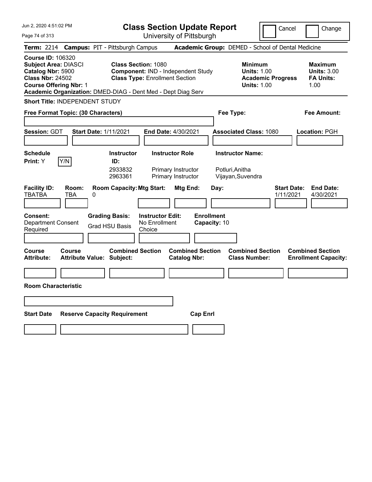| Jun 2, 2020 4:51:02 PM<br>Page 74 of 313                                                                                                                                                                 | <b>Class Section Update Report</b><br>University of Pittsburgh                                            | Cancel                                                                                 | Change                                                           |
|----------------------------------------------------------------------------------------------------------------------------------------------------------------------------------------------------------|-----------------------------------------------------------------------------------------------------------|----------------------------------------------------------------------------------------|------------------------------------------------------------------|
| Term: 2214 Campus: PIT - Pittsburgh Campus                                                                                                                                                               |                                                                                                           | Academic Group: DEMED - School of Dental Medicine                                      |                                                                  |
| <b>Course ID: 106320</b><br><b>Subject Area: DIASCI</b><br>Catalog Nbr: 5900<br><b>Class Nbr: 24502</b><br><b>Course Offering Nbr: 1</b><br>Academic Organization: DMED-DIAG - Dent Med - Dept Diag Serv | <b>Class Section: 1080</b><br>Component: IND - Independent Study<br><b>Class Type: Enrollment Section</b> | <b>Minimum</b><br><b>Units: 1.00</b><br><b>Academic Progress</b><br><b>Units: 1.00</b> | <b>Maximum</b><br><b>Units: 3.00</b><br><b>FA Units:</b><br>1.00 |
| Short Title: INDEPENDENT STUDY                                                                                                                                                                           |                                                                                                           |                                                                                        |                                                                  |
| Free Format Topic: (30 Characters)                                                                                                                                                                       |                                                                                                           | Fee Type:                                                                              | Fee Amount:                                                      |
| <b>Session: GDT</b><br><b>Start Date: 1/11/2021</b>                                                                                                                                                      | End Date: 4/30/2021                                                                                       | <b>Associated Class: 1080</b>                                                          | Location: PGH                                                    |
| <b>Schedule</b>                                                                                                                                                                                          | <b>Instructor Role</b><br><b>Instructor</b>                                                               | <b>Instructor Name:</b>                                                                |                                                                  |
| Y/N<br>ID:<br><b>Print:</b> Y<br>2933832<br>2963361                                                                                                                                                      | Primary Instructor<br>Primary Instructor                                                                  | Potluri, Anitha<br>Vijayan, Suvendra                                                   |                                                                  |
| <b>Facility ID:</b><br>Room:<br><b>TBATBA</b><br>TBA<br>0                                                                                                                                                | <b>Room Capacity: Mtg Start:</b><br>Mtg End:<br>Day:                                                      | <b>Start Date:</b><br>1/11/2021                                                        | <b>End Date:</b><br>4/30/2021                                    |
| Consent:<br><b>Grading Basis:</b><br><b>Department Consent</b><br><b>Grad HSU Basis</b><br>Required                                                                                                      | <b>Enrollment</b><br><b>Instructor Edit:</b><br>No Enrollment<br>Capacity: 10<br>Choice                   |                                                                                        |                                                                  |
| Course<br>Course<br><b>Attribute:</b><br><b>Attribute Value: Subject:</b>                                                                                                                                | <b>Combined Section</b><br><b>Combined Section</b><br><b>Catalog Nbr:</b>                                 | <b>Combined Section</b><br><b>Class Number:</b>                                        | <b>Combined Section</b><br><b>Enrollment Capacity:</b>           |
|                                                                                                                                                                                                          |                                                                                                           |                                                                                        |                                                                  |
| <b>Room Characteristic</b>                                                                                                                                                                               |                                                                                                           |                                                                                        |                                                                  |
|                                                                                                                                                                                                          |                                                                                                           |                                                                                        |                                                                  |
| <b>Start Date</b><br><b>Reserve Capacity Requirement</b>                                                                                                                                                 | <b>Cap Enri</b>                                                                                           |                                                                                        |                                                                  |
|                                                                                                                                                                                                          |                                                                                                           |                                                                                        |                                                                  |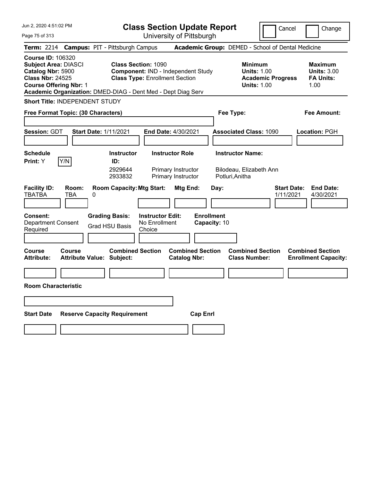| Jun 2, 2020 4:51:02 PM<br>Page 75 of 313                                                                                                                                                                 | <b>Class Section Update Report</b><br>University of Pittsburgh                                                                   | Cancel<br>Change                                                                                                                                           |
|----------------------------------------------------------------------------------------------------------------------------------------------------------------------------------------------------------|----------------------------------------------------------------------------------------------------------------------------------|------------------------------------------------------------------------------------------------------------------------------------------------------------|
| Term: 2214 Campus: PIT - Pittsburgh Campus                                                                                                                                                               |                                                                                                                                  | Academic Group: DEMED - School of Dental Medicine                                                                                                          |
| <b>Course ID: 106320</b><br><b>Subject Area: DIASCI</b><br>Catalog Nbr: 5900<br><b>Class Nbr: 24525</b><br><b>Course Offering Nbr: 1</b><br>Academic Organization: DMED-DIAG - Dent Med - Dept Diag Serv | <b>Class Section: 1090</b><br>Component: IND - Independent Study<br><b>Class Type: Enrollment Section</b>                        | <b>Minimum</b><br><b>Maximum</b><br><b>Units: 1.00</b><br><b>Units: 3.00</b><br><b>FA Units:</b><br><b>Academic Progress</b><br><b>Units: 1.00</b><br>1.00 |
| Short Title: INDEPENDENT STUDY                                                                                                                                                                           |                                                                                                                                  |                                                                                                                                                            |
| Free Format Topic: (30 Characters)                                                                                                                                                                       | Fee Type:                                                                                                                        | <b>Fee Amount:</b>                                                                                                                                         |
| <b>Session: GDT</b><br><b>Start Date: 1/11/2021</b>                                                                                                                                                      | End Date: 4/30/2021                                                                                                              | <b>Associated Class: 1090</b><br>Location: PGH                                                                                                             |
| <b>Schedule</b><br>Y/N<br>Print: Y<br>ID:                                                                                                                                                                | <b>Instructor</b><br><b>Instructor Role</b><br>2929644<br>Primary Instructor<br>2933832<br>Primary Instructor<br>Potluri, Anitha | <b>Instructor Name:</b><br>Bilodeau, Elizabeth Ann                                                                                                         |
| <b>Facility ID:</b><br>Room:<br><b>TBATBA</b><br>TBA<br>$\mathbf{0}$                                                                                                                                     | <b>Room Capacity: Mtg Start:</b><br>Mtg End:<br>Day:                                                                             | <b>Start Date:</b><br><b>End Date:</b><br>1/11/2021<br>4/30/2021                                                                                           |
| <b>Grading Basis:</b><br><b>Consent:</b><br><b>Department Consent</b><br>Grad HSU Basis<br>Required                                                                                                      | <b>Enrollment</b><br><b>Instructor Edit:</b><br>No Enrollment<br>Capacity: 10<br>Choice                                          |                                                                                                                                                            |
| Course<br><b>Course</b><br><b>Attribute:</b><br><b>Attribute Value: Subject:</b>                                                                                                                         | <b>Combined Section</b><br><b>Combined Section</b><br><b>Catalog Nbr:</b>                                                        | <b>Combined Section</b><br><b>Combined Section</b><br><b>Class Number:</b><br><b>Enrollment Capacity:</b>                                                  |
|                                                                                                                                                                                                          |                                                                                                                                  |                                                                                                                                                            |
| <b>Room Characteristic</b>                                                                                                                                                                               |                                                                                                                                  |                                                                                                                                                            |
|                                                                                                                                                                                                          |                                                                                                                                  |                                                                                                                                                            |
| <b>Start Date</b><br><b>Reserve Capacity Requirement</b>                                                                                                                                                 | <b>Cap Enri</b>                                                                                                                  |                                                                                                                                                            |
|                                                                                                                                                                                                          |                                                                                                                                  |                                                                                                                                                            |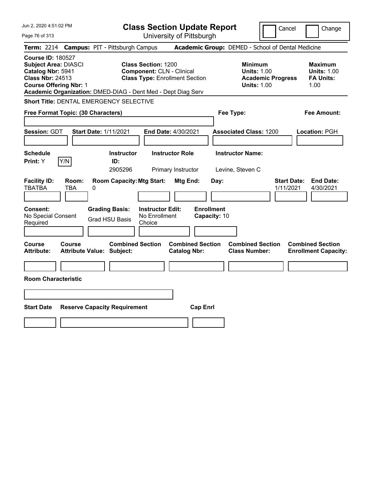| Jun 2, 2020 4:51:02 PM                                                                                                                                                                                   | <b>Class Section Update Report</b>                                                                      | Cancel<br>Change                                                                                                                                           |
|----------------------------------------------------------------------------------------------------------------------------------------------------------------------------------------------------------|---------------------------------------------------------------------------------------------------------|------------------------------------------------------------------------------------------------------------------------------------------------------------|
| Page 76 of 313                                                                                                                                                                                           | University of Pittsburgh                                                                                |                                                                                                                                                            |
| <b>Campus: PIT - Pittsburgh Campus</b><br><b>Term: 2214</b>                                                                                                                                              |                                                                                                         | Academic Group: DEMED - School of Dental Medicine                                                                                                          |
| <b>Course ID: 180527</b><br><b>Subject Area: DIASCI</b><br>Catalog Nbr: 5941<br><b>Class Nbr: 24513</b><br><b>Course Offering Nbr: 1</b><br>Academic Organization: DMED-DIAG - Dent Med - Dept Diag Serv | <b>Class Section: 1200</b><br><b>Component: CLN - Clinical</b><br><b>Class Type: Enrollment Section</b> | <b>Minimum</b><br><b>Maximum</b><br><b>Units: 1.00</b><br><b>Units: 1.00</b><br><b>FA Units:</b><br><b>Academic Progress</b><br><b>Units: 1.00</b><br>1.00 |
| Short Title: DENTAL EMERGENCY SELECTIVE                                                                                                                                                                  |                                                                                                         |                                                                                                                                                            |
| Free Format Topic: (30 Characters)                                                                                                                                                                       |                                                                                                         | Fee Type:<br>Fee Amount:                                                                                                                                   |
| <b>Session: GDT</b><br><b>Start Date: 1/11/2021</b>                                                                                                                                                      | End Date: 4/30/2021                                                                                     | <b>Associated Class: 1200</b><br>Location: PGH                                                                                                             |
| <b>Schedule</b><br>Y/N<br>Print: Y<br>ID:                                                                                                                                                                | <b>Instructor Role</b><br><b>Instructor</b><br>2905296<br>Primary Instructor                            | <b>Instructor Name:</b><br>Levine, Steven C                                                                                                                |
| <b>Facility ID:</b><br>Room:<br><b>TBATBA</b><br>TBA<br>0                                                                                                                                                | <b>Room Capacity: Mtg Start:</b><br>Mtg End:                                                            | <b>Start Date:</b><br><b>End Date:</b><br>Day:<br>1/11/2021<br>4/30/2021                                                                                   |
| Consent:<br><b>Grading Basis:</b><br>No Special Consent<br><b>Grad HSU Basis</b><br>Required                                                                                                             | <b>Enrollment</b><br><b>Instructor Edit:</b><br>No Enrollment<br>Capacity: 10<br>Choice                 |                                                                                                                                                            |
| Course<br>Course<br><b>Attribute:</b><br><b>Attribute Value: Subject:</b>                                                                                                                                | <b>Combined Section</b><br><b>Combined Section</b><br><b>Catalog Nbr:</b>                               | <b>Combined Section</b><br><b>Combined Section</b><br><b>Class Number:</b><br><b>Enrollment Capacity:</b>                                                  |
|                                                                                                                                                                                                          |                                                                                                         |                                                                                                                                                            |
| <b>Room Characteristic</b>                                                                                                                                                                               |                                                                                                         |                                                                                                                                                            |
|                                                                                                                                                                                                          |                                                                                                         |                                                                                                                                                            |
| <b>Start Date</b><br><b>Reserve Capacity Requirement</b>                                                                                                                                                 | <b>Cap Enrl</b>                                                                                         |                                                                                                                                                            |
|                                                                                                                                                                                                          |                                                                                                         |                                                                                                                                                            |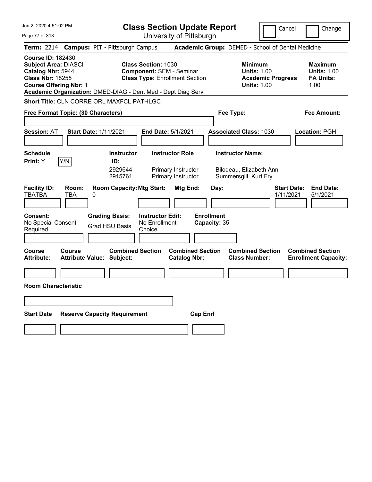| Jun 2, 2020 4:51:02 PM                                                                                                                                                                                   |                                            |                                                |                                                    | <b>Class Section Update Report</b>                                       |                                   |                                                                             | Cancel                          | Change                                                           |
|----------------------------------------------------------------------------------------------------------------------------------------------------------------------------------------------------------|--------------------------------------------|------------------------------------------------|----------------------------------------------------|--------------------------------------------------------------------------|-----------------------------------|-----------------------------------------------------------------------------|---------------------------------|------------------------------------------------------------------|
| Page 77 of 313                                                                                                                                                                                           |                                            |                                                |                                                    | University of Pittsburgh                                                 |                                   |                                                                             |                                 |                                                                  |
| <b>Term: 2214</b>                                                                                                                                                                                        | <b>Campus: PIT - Pittsburgh Campus</b>     |                                                |                                                    |                                                                          |                                   | Academic Group: DEMED - School of Dental Medicine                           |                                 |                                                                  |
| <b>Course ID: 182430</b><br><b>Subject Area: DIASCI</b><br>Catalog Nbr: 5944<br><b>Class Nbr: 18255</b><br><b>Course Offering Nbr: 1</b><br>Academic Organization: DMED-DIAG - Dent Med - Dept Diag Serv |                                            |                                                | <b>Class Section: 1030</b>                         | <b>Component: SEM - Seminar</b><br><b>Class Type: Enrollment Section</b> |                                   | <b>Minimum</b><br><b>Units: 1.00</b><br><b>Units: 1.00</b>                  | <b>Academic Progress</b>        | <b>Maximum</b><br><b>Units: 1.00</b><br><b>FA Units:</b><br>1.00 |
| Short Title: CLN CORRE ORL MAXFCL PATHLGC                                                                                                                                                                |                                            |                                                |                                                    |                                                                          |                                   |                                                                             |                                 |                                                                  |
| Free Format Topic: (30 Characters)                                                                                                                                                                       |                                            |                                                |                                                    |                                                                          |                                   | Fee Type:                                                                   |                                 | Fee Amount:                                                      |
| <b>Session: AT</b>                                                                                                                                                                                       | <b>Start Date: 1/11/2021</b>               |                                                | End Date: 5/1/2021                                 |                                                                          |                                   | <b>Associated Class: 1030</b>                                               |                                 | Location: PGH                                                    |
| <b>Schedule</b><br>Y/N<br>Print: Y                                                                                                                                                                       |                                            | <b>Instructor</b><br>ID:<br>2929644<br>2915761 |                                                    | <b>Instructor Role</b><br>Primary Instructor<br>Primary Instructor       |                                   | <b>Instructor Name:</b><br>Bilodeau, Elizabeth Ann<br>Summersgill, Kurt Fry |                                 |                                                                  |
| <b>Facility ID:</b><br><b>TBATBA</b>                                                                                                                                                                     | Room:<br><b>TBA</b><br>0                   | <b>Room Capacity: Mtg Start:</b>               |                                                    | Mtg End:                                                                 | Day:                              |                                                                             | <b>Start Date:</b><br>1/11/2021 | <b>End Date:</b><br>5/1/2021                                     |
| <b>Consent:</b><br>No Special Consent<br>Required                                                                                                                                                        |                                            | <b>Grading Basis:</b><br>Grad HSU Basis        | <b>Instructor Edit:</b><br>No Enrollment<br>Choice |                                                                          | <b>Enrollment</b><br>Capacity: 35 |                                                                             |                                 |                                                                  |
| Course<br><b>Attribute:</b>                                                                                                                                                                              | Course<br><b>Attribute Value: Subject:</b> | <b>Combined Section</b>                        |                                                    | <b>Combined Section</b><br><b>Catalog Nbr:</b>                           |                                   | <b>Combined Section</b><br><b>Class Number:</b>                             |                                 | <b>Combined Section</b><br><b>Enrollment Capacity:</b>           |
|                                                                                                                                                                                                          |                                            |                                                |                                                    |                                                                          |                                   |                                                                             |                                 |                                                                  |
| <b>Room Characteristic</b>                                                                                                                                                                               |                                            |                                                |                                                    |                                                                          |                                   |                                                                             |                                 |                                                                  |
|                                                                                                                                                                                                          |                                            |                                                |                                                    |                                                                          |                                   |                                                                             |                                 |                                                                  |
| <b>Start Date</b>                                                                                                                                                                                        | <b>Reserve Capacity Requirement</b>        |                                                |                                                    |                                                                          | <b>Cap Enri</b>                   |                                                                             |                                 |                                                                  |
|                                                                                                                                                                                                          |                                            |                                                |                                                    |                                                                          |                                   |                                                                             |                                 |                                                                  |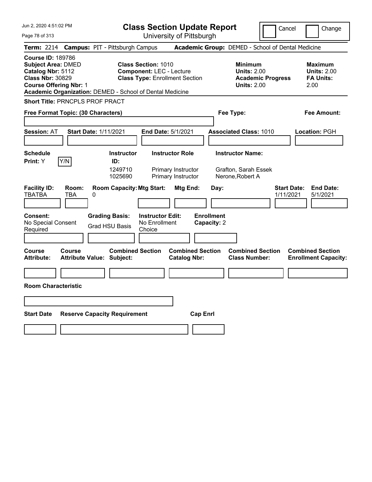|  | Jun 2, 2020 4:51:02 PM |  |
|--|------------------------|--|
|  |                        |  |

Page 78 of 313

|  |  | <b>Class Section Update Report</b> |  |  |
|--|--|------------------------------------|--|--|
|--|--|------------------------------------|--|--|

Cancel Change

|                                                                                                                                        |                     | Term: 2214 Campus: PIT - Pittsburgh Campus                  |                                                                                                        |                                                | Academic Group: DEMED - School of Dental Medicine                   |                                 |                                                                  |
|----------------------------------------------------------------------------------------------------------------------------------------|---------------------|-------------------------------------------------------------|--------------------------------------------------------------------------------------------------------|------------------------------------------------|---------------------------------------------------------------------|---------------------------------|------------------------------------------------------------------|
| <b>Course ID: 189786</b><br><b>Subject Area: DMED</b><br>Catalog Nbr: 5112<br><b>Class Nbr: 30829</b><br><b>Course Offering Nbr: 1</b> |                     | Academic Organization: DEMED - School of Dental Medicine    | <b>Class Section: 1010</b><br><b>Component: LEC - Lecture</b><br><b>Class Type: Enrollment Section</b> |                                                | <b>Minimum</b><br><b>Units: 2.00</b><br><b>Units: 2.00</b>          | <b>Academic Progress</b>        | <b>Maximum</b><br><b>Units: 2.00</b><br><b>FA Units:</b><br>2.00 |
|                                                                                                                                        |                     | Short Title: PRNCPLS PROF PRACT                             |                                                                                                        |                                                |                                                                     |                                 |                                                                  |
| Free Format Topic: (30 Characters)                                                                                                     |                     |                                                             |                                                                                                        |                                                | Fee Type:                                                           |                                 | Fee Amount:                                                      |
| <b>Session: AT</b>                                                                                                                     |                     | <b>Start Date: 1/11/2021</b>                                | End Date: 5/1/2021                                                                                     |                                                | <b>Associated Class: 1010</b>                                       |                                 | Location: PGH                                                    |
| <b>Schedule</b><br>Print: Y                                                                                                            | Y/N                 | <b>Instructor</b><br>ID:<br>1249710<br>1025690              | <b>Instructor Role</b><br>Primary Instructor<br>Primary Instructor                                     |                                                | <b>Instructor Name:</b><br>Grafton, Sarah Essek<br>Nerone, Robert A |                                 |                                                                  |
| <b>Facility ID:</b><br><b>TBATBA</b>                                                                                                   | Room:<br><b>TBA</b> | <b>Room Capacity: Mtg Start:</b><br>0                       |                                                                                                        | Mtg End:                                       | Day:                                                                | <b>Start Date:</b><br>1/11/2021 | <b>End Date:</b><br>5/1/2021                                     |
| Consent:<br>No Special Consent<br>Required                                                                                             |                     | <b>Grading Basis:</b><br><b>Grad HSU Basis</b>              | <b>Instructor Edit:</b><br>No Enrollment<br>Choice                                                     | <b>Enrollment</b><br>Capacity: 2               |                                                                     |                                 |                                                                  |
| Course<br><b>Attribute:</b>                                                                                                            | Course              | <b>Combined Section</b><br><b>Attribute Value: Subject:</b> |                                                                                                        | <b>Combined Section</b><br><b>Catalog Nbr:</b> | <b>Combined Section</b><br><b>Class Number:</b>                     |                                 | <b>Combined Section</b><br><b>Enrollment Capacity:</b>           |
| <b>Room Characteristic</b>                                                                                                             |                     |                                                             |                                                                                                        |                                                |                                                                     |                                 |                                                                  |
| <b>Start Date</b>                                                                                                                      |                     | <b>Reserve Capacity Requirement</b>                         |                                                                                                        | <b>Cap Enrl</b>                                |                                                                     |                                 |                                                                  |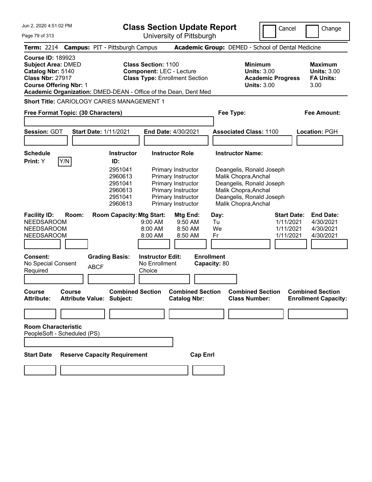**Class Section Update Report**

University of Pittsburgh

Cancel Change

Page 79 of 313

|                                                                                                                                        |               | Term: 2214 Campus: PIT - Pittsburgh Campus                                                 |                                                                                     |                                                                                                                                                            |                                                             | Academic Group: DEMED - School of Dental Medicine                                                                                                        |                                                           |                                                                  |
|----------------------------------------------------------------------------------------------------------------------------------------|---------------|--------------------------------------------------------------------------------------------|-------------------------------------------------------------------------------------|------------------------------------------------------------------------------------------------------------------------------------------------------------|-------------------------------------------------------------|----------------------------------------------------------------------------------------------------------------------------------------------------------|-----------------------------------------------------------|------------------------------------------------------------------|
| <b>Course ID: 189923</b><br><b>Subject Area: DMED</b><br>Catalog Nbr: 5140<br><b>Class Nbr: 27917</b><br><b>Course Offering Nbr: 1</b> |               | Academic Organization: DMED-DEAN - Office of the Dean, Dent Med                            | <b>Class Section: 1100</b><br><b>Component: LEC - Lecture</b>                       | <b>Class Type: Enrollment Section</b>                                                                                                                      |                                                             | <b>Minimum</b><br><b>Units: 3.00</b><br><b>Academic Progress</b><br><b>Units: 3.00</b>                                                                   |                                                           | <b>Maximum</b><br><b>Units: 3.00</b><br><b>FA Units:</b><br>3.00 |
|                                                                                                                                        |               | Short Title: CARIOLOGY CARIES MANAGEMENT 1                                                 |                                                                                     |                                                                                                                                                            |                                                             |                                                                                                                                                          |                                                           |                                                                  |
| Free Format Topic: (30 Characters)                                                                                                     |               |                                                                                            |                                                                                     |                                                                                                                                                            | Fee Type:                                                   |                                                                                                                                                          |                                                           | <b>Fee Amount:</b>                                               |
|                                                                                                                                        |               |                                                                                            |                                                                                     |                                                                                                                                                            |                                                             |                                                                                                                                                          |                                                           |                                                                  |
| <b>Session: GDT</b>                                                                                                                    |               | <b>Start Date: 1/11/2021</b>                                                               |                                                                                     | End Date: 4/30/2021                                                                                                                                        |                                                             | <b>Associated Class: 1100</b>                                                                                                                            |                                                           | <b>Location: PGH</b>                                             |
| <b>Schedule</b><br>Print: Y                                                                                                            | Y/N           | <b>Instructor</b><br>ID:<br>2951041<br>2960613<br>2951041<br>2960613<br>2951041<br>2960613 |                                                                                     | <b>Instructor Role</b><br>Primary Instructor<br>Primary Instructor<br>Primary Instructor<br>Primary Instructor<br>Primary Instructor<br>Primary Instructor | <b>Instructor Name:</b>                                     | Deangelis, Ronald Joseph<br>Malik Chopra, Anchal<br>Deangelis, Ronald Joseph<br>Malik Chopra, Anchal<br>Deangelis, Ronald Joseph<br>Malik Chopra, Anchal |                                                           |                                                                  |
| <b>Facility ID:</b><br><b>NEEDSAROOM</b><br><b>NEEDSAROOM</b><br><b>NEEDSAROOM</b><br>Consent:<br>No Special Consent<br>Required       | Room:         | <b>Room Capacity: Mtg Start:</b><br><b>Grading Basis:</b><br><b>ABCF</b>                   | 9:00 AM<br>8:00 AM<br>8:00 AM<br><b>Instructor Edit:</b><br>No Enrollment<br>Choice | Mtg End:<br>$9:50$ AM<br>8:50 AM<br>8:50 AM                                                                                                                | Day:<br>Tu<br>We<br>Fr<br><b>Enrollment</b><br>Capacity: 80 |                                                                                                                                                          | <b>Start Date:</b><br>1/11/2021<br>1/11/2021<br>1/11/2021 | <b>End Date:</b><br>4/30/2021<br>4/30/2021<br>4/30/2021          |
|                                                                                                                                        |               |                                                                                            |                                                                                     |                                                                                                                                                            |                                                             |                                                                                                                                                          |                                                           |                                                                  |
| <b>Course</b><br><b>Attribute:</b>                                                                                                     | <b>Course</b> | <b>Combined Section</b><br><b>Attribute Value: Subject:</b>                                |                                                                                     | <b>Combined Section</b><br><b>Catalog Nbr:</b>                                                                                                             |                                                             | <b>Combined Section</b><br><b>Class Number:</b>                                                                                                          |                                                           | <b>Combined Section</b><br><b>Enrollment Capacity:</b>           |
| <b>Room Characteristic</b><br>PeopleSoft - Scheduled (PS)                                                                              |               |                                                                                            |                                                                                     |                                                                                                                                                            |                                                             |                                                                                                                                                          |                                                           |                                                                  |
| <b>Start Date</b>                                                                                                                      |               | <b>Reserve Capacity Requirement</b>                                                        |                                                                                     | <b>Cap Enrl</b>                                                                                                                                            |                                                             |                                                                                                                                                          |                                                           |                                                                  |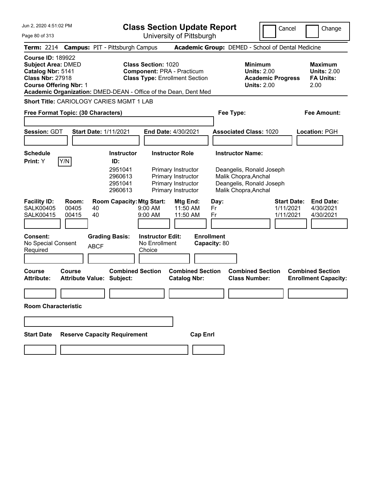| Jun 2, 2020 4:51:02 PM<br>Page 80 of 313 | <b>Class Section Update Report</b><br>University of Pittsburgh  | Cancel | Change                                                   |                    |
|------------------------------------------|-----------------------------------------------------------------|--------|----------------------------------------------------------|--------------------|
|                                          | Term: 2214 Campus: PIT - Pittsburgh Campus                      |        | <b>Academic Group: DEMED - School of Dental Medicine</b> |                    |
| <b>Course ID: 189922</b>                 |                                                                 |        |                                                          |                    |
| <b>Subject Area: DMED</b>                | <b>Class Section: 1020</b>                                      |        | <b>Minimum</b>                                           | <b>Maximum</b>     |
| Catalog Nbr: 5141                        | <b>Component: PRA - Practicum</b>                               |        | <b>Units: 2.00</b>                                       | <b>Units: 2.00</b> |
| <b>Class Nbr: 27918</b>                  | <b>Class Type: Enrollment Section</b>                           |        | <b>Academic Progress</b>                                 | <b>FA Units:</b>   |
| <b>Course Offering Nbr: 1</b>            |                                                                 |        | <b>Units: 2.00</b>                                       | 2.00               |
|                                          | Academic Organization: DMED-DEAN - Office of the Dean, Dent Med |        |                                                          |                    |

| Free Format Topic: (30 Characters)                                                     |                                                                |                                                                                      | Fee Type:                                                                                            | <b>Fee Amount:</b>                                                                         |
|----------------------------------------------------------------------------------------|----------------------------------------------------------------|--------------------------------------------------------------------------------------|------------------------------------------------------------------------------------------------------|--------------------------------------------------------------------------------------------|
| <b>Session: GDT</b>                                                                    | <b>Start Date: 1/11/2021</b>                                   | <b>End Date: 4/30/2021</b>                                                           | <b>Associated Class: 1020</b>                                                                        | Location: PGH                                                                              |
| <b>Schedule</b><br>Y/N<br><b>Print:</b> Y                                              | <b>Instructor</b><br>ID:                                       | <b>Instructor Role</b>                                                               | <b>Instructor Name:</b>                                                                              |                                                                                            |
|                                                                                        | 2951041<br>2960613<br>2951041<br>2960613                       | Primary Instructor<br>Primary Instructor<br>Primary Instructor<br>Primary Instructor | Deangelis, Ronald Joseph<br>Malik Chopra, Anchal<br>Deangelis, Ronald Joseph<br>Malik Chopra, Anchal |                                                                                            |
| <b>Facility ID:</b><br>Room:<br><b>SALK00405</b><br>00405<br><b>SALK00415</b><br>00415 | <b>Room Capacity: Mtg Start:</b><br>40<br>40                   | Mtg End:<br>$9:00$ AM<br>11:50 AM<br>$9:00$ AM<br>11:50 AM                           | Day:<br>Fr<br>Fr                                                                                     | <b>End Date:</b><br><b>Start Date:</b><br>1/11/2021<br>4/30/2021<br>1/11/2021<br>4/30/2021 |
| Consent:<br>No Special Consent<br>Required                                             | <b>Grading Basis:</b><br><b>ABCF</b>                           | <b>Instructor Edit:</b><br>No Enrollment<br>Choice                                   | <b>Enrollment</b><br>Capacity: 80                                                                    |                                                                                            |
| <b>Course</b><br>Course<br><b>Attribute:</b>                                           | <b>Combined Section</b><br><b>Attribute Value:</b><br>Subject: | <b>Combined Section</b><br><b>Catalog Nbr:</b>                                       | <b>Combined Section</b><br><b>Class Number:</b>                                                      | <b>Combined Section</b><br><b>Enrollment Capacity:</b>                                     |

**Room Characteristic**

| <b>Start Date</b> | <b>Reserve Capacity Requirement</b> | <b>Cap Enrl</b> |
|-------------------|-------------------------------------|-----------------|
|                   |                                     |                 |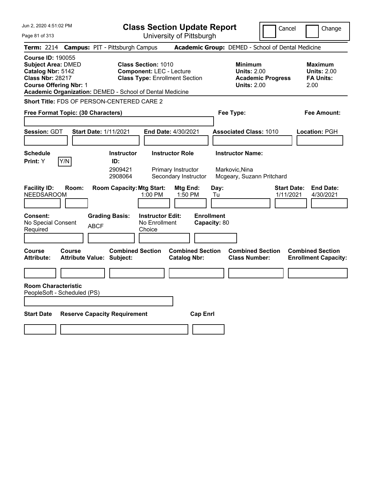Jun 2, 2020 4:51:02 PM Page 81 of 313 **Class Section Update Report** University of Pittsburgh Cancel Change **Term:** 2214 **Campus:** PIT - Pittsburgh Campus **Academic Group:** DEMED - School of Dental Medicine **Course ID:** 190055 **Subject Area:** DMED **Class Section:** 1010 **Minimum Maximum Catalog Nbr:** 5142 **Component:** LEC - Lecture **Units:** 2.00 **Units:** 2.00 **Class Nbr:** 28217 **Class Type:** Enrollment Section **Academic Progress FA Units: Course Offering Nbr:** 1 **Units:** 2.00 2.00 **Academic Organization:** DEMED - School of Dental Medicine **Short Title:** FDS OF PERSON-CENTERED CARE 2 **Free Format Topic: (30 Characters) Fee Type: Fee Amount: Session:** GDT **Start Date:** 1/11/2021 **End Date:** 4/30/2021 **Associated Class:** 1010 **Location:** PGH **Schedule Instructor Instructor Role Instructor Name: Print:**  $Y$   $|Y/N|$  **ID:** 2909421 Primary Instructor Markovic,Nina 2908064 Secondary Instructor Mcgeary, Suzann Pritchard **Facility ID: Room: Room Capacity:Mtg Start: Mtg End: Day: Start Date: End Date:** NEEDSAROOM 1:00 PM 1:50 PM Tu 1/11/2021 4/30/2021 **Consent: Grading Basis: Instructor Edit: Enrollment** No Special Consent BCF No Enrollment<br>Required ABCF Choice **Choice Capacity:** 80 **Course Course Combined Section Combined Section Combined Section Combined Section**  Attribute: Attribute Value: Subject: Catalog Nbr: Class Number: Enrollment Capacity: **Room Characteristic** PeopleSoft - Scheduled (PS) **Start Date Reserve Capacity Requirement Cap Enrl**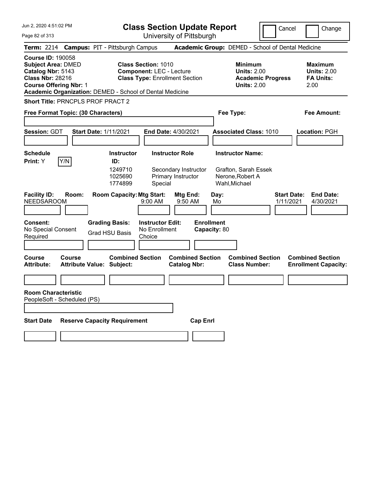Page 82 of 313

**Class Section Update Report**

Cancel **Change** 

|                                                                                                                                        |               |                                                           |                                                                                                                           | University ULT ittsburght                                            |                                                                                      |                                                                                        |                                                                  |
|----------------------------------------------------------------------------------------------------------------------------------------|---------------|-----------------------------------------------------------|---------------------------------------------------------------------------------------------------------------------------|----------------------------------------------------------------------|--------------------------------------------------------------------------------------|----------------------------------------------------------------------------------------|------------------------------------------------------------------|
|                                                                                                                                        |               | Term: 2214 Campus: PIT - Pittsburgh Campus                |                                                                                                                           |                                                                      | Academic Group: DEMED - School of Dental Medicine                                    |                                                                                        |                                                                  |
| <b>Course ID: 190058</b><br><b>Subject Area: DMED</b><br>Catalog Nbr: 5143<br><b>Class Nbr: 28216</b><br><b>Course Offering Nbr: 1</b> |               |                                                           | <b>Class Section: 1010</b><br><b>Component: LEC - Lecture</b><br>Academic Organization: DEMED - School of Dental Medicine | <b>Class Type: Enrollment Section</b>                                |                                                                                      | <b>Minimum</b><br><b>Units: 2.00</b><br><b>Academic Progress</b><br><b>Units: 2.00</b> | <b>Maximum</b><br><b>Units: 2.00</b><br><b>FA Units:</b><br>2.00 |
|                                                                                                                                        |               | Short Title: PRNCPLS PROF PRACT 2                         |                                                                                                                           |                                                                      |                                                                                      |                                                                                        |                                                                  |
| Free Format Topic: (30 Characters)                                                                                                     |               |                                                           |                                                                                                                           |                                                                      | Fee Type:                                                                            |                                                                                        | Fee Amount:                                                      |
| <b>Session: GDT</b>                                                                                                                    |               | <b>Start Date: 1/11/2021</b>                              |                                                                                                                           | End Date: 4/30/2021                                                  | <b>Associated Class: 1010</b>                                                        |                                                                                        | Location: PGH                                                    |
| <b>Schedule</b><br>Print: Y                                                                                                            | Y/N           | <b>Instructor</b><br>ID:<br>1249710<br>1025690<br>1774899 | Special                                                                                                                   | <b>Instructor Role</b><br>Secondary Instructor<br>Primary Instructor | <b>Instructor Name:</b><br>Grafton, Sarah Essek<br>Nerone, Robert A<br>Wahl, Michael |                                                                                        |                                                                  |
| <b>Facility ID:</b><br>NEEDSAROOM                                                                                                      | Room:         |                                                           | <b>Room Capacity: Mtg Start:</b><br>9:00 AM                                                                               | Mtg End:<br>9:50 AM                                                  | Day:<br>Mo                                                                           |                                                                                        | <b>Start Date:</b><br><b>End Date:</b><br>1/11/2021<br>4/30/2021 |
| Consent:<br>No Special Consent<br>Required                                                                                             |               | <b>Grading Basis:</b><br><b>Grad HSU Basis</b>            | <b>Instructor Edit:</b><br>No Enrollment<br>Choice                                                                        |                                                                      | <b>Enrollment</b><br>Capacity: 80                                                    |                                                                                        |                                                                  |
| <b>Course</b><br><b>Attribute:</b>                                                                                                     | <b>Course</b> | <b>Attribute Value: Subject:</b>                          | <b>Combined Section</b>                                                                                                   | <b>Combined Section</b><br><b>Catalog Nbr:</b>                       |                                                                                      | <b>Combined Section</b><br><b>Class Number:</b>                                        | <b>Combined Section</b><br><b>Enrollment Capacity:</b>           |
|                                                                                                                                        |               |                                                           |                                                                                                                           |                                                                      |                                                                                      |                                                                                        |                                                                  |
| <b>Room Characteristic</b><br>PeopleSoft - Scheduled (PS)                                                                              |               |                                                           |                                                                                                                           |                                                                      |                                                                                      |                                                                                        |                                                                  |
| <b>Start Date</b>                                                                                                                      |               | <b>Reserve Capacity Requirement</b>                       |                                                                                                                           | <b>Cap Enrl</b>                                                      |                                                                                      |                                                                                        |                                                                  |
|                                                                                                                                        |               |                                                           |                                                                                                                           |                                                                      |                                                                                      |                                                                                        |                                                                  |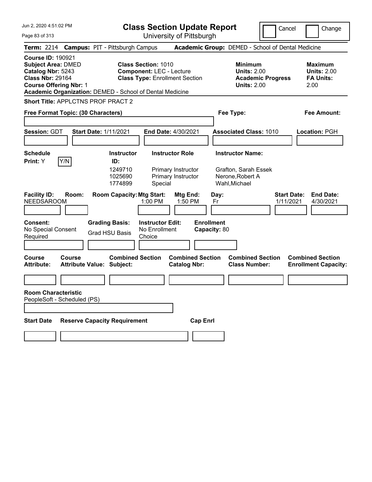**Class Section Update Report**

Cancel **I** Change

| Page 83 of 313                                                                                                                         | University of Pittsburgh                                                                                                                                           |                                                                                        |                                                           |
|----------------------------------------------------------------------------------------------------------------------------------------|--------------------------------------------------------------------------------------------------------------------------------------------------------------------|----------------------------------------------------------------------------------------|-----------------------------------------------------------|
| <b>Term: 2214</b>                                                                                                                      | <b>Campus: PIT - Pittsburgh Campus</b>                                                                                                                             | Academic Group: DEMED - School of Dental Medicine                                      |                                                           |
| <b>Course ID: 190921</b><br><b>Subject Area: DMED</b><br>Catalog Nbr: 5243<br><b>Class Nbr: 29164</b><br><b>Course Offering Nbr: 1</b> | <b>Class Section: 1010</b><br><b>Component: LEC - Lecture</b><br><b>Class Type: Enrollment Section</b><br>Academic Organization: DEMED - School of Dental Medicine | <b>Minimum</b><br><b>Units: 2.00</b><br><b>Academic Progress</b><br><b>Units: 2.00</b> | Maximum<br><b>Units: 2.00</b><br><b>FA Units:</b><br>2.00 |
| <b>Short Title: APPLCTNS PROF PRACT 2</b><br>Free Format Topic: (30 Characters)                                                        |                                                                                                                                                                    | Fee Type:                                                                              | Fee Amount:                                               |
| Session: GDT                                                                                                                           | <b>Start Date: 1/11/2021</b><br><b>End Date: 4/30/2021</b>                                                                                                         | <b>Associated Class: 1010</b>                                                          | Location: PGH                                             |
| <b>Schedule</b><br>Print: Y<br>Y/N                                                                                                     | <b>Instructor Role</b><br><b>Instructor</b><br>ID:<br>1249710<br>Primary Instructor<br>1025690<br>Primary Instructor<br>1774899<br>Special                         | <b>Instructor Name:</b><br>Grafton, Sarah Essek<br>Nerone, Robert A<br>Wahl, Michael   |                                                           |
| <b>Facility ID:</b><br>Room:<br><b>NEEDSAROOM</b>                                                                                      | <b>Room Capacity: Mtg Start:</b><br><b>Mtg End:</b><br>1:00 PM<br>1:50 PM                                                                                          | <b>Start Date:</b><br>Day:<br>Fr<br>1/11/2021                                          | <b>End Date:</b><br>4/30/2021                             |
| <b>Consent:</b><br>No Special Consent<br>Required                                                                                      | <b>Grading Basis:</b><br><b>Instructor Edit:</b><br>No Enrollment<br>Grad HSU Basis<br>Choice                                                                      | <b>Enrollment</b><br>Capacity: 80                                                      |                                                           |
| Course<br>Course<br><b>Attribute:</b>                                                                                                  | <b>Combined Section</b><br><b>Combined Section</b><br><b>Attribute Value: Subject:</b><br><b>Catalog Nbr:</b>                                                      | <b>Combined Section</b><br><b>Class Number:</b>                                        | <b>Combined Section</b><br><b>Enrollment Capacity:</b>    |
| <b>Room Characteristic</b><br>PeopleSoft - Scheduled (PS)                                                                              |                                                                                                                                                                    |                                                                                        |                                                           |
| <b>Start Date</b>                                                                                                                      | <b>Reserve Capacity Requirement</b><br><b>Cap Enrl</b>                                                                                                             |                                                                                        |                                                           |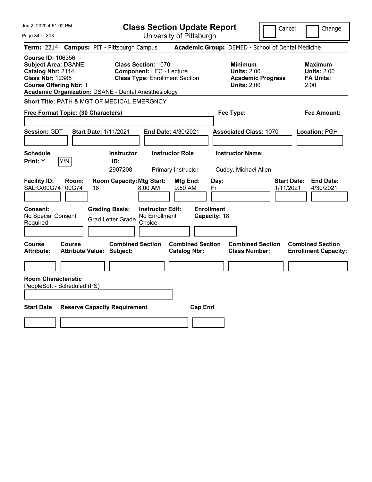| Jun 2, 2020 4:51:02 PM                                                                                                                                                                                 | <b>Class Section Update Report</b>                                                                      |                                                                                        | Cancel<br>Change                                                 |
|--------------------------------------------------------------------------------------------------------------------------------------------------------------------------------------------------------|---------------------------------------------------------------------------------------------------------|----------------------------------------------------------------------------------------|------------------------------------------------------------------|
| Page 84 of 313                                                                                                                                                                                         | University of Pittsburgh                                                                                |                                                                                        |                                                                  |
| <b>Term: 2214</b>                                                                                                                                                                                      | <b>Campus: PIT - Pittsburgh Campus</b>                                                                  | Academic Group: DEMED - School of Dental Medicine                                      |                                                                  |
| <b>Course ID: 106356</b><br><b>Subject Area: DSANE</b><br>Catalog Nbr: 2114<br><b>Class Nbr: 12385</b><br><b>Course Offering Nbr: 1</b><br><b>Academic Organization: DSANE - Dental Anesthesiology</b> | <b>Class Section: 1070</b><br><b>Component: LEC - Lecture</b><br><b>Class Type: Enrollment Section</b>  | <b>Minimum</b><br><b>Units: 2.00</b><br><b>Academic Progress</b><br><b>Units: 2.00</b> | <b>Maximum</b><br><b>Units: 2.00</b><br><b>FA Units:</b><br>2.00 |
| Short Title: PATH & MGT OF MEDICAL EMERGNCY                                                                                                                                                            |                                                                                                         |                                                                                        |                                                                  |
| Free Format Topic: (30 Characters)                                                                                                                                                                     |                                                                                                         | Fee Type:                                                                              | <b>Fee Amount:</b>                                               |
| Session: GDT<br><b>Start Date: 1/11/2021</b>                                                                                                                                                           | End Date: 4/30/2021                                                                                     | <b>Associated Class: 1070</b>                                                          | Location: PGH                                                    |
| <b>Schedule</b><br>Y/N<br>Print: Y                                                                                                                                                                     | <b>Instructor Role</b><br><b>Instructor</b><br>ID:<br>2907208<br>Primary Instructor                     | <b>Instructor Name:</b><br>Cuddy, Michael Allen                                        |                                                                  |
| <b>Facility ID:</b><br>Room:<br>SALKX00G74<br>00G74<br>18                                                                                                                                              | <b>Room Capacity: Mtg Start:</b><br>Mtg End:<br>8:00 AM<br>9:50 AM                                      | Day:<br>Fr                                                                             | <b>End Date:</b><br><b>Start Date:</b><br>1/11/2021<br>4/30/2021 |
| Consent:<br>No Special Consent<br>Required                                                                                                                                                             | <b>Grading Basis:</b><br><b>Instructor Edit:</b><br>No Enrollment<br><b>Grad Letter Grade</b><br>Choice | <b>Enrollment</b><br>Capacity: 18                                                      |                                                                  |
| Course<br><b>Course</b><br><b>Attribute:</b><br><b>Attribute Value: Subject:</b>                                                                                                                       | <b>Combined Section</b><br><b>Combined Section</b><br><b>Catalog Nbr:</b>                               | <b>Combined Section</b><br><b>Class Number:</b>                                        | <b>Combined Section</b><br><b>Enrollment Capacity:</b>           |
| <b>Room Characteristic</b>                                                                                                                                                                             |                                                                                                         |                                                                                        |                                                                  |
| PeopleSoft - Scheduled (PS)                                                                                                                                                                            |                                                                                                         |                                                                                        |                                                                  |
| <b>Start Date</b>                                                                                                                                                                                      | <b>Reserve Capacity Requirement</b>                                                                     | <b>Cap Enrl</b>                                                                        |                                                                  |
|                                                                                                                                                                                                        |                                                                                                         |                                                                                        |                                                                  |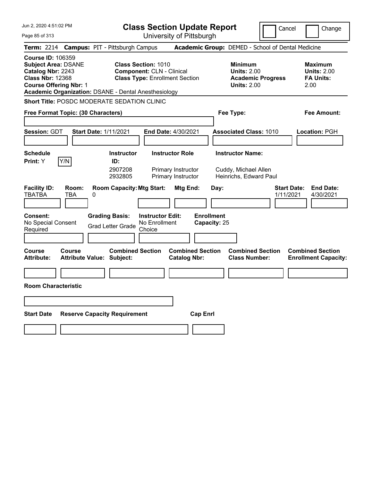Jun 2, 2020 4:51:02 PM Page 85 of 313 **Class Section Update Report** University of Pittsburgh Cancel Change **Term:** 2214 **Campus:** PIT - Pittsburgh Campus **Academic Group:** DEMED - School of Dental Medicine **Course ID:** 106359 **Subject Area:** DSANE **Class Section:** 1010 **Minimum Maximum Catalog Nbr:** 2243 **Component:** CLN - Clinical **Units:** 2.00 **Units:** 2.00 **Class Nbr:** 12368 **Class Type:** Enrollment Section **Academic Progress FA Units: Course Offering Nbr:** 1 **Units:** 2.00 2.00 **Academic Organization:** DSANE - Dental Anesthesiology **Short Title:** POSDC MODERATE SEDATION CLINIC **Free Format Topic: (30 Characters) Fee Type: Fee Amount: Session:** GDT **Start Date:** 1/11/2021 **End Date:** 4/30/2021 **Associated Class:** 1010 **Location:** PGH **Schedule Instructor Instructor Role Instructor Name: Print:**  $Y$   $|Y/N|$  **ID:** 2907208 Primary Instructor Cuddy, Michael Allen 2932805 Primary Instructor Heinrichs, Edward Paul **Facility ID: Room: Room Capacity:Mtg Start: Mtg End: Day: Start Date: End Date:** TBATBA TBA 0 1/11/2021 4/30/2021 **Consent: Grading Basis: Instructor Edit: Enrollment** No Special Consent No Special Consent Grad Letter Grade No Enrollment<br>Required Choice Choice **Capacity:** 25 **Course Course Combined Section Combined Section Combined Section Combined Section**  Attribute: Attribute Value: Subject: Catalog Nbr: Class Number: Enrollment Capacity: **Room Characteristic Start Date Reserve Capacity Requirement Cap Enrl**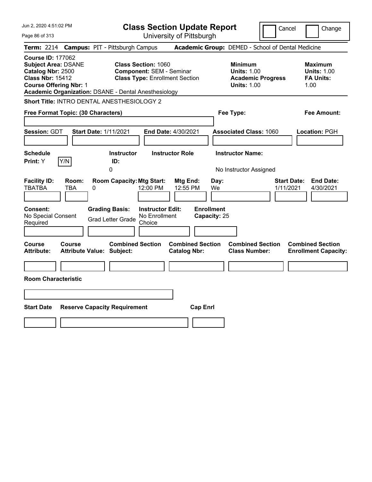| Jun 2, 2020 4:51:02 PM<br>Page 86 of 313                                                                                                                                                        | <b>Class Section Update Report</b><br>University of Pittsburgh                                         |                                                                                        | Cancel<br>Change                                                 |
|-------------------------------------------------------------------------------------------------------------------------------------------------------------------------------------------------|--------------------------------------------------------------------------------------------------------|----------------------------------------------------------------------------------------|------------------------------------------------------------------|
| <b>Term: 2214</b>                                                                                                                                                                               | <b>Campus: PIT - Pittsburgh Campus</b>                                                                 | Academic Group: DEMED - School of Dental Medicine                                      |                                                                  |
| <b>Course ID: 177062</b><br><b>Subject Area: DSANE</b><br>Catalog Nbr: 2500<br><b>Class Nbr: 15412</b><br><b>Course Offering Nbr: 1</b><br>Academic Organization: DSANE - Dental Anesthesiology | <b>Class Section: 1060</b><br><b>Component: SEM - Seminar</b><br><b>Class Type: Enrollment Section</b> | <b>Minimum</b><br><b>Units: 1.00</b><br><b>Academic Progress</b><br><b>Units: 1.00</b> | <b>Maximum</b><br><b>Units: 1.00</b><br><b>FA Units:</b><br>1.00 |
| Short Title: INTRO DENTAL ANESTHESIOLOGY 2                                                                                                                                                      |                                                                                                        |                                                                                        |                                                                  |
| Free Format Topic: (30 Characters)                                                                                                                                                              |                                                                                                        | Fee Type:                                                                              | Fee Amount:                                                      |
| <b>Session: GDT</b><br><b>Start Date: 1/11/2021</b>                                                                                                                                             | <b>End Date: 4/30/2021</b>                                                                             | <b>Associated Class: 1060</b>                                                          | Location: PGH                                                    |
| <b>Schedule</b><br>Y/N<br>Print: Y                                                                                                                                                              | <b>Instructor Role</b><br><b>Instructor</b><br>ID:<br>0                                                | <b>Instructor Name:</b><br>No Instructor Assigned                                      |                                                                  |
| <b>Facility ID:</b><br>Room:<br><b>TBATBA</b><br>TBA<br>0                                                                                                                                       | <b>Room Capacity: Mtg Start:</b><br>Mtg End:<br>12:00 PM<br>12:55 PM                                   | Day:<br>We                                                                             | <b>Start Date:</b><br><b>End Date:</b><br>1/11/2021<br>4/30/2021 |
| <b>Consent:</b><br><b>Grading Basis:</b><br>No Special Consent<br>Required                                                                                                                      | <b>Enrollment</b><br><b>Instructor Edit:</b><br>No Enrollment<br><b>Grad Letter Grade</b><br>Choice    | Capacity: 25                                                                           |                                                                  |
| Course<br>Course<br><b>Attribute Value: Subject:</b><br>Attribute:                                                                                                                              | <b>Combined Section</b><br><b>Combined Section</b><br><b>Catalog Nbr:</b>                              | <b>Combined Section</b><br><b>Class Number:</b>                                        | <b>Combined Section</b><br><b>Enrollment Capacity:</b>           |
|                                                                                                                                                                                                 |                                                                                                        |                                                                                        |                                                                  |
| <b>Room Characteristic</b>                                                                                                                                                                      |                                                                                                        |                                                                                        |                                                                  |
|                                                                                                                                                                                                 |                                                                                                        |                                                                                        |                                                                  |
| <b>Start Date</b><br><b>Reserve Capacity Requirement</b>                                                                                                                                        | <b>Cap Enrl</b>                                                                                        |                                                                                        |                                                                  |
|                                                                                                                                                                                                 |                                                                                                        |                                                                                        |                                                                  |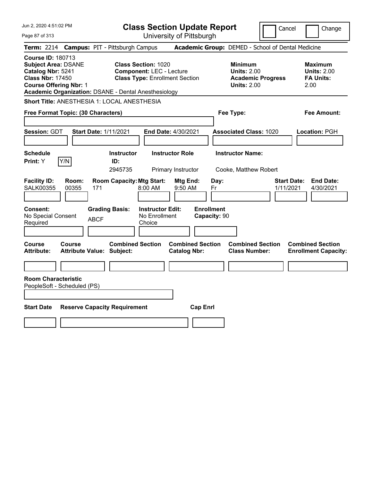| Jun 2, 2020 4:51:02 PM                                                                                                                                                                                 | <b>Class Section Update Report</b>                                                                     |                                                                                        | Cancel<br>Change                                                 |
|--------------------------------------------------------------------------------------------------------------------------------------------------------------------------------------------------------|--------------------------------------------------------------------------------------------------------|----------------------------------------------------------------------------------------|------------------------------------------------------------------|
| Page 87 of 313                                                                                                                                                                                         | University of Pittsburgh                                                                               |                                                                                        |                                                                  |
| <b>Term: 2214</b>                                                                                                                                                                                      | <b>Campus: PIT - Pittsburgh Campus</b>                                                                 | Academic Group: DEMED - School of Dental Medicine                                      |                                                                  |
| <b>Course ID: 180713</b><br><b>Subject Area: DSANE</b><br>Catalog Nbr: 5241<br><b>Class Nbr: 17450</b><br><b>Course Offering Nbr: 1</b><br><b>Academic Organization: DSANE - Dental Anesthesiology</b> | <b>Class Section: 1020</b><br><b>Component: LEC - Lecture</b><br><b>Class Type: Enrollment Section</b> | <b>Minimum</b><br><b>Units: 2.00</b><br><b>Academic Progress</b><br><b>Units: 2.00</b> | Maximum<br><b>Units: 2.00</b><br><b>FA Units:</b><br>2.00        |
| Short Title: ANESTHESIA 1: LOCAL ANESTHESIA                                                                                                                                                            |                                                                                                        |                                                                                        |                                                                  |
| Free Format Topic: (30 Characters)                                                                                                                                                                     |                                                                                                        | Fee Type:                                                                              | Fee Amount:                                                      |
| Session: GDT<br><b>Start Date: 1/11/2021</b>                                                                                                                                                           | End Date: 4/30/2021                                                                                    | <b>Associated Class: 1020</b>                                                          | Location: PGH                                                    |
| <b>Schedule</b><br>Print: Y<br>Y/N                                                                                                                                                                     | <b>Instructor Role</b><br><b>Instructor</b><br>ID:<br>2945735<br>Primary Instructor                    | <b>Instructor Name:</b><br>Cooke, Matthew Robert                                       |                                                                  |
| <b>Facility ID:</b><br>Room:<br><b>SALK00355</b><br>00355<br>171                                                                                                                                       | <b>Room Capacity: Mtg Start:</b><br>Mtg End:<br>9:50 AM<br>$8:00$ AM                                   | Day:<br>Fr                                                                             | <b>End Date:</b><br><b>Start Date:</b><br>1/11/2021<br>4/30/2021 |
| <b>Consent:</b><br>No Special Consent<br><b>ABCF</b><br>Required                                                                                                                                       | <b>Instructor Edit:</b><br><b>Grading Basis:</b><br>No Enrollment<br>Choice                            | <b>Enrollment</b><br>Capacity: 90                                                      |                                                                  |
| Course<br><b>Course</b><br><b>Attribute Value: Subject:</b><br><b>Attribute:</b>                                                                                                                       | <b>Combined Section</b><br><b>Combined Section</b><br><b>Catalog Nbr:</b>                              | <b>Combined Section</b><br><b>Class Number:</b>                                        | <b>Combined Section</b><br><b>Enrollment Capacity:</b>           |
|                                                                                                                                                                                                        |                                                                                                        |                                                                                        |                                                                  |
| <b>Room Characteristic</b><br>PeopleSoft - Scheduled (PS)                                                                                                                                              |                                                                                                        |                                                                                        |                                                                  |
| <b>Start Date</b><br><b>Reserve Capacity Requirement</b>                                                                                                                                               | <b>Cap Enrl</b>                                                                                        |                                                                                        |                                                                  |
|                                                                                                                                                                                                        |                                                                                                        |                                                                                        |                                                                  |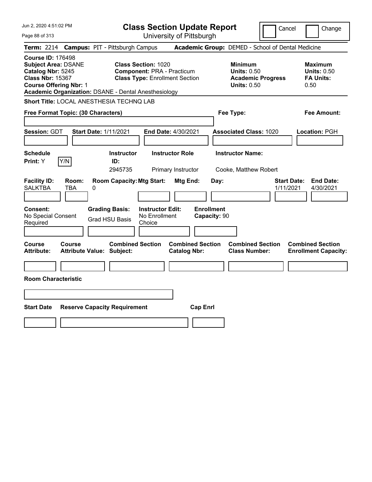| Jun 2, 2020 4:51:02 PM                                                                                                                                                                                 | <b>Class Section Update Report</b>                                                                       | Cancel                                                                                 | Change                                                           |
|--------------------------------------------------------------------------------------------------------------------------------------------------------------------------------------------------------|----------------------------------------------------------------------------------------------------------|----------------------------------------------------------------------------------------|------------------------------------------------------------------|
| Page 88 of 313                                                                                                                                                                                         | University of Pittsburgh                                                                                 |                                                                                        |                                                                  |
| <b>Term: 2214</b>                                                                                                                                                                                      | <b>Campus: PIT - Pittsburgh Campus</b>                                                                   | Academic Group: DEMED - School of Dental Medicine                                      |                                                                  |
| <b>Course ID: 176498</b><br><b>Subject Area: DSANE</b><br>Catalog Nbr: 5245<br><b>Class Nbr: 15367</b><br><b>Course Offering Nbr: 1</b><br><b>Academic Organization: DSANE - Dental Anesthesiology</b> | <b>Class Section: 1020</b><br><b>Component: PRA - Practicum</b><br><b>Class Type: Enrollment Section</b> | <b>Minimum</b><br><b>Units: 0.50</b><br><b>Academic Progress</b><br><b>Units: 0.50</b> | <b>Maximum</b><br><b>Units: 0.50</b><br><b>FA Units:</b><br>0.50 |
| Short Title: LOCAL ANESTHESIA TECHNQ LAB                                                                                                                                                               |                                                                                                          |                                                                                        |                                                                  |
| Free Format Topic: (30 Characters)                                                                                                                                                                     |                                                                                                          | Fee Type:                                                                              | Fee Amount:                                                      |
| Session: GDT<br><b>Start Date: 1/11/2021</b>                                                                                                                                                           | End Date: 4/30/2021                                                                                      | <b>Associated Class: 1020</b>                                                          | Location: PGH                                                    |
| <b>Schedule</b><br>Y/N<br>Print: Y                                                                                                                                                                     | <b>Instructor</b><br><b>Instructor Role</b><br>ID:<br>2945735<br>Primary Instructor                      | <b>Instructor Name:</b><br>Cooke, Matthew Robert                                       |                                                                  |
| <b>Facility ID:</b><br>Room:<br><b>SALKTBA</b><br><b>TBA</b><br>0                                                                                                                                      | <b>Room Capacity: Mtg Start:</b><br>Mtg End:                                                             | Day:<br>1/11/2021                                                                      | <b>Start Date:</b><br><b>End Date:</b><br>4/30/2021              |
| Consent:<br>No Special Consent<br>Required                                                                                                                                                             | <b>Grading Basis:</b><br><b>Instructor Edit:</b><br>No Enrollment<br><b>Grad HSU Basis</b><br>Choice     | <b>Enrollment</b><br>Capacity: 90                                                      |                                                                  |
| Course<br><b>Course</b><br><b>Attribute:</b><br><b>Attribute Value: Subject:</b>                                                                                                                       | <b>Combined Section</b><br><b>Combined Section</b><br><b>Catalog Nbr:</b>                                | <b>Combined Section</b><br><b>Class Number:</b>                                        | <b>Combined Section</b><br><b>Enrollment Capacity:</b>           |
|                                                                                                                                                                                                        |                                                                                                          |                                                                                        |                                                                  |
| <b>Room Characteristic</b>                                                                                                                                                                             |                                                                                                          |                                                                                        |                                                                  |
|                                                                                                                                                                                                        |                                                                                                          |                                                                                        |                                                                  |
| <b>Start Date</b>                                                                                                                                                                                      | <b>Reserve Capacity Requirement</b><br><b>Cap Enrl</b>                                                   |                                                                                        |                                                                  |
|                                                                                                                                                                                                        |                                                                                                          |                                                                                        |                                                                  |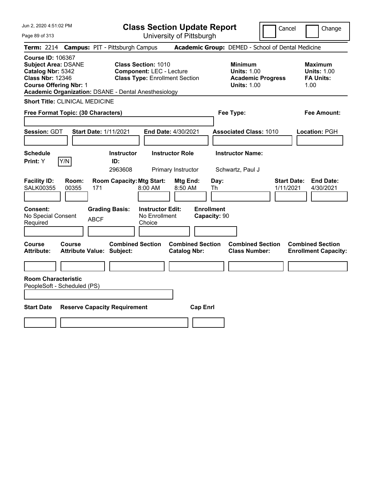Jun 2, 2020 4:51:02 PM Page 89 of 313 **Class Section Update Report** University of Pittsburgh Cancel | Change **Term:** 2214 **Campus:** PIT - Pittsburgh Campus **Academic Group:** DEMED - School of Dental Medicine **Course ID:** 106367 **Subject Area:** DSANE **Class Section:** 1010 **Minimum Maximum Catalog Nbr:** 5342 **Component:** LEC - Lecture **Units:** 1.00 **Units:** 1.00 **Class Nbr:** 12346 **Class Type:** Enrollment Section **Academic Progress FA Units: Course Offering Nbr: 1 1.00 1.00 1.00 1.00 1.00 1.00 1.00 1.00 1.00 Academic Organization:** DSANE - Dental Anesthesiology **Short Title:** CLINICAL MEDICINE **Free Format Topic: (30 Characters) Fee Type: Fee Amount: Session:** GDT **Start Date:** 1/11/2021 **End Date:** 4/30/2021 **Associated Class:** 1010 **Location:** PGH **Schedule Instructor Instructor Role Instructor Name: Print:**  $Y$   $|Y/N|$  **ID:** 2963608 Primary Instructor Schwartz, Paul J **Facility ID: Room: Room Capacity:Mtg Start: Mtg End: Day: Start Date: End Date:** SALK00355 00355 171 8:00 AM 8:50 AM Th 1/11/2021 4/30/2021 **Consent: Grading Basis: Instructor Edit: Enrollment** No Special Consent BCF No Enrollment<br>Required ABCF Choice Choice **Capacity:** 90 **Course Course Combined Section Combined Section Combined Section Combined Section Attribute: Attribute Value: Subject: Catalog Nbr: Class Number: Enrollment Capacity: Room Characteristic** PeopleSoft - Scheduled (PS) **Start Date Reserve Capacity Requirement Cap Enrl**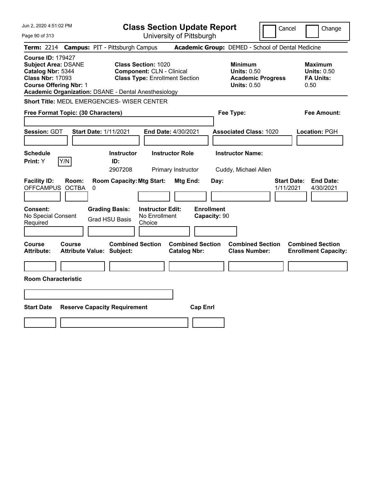| Jun 2, 2020 4:51:02 PM                                                                                                                                                                                 | <b>Class Section Update Report</b>                                                                      |                                                                                        | Cancel<br>Change                                                 |
|--------------------------------------------------------------------------------------------------------------------------------------------------------------------------------------------------------|---------------------------------------------------------------------------------------------------------|----------------------------------------------------------------------------------------|------------------------------------------------------------------|
| Page 90 of 313                                                                                                                                                                                         | University of Pittsburgh                                                                                |                                                                                        |                                                                  |
| <b>Term:</b> 2214                                                                                                                                                                                      | <b>Campus: PIT - Pittsburgh Campus</b>                                                                  | Academic Group: DEMED - School of Dental Medicine                                      |                                                                  |
| <b>Course ID: 179427</b><br><b>Subject Area: DSANE</b><br>Catalog Nbr: 5344<br><b>Class Nbr: 17093</b><br><b>Course Offering Nbr: 1</b><br><b>Academic Organization: DSANE - Dental Anesthesiology</b> | <b>Class Section: 1020</b><br><b>Component: CLN - Clinical</b><br><b>Class Type: Enrollment Section</b> | <b>Minimum</b><br><b>Units: 0.50</b><br><b>Academic Progress</b><br><b>Units: 0.50</b> | <b>Maximum</b><br><b>Units: 0.50</b><br><b>FA Units:</b><br>0.50 |
| Short Title: MEDL EMERGENCIES- WISER CENTER                                                                                                                                                            |                                                                                                         |                                                                                        |                                                                  |
| Free Format Topic: (30 Characters)                                                                                                                                                                     |                                                                                                         | Fee Type:                                                                              | Fee Amount:                                                      |
| Session: GDT<br><b>Start Date: 1/11/2021</b>                                                                                                                                                           | End Date: 4/30/2021                                                                                     | <b>Associated Class: 1020</b>                                                          | Location: PGH                                                    |
| <b>Schedule</b><br>Y/N<br>Print: Y                                                                                                                                                                     | <b>Instructor Role</b><br><b>Instructor</b><br>ID:<br>2907208<br>Primary Instructor                     | <b>Instructor Name:</b><br>Cuddy, Michael Allen                                        |                                                                  |
| <b>Facility ID:</b><br>Room:<br><b>OFFCAMPUS</b><br><b>OCTBA</b><br>0                                                                                                                                  | <b>Room Capacity: Mtg Start:</b><br>Mtg End:                                                            | Day:                                                                                   | <b>Start Date:</b><br><b>End Date:</b><br>1/11/2021<br>4/30/2021 |
| Consent:<br>No Special Consent<br>Required                                                                                                                                                             | <b>Grading Basis:</b><br><b>Instructor Edit:</b><br>No Enrollment<br><b>Grad HSU Basis</b><br>Choice    | <b>Enrollment</b><br>Capacity: 90                                                      |                                                                  |
| <b>Course</b><br>Course<br><b>Attribute:</b><br><b>Attribute Value: Subject:</b>                                                                                                                       | <b>Combined Section</b><br><b>Combined Section</b><br><b>Catalog Nbr:</b>                               | <b>Combined Section</b><br><b>Class Number:</b>                                        | <b>Combined Section</b><br><b>Enrollment Capacity:</b>           |
|                                                                                                                                                                                                        |                                                                                                         |                                                                                        |                                                                  |
| <b>Room Characteristic</b>                                                                                                                                                                             |                                                                                                         |                                                                                        |                                                                  |
|                                                                                                                                                                                                        |                                                                                                         |                                                                                        |                                                                  |
| <b>Start Date</b><br><b>Reserve Capacity Requirement</b>                                                                                                                                               | <b>Cap Enrl</b>                                                                                         |                                                                                        |                                                                  |
|                                                                                                                                                                                                        |                                                                                                         |                                                                                        |                                                                  |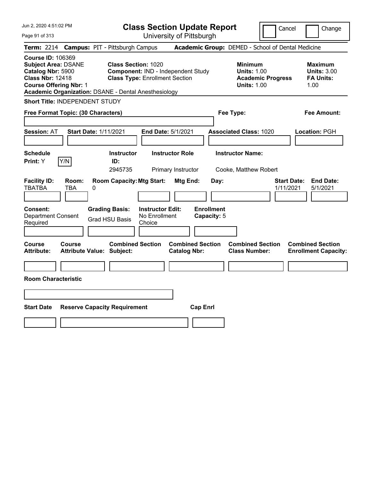| Jun 2, 2020 4:51:02 PM<br>Page 91 of 313                                                                                                                                                               | <b>Class Section Update Report</b><br>University of Pittsburgh                                                                       | Cancel                                                                                 | Change                                                           |
|--------------------------------------------------------------------------------------------------------------------------------------------------------------------------------------------------------|--------------------------------------------------------------------------------------------------------------------------------------|----------------------------------------------------------------------------------------|------------------------------------------------------------------|
| Term: 2214 Campus: PIT - Pittsburgh Campus                                                                                                                                                             |                                                                                                                                      | Academic Group: DEMED - School of Dental Medicine                                      |                                                                  |
| <b>Course ID: 106369</b><br><b>Subject Area: DSANE</b><br>Catalog Nbr: 5900<br><b>Class Nbr: 12418</b><br><b>Course Offering Nbr: 1</b><br><b>Academic Organization: DSANE - Dental Anesthesiology</b> | <b>Class Section: 1020</b><br>Component: IND - Independent Study<br><b>Class Type: Enrollment Section</b>                            | <b>Minimum</b><br><b>Units: 1.00</b><br><b>Academic Progress</b><br><b>Units: 1.00</b> | <b>Maximum</b><br><b>Units: 3.00</b><br><b>FA Units:</b><br>1.00 |
| <b>Short Title: INDEPENDENT STUDY</b>                                                                                                                                                                  |                                                                                                                                      |                                                                                        |                                                                  |
| Free Format Topic: (30 Characters)                                                                                                                                                                     |                                                                                                                                      | Fee Type:                                                                              | <b>Fee Amount:</b>                                               |
| <b>Session: AT</b><br><b>Start Date: 1/11/2021</b><br><b>Schedule</b>                                                                                                                                  | End Date: 5/1/2021<br><b>Instructor Role</b><br><b>Instructor</b>                                                                    | <b>Associated Class: 1020</b><br><b>Instructor Name:</b>                               | Location: PGH                                                    |
| Print: Y<br>Y/N                                                                                                                                                                                        | ID:<br>2945735<br>Primary Instructor                                                                                                 | Cooke, Matthew Robert                                                                  |                                                                  |
| <b>Facility ID:</b><br>Room:<br><b>TBATBA</b><br>TBA<br>0<br>Consent:<br><b>Grading Basis:</b><br><b>Department Consent</b>                                                                            | <b>Room Capacity: Mtg Start:</b><br>Mtg End:<br>Day:<br><b>Enrollment</b><br><b>Instructor Edit:</b><br>No Enrollment<br>Capacity: 5 | <b>Start Date:</b><br>1/11/2021                                                        | <b>End Date:</b><br>5/1/2021                                     |
| <b>Grad HSU Basis</b><br>Required                                                                                                                                                                      | Choice                                                                                                                               |                                                                                        |                                                                  |
| <b>Course</b><br><b>Course</b><br><b>Attribute:</b><br><b>Attribute Value: Subject:</b>                                                                                                                | <b>Combined Section</b><br><b>Combined Section</b><br><b>Catalog Nbr:</b>                                                            | <b>Combined Section</b><br><b>Class Number:</b>                                        | <b>Combined Section</b><br><b>Enrollment Capacity:</b>           |
|                                                                                                                                                                                                        |                                                                                                                                      |                                                                                        |                                                                  |
| <b>Room Characteristic</b>                                                                                                                                                                             |                                                                                                                                      |                                                                                        |                                                                  |
|                                                                                                                                                                                                        |                                                                                                                                      |                                                                                        |                                                                  |
| <b>Start Date</b><br><b>Reserve Capacity Requirement</b>                                                                                                                                               | <b>Cap Enrl</b>                                                                                                                      |                                                                                        |                                                                  |
|                                                                                                                                                                                                        |                                                                                                                                      |                                                                                        |                                                                  |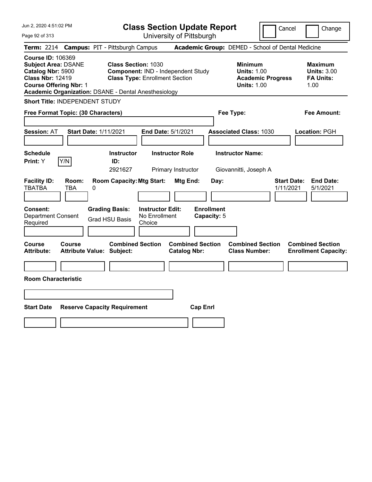| Jun 2, 2020 4:51:02 PM<br>Page 92 of 313                                                                                                                                                               | <b>Class Section Update Report</b><br>University of Pittsburgh                                                                        | Change<br>Cancel                                                                                                                                           |
|--------------------------------------------------------------------------------------------------------------------------------------------------------------------------------------------------------|---------------------------------------------------------------------------------------------------------------------------------------|------------------------------------------------------------------------------------------------------------------------------------------------------------|
| Term: 2214 Campus: PIT - Pittsburgh Campus                                                                                                                                                             |                                                                                                                                       | Academic Group: DEMED - School of Dental Medicine                                                                                                          |
| <b>Course ID: 106369</b><br><b>Subject Area: DSANE</b><br>Catalog Nbr: 5900<br><b>Class Nbr: 12419</b><br><b>Course Offering Nbr: 1</b><br><b>Academic Organization: DSANE - Dental Anesthesiology</b> | <b>Class Section: 1030</b><br>Component: IND - Independent Study<br><b>Class Type: Enrollment Section</b>                             | <b>Minimum</b><br><b>Maximum</b><br><b>Units: 1.00</b><br><b>Units: 3.00</b><br><b>FA Units:</b><br><b>Academic Progress</b><br><b>Units: 1.00</b><br>1.00 |
| <b>Short Title: INDEPENDENT STUDY</b>                                                                                                                                                                  |                                                                                                                                       |                                                                                                                                                            |
| Free Format Topic: (30 Characters)                                                                                                                                                                     | Fee Type:                                                                                                                             | Fee Amount:                                                                                                                                                |
| Session: AT<br><b>Start Date: 1/11/2021</b><br><b>Schedule</b>                                                                                                                                         | <b>End Date: 5/1/2021</b><br><b>Instructor Role</b><br><b>Instructor</b>                                                              | <b>Associated Class: 1030</b><br>Location: PGH<br><b>Instructor Name:</b>                                                                                  |
| Print: Y<br>Y/N                                                                                                                                                                                        | ID:                                                                                                                                   |                                                                                                                                                            |
| <b>Facility ID:</b><br>Room:<br><b>TBATBA</b><br><b>TBA</b><br>0<br><b>Grading Basis:</b><br>Consent:                                                                                                  | 2921627<br>Primary Instructor<br><b>Room Capacity: Mtg Start:</b><br>Mtg End:<br>Day:<br><b>Enrollment</b><br><b>Instructor Edit:</b> | Giovannitti, Joseph A<br><b>Start Date:</b><br><b>End Date:</b><br>1/11/2021<br>5/1/2021                                                                   |
| <b>Department Consent</b><br><b>Grad HSU Basis</b><br>Required                                                                                                                                         | No Enrollment<br>Capacity: 5<br>Choice                                                                                                |                                                                                                                                                            |
| Course<br>Course<br><b>Attribute:</b><br><b>Attribute Value: Subject:</b>                                                                                                                              | <b>Combined Section</b><br><b>Combined Section</b><br><b>Catalog Nbr:</b>                                                             | <b>Combined Section</b><br><b>Combined Section</b><br><b>Class Number:</b><br><b>Enrollment Capacity:</b>                                                  |
|                                                                                                                                                                                                        |                                                                                                                                       |                                                                                                                                                            |
| <b>Room Characteristic</b>                                                                                                                                                                             |                                                                                                                                       |                                                                                                                                                            |
|                                                                                                                                                                                                        |                                                                                                                                       |                                                                                                                                                            |
|                                                                                                                                                                                                        |                                                                                                                                       |                                                                                                                                                            |
| <b>Start Date</b><br><b>Reserve Capacity Requirement</b>                                                                                                                                               | <b>Cap Enrl</b>                                                                                                                       |                                                                                                                                                            |
|                                                                                                                                                                                                        |                                                                                                                                       |                                                                                                                                                            |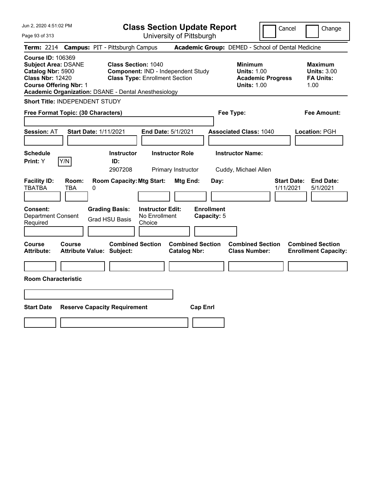| Jun 2, 2020 4:51:02 PM<br>Page 93 of 313                                                                                                                                                               | <b>Class Section Update Report</b><br>University of Pittsburgh                                            | Cancel                                                                                 | Change                                                           |
|--------------------------------------------------------------------------------------------------------------------------------------------------------------------------------------------------------|-----------------------------------------------------------------------------------------------------------|----------------------------------------------------------------------------------------|------------------------------------------------------------------|
| Term: 2214 Campus: PIT - Pittsburgh Campus                                                                                                                                                             |                                                                                                           | Academic Group: DEMED - School of Dental Medicine                                      |                                                                  |
| <b>Course ID: 106369</b><br><b>Subject Area: DSANE</b><br>Catalog Nbr: 5900<br><b>Class Nbr: 12420</b><br><b>Course Offering Nbr: 1</b><br><b>Academic Organization: DSANE - Dental Anesthesiology</b> | <b>Class Section: 1040</b><br>Component: IND - Independent Study<br><b>Class Type: Enrollment Section</b> | <b>Minimum</b><br><b>Units: 1.00</b><br><b>Academic Progress</b><br><b>Units: 1.00</b> | <b>Maximum</b><br><b>Units: 3.00</b><br><b>FA Units:</b><br>1.00 |
| <b>Short Title: INDEPENDENT STUDY</b>                                                                                                                                                                  |                                                                                                           |                                                                                        |                                                                  |
| Free Format Topic: (30 Characters)                                                                                                                                                                     |                                                                                                           | Fee Type:                                                                              | <b>Fee Amount:</b>                                               |
|                                                                                                                                                                                                        |                                                                                                           |                                                                                        |                                                                  |
| <b>Session: AT</b><br><b>Start Date: 1/11/2021</b>                                                                                                                                                     | End Date: 5/1/2021                                                                                        | <b>Associated Class: 1040</b>                                                          | Location: PGH                                                    |
| <b>Schedule</b>                                                                                                                                                                                        | <b>Instructor Role</b><br><b>Instructor</b>                                                               | <b>Instructor Name:</b>                                                                |                                                                  |
| Print: Y<br>Y/N<br>ID:                                                                                                                                                                                 |                                                                                                           |                                                                                        |                                                                  |
|                                                                                                                                                                                                        | 2907208<br>Primary Instructor                                                                             | Cuddy, Michael Allen                                                                   |                                                                  |
| <b>Facility ID:</b><br>Room:<br><b>TBATBA</b><br>TBA<br>0                                                                                                                                              | <b>Room Capacity: Mtg Start:</b><br>Mtg End:<br>Day:                                                      | <b>Start Date:</b><br>1/11/2021                                                        | <b>End Date:</b><br>5/1/2021                                     |
| <b>Grading Basis:</b><br>Consent:<br><b>Department Consent</b><br><b>Grad HSU Basis</b><br>Required                                                                                                    | <b>Enrollment</b><br><b>Instructor Edit:</b><br>No Enrollment<br>Capacity: 5<br>Choice                    |                                                                                        |                                                                  |
| <b>Course</b><br><b>Course</b><br><b>Attribute Value: Subject:</b><br><b>Attribute:</b>                                                                                                                | <b>Combined Section</b><br><b>Combined Section</b><br><b>Catalog Nbr:</b>                                 | <b>Combined Section</b><br><b>Class Number:</b>                                        | <b>Combined Section</b><br><b>Enrollment Capacity:</b>           |
|                                                                                                                                                                                                        |                                                                                                           |                                                                                        |                                                                  |
| <b>Room Characteristic</b>                                                                                                                                                                             |                                                                                                           |                                                                                        |                                                                  |
|                                                                                                                                                                                                        |                                                                                                           |                                                                                        |                                                                  |
| <b>Start Date</b><br><b>Reserve Capacity Requirement</b>                                                                                                                                               | <b>Cap Enrl</b>                                                                                           |                                                                                        |                                                                  |
|                                                                                                                                                                                                        |                                                                                                           |                                                                                        |                                                                  |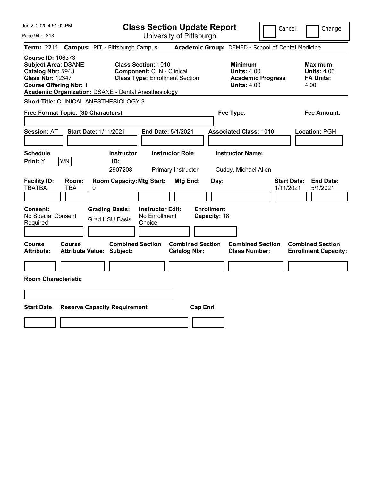| Jun 2, 2020 4:51:02 PM                                                                                                                                                                                 | <b>Class Section Update Report</b>                                                                      |                                                                                        | Cancel<br>Change                                                 |
|--------------------------------------------------------------------------------------------------------------------------------------------------------------------------------------------------------|---------------------------------------------------------------------------------------------------------|----------------------------------------------------------------------------------------|------------------------------------------------------------------|
| Page 94 of 313                                                                                                                                                                                         | University of Pittsburgh                                                                                |                                                                                        |                                                                  |
| <b>Campus: PIT - Pittsburgh Campus</b><br><b>Term: 2214</b>                                                                                                                                            |                                                                                                         | Academic Group: DEMED - School of Dental Medicine                                      |                                                                  |
| <b>Course ID: 106373</b><br><b>Subject Area: DSANE</b><br>Catalog Nbr: 5943<br><b>Class Nbr: 12347</b><br><b>Course Offering Nbr: 1</b><br><b>Academic Organization: DSANE - Dental Anesthesiology</b> | <b>Class Section: 1010</b><br><b>Component: CLN - Clinical</b><br><b>Class Type: Enrollment Section</b> | <b>Minimum</b><br><b>Units: 4.00</b><br><b>Academic Progress</b><br><b>Units: 4.00</b> | <b>Maximum</b><br><b>Units: 4.00</b><br><b>FA Units:</b><br>4.00 |
| Short Title: CLINICAL ANESTHESIOLOGY 3                                                                                                                                                                 |                                                                                                         |                                                                                        |                                                                  |
| Free Format Topic: (30 Characters)                                                                                                                                                                     |                                                                                                         | Fee Type:                                                                              | Fee Amount:                                                      |
| <b>Start Date: 1/11/2021</b><br><b>Session: AT</b>                                                                                                                                                     | End Date: 5/1/2021                                                                                      | <b>Associated Class: 1010</b>                                                          | Location: PGH                                                    |
| <b>Schedule</b>                                                                                                                                                                                        | <b>Instructor Role</b><br><b>Instructor</b>                                                             | <b>Instructor Name:</b>                                                                |                                                                  |
| Y/N<br>Print: Y                                                                                                                                                                                        | ID:<br>2907208<br>Primary Instructor                                                                    | Cuddy, Michael Allen                                                                   |                                                                  |
| <b>Facility ID:</b><br>Room:<br><b>TBATBA</b><br>TBA<br>0<br><b>Grading Basis:</b><br><b>Consent:</b><br>No Special Consent<br><b>Grad HSU Basis</b><br>Required                                       | <b>Room Capacity: Mtg Start:</b><br>Mtg End:<br><b>Instructor Edit:</b><br>No Enrollment<br>Choice      | Day:<br><b>Enrollment</b><br>Capacity: 18                                              | <b>End Date:</b><br><b>Start Date:</b><br>1/11/2021<br>5/1/2021  |
|                                                                                                                                                                                                        |                                                                                                         |                                                                                        |                                                                  |
| Course<br><b>Course</b><br><b>Attribute:</b><br><b>Attribute Value: Subject:</b>                                                                                                                       | <b>Combined Section</b><br><b>Combined Section</b><br><b>Catalog Nbr:</b>                               | <b>Combined Section</b><br><b>Class Number:</b>                                        | <b>Combined Section</b><br><b>Enrollment Capacity:</b>           |
|                                                                                                                                                                                                        |                                                                                                         |                                                                                        |                                                                  |
| <b>Room Characteristic</b>                                                                                                                                                                             |                                                                                                         |                                                                                        |                                                                  |
|                                                                                                                                                                                                        |                                                                                                         |                                                                                        |                                                                  |
| <b>Start Date</b><br><b>Reserve Capacity Requirement</b>                                                                                                                                               |                                                                                                         | <b>Cap Enrl</b>                                                                        |                                                                  |
|                                                                                                                                                                                                        |                                                                                                         |                                                                                        |                                                                  |
|                                                                                                                                                                                                        |                                                                                                         |                                                                                        |                                                                  |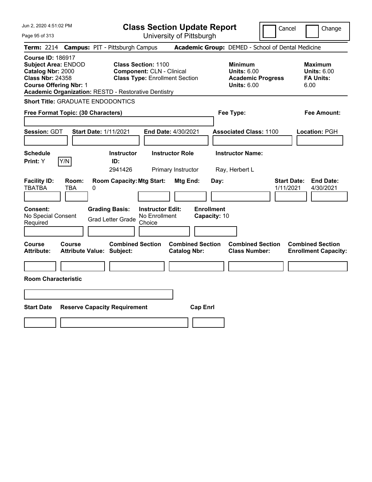|  |  |  | Jun 2, 2020 4:51:02 PM |  |
|--|--|--|------------------------|--|
|--|--|--|------------------------|--|

**Class Section Update Report** University of Pittsburgh

Cancel Change

Page 95 of 313

| Term: 2214                                                               |                                                             |   | <b>Campus: PIT - Pittsburgh Campus</b>                      |                                                                |                                                |                                   | Academic Group: DEMED - School of Dental Medicine                                 |                                 |                                                                  |
|--------------------------------------------------------------------------|-------------------------------------------------------------|---|-------------------------------------------------------------|----------------------------------------------------------------|------------------------------------------------|-----------------------------------|-----------------------------------------------------------------------------------|---------------------------------|------------------------------------------------------------------|
| <b>Course ID: 186917</b><br>Catalog Nbr: 2000<br><b>Class Nbr: 24358</b> | <b>Subject Area: ENDOD</b><br><b>Course Offering Nbr: 1</b> |   | <b>Academic Organization: RESTD - Restorative Dentistry</b> | <b>Class Section: 1100</b><br><b>Component: CLN - Clinical</b> | <b>Class Type: Enrollment Section</b>          |                                   | <b>Minimum</b><br>Units: $6.00$<br><b>Academic Progress</b><br><b>Units: 6.00</b> |                                 | <b>Maximum</b><br><b>Units: 6.00</b><br><b>FA Units:</b><br>6.00 |
|                                                                          | <b>Short Title: GRADUATE ENDODONTICS</b>                    |   |                                                             |                                                                |                                                |                                   |                                                                                   |                                 |                                                                  |
|                                                                          | Free Format Topic: (30 Characters)                          |   |                                                             |                                                                |                                                |                                   | Fee Type:                                                                         |                                 | <b>Fee Amount:</b>                                               |
| Session: GDT                                                             |                                                             |   | <b>Start Date: 1/11/2021</b>                                |                                                                | End Date: 4/30/2021                            |                                   | <b>Associated Class: 1100</b>                                                     |                                 | Location: PGH                                                    |
| <b>Schedule</b><br>Print: Y                                              | Y/N                                                         |   | <b>Instructor</b><br>ID:<br>2941426                         |                                                                | <b>Instructor Role</b><br>Primary Instructor   |                                   | <b>Instructor Name:</b><br>Ray, Herbert L                                         |                                 |                                                                  |
| <b>Facility ID:</b><br><b>TBATBA</b>                                     | Room:<br><b>TBA</b>                                         | 0 | <b>Room Capacity: Mtg Start:</b>                            |                                                                | <b>Mtg End:</b>                                | Day:                              |                                                                                   | <b>Start Date:</b><br>1/11/2021 | <b>End Date:</b><br>4/30/2021                                    |
| Consent:<br>No Special Consent<br>Required                               |                                                             |   | <b>Grading Basis:</b><br><b>Grad Letter Grade</b>           | <b>Instructor Edit:</b><br>No Enrollment<br>Choice             |                                                | <b>Enrollment</b><br>Capacity: 10 |                                                                                   |                                 |                                                                  |
| Course<br><b>Attribute:</b>                                              | Course<br><b>Attribute Value: Subject:</b>                  |   | <b>Combined Section</b>                                     |                                                                | <b>Combined Section</b><br><b>Catalog Nbr:</b> |                                   | <b>Combined Section</b><br><b>Class Number:</b>                                   |                                 | <b>Combined Section</b><br><b>Enrollment Capacity:</b>           |
|                                                                          | <b>Room Characteristic</b>                                  |   |                                                             |                                                                |                                                |                                   |                                                                                   |                                 |                                                                  |
| <b>Start Date</b>                                                        |                                                             |   | <b>Reserve Capacity Requirement</b>                         |                                                                |                                                | <b>Cap Enrl</b>                   |                                                                                   |                                 |                                                                  |
|                                                                          |                                                             |   |                                                             |                                                                |                                                |                                   |                                                                                   |                                 |                                                                  |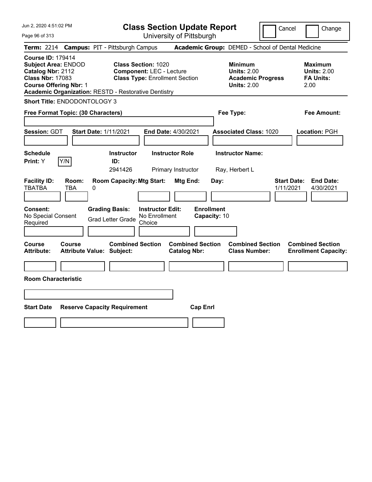Jun 2, 2020 4:51:02 PM Page 96 of 313 **Class Section Update Report** University of Pittsburgh Cancel Change **Term:** 2214 **Campus:** PIT - Pittsburgh Campus **Academic Group:** DEMED - School of Dental Medicine **Course ID:** 179414 **Subject Area:** ENDOD **Class Section:** 1020 **Minimum Maximum Catalog Nbr:** 2112 **Component:** LEC - Lecture **Units:** 2.00 **Units:** 2.00 **Class Nbr:** 17083 **Class Type:** Enrollment Section **Academic Progress FA Units: Course Offering Nbr:** 1 **Units:** 2.00 2.00 **Academic Organization:** RESTD - Restorative Dentistry **Short Title:** ENDODONTOLOGY 3 **Free Format Topic: (30 Characters) Fee Type: Fee Amount: Session:** GDT **Start Date:** 1/11/2021 **End Date:** 4/30/2021 **Associated Class:** 1020 **Location:** PGH **Schedule Instructor Instructor Role Instructor Name: Print:**  $Y$   $|Y/N|$  **ID:** 2941426 Primary Instructor Ray, Herbert L **Facility ID: Room: Room Capacity:Mtg Start: Mtg End: Day: Start Date: End Date:** TBATBA TBA 0 1/11/2021 4/30/2021 **Consent: Grading Basis: Instructor Edit: Enrollment** No Special Consent Grad Letter Grade No Enrollment Choice **Capacity:** 10 **Course Course Combined Section Combined Section Combined Section Combined Section Attribute: Attribute Value: Subject: Catalog Nbr: Class Number: Enrollment Capacity: Room Characteristic Start Date Reserve Capacity Requirement Cap Enrl**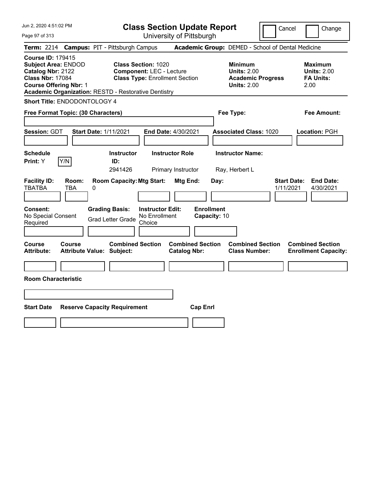| Jun 2, 2020 4:51:02 PM<br>Page 97 of 313                                                                                                                                                               | <b>Class Section Update Report</b><br>University of Pittsburgh                                                                                                           | Cancel                                                                                 | Change                                                           |
|--------------------------------------------------------------------------------------------------------------------------------------------------------------------------------------------------------|--------------------------------------------------------------------------------------------------------------------------------------------------------------------------|----------------------------------------------------------------------------------------|------------------------------------------------------------------|
| Term: 2214 Campus: PIT - Pittsburgh Campus                                                                                                                                                             |                                                                                                                                                                          | Academic Group: DEMED - School of Dental Medicine                                      |                                                                  |
| <b>Course ID: 179415</b><br><b>Subject Area: ENDOD</b><br>Catalog Nbr: 2122<br><b>Class Nbr: 17084</b><br><b>Course Offering Nbr: 1</b><br><b>Academic Organization: RESTD - Restorative Dentistry</b> | Class Section: 1020<br><b>Component: LEC - Lecture</b><br><b>Class Type: Enrollment Section</b>                                                                          | <b>Minimum</b><br><b>Units: 2.00</b><br><b>Academic Progress</b><br><b>Units: 2.00</b> | <b>Maximum</b><br><b>Units: 2.00</b><br><b>FA Units:</b><br>2.00 |
| Short Title: ENDODONTOLOGY 4                                                                                                                                                                           |                                                                                                                                                                          |                                                                                        |                                                                  |
| Free Format Topic: (30 Characters)                                                                                                                                                                     |                                                                                                                                                                          | Fee Type:                                                                              | Fee Amount:                                                      |
| Session: GDT<br><b>Start Date: 1/11/2021</b>                                                                                                                                                           | End Date: 4/30/2021                                                                                                                                                      | <b>Associated Class: 1020</b>                                                          | Location: PGH                                                    |
| <b>Schedule</b>                                                                                                                                                                                        | <b>Instructor</b><br><b>Instructor Role</b>                                                                                                                              | <b>Instructor Name:</b>                                                                |                                                                  |
| Print: Y<br>Y/N                                                                                                                                                                                        | ID:                                                                                                                                                                      |                                                                                        |                                                                  |
| <b>Facility ID:</b><br>Room:<br>TBATBA<br>TBA<br>0<br><b>Consent:</b><br><b>Grading Basis:</b><br>No Special Consent<br><b>Grad Letter Grade</b><br>Required                                           | 2941426<br>Primary Instructor<br><b>Room Capacity: Mtg Start:</b><br>Mtg End:<br><b>Enrollment</b><br><b>Instructor Edit:</b><br>No Enrollment<br>Capacity: 10<br>Choice | Ray, Herbert L<br><b>Start Date:</b><br>Day:<br>1/11/2021                              | <b>End Date:</b><br>4/30/2021                                    |
|                                                                                                                                                                                                        |                                                                                                                                                                          |                                                                                        |                                                                  |
| Course<br>Course<br><b>Attribute:</b><br><b>Attribute Value: Subject:</b>                                                                                                                              | <b>Combined Section</b><br><b>Combined Section</b><br><b>Catalog Nbr:</b>                                                                                                | <b>Combined Section</b><br><b>Class Number:</b>                                        | <b>Combined Section</b><br><b>Enrollment Capacity:</b>           |
|                                                                                                                                                                                                        |                                                                                                                                                                          |                                                                                        |                                                                  |
| <b>Room Characteristic</b>                                                                                                                                                                             |                                                                                                                                                                          |                                                                                        |                                                                  |
|                                                                                                                                                                                                        |                                                                                                                                                                          |                                                                                        |                                                                  |
| <b>Start Date</b><br><b>Reserve Capacity Requirement</b>                                                                                                                                               | <b>Cap Enrl</b>                                                                                                                                                          |                                                                                        |                                                                  |
|                                                                                                                                                                                                        |                                                                                                                                                                          |                                                                                        |                                                                  |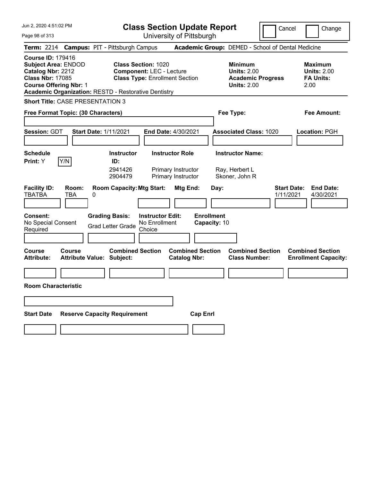Jun 2, 2020 4:51:02 PM Page 98 of 313 **Class Section Update Report** University of Pittsburgh Cancel Change **Term:** 2214 **Campus:** PIT - Pittsburgh Campus **Academic Group:** DEMED - School of Dental Medicine **Course ID:** 179416 **Subject Area:** ENDOD **Class Section:** 1020 **Minimum Maximum Catalog Nbr:** 2212 **Component:** LEC - Lecture **Units:** 2.00 **Units:** 2.00 **Class Nbr:** 17085 **Class Type:** Enrollment Section **Academic Progress FA Units: Course Offering Nbr:** 1 **Units:** 2.00 2.00 **Academic Organization:** RESTD - Restorative Dentistry **Short Title:** CASE PRESENTATION 3 **Free Format Topic: (30 Characters) Fee Type: Fee Amount: Session:** GDT **Start Date:** 1/11/2021 **End Date:** 4/30/2021 **Associated Class:** 1020 **Location:** PGH **Schedule Instructor Instructor Role Instructor Name: Print:**  $Y$   $|Y/N|$  **ID:** 2941426 Primary Instructor Ray, Herbert L 2904479 Primary Instructor Skoner, John R **Facility ID: Room: Room Capacity:Mtg Start: Mtg End: Day: Start Date: End Date:** TBATBA TBA 0 1/11/2021 4/30/2021 **Consent: Grading Basis: Instructor Edit: Enrollment** No Special Consent No Special Consent Grad Letter Grade No Enrollment<br>Required Choice Choice **Capacity:** 10 **Course Course Combined Section Combined Section Combined Section Combined Section**  Attribute: Attribute Value: Subject: Catalog Nbr: Class Number: Enrollment Capacity: **Room Characteristic Start Date Reserve Capacity Requirement Cap Enrl**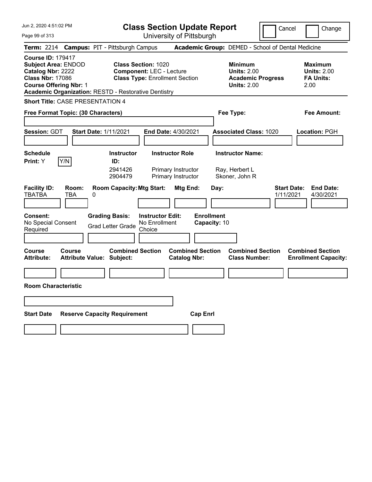| Jun 2, 2020 4:51:02 PM<br>Page 99 of 313                                            |                                                                       | <b>Class Section Update Report</b><br>University of Pittsburgh | Cancel |  |
|-------------------------------------------------------------------------------------|-----------------------------------------------------------------------|----------------------------------------------------------------|--------|--|
|                                                                                     | Term: 2214 Campus: PIT - Pittsburgh Campus                            | <b>Academic Group: DEMED - School of Dental Medicine</b>       |        |  |
| <b>Course ID: 179417</b><br>$\sim$ $\sim$ $\sim$ $\sim$ $\sim$ $\sim$ $\sim$ $\sim$ | $\bullet$ $\bullet$ $\bullet$ $\bullet$ $\bullet$ $\bullet$ $\bullet$ |                                                                |        |  |

**Subject Area:** ENDOD **Class Section:** 1020 **Minimum 1020 Minimum 1020 Minimum 1020 Maximum Catalog Nbr:** 2222 **Component:** LEC - Lecture 10 **Units:** 2.00 **Catalog Nbr: 2222 Component: LEC - Lecture <b>Units: 2.00 Units: 2.00 Units: 2.00 Class Nbr: 17086 Class Type: Enrollment Section Academic Progress FA Units: Course Offering Nbr: 1 Units: 2.00** 2.00

**Academic Organization:** RESTD - Restorative Dentistry

**Short Title:** CASE PRESENTATION 4

| Free Format Topic: (30 Characters)                                                                 |                                                                                            | Fee Type:                                                          | <b>Fee Amount:</b>                                          |                                                                  |
|----------------------------------------------------------------------------------------------------|--------------------------------------------------------------------------------------------|--------------------------------------------------------------------|-------------------------------------------------------------|------------------------------------------------------------------|
| Session: GDT                                                                                       | <b>Start Date: 1/11/2021</b>                                                               | End Date: 4/30/2021                                                | <b>Associated Class: 1020</b>                               | Location: PGH                                                    |
| <b>Schedule</b><br>Y/N<br>Print: Y                                                                 | <b>Instructor</b><br>ID:<br>2941426<br>2904479                                             | <b>Instructor Role</b><br>Primary Instructor<br>Primary Instructor | <b>Instructor Name:</b><br>Ray, Herbert L<br>Skoner, John R |                                                                  |
| <b>Facility ID:</b><br>Room:<br><b>TBATBA</b><br>TBA<br>Consent:<br>No Special Consent<br>Required | <b>Room Capacity: Mtg Start:</b><br>0<br><b>Grading Basis:</b><br><b>Grad Letter Grade</b> | Mtg End:<br><b>Instructor Edit:</b><br>No Enrollment<br>Choice     | Day:<br><b>Enrollment</b><br>Capacity: 10                   | <b>Start Date:</b><br><b>End Date:</b><br>1/11/2021<br>4/30/2021 |
| Course<br>Course<br><b>Attribute:</b>                                                              | <b>Combined Section</b><br><b>Attribute Value: Subject:</b>                                | <b>Combined Section</b><br><b>Catalog Nbr:</b>                     | <b>Combined Section</b><br><b>Class Number:</b>             | <b>Combined Section</b><br><b>Enrollment Capacity:</b>           |
| <b>Room Characteristic</b><br><b>Start Date</b>                                                    | <b>Reserve Capacity Requirement</b>                                                        |                                                                    |                                                             |                                                                  |
|                                                                                                    |                                                                                            |                                                                    | <b>Cap Enri</b>                                             |                                                                  |

**Class Type: Enrollment Section** 

Cancel **I** Change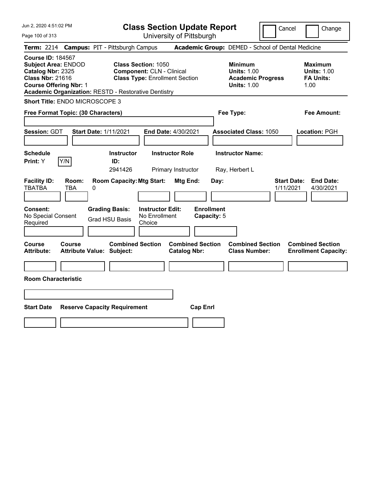|  |  | Jun 2, 2020 4:51:02 PM |  |
|--|--|------------------------|--|
|--|--|------------------------|--|

**Class Section Update Report**

Cancel Change

Page 100 of 313

| Page 100 of 313                                                                                                                         |                     |                                                             |                                                                                                         | University of Pittsburgh                       |                                  |                                                                                        |                                 |                                                           |
|-----------------------------------------------------------------------------------------------------------------------------------------|---------------------|-------------------------------------------------------------|---------------------------------------------------------------------------------------------------------|------------------------------------------------|----------------------------------|----------------------------------------------------------------------------------------|---------------------------------|-----------------------------------------------------------|
|                                                                                                                                         |                     | Term: 2214 Campus: PIT - Pittsburgh Campus                  |                                                                                                         |                                                |                                  | Academic Group: DEMED - School of Dental Medicine                                      |                                 |                                                           |
| <b>Course ID: 184567</b><br><b>Subject Area: ENDOD</b><br>Catalog Nbr: 2325<br><b>Class Nbr: 21616</b><br><b>Course Offering Nbr: 1</b> |                     | <b>Academic Organization: RESTD - Restorative Dentistry</b> | <b>Class Section: 1050</b><br><b>Component: CLN - Clinical</b><br><b>Class Type: Enrollment Section</b> |                                                |                                  | <b>Minimum</b><br><b>Units: 1.00</b><br><b>Academic Progress</b><br><b>Units: 1.00</b> |                                 | Maximum<br><b>Units: 1.00</b><br><b>FA Units:</b><br>1.00 |
| Short Title: ENDO MICROSCOPE 3                                                                                                          |                     |                                                             |                                                                                                         |                                                |                                  |                                                                                        |                                 |                                                           |
| Free Format Topic: (30 Characters)                                                                                                      |                     |                                                             |                                                                                                         |                                                |                                  | Fee Type:                                                                              |                                 | Fee Amount:                                               |
| Session: GDT                                                                                                                            |                     | <b>Start Date: 1/11/2021</b>                                |                                                                                                         | End Date: 4/30/2021                            |                                  | <b>Associated Class: 1050</b>                                                          |                                 | Location: PGH                                             |
| <b>Schedule</b><br><b>Print:</b> Y                                                                                                      | Y/N                 | <b>Instructor</b><br>ID:<br>2941426                         |                                                                                                         | <b>Instructor Role</b><br>Primary Instructor   |                                  | <b>Instructor Name:</b><br>Ray, Herbert L                                              |                                 |                                                           |
| <b>Facility ID:</b><br><b>TBATBA</b>                                                                                                    | Room:<br><b>TBA</b> | <b>Room Capacity: Mtg Start:</b><br>0                       |                                                                                                         | Mtg End:                                       | Day:                             |                                                                                        | <b>Start Date:</b><br>1/11/2021 | <b>End Date:</b><br>4/30/2021                             |
| <b>Consent:</b><br>No Special Consent<br>Required                                                                                       |                     | <b>Grading Basis:</b><br><b>Grad HSU Basis</b>              | Instructor Edit:<br>No Enrollment<br>Choice                                                             |                                                | <b>Enrollment</b><br>Capacity: 5 |                                                                                        |                                 |                                                           |
| <b>Course</b><br>Attribute:                                                                                                             | Course              | <b>Combined Section</b><br><b>Attribute Value: Subject:</b> |                                                                                                         | <b>Combined Section</b><br><b>Catalog Nbr:</b> |                                  | <b>Combined Section</b><br><b>Class Number:</b>                                        |                                 | <b>Combined Section</b><br><b>Enrollment Capacity:</b>    |
|                                                                                                                                         |                     |                                                             |                                                                                                         |                                                |                                  |                                                                                        |                                 |                                                           |
| <b>Room Characteristic</b>                                                                                                              |                     |                                                             |                                                                                                         |                                                |                                  |                                                                                        |                                 |                                                           |
|                                                                                                                                         |                     |                                                             |                                                                                                         |                                                |                                  |                                                                                        |                                 |                                                           |
| <b>Start Date</b>                                                                                                                       |                     | <b>Reserve Capacity Requirement</b>                         |                                                                                                         | <b>Cap Enrl</b>                                |                                  |                                                                                        |                                 |                                                           |
|                                                                                                                                         |                     |                                                             |                                                                                                         |                                                |                                  |                                                                                        |                                 |                                                           |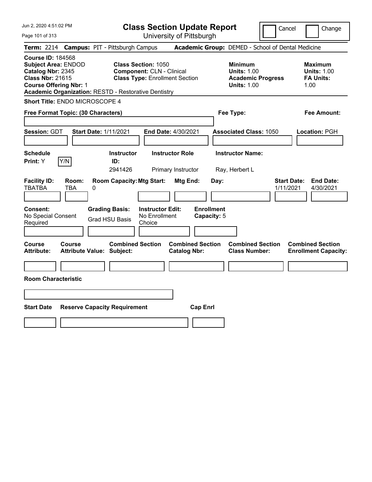| Jun 2, 2020 4:51:02 PM |  |
|------------------------|--|
|------------------------|--|

**Class Section Update Report**

Cancel **Change** 

Page 101 of 313

| Page 101 of 313                                                                                                                         |                     |                                                             |                                                                                                         | University of Pittsburgh                       |                                  |                                                                                        |                                 |                                                                  |
|-----------------------------------------------------------------------------------------------------------------------------------------|---------------------|-------------------------------------------------------------|---------------------------------------------------------------------------------------------------------|------------------------------------------------|----------------------------------|----------------------------------------------------------------------------------------|---------------------------------|------------------------------------------------------------------|
|                                                                                                                                         |                     | Term: 2214 Campus: PIT - Pittsburgh Campus                  |                                                                                                         |                                                |                                  | Academic Group: DEMED - School of Dental Medicine                                      |                                 |                                                                  |
| <b>Course ID: 184568</b><br><b>Subject Area: ENDOD</b><br>Catalog Nbr: 2345<br><b>Class Nbr: 21615</b><br><b>Course Offering Nbr: 1</b> |                     | <b>Academic Organization: RESTD - Restorative Dentistry</b> | <b>Class Section: 1050</b><br><b>Component: CLN - Clinical</b><br><b>Class Type: Enrollment Section</b> |                                                |                                  | <b>Minimum</b><br><b>Units: 1.00</b><br><b>Academic Progress</b><br><b>Units: 1.00</b> |                                 | <b>Maximum</b><br><b>Units: 1.00</b><br><b>FA Units:</b><br>1.00 |
| Short Title: ENDO MICROSCOPE 4                                                                                                          |                     |                                                             |                                                                                                         |                                                |                                  |                                                                                        |                                 |                                                                  |
| Free Format Topic: (30 Characters)                                                                                                      |                     |                                                             |                                                                                                         |                                                |                                  | Fee Type:                                                                              |                                 | Fee Amount:                                                      |
| Session: GDT                                                                                                                            |                     | <b>Start Date: 1/11/2021</b>                                |                                                                                                         | End Date: 4/30/2021                            |                                  | <b>Associated Class: 1050</b>                                                          |                                 | Location: PGH                                                    |
| <b>Schedule</b><br>Print: Y                                                                                                             | Y/N                 | <b>Instructor</b><br>ID:<br>2941426                         |                                                                                                         | <b>Instructor Role</b><br>Primary Instructor   |                                  | <b>Instructor Name:</b><br>Ray, Herbert L                                              |                                 |                                                                  |
| <b>Facility ID:</b><br><b>TBATBA</b>                                                                                                    | Room:<br><b>TBA</b> | <b>Room Capacity: Mtg Start:</b><br>0                       |                                                                                                         | Mtg End:                                       | Day:                             |                                                                                        | <b>Start Date:</b><br>1/11/2021 | <b>End Date:</b><br>4/30/2021                                    |
| Consent:<br>No Special Consent<br>Required                                                                                              |                     | <b>Grading Basis:</b><br><b>Grad HSU Basis</b>              | <b>Instructor Edit:</b><br>No Enrollment<br>Choice                                                      |                                                | <b>Enrollment</b><br>Capacity: 5 |                                                                                        |                                 |                                                                  |
| Course<br><b>Attribute:</b>                                                                                                             | Course              | <b>Combined Section</b><br><b>Attribute Value: Subject:</b> |                                                                                                         | <b>Combined Section</b><br><b>Catalog Nbr:</b> |                                  | <b>Combined Section</b><br><b>Class Number:</b>                                        |                                 | <b>Combined Section</b><br><b>Enrollment Capacity:</b>           |
| <b>Room Characteristic</b>                                                                                                              |                     |                                                             |                                                                                                         |                                                |                                  |                                                                                        |                                 |                                                                  |
| <b>Start Date</b>                                                                                                                       |                     | <b>Reserve Capacity Requirement</b>                         |                                                                                                         | <b>Cap Enrl</b>                                |                                  |                                                                                        |                                 |                                                                  |
|                                                                                                                                         |                     |                                                             |                                                                                                         |                                                |                                  |                                                                                        |                                 |                                                                  |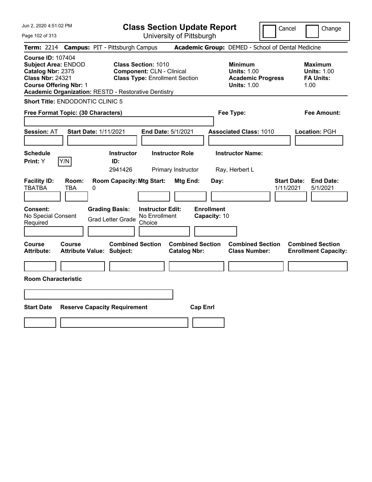Jun 2, 2020 4:51:02 PM Page 102 of 313 **Class Section Update Report** University of Pittsburgh Cancel | Change **Term:** 2214 **Campus:** PIT - Pittsburgh Campus **Academic Group:** DEMED - School of Dental Medicine **Course ID:** 107404 **Subject Area:** ENDOD **Class Section:** 1010 **Minimum Maximum Catalog Nbr:** 2375 **Component:** CLN - Clinical **Units:** 1.00 **Units:** 1.00 **Class Nbr:** 24321 **Class Type:** Enrollment Section **Academic Progress FA Units: Course Offering Nbr:** 1 **Units:** 1.00 1.00 **Academic Organization:** RESTD - Restorative Dentistry **Short Title:** ENDODONTIC CLINIC 5 **Free Format Topic: (30 Characters) Fee Type: Fee Amount: Session:** AT **Start Date:** 1/11/2021 **End Date:** 5/1/2021 **Associated Class:** 1010 **Location:** PGH **Schedule Instructor Instructor Role Instructor Name: Print:**  $Y$   $|Y/N|$  **ID:** 2941426 Primary Instructor Ray, Herbert L **Facility ID: Room: Room Capacity:Mtg Start: Mtg End: Day: Start Date: End Date:** TBATBA TBA 0 1/11/2021 5/1/2021 **Consent: Grading Basis: Instructor Edit: Enrollment** No Special Consent Grad Letter Grade No Enrollment Choice **Capacity:** 10 **Course Course Combined Section Combined Section Combined Section Combined Section Attribute: Attribute Value: Subject: Catalog Nbr: Class Number: Enrollment Capacity: Room Characteristic Start Date Reserve Capacity Requirement Cap Enrl**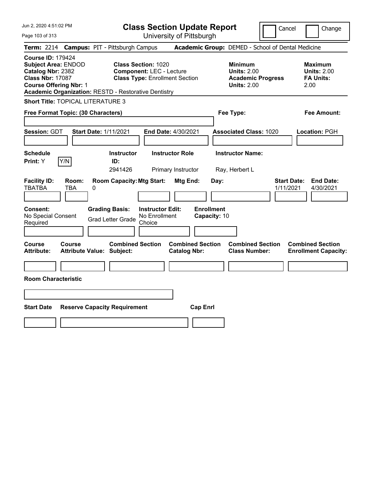| <b>Class Section Update Report</b><br>University of Pittsburgh<br>Page 103 of 313<br>Academic Group: DEMED - School of Dental Medicine<br><b>Campus: PIT - Pittsburgh Campus</b><br><b>Term: 2214</b><br><b>Course ID: 179424</b>                                                                                                                                                                                                           | Change                        |
|---------------------------------------------------------------------------------------------------------------------------------------------------------------------------------------------------------------------------------------------------------------------------------------------------------------------------------------------------------------------------------------------------------------------------------------------|-------------------------------|
|                                                                                                                                                                                                                                                                                                                                                                                                                                             |                               |
|                                                                                                                                                                                                                                                                                                                                                                                                                                             |                               |
| <b>Subject Area: ENDOD</b><br><b>Class Section: 1020</b><br><b>Minimum</b><br><b>Maximum</b><br>Catalog Nbr: 2382<br><b>Component: LEC - Lecture</b><br><b>Units: 2.00</b><br><b>Units: 2.00</b><br><b>Class Nbr: 17087</b><br><b>Class Type: Enrollment Section</b><br><b>FA Units:</b><br><b>Academic Progress</b><br><b>Course Offering Nbr: 1</b><br><b>Units: 2.00</b><br>2.00<br>Academic Organization: RESTD - Restorative Dentistry |                               |
| <b>Short Title: TOPICAL LITERATURE 3</b>                                                                                                                                                                                                                                                                                                                                                                                                    |                               |
| Free Format Topic: (30 Characters)<br>Fee Type:<br>Fee Amount:                                                                                                                                                                                                                                                                                                                                                                              |                               |
| <b>Session: GDT</b><br><b>Start Date: 1/11/2021</b><br><b>Associated Class: 1020</b><br><b>End Date: 4/30/2021</b><br>Location: PGH                                                                                                                                                                                                                                                                                                         |                               |
| <b>Schedule</b><br><b>Instructor Role</b><br><b>Instructor Name:</b><br><b>Instructor</b>                                                                                                                                                                                                                                                                                                                                                   |                               |
| Y/N<br>Print: Y<br>ID:<br>2941426<br>Primary Instructor<br>Ray, Herbert L                                                                                                                                                                                                                                                                                                                                                                   |                               |
| <b>Facility ID:</b><br><b>Start Date:</b><br>Room:<br><b>Room Capacity: Mtg Start:</b><br>Mtg End:<br>Day:<br><b>TBATBA</b><br><b>TBA</b><br>1/11/2021<br>0<br><b>Enrollment</b><br><b>Grading Basis:</b><br><b>Instructor Edit:</b><br>Consent:<br>No Enrollment<br>No Special Consent<br>Capacity: 10<br><b>Grad Letter Grade</b><br>Required<br>Choice                                                                                   | <b>End Date:</b><br>4/30/2021 |
| <b>Combined Section</b><br>Course<br><b>Combined Section</b><br><b>Combined Section</b><br><b>Combined Section</b><br><b>Course</b><br><b>Attribute Value: Subject:</b><br><b>Class Number:</b><br><b>Attribute:</b><br><b>Catalog Nbr:</b><br><b>Enrollment Capacity:</b>                                                                                                                                                                  |                               |
|                                                                                                                                                                                                                                                                                                                                                                                                                                             |                               |
| <b>Room Characteristic</b>                                                                                                                                                                                                                                                                                                                                                                                                                  |                               |
|                                                                                                                                                                                                                                                                                                                                                                                                                                             |                               |
|                                                                                                                                                                                                                                                                                                                                                                                                                                             |                               |
| <b>Start Date</b><br><b>Reserve Capacity Requirement</b><br><b>Cap Enrl</b>                                                                                                                                                                                                                                                                                                                                                                 |                               |
|                                                                                                                                                                                                                                                                                                                                                                                                                                             |                               |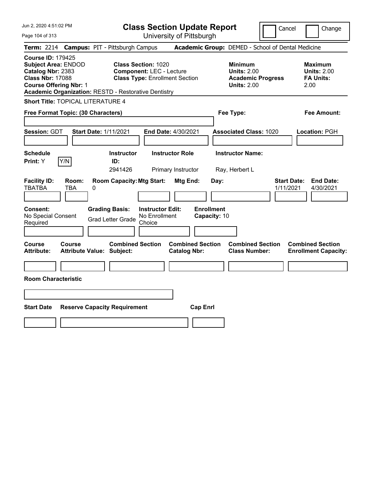| Jun 2, 2020 4:51:02 PM<br>Page 104 of 313                                                                                                                                                              | <b>Class Section Update Report</b><br>University of Pittsburgh                                                                                                              | Cancel                                                                                 | Change                                                           |
|--------------------------------------------------------------------------------------------------------------------------------------------------------------------------------------------------------|-----------------------------------------------------------------------------------------------------------------------------------------------------------------------------|----------------------------------------------------------------------------------------|------------------------------------------------------------------|
| Term: 2214 Campus: PIT - Pittsburgh Campus                                                                                                                                                             |                                                                                                                                                                             | Academic Group: DEMED - School of Dental Medicine                                      |                                                                  |
| <b>Course ID: 179425</b><br><b>Subject Area: ENDOD</b><br>Catalog Nbr: 2383<br><b>Class Nbr: 17088</b><br><b>Course Offering Nbr: 1</b><br><b>Academic Organization: RESTD - Restorative Dentistry</b> | <b>Class Section: 1020</b><br><b>Component: LEC - Lecture</b><br><b>Class Type: Enrollment Section</b>                                                                      | <b>Minimum</b><br><b>Units: 2.00</b><br><b>Academic Progress</b><br><b>Units: 2.00</b> | <b>Maximum</b><br><b>Units: 2.00</b><br><b>FA Units:</b><br>2.00 |
| <b>Short Title: TOPICAL LITERATURE 4</b>                                                                                                                                                               |                                                                                                                                                                             |                                                                                        |                                                                  |
| Free Format Topic: (30 Characters)                                                                                                                                                                     |                                                                                                                                                                             | Fee Type:                                                                              | <b>Fee Amount:</b>                                               |
| <b>Start Date: 1/11/2021</b><br>Session: GDT                                                                                                                                                           | End Date: 4/30/2021                                                                                                                                                         | <b>Associated Class: 1020</b>                                                          | Location: PGH                                                    |
| <b>Schedule</b>                                                                                                                                                                                        | <b>Instructor Role</b><br><b>Instructor</b>                                                                                                                                 | <b>Instructor Name:</b>                                                                |                                                                  |
| Print: Y<br>Y/N                                                                                                                                                                                        | ID:<br>2941426<br>Primary Instructor                                                                                                                                        |                                                                                        |                                                                  |
| <b>Facility ID:</b><br>Room:<br><b>TBATBA</b><br>TBA<br>0<br><b>Grading Basis:</b><br><b>Consent:</b><br>No Special Consent<br>Required                                                                | <b>Room Capacity: Mtg Start:</b><br>Mtg End:<br>Day:<br><b>Instructor Edit:</b><br><b>Enrollment</b><br>No Enrollment<br>Capacity: 10<br><b>Grad Letter Grade</b><br>Choice | Ray, Herbert L<br><b>Start Date:</b><br>1/11/2021                                      | <b>End Date:</b><br>4/30/2021                                    |
| Course<br><b>Course</b><br><b>Attribute:</b><br><b>Attribute Value: Subject:</b>                                                                                                                       | <b>Combined Section</b><br><b>Combined Section</b><br><b>Catalog Nbr:</b>                                                                                                   | <b>Combined Section</b><br><b>Class Number:</b>                                        | <b>Combined Section</b><br><b>Enrollment Capacity:</b>           |
| <b>Room Characteristic</b>                                                                                                                                                                             |                                                                                                                                                                             |                                                                                        |                                                                  |
|                                                                                                                                                                                                        |                                                                                                                                                                             |                                                                                        |                                                                  |
| <b>Start Date</b><br><b>Reserve Capacity Requirement</b>                                                                                                                                               | <b>Cap Enrl</b>                                                                                                                                                             |                                                                                        |                                                                  |
|                                                                                                                                                                                                        |                                                                                                                                                                             |                                                                                        |                                                                  |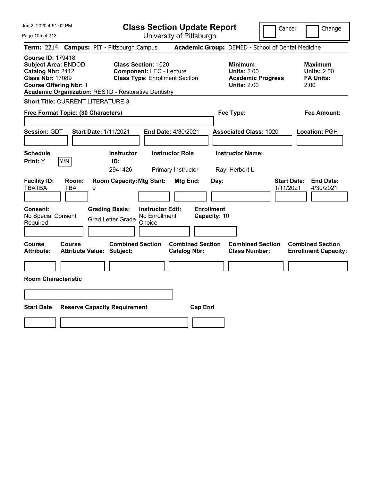| Jun 2, 2020 4:51:02 PM<br>Page 105 of 313                                                                                                                                                              | <b>Class Section Update Report</b><br>University of Pittsburgh                                                                                                              | Cancel                                                                                 | Change                                                           |
|--------------------------------------------------------------------------------------------------------------------------------------------------------------------------------------------------------|-----------------------------------------------------------------------------------------------------------------------------------------------------------------------------|----------------------------------------------------------------------------------------|------------------------------------------------------------------|
| Term: 2214 Campus: PIT - Pittsburgh Campus                                                                                                                                                             |                                                                                                                                                                             | Academic Group: DEMED - School of Dental Medicine                                      |                                                                  |
| <b>Course ID: 179418</b><br><b>Subject Area: ENDOD</b><br>Catalog Nbr: 2412<br><b>Class Nbr: 17089</b><br><b>Course Offering Nbr: 1</b><br><b>Academic Organization: RESTD - Restorative Dentistry</b> | <b>Class Section: 1020</b><br><b>Component: LEC - Lecture</b><br><b>Class Type: Enrollment Section</b>                                                                      | <b>Minimum</b><br><b>Units: 2.00</b><br><b>Academic Progress</b><br><b>Units: 2.00</b> | <b>Maximum</b><br><b>Units: 2.00</b><br><b>FA Units:</b><br>2.00 |
| <b>Short Title: CURRENT LITERATURE 3</b>                                                                                                                                                               |                                                                                                                                                                             |                                                                                        |                                                                  |
| Free Format Topic: (30 Characters)                                                                                                                                                                     |                                                                                                                                                                             | Fee Type:                                                                              | Fee Amount:                                                      |
| Session: GDT<br><b>Start Date: 1/11/2021</b>                                                                                                                                                           | <b>End Date: 4/30/2021</b>                                                                                                                                                  | <b>Associated Class: 1020</b>                                                          | Location: PGH                                                    |
| <b>Schedule</b>                                                                                                                                                                                        | <b>Instructor</b><br><b>Instructor Role</b>                                                                                                                                 | <b>Instructor Name:</b>                                                                |                                                                  |
| Print: Y<br>Y/N                                                                                                                                                                                        | ID:<br>2941426<br>Primary Instructor                                                                                                                                        | Ray, Herbert L                                                                         |                                                                  |
| <b>Facility ID:</b><br>Room:<br><b>TBATBA</b><br><b>TBA</b><br>0<br><b>Grading Basis:</b><br>Consent:<br>No Special Consent<br>Required                                                                | <b>Room Capacity: Mtg Start:</b><br>Mtg End:<br>Day:<br><b>Enrollment</b><br><b>Instructor Edit:</b><br>No Enrollment<br>Capacity: 10<br><b>Grad Letter Grade</b><br>Choice | <b>Start Date:</b><br>1/11/2021                                                        | <b>End Date:</b><br>4/30/2021                                    |
| Course<br>Course<br><b>Attribute:</b><br><b>Attribute Value: Subject:</b>                                                                                                                              | <b>Combined Section</b><br><b>Combined Section</b><br><b>Catalog Nbr:</b>                                                                                                   | <b>Combined Section</b><br><b>Class Number:</b>                                        | <b>Combined Section</b><br><b>Enrollment Capacity:</b>           |
|                                                                                                                                                                                                        |                                                                                                                                                                             |                                                                                        |                                                                  |
| <b>Room Characteristic</b>                                                                                                                                                                             |                                                                                                                                                                             |                                                                                        |                                                                  |
|                                                                                                                                                                                                        |                                                                                                                                                                             |                                                                                        |                                                                  |
| <b>Start Date</b><br><b>Reserve Capacity Requirement</b>                                                                                                                                               | <b>Cap Enrl</b>                                                                                                                                                             |                                                                                        |                                                                  |
|                                                                                                                                                                                                        |                                                                                                                                                                             |                                                                                        |                                                                  |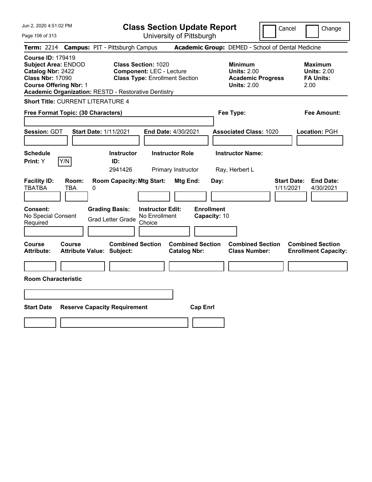| Jun 2, 2020 4:51:02 PM<br>Page 106 of 313                                                                                                                                                              | <b>Class Section Update Report</b><br>University of Pittsburgh                                                                                                                               | Cancel                                                                                 | Change                                                           |
|--------------------------------------------------------------------------------------------------------------------------------------------------------------------------------------------------------|----------------------------------------------------------------------------------------------------------------------------------------------------------------------------------------------|----------------------------------------------------------------------------------------|------------------------------------------------------------------|
| Term: 2214 Campus: PIT - Pittsburgh Campus                                                                                                                                                             |                                                                                                                                                                                              | Academic Group: DEMED - School of Dental Medicine                                      |                                                                  |
| <b>Course ID: 179419</b><br><b>Subject Area: ENDOD</b><br>Catalog Nbr: 2422<br><b>Class Nbr: 17090</b><br><b>Course Offering Nbr: 1</b><br><b>Academic Organization: RESTD - Restorative Dentistry</b> | <b>Class Section: 1020</b><br><b>Component: LEC - Lecture</b><br><b>Class Type: Enrollment Section</b>                                                                                       | <b>Minimum</b><br><b>Units: 2.00</b><br><b>Academic Progress</b><br><b>Units: 2.00</b> | <b>Maximum</b><br><b>Units: 2.00</b><br><b>FA Units:</b><br>2.00 |
| <b>Short Title: CURRENT LITERATURE 4</b>                                                                                                                                                               |                                                                                                                                                                                              |                                                                                        |                                                                  |
| Free Format Topic: (30 Characters)                                                                                                                                                                     |                                                                                                                                                                                              | Fee Type:                                                                              | Fee Amount:                                                      |
| Session: GDT<br><b>Start Date: 1/11/2021</b>                                                                                                                                                           | <b>End Date: 4/30/2021</b>                                                                                                                                                                   | <b>Associated Class: 1020</b>                                                          | Location: PGH                                                    |
| <b>Schedule</b>                                                                                                                                                                                        | <b>Instructor</b><br><b>Instructor Role</b>                                                                                                                                                  | <b>Instructor Name:</b>                                                                |                                                                  |
| Print: Y<br>Y/N                                                                                                                                                                                        | ID:<br>2941426<br>Primary Instructor                                                                                                                                                         | Ray, Herbert L                                                                         |                                                                  |
| <b>Facility ID:</b><br>Room:<br><b>TBATBA</b><br><b>TBA</b><br>0<br>Consent:<br>No Special Consent<br>Required                                                                                         | <b>Room Capacity: Mtg Start:</b><br>Mtg End:<br><b>Enrollment</b><br><b>Grading Basis:</b><br><b>Instructor Edit:</b><br>No Enrollment<br>Capacity: 10<br><b>Grad Letter Grade</b><br>Choice | <b>Start Date:</b><br>Day:<br>1/11/2021                                                | <b>End Date:</b><br>4/30/2021                                    |
| Course<br>Course<br><b>Attribute:</b><br><b>Attribute Value: Subject:</b>                                                                                                                              | <b>Combined Section</b><br><b>Combined Section</b><br><b>Catalog Nbr:</b>                                                                                                                    | <b>Combined Section</b><br><b>Class Number:</b>                                        | <b>Combined Section</b><br><b>Enrollment Capacity:</b>           |
|                                                                                                                                                                                                        |                                                                                                                                                                                              |                                                                                        |                                                                  |
| <b>Room Characteristic</b>                                                                                                                                                                             |                                                                                                                                                                                              |                                                                                        |                                                                  |
|                                                                                                                                                                                                        |                                                                                                                                                                                              |                                                                                        |                                                                  |
| <b>Start Date</b><br><b>Reserve Capacity Requirement</b>                                                                                                                                               | <b>Cap Enrl</b>                                                                                                                                                                              |                                                                                        |                                                                  |
|                                                                                                                                                                                                        |                                                                                                                                                                                              |                                                                                        |                                                                  |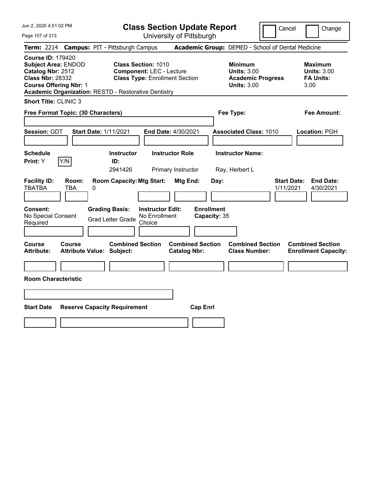Page 107 of 313

**Class Section Update Report**

Cancel Change

|                                                                                           |  | Term: 2214 Campus: PIT - Pittsburgh Campus<br>Academic Group: DEMED - School of Dental Medicine |   |                                                                                       |                                                                                                        |                        |                                   |      |                                                                                        |                                 |                                                                  |
|-------------------------------------------------------------------------------------------|--|-------------------------------------------------------------------------------------------------|---|---------------------------------------------------------------------------------------|--------------------------------------------------------------------------------------------------------|------------------------|-----------------------------------|------|----------------------------------------------------------------------------------------|---------------------------------|------------------------------------------------------------------|
| <b>Course ID: 179420</b><br>Catalog Nbr: 2512<br><b>Class Nbr: 28332</b>                  |  | <b>Subject Area: ENDOD</b><br><b>Course Offering Nbr: 1</b>                                     |   | Academic Organization: RESTD - Restorative Dentistry                                  | <b>Class Section: 1010</b><br><b>Component: LEC - Lecture</b><br><b>Class Type: Enrollment Section</b> |                        |                                   |      | <b>Minimum</b><br><b>Units: 3.00</b><br><b>Academic Progress</b><br><b>Units: 3.00</b> |                                 | <b>Maximum</b><br><b>Units: 3.00</b><br><b>FA Units:</b><br>3.00 |
|                                                                                           |  | <b>Short Title: CLINIC 3</b>                                                                    |   |                                                                                       |                                                                                                        |                        |                                   |      |                                                                                        |                                 |                                                                  |
| Free Format Topic: (30 Characters)                                                        |  |                                                                                                 |   |                                                                                       |                                                                                                        |                        |                                   |      | Fee Type:                                                                              |                                 | <b>Fee Amount:</b>                                               |
| Session: GDT                                                                              |  |                                                                                                 |   | <b>Start Date: 1/11/2021</b>                                                          |                                                                                                        | End Date: 4/30/2021    |                                   |      | <b>Associated Class: 1010</b>                                                          |                                 | Location: PGH                                                    |
| <b>Schedule</b>                                                                           |  |                                                                                                 |   | <b>Instructor</b>                                                                     |                                                                                                        | <b>Instructor Role</b> |                                   |      | <b>Instructor Name:</b>                                                                |                                 |                                                                  |
| Print: Y                                                                                  |  | Y/N                                                                                             |   | ID:<br>2941426                                                                        |                                                                                                        | Primary Instructor     |                                   |      | Ray, Herbert L                                                                         |                                 |                                                                  |
| <b>Facility ID:</b><br><b>TBATBA</b><br><b>Consent:</b><br>No Special Consent<br>Required |  | Room:<br><b>TBA</b>                                                                             | 0 | <b>Room Capacity: Mtg Start:</b><br><b>Grading Basis:</b><br><b>Grad Letter Grade</b> | <b>Instructor Edit:</b><br>No Enrollment<br>Choice                                                     | Mtg End:               | <b>Enrollment</b><br>Capacity: 35 | Day: |                                                                                        | <b>Start Date:</b><br>1/11/2021 | <b>End Date:</b><br>4/30/2021                                    |
| Course<br><b>Attribute:</b>                                                               |  | Course                                                                                          |   | <b>Combined Section</b><br><b>Attribute Value: Subject:</b>                           |                                                                                                        | <b>Catalog Nbr:</b>    | <b>Combined Section</b>           |      | <b>Combined Section</b><br><b>Class Number:</b>                                        |                                 | <b>Combined Section</b><br><b>Enrollment Capacity:</b>           |
|                                                                                           |  |                                                                                                 |   |                                                                                       |                                                                                                        |                        |                                   |      |                                                                                        |                                 |                                                                  |
| <b>Room Characteristic</b>                                                                |  |                                                                                                 |   |                                                                                       |                                                                                                        |                        |                                   |      |                                                                                        |                                 |                                                                  |
|                                                                                           |  |                                                                                                 |   |                                                                                       |                                                                                                        |                        |                                   |      |                                                                                        |                                 |                                                                  |
| <b>Start Date</b>                                                                         |  |                                                                                                 |   | <b>Reserve Capacity Requirement</b>                                                   |                                                                                                        |                        | <b>Cap Enrl</b>                   |      |                                                                                        |                                 |                                                                  |
|                                                                                           |  |                                                                                                 |   |                                                                                       |                                                                                                        |                        |                                   |      |                                                                                        |                                 |                                                                  |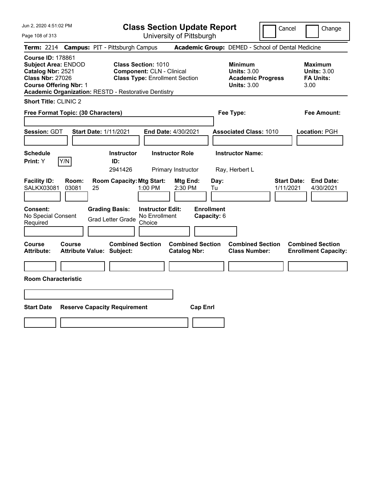Page 108 of 313

**Class Section Update Report**

Cancel Change

|                                                                                                                                         |                | Term: 2214 Campus: PIT - Pittsburgh Campus                                                  |                                                                                                         |                                                |                                                | Academic Group: DEMED - School of Dental Medicine                                      |                                 |                                                                  |
|-----------------------------------------------------------------------------------------------------------------------------------------|----------------|---------------------------------------------------------------------------------------------|---------------------------------------------------------------------------------------------------------|------------------------------------------------|------------------------------------------------|----------------------------------------------------------------------------------------|---------------------------------|------------------------------------------------------------------|
| <b>Course ID: 178861</b><br><b>Subject Area: ENDOD</b><br>Catalog Nbr: 2521<br><b>Class Nbr: 27026</b><br><b>Course Offering Nbr: 1</b> |                | <b>Academic Organization: RESTD - Restorative Dentistry</b>                                 | <b>Class Section: 1010</b><br><b>Component: CLN - Clinical</b><br><b>Class Type: Enrollment Section</b> |                                                |                                                | <b>Minimum</b><br><b>Units: 3.00</b><br><b>Academic Progress</b><br><b>Units: 3.00</b> |                                 | <b>Maximum</b><br><b>Units: 3.00</b><br><b>FA Units:</b><br>3.00 |
| <b>Short Title: CLINIC 2</b>                                                                                                            |                |                                                                                             |                                                                                                         |                                                |                                                |                                                                                        |                                 |                                                                  |
| Free Format Topic: (30 Characters)                                                                                                      |                |                                                                                             |                                                                                                         |                                                |                                                | Fee Type:                                                                              |                                 | <b>Fee Amount:</b>                                               |
| Session: GDT                                                                                                                            |                | <b>Start Date: 1/11/2021</b>                                                                |                                                                                                         | End Date: 4/30/2021                            |                                                | <b>Associated Class: 1010</b>                                                          |                                 | Location: PGH                                                    |
| <b>Schedule</b><br>Print: Y                                                                                                             | Y/N            | <b>Instructor</b><br>ID:                                                                    |                                                                                                         | <b>Instructor Role</b>                         |                                                | <b>Instructor Name:</b>                                                                |                                 |                                                                  |
|                                                                                                                                         |                | 2941426                                                                                     |                                                                                                         | Primary Instructor                             |                                                | Ray, Herbert L                                                                         |                                 |                                                                  |
| <b>Facility ID:</b><br><b>SALKX03081</b><br>Consent:<br>No Special Consent<br>Required                                                  | Room:<br>03081 | <b>Room Capacity: Mtg Start:</b><br>25<br><b>Grading Basis:</b><br><b>Grad Letter Grade</b> | $1:00$ PM<br><b>Instructor Edit:</b><br>No Enrollment<br>Choice                                         | Mtg End:<br>2:30 PM                            | Day:<br>Tu<br><b>Enrollment</b><br>Capacity: 6 |                                                                                        | <b>Start Date:</b><br>1/11/2021 | <b>End Date:</b><br>4/30/2021                                    |
| Course<br>Attribute:                                                                                                                    | Course         | <b>Combined Section</b><br><b>Attribute Value: Subject:</b>                                 |                                                                                                         | <b>Combined Section</b><br><b>Catalog Nbr:</b> |                                                | <b>Combined Section</b><br><b>Class Number:</b>                                        |                                 | <b>Combined Section</b><br><b>Enrollment Capacity:</b>           |
|                                                                                                                                         |                |                                                                                             |                                                                                                         |                                                |                                                |                                                                                        |                                 |                                                                  |
| <b>Room Characteristic</b>                                                                                                              |                |                                                                                             |                                                                                                         |                                                |                                                |                                                                                        |                                 |                                                                  |
|                                                                                                                                         |                |                                                                                             |                                                                                                         |                                                |                                                |                                                                                        |                                 |                                                                  |
| <b>Start Date</b>                                                                                                                       |                | <b>Reserve Capacity Requirement</b>                                                         |                                                                                                         | <b>Cap Enrl</b>                                |                                                |                                                                                        |                                 |                                                                  |
|                                                                                                                                         |                |                                                                                             |                                                                                                         |                                                |                                                |                                                                                        |                                 |                                                                  |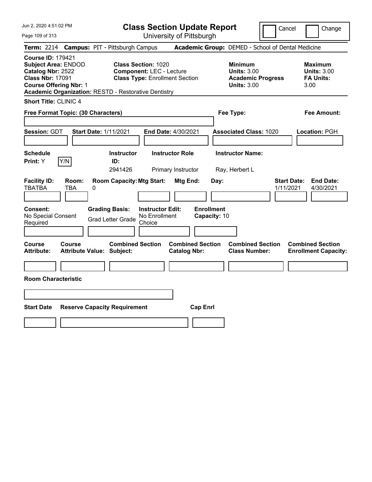Page 109 of 313

**Class Section Update Report**

Cancel Change

|                                                                                                                                         |                                   | Term: 2214 Campus: PIT - Pittsburgh Campus                  |                                                                                                        |                                                |                                   | Academic Group: DEMED - School of Dental Medicine                                      |                                 |                                                                  |
|-----------------------------------------------------------------------------------------------------------------------------------------|-----------------------------------|-------------------------------------------------------------|--------------------------------------------------------------------------------------------------------|------------------------------------------------|-----------------------------------|----------------------------------------------------------------------------------------|---------------------------------|------------------------------------------------------------------|
| <b>Course ID: 179421</b><br><b>Subject Area: ENDOD</b><br>Catalog Nbr: 2522<br><b>Class Nbr: 17091</b><br><b>Course Offering Nbr: 1</b> |                                   | <b>Academic Organization: RESTD - Restorative Dentistry</b> | <b>Class Section: 1020</b><br><b>Component: LEC - Lecture</b><br><b>Class Type: Enrollment Section</b> |                                                |                                   | <b>Minimum</b><br><b>Units: 3.00</b><br><b>Academic Progress</b><br><b>Units: 3.00</b> |                                 | <b>Maximum</b><br><b>Units: 3.00</b><br><b>FA Units:</b><br>3.00 |
| <b>Short Title: CLINIC 4</b>                                                                                                            |                                   |                                                             |                                                                                                        |                                                |                                   |                                                                                        |                                 |                                                                  |
| Free Format Topic: (30 Characters)                                                                                                      |                                   |                                                             |                                                                                                        |                                                |                                   | Fee Type:                                                                              |                                 | <b>Fee Amount:</b>                                               |
| Session: GDT                                                                                                                            |                                   | <b>Start Date: 1/11/2021</b>                                | End Date: 4/30/2021                                                                                    |                                                |                                   | <b>Associated Class: 1020</b>                                                          |                                 | Location: PGH                                                    |
| <b>Schedule</b><br>Print: Y                                                                                                             | Y/N                               | <b>Instructor</b><br>ID:<br>2941426                         |                                                                                                        | <b>Instructor Role</b><br>Primary Instructor   |                                   | <b>Instructor Name:</b><br>Ray, Herbert L                                              |                                 |                                                                  |
| <b>Facility ID:</b><br><b>TBATBA</b>                                                                                                    | Room:<br><b>TBA</b>               | <b>Room Capacity: Mtg Start:</b><br>0                       |                                                                                                        | Mtg End:                                       | Day:                              |                                                                                        | <b>Start Date:</b><br>1/11/2021 | <b>End Date:</b><br>4/30/2021                                    |
| Consent:<br>No Special Consent<br>Required                                                                                              |                                   | <b>Grading Basis:</b><br><b>Grad Letter Grade</b>           | <b>Instructor Edit:</b><br>No Enrollment<br>Choice                                                     |                                                | <b>Enrollment</b><br>Capacity: 10 |                                                                                        |                                 |                                                                  |
| Course<br><b>Attribute:</b>                                                                                                             | Course<br><b>Attribute Value:</b> | <b>Combined Section</b><br>Subject:                         |                                                                                                        | <b>Combined Section</b><br><b>Catalog Nbr:</b> |                                   | <b>Combined Section</b><br><b>Class Number:</b>                                        |                                 | <b>Combined Section</b><br><b>Enrollment Capacity:</b>           |
| <b>Room Characteristic</b>                                                                                                              |                                   |                                                             |                                                                                                        |                                                |                                   |                                                                                        |                                 |                                                                  |
|                                                                                                                                         |                                   |                                                             |                                                                                                        |                                                |                                   |                                                                                        |                                 |                                                                  |
| <b>Start Date</b>                                                                                                                       |                                   | <b>Reserve Capacity Requirement</b>                         |                                                                                                        |                                                | <b>Cap Enri</b>                   |                                                                                        |                                 |                                                                  |
|                                                                                                                                         |                                   |                                                             |                                                                                                        |                                                |                                   |                                                                                        |                                 |                                                                  |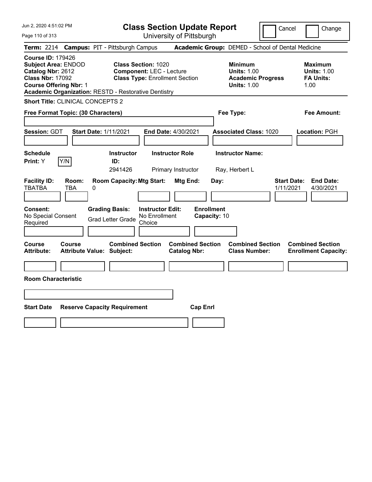| Jun 2, 2020 4:51:02 PM                                                                                                                                                                                 | <b>Class Section Update Report</b>                                                                                                              | Cancel                                                                                 | Change                                                           |
|--------------------------------------------------------------------------------------------------------------------------------------------------------------------------------------------------------|-------------------------------------------------------------------------------------------------------------------------------------------------|----------------------------------------------------------------------------------------|------------------------------------------------------------------|
| Page 110 of 313                                                                                                                                                                                        | University of Pittsburgh                                                                                                                        |                                                                                        |                                                                  |
| <b>Campus: PIT - Pittsburgh Campus</b><br><b>Term: 2214</b>                                                                                                                                            |                                                                                                                                                 | Academic Group: DEMED - School of Dental Medicine                                      |                                                                  |
| <b>Course ID: 179426</b><br><b>Subject Area: ENDOD</b><br>Catalog Nbr: 2612<br><b>Class Nbr: 17092</b><br><b>Course Offering Nbr: 1</b><br><b>Academic Organization: RESTD - Restorative Dentistry</b> | <b>Class Section: 1020</b><br><b>Component: LEC - Lecture</b><br><b>Class Type: Enrollment Section</b>                                          | <b>Minimum</b><br><b>Units: 1.00</b><br><b>Academic Progress</b><br><b>Units: 1.00</b> | <b>Maximum</b><br><b>Units: 1.00</b><br><b>FA Units:</b><br>1.00 |
| <b>Short Title: CLINICAL CONCEPTS 2</b>                                                                                                                                                                |                                                                                                                                                 |                                                                                        |                                                                  |
| Free Format Topic: (30 Characters)                                                                                                                                                                     |                                                                                                                                                 | Fee Type:                                                                              | Fee Amount:                                                      |
| Session: GDT<br><b>Start Date: 1/11/2021</b>                                                                                                                                                           | End Date: 4/30/2021                                                                                                                             | <b>Associated Class: 1020</b>                                                          | Location: PGH                                                    |
| <b>Schedule</b>                                                                                                                                                                                        | Instructor<br><b>Instructor Role</b>                                                                                                            | <b>Instructor Name:</b>                                                                |                                                                  |
| Y/N<br>Print: Y<br>ID:                                                                                                                                                                                 | 2941426<br>Primary Instructor                                                                                                                   | Ray, Herbert L                                                                         |                                                                  |
| <b>Facility ID:</b><br>Room:<br><b>TBATBA</b><br>TBA<br>0<br><b>Grading Basis:</b><br><b>Consent:</b><br>No Special Consent<br><b>Grad Letter Grade</b><br>Required                                    | <b>Room Capacity: Mtg Start:</b><br>Mtg End:<br>Day:<br><b>Enrollment</b><br><b>Instructor Edit:</b><br>No Enrollment<br>Capacity: 10<br>Choice | <b>Start Date:</b><br>1/11/2021                                                        | <b>End Date:</b><br>4/30/2021                                    |
| Course<br><b>Course</b><br><b>Attribute:</b><br><b>Attribute Value: Subject:</b>                                                                                                                       | <b>Combined Section</b><br><b>Combined Section</b><br><b>Catalog Nbr:</b>                                                                       | <b>Combined Section</b><br><b>Class Number:</b>                                        | <b>Combined Section</b><br><b>Enrollment Capacity:</b>           |
|                                                                                                                                                                                                        |                                                                                                                                                 |                                                                                        |                                                                  |
| <b>Room Characteristic</b>                                                                                                                                                                             |                                                                                                                                                 |                                                                                        |                                                                  |
|                                                                                                                                                                                                        |                                                                                                                                                 |                                                                                        |                                                                  |
|                                                                                                                                                                                                        |                                                                                                                                                 |                                                                                        |                                                                  |
| <b>Start Date</b><br><b>Reserve Capacity Requirement</b>                                                                                                                                               | <b>Cap Enrl</b>                                                                                                                                 |                                                                                        |                                                                  |
|                                                                                                                                                                                                        |                                                                                                                                                 |                                                                                        |                                                                  |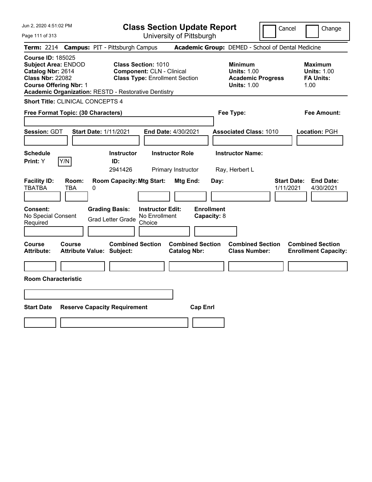|  |  | Jun 2, 2020 4:51:02 PM |  |
|--|--|------------------------|--|
|--|--|------------------------|--|

**Class Section Update Report** University of Pittsburgh

Cancel **Change** 

Page 111 of 313

|                                                                                                                                         |            |       |   | Term: 2214 Campus: PIT - Pittsburgh Campus                                            |                                                                                                         |                                                |                                  |           | Academic Group: DEMED - School of Dental Medicine                                      |                                 |                                                                  |
|-----------------------------------------------------------------------------------------------------------------------------------------|------------|-------|---|---------------------------------------------------------------------------------------|---------------------------------------------------------------------------------------------------------|------------------------------------------------|----------------------------------|-----------|----------------------------------------------------------------------------------------|---------------------------------|------------------------------------------------------------------|
| <b>Course ID: 185025</b><br><b>Subject Area: ENDOD</b><br>Catalog Nbr: 2614<br><b>Class Nbr: 22082</b><br><b>Course Offering Nbr: 1</b> |            |       |   | <b>Academic Organization: RESTD - Restorative Dentistry</b>                           | <b>Class Section: 1010</b><br><b>Component: CLN - Clinical</b><br><b>Class Type: Enrollment Section</b> |                                                |                                  |           | <b>Minimum</b><br><b>Units: 1.00</b><br><b>Academic Progress</b><br><b>Units: 1.00</b> |                                 | <b>Maximum</b><br><b>Units: 1.00</b><br><b>FA Units:</b><br>1.00 |
| <b>Short Title: CLINICAL CONCEPTS 4</b>                                                                                                 |            |       |   |                                                                                       |                                                                                                         |                                                |                                  |           |                                                                                        |                                 |                                                                  |
| Free Format Topic: (30 Characters)                                                                                                      |            |       |   |                                                                                       |                                                                                                         |                                                |                                  | Fee Type: |                                                                                        | Fee Amount:                     |                                                                  |
| Session: GDT                                                                                                                            |            |       |   | <b>Start Date: 1/11/2021</b>                                                          |                                                                                                         | End Date: 4/30/2021                            |                                  |           | <b>Associated Class: 1010</b>                                                          |                                 | Location: PGH                                                    |
| <b>Schedule</b><br><b>Print:</b> Y                                                                                                      | Y/N        |       |   | <b>Instructor</b><br>ID:<br>2941426                                                   |                                                                                                         | <b>Instructor Role</b><br>Primary Instructor   |                                  |           | <b>Instructor Name:</b><br>Ray, Herbert L                                              |                                 |                                                                  |
| <b>Facility ID:</b><br><b>TBATBA</b><br>Consent:<br>No Special Consent<br>Required                                                      | <b>TBA</b> | Room: | 0 | <b>Room Capacity: Mtg Start:</b><br><b>Grading Basis:</b><br><b>Grad Letter Grade</b> | <b>Instructor Edit:</b><br>No Enrollment<br>Choice                                                      | Mtg End:                                       | <b>Enrollment</b><br>Capacity: 8 | Day:      |                                                                                        | <b>Start Date:</b><br>1/11/2021 | <b>End Date:</b><br>4/30/2021                                    |
| Course<br><b>Attribute:</b>                                                                                                             | Course     |       |   | <b>Combined Section</b><br>Attribute Value: Subject:                                  |                                                                                                         | <b>Combined Section</b><br><b>Catalog Nbr:</b> |                                  |           | <b>Combined Section</b><br><b>Class Number:</b>                                        |                                 | <b>Combined Section</b><br><b>Enrollment Capacity:</b>           |
| <b>Room Characteristic</b>                                                                                                              |            |       |   |                                                                                       |                                                                                                         |                                                |                                  |           |                                                                                        |                                 |                                                                  |
|                                                                                                                                         |            |       |   |                                                                                       |                                                                                                         |                                                |                                  |           |                                                                                        |                                 |                                                                  |
| <b>Start Date</b>                                                                                                                       |            |       |   | <b>Reserve Capacity Requirement</b>                                                   |                                                                                                         |                                                | <b>Cap Enrl</b>                  |           |                                                                                        |                                 |                                                                  |
|                                                                                                                                         |            |       |   |                                                                                       |                                                                                                         |                                                |                                  |           |                                                                                        |                                 |                                                                  |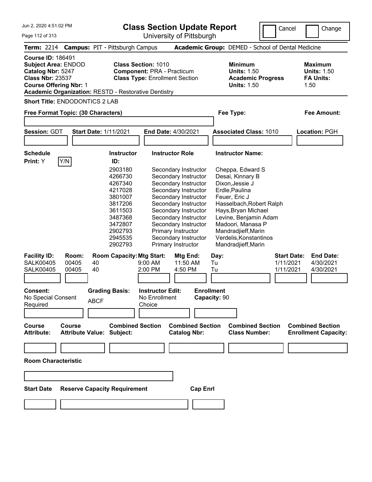Jun 2, 2020 4:51:02 PM Page 112 of 313 **Class Section Update Report** University of Pittsburgh Cancel Change **Term:** 2214 **Campus:** PIT - Pittsburgh Campus **Academic Group:** DEMED - School of Dental Medicine **Course ID:** 186491 **Subject Area:** ENDOD **Class Section:** 1010 **Minimum Maximum Catalog Nbr:** 5247 **Component:** PRA - Practicum **Units:** 1.50 **Units:** 1.50 **Class Nbr:** 23537 **Class Type:** Enrollment Section **Academic Progress FA Units: Course Offering Nbr: 1 Course Offering Nbr: 1 Academic Organization:** RESTD - Restorative Dentistry **Short Title:** ENDODONTICS 2 LAB **Free Format Topic: (30 Characters) Fee Type: Fee Amount: Session:** GDT **Start Date:** 1/11/2021 **End Date:** 4/30/2021 **Associated Class:** 1010 **Location:** PGH **Schedule Instructor Instructor Role Instructor Name: Print:**  $Y$   $|Y/N|$  **ID:** 2903180 Secondary Instructor Cheppa, Edward S 4266730 Secondary Instructor Desai, Kinnary B 4267340 Secondary Instructor Dixon,Jessie J 4217028 Secondary Instructor Erdle,Paulina 3801007 Secondary Instructor Feuer, Eric J 3817206 Secondary Instructor Hasselbach,Robert Ralph 3611503 Secondary Instructor Hays,Bryan Michael 3487368 Secondary Instructor Levine, Benjamin Adam 3472807 Secondary Instructor 2902793 Primary Instructor Mandradjieff,Marin 2945535 Secondary Instructor Verdelis,Konstantinos 2902793 Primary Instructor Mandradjieff,Marin **Facility ID: Room: Room Capacity:Mtg Start: Mtg End: Day: Start Date: End Date:** SALK00405 00405 40 9:00 AM 11:50 AM Tu 1/11/2021 4/30/2021 SALK00405 00405 40 2:00 PM 4:50 PM Tu 1/11/2021 4/30/2021 **Consent: Grading Basis: Instructor Edit: Enrollment** No Special Consent BCF No Enrollment<br>Required ABCF Choice Choice **Capacity:** 90 **Course Course Combined Section Combined Section Combined Section Combined Section Attribute: Attribute Value: Subject: Catalog Nbr: Class Number: Enrollment Capacity:** 

**Room Characteristic**

**Start Date Reserve Capacity Requirement Cap Enrl**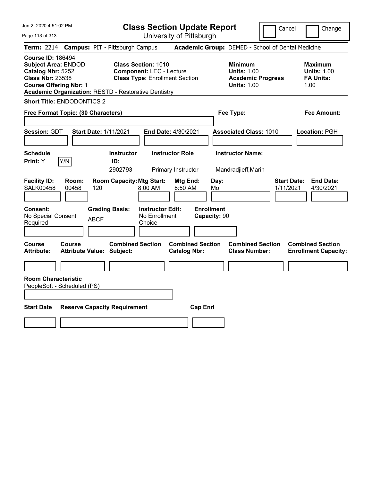Page 113 of 313

**Class Section Update Report**

Cancel Change

|                                                                                                                                         |                                    |       |             | Term: 2214 Campus: PIT - Pittsburgh Campus                  |                                                                                                                                                                       |                                              |                                   |            | Academic Group: DEMED - School of Dental Medicine                                      |                                 |                                                                  |
|-----------------------------------------------------------------------------------------------------------------------------------------|------------------------------------|-------|-------------|-------------------------------------------------------------|-----------------------------------------------------------------------------------------------------------------------------------------------------------------------|----------------------------------------------|-----------------------------------|------------|----------------------------------------------------------------------------------------|---------------------------------|------------------------------------------------------------------|
| <b>Course ID: 186494</b><br><b>Subject Area: ENDOD</b><br>Catalog Nbr: 5252<br><b>Class Nbr: 23538</b><br><b>Course Offering Nbr: 1</b> |                                    |       |             |                                                             | <b>Class Section: 1010</b><br><b>Component: LEC - Lecture</b><br><b>Class Type: Enrollment Section</b><br><b>Academic Organization: RESTD - Restorative Dentistry</b> |                                              |                                   |            | <b>Minimum</b><br><b>Units: 1.00</b><br><b>Academic Progress</b><br><b>Units: 1.00</b> |                                 | <b>Maximum</b><br><b>Units: 1.00</b><br><b>FA Units:</b><br>1.00 |
| <b>Short Title: ENDODONTICS 2</b>                                                                                                       |                                    |       |             |                                                             |                                                                                                                                                                       |                                              |                                   |            |                                                                                        |                                 |                                                                  |
|                                                                                                                                         | Free Format Topic: (30 Characters) |       |             |                                                             |                                                                                                                                                                       |                                              |                                   |            | Fee Type:                                                                              |                                 | Fee Amount:                                                      |
| Session: GDT                                                                                                                            |                                    |       |             | <b>Start Date: 1/11/2021</b>                                | End Date: 4/30/2021                                                                                                                                                   |                                              |                                   |            | <b>Associated Class: 1010</b>                                                          |                                 | Location: PGH                                                    |
| <b>Schedule</b><br>Print: Y                                                                                                             | Y/N                                |       |             | <b>Instructor</b><br>ID:<br>2902793                         |                                                                                                                                                                       | <b>Instructor Role</b><br>Primary Instructor |                                   |            | <b>Instructor Name:</b><br>Mandradjieff, Marin                                         |                                 |                                                                  |
| <b>Facility ID:</b><br><b>SALK00458</b>                                                                                                 | 00458                              | Room: | 120         | <b>Room Capacity: Mtg Start:</b>                            | $8:00 \, \text{AM}$                                                                                                                                                   | Mtg End:<br>$8:50$ AM                        |                                   | Day:<br>Mo |                                                                                        | <b>Start Date:</b><br>1/11/2021 | <b>End Date:</b><br>4/30/2021                                    |
| Consent:<br>No Special Consent<br>Required                                                                                              |                                    |       | <b>ABCF</b> | <b>Grading Basis:</b>                                       | <b>Instructor Edit:</b><br>No Enrollment<br>Choice                                                                                                                    |                                              | <b>Enrollment</b><br>Capacity: 90 |            |                                                                                        |                                 |                                                                  |
| Course<br><b>Attribute:</b>                                                                                                             | Course                             |       |             | <b>Combined Section</b><br><b>Attribute Value: Subject:</b> |                                                                                                                                                                       | <b>Catalog Nbr:</b>                          | <b>Combined Section</b>           |            | <b>Combined Section</b><br><b>Class Number:</b>                                        |                                 | <b>Combined Section</b><br><b>Enrollment Capacity:</b>           |
|                                                                                                                                         |                                    |       |             |                                                             |                                                                                                                                                                       |                                              |                                   |            |                                                                                        |                                 |                                                                  |
| <b>Room Characteristic</b><br>PeopleSoft - Scheduled (PS)                                                                               |                                    |       |             |                                                             |                                                                                                                                                                       |                                              |                                   |            |                                                                                        |                                 |                                                                  |
| <b>Start Date</b>                                                                                                                       |                                    |       |             | <b>Reserve Capacity Requirement</b>                         |                                                                                                                                                                       |                                              | <b>Cap Enrl</b>                   |            |                                                                                        |                                 |                                                                  |
|                                                                                                                                         |                                    |       |             |                                                             |                                                                                                                                                                       |                                              |                                   |            |                                                                                        |                                 |                                                                  |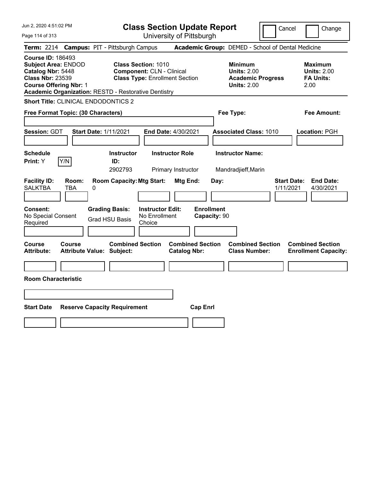|  |  |  | Jun 2, 2020 4:51:02 PM |  |
|--|--|--|------------------------|--|
|--|--|--|------------------------|--|

**Class Section Update Report** University of Pittsburgh

Cancel Change

Page 114 of 313

|                                                                                                                                         |                                    | Term: 2214 Campus: PIT - Pittsburgh Campus                                                                                                                      |                                                                                        |                                                |                                   | Academic Group: DEMED - School of Dental Medicine         |                                 |                                                        |
|-----------------------------------------------------------------------------------------------------------------------------------------|------------------------------------|-----------------------------------------------------------------------------------------------------------------------------------------------------------------|----------------------------------------------------------------------------------------|------------------------------------------------|-----------------------------------|-----------------------------------------------------------|---------------------------------|--------------------------------------------------------|
| <b>Course ID: 186493</b><br><b>Subject Area: ENDOD</b><br>Catalog Nbr: 5448<br><b>Class Nbr: 23539</b><br><b>Course Offering Nbr: 1</b> |                                    | <b>Class Section: 1010</b><br><b>Component: CLN - Clinical</b><br><b>Class Type: Enrollment Section</b><br>Academic Organization: RESTD - Restorative Dentistry | <b>Minimum</b><br><b>Units: 2.00</b><br><b>Academic Progress</b><br><b>Units: 2.00</b> |                                                |                                   | Maximum<br><b>Units: 2.00</b><br><b>FA Units:</b><br>2.00 |                                 |                                                        |
|                                                                                                                                         |                                    | <b>Short Title: CLINICAL ENDODONTICS 2</b>                                                                                                                      |                                                                                        |                                                |                                   |                                                           |                                 |                                                        |
|                                                                                                                                         | Free Format Topic: (30 Characters) |                                                                                                                                                                 |                                                                                        |                                                |                                   |                                                           |                                 | <b>Fee Amount:</b>                                     |
| Session: GDT                                                                                                                            |                                    | <b>Start Date: 1/11/2021</b>                                                                                                                                    |                                                                                        | <b>End Date: 4/30/2021</b>                     |                                   | <b>Associated Class: 1010</b>                             |                                 | Location: PGH                                          |
| <b>Schedule</b><br>Print: Y                                                                                                             | Y/N                                | <b>Instructor</b><br>ID:<br>2902793                                                                                                                             |                                                                                        | <b>Instructor Role</b><br>Primary Instructor   |                                   | <b>Instructor Name:</b><br>Mandradjieff, Marin            |                                 |                                                        |
| <b>Facility ID:</b><br><b>SALKTBA</b>                                                                                                   | Room:<br><b>TBA</b>                | <b>Room Capacity: Mtg Start:</b><br>0                                                                                                                           |                                                                                        | Mtg End:                                       | Day:                              |                                                           | <b>Start Date:</b><br>1/11/2021 | <b>End Date:</b><br>4/30/2021                          |
| Consent:<br>No Special Consent<br>Required                                                                                              |                                    | <b>Grading Basis:</b><br><b>Grad HSU Basis</b>                                                                                                                  | <b>Instructor Edit:</b><br>No Enrollment<br>Choice                                     |                                                | <b>Enrollment</b><br>Capacity: 90 |                                                           |                                 |                                                        |
| <b>Course</b><br><b>Attribute:</b>                                                                                                      | Course                             | <b>Combined Section</b><br><b>Attribute Value: Subject:</b>                                                                                                     |                                                                                        | <b>Combined Section</b><br><b>Catalog Nbr:</b> |                                   | <b>Combined Section</b><br><b>Class Number:</b>           |                                 | <b>Combined Section</b><br><b>Enrollment Capacity:</b> |
| <b>Room Characteristic</b>                                                                                                              |                                    |                                                                                                                                                                 |                                                                                        |                                                |                                   |                                                           |                                 |                                                        |
| <b>Start Date</b>                                                                                                                       |                                    | <b>Reserve Capacity Requirement</b>                                                                                                                             |                                                                                        | <b>Cap Enrl</b>                                |                                   |                                                           |                                 |                                                        |
|                                                                                                                                         |                                    |                                                                                                                                                                 |                                                                                        |                                                |                                   |                                                           |                                 |                                                        |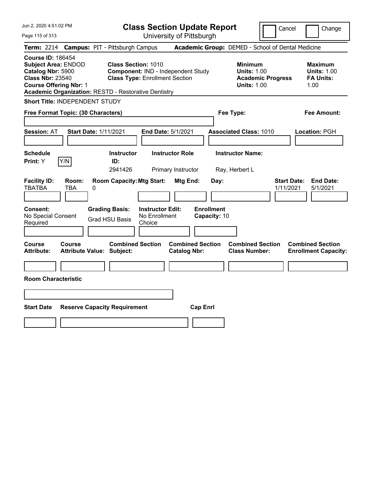| Jun 2, 2020 4:51:02 PM                                                                                                                                                                                 |                                        |                                                                     |                                                    | <b>Class Section Update Report</b>             |                                   |                                                            | Cancel                   |                                 | Change                                                    |
|--------------------------------------------------------------------------------------------------------------------------------------------------------------------------------------------------------|----------------------------------------|---------------------------------------------------------------------|----------------------------------------------------|------------------------------------------------|-----------------------------------|------------------------------------------------------------|--------------------------|---------------------------------|-----------------------------------------------------------|
| Page 115 of 313                                                                                                                                                                                        |                                        |                                                                     |                                                    | University of Pittsburgh                       |                                   |                                                            |                          |                                 |                                                           |
| <b>Term: 2214</b>                                                                                                                                                                                      | <b>Campus: PIT - Pittsburgh Campus</b> |                                                                     |                                                    |                                                |                                   | Academic Group: DEMED - School of Dental Medicine          |                          |                                 |                                                           |
| <b>Course ID: 186454</b><br><b>Subject Area: ENDOD</b><br>Catalog Nbr: 5900<br><b>Class Nbr: 23540</b><br><b>Course Offering Nbr: 1</b><br><b>Academic Organization: RESTD - Restorative Dentistry</b> |                                        | <b>Class Section: 1010</b><br><b>Class Type: Enrollment Section</b> |                                                    | Component: IND - Independent Study             |                                   | <b>Minimum</b><br><b>Units: 1.00</b><br><b>Units: 1.00</b> | <b>Academic Progress</b> |                                 | Maximum<br><b>Units: 1.00</b><br><b>FA Units:</b><br>1.00 |
| Short Title: INDEPENDENT STUDY                                                                                                                                                                         |                                        |                                                                     |                                                    |                                                |                                   |                                                            |                          |                                 |                                                           |
| Free Format Topic: (30 Characters)                                                                                                                                                                     |                                        |                                                                     |                                                    |                                                |                                   | Fee Type:                                                  |                          |                                 | Fee Amount:                                               |
| <b>Session: AT</b>                                                                                                                                                                                     | <b>Start Date: 1/11/2021</b>           |                                                                     |                                                    | End Date: 5/1/2021                             |                                   | <b>Associated Class: 1010</b>                              |                          |                                 | Location: PGH                                             |
| <b>Schedule</b><br>Y/N<br>Print: Y                                                                                                                                                                     |                                        | <b>Instructor</b><br>ID:<br>2941426                                 |                                                    | <b>Instructor Role</b><br>Primary Instructor   |                                   | <b>Instructor Name:</b><br>Ray, Herbert L                  |                          |                                 |                                                           |
| <b>Facility ID:</b><br><b>TBATBA</b><br><b>TBA</b>                                                                                                                                                     | Room:<br>0                             | <b>Room Capacity: Mtg Start:</b>                                    |                                                    | Mtg End:                                       | Day:                              |                                                            |                          | <b>Start Date:</b><br>1/11/2021 | <b>End Date:</b><br>5/1/2021                              |
| Consent:<br>No Special Consent<br>Required                                                                                                                                                             |                                        | <b>Grading Basis:</b><br><b>Grad HSU Basis</b>                      | <b>Instructor Edit:</b><br>No Enrollment<br>Choice |                                                | <b>Enrollment</b><br>Capacity: 10 |                                                            |                          |                                 |                                                           |
| <b>Course</b><br><b>Course</b><br><b>Attribute:</b>                                                                                                                                                    | <b>Attribute Value: Subject:</b>       | <b>Combined Section</b>                                             |                                                    | <b>Combined Section</b><br><b>Catalog Nbr:</b> |                                   | <b>Combined Section</b><br><b>Class Number:</b>            |                          |                                 | <b>Combined Section</b><br><b>Enrollment Capacity:</b>    |
|                                                                                                                                                                                                        |                                        |                                                                     |                                                    |                                                |                                   |                                                            |                          |                                 |                                                           |
| <b>Room Characteristic</b>                                                                                                                                                                             |                                        |                                                                     |                                                    |                                                |                                   |                                                            |                          |                                 |                                                           |
|                                                                                                                                                                                                        |                                        |                                                                     |                                                    |                                                |                                   |                                                            |                          |                                 |                                                           |
| <b>Start Date</b>                                                                                                                                                                                      | <b>Reserve Capacity Requirement</b>    |                                                                     |                                                    | <b>Cap Enrl</b>                                |                                   |                                                            |                          |                                 |                                                           |
|                                                                                                                                                                                                        |                                        |                                                                     |                                                    |                                                |                                   |                                                            |                          |                                 |                                                           |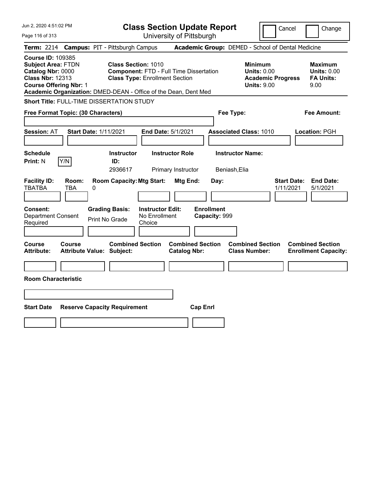| Jun 2, 2020 4:51:02 PM                                                                                                                                                                                    |                                                                                                                       | <b>Class Section Update Report</b>             | Cancel                                                                                 | Change                                                           |
|-----------------------------------------------------------------------------------------------------------------------------------------------------------------------------------------------------------|-----------------------------------------------------------------------------------------------------------------------|------------------------------------------------|----------------------------------------------------------------------------------------|------------------------------------------------------------------|
| Page 116 of 313                                                                                                                                                                                           |                                                                                                                       | University of Pittsburgh                       |                                                                                        |                                                                  |
| <b>Term:</b> 2214                                                                                                                                                                                         | <b>Campus: PIT - Pittsburgh Campus</b>                                                                                |                                                | Academic Group: DEMED - School of Dental Medicine                                      |                                                                  |
| <b>Course ID: 109385</b><br><b>Subject Area: FTDN</b><br>Catalog Nbr: 0000<br><b>Class Nbr: 12313</b><br><b>Course Offering Nbr: 1</b><br>Academic Organization: DMED-DEAN - Office of the Dean, Dent Med | <b>Class Section: 1010</b><br><b>Component: FTD - Full Time Dissertation</b><br><b>Class Type: Enrollment Section</b> |                                                | <b>Minimum</b><br><b>Units: 0.00</b><br><b>Academic Progress</b><br><b>Units: 9.00</b> | <b>Maximum</b><br><b>Units: 0.00</b><br><b>FA Units:</b><br>9.00 |
| Short Title: FULL-TIME DISSERTATION STUDY                                                                                                                                                                 |                                                                                                                       |                                                |                                                                                        |                                                                  |
| Free Format Topic: (30 Characters)                                                                                                                                                                        |                                                                                                                       |                                                | Fee Type:                                                                              | Fee Amount:                                                      |
| <b>Session: AT</b><br><b>Start Date: 1/11/2021</b>                                                                                                                                                        | End Date: 5/1/2021                                                                                                    |                                                | <b>Associated Class: 1010</b>                                                          | Location: PGH                                                    |
| <b>Schedule</b><br>Y/N<br><b>Print: N</b>                                                                                                                                                                 | <b>Instructor</b><br>ID:<br>2936617                                                                                   | <b>Instructor Role</b><br>Primary Instructor   | <b>Instructor Name:</b><br>Beniash, Elia                                               |                                                                  |
| <b>Facility ID:</b><br>Room:<br><b>TBATBA</b><br>TBA<br>0                                                                                                                                                 | <b>Room Capacity: Mtg Start:</b>                                                                                      | Mtg End:<br>Day:                               | <b>Start Date:</b><br>1/11/2021                                                        | <b>End Date:</b><br>5/1/2021                                     |
| <b>Consent:</b><br><b>Department Consent</b><br>Required                                                                                                                                                  | <b>Instructor Edit:</b><br><b>Grading Basis:</b><br>No Enrollment<br>Print No Grade<br>Choice                         | <b>Enrollment</b><br>Capacity: 999             |                                                                                        |                                                                  |
| Course<br>Course<br><b>Attribute:</b><br><b>Attribute Value: Subject:</b>                                                                                                                                 | <b>Combined Section</b>                                                                                               | <b>Combined Section</b><br><b>Catalog Nbr:</b> | <b>Combined Section</b><br><b>Class Number:</b>                                        | <b>Combined Section</b><br><b>Enrollment Capacity:</b>           |
| <b>Room Characteristic</b>                                                                                                                                                                                |                                                                                                                       |                                                |                                                                                        |                                                                  |
|                                                                                                                                                                                                           |                                                                                                                       |                                                |                                                                                        |                                                                  |
| <b>Start Date</b>                                                                                                                                                                                         | <b>Reserve Capacity Requirement</b>                                                                                   | <b>Cap Enrl</b>                                |                                                                                        |                                                                  |
|                                                                                                                                                                                                           |                                                                                                                       |                                                |                                                                                        |                                                                  |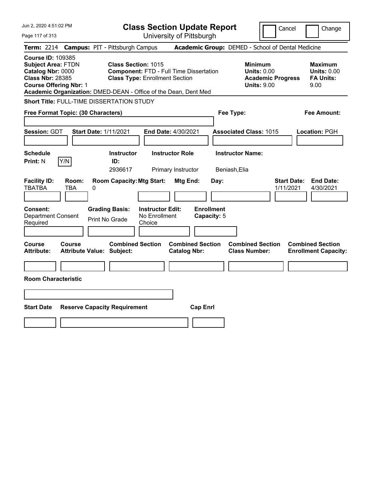| Jun 2, 2020 4:51:02 PM                                                                                                                 |                                                   |                                                                                                                                                                                          | <b>Class Section Update Report</b>             |                                          |                                                                                        | Cancel<br>Change                                                 |
|----------------------------------------------------------------------------------------------------------------------------------------|---------------------------------------------------|------------------------------------------------------------------------------------------------------------------------------------------------------------------------------------------|------------------------------------------------|------------------------------------------|----------------------------------------------------------------------------------------|------------------------------------------------------------------|
| Page 117 of 313                                                                                                                        |                                                   |                                                                                                                                                                                          | University of Pittsburgh                       |                                          |                                                                                        |                                                                  |
| <b>Term: 2214</b>                                                                                                                      |                                                   | <b>Campus: PIT - Pittsburgh Campus</b>                                                                                                                                                   |                                                |                                          | Academic Group: DEMED - School of Dental Medicine                                      |                                                                  |
| <b>Course ID: 109385</b><br><b>Subject Area: FTDN</b><br>Catalog Nbr: 0000<br><b>Class Nbr: 28385</b><br><b>Course Offering Nbr: 1</b> |                                                   | <b>Class Section: 1015</b><br><b>Component: FTD - Full Time Dissertation</b><br><b>Class Type: Enrollment Section</b><br>Academic Organization: DMED-DEAN - Office of the Dean, Dent Med |                                                |                                          | <b>Minimum</b><br><b>Units: 0.00</b><br><b>Academic Progress</b><br><b>Units: 9.00</b> | <b>Maximum</b><br><b>Units: 0.00</b><br><b>FA Units:</b><br>9.00 |
|                                                                                                                                        |                                                   | Short Title: FULL-TIME DISSERTATION STUDY                                                                                                                                                |                                                |                                          |                                                                                        |                                                                  |
|                                                                                                                                        | Free Format Topic: (30 Characters)                |                                                                                                                                                                                          |                                                | Fee Type:                                |                                                                                        | Fee Amount:                                                      |
| Session: GDT                                                                                                                           | <b>Start Date: 1/11/2021</b>                      |                                                                                                                                                                                          | End Date: 4/30/2021                            |                                          | <b>Associated Class: 1015</b>                                                          | Location: PGH                                                    |
| <b>Schedule</b>                                                                                                                        |                                                   | <b>Instructor</b>                                                                                                                                                                        | <b>Instructor Role</b>                         | <b>Instructor Name:</b>                  |                                                                                        |                                                                  |
| Print: N                                                                                                                               | Y/N                                               | ID:<br>2936617                                                                                                                                                                           | Primary Instructor                             | Beniash, Elia                            |                                                                                        |                                                                  |
| <b>Facility ID:</b><br><b>TBATBA</b><br>Consent:<br><b>Department Consent</b><br>Required                                              | Room:<br>TBA<br>0                                 | <b>Room Capacity: Mtg Start:</b><br><b>Grading Basis:</b><br><b>Instructor Edit:</b><br>No Enrollment<br>Print No Grade<br>Choice                                                        | Mtg End:                                       | Day:<br><b>Enrollment</b><br>Capacity: 5 |                                                                                        | <b>End Date:</b><br><b>Start Date:</b><br>1/11/2021<br>4/30/2021 |
| Course<br><b>Attribute:</b>                                                                                                            | <b>Course</b><br><b>Attribute Value: Subject:</b> | <b>Combined Section</b>                                                                                                                                                                  | <b>Combined Section</b><br><b>Catalog Nbr:</b> |                                          | <b>Combined Section</b><br><b>Class Number:</b>                                        | <b>Combined Section</b><br><b>Enrollment Capacity:</b>           |
|                                                                                                                                        |                                                   |                                                                                                                                                                                          |                                                |                                          |                                                                                        |                                                                  |
| <b>Room Characteristic</b>                                                                                                             |                                                   |                                                                                                                                                                                          |                                                |                                          |                                                                                        |                                                                  |
|                                                                                                                                        |                                                   |                                                                                                                                                                                          |                                                |                                          |                                                                                        |                                                                  |
|                                                                                                                                        |                                                   |                                                                                                                                                                                          |                                                |                                          |                                                                                        |                                                                  |
| <b>Start Date</b>                                                                                                                      |                                                   | <b>Reserve Capacity Requirement</b>                                                                                                                                                      | <b>Cap Enrl</b>                                |                                          |                                                                                        |                                                                  |
|                                                                                                                                        |                                                   |                                                                                                                                                                                          |                                                |                                          |                                                                                        |                                                                  |
|                                                                                                                                        |                                                   |                                                                                                                                                                                          |                                                |                                          |                                                                                        |                                                                  |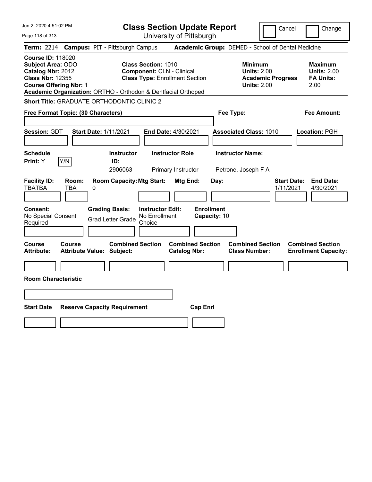Jun 2, 2020 4:51:02 PM Page 118 of 313 **Class Section Update Report** University of Pittsburgh Cancel Change **Term:** 2214 **Campus:** PIT - Pittsburgh Campus **Academic Group:** DEMED - School of Dental Medicine **Course ID:** 118020 **Subject Area:** ODO **Class Section:** 1010 **Minimum Maximum Catalog Nbr:** 2012 **Component:** CLN - Clinical **Units:** 2.00 **Units:** 2.00 **Class Nbr:** 12355 **Class Type:** Enrollment Section **Academic Progress FA Units: Course Offering Nbr:** 1 **Units:** 2.00 2.00 **Academic Organization:** ORTHO - Orthodon & Dentfacial Orthoped **Short Title:** GRADUATE ORTHODONTIC CLINIC 2 **Free Format Topic: (30 Characters) Fee Type: Fee Amount: Session:** GDT **Start Date:** 1/11/2021 **End Date:** 4/30/2021 **Associated Class:** 1010 **Location:** PGH **Schedule Instructor Instructor Role Instructor Name: Print:**  $Y$   $|Y/N|$  **ID:** 2906063 Primary Instructor Petrone, Joseph F A **Facility ID: Room: Room Capacity:Mtg Start: Mtg End: Day: Start Date: End Date:** TBATBA TBA 0 1/11/2021 4/30/2021 **Consent: Grading Basis: Instructor Edit: Enrollment** No Special Consent Grad Letter Grade No Enrollment Choice **Capacity:** 10 **Course Course Combined Section Combined Section Combined Section Combined Section Attribute: Attribute Value: Subject: Catalog Nbr: Class Number: Enrollment Capacity: Room Characteristic Start Date Reserve Capacity Requirement Cap Enrl**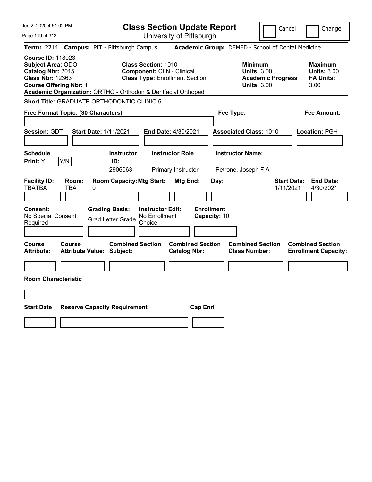| Jun 2, 2020 4:51:02 PM                                                                                                                                                                                 | <b>Class Section Update Report</b>                                                                                                    | Cancel<br>Change                                                                                                                                           |
|--------------------------------------------------------------------------------------------------------------------------------------------------------------------------------------------------------|---------------------------------------------------------------------------------------------------------------------------------------|------------------------------------------------------------------------------------------------------------------------------------------------------------|
| Page 119 of 313                                                                                                                                                                                        | University of Pittsburgh                                                                                                              |                                                                                                                                                            |
| <b>Campus: PIT - Pittsburgh Campus</b><br><b>Term: 2214</b>                                                                                                                                            |                                                                                                                                       | Academic Group: DEMED - School of Dental Medicine                                                                                                          |
| <b>Course ID: 118023</b><br><b>Subject Area: ODO</b><br>Catalog Nbr: 2015<br><b>Class Nbr: 12363</b><br><b>Course Offering Nbr: 1</b><br>Academic Organization: ORTHO - Orthodon & Dentfacial Orthoped | <b>Class Section: 1010</b><br><b>Component: CLN - Clinical</b><br><b>Class Type: Enrollment Section</b>                               | <b>Maximum</b><br><b>Minimum</b><br><b>Units: 3.00</b><br><b>Units: 3.00</b><br><b>FA Units:</b><br><b>Academic Progress</b><br><b>Units: 3.00</b><br>3.00 |
| <b>Short Title: GRADUATE ORTHODONTIC CLINIC 5</b>                                                                                                                                                      |                                                                                                                                       |                                                                                                                                                            |
| Free Format Topic: (30 Characters)                                                                                                                                                                     | Fee Type:                                                                                                                             | Fee Amount:                                                                                                                                                |
| Session: GDT<br><b>Start Date: 1/11/2021</b><br><b>Schedule</b><br>Y/N<br>ID:<br><b>Print:</b> Y                                                                                                       | End Date: 4/30/2021<br><b>Instructor</b><br><b>Instructor Role</b>                                                                    | <b>Associated Class: 1010</b><br>Location: PGH<br><b>Instructor Name:</b>                                                                                  |
| <b>Facility ID:</b><br>Room:<br><b>TBATBA</b><br>TBA<br>0<br>Consent:<br><b>Grading Basis:</b>                                                                                                         | 2906063<br>Primary Instructor<br><b>Room Capacity: Mtg Start:</b><br>Mtg End:<br>Day:<br><b>Enrollment</b><br><b>Instructor Edit:</b> | Petrone, Joseph F A<br><b>Start Date:</b><br><b>End Date:</b><br>1/11/2021<br>4/30/2021                                                                    |
| No Special Consent<br><b>Grad Letter Grade</b><br>Required                                                                                                                                             | No Enrollment<br>Capacity: 10<br>Choice                                                                                               |                                                                                                                                                            |
| <b>Course</b><br><b>Course</b><br>Attribute Value: Subject:<br><b>Attribute:</b>                                                                                                                       | <b>Combined Section</b><br><b>Combined Section</b><br><b>Catalog Nbr:</b>                                                             | <b>Combined Section</b><br><b>Combined Section</b><br><b>Class Number:</b><br><b>Enrollment Capacity:</b>                                                  |
|                                                                                                                                                                                                        |                                                                                                                                       |                                                                                                                                                            |
| <b>Room Characteristic</b>                                                                                                                                                                             |                                                                                                                                       |                                                                                                                                                            |
|                                                                                                                                                                                                        |                                                                                                                                       |                                                                                                                                                            |
| <b>Start Date</b><br><b>Reserve Capacity Requirement</b>                                                                                                                                               | <b>Cap Enrl</b>                                                                                                                       |                                                                                                                                                            |
|                                                                                                                                                                                                        |                                                                                                                                       |                                                                                                                                                            |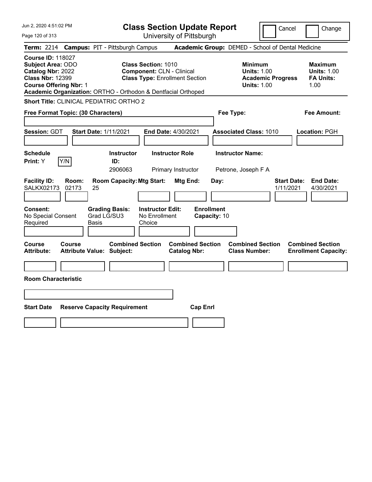|  |  | Jun 2, 2020 4:51:02 PM |  |
|--|--|------------------------|--|
|--|--|------------------------|--|

Page 120 of 313

**Class Section Update Report**

Cancel **Change** 

|                                                                                                                                       |                | Term: 2214 Campus: PIT - Pittsburgh Campus                                                        |                                                                           | Academic Group: DEMED - School of Dental Medicine                               |                                                                  |
|---------------------------------------------------------------------------------------------------------------------------------------|----------------|---------------------------------------------------------------------------------------------------|---------------------------------------------------------------------------|---------------------------------------------------------------------------------|------------------------------------------------------------------|
| <b>Course ID: 118027</b><br><b>Subject Area: ODO</b><br>Catalog Nbr: 2022<br><b>Class Nbr: 12399</b><br><b>Course Offering Nbr: 1</b> |                | <b>Class Section: 1010</b><br>Academic Organization: ORTHO - Orthodon & Dentfacial Orthoped       | <b>Component: CLN - Clinical</b><br><b>Class Type: Enrollment Section</b> | Minimum<br><b>Units: 1.00</b><br><b>Academic Progress</b><br><b>Units: 1.00</b> | <b>Maximum</b><br><b>Units: 1.00</b><br><b>FA Units:</b><br>1.00 |
|                                                                                                                                       |                | <b>Short Title: CLINICAL PEDIATRIC ORTHO 2</b>                                                    |                                                                           |                                                                                 |                                                                  |
| Free Format Topic: (30 Characters)                                                                                                    |                |                                                                                                   |                                                                           | Fee Type:                                                                       | <b>Fee Amount:</b>                                               |
| <b>Session: GDT</b>                                                                                                                   |                | Start Date: 1/11/2021                                                                             | End Date: 4/30/2021                                                       | <b>Associated Class: 1010</b>                                                   | Location: PGH                                                    |
| <b>Schedule</b><br>Print: Y                                                                                                           | Y/N            | <b>Instructor</b><br>ID:<br>2906063                                                               | <b>Instructor Role</b><br>Primary Instructor                              | <b>Instructor Name:</b><br>Petrone, Joseph F A                                  |                                                                  |
| <b>Facility ID:</b><br><b>SALKX02173</b><br>Consent:<br>No Special Consent<br>Required                                                | Room:<br>02173 | <b>Room Capacity: Mtg Start:</b><br>25<br><b>Grading Basis:</b><br>Grad LG/SU3<br>Basis<br>Choice | Mtg End:<br><b>Instructor Edit:</b><br><b>Enrollment</b><br>No Enrollment | <b>Start Date:</b><br>Day:<br>1/11/2021<br>Capacity: 10                         | <b>End Date:</b><br>4/30/2021                                    |
| Course<br><b>Attribute:</b>                                                                                                           | Course         | <b>Combined Section</b><br><b>Attribute Value: Subject:</b>                                       | <b>Combined Section</b><br><b>Catalog Nbr:</b>                            | <b>Combined Section</b><br><b>Class Number:</b>                                 | <b>Combined Section</b><br><b>Enrollment Capacity:</b>           |
| <b>Room Characteristic</b>                                                                                                            |                |                                                                                                   |                                                                           |                                                                                 |                                                                  |
|                                                                                                                                       |                |                                                                                                   |                                                                           |                                                                                 |                                                                  |
| <b>Start Date</b>                                                                                                                     |                | <b>Reserve Capacity Requirement</b>                                                               | <b>Cap Enrl</b>                                                           |                                                                                 |                                                                  |
|                                                                                                                                       |                |                                                                                                   |                                                                           |                                                                                 |                                                                  |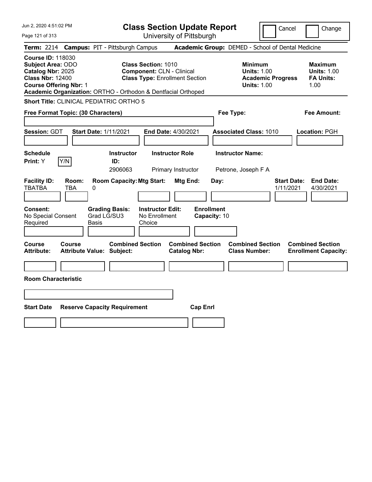Page 121 of 313

**Class Section Update Report**

Cancel Change

|                                                                                                      |                                            |            | Term: 2214 Campus: PIT - Pittsburgh Campus                               |                                                                                                         |                                              |                                   |      | Academic Group: DEMED - School of Dental Medicine                                      |                                 |                                                                  |
|------------------------------------------------------------------------------------------------------|--------------------------------------------|------------|--------------------------------------------------------------------------|---------------------------------------------------------------------------------------------------------|----------------------------------------------|-----------------------------------|------|----------------------------------------------------------------------------------------|---------------------------------|------------------------------------------------------------------|
| <b>Course ID: 118030</b><br><b>Subject Area: ODO</b><br>Catalog Nbr: 2025<br><b>Class Nbr: 12400</b> | <b>Course Offering Nbr: 1</b>              |            | Academic Organization: ORTHO - Orthodon & Dentfacial Orthoped            | <b>Class Section: 1010</b><br><b>Component: CLN - Clinical</b><br><b>Class Type: Enrollment Section</b> |                                              |                                   |      | <b>Minimum</b><br><b>Units: 1.00</b><br><b>Academic Progress</b><br><b>Units: 1.00</b> |                                 | <b>Maximum</b><br><b>Units: 1.00</b><br><b>FA Units:</b><br>1.00 |
|                                                                                                      |                                            |            | <b>Short Title: CLINICAL PEDIATRIC ORTHO 5</b>                           |                                                                                                         |                                              |                                   |      |                                                                                        |                                 |                                                                  |
|                                                                                                      | Free Format Topic: (30 Characters)         |            |                                                                          |                                                                                                         |                                              |                                   |      | Fee Type:                                                                              |                                 | <b>Fee Amount:</b>                                               |
| Session: GDT                                                                                         |                                            |            | <b>Start Date: 1/11/2021</b>                                             | End Date: 4/30/2021                                                                                     |                                              |                                   |      | <b>Associated Class: 1010</b>                                                          |                                 | Location: PGH                                                    |
| <b>Schedule</b><br>Print: Y                                                                          | Y/N                                        |            | <b>Instructor</b><br>ID:<br>2906063                                      |                                                                                                         | <b>Instructor Role</b><br>Primary Instructor |                                   |      | <b>Instructor Name:</b><br>Petrone, Joseph F A                                         |                                 |                                                                  |
| <b>Facility ID:</b><br><b>TBATBA</b><br>Consent:<br>No Special Consent<br>Required                   | Room:<br><b>TBA</b>                        | 0<br>Basis | <b>Room Capacity: Mtg Start:</b><br><b>Grading Basis:</b><br>Grad LG/SU3 | <b>Instructor Edit:</b><br>No Enrollment<br>Choice                                                      | Mtg End:                                     | <b>Enrollment</b><br>Capacity: 10 | Day: |                                                                                        | <b>Start Date:</b><br>1/11/2021 | <b>End Date:</b><br>4/30/2021                                    |
| Course<br><b>Attribute:</b>                                                                          | Course<br><b>Attribute Value: Subject:</b> |            | <b>Combined Section</b>                                                  |                                                                                                         | <b>Catalog Nbr:</b>                          | <b>Combined Section</b>           |      | <b>Combined Section</b><br><b>Class Number:</b>                                        |                                 | <b>Combined Section</b><br><b>Enrollment Capacity:</b>           |
|                                                                                                      | <b>Room Characteristic</b>                 |            |                                                                          |                                                                                                         |                                              |                                   |      |                                                                                        |                                 |                                                                  |
|                                                                                                      |                                            |            |                                                                          |                                                                                                         |                                              |                                   |      |                                                                                        |                                 |                                                                  |
| <b>Start Date</b>                                                                                    |                                            |            | <b>Reserve Capacity Requirement</b>                                      |                                                                                                         |                                              | <b>Cap Enrl</b>                   |      |                                                                                        |                                 |                                                                  |
|                                                                                                      |                                            |            |                                                                          |                                                                                                         |                                              |                                   |      |                                                                                        |                                 |                                                                  |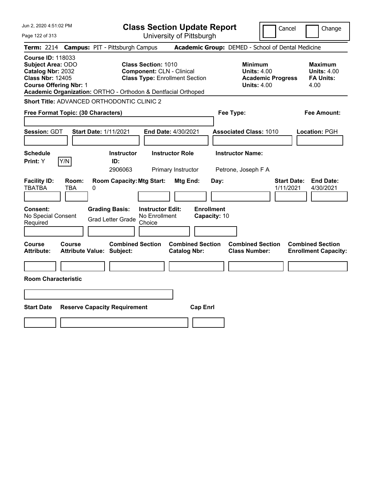|  |  | Jun 2, 2020 4:51:02 PM |  |
|--|--|------------------------|--|
|--|--|------------------------|--|

Page 122 of 313

**Class Section Update Report**

Cancel Change

|                                                                                                                                       |                     | Term: 2214 Campus: PIT - Pittsburgh Campus                                                 |                                                                                                         |                                                |                                           | Academic Group: DEMED - School of Dental Medicine                                      |                                 |                                                                  |
|---------------------------------------------------------------------------------------------------------------------------------------|---------------------|--------------------------------------------------------------------------------------------|---------------------------------------------------------------------------------------------------------|------------------------------------------------|-------------------------------------------|----------------------------------------------------------------------------------------|---------------------------------|------------------------------------------------------------------|
| <b>Course ID: 118033</b><br><b>Subject Area: ODO</b><br>Catalog Nbr: 2032<br><b>Class Nbr: 12405</b><br><b>Course Offering Nbr: 1</b> |                     | Academic Organization: ORTHO - Orthodon & Dentfacial Orthoped                              | <b>Class Section: 1010</b><br><b>Component: CLN - Clinical</b><br><b>Class Type: Enrollment Section</b> |                                                |                                           | <b>Minimum</b><br><b>Units: 4.00</b><br><b>Academic Progress</b><br><b>Units: 4.00</b> |                                 | <b>Maximum</b><br><b>Units: 4.00</b><br><b>FA Units:</b><br>4.00 |
|                                                                                                                                       |                     | Short Title: ADVANCED ORTHODONTIC CLINIC 2                                                 |                                                                                                         |                                                |                                           |                                                                                        |                                 |                                                                  |
| Free Format Topic: (30 Characters)                                                                                                    |                     |                                                                                            |                                                                                                         |                                                | Fee Type:                                 |                                                                                        |                                 | <b>Fee Amount:</b>                                               |
| Session: GDT                                                                                                                          |                     | <b>Start Date: 1/11/2021</b>                                                               | End Date: 4/30/2021                                                                                     |                                                |                                           | <b>Associated Class: 1010</b>                                                          |                                 | Location: PGH                                                    |
| <b>Schedule</b><br>Print: Y                                                                                                           | Y/N                 | <b>Instructor</b><br>ID:<br>2906063                                                        | <b>Instructor Role</b>                                                                                  | Primary Instructor                             |                                           | <b>Instructor Name:</b><br>Petrone, Joseph F A                                         |                                 |                                                                  |
| <b>Facility ID:</b><br><b>TBATBA</b><br><b>Consent:</b><br>No Special Consent<br>Required                                             | Room:<br><b>TBA</b> | <b>Room Capacity: Mtg Start:</b><br>0<br><b>Grading Basis:</b><br><b>Grad Letter Grade</b> | <b>Instructor Edit:</b><br>No Enrollment<br>Choice                                                      | Mtg End:                                       | Day:<br><b>Enrollment</b><br>Capacity: 10 |                                                                                        | <b>Start Date:</b><br>1/11/2021 | <b>End Date:</b><br>4/30/2021                                    |
| Course<br><b>Attribute:</b>                                                                                                           | Course              | <b>Combined Section</b><br><b>Attribute Value: Subject:</b>                                |                                                                                                         | <b>Combined Section</b><br><b>Catalog Nbr:</b> |                                           | <b>Combined Section</b><br><b>Class Number:</b>                                        |                                 | <b>Combined Section</b><br><b>Enrollment Capacity:</b>           |
| <b>Room Characteristic</b>                                                                                                            |                     |                                                                                            |                                                                                                         |                                                |                                           |                                                                                        |                                 |                                                                  |
| <b>Start Date</b>                                                                                                                     |                     | <b>Reserve Capacity Requirement</b>                                                        |                                                                                                         | <b>Cap Enrl</b>                                |                                           |                                                                                        |                                 |                                                                  |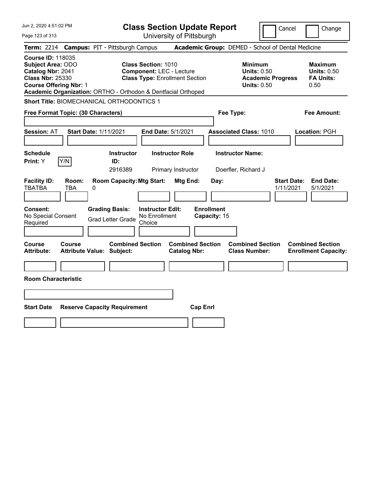| Jun 2, 2020 4:51:02 PM                                                                                                                |                                                               |                                                   | <b>Class Section Update Report</b>                                                                     |                                                |                                   |      |                                                            |                          | Cancel                          | Change                                                           |
|---------------------------------------------------------------------------------------------------------------------------------------|---------------------------------------------------------------|---------------------------------------------------|--------------------------------------------------------------------------------------------------------|------------------------------------------------|-----------------------------------|------|------------------------------------------------------------|--------------------------|---------------------------------|------------------------------------------------------------------|
| Page 123 of 313                                                                                                                       |                                                               |                                                   |                                                                                                        | University of Pittsburgh                       |                                   |      |                                                            |                          |                                 |                                                                  |
| <b>Term:</b> 2214                                                                                                                     | <b>Campus: PIT - Pittsburgh Campus</b>                        |                                                   |                                                                                                        |                                                |                                   |      | Academic Group: DEMED - School of Dental Medicine          |                          |                                 |                                                                  |
| <b>Course ID: 118035</b><br><b>Subject Area: ODO</b><br>Catalog Nbr: 2041<br><b>Class Nbr: 25330</b><br><b>Course Offering Nbr: 1</b> | Academic Organization: ORTHO - Orthodon & Dentfacial Orthoped |                                                   | <b>Class Section: 1010</b><br><b>Component: LEC - Lecture</b><br><b>Class Type: Enrollment Section</b> |                                                |                                   |      | <b>Minimum</b><br><b>Units: 0.50</b><br><b>Units: 0.50</b> | <b>Academic Progress</b> |                                 | <b>Maximum</b><br><b>Units: 0.50</b><br><b>FA Units:</b><br>0.50 |
|                                                                                                                                       | Short Title: BIOMECHANICAL ORTHODONTICS 1                     |                                                   |                                                                                                        |                                                |                                   |      |                                                            |                          |                                 |                                                                  |
|                                                                                                                                       | Free Format Topic: (30 Characters)                            |                                                   |                                                                                                        |                                                |                                   |      | Fee Type:                                                  |                          |                                 | Fee Amount:                                                      |
| <b>Session: AT</b>                                                                                                                    | <b>Start Date: 1/11/2021</b>                                  |                                                   |                                                                                                        | <b>End Date: 5/1/2021</b>                      |                                   |      | <b>Associated Class: 1010</b>                              |                          |                                 | Location: PGH                                                    |
| <b>Schedule</b><br>Print: Y                                                                                                           | Y/N                                                           | <b>Instructor</b><br>ID:<br>2916389               |                                                                                                        | <b>Instructor Role</b><br>Primary Instructor   |                                   |      | <b>Instructor Name:</b><br>Doerfler, Richard J             |                          |                                 |                                                                  |
| <b>Facility ID:</b><br><b>TBATBA</b>                                                                                                  | Room:<br>TBA<br>0                                             | <b>Room Capacity: Mtg Start:</b>                  |                                                                                                        | Mtg End:                                       |                                   | Day: |                                                            |                          | <b>Start Date:</b><br>1/11/2021 | <b>End Date:</b><br>5/1/2021                                     |
| <b>Consent:</b><br>No Special Consent<br>Required                                                                                     |                                                               | <b>Grading Basis:</b><br><b>Grad Letter Grade</b> | <b>Instructor Edit:</b><br>No Enrollment<br>Choice                                                     |                                                | <b>Enrollment</b><br>Capacity: 15 |      |                                                            |                          |                                 |                                                                  |
| Course<br><b>Attribute:</b>                                                                                                           | Course<br><b>Attribute Value: Subject:</b>                    | <b>Combined Section</b>                           |                                                                                                        | <b>Combined Section</b><br><b>Catalog Nbr:</b> |                                   |      | <b>Combined Section</b><br><b>Class Number:</b>            |                          |                                 | <b>Combined Section</b><br><b>Enrollment Capacity:</b>           |
|                                                                                                                                       |                                                               |                                                   |                                                                                                        |                                                |                                   |      |                                                            |                          |                                 |                                                                  |
| <b>Room Characteristic</b>                                                                                                            |                                                               |                                                   |                                                                                                        |                                                |                                   |      |                                                            |                          |                                 |                                                                  |
|                                                                                                                                       |                                                               |                                                   |                                                                                                        |                                                |                                   |      |                                                            |                          |                                 |                                                                  |
| <b>Start Date</b>                                                                                                                     | <b>Reserve Capacity Requirement</b>                           |                                                   |                                                                                                        |                                                | <b>Cap Enrl</b>                   |      |                                                            |                          |                                 |                                                                  |
|                                                                                                                                       |                                                               |                                                   |                                                                                                        |                                                |                                   |      |                                                            |                          |                                 |                                                                  |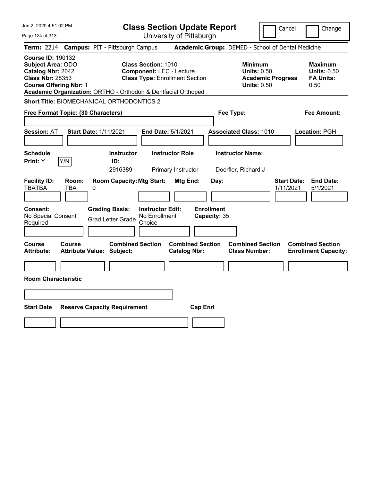| Jun 2, 2020 4:51:02 PM                                                                                                                | <b>Class Section Update Report</b>                                                                                                                                      | Cancel                                                                                 | Change                                                           |
|---------------------------------------------------------------------------------------------------------------------------------------|-------------------------------------------------------------------------------------------------------------------------------------------------------------------------|----------------------------------------------------------------------------------------|------------------------------------------------------------------|
| Page 124 of 313                                                                                                                       | University of Pittsburgh                                                                                                                                                |                                                                                        |                                                                  |
| <b>Campus: PIT - Pittsburgh Campus</b><br><b>Term:</b> 2214                                                                           |                                                                                                                                                                         | Academic Group: DEMED - School of Dental Medicine                                      |                                                                  |
| <b>Course ID: 190132</b><br><b>Subject Area: ODO</b><br>Catalog Nbr: 2042<br><b>Class Nbr: 28353</b><br><b>Course Offering Nbr: 1</b> | <b>Class Section: 1010</b><br><b>Component: LEC - Lecture</b><br><b>Class Type: Enrollment Section</b><br>Academic Organization: ORTHO - Orthodon & Dentfacial Orthoped | <b>Minimum</b><br><b>Units: 0.50</b><br><b>Academic Progress</b><br><b>Units: 0.50</b> | <b>Maximum</b><br><b>Units: 0.50</b><br><b>FA Units:</b><br>0.50 |
| Short Title: BIOMECHANICAL ORTHODONTICS 2                                                                                             |                                                                                                                                                                         |                                                                                        |                                                                  |
| Free Format Topic: (30 Characters)                                                                                                    |                                                                                                                                                                         | Fee Type:                                                                              | Fee Amount:                                                      |
| <b>Start Date: 1/11/2021</b><br><b>Session: AT</b>                                                                                    | <b>End Date: 5/1/2021</b>                                                                                                                                               | <b>Associated Class: 1010</b>                                                          | Location: PGH                                                    |
| <b>Schedule</b><br>Y/N<br>Print: Y                                                                                                    | <b>Instructor Role</b><br><b>Instructor</b><br>ID:<br>2916389<br>Primary Instructor                                                                                     | <b>Instructor Name:</b><br>Doerfler, Richard J                                         |                                                                  |
| <b>Facility ID:</b><br>Room:<br><b>TBATBA</b><br>TBA<br>0                                                                             | <b>Room Capacity: Mtg Start:</b><br>Mtg End:                                                                                                                            | Day:<br>1/11/2021                                                                      | <b>End Date:</b><br><b>Start Date:</b><br>5/1/2021               |
| <b>Consent:</b><br><b>Grading Basis:</b><br>No Special Consent<br>Required                                                            | <b>Instructor Edit:</b><br>No Enrollment<br><b>Grad Letter Grade</b><br>Choice                                                                                          | <b>Enrollment</b><br>Capacity: 35                                                      |                                                                  |
| Course<br>Course<br><b>Attribute:</b><br><b>Attribute Value: Subject:</b>                                                             | <b>Combined Section</b><br><b>Combined Section</b><br><b>Catalog Nbr:</b>                                                                                               | <b>Combined Section</b><br><b>Class Number:</b>                                        | <b>Combined Section</b><br><b>Enrollment Capacity:</b>           |
|                                                                                                                                       |                                                                                                                                                                         |                                                                                        |                                                                  |
| <b>Room Characteristic</b>                                                                                                            |                                                                                                                                                                         |                                                                                        |                                                                  |
|                                                                                                                                       |                                                                                                                                                                         |                                                                                        |                                                                  |
| <b>Start Date</b><br><b>Reserve Capacity Requirement</b>                                                                              | <b>Cap Enrl</b>                                                                                                                                                         |                                                                                        |                                                                  |
|                                                                                                                                       |                                                                                                                                                                         |                                                                                        |                                                                  |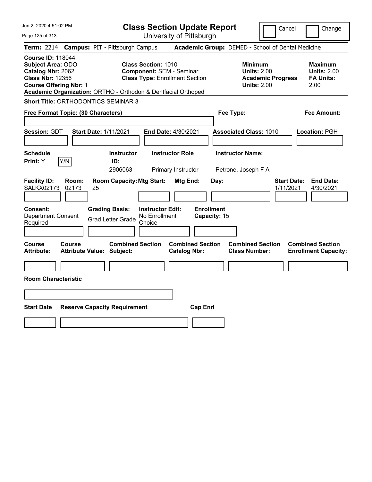|  |  |  | Jun 2, 2020 4:51:02 PM |  |
|--|--|--|------------------------|--|
|--|--|--|------------------------|--|

Page 125 of 313

**Class Section Update Report**

Cancel Change

|                                                                                                      |                                                   |    | Term: 2214 Campus: PIT - Pittsburgh Campus                                            |                                                                                                        |                                              |                                   |      | Academic Group: DEMED - School of Dental Medicine                                      |                                 |                                                                  |
|------------------------------------------------------------------------------------------------------|---------------------------------------------------|----|---------------------------------------------------------------------------------------|--------------------------------------------------------------------------------------------------------|----------------------------------------------|-----------------------------------|------|----------------------------------------------------------------------------------------|---------------------------------|------------------------------------------------------------------|
| <b>Course ID: 118044</b><br><b>Subject Area: ODO</b><br>Catalog Nbr: 2062<br><b>Class Nbr: 12356</b> | <b>Course Offering Nbr: 1</b>                     |    | Academic Organization: ORTHO - Orthodon & Dentfacial Orthoped                         | <b>Class Section: 1010</b><br><b>Component: SEM - Seminar</b><br><b>Class Type: Enrollment Section</b> |                                              |                                   |      | <b>Minimum</b><br><b>Units: 2.00</b><br><b>Academic Progress</b><br><b>Units: 2.00</b> |                                 | <b>Maximum</b><br><b>Units: 2.00</b><br><b>FA Units:</b><br>2.00 |
|                                                                                                      |                                                   |    | <b>Short Title: ORTHODONTICS SEMINAR 3</b>                                            |                                                                                                        |                                              |                                   |      |                                                                                        |                                 |                                                                  |
|                                                                                                      | Free Format Topic: (30 Characters)                |    |                                                                                       |                                                                                                        |                                              |                                   |      | Fee Type:                                                                              |                                 | <b>Fee Amount:</b>                                               |
| Session: GDT                                                                                         |                                                   |    | <b>Start Date: 1/11/2021</b>                                                          |                                                                                                        | End Date: 4/30/2021                          |                                   |      | <b>Associated Class: 1010</b>                                                          |                                 | Location: PGH                                                    |
| <b>Schedule</b><br><b>Print:</b> Y                                                                   | Y/N                                               |    | <b>Instructor</b><br>ID:<br>2906063                                                   |                                                                                                        | <b>Instructor Role</b><br>Primary Instructor |                                   |      | <b>Instructor Name:</b><br>Petrone, Joseph F A                                         |                                 |                                                                  |
| <b>Facility ID:</b><br><b>SALKX02173</b><br><b>Consent:</b><br><b>Department Consent</b><br>Required | Room:<br>02173                                    | 25 | <b>Room Capacity: Mtg Start:</b><br><b>Grading Basis:</b><br><b>Grad Letter Grade</b> | <b>Instructor Edit:</b><br>No Enrollment<br>Choice                                                     | Mtg End:                                     | <b>Enrollment</b><br>Capacity: 15 | Day: |                                                                                        | <b>Start Date:</b><br>1/11/2021 | <b>End Date:</b><br>4/30/2021                                    |
| Course<br><b>Attribute:</b>                                                                          | <b>Course</b><br><b>Attribute Value: Subject:</b> |    | <b>Combined Section</b>                                                               |                                                                                                        | <b>Catalog Nbr:</b>                          | <b>Combined Section</b>           |      | <b>Combined Section</b><br><b>Class Number:</b>                                        |                                 | <b>Combined Section</b><br><b>Enrollment Capacity:</b>           |
|                                                                                                      | <b>Room Characteristic</b>                        |    |                                                                                       |                                                                                                        |                                              |                                   |      |                                                                                        |                                 |                                                                  |
| <b>Start Date</b>                                                                                    |                                                   |    | <b>Reserve Capacity Requirement</b>                                                   |                                                                                                        |                                              | <b>Cap Enrl</b>                   |      |                                                                                        |                                 |                                                                  |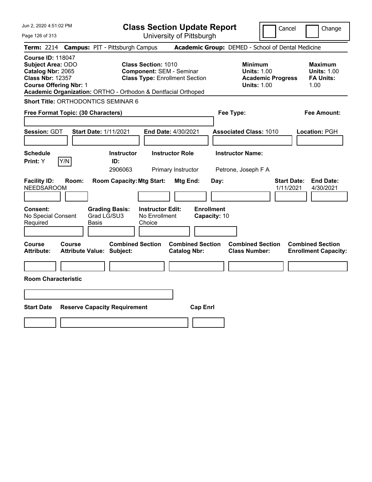|  |  | Jun 2, 2020 4:51:02 PM |  |
|--|--|------------------------|--|
|--|--|------------------------|--|

Page 126 of 313

**Class Section Update Report**

Cancel Change

| Term: 2214                                                                                           |                                            |       | <b>Campus: PIT - Pittsburgh Campus</b>                                   |                                                                                                        |                                                |                                   |      |           | Academic Group: DEMED - School of Dental Medicine                                      |                                 |                                                                  |
|------------------------------------------------------------------------------------------------------|--------------------------------------------|-------|--------------------------------------------------------------------------|--------------------------------------------------------------------------------------------------------|------------------------------------------------|-----------------------------------|------|-----------|----------------------------------------------------------------------------------------|---------------------------------|------------------------------------------------------------------|
| <b>Course ID: 118047</b><br><b>Subject Area: ODO</b><br>Catalog Nbr: 2065<br><b>Class Nbr: 12357</b> | <b>Course Offering Nbr: 1</b>              |       | Academic Organization: ORTHO - Orthodon & Dentfacial Orthoped            | <b>Class Section: 1010</b><br><b>Component: SEM - Seminar</b><br><b>Class Type: Enrollment Section</b> |                                                |                                   |      |           | <b>Minimum</b><br><b>Units: 1.00</b><br><b>Academic Progress</b><br><b>Units: 1.00</b> |                                 | <b>Maximum</b><br><b>Units: 1.00</b><br><b>FA Units:</b><br>1.00 |
|                                                                                                      |                                            |       | Short Title: ORTHODONTICS SEMINAR 6                                      |                                                                                                        |                                                |                                   |      |           |                                                                                        |                                 |                                                                  |
|                                                                                                      | Free Format Topic: (30 Characters)         |       |                                                                          |                                                                                                        |                                                |                                   |      | Fee Type: |                                                                                        |                                 | <b>Fee Amount:</b>                                               |
| Session: GDT                                                                                         |                                            |       | <b>Start Date: 1/11/2021</b>                                             |                                                                                                        | End Date: 4/30/2021                            |                                   |      |           | <b>Associated Class: 1010</b>                                                          |                                 | Location: PGH                                                    |
| <b>Schedule</b><br>Print: Y                                                                          | Y/N                                        |       | <b>Instructor</b><br>ID:<br>2906063                                      |                                                                                                        | <b>Instructor Role</b><br>Primary Instructor   |                                   |      |           | <b>Instructor Name:</b><br>Petrone, Joseph F A                                         |                                 |                                                                  |
| <b>Facility ID:</b><br><b>NEEDSAROOM</b><br><b>Consent:</b><br>No Special Consent<br>Required        | Room:                                      | Basis | <b>Room Capacity: Mtg Start:</b><br><b>Grading Basis:</b><br>Grad LG/SU3 | <b>Instructor Edit:</b><br>No Enrollment<br>Choice                                                     | Mtg End:                                       | <b>Enrollment</b><br>Capacity: 10 | Day: |           |                                                                                        | <b>Start Date:</b><br>1/11/2021 | <b>End Date:</b><br>4/30/2021                                    |
| Course<br><b>Attribute:</b>                                                                          | Course<br><b>Attribute Value: Subject:</b> |       | <b>Combined Section</b>                                                  |                                                                                                        | <b>Combined Section</b><br><b>Catalog Nbr:</b> |                                   |      |           | <b>Combined Section</b><br><b>Class Number:</b>                                        |                                 | <b>Combined Section</b><br><b>Enrollment Capacity:</b>           |
| <b>Start Date</b>                                                                                    | <b>Room Characteristic</b>                 |       | <b>Reserve Capacity Requirement</b>                                      |                                                                                                        |                                                | <b>Cap Enrl</b>                   |      |           |                                                                                        |                                 |                                                                  |
|                                                                                                      |                                            |       |                                                                          |                                                                                                        |                                                |                                   |      |           |                                                                                        |                                 |                                                                  |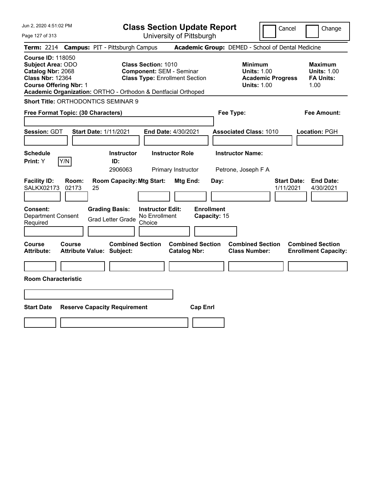|  |  |  | Jun 2, 2020 4:51:02 PM |  |
|--|--|--|------------------------|--|
|--|--|--|------------------------|--|

Page 127 of 313

**Class Section Update Report**

Cancel Change

|                                                                                               |                                            |    | Term: 2214 Campus: PIT - Pittsburgh Campus                                            |                                                                                                        |                                              |                                   |      | Academic Group: DEMED - School of Dental Medicine                                      |                                 |                                                                  |
|-----------------------------------------------------------------------------------------------|--------------------------------------------|----|---------------------------------------------------------------------------------------|--------------------------------------------------------------------------------------------------------|----------------------------------------------|-----------------------------------|------|----------------------------------------------------------------------------------------|---------------------------------|------------------------------------------------------------------|
| <b>Course ID: 118050</b><br>Subject Area: ODO<br>Catalog Nbr: 2068<br><b>Class Nbr: 12364</b> | <b>Course Offering Nbr: 1</b>              |    | Academic Organization: ORTHO - Orthodon & Dentfacial Orthoped                         | <b>Class Section: 1010</b><br><b>Component: SEM - Seminar</b><br><b>Class Type: Enrollment Section</b> |                                              |                                   |      | <b>Minimum</b><br><b>Units: 1.00</b><br><b>Academic Progress</b><br><b>Units: 1.00</b> |                                 | <b>Maximum</b><br><b>Units: 1.00</b><br><b>FA Units:</b><br>1.00 |
|                                                                                               |                                            |    | <b>Short Title: ORTHODONTICS SEMINAR 9</b>                                            |                                                                                                        |                                              |                                   |      |                                                                                        |                                 |                                                                  |
|                                                                                               | Free Format Topic: (30 Characters)         |    |                                                                                       |                                                                                                        |                                              |                                   |      | Fee Type:                                                                              |                                 | <b>Fee Amount:</b>                                               |
| Session: GDT                                                                                  |                                            |    | <b>Start Date: 1/11/2021</b>                                                          | End Date: 4/30/2021                                                                                    |                                              |                                   |      | <b>Associated Class: 1010</b>                                                          |                                 | Location: PGH                                                    |
| <b>Schedule</b><br>Print: Y                                                                   | Y/N                                        |    | <b>Instructor</b><br>ID:<br>2906063                                                   |                                                                                                        | <b>Instructor Role</b><br>Primary Instructor |                                   |      | <b>Instructor Name:</b><br>Petrone, Joseph F A                                         |                                 |                                                                  |
| <b>Facility ID:</b><br><b>SALKX02173</b><br>Consent:<br><b>Department Consent</b><br>Required | Room:<br>02173                             | 25 | <b>Room Capacity: Mtg Start:</b><br><b>Grading Basis:</b><br><b>Grad Letter Grade</b> | <b>Instructor Edit:</b><br>No Enrollment<br>Choice                                                     | Mtg End:                                     | <b>Enrollment</b><br>Capacity: 15 | Day: |                                                                                        | <b>Start Date:</b><br>1/11/2021 | <b>End Date:</b><br>4/30/2021                                    |
| Course<br><b>Attribute:</b>                                                                   | Course<br><b>Attribute Value: Subject:</b> |    | <b>Combined Section</b>                                                               |                                                                                                        | <b>Catalog Nbr:</b>                          | <b>Combined Section</b>           |      | <b>Combined Section</b><br><b>Class Number:</b>                                        |                                 | <b>Combined Section</b><br><b>Enrollment Capacity:</b>           |
|                                                                                               | <b>Room Characteristic</b>                 |    |                                                                                       |                                                                                                        |                                              |                                   |      |                                                                                        |                                 |                                                                  |
| <b>Start Date</b>                                                                             |                                            |    | <b>Reserve Capacity Requirement</b>                                                   |                                                                                                        |                                              | <b>Cap Enrl</b>                   |      |                                                                                        |                                 |                                                                  |
|                                                                                               |                                            |    |                                                                                       |                                                                                                        |                                              |                                   |      |                                                                                        |                                 |                                                                  |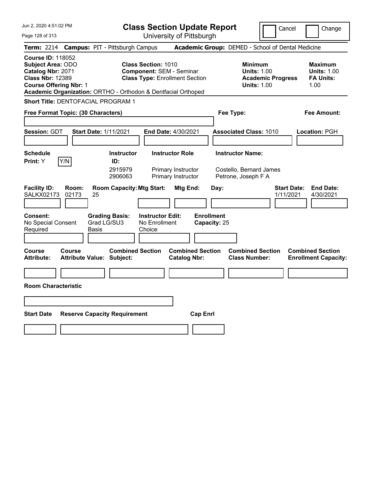|  |  | Jun 2, 2020 4:51:02 PM |  |
|--|--|------------------------|--|
|--|--|------------------------|--|

Page 128 of 313

**Class Section Update Report**

Cancel Change

|                                                                                                                                       |                | Term: 2214 Campus: PIT - Pittsburgh Campus                    |                                                                                                        |                                                | Academic Group: DEMED - School of Dental Medicine                               |                                                                  |
|---------------------------------------------------------------------------------------------------------------------------------------|----------------|---------------------------------------------------------------|--------------------------------------------------------------------------------------------------------|------------------------------------------------|---------------------------------------------------------------------------------|------------------------------------------------------------------|
| <b>Course ID: 118052</b><br><b>Subject Area: ODO</b><br>Catalog Nbr: 2071<br><b>Class Nbr: 12389</b><br><b>Course Offering Nbr: 1</b> |                | Academic Organization: ORTHO - Orthodon & Dentfacial Orthoped | <b>Class Section: 1010</b><br><b>Component: SEM - Seminar</b><br><b>Class Type: Enrollment Section</b> |                                                | Minimum<br><b>Units: 1.00</b><br><b>Academic Progress</b><br><b>Units: 1.00</b> | <b>Maximum</b><br><b>Units: 1.00</b><br><b>FA Units:</b><br>1.00 |
|                                                                                                                                       |                | Short Title: DENTOFACIAL PROGRAM 1                            |                                                                                                        |                                                |                                                                                 |                                                                  |
| Free Format Topic: (30 Characters)                                                                                                    |                |                                                               |                                                                                                        |                                                | Fee Type:                                                                       | Fee Amount:                                                      |
| Session: GDT                                                                                                                          |                | <b>Start Date: 1/11/2021</b>                                  | <b>End Date: 4/30/2021</b>                                                                             |                                                | <b>Associated Class: 1010</b>                                                   | Location: PGH                                                    |
| <b>Schedule</b>                                                                                                                       |                | <b>Instructor</b>                                             | <b>Instructor Role</b>                                                                                 |                                                | <b>Instructor Name:</b>                                                         |                                                                  |
| Print: Y                                                                                                                              | Y/N            | ID:<br>2915979<br>2906063                                     | Primary Instructor<br>Primary Instructor                                                               |                                                | Costello, Bernard James<br>Petrone, Joseph F A                                  |                                                                  |
| <b>Facility ID:</b><br><b>SALKX02173</b>                                                                                              | Room:<br>02173 | <b>Room Capacity: Mtg Start:</b><br>25                        |                                                                                                        | Mtg End:                                       | Day:                                                                            | <b>Start Date:</b><br><b>End Date:</b><br>1/11/2021<br>4/30/2021 |
| <b>Consent:</b><br>No Special Consent<br>Required                                                                                     |                | <b>Grading Basis:</b><br>Grad LG/SU3<br><b>Basis</b>          | <b>Instructor Edit:</b><br>No Enrollment<br>Choice                                                     | <b>Enrollment</b><br>Capacity: 25              |                                                                                 |                                                                  |
| Course<br><b>Attribute:</b>                                                                                                           | Course         | <b>Combined Section</b><br><b>Attribute Value: Subject:</b>   |                                                                                                        | <b>Combined Section</b><br><b>Catalog Nbr:</b> | <b>Combined Section</b><br><b>Class Number:</b>                                 | <b>Combined Section</b><br><b>Enrollment Capacity:</b>           |
|                                                                                                                                       |                |                                                               |                                                                                                        |                                                |                                                                                 |                                                                  |
| <b>Room Characteristic</b>                                                                                                            |                |                                                               |                                                                                                        |                                                |                                                                                 |                                                                  |
|                                                                                                                                       |                |                                                               |                                                                                                        |                                                |                                                                                 |                                                                  |
| <b>Start Date</b>                                                                                                                     |                | <b>Reserve Capacity Requirement</b>                           |                                                                                                        | <b>Cap Enrl</b>                                |                                                                                 |                                                                  |
|                                                                                                                                       |                |                                                               |                                                                                                        |                                                |                                                                                 |                                                                  |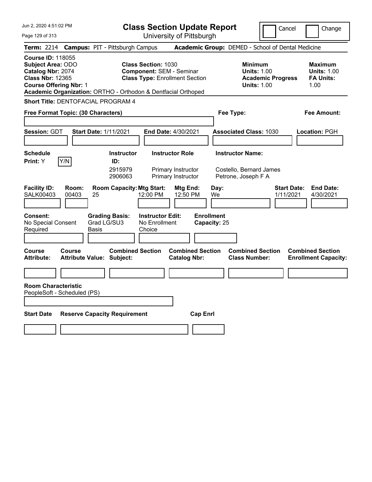|  |  | Jun 2, 2020 4:51:02 PM |  |
|--|--|------------------------|--|
|--|--|------------------------|--|

**Class Section Update Report** University of Pittsburgh

Cancel Change

Page 129 of 313

| Term: 2214 Campus: PIT - Pittsburgh Campus                                                                                                                                                             |                              |                                             |                                                               |                                                |                                   | Academic Group: DEMED - School of Dental Medicine                                      |                                 |                                                                  |
|--------------------------------------------------------------------------------------------------------------------------------------------------------------------------------------------------------|------------------------------|---------------------------------------------|---------------------------------------------------------------|------------------------------------------------|-----------------------------------|----------------------------------------------------------------------------------------|---------------------------------|------------------------------------------------------------------|
| <b>Course ID: 118055</b><br><b>Subject Area: ODO</b><br>Catalog Nbr: 2074<br><b>Class Nbr: 12365</b><br><b>Course Offering Nbr: 1</b><br>Academic Organization: ORTHO - Orthodon & Dentfacial Orthoped |                              |                                             | <b>Class Section: 1030</b><br><b>Component: SEM - Seminar</b> | <b>Class Type: Enrollment Section</b>          |                                   | <b>Minimum</b><br><b>Units: 1.00</b><br><b>Academic Progress</b><br><b>Units: 1.00</b> |                                 | <b>Maximum</b><br><b>Units: 1.00</b><br><b>FA Units:</b><br>1.00 |
| Short Title: DENTOFACIAL PROGRAM 4                                                                                                                                                                     |                              |                                             |                                                               |                                                |                                   |                                                                                        |                                 |                                                                  |
| Free Format Topic: (30 Characters)                                                                                                                                                                     |                              |                                             |                                                               |                                                |                                   | Fee Type:                                                                              |                                 | <b>Fee Amount:</b>                                               |
| Session: GDT                                                                                                                                                                                           | <b>Start Date: 1/11/2021</b> |                                             |                                                               | End Date: 4/30/2021                            |                                   | <b>Associated Class: 1030</b>                                                          |                                 | Location: PGH                                                    |
| <b>Schedule</b><br>Y/N<br>Print: Y                                                                                                                                                                     |                              | <b>Instructor</b><br>ID:<br>2915979         |                                                               | <b>Instructor Role</b><br>Primary Instructor   |                                   | <b>Instructor Name:</b><br>Costello, Bernard James                                     |                                 |                                                                  |
| <b>Facility ID:</b><br>Room:<br><b>SALK00403</b><br>00403                                                                                                                                              | 25                           | 2906063<br><b>Room Capacity: Mtg Start:</b> | 12:00 PM                                                      | Primary Instructor<br>Mtg End:<br>12:50 PM     | Day:<br>We                        | Petrone, Joseph F A                                                                    | <b>Start Date:</b><br>1/11/2021 | <b>End Date:</b><br>4/30/2021                                    |
| Consent:<br>No Special Consent<br>Required                                                                                                                                                             | <b>Basis</b>                 | <b>Grading Basis:</b><br>Grad LG/SU3        | <b>Instructor Edit:</b><br>No Enrollment<br>Choice            |                                                | <b>Enrollment</b><br>Capacity: 25 |                                                                                        |                                 |                                                                  |
| Course<br>Course<br><b>Attribute:</b>                                                                                                                                                                  | <b>Attribute Value:</b>      | <b>Combined Section</b><br>Subject:         |                                                               | <b>Combined Section</b><br><b>Catalog Nbr:</b> |                                   | <b>Combined Section</b><br><b>Class Number:</b>                                        |                                 | <b>Combined Section</b><br><b>Enrollment Capacity:</b>           |
| <b>Room Characteristic</b><br>PeopleSoft - Scheduled (PS)                                                                                                                                              |                              |                                             |                                                               |                                                |                                   |                                                                                        |                                 |                                                                  |
| <b>Start Date</b>                                                                                                                                                                                      |                              | <b>Reserve Capacity Requirement</b>         |                                                               |                                                | <b>Cap Enrl</b>                   |                                                                                        |                                 |                                                                  |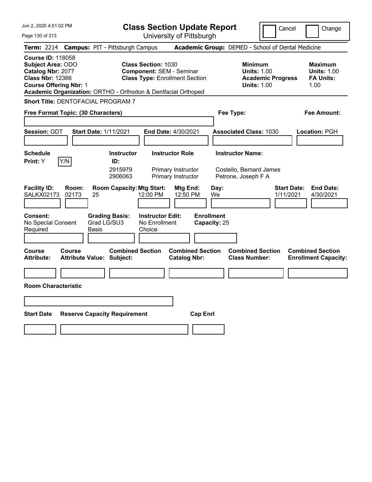|  |  | Jun 2, 2020 4:51:02 PM |  |
|--|--|------------------------|--|
|--|--|------------------------|--|

Page 130 of 313

**Class Section Update Report**

Cancel **Change** 

|                                                                                                                                       |                       |                                                                     |                                                    | UNIVUUTIY UITTILUUUIYN                                                   |                                   |                                                                                        |                                                                  |
|---------------------------------------------------------------------------------------------------------------------------------------|-----------------------|---------------------------------------------------------------------|----------------------------------------------------|--------------------------------------------------------------------------|-----------------------------------|----------------------------------------------------------------------------------------|------------------------------------------------------------------|
|                                                                                                                                       |                       | Term: 2214 Campus: PIT - Pittsburgh Campus                          |                                                    |                                                                          |                                   | <b>Academic Group: DEMED - School of Dental Medicine</b>                               |                                                                  |
| <b>Course ID: 118058</b><br><b>Subject Area: ODO</b><br>Catalog Nbr: 2077<br><b>Class Nbr: 12366</b><br><b>Course Offering Nbr: 1</b> |                       | Academic Organization: ORTHO - Orthodon & Dentfacial Orthoped       | <b>Class Section: 1030</b>                         | <b>Component: SEM - Seminar</b><br><b>Class Type: Enrollment Section</b> |                                   | <b>Minimum</b><br><b>Units: 1.00</b><br><b>Academic Progress</b><br><b>Units: 1.00</b> | <b>Maximum</b><br><b>Units: 1.00</b><br><b>FA Units:</b><br>1.00 |
|                                                                                                                                       |                       | Short Title: DENTOFACIAL PROGRAM 7                                  |                                                    |                                                                          |                                   |                                                                                        |                                                                  |
| Free Format Topic: (30 Characters)                                                                                                    |                       |                                                                     |                                                    |                                                                          | Fee Type:                         |                                                                                        | Fee Amount:                                                      |
| Session: GDT                                                                                                                          |                       | <b>Start Date: 1/11/2021</b>                                        |                                                    | End Date: 4/30/2021                                                      |                                   | <b>Associated Class: 1030</b>                                                          | Location: PGH                                                    |
| <b>Schedule</b>                                                                                                                       |                       | <b>Instructor</b>                                                   |                                                    | <b>Instructor Role</b>                                                   |                                   | <b>Instructor Name:</b>                                                                |                                                                  |
| Print: Y<br><b>Facility ID:</b><br><b>SALKX02173</b>                                                                                  | Y/N<br>Room:<br>02173 | ID:<br>2915979<br>2906063<br><b>Room Capacity: Mtg Start:</b><br>25 | 12:00 PM                                           | Primary Instructor<br>Primary Instructor<br>Mtg End:<br>12:50 PM         | Day:<br>We                        | Costello, Bernard James<br>Petrone, Joseph F A<br><b>Start Date:</b><br>1/11/2021      | <b>End Date:</b><br>4/30/2021                                    |
| <b>Consent:</b><br>No Special Consent<br>Required                                                                                     |                       | <b>Grading Basis:</b><br>Grad LG/SU3<br><b>Basis</b>                | <b>Instructor Edit:</b><br>No Enrollment<br>Choice |                                                                          | <b>Enrollment</b><br>Capacity: 25 |                                                                                        |                                                                  |
| <b>Course</b><br><b>Attribute:</b>                                                                                                    | Course                | <b>Combined Section</b><br><b>Attribute Value: Subject:</b>         |                                                    | <b>Combined Section</b><br><b>Catalog Nbr:</b>                           |                                   | <b>Combined Section</b><br><b>Class Number:</b>                                        | <b>Combined Section</b><br><b>Enrollment Capacity:</b>           |
| <b>Room Characteristic</b>                                                                                                            |                       |                                                                     |                                                    |                                                                          |                                   |                                                                                        |                                                                  |
|                                                                                                                                       |                       |                                                                     |                                                    |                                                                          |                                   |                                                                                        |                                                                  |
| <b>Start Date</b>                                                                                                                     |                       | <b>Reserve Capacity Requirement</b>                                 |                                                    | <b>Cap Enrl</b>                                                          |                                   |                                                                                        |                                                                  |
|                                                                                                                                       |                       |                                                                     |                                                    |                                                                          |                                   |                                                                                        |                                                                  |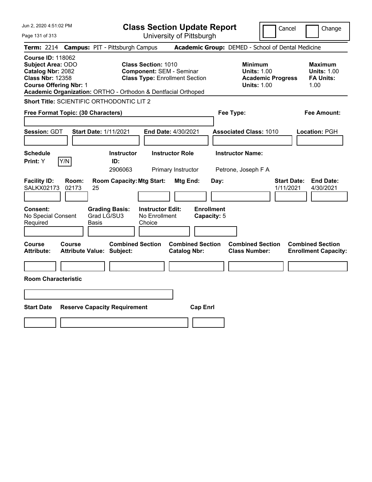| Jun 2, 2020 4:51:02 PM                                                                                                                                                                                 | <b>Class Section Update Report</b>                                                                     | Cancel                                                                                 | Change                                                           |
|--------------------------------------------------------------------------------------------------------------------------------------------------------------------------------------------------------|--------------------------------------------------------------------------------------------------------|----------------------------------------------------------------------------------------|------------------------------------------------------------------|
| Page 131 of 313                                                                                                                                                                                        | University of Pittsburgh                                                                               |                                                                                        |                                                                  |
| Term: 2214 Campus: PIT - Pittsburgh Campus                                                                                                                                                             |                                                                                                        | Academic Group: DEMED - School of Dental Medicine                                      |                                                                  |
| <b>Course ID: 118062</b><br><b>Subject Area: ODO</b><br>Catalog Nbr: 2082<br><b>Class Nbr: 12358</b><br><b>Course Offering Nbr: 1</b><br>Academic Organization: ORTHO - Orthodon & Dentfacial Orthoped | <b>Class Section: 1010</b><br><b>Component: SEM - Seminar</b><br><b>Class Type: Enrollment Section</b> | <b>Minimum</b><br><b>Units: 1.00</b><br><b>Academic Progress</b><br><b>Units: 1.00</b> | <b>Maximum</b><br><b>Units: 1.00</b><br><b>FA Units:</b><br>1.00 |
| Short Title: SCIENTIFIC ORTHODONTIC LIT 2                                                                                                                                                              |                                                                                                        |                                                                                        |                                                                  |
| Free Format Topic: (30 Characters)                                                                                                                                                                     |                                                                                                        | Fee Type:                                                                              | Fee Amount:                                                      |
| Session: GDT<br><b>Start Date: 1/11/2021</b>                                                                                                                                                           | End Date: 4/30/2021                                                                                    | <b>Associated Class: 1010</b>                                                          | Location: PGH                                                    |
| <b>Schedule</b><br>Y/N<br>Print: Y<br>ID:                                                                                                                                                              | <b>Instructor Role</b><br><b>Instructor</b><br>2906063<br>Primary Instructor                           | <b>Instructor Name:</b><br>Petrone, Joseph F A                                         |                                                                  |
| <b>Facility ID:</b><br>Room:<br><b>SALKX02173</b><br>02173<br>25                                                                                                                                       | <b>Room Capacity: Mtg Start:</b><br>Mtg End:                                                           | <b>Start Date:</b><br>Day:<br>1/11/2021                                                | <b>End Date:</b><br>4/30/2021                                    |
| <b>Consent:</b><br><b>Grading Basis:</b><br>Grad LG/SU3<br>No Special Consent<br>Required<br>Basis                                                                                                     | <b>Enrollment</b><br><b>Instructor Edit:</b><br>No Enrollment<br>Capacity: 5<br>Choice                 |                                                                                        |                                                                  |
| Course<br><b>Course</b><br><b>Attribute:</b><br><b>Attribute Value: Subject:</b>                                                                                                                       | <b>Combined Section</b><br><b>Combined Section</b><br><b>Catalog Nbr:</b>                              | <b>Combined Section</b><br><b>Class Number:</b>                                        | <b>Combined Section</b><br><b>Enrollment Capacity:</b>           |
| <b>Room Characteristic</b>                                                                                                                                                                             |                                                                                                        |                                                                                        |                                                                  |
|                                                                                                                                                                                                        |                                                                                                        |                                                                                        |                                                                  |
| <b>Start Date</b><br><b>Reserve Capacity Requirement</b>                                                                                                                                               | <b>Cap Enrl</b>                                                                                        |                                                                                        |                                                                  |
|                                                                                                                                                                                                        |                                                                                                        |                                                                                        |                                                                  |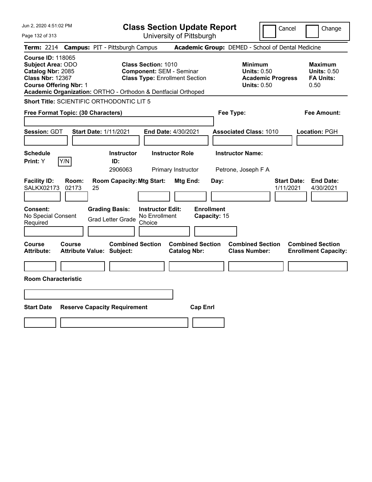| Jun 2, 2020 4:51:02 PM                                                                                                                                                                                 | <b>Class Section Update Report</b>                                                                      | Change<br>Cancel                                                                                                                                           |
|--------------------------------------------------------------------------------------------------------------------------------------------------------------------------------------------------------|---------------------------------------------------------------------------------------------------------|------------------------------------------------------------------------------------------------------------------------------------------------------------|
| Page 132 of 313                                                                                                                                                                                        | University of Pittsburgh                                                                                |                                                                                                                                                            |
| <b>Campus: PIT - Pittsburgh Campus</b><br><b>Term: 2214</b>                                                                                                                                            |                                                                                                         | Academic Group: DEMED - School of Dental Medicine                                                                                                          |
| <b>Course ID: 118065</b><br><b>Subject Area: ODO</b><br>Catalog Nbr: 2085<br><b>Class Nbr: 12367</b><br><b>Course Offering Nbr: 1</b><br>Academic Organization: ORTHO - Orthodon & Dentfacial Orthoped | Class Section: 1010<br><b>Component: SEM - Seminar</b><br><b>Class Type: Enrollment Section</b>         | <b>Minimum</b><br><b>Maximum</b><br><b>Units: 0.50</b><br><b>Units: 0.50</b><br><b>FA Units:</b><br><b>Academic Progress</b><br><b>Units: 0.50</b><br>0.50 |
| Short Title: SCIENTIFIC ORTHODONTIC LIT 5                                                                                                                                                              |                                                                                                         |                                                                                                                                                            |
| Free Format Topic: (30 Characters)                                                                                                                                                                     | Fee Type:                                                                                               | Fee Amount:                                                                                                                                                |
| <b>Session: GDT</b><br><b>Start Date: 1/11/2021</b>                                                                                                                                                    | <b>End Date: 4/30/2021</b>                                                                              | <b>Associated Class: 1010</b><br>Location: PGH                                                                                                             |
| <b>Schedule</b><br>Y/N<br>Print: Y<br>ID:                                                                                                                                                              | <b>Instructor Role</b><br><b>Instructor Name:</b><br><b>Instructor</b><br>2906063<br>Primary Instructor | Petrone, Joseph F A                                                                                                                                        |
| <b>Facility ID:</b><br>Room:<br><b>SALKX02173</b><br>02173<br>25                                                                                                                                       | <b>Room Capacity: Mtg Start:</b><br>Mtg End:<br>Day:                                                    | <b>Start Date:</b><br><b>End Date:</b><br>1/11/2021<br>4/30/2021                                                                                           |
| <b>Grading Basis:</b><br><b>Consent:</b><br>No Special Consent<br><b>Grad Letter Grade</b><br>Required                                                                                                 | <b>Enrollment</b><br><b>Instructor Edit:</b><br>No Enrollment<br>Capacity: 15<br>Choice                 |                                                                                                                                                            |
| <b>Course</b><br><b>Course</b><br>Attribute Value: Subject:<br><b>Attribute:</b>                                                                                                                       | <b>Combined Section</b><br><b>Combined Section</b><br><b>Catalog Nbr:</b>                               | <b>Combined Section</b><br><b>Combined Section</b><br><b>Class Number:</b><br><b>Enrollment Capacity:</b>                                                  |
|                                                                                                                                                                                                        |                                                                                                         |                                                                                                                                                            |
| <b>Room Characteristic</b>                                                                                                                                                                             |                                                                                                         |                                                                                                                                                            |
|                                                                                                                                                                                                        |                                                                                                         |                                                                                                                                                            |
| <b>Start Date</b><br><b>Reserve Capacity Requirement</b>                                                                                                                                               | <b>Cap Enrl</b>                                                                                         |                                                                                                                                                            |
|                                                                                                                                                                                                        |                                                                                                         |                                                                                                                                                            |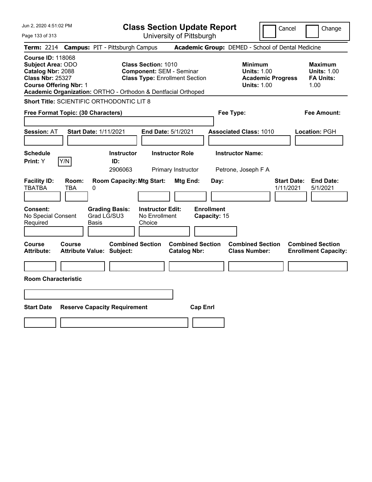| Jun 2, 2020 4:51:02 PM                                                                                                                                                                                 | <b>Class Section Update Report</b>                                                                     | Cancel                                                                                 | Change                                                           |
|--------------------------------------------------------------------------------------------------------------------------------------------------------------------------------------------------------|--------------------------------------------------------------------------------------------------------|----------------------------------------------------------------------------------------|------------------------------------------------------------------|
| Page 133 of 313                                                                                                                                                                                        | University of Pittsburgh                                                                               |                                                                                        |                                                                  |
| <b>Campus: PIT - Pittsburgh Campus</b><br><b>Term:</b> 2214                                                                                                                                            |                                                                                                        | Academic Group: DEMED - School of Dental Medicine                                      |                                                                  |
| <b>Course ID: 118068</b><br><b>Subject Area: ODO</b><br>Catalog Nbr: 2088<br><b>Class Nbr: 25327</b><br><b>Course Offering Nbr: 1</b><br>Academic Organization: ORTHO - Orthodon & Dentfacial Orthoped | <b>Class Section: 1010</b><br><b>Component: SEM - Seminar</b><br><b>Class Type: Enrollment Section</b> | <b>Minimum</b><br><b>Units: 1.00</b><br><b>Academic Progress</b><br><b>Units: 1.00</b> | <b>Maximum</b><br><b>Units: 1.00</b><br><b>FA Units:</b><br>1.00 |
| Short Title: SCIENTIFIC ORTHODONTIC LIT 8                                                                                                                                                              |                                                                                                        |                                                                                        |                                                                  |
| Free Format Topic: (30 Characters)                                                                                                                                                                     |                                                                                                        | Fee Type:                                                                              | Fee Amount:                                                      |
| <b>Start Date: 1/11/2021</b><br><b>Session: AT</b>                                                                                                                                                     | End Date: 5/1/2021                                                                                     | <b>Associated Class: 1010</b>                                                          | Location: PGH                                                    |
| <b>Schedule</b><br>Y/N<br>Print: Y<br>ID:                                                                                                                                                              | <b>Instructor Role</b><br><b>Instructor</b><br>2906063<br>Primary Instructor                           | <b>Instructor Name:</b><br>Petrone, Joseph F A                                         |                                                                  |
| <b>Facility ID:</b><br>Room:<br><b>TBATBA</b><br>TBA<br>0                                                                                                                                              | <b>Room Capacity: Mtg Start:</b><br><b>Mtg End:</b>                                                    | <b>Start Date:</b><br>Day:<br>1/11/2021                                                | <b>End Date:</b><br>5/1/2021                                     |
| Consent:<br><b>Grading Basis:</b><br>Grad LG/SU3<br>No Special Consent<br>Required<br>Basis                                                                                                            | <b>Enrollment</b><br><b>Instructor Edit:</b><br>No Enrollment<br>Capacity: 15<br>Choice                |                                                                                        |                                                                  |
| Course<br><b>Course</b><br><b>Attribute:</b><br><b>Attribute Value: Subject:</b>                                                                                                                       | <b>Combined Section</b><br><b>Combined Section</b><br><b>Catalog Nbr:</b>                              | <b>Combined Section</b><br><b>Class Number:</b>                                        | <b>Combined Section</b><br><b>Enrollment Capacity:</b>           |
| <b>Room Characteristic</b>                                                                                                                                                                             |                                                                                                        |                                                                                        |                                                                  |
|                                                                                                                                                                                                        |                                                                                                        |                                                                                        |                                                                  |
| <b>Start Date</b><br><b>Reserve Capacity Requirement</b>                                                                                                                                               | <b>Cap Enrl</b>                                                                                        |                                                                                        |                                                                  |
|                                                                                                                                                                                                        |                                                                                                        |                                                                                        |                                                                  |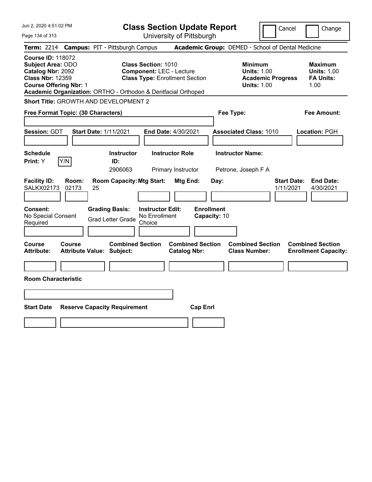| Jun 2, 2020 4:51:02 PM                                                                                                                                                                                 | <b>Class Section Update Report</b>                                                                     | Cancel                                                                                 | Change                                                           |
|--------------------------------------------------------------------------------------------------------------------------------------------------------------------------------------------------------|--------------------------------------------------------------------------------------------------------|----------------------------------------------------------------------------------------|------------------------------------------------------------------|
| Page 134 of 313                                                                                                                                                                                        | University of Pittsburgh                                                                               |                                                                                        |                                                                  |
| <b>Campus: PIT - Pittsburgh Campus</b><br><b>Term: 2214</b>                                                                                                                                            |                                                                                                        | Academic Group: DEMED - School of Dental Medicine                                      |                                                                  |
| <b>Course ID: 118072</b><br><b>Subject Area: ODO</b><br>Catalog Nbr: 2092<br><b>Class Nbr: 12359</b><br><b>Course Offering Nbr: 1</b><br>Academic Organization: ORTHO - Orthodon & Dentfacial Orthoped | <b>Class Section: 1010</b><br><b>Component: LEC - Lecture</b><br><b>Class Type: Enrollment Section</b> | <b>Minimum</b><br><b>Units: 1.00</b><br><b>Academic Progress</b><br><b>Units: 1.00</b> | <b>Maximum</b><br><b>Units: 1.00</b><br><b>FA Units:</b><br>1.00 |
| Short Title: GROWTH AND DEVELOPMENT 2                                                                                                                                                                  |                                                                                                        |                                                                                        |                                                                  |
| Free Format Topic: (30 Characters)                                                                                                                                                                     |                                                                                                        | Fee Type:                                                                              | Fee Amount:                                                      |
| Session: GDT<br><b>Start Date: 1/11/2021</b>                                                                                                                                                           | <b>End Date: 4/30/2021</b>                                                                             | <b>Associated Class: 1010</b>                                                          | Location: PGH                                                    |
| <b>Schedule</b><br>Y/N<br>Print: Y<br>ID:                                                                                                                                                              | <b>Instructor Role</b><br><b>Instructor</b><br>2906063<br>Primary Instructor                           | <b>Instructor Name:</b><br>Petrone, Joseph F A                                         |                                                                  |
| <b>Facility ID:</b><br>Room:<br><b>SALKX02173</b><br>02173<br>25                                                                                                                                       | <b>Room Capacity: Mtg Start:</b><br>Mtg End:<br>Day:                                                   | <b>Start Date:</b><br>1/11/2021                                                        | <b>End Date:</b><br>4/30/2021                                    |
| <b>Grading Basis:</b><br><b>Consent:</b><br>No Special Consent<br><b>Grad Letter Grade</b><br>Required                                                                                                 | <b>Enrollment</b><br><b>Instructor Edit:</b><br>No Enrollment<br>Capacity: 10<br>Choice                |                                                                                        |                                                                  |
| <b>Course</b><br><b>Course</b><br><b>Attribute:</b><br><b>Attribute Value: Subject:</b>                                                                                                                | <b>Combined Section</b><br><b>Combined Section</b><br><b>Catalog Nbr:</b>                              | <b>Combined Section</b><br><b>Class Number:</b>                                        | <b>Combined Section</b><br><b>Enrollment Capacity:</b>           |
| <b>Room Characteristic</b>                                                                                                                                                                             |                                                                                                        |                                                                                        |                                                                  |
|                                                                                                                                                                                                        |                                                                                                        |                                                                                        |                                                                  |
|                                                                                                                                                                                                        |                                                                                                        |                                                                                        |                                                                  |
| <b>Start Date</b><br><b>Reserve Capacity Requirement</b>                                                                                                                                               | <b>Cap Enrl</b>                                                                                        |                                                                                        |                                                                  |
|                                                                                                                                                                                                        |                                                                                                        |                                                                                        |                                                                  |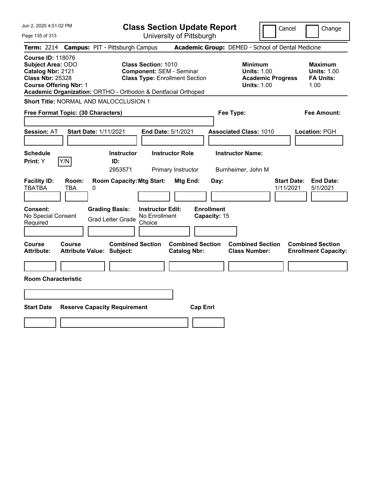| Jun 2, 2020 4:51:02 PM                                                                                                                                                                                 | <b>Class Section Update Report</b>                                                              | Cancel<br>Change                                                                                                                                           |
|--------------------------------------------------------------------------------------------------------------------------------------------------------------------------------------------------------|-------------------------------------------------------------------------------------------------|------------------------------------------------------------------------------------------------------------------------------------------------------------|
| Page 135 of 313                                                                                                                                                                                        | University of Pittsburgh                                                                        |                                                                                                                                                            |
| <b>Campus: PIT - Pittsburgh Campus</b><br><b>Term: 2214</b>                                                                                                                                            |                                                                                                 | Academic Group: DEMED - School of Dental Medicine                                                                                                          |
| <b>Course ID: 118076</b><br><b>Subject Area: ODO</b><br>Catalog Nbr: 2121<br><b>Class Nbr: 25328</b><br><b>Course Offering Nbr: 1</b><br>Academic Organization: ORTHO - Orthodon & Dentfacial Orthoped | Class Section: 1010<br><b>Component: SEM - Seminar</b><br><b>Class Type: Enrollment Section</b> | <b>Minimum</b><br><b>Maximum</b><br><b>Units: 1.00</b><br><b>Units: 1.00</b><br><b>FA Units:</b><br><b>Academic Progress</b><br><b>Units: 1.00</b><br>1.00 |
| Short Title: NORMAL AND MALOCCLUSION 1                                                                                                                                                                 |                                                                                                 |                                                                                                                                                            |
| Free Format Topic: (30 Characters)                                                                                                                                                                     | Fee Type:                                                                                       | Fee Amount:                                                                                                                                                |
| <b>Session: AT</b><br><b>Start Date: 1/11/2021</b>                                                                                                                                                     | <b>End Date: 5/1/2021</b>                                                                       | <b>Associated Class: 1010</b><br>Location: PGH                                                                                                             |
| <b>Schedule</b><br>Y/N<br>Print: Y<br>ID:                                                                                                                                                              | <b>Instructor Role</b><br><b>Instructor</b><br>2953571<br>Primary Instructor                    | <b>Instructor Name:</b><br>Burnheimer, John M                                                                                                              |
| <b>Facility ID:</b><br>Room:<br><b>TBATBA</b><br><b>TBA</b><br>0                                                                                                                                       | <b>Room Capacity: Mtg Start:</b><br>Mtg End:<br>Day:                                            | <b>Start Date:</b><br><b>End Date:</b><br>1/11/2021<br>5/1/2021                                                                                            |
| Consent:<br><b>Grading Basis:</b><br>No Special Consent<br><b>Grad Letter Grade</b><br>Required                                                                                                        | <b>Enrollment</b><br><b>Instructor Edit:</b><br>No Enrollment<br>Capacity: 15<br>Choice         |                                                                                                                                                            |
| Course<br><b>Course</b><br>Attribute Value: Subject:<br><b>Attribute:</b>                                                                                                                              | <b>Combined Section</b><br><b>Combined Section</b><br><b>Catalog Nbr:</b>                       | <b>Combined Section</b><br><b>Combined Section</b><br><b>Class Number:</b><br><b>Enrollment Capacity:</b>                                                  |
| <b>Room Characteristic</b>                                                                                                                                                                             |                                                                                                 |                                                                                                                                                            |
|                                                                                                                                                                                                        |                                                                                                 |                                                                                                                                                            |
| <b>Start Date</b><br><b>Reserve Capacity Requirement</b>                                                                                                                                               | <b>Cap Enrl</b>                                                                                 |                                                                                                                                                            |
|                                                                                                                                                                                                        |                                                                                                 |                                                                                                                                                            |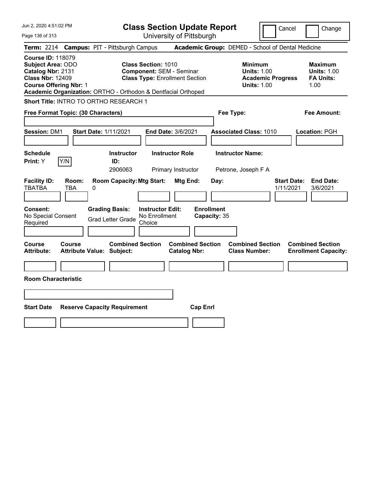Page 136 of 313

**Class Section Update Report**

Cancel Change

|                                                                                                                                |              | Term: 2214 Campus: PIT - Pittsburgh Campus                                                 |                                                                                                        |                                                       | Academic Group: DEMED - School of Dental Medicine                                      |                                 |                                                                  |
|--------------------------------------------------------------------------------------------------------------------------------|--------------|--------------------------------------------------------------------------------------------|--------------------------------------------------------------------------------------------------------|-------------------------------------------------------|----------------------------------------------------------------------------------------|---------------------------------|------------------------------------------------------------------|
| <b>Course ID: 118079</b><br>Subject Area: ODO<br>Catalog Nbr: 2131<br><b>Class Nbr: 12409</b><br><b>Course Offering Nbr: 1</b> |              | Academic Organization: ORTHO - Orthodon & Dentfacial Orthoped                              | <b>Class Section: 1010</b><br><b>Component: SEM - Seminar</b><br><b>Class Type: Enrollment Section</b> |                                                       | <b>Minimum</b><br><b>Units: 1.00</b><br><b>Academic Progress</b><br><b>Units: 1.00</b> |                                 | <b>Maximum</b><br><b>Units: 1.00</b><br><b>FA Units:</b><br>1.00 |
|                                                                                                                                |              | Short Title: INTRO TO ORTHO RESEARCH 1                                                     |                                                                                                        |                                                       |                                                                                        |                                 |                                                                  |
| Free Format Topic: (30 Characters)                                                                                             |              |                                                                                            |                                                                                                        |                                                       | Fee Type:                                                                              |                                 | <b>Fee Amount:</b>                                               |
| Session: DM1                                                                                                                   |              | <b>Start Date: 1/11/2021</b>                                                               | End Date: 3/6/2021                                                                                     |                                                       | <b>Associated Class: 1010</b>                                                          |                                 | Location: PGH                                                    |
| <b>Schedule</b><br>Print: Y                                                                                                    | Y/N          | <b>Instructor</b><br>ID:<br>2906063                                                        | <b>Instructor Role</b><br>Primary Instructor                                                           |                                                       | <b>Instructor Name:</b><br>Petrone, Joseph F A                                         |                                 |                                                                  |
| <b>Facility ID:</b><br><b>TBATBA</b><br>Consent:<br>No Special Consent<br>Required                                             | Room:<br>TBA | <b>Room Capacity: Mtg Start:</b><br>0<br><b>Grading Basis:</b><br><b>Grad Letter Grade</b> | <b>Instructor Edit:</b><br>No Enrollment<br>Choice                                                     | Mtg End:<br>Day:<br><b>Enrollment</b><br>Capacity: 35 |                                                                                        | <b>Start Date:</b><br>1/11/2021 | <b>End Date:</b><br>3/6/2021                                     |
| <b>Course</b><br><b>Attribute:</b>                                                                                             | Course       | <b>Combined Section</b><br><b>Attribute Value: Subject:</b>                                |                                                                                                        | <b>Combined Section</b><br><b>Catalog Nbr:</b>        | <b>Combined Section</b><br><b>Class Number:</b>                                        |                                 | <b>Combined Section</b><br><b>Enrollment Capacity:</b>           |
| <b>Room Characteristic</b>                                                                                                     |              |                                                                                            |                                                                                                        |                                                       |                                                                                        |                                 |                                                                  |
|                                                                                                                                |              |                                                                                            |                                                                                                        |                                                       |                                                                                        |                                 |                                                                  |
| <b>Start Date</b>                                                                                                              |              | <b>Reserve Capacity Requirement</b>                                                        |                                                                                                        | <b>Cap Enrl</b>                                       |                                                                                        |                                 |                                                                  |
|                                                                                                                                |              |                                                                                            |                                                                                                        |                                                       |                                                                                        |                                 |                                                                  |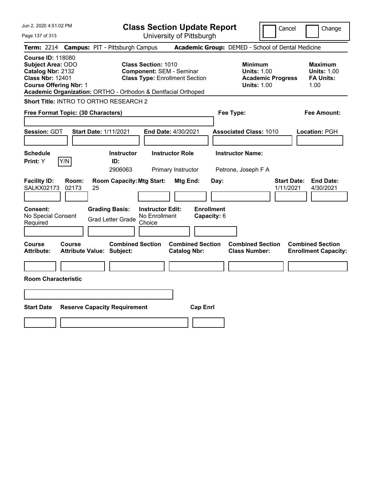Jun 2, 2020 4:51:02 PM Page 137 of 313 **Class Section Update Report** University of Pittsburgh Cancel Change **Term:** 2214 **Campus:** PIT - Pittsburgh Campus **Academic Group:** DEMED - School of Dental Medicine **Course ID:** 118080 **Subject Area: ODO 6 Class Section: 1010 6 Class Section: 1010 6 Minimum 1010 6 Minimum 1013: 1.00** 6 Maximum **Catalog Nbr: 2132 Component: SEM - Seminar <b>Units: 1.00 Units: 1.00 Class Nbr:** 12401 **Class Type:** Enrollment Section **Academic Progress FA Units: Course Offering Nbr:** 1 **Units:** 1.00 1.00 **Academic Organization:** ORTHO - Orthodon & Dentfacial Orthoped **Short Title:** INTRO TO ORTHO RESEARCH 2 **Free Format Topic: (30 Characters) Fee Type: Fee Amount: Session:** GDT **Start Date:** 1/11/2021 **End Date:** 4/30/2021 **Associated Class:** 1010 **Location:** PGH **Schedule Instructor Instructor Role Instructor Name: Print:**  $Y$   $|Y/N|$  **ID:** 2906063 Primary Instructor Petrone, Joseph F A **Facility ID: Room: Room Capacity:Mtg Start: Mtg End: Day: Start Date: End Date:** SALKX02173 02173 25 1/11/2021 4/30/2021 **Consent: Grading Basis: Instructor Edit: Enrollment** No Special Consent Grad Letter Grade No Enrollment Choice **Capacity:** 6 **Course Course Combined Section Combined Section Combined Section Combined Section Attribute: Attribute Value: Subject: Catalog Nbr: Class Number: Enrollment Capacity: Room Characteristic Start Date Reserve Capacity Requirement Cap Enrl**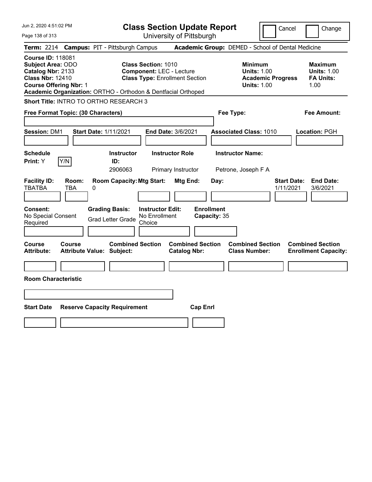Page 138 of 313

**Class Section Update Report**

Cancel Change

|                                                                                                                                |                     | Term: 2214 Campus: PIT - Pittsburgh Campus                                                 |                                                                                                        |                                                       | Academic Group: DEMED - School of Dental Medicine                               |                                 |                                                                  |
|--------------------------------------------------------------------------------------------------------------------------------|---------------------|--------------------------------------------------------------------------------------------|--------------------------------------------------------------------------------------------------------|-------------------------------------------------------|---------------------------------------------------------------------------------|---------------------------------|------------------------------------------------------------------|
| <b>Course ID: 118081</b><br>Subject Area: ODO<br>Catalog Nbr: 2133<br><b>Class Nbr: 12410</b><br><b>Course Offering Nbr: 1</b> |                     | Academic Organization: ORTHO - Orthodon & Dentfacial Orthoped                              | <b>Class Section: 1010</b><br><b>Component: LEC - Lecture</b><br><b>Class Type: Enrollment Section</b> |                                                       | Minimum<br><b>Units: 1.00</b><br><b>Academic Progress</b><br><b>Units: 1.00</b> |                                 | <b>Maximum</b><br><b>Units: 1.00</b><br><b>FA Units:</b><br>1.00 |
|                                                                                                                                |                     | Short Title: INTRO TO ORTHO RESEARCH 3                                                     |                                                                                                        |                                                       |                                                                                 |                                 |                                                                  |
| Free Format Topic: (30 Characters)                                                                                             |                     |                                                                                            |                                                                                                        |                                                       | Fee Type:                                                                       |                                 | <b>Fee Amount:</b>                                               |
| <b>Session: DM1</b>                                                                                                            |                     | <b>Start Date: 1/11/2021</b>                                                               | End Date: 3/6/2021                                                                                     |                                                       | <b>Associated Class: 1010</b>                                                   |                                 | Location: PGH                                                    |
| <b>Schedule</b><br>Print: Y                                                                                                    | Y/N                 | <b>Instructor</b><br>ID:<br>2906063                                                        | <b>Instructor Role</b><br>Primary Instructor                                                           |                                                       | <b>Instructor Name:</b><br>Petrone, Joseph F A                                  |                                 |                                                                  |
| <b>Facility ID:</b><br><b>TBATBA</b><br>Consent:<br>No Special Consent<br>Required                                             | Room:<br><b>TBA</b> | <b>Room Capacity: Mtg Start:</b><br>0<br><b>Grading Basis:</b><br><b>Grad Letter Grade</b> | <b>Instructor Edit:</b><br>No Enrollment<br>Choice                                                     | Mtg End:<br>Day:<br><b>Enrollment</b><br>Capacity: 35 |                                                                                 | <b>Start Date:</b><br>1/11/2021 | <b>End Date:</b><br>3/6/2021                                     |
| <b>Course</b><br><b>Attribute:</b>                                                                                             | <b>Course</b>       | <b>Combined Section</b><br><b>Attribute Value: Subject:</b>                                |                                                                                                        | <b>Combined Section</b><br><b>Catalog Nbr:</b>        | <b>Combined Section</b><br><b>Class Number:</b>                                 |                                 | <b>Combined Section</b><br><b>Enrollment Capacity:</b>           |
| <b>Room Characteristic</b>                                                                                                     |                     |                                                                                            |                                                                                                        |                                                       |                                                                                 |                                 |                                                                  |
|                                                                                                                                |                     |                                                                                            |                                                                                                        |                                                       |                                                                                 |                                 |                                                                  |
| <b>Start Date</b>                                                                                                              |                     | <b>Reserve Capacity Requirement</b>                                                        |                                                                                                        | <b>Cap Enrl</b>                                       |                                                                                 |                                 |                                                                  |
|                                                                                                                                |                     |                                                                                            |                                                                                                        |                                                       |                                                                                 |                                 |                                                                  |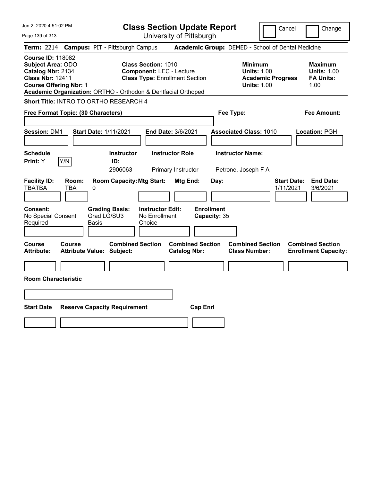**Class Section Update Report** University of Pittsburgh

Cancel **Change** 

Page 139 of 313

| <b>Term: 2214 Campus: PIT - Pittsburgh Campus</b>                                                                                                                                                                                                                                                                |               |              |                                                             |                                                    |                                                                                        |                                   |                                                                  | <b>Academic Group:</b> DEMED - School of Dental Medicine |                                 |                                                        |
|------------------------------------------------------------------------------------------------------------------------------------------------------------------------------------------------------------------------------------------------------------------------------------------------------------------|---------------|--------------|-------------------------------------------------------------|----------------------------------------------------|----------------------------------------------------------------------------------------|-----------------------------------|------------------------------------------------------------------|----------------------------------------------------------|---------------------------------|--------------------------------------------------------|
| <b>Course ID: 118082</b><br><b>Subject Area: ODO</b><br><b>Class Section: 1010</b><br><b>Component: LEC - Lecture</b><br>Catalog Nbr: 2134<br><b>Class Nbr: 12411</b><br><b>Class Type: Enrollment Section</b><br><b>Course Offering Nbr: 1</b><br>Academic Organization: ORTHO - Orthodon & Dentfacial Orthoped |               |              |                                                             |                                                    | <b>Minimum</b><br><b>Units: 1.00</b><br><b>Academic Progress</b><br><b>Units: 1.00</b> |                                   | <b>Maximum</b><br><b>Units: 1.00</b><br><b>FA Units:</b><br>1.00 |                                                          |                                 |                                                        |
| Short Title: INTRO TO ORTHO RESEARCH 4                                                                                                                                                                                                                                                                           |               |              |                                                             |                                                    |                                                                                        |                                   |                                                                  |                                                          |                                 |                                                        |
| Free Format Topic: (30 Characters)                                                                                                                                                                                                                                                                               |               |              |                                                             |                                                    |                                                                                        |                                   | Fee Type:                                                        |                                                          |                                 | <b>Fee Amount:</b>                                     |
| <b>Session: DM1</b>                                                                                                                                                                                                                                                                                              |               |              | <b>Start Date: 1/11/2021</b>                                |                                                    | <b>End Date: 3/6/2021</b>                                                              |                                   |                                                                  | <b>Associated Class: 1010</b>                            |                                 | Location: PGH                                          |
| <b>Schedule</b><br>Print: Y                                                                                                                                                                                                                                                                                      | Y/N           |              | <b>Instructor</b><br>ID:<br>2906063                         |                                                    | <b>Instructor Role</b><br>Primary Instructor                                           |                                   |                                                                  | <b>Instructor Name:</b><br>Petrone, Joseph F A           |                                 |                                                        |
| <b>Facility ID:</b><br>TBATBA                                                                                                                                                                                                                                                                                    | Room:<br>TBA  | 0            | <b>Room Capacity: Mtg Start:</b>                            |                                                    | Mtg End:                                                                               |                                   | Day:                                                             |                                                          | <b>Start Date:</b><br>1/11/2021 | <b>End Date:</b><br>3/6/2021                           |
| Consent:<br>No Special Consent<br>Required                                                                                                                                                                                                                                                                       |               | <b>Basis</b> | <b>Grading Basis:</b><br>Grad LG/SU3                        | <b>Instructor Edit:</b><br>No Enrollment<br>Choice |                                                                                        | <b>Enrollment</b><br>Capacity: 35 |                                                                  |                                                          |                                 |                                                        |
| <b>Course</b><br><b>Attribute:</b>                                                                                                                                                                                                                                                                               | <b>Course</b> |              | <b>Combined Section</b><br><b>Attribute Value: Subject:</b> |                                                    | <b>Combined Section</b><br><b>Catalog Nbr:</b>                                         |                                   |                                                                  | <b>Combined Section</b><br><b>Class Number:</b>          |                                 | <b>Combined Section</b><br><b>Enrollment Capacity:</b> |
| <b>Room Characteristic</b>                                                                                                                                                                                                                                                                                       |               |              |                                                             |                                                    |                                                                                        |                                   |                                                                  |                                                          |                                 |                                                        |
| <b>Start Date</b>                                                                                                                                                                                                                                                                                                |               |              | <b>Reserve Capacity Requirement</b>                         |                                                    |                                                                                        | <b>Cap Enrl</b>                   |                                                                  |                                                          |                                 |                                                        |
|                                                                                                                                                                                                                                                                                                                  |               |              |                                                             |                                                    |                                                                                        |                                   |                                                                  |                                                          |                                 |                                                        |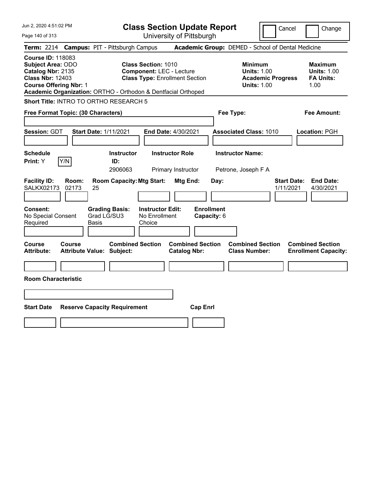|  |  |  | Jun 2, 2020 4:51:02 PM |  |
|--|--|--|------------------------|--|
|--|--|--|------------------------|--|

**Class Section Update Report** University of Pittsburgh

Cancel Change

Page 140 of 313

|                                                                                                                                       | <b>Term: 2214 Campus: PIT - Pittsburgh Campus</b>                                                                                                                       |                                                | <b>Academic Group:</b> DEMED - School of Dental Medicine                               |                                                                  |
|---------------------------------------------------------------------------------------------------------------------------------------|-------------------------------------------------------------------------------------------------------------------------------------------------------------------------|------------------------------------------------|----------------------------------------------------------------------------------------|------------------------------------------------------------------|
| <b>Course ID: 118083</b><br><b>Subject Area: ODO</b><br>Catalog Nbr: 2135<br><b>Class Nbr: 12403</b><br><b>Course Offering Nbr: 1</b> | <b>Class Section: 1010</b><br><b>Component: LEC - Lecture</b><br><b>Class Type: Enrollment Section</b><br>Academic Organization: ORTHO - Orthodon & Dentfacial Orthoped |                                                | <b>Minimum</b><br><b>Units: 1.00</b><br><b>Academic Progress</b><br><b>Units: 1.00</b> | <b>Maximum</b><br><b>Units: 1.00</b><br><b>FA Units:</b><br>1.00 |
| Short Title: INTRO TO ORTHO RESEARCH 5                                                                                                |                                                                                                                                                                         |                                                |                                                                                        |                                                                  |
| Free Format Topic: (30 Characters)                                                                                                    |                                                                                                                                                                         |                                                | Fee Type:                                                                              | <b>Fee Amount:</b>                                               |
| Session: GDT                                                                                                                          | <b>Start Date: 1/11/2021</b>                                                                                                                                            | <b>End Date: 4/30/2021</b>                     | <b>Associated Class: 1010</b>                                                          | Location: PGH                                                    |
| <b>Schedule</b><br>Y/N<br>Print: Y                                                                                                    | <b>Instructor</b><br>ID:<br>2906063                                                                                                                                     | <b>Instructor Role</b><br>Primary Instructor   | <b>Instructor Name:</b><br>Petrone, Joseph F A                                         |                                                                  |
| <b>Facility ID:</b><br>Room:<br><b>SALKX02173</b><br>02173                                                                            | <b>Room Capacity: Mtg Start:</b><br>25                                                                                                                                  | Mtg End:                                       | <b>Start Date:</b><br>Day:<br>1/11/2021                                                | <b>End Date:</b><br>4/30/2021                                    |
| <b>Consent:</b><br>No Special Consent<br>Required                                                                                     | <b>Grading Basis:</b><br><b>Instructor Edit:</b><br>Grad LG/SU3<br>No Enrollment<br>Choice<br>Basis                                                                     | <b>Enrollment</b><br>Capacity: 6               |                                                                                        |                                                                  |
| <b>Course</b><br>Course<br><b>Attribute:</b>                                                                                          | <b>Combined Section</b><br><b>Attribute Value: Subject:</b>                                                                                                             | <b>Combined Section</b><br><b>Catalog Nbr:</b> | <b>Combined Section</b><br><b>Class Number:</b>                                        | <b>Combined Section</b><br><b>Enrollment Capacity:</b>           |
| <b>Room Characteristic</b>                                                                                                            |                                                                                                                                                                         |                                                |                                                                                        |                                                                  |
| <b>Start Date</b>                                                                                                                     | <b>Reserve Capacity Requirement</b>                                                                                                                                     | <b>Cap Enrl</b>                                |                                                                                        |                                                                  |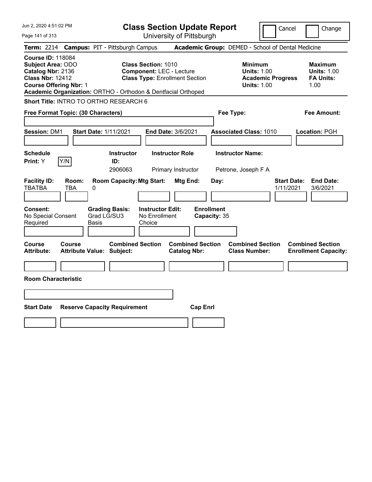Page 141 of 313

**Class Section Update Report**

Cancel Change

|                                                                                                                                |                     | Term: 2214 Campus: PIT - Pittsburgh Campus                                                    |                                                                                                        |                                                       | Academic Group: DEMED - School of Dental Medicine                                      |                                                                  |
|--------------------------------------------------------------------------------------------------------------------------------|---------------------|-----------------------------------------------------------------------------------------------|--------------------------------------------------------------------------------------------------------|-------------------------------------------------------|----------------------------------------------------------------------------------------|------------------------------------------------------------------|
| <b>Course ID: 118084</b><br>Subject Area: ODO<br>Catalog Nbr: 2136<br><b>Class Nbr: 12412</b><br><b>Course Offering Nbr: 1</b> |                     | Academic Organization: ORTHO - Orthodon & Dentfacial Orthoped                                 | <b>Class Section: 1010</b><br><b>Component: LEC - Lecture</b><br><b>Class Type: Enrollment Section</b> |                                                       | <b>Minimum</b><br><b>Units: 1.00</b><br><b>Academic Progress</b><br><b>Units: 1.00</b> | <b>Maximum</b><br><b>Units: 1.00</b><br><b>FA Units:</b><br>1.00 |
|                                                                                                                                |                     | Short Title: INTRO TO ORTHO RESEARCH 6                                                        |                                                                                                        |                                                       |                                                                                        |                                                                  |
| Free Format Topic: (30 Characters)                                                                                             |                     |                                                                                               |                                                                                                        |                                                       | Fee Type:                                                                              | Fee Amount:                                                      |
| <b>Session: DM1</b>                                                                                                            |                     | <b>Start Date: 1/11/2021</b>                                                                  | End Date: 3/6/2021                                                                                     |                                                       | <b>Associated Class: 1010</b>                                                          | Location: PGH                                                    |
| <b>Schedule</b><br>Print: Y                                                                                                    | Y/N                 | <b>Instructor</b><br>ID:<br>2906063                                                           | <b>Instructor Role</b><br>Primary Instructor                                                           |                                                       | <b>Instructor Name:</b><br>Petrone, Joseph F A                                         |                                                                  |
| <b>Facility ID:</b><br><b>TBATBA</b><br>Consent:<br>No Special Consent<br>Required                                             | Room:<br><b>TBA</b> | <b>Room Capacity: Mtg Start:</b><br>0<br><b>Grading Basis:</b><br>Grad LG/SU3<br><b>Basis</b> | <b>Instructor Edit:</b><br>No Enrollment<br>Choice                                                     | Mtg End:<br>Day:<br><b>Enrollment</b><br>Capacity: 35 |                                                                                        | <b>Start Date:</b><br><b>End Date:</b><br>1/11/2021<br>3/6/2021  |
| <b>Course</b><br><b>Attribute:</b>                                                                                             | <b>Course</b>       | <b>Combined Section</b><br><b>Attribute Value: Subject:</b>                                   |                                                                                                        | <b>Combined Section</b><br><b>Catalog Nbr:</b>        | <b>Combined Section</b><br><b>Class Number:</b>                                        | <b>Combined Section</b><br><b>Enrollment Capacity:</b>           |
| <b>Room Characteristic</b>                                                                                                     |                     |                                                                                               |                                                                                                        |                                                       |                                                                                        |                                                                  |
|                                                                                                                                |                     |                                                                                               |                                                                                                        |                                                       |                                                                                        |                                                                  |
| <b>Start Date</b>                                                                                                              |                     | <b>Reserve Capacity Requirement</b>                                                           |                                                                                                        | <b>Cap Enrl</b>                                       |                                                                                        |                                                                  |
|                                                                                                                                |                     |                                                                                               |                                                                                                        |                                                       |                                                                                        |                                                                  |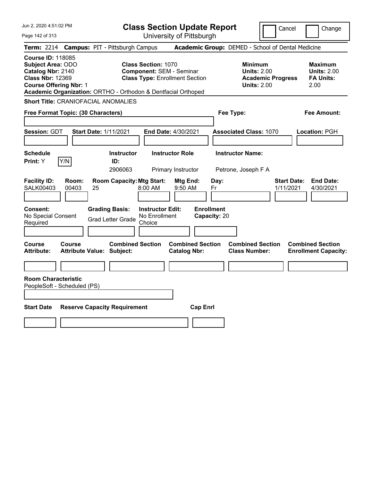| Jun 2, 2020 4:51:02 PM<br>Page 142 of 313                                                                                                                                                                                                                             | <b>Class Section Update Report</b><br>University of Pittsburgh                                         | Cancel<br>Change                                                                                                                                                                                                |
|-----------------------------------------------------------------------------------------------------------------------------------------------------------------------------------------------------------------------------------------------------------------------|--------------------------------------------------------------------------------------------------------|-----------------------------------------------------------------------------------------------------------------------------------------------------------------------------------------------------------------|
|                                                                                                                                                                                                                                                                       |                                                                                                        |                                                                                                                                                                                                                 |
| <b>Campus: PIT - Pittsburgh Campus</b><br><b>Term:</b> 2214<br><b>Course ID: 118085</b><br><b>Subject Area: ODO</b><br>Catalog Nbr: 2140<br><b>Class Nbr: 12369</b><br><b>Course Offering Nbr: 1</b><br>Academic Organization: ORTHO - Orthodon & Dentfacial Orthoped | <b>Class Section: 1070</b><br><b>Component: SEM - Seminar</b><br><b>Class Type: Enrollment Section</b> | Academic Group: DEMED - School of Dental Medicine<br><b>Minimum</b><br><b>Maximum</b><br><b>Units: 2.00</b><br><b>Units: 2.00</b><br><b>FA Units:</b><br><b>Academic Progress</b><br>2.00<br><b>Units: 2.00</b> |
| <b>Short Title: CRANIOFACIAL ANOMALIES</b><br>Free Format Topic: (30 Characters)                                                                                                                                                                                      | Fee Type:                                                                                              | Fee Amount:                                                                                                                                                                                                     |
| <b>Session: GDT</b><br><b>Start Date: 1/11/2021</b>                                                                                                                                                                                                                   | End Date: 4/30/2021                                                                                    | <b>Associated Class: 1070</b><br>Location: PGH                                                                                                                                                                  |
| <b>Schedule</b><br>Y/N<br>Print: Y<br>ID:                                                                                                                                                                                                                             | <b>Instructor Role</b><br><b>Instructor</b><br>2906063<br>Primary Instructor                           | <b>Instructor Name:</b><br>Petrone, Joseph F A                                                                                                                                                                  |
| <b>Facility ID:</b><br>Room:<br><b>SALK00403</b><br>00403<br>25                                                                                                                                                                                                       | <b>Room Capacity: Mtg Start:</b><br>Mtg End:<br>Day:<br>8:00 AM<br>9:50 AM<br>Fr                       | <b>Start Date:</b><br><b>End Date:</b><br>1/11/2021<br>4/30/2021                                                                                                                                                |
| Consent:<br><b>Grading Basis:</b><br>No Special Consent<br><b>Grad Letter Grade</b><br>Required                                                                                                                                                                       | <b>Enrollment</b><br><b>Instructor Edit:</b><br>No Enrollment<br>Capacity: 20<br>Choice                |                                                                                                                                                                                                                 |
| <b>Course</b><br><b>Course</b><br>Attribute Value: Subject:<br><b>Attribute:</b>                                                                                                                                                                                      | <b>Combined Section</b><br><b>Combined Section</b><br><b>Catalog Nbr:</b>                              | <b>Combined Section</b><br><b>Combined Section</b><br><b>Class Number:</b><br><b>Enrollment Capacity:</b>                                                                                                       |
| <b>Room Characteristic</b><br>PeopleSoft - Scheduled (PS)                                                                                                                                                                                                             |                                                                                                        |                                                                                                                                                                                                                 |
|                                                                                                                                                                                                                                                                       |                                                                                                        |                                                                                                                                                                                                                 |
| <b>Start Date</b><br><b>Reserve Capacity Requirement</b>                                                                                                                                                                                                              | <b>Cap Enrl</b>                                                                                        |                                                                                                                                                                                                                 |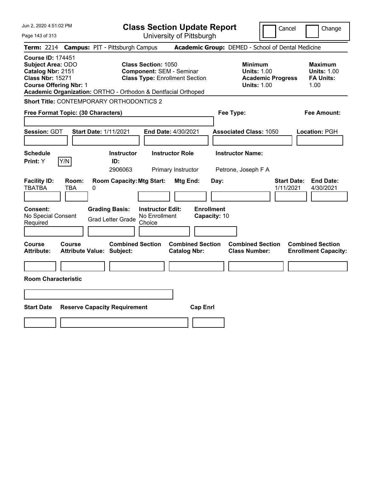| Jun 2, 2020 4:51:02 PM                                                                                                                                                                                 | <b>Class Section Update Report</b>                                                                                                              | Cancel                                                                                 | Change                                                           |
|--------------------------------------------------------------------------------------------------------------------------------------------------------------------------------------------------------|-------------------------------------------------------------------------------------------------------------------------------------------------|----------------------------------------------------------------------------------------|------------------------------------------------------------------|
| Page 143 of 313                                                                                                                                                                                        | University of Pittsburgh                                                                                                                        |                                                                                        |                                                                  |
| <b>Campus: PIT - Pittsburgh Campus</b><br><b>Term: 2214</b>                                                                                                                                            |                                                                                                                                                 | Academic Group: DEMED - School of Dental Medicine                                      |                                                                  |
| <b>Course ID: 174451</b><br><b>Subject Area: ODO</b><br>Catalog Nbr: 2151<br><b>Class Nbr: 15271</b><br><b>Course Offering Nbr: 1</b><br>Academic Organization: ORTHO - Orthodon & Dentfacial Orthoped | <b>Class Section: 1050</b><br><b>Component: SEM - Seminar</b><br><b>Class Type: Enrollment Section</b>                                          | <b>Minimum</b><br><b>Units: 1.00</b><br><b>Academic Progress</b><br><b>Units: 1.00</b> | <b>Maximum</b><br><b>Units: 1.00</b><br><b>FA Units:</b><br>1.00 |
| <b>Short Title: CONTEMPORARY ORTHODONTICS 2</b>                                                                                                                                                        |                                                                                                                                                 |                                                                                        |                                                                  |
| Free Format Topic: (30 Characters)                                                                                                                                                                     |                                                                                                                                                 | Fee Type:                                                                              | Fee Amount:                                                      |
| Session: GDT<br><b>Start Date: 1/11/2021</b>                                                                                                                                                           | End Date: 4/30/2021                                                                                                                             | <b>Associated Class: 1050</b>                                                          | Location: PGH                                                    |
| <b>Schedule</b><br>Y/N<br>Print: Y<br>ID:                                                                                                                                                              | <b>Instructor Role</b><br><b>Instructor</b><br>2906063<br>Primary Instructor                                                                    | <b>Instructor Name:</b><br>Petrone, Joseph F A                                         |                                                                  |
| <b>Facility ID:</b><br>Room:<br><b>TBATBA</b><br><b>TBA</b><br>0<br>Consent:<br><b>Grading Basis:</b><br>No Special Consent<br><b>Grad Letter Grade</b><br>Required                                    | <b>Room Capacity: Mtg Start:</b><br>Mtg End:<br>Day:<br><b>Enrollment</b><br><b>Instructor Edit:</b><br>No Enrollment<br>Capacity: 10<br>Choice | <b>Start Date:</b><br>1/11/2021                                                        | <b>End Date:</b><br>4/30/2021                                    |
| <b>Course</b><br>Course<br><b>Attribute:</b><br><b>Attribute Value: Subject:</b>                                                                                                                       | <b>Combined Section</b><br><b>Combined Section</b><br><b>Catalog Nbr:</b>                                                                       | <b>Combined Section</b><br><b>Class Number:</b>                                        | <b>Combined Section</b><br><b>Enrollment Capacity:</b>           |
|                                                                                                                                                                                                        |                                                                                                                                                 |                                                                                        |                                                                  |
| <b>Room Characteristic</b>                                                                                                                                                                             |                                                                                                                                                 |                                                                                        |                                                                  |
|                                                                                                                                                                                                        |                                                                                                                                                 |                                                                                        |                                                                  |
| <b>Start Date</b><br><b>Reserve Capacity Requirement</b>                                                                                                                                               | <b>Cap Enrl</b>                                                                                                                                 |                                                                                        |                                                                  |
|                                                                                                                                                                                                        |                                                                                                                                                 |                                                                                        |                                                                  |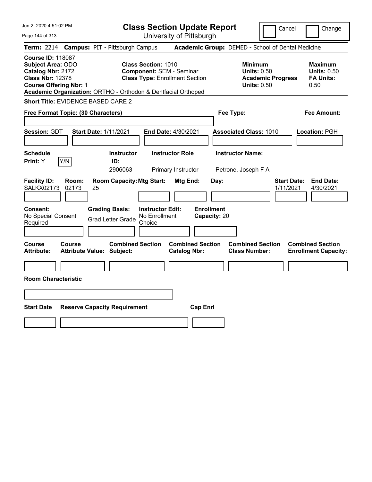|  |  |  | Jun 2, 2020 4:51:02 PM |  |
|--|--|--|------------------------|--|
|--|--|--|------------------------|--|

**Class Section Update Report** University of Pittsburgh

Cancel **Change** 

Page 144 of 313

|                                                                                                                                       |                | <b>Term: 2214 Campus: PIT - Pittsburgh Campus</b>             |                                                               |                                                |                                   | <b>Academic Group:</b> DEMED - School of Dental Medicine                               |                                 |                                                                  |
|---------------------------------------------------------------------------------------------------------------------------------------|----------------|---------------------------------------------------------------|---------------------------------------------------------------|------------------------------------------------|-----------------------------------|----------------------------------------------------------------------------------------|---------------------------------|------------------------------------------------------------------|
| <b>Course ID: 118087</b><br><b>Subject Area: ODO</b><br>Catalog Nbr: 2172<br><b>Class Nbr: 12378</b><br><b>Course Offering Nbr: 1</b> |                | Academic Organization: ORTHO - Orthodon & Dentfacial Orthoped | <b>Class Section: 1010</b><br><b>Component: SEM - Seminar</b> | <b>Class Type: Enrollment Section</b>          |                                   | <b>Minimum</b><br><b>Units: 0.50</b><br><b>Academic Progress</b><br><b>Units: 0.50</b> |                                 | <b>Maximum</b><br><b>Units: 0.50</b><br><b>FA Units:</b><br>0.50 |
|                                                                                                                                       |                | Short Title: EVIDENCE BASED CARE 2                            |                                                               |                                                |                                   |                                                                                        |                                 |                                                                  |
| Free Format Topic: (30 Characters)                                                                                                    |                |                                                               |                                                               |                                                | Fee Type:                         |                                                                                        |                                 | <b>Fee Amount:</b>                                               |
| <b>Session: GDT</b>                                                                                                                   |                | <b>Start Date: 1/11/2021</b>                                  |                                                               | End Date: 4/30/2021                            |                                   | <b>Associated Class: 1010</b>                                                          |                                 | Location: PGH                                                    |
| <b>Schedule</b><br>Print: Y                                                                                                           | Y/N            | <b>Instructor</b><br>ID:<br>2906063                           |                                                               | <b>Instructor Role</b><br>Primary Instructor   |                                   | <b>Instructor Name:</b><br>Petrone, Joseph F A                                         |                                 |                                                                  |
| <b>Facility ID:</b><br>SALKX02173                                                                                                     | Room:<br>02173 | <b>Room Capacity: Mtg Start:</b><br>25                        |                                                               | Mtg End:                                       | Day:                              |                                                                                        | <b>Start Date:</b><br>1/11/2021 | <b>End Date:</b><br>4/30/2021                                    |
| <b>Consent:</b><br>No Special Consent<br>Required                                                                                     |                | <b>Grading Basis:</b><br><b>Grad Letter Grade</b>             | <b>Instructor Edit:</b><br>No Enrollment<br>Choice            |                                                | <b>Enrollment</b><br>Capacity: 20 |                                                                                        |                                 |                                                                  |
| <b>Course</b><br><b>Attribute:</b>                                                                                                    | <b>Course</b>  | <b>Combined Section</b><br><b>Attribute Value: Subject:</b>   |                                                               | <b>Combined Section</b><br><b>Catalog Nbr:</b> |                                   | <b>Combined Section</b><br><b>Class Number:</b>                                        |                                 | <b>Combined Section</b><br><b>Enrollment Capacity:</b>           |
| <b>Room Characteristic</b>                                                                                                            |                |                                                               |                                                               |                                                |                                   |                                                                                        |                                 |                                                                  |
| <b>Start Date</b>                                                                                                                     |                | <b>Reserve Capacity Requirement</b>                           |                                                               | <b>Cap Enrl</b>                                |                                   |                                                                                        |                                 |                                                                  |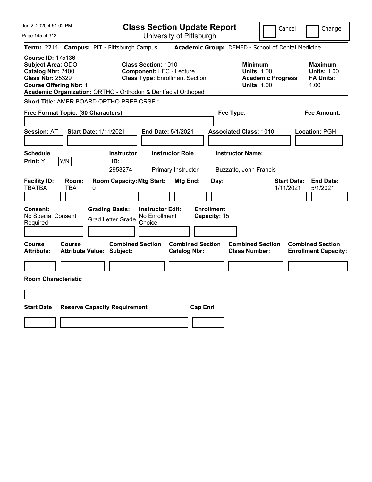| Jun 2, 2020 4:51:02 PM                                                                                                                                                                                 | <b>Class Section Update Report</b>                                                                      | Cancel<br>Change                                                                                                                                           |
|--------------------------------------------------------------------------------------------------------------------------------------------------------------------------------------------------------|---------------------------------------------------------------------------------------------------------|------------------------------------------------------------------------------------------------------------------------------------------------------------|
| Page 145 of 313                                                                                                                                                                                        | University of Pittsburgh                                                                                |                                                                                                                                                            |
| <b>Campus: PIT - Pittsburgh Campus</b><br><b>Term: 2214</b>                                                                                                                                            |                                                                                                         | Academic Group: DEMED - School of Dental Medicine                                                                                                          |
| <b>Course ID: 175136</b><br><b>Subject Area: ODO</b><br>Catalog Nbr: 2400<br><b>Class Nbr: 25329</b><br><b>Course Offering Nbr: 1</b><br>Academic Organization: ORTHO - Orthodon & Dentfacial Orthoped | <b>Class Section: 1010</b><br><b>Component: LEC - Lecture</b><br><b>Class Type: Enrollment Section</b>  | <b>Minimum</b><br><b>Maximum</b><br><b>Units: 1.00</b><br><b>Units: 1.00</b><br><b>FA Units:</b><br><b>Academic Progress</b><br><b>Units: 1.00</b><br>1.00 |
| Short Title: AMER BOARD ORTHO PREP CRSE 1                                                                                                                                                              |                                                                                                         |                                                                                                                                                            |
| Free Format Topic: (30 Characters)                                                                                                                                                                     | Fee Type:                                                                                               | Fee Amount:                                                                                                                                                |
| <b>Start Date: 1/11/2021</b><br><b>Session: AT</b>                                                                                                                                                     | End Date: 5/1/2021<br><b>Associated Class: 1010</b>                                                     | Location: PGH                                                                                                                                              |
| <b>Schedule</b><br>Y/N<br>Print: Y<br>ID:                                                                                                                                                              | <b>Instructor Name:</b><br><b>Instructor Role</b><br><b>Instructor</b><br>2953274<br>Primary Instructor | Buzzatto, John Francis                                                                                                                                     |
| <b>Facility ID:</b><br>Room:<br><b>TBATBA</b><br>TBA<br>0                                                                                                                                              | <b>Room Capacity: Mtg Start:</b><br>Mtg End:<br>Day:                                                    | <b>End Date:</b><br><b>Start Date:</b><br>1/11/2021<br>5/1/2021                                                                                            |
| <b>Consent:</b><br><b>Grading Basis:</b><br>No Special Consent<br><b>Grad Letter Grade</b><br>Required                                                                                                 | <b>Enrollment</b><br><b>Instructor Edit:</b><br>No Enrollment<br>Capacity: 15<br>Choice                 |                                                                                                                                                            |
| Course<br><b>Course</b><br><b>Attribute:</b><br>Attribute Value: Subject:                                                                                                                              | <b>Combined Section</b><br><b>Combined Section</b><br><b>Catalog Nbr:</b>                               | <b>Combined Section</b><br><b>Combined Section</b><br><b>Class Number:</b><br><b>Enrollment Capacity:</b>                                                  |
| <b>Room Characteristic</b>                                                                                                                                                                             |                                                                                                         |                                                                                                                                                            |
|                                                                                                                                                                                                        |                                                                                                         |                                                                                                                                                            |
|                                                                                                                                                                                                        |                                                                                                         |                                                                                                                                                            |
| <b>Start Date</b><br><b>Reserve Capacity Requirement</b>                                                                                                                                               | <b>Cap Enrl</b>                                                                                         |                                                                                                                                                            |
|                                                                                                                                                                                                        |                                                                                                         |                                                                                                                                                            |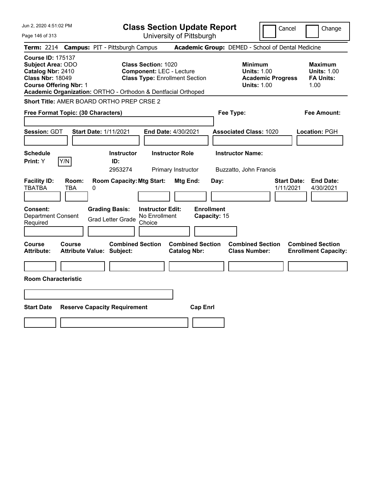| Jun 2, 2020 4:51:02 PM                                                                                                                                                                                 | <b>Class Section Update Report</b>                                                                     | Cancel                                                                                 | Change                                                           |
|--------------------------------------------------------------------------------------------------------------------------------------------------------------------------------------------------------|--------------------------------------------------------------------------------------------------------|----------------------------------------------------------------------------------------|------------------------------------------------------------------|
| Page 146 of 313                                                                                                                                                                                        | University of Pittsburgh                                                                               |                                                                                        |                                                                  |
| <b>Campus: PIT - Pittsburgh Campus</b><br><b>Term: 2214</b>                                                                                                                                            |                                                                                                        | Academic Group: DEMED - School of Dental Medicine                                      |                                                                  |
| <b>Course ID: 175137</b><br><b>Subject Area: ODO</b><br>Catalog Nbr: 2410<br><b>Class Nbr: 18049</b><br><b>Course Offering Nbr: 1</b><br>Academic Organization: ORTHO - Orthodon & Dentfacial Orthoped | <b>Class Section: 1020</b><br><b>Component: LEC - Lecture</b><br><b>Class Type: Enrollment Section</b> | <b>Minimum</b><br><b>Units: 1.00</b><br><b>Academic Progress</b><br><b>Units: 1.00</b> | <b>Maximum</b><br><b>Units: 1.00</b><br><b>FA Units:</b><br>1.00 |
| Short Title: AMER BOARD ORTHO PREP CRSE 2                                                                                                                                                              |                                                                                                        |                                                                                        |                                                                  |
| Free Format Topic: (30 Characters)                                                                                                                                                                     |                                                                                                        | Fee Type:                                                                              | Fee Amount:                                                      |
| Session: GDT<br><b>Start Date: 1/11/2021</b>                                                                                                                                                           | End Date: 4/30/2021                                                                                    | <b>Associated Class: 1020</b>                                                          | Location: PGH                                                    |
| <b>Schedule</b><br>Y/N<br>Print: Y<br>ID:                                                                                                                                                              | <b>Instructor Role</b><br><b>Instructor</b><br>2953274<br>Primary Instructor                           | <b>Instructor Name:</b><br>Buzzatto, John Francis                                      |                                                                  |
| <b>Facility ID:</b><br>Room:<br><b>TBATBA</b><br><b>TBA</b><br>0                                                                                                                                       | <b>Room Capacity: Mtg Start:</b><br>Mtg End:<br>Day:                                                   | <b>Start Date:</b><br>1/11/2021                                                        | <b>End Date:</b><br>4/30/2021                                    |
| Consent:<br><b>Grading Basis:</b><br><b>Department Consent</b><br><b>Grad Letter Grade</b><br>Required                                                                                                 | <b>Enrollment</b><br><b>Instructor Edit:</b><br>No Enrollment<br>Capacity: 15<br>Choice                |                                                                                        |                                                                  |
| Course<br>Course<br><b>Attribute:</b><br><b>Attribute Value: Subject:</b>                                                                                                                              | <b>Combined Section</b><br><b>Combined Section</b><br><b>Catalog Nbr:</b>                              | <b>Combined Section</b><br><b>Class Number:</b>                                        | <b>Combined Section</b><br><b>Enrollment Capacity:</b>           |
|                                                                                                                                                                                                        |                                                                                                        |                                                                                        |                                                                  |
| <b>Room Characteristic</b>                                                                                                                                                                             |                                                                                                        |                                                                                        |                                                                  |
|                                                                                                                                                                                                        |                                                                                                        |                                                                                        |                                                                  |
| <b>Start Date</b><br><b>Reserve Capacity Requirement</b>                                                                                                                                               | <b>Cap Enrl</b>                                                                                        |                                                                                        |                                                                  |
|                                                                                                                                                                                                        |                                                                                                        |                                                                                        |                                                                  |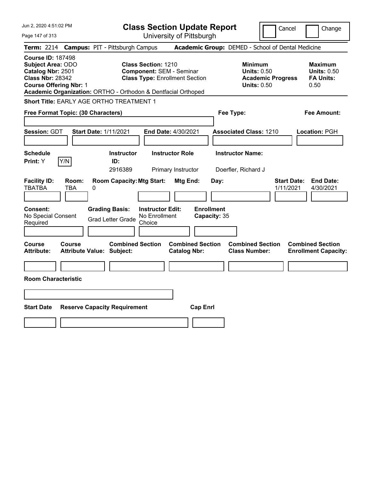| Jun 2, 2020 4:51:02 PM                                                                                                         | <b>Class Section Update Report</b>                                                                                                                                      | Cancel                                                                                 | Change                                                           |
|--------------------------------------------------------------------------------------------------------------------------------|-------------------------------------------------------------------------------------------------------------------------------------------------------------------------|----------------------------------------------------------------------------------------|------------------------------------------------------------------|
| Page 147 of 313                                                                                                                | University of Pittsburgh                                                                                                                                                |                                                                                        |                                                                  |
| <b>Term: 2214</b>                                                                                                              | <b>Campus: PIT - Pittsburgh Campus</b>                                                                                                                                  | Academic Group: DEMED - School of Dental Medicine                                      |                                                                  |
| <b>Course ID: 187498</b><br>Subject Area: ODO<br>Catalog Nbr: 2501<br><b>Class Nbr: 28342</b><br><b>Course Offering Nbr: 1</b> | <b>Class Section: 1210</b><br><b>Component: SEM - Seminar</b><br><b>Class Type: Enrollment Section</b><br>Academic Organization: ORTHO - Orthodon & Dentfacial Orthoped | <b>Minimum</b><br><b>Units: 0.50</b><br><b>Academic Progress</b><br><b>Units: 0.50</b> | <b>Maximum</b><br><b>Units: 0.50</b><br><b>FA Units:</b><br>0.50 |
| <b>Short Title: EARLY AGE ORTHO TREATMENT 1</b>                                                                                |                                                                                                                                                                         |                                                                                        |                                                                  |
| Free Format Topic: (30 Characters)                                                                                             |                                                                                                                                                                         | Fee Type:                                                                              | Fee Amount:                                                      |
| <b>Session: GDT</b><br><b>Start Date: 1/11/2021</b>                                                                            | End Date: 4/30/2021                                                                                                                                                     | <b>Associated Class: 1210</b>                                                          | Location: PGH                                                    |
| <b>Schedule</b><br>Y/N<br>Print: Y                                                                                             | <b>Instructor Role</b><br><b>Instructor</b><br>ID:<br>2916389<br>Primary Instructor                                                                                     | <b>Instructor Name:</b><br>Doerfler, Richard J                                         |                                                                  |
| <b>Facility ID:</b><br>Room:<br><b>TBATBA</b><br>TBA<br>0                                                                      | <b>Room Capacity: Mtg Start:</b><br>Mtg End:                                                                                                                            | <b>Start Date:</b><br>Day:<br>1/11/2021                                                | <b>End Date:</b><br>4/30/2021                                    |
| Consent:<br><b>Grading Basis:</b><br>No Special Consent<br>Required                                                            | <b>Enrollment</b><br><b>Instructor Edit:</b><br>No Enrollment<br><b>Grad Letter Grade</b><br>Choice                                                                     | Capacity: 35                                                                           |                                                                  |
| Course<br>Course<br><b>Attribute:</b><br><b>Attribute Value: Subject:</b>                                                      | <b>Combined Section</b><br><b>Combined Section</b><br><b>Catalog Nbr:</b>                                                                                               | <b>Combined Section</b><br><b>Class Number:</b>                                        | <b>Combined Section</b><br><b>Enrollment Capacity:</b>           |
|                                                                                                                                |                                                                                                                                                                         |                                                                                        |                                                                  |
| <b>Room Characteristic</b>                                                                                                     |                                                                                                                                                                         |                                                                                        |                                                                  |
|                                                                                                                                |                                                                                                                                                                         |                                                                                        |                                                                  |
| <b>Start Date</b><br><b>Reserve Capacity Requirement</b>                                                                       | <b>Cap Enrl</b>                                                                                                                                                         |                                                                                        |                                                                  |
|                                                                                                                                |                                                                                                                                                                         |                                                                                        |                                                                  |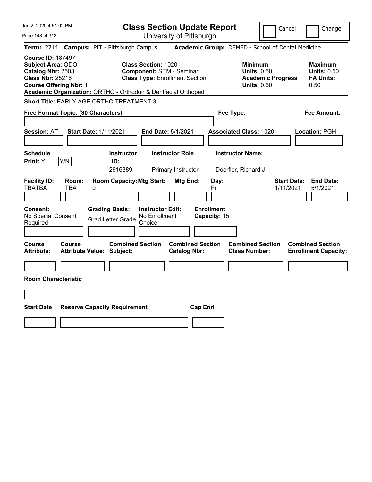| Jun 2, 2020 4:51:02 PM                                                                                                                | <b>Class Section Update Report</b>                                                                                                                                      | Change<br>Cancel                                                                                                                                           |
|---------------------------------------------------------------------------------------------------------------------------------------|-------------------------------------------------------------------------------------------------------------------------------------------------------------------------|------------------------------------------------------------------------------------------------------------------------------------------------------------|
| Page 148 of 313                                                                                                                       | University of Pittsburgh                                                                                                                                                |                                                                                                                                                            |
| <b>Campus: PIT - Pittsburgh Campus</b><br><b>Term:</b> 2214                                                                           |                                                                                                                                                                         | Academic Group: DEMED - School of Dental Medicine                                                                                                          |
| <b>Course ID: 187497</b><br><b>Subject Area: ODO</b><br>Catalog Nbr: 2503<br><b>Class Nbr: 25216</b><br><b>Course Offering Nbr: 1</b> | <b>Class Section: 1020</b><br><b>Component: SEM - Seminar</b><br><b>Class Type: Enrollment Section</b><br>Academic Organization: ORTHO - Orthodon & Dentfacial Orthoped | <b>Minimum</b><br><b>Maximum</b><br><b>Units: 0.50</b><br><b>Units: 0.50</b><br><b>Academic Progress</b><br><b>FA Units:</b><br><b>Units: 0.50</b><br>0.50 |
| Short Title: EARLY AGE ORTHO TREATMENT 3                                                                                              |                                                                                                                                                                         |                                                                                                                                                            |
| Free Format Topic: (30 Characters)                                                                                                    |                                                                                                                                                                         | Fee Type:<br>Fee Amount:                                                                                                                                   |
| <b>Start Date: 1/11/2021</b><br><b>Session: AT</b>                                                                                    | <b>End Date: 5/1/2021</b>                                                                                                                                               | <b>Associated Class: 1020</b><br>Location: PGH                                                                                                             |
| <b>Schedule</b><br>Y/N<br>Print: Y                                                                                                    | <b>Instructor Role</b><br><b>Instructor</b><br>ID:<br>2916389<br>Primary Instructor                                                                                     | <b>Instructor Name:</b><br>Doerfler, Richard J                                                                                                             |
| <b>Facility ID:</b><br>Room:<br><b>TBATBA</b><br>TBA<br>0                                                                             | <b>Room Capacity: Mtg Start:</b><br>Mtg End:                                                                                                                            | <b>End Date:</b><br>Day:<br><b>Start Date:</b><br>1/11/2021<br>5/1/2021<br>Fr                                                                              |
| <b>Consent:</b><br><b>Grading Basis:</b><br>No Special Consent<br><b>Grad Letter Grade</b><br>Required                                | <b>Enrollment</b><br><b>Instructor Edit:</b><br>No Enrollment<br>Capacity: 15<br>Choice                                                                                 |                                                                                                                                                            |
| Course<br>Course<br><b>Attribute:</b><br><b>Attribute Value: Subject:</b>                                                             | <b>Combined Section</b><br><b>Combined Section</b><br><b>Catalog Nbr:</b>                                                                                               | <b>Combined Section</b><br><b>Combined Section</b><br><b>Class Number:</b><br><b>Enrollment Capacity:</b>                                                  |
|                                                                                                                                       |                                                                                                                                                                         |                                                                                                                                                            |
| <b>Room Characteristic</b>                                                                                                            |                                                                                                                                                                         |                                                                                                                                                            |
|                                                                                                                                       |                                                                                                                                                                         |                                                                                                                                                            |
| <b>Start Date</b><br><b>Reserve Capacity Requirement</b>                                                                              | <b>Cap Enrl</b>                                                                                                                                                         |                                                                                                                                                            |
|                                                                                                                                       |                                                                                                                                                                         |                                                                                                                                                            |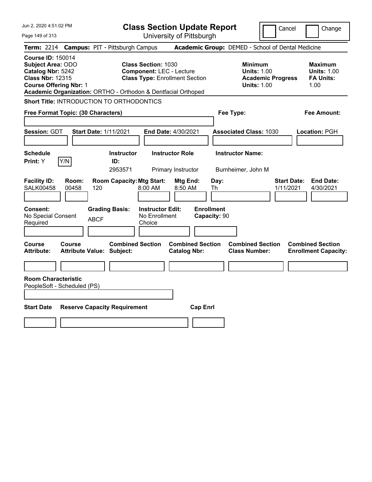| Jun 2, 2020 4:51:02 PM                                                                                                                                                                                 | <b>Class Section Update Report</b>                                                                     | Cancel<br>Change                                                                                                                                           |
|--------------------------------------------------------------------------------------------------------------------------------------------------------------------------------------------------------|--------------------------------------------------------------------------------------------------------|------------------------------------------------------------------------------------------------------------------------------------------------------------|
| Page 149 of 313                                                                                                                                                                                        | University of Pittsburgh                                                                               |                                                                                                                                                            |
| <b>Term: 2214</b><br><b>Campus: PIT - Pittsburgh Campus</b>                                                                                                                                            |                                                                                                        | Academic Group: DEMED - School of Dental Medicine                                                                                                          |
| <b>Course ID: 150014</b><br><b>Subject Area: ODO</b><br>Catalog Nbr: 5242<br><b>Class Nbr: 12315</b><br><b>Course Offering Nbr: 1</b><br>Academic Organization: ORTHO - Orthodon & Dentfacial Orthoped | <b>Class Section: 1030</b><br><b>Component: LEC - Lecture</b><br><b>Class Type: Enrollment Section</b> | <b>Minimum</b><br><b>Maximum</b><br><b>Units: 1.00</b><br><b>Units: 1.00</b><br><b>FA Units:</b><br><b>Academic Progress</b><br><b>Units: 1.00</b><br>1.00 |
| Short Title: INTRODUCTION TO ORTHODONTICS                                                                                                                                                              |                                                                                                        |                                                                                                                                                            |
| Free Format Topic: (30 Characters)                                                                                                                                                                     |                                                                                                        | Fee Type:<br>Fee Amount:                                                                                                                                   |
| <b>Session: GDT</b><br><b>Start Date: 1/11/2021</b>                                                                                                                                                    | <b>End Date: 4/30/2021</b>                                                                             | <b>Associated Class: 1030</b><br>Location: PGH                                                                                                             |
| <b>Schedule</b><br>Y/N<br>Print: Y<br>ID:                                                                                                                                                              | <b>Instructor Role</b><br><b>Instructor</b><br>2953571<br>Primary Instructor                           | <b>Instructor Name:</b><br>Burnheimer, John M                                                                                                              |
| <b>Facility ID:</b><br>Room:<br><b>SALK00458</b><br>00458<br>120                                                                                                                                       | <b>Room Capacity: Mtg Start:</b><br>Mtg End:<br>Day:<br>8:00 AM<br>8:50 AM<br>Th                       | <b>Start Date:</b><br><b>End Date:</b><br>1/11/2021<br>4/30/2021                                                                                           |
| <b>Consent:</b><br><b>Grading Basis:</b><br>No Special Consent<br><b>ABCF</b><br>Required                                                                                                              | <b>Enrollment</b><br><b>Instructor Edit:</b><br>No Enrollment<br>Capacity: 90<br>Choice                |                                                                                                                                                            |
| Course<br>Course<br><b>Attribute Value: Subject:</b><br>Attribute:                                                                                                                                     | <b>Combined Section</b><br><b>Combined Section</b><br><b>Catalog Nbr:</b>                              | <b>Combined Section</b><br><b>Combined Section</b><br><b>Class Number:</b><br><b>Enrollment Capacity:</b>                                                  |
|                                                                                                                                                                                                        |                                                                                                        |                                                                                                                                                            |
| <b>Room Characteristic</b><br>PeopleSoft - Scheduled (PS)                                                                                                                                              |                                                                                                        |                                                                                                                                                            |
| <b>Start Date</b><br><b>Reserve Capacity Requirement</b>                                                                                                                                               | <b>Cap Enrl</b>                                                                                        |                                                                                                                                                            |
|                                                                                                                                                                                                        |                                                                                                        |                                                                                                                                                            |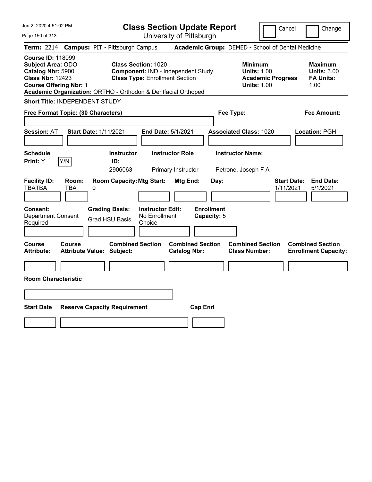Jun 2, 2020 4:51:02 PM

Page 150 of 313

**Class Section Update Report**

Cancel Change

|                                                                                                                                |              | Term: 2214 Campus: PIT - Pittsburgh Campus                                              |                                                                     |                                                |                                          | Academic Group: DEMED - School of Dental Medicine                                      |                                 |                                                                  |
|--------------------------------------------------------------------------------------------------------------------------------|--------------|-----------------------------------------------------------------------------------------|---------------------------------------------------------------------|------------------------------------------------|------------------------------------------|----------------------------------------------------------------------------------------|---------------------------------|------------------------------------------------------------------|
| <b>Course ID: 118099</b><br>Subject Area: ODO<br>Catalog Nbr: 5900<br><b>Class Nbr: 12423</b><br><b>Course Offering Nbr: 1</b> |              | Academic Organization: ORTHO - Orthodon & Dentfacial Orthoped                           | <b>Class Section: 1020</b><br><b>Class Type: Enrollment Section</b> | Component: IND - Independent Study             |                                          | <b>Minimum</b><br><b>Units: 1.00</b><br><b>Academic Progress</b><br><b>Units: 1.00</b> |                                 | <b>Maximum</b><br><b>Units: 3.00</b><br><b>FA Units:</b><br>1.00 |
| <b>Short Title: INDEPENDENT STUDY</b>                                                                                          |              |                                                                                         |                                                                     |                                                |                                          |                                                                                        |                                 |                                                                  |
| Free Format Topic: (30 Characters)                                                                                             |              |                                                                                         |                                                                     |                                                |                                          | Fee Type:                                                                              |                                 | <b>Fee Amount:</b>                                               |
| <b>Session: AT</b>                                                                                                             |              | <b>Start Date: 1/11/2021</b>                                                            | End Date: 5/1/2021                                                  |                                                |                                          | <b>Associated Class: 1020</b>                                                          |                                 | Location: PGH                                                    |
| <b>Schedule</b><br>Print: Y                                                                                                    | Y/N          | <b>Instructor</b><br>ID:<br>2906063                                                     |                                                                     | <b>Instructor Role</b><br>Primary Instructor   |                                          | <b>Instructor Name:</b><br>Petrone, Joseph F A                                         |                                 |                                                                  |
| <b>Facility ID:</b><br><b>TBATBA</b><br>Consent:<br>Department Consent<br>Required                                             | Room:<br>TBA | <b>Room Capacity: Mtg Start:</b><br>0<br><b>Grading Basis:</b><br><b>Grad HSU Basis</b> | <b>Instructor Edit:</b><br>No Enrollment<br>Choice                  | Mtg End:                                       | Day:<br><b>Enrollment</b><br>Capacity: 5 |                                                                                        | <b>Start Date:</b><br>1/11/2021 | <b>End Date:</b><br>5/1/2021                                     |
| Course<br><b>Attribute:</b>                                                                                                    | Course       | <b>Combined Section</b><br>Attribute Value: Subject:                                    |                                                                     | <b>Combined Section</b><br><b>Catalog Nbr:</b> |                                          | <b>Combined Section</b><br><b>Class Number:</b>                                        |                                 | <b>Combined Section</b><br><b>Enrollment Capacity:</b>           |
| <b>Room Characteristic</b>                                                                                                     |              |                                                                                         |                                                                     |                                                |                                          |                                                                                        |                                 |                                                                  |
|                                                                                                                                |              |                                                                                         |                                                                     |                                                |                                          |                                                                                        |                                 |                                                                  |
| <b>Start Date</b>                                                                                                              |              | <b>Reserve Capacity Requirement</b>                                                     |                                                                     | <b>Cap Enrl</b>                                |                                          |                                                                                        |                                 |                                                                  |
|                                                                                                                                |              |                                                                                         |                                                                     |                                                |                                          |                                                                                        |                                 |                                                                  |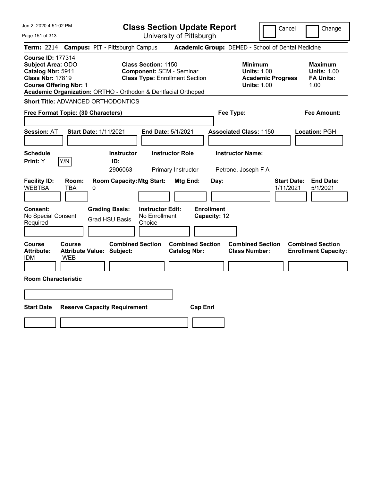Jun 2, 2020 4:51:02 PM Page 151 of 313 **Class Section Update Report** University of Pittsburgh Cancel | Change **Term:** 2214 **Campus:** PIT - Pittsburgh Campus **Academic Group:** DEMED - School of Dental Medicine **Course ID:** 177314 **Subject Area:** ODO **Class Section:** 1150 **Minimum Maximum Catalog Nbr: 5911 Component: SEM - Seminar Units: 1.00 Units: 1.00 Units: 1.00 Class Nbr: 17819 Class Type: Enrollment Section Academic Progress FA Units: Class Type: Enrollment Section <b>Academic Progress FA Units: Course Offering Nbr:** 1 **Units:** 1.00 1.00 **Academic Organization:** ORTHO - Orthodon & Dentfacial Orthoped **Short Title:** ADVANCED ORTHODONTICS **Free Format Topic: (30 Characters) Fee Type: Fee Amount: Session:** AT **Start Date:** 1/11/2021 **End Date:** 5/1/2021 **Associated Class:** 1150 **Location:** PGH **Schedule Instructor Instructor Role Instructor Name: Print:**  $Y$   $|Y/N|$  **ID:** 2906063 Primary Instructor Petrone, Joseph F A **Facility ID: Room: Room Capacity:Mtg Start: Mtg End: Day: Start Date: End Date:** WEBTBA TBA 0 1/11/2021 5/1/2021 **Consent: Grading Basis: Instructor Edit: Enrollment** No Special Consent Required Grad HSU Basis No Enrollment Choice **Capacity:** 12 **Course Course Combined Section Combined Section Combined Section Combined Section Attribute: Attribute Value: Subject: Catalog Nbr: Class Number: Enrollment Capacity:**  IDM WEB **Room Characteristic Start Date Reserve Capacity Requirement Cap Enrl**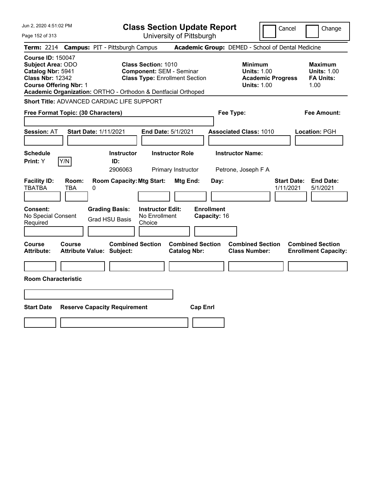| Jun 2, 2020 4:51:02 PM                                                                                                                                                                                 |                                            |                                     |                                                                                                        |                                              | <b>Class Section Update Report</b> |                                                            | Cancel                   | Change                                                           |
|--------------------------------------------------------------------------------------------------------------------------------------------------------------------------------------------------------|--------------------------------------------|-------------------------------------|--------------------------------------------------------------------------------------------------------|----------------------------------------------|------------------------------------|------------------------------------------------------------|--------------------------|------------------------------------------------------------------|
| Page 152 of 313                                                                                                                                                                                        |                                            |                                     |                                                                                                        | University of Pittsburgh                     |                                    |                                                            |                          |                                                                  |
| <b>Term: 2214</b>                                                                                                                                                                                      | <b>Campus: PIT - Pittsburgh Campus</b>     |                                     |                                                                                                        |                                              |                                    | Academic Group: DEMED - School of Dental Medicine          |                          |                                                                  |
| <b>Course ID: 150047</b><br><b>Subject Area: ODO</b><br>Catalog Nbr: 5941<br><b>Class Nbr: 12342</b><br><b>Course Offering Nbr: 1</b><br>Academic Organization: ORTHO - Orthodon & Dentfacial Orthoped |                                            |                                     | <b>Class Section: 1010</b><br><b>Component: SEM - Seminar</b><br><b>Class Type: Enrollment Section</b> |                                              |                                    | <b>Minimum</b><br><b>Units: 1.00</b><br><b>Units: 1.00</b> | <b>Academic Progress</b> | <b>Maximum</b><br><b>Units: 1.00</b><br><b>FA Units:</b><br>1.00 |
| <b>Short Title: ADVANCED CARDIAC LIFE SUPPORT</b>                                                                                                                                                      |                                            |                                     |                                                                                                        |                                              |                                    |                                                            |                          |                                                                  |
| Free Format Topic: (30 Characters)                                                                                                                                                                     |                                            |                                     |                                                                                                        |                                              |                                    | Fee Type:                                                  |                          | Fee Amount:                                                      |
| <b>Session: AT</b>                                                                                                                                                                                     | <b>Start Date: 1/11/2021</b>               |                                     |                                                                                                        | End Date: 5/1/2021                           |                                    | <b>Associated Class: 1010</b>                              |                          | Location: PGH                                                    |
| <b>Schedule</b><br>Y/N<br>Print: Y                                                                                                                                                                     |                                            | <b>Instructor</b><br>ID:<br>2906063 |                                                                                                        | <b>Instructor Role</b><br>Primary Instructor |                                    | <b>Instructor Name:</b><br>Petrone, Joseph F A             |                          |                                                                  |
| <b>Facility ID:</b><br><b>TBATBA</b>                                                                                                                                                                   | Room:<br>TBA<br>0                          | <b>Room Capacity: Mtg Start:</b>    |                                                                                                        | <b>Mtg End:</b>                              | Day:                               |                                                            | 1/11/2021                | <b>Start Date:</b><br><b>End Date:</b><br>5/1/2021               |
| Consent:<br>No Special Consent<br>Required                                                                                                                                                             | <b>Grading Basis:</b>                      | <b>Grad HSU Basis</b>               | <b>Instructor Edit:</b><br>No Enrollment<br>Choice                                                     |                                              | <b>Enrollment</b><br>Capacity: 16  |                                                            |                          |                                                                  |
| Course<br>Attribute:                                                                                                                                                                                   | Course<br><b>Attribute Value: Subject:</b> | <b>Combined Section</b>             |                                                                                                        | <b>Catalog Nbr:</b>                          | <b>Combined Section</b>            | <b>Combined Section</b><br><b>Class Number:</b>            |                          | <b>Combined Section</b><br><b>Enrollment Capacity:</b>           |
|                                                                                                                                                                                                        |                                            |                                     |                                                                                                        |                                              |                                    |                                                            |                          |                                                                  |
| <b>Room Characteristic</b>                                                                                                                                                                             |                                            |                                     |                                                                                                        |                                              |                                    |                                                            |                          |                                                                  |
|                                                                                                                                                                                                        |                                            |                                     |                                                                                                        |                                              |                                    |                                                            |                          |                                                                  |
| <b>Start Date</b>                                                                                                                                                                                      | <b>Reserve Capacity Requirement</b>        |                                     |                                                                                                        |                                              | <b>Cap Enrl</b>                    |                                                            |                          |                                                                  |
|                                                                                                                                                                                                        |                                            |                                     |                                                                                                        |                                              |                                    |                                                            |                          |                                                                  |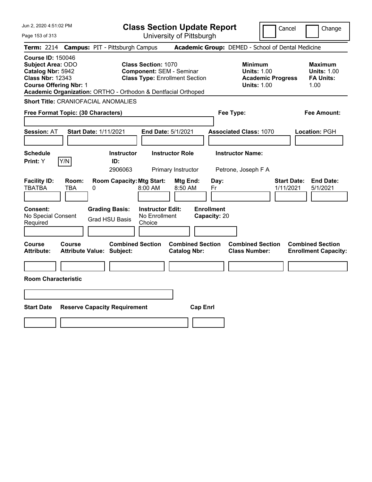| Jun 2, 2020 4:51:02 PM                                                                                                                                                                                 | <b>Class Section Update Report</b>                                                                      | Cancel<br>Change                                                                                                                                           |
|--------------------------------------------------------------------------------------------------------------------------------------------------------------------------------------------------------|---------------------------------------------------------------------------------------------------------|------------------------------------------------------------------------------------------------------------------------------------------------------------|
| Page 153 of 313                                                                                                                                                                                        | University of Pittsburgh                                                                                |                                                                                                                                                            |
| <b>Campus: PIT - Pittsburgh Campus</b><br><b>Term:</b> 2214                                                                                                                                            |                                                                                                         | Academic Group: DEMED - School of Dental Medicine                                                                                                          |
| <b>Course ID: 150046</b><br><b>Subject Area: ODO</b><br>Catalog Nbr: 5942<br><b>Class Nbr: 12343</b><br><b>Course Offering Nbr: 1</b><br>Academic Organization: ORTHO - Orthodon & Dentfacial Orthoped | <b>Class Section: 1070</b><br><b>Component: SEM - Seminar</b><br><b>Class Type: Enrollment Section</b>  | <b>Minimum</b><br><b>Maximum</b><br><b>Units: 1.00</b><br><b>Units: 1.00</b><br><b>Academic Progress</b><br><b>FA Units:</b><br><b>Units: 1.00</b><br>1.00 |
| <b>Short Title: CRANIOFACIAL ANOMALIES</b>                                                                                                                                                             |                                                                                                         |                                                                                                                                                            |
| Free Format Topic: (30 Characters)                                                                                                                                                                     | Fee Type:                                                                                               | <b>Fee Amount:</b>                                                                                                                                         |
| <b>Start Date: 1/11/2021</b><br><b>Session: AT</b>                                                                                                                                                     | End Date: 5/1/2021<br><b>Associated Class: 1070</b>                                                     | Location: PGH                                                                                                                                              |
| <b>Schedule</b><br>Y/N<br>Print: Y<br>ID:                                                                                                                                                              | <b>Instructor Role</b><br><b>Instructor Name:</b><br><b>Instructor</b><br>2906063<br>Primary Instructor | Petrone, Joseph F A                                                                                                                                        |
| <b>Facility ID:</b><br>Room:<br><b>TBATBA</b><br>TBA<br>0                                                                                                                                              | <b>Room Capacity: Mtg Start:</b><br>Mtg End:<br>Day:<br>8:00 AM<br>8:50 AM<br>Fr                        | <b>End Date:</b><br><b>Start Date:</b><br>1/11/2021<br>5/1/2021                                                                                            |
| <b>Consent:</b><br><b>Grading Basis:</b><br>No Special Consent<br>Grad HSU Basis<br>Required                                                                                                           | <b>Enrollment</b><br><b>Instructor Edit:</b><br>No Enrollment<br>Capacity: 20<br>Choice                 |                                                                                                                                                            |
| Course<br><b>Course</b><br><b>Attribute:</b><br><b>Attribute Value: Subject:</b>                                                                                                                       | <b>Combined Section</b><br><b>Combined Section</b><br><b>Catalog Nbr:</b>                               | <b>Combined Section</b><br><b>Combined Section</b><br><b>Class Number:</b><br><b>Enrollment Capacity:</b>                                                  |
| <b>Room Characteristic</b>                                                                                                                                                                             |                                                                                                         |                                                                                                                                                            |
|                                                                                                                                                                                                        |                                                                                                         |                                                                                                                                                            |
| <b>Start Date</b><br><b>Reserve Capacity Requirement</b>                                                                                                                                               | <b>Cap Enrl</b>                                                                                         |                                                                                                                                                            |
|                                                                                                                                                                                                        |                                                                                                         |                                                                                                                                                            |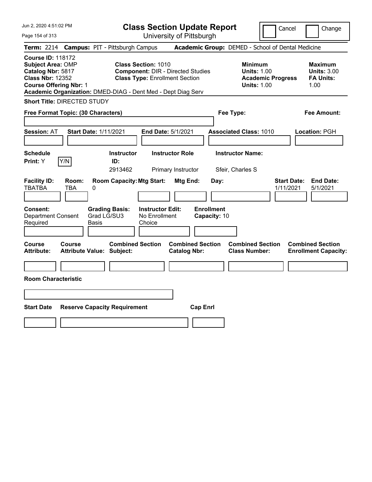| Jun 2, 2020 4:51:02 PM<br>Page 154 of 313                                                                                                                                                             | <b>Class Section Update Report</b><br>University of Pittsburgh                                                  | Cancel<br>Change                                                                                                                                           |
|-------------------------------------------------------------------------------------------------------------------------------------------------------------------------------------------------------|-----------------------------------------------------------------------------------------------------------------|------------------------------------------------------------------------------------------------------------------------------------------------------------|
| <b>Campus: PIT - Pittsburgh Campus</b><br><b>Term: 2214</b>                                                                                                                                           |                                                                                                                 | Academic Group: DEMED - School of Dental Medicine                                                                                                          |
| <b>Course ID: 118172</b><br><b>Subject Area: OMP</b><br>Catalog Nbr: 5817<br><b>Class Nbr: 12352</b><br><b>Course Offering Nbr: 1</b><br>Academic Organization: DMED-DIAG - Dent Med - Dept Diag Serv | <b>Class Section: 1010</b><br><b>Component: DIR - Directed Studies</b><br><b>Class Type: Enrollment Section</b> | <b>Minimum</b><br><b>Maximum</b><br><b>Units: 1.00</b><br><b>Units: 3.00</b><br><b>Academic Progress</b><br><b>FA Units:</b><br><b>Units: 1.00</b><br>1.00 |
| <b>Short Title: DIRECTED STUDY</b>                                                                                                                                                                    |                                                                                                                 |                                                                                                                                                            |
| Free Format Topic: (30 Characters)                                                                                                                                                                    | Fee Type:                                                                                                       | Fee Amount:                                                                                                                                                |
| <b>Session: AT</b><br><b>Start Date: 1/11/2021</b>                                                                                                                                                    | End Date: 5/1/2021                                                                                              | <b>Associated Class: 1010</b><br>Location: PGH                                                                                                             |
| Schedule<br>Y/N<br>Print: Y<br>ID:                                                                                                                                                                    | <b>Instructor Role</b><br><b>Instructor</b>                                                                     | <b>Instructor Name:</b>                                                                                                                                    |
|                                                                                                                                                                                                       | 2913462<br>Primary Instructor                                                                                   | Sfeir, Charles S                                                                                                                                           |
| <b>Facility ID:</b><br>Room:<br><b>TBATBA</b><br>TBA<br>0                                                                                                                                             | <b>Room Capacity: Mtg Start:</b><br>Mtg End:<br>Day:                                                            | <b>Start Date:</b><br><b>End Date:</b><br>1/11/2021<br>5/1/2021                                                                                            |
| <b>Grading Basis:</b><br><b>Consent:</b><br>Grad LG/SU3<br><b>Department Consent</b><br>Required<br>Basis                                                                                             | <b>Enrollment</b><br><b>Instructor Edit:</b><br>No Enrollment<br>Capacity: 10<br>Choice                         |                                                                                                                                                            |
| <b>Course</b><br>Course<br><b>Attribute:</b><br><b>Attribute Value: Subject:</b>                                                                                                                      | <b>Combined Section</b><br><b>Combined Section</b><br><b>Catalog Nbr:</b>                                       | <b>Combined Section</b><br><b>Combined Section</b><br><b>Class Number:</b><br><b>Enrollment Capacity:</b>                                                  |
|                                                                                                                                                                                                       |                                                                                                                 |                                                                                                                                                            |
| <b>Room Characteristic</b>                                                                                                                                                                            |                                                                                                                 |                                                                                                                                                            |
|                                                                                                                                                                                                       |                                                                                                                 |                                                                                                                                                            |
| <b>Start Date</b><br><b>Reserve Capacity Requirement</b>                                                                                                                                              | <b>Cap Enrl</b>                                                                                                 |                                                                                                                                                            |
|                                                                                                                                                                                                       |                                                                                                                 |                                                                                                                                                            |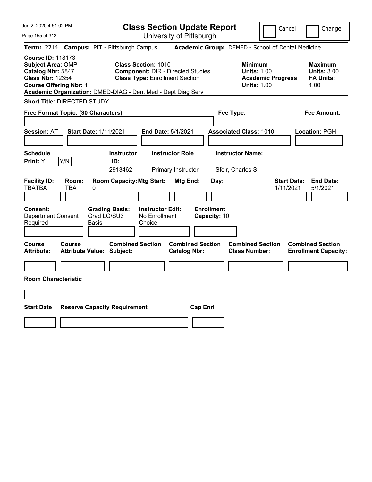| Jun 2, 2020 4:51:02 PM<br>Page 155 of 313                                                                                                                                                             | <b>Class Section Update Report</b><br>University of Pittsburgh                                                  |                                                   | Cancel                                                                                 | Change                                                           |
|-------------------------------------------------------------------------------------------------------------------------------------------------------------------------------------------------------|-----------------------------------------------------------------------------------------------------------------|---------------------------------------------------|----------------------------------------------------------------------------------------|------------------------------------------------------------------|
| <b>Campus: PIT - Pittsburgh Campus</b><br><b>Term: 2214</b>                                                                                                                                           |                                                                                                                 | Academic Group: DEMED - School of Dental Medicine |                                                                                        |                                                                  |
| <b>Course ID: 118173</b><br><b>Subject Area: OMP</b><br>Catalog Nbr: 5847<br><b>Class Nbr: 12354</b><br><b>Course Offering Nbr: 1</b><br>Academic Organization: DMED-DIAG - Dent Med - Dept Diag Serv | <b>Class Section: 1010</b><br><b>Component: DIR - Directed Studies</b><br><b>Class Type: Enrollment Section</b> |                                                   | <b>Minimum</b><br><b>Units: 1.00</b><br><b>Academic Progress</b><br><b>Units: 1.00</b> | <b>Maximum</b><br><b>Units: 3.00</b><br><b>FA Units:</b><br>1.00 |
| <b>Short Title: DIRECTED STUDY</b>                                                                                                                                                                    |                                                                                                                 |                                                   |                                                                                        |                                                                  |
| Free Format Topic: (30 Characters)                                                                                                                                                                    |                                                                                                                 | Fee Type:                                         |                                                                                        | Fee Amount:                                                      |
| <b>Session: AT</b><br><b>Start Date: 1/11/2021</b>                                                                                                                                                    | End Date: 5/1/2021                                                                                              | <b>Associated Class: 1010</b>                     |                                                                                        | Location: PGH                                                    |
| Schedule<br>Y/N<br>Print: Y                                                                                                                                                                           | <b>Instructor Role</b><br><b>Instructor</b><br>ID:<br>2913462<br>Primary Instructor                             | <b>Instructor Name:</b><br>Sfeir, Charles S       |                                                                                        |                                                                  |
| <b>Facility ID:</b><br>Room:<br><b>TBATBA</b><br>TBA<br>0                                                                                                                                             | <b>Room Capacity: Mtg Start:</b><br>Mtg End:                                                                    | Day:                                              | <b>Start Date:</b><br>1/11/2021                                                        | <b>End Date:</b><br>5/1/2021                                     |
| <b>Grading Basis:</b><br><b>Consent:</b><br>Grad LG/SU3<br><b>Department Consent</b><br>Required<br>Basis                                                                                             | <b>Instructor Edit:</b><br>No Enrollment<br>Choice                                                              | <b>Enrollment</b><br>Capacity: 10                 |                                                                                        |                                                                  |
| <b>Course</b><br>Course<br><b>Attribute:</b><br><b>Attribute Value: Subject:</b>                                                                                                                      | <b>Combined Section</b><br><b>Catalog Nbr:</b>                                                                  | <b>Combined Section</b><br><b>Class Number:</b>   | <b>Combined Section</b>                                                                | <b>Combined Section</b><br><b>Enrollment Capacity:</b>           |
| <b>Room Characteristic</b>                                                                                                                                                                            |                                                                                                                 |                                                   |                                                                                        |                                                                  |
|                                                                                                                                                                                                       |                                                                                                                 |                                                   |                                                                                        |                                                                  |
| <b>Start Date</b><br><b>Reserve Capacity Requirement</b>                                                                                                                                              |                                                                                                                 | <b>Cap Enrl</b>                                   |                                                                                        |                                                                  |
|                                                                                                                                                                                                       |                                                                                                                 |                                                   |                                                                                        |                                                                  |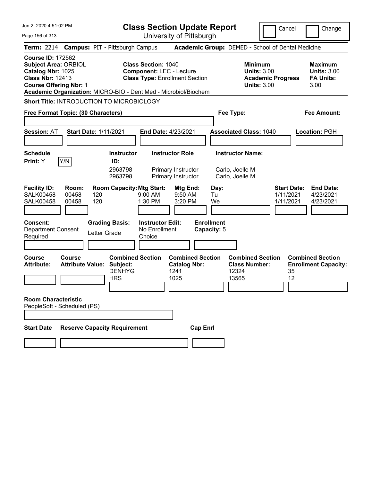| Jun 2, 2020 4:51:02 PM                                                                                                                                                                                      | <b>Class Section Update Report</b>                                                                                     | Cancel                                                                                 | Change                                                           |  |  |  |
|-------------------------------------------------------------------------------------------------------------------------------------------------------------------------------------------------------------|------------------------------------------------------------------------------------------------------------------------|----------------------------------------------------------------------------------------|------------------------------------------------------------------|--|--|--|
| Page 156 of 313                                                                                                                                                                                             | University of Pittsburgh                                                                                               |                                                                                        |                                                                  |  |  |  |
| Term: 2214 Campus: PIT - Pittsburgh Campus                                                                                                                                                                  |                                                                                                                        | Academic Group: DEMED - School of Dental Medicine                                      |                                                                  |  |  |  |
| <b>Course ID: 172562</b><br><b>Subject Area: ORBIOL</b><br>Catalog Nbr: 1025<br><b>Class Nbr: 12413</b><br><b>Course Offering Nbr: 1</b><br>Academic Organization: MICRO-BIO - Dent Med - Microbiol/Biochem | <b>Class Section: 1040</b><br><b>Component: LEC - Lecture</b><br><b>Class Type: Enrollment Section</b>                 | <b>Minimum</b><br><b>Units: 3.00</b><br><b>Academic Progress</b><br><b>Units: 3.00</b> | <b>Maximum</b><br><b>Units: 3.00</b><br><b>FA Units:</b><br>3.00 |  |  |  |
| Short Title: INTRODUCTION TO MICROBIOLOGY                                                                                                                                                                   |                                                                                                                        |                                                                                        |                                                                  |  |  |  |
| Free Format Topic: (30 Characters)                                                                                                                                                                          |                                                                                                                        | Fee Type:                                                                              | Fee Amount:                                                      |  |  |  |
| <b>Start Date: 1/11/2021</b><br><b>Session: AT</b>                                                                                                                                                          | End Date: 4/23/2021                                                                                                    | <b>Associated Class: 1040</b>                                                          | Location: PGH                                                    |  |  |  |
| <b>Schedule</b><br>Y/N<br>Print: Y<br>ID:                                                                                                                                                                   | <b>Instructor Role</b><br><b>Instructor</b><br>2963798<br>Primary Instructor<br>2963798<br>Primary Instructor          | <b>Instructor Name:</b><br>Carlo, Joelle M<br>Carlo, Joelle M                          |                                                                  |  |  |  |
| <b>Facility ID:</b><br>Room:<br><b>SALK00458</b><br>00458<br>120<br>120<br><b>SALK00458</b><br>00458                                                                                                        | <b>Room Capacity: Mtg Start:</b><br>Mtg End:<br>$9:00$ AM<br>9:50 AM<br>1:30 PM<br>3:20 PM                             | <b>Start Date:</b><br>Day:<br>1/11/2021<br>Tu<br>We<br>1/11/2021                       | <b>End Date:</b><br>4/23/2021<br>4/23/2021                       |  |  |  |
| <b>Consent:</b><br><b>Grading Basis:</b><br><b>Department Consent</b><br>Letter Grade<br>Required                                                                                                           | <b>Enrollment</b><br><b>Instructor Edit:</b><br>No Enrollment<br>Capacity: 5<br>Choice                                 |                                                                                        |                                                                  |  |  |  |
| <b>Course</b><br>Course<br><b>Attribute:</b><br><b>Attribute Value:</b><br><b>HRS</b>                                                                                                                       | <b>Combined Section</b><br><b>Combined Section</b><br>Subject:<br><b>Catalog Nbr:</b><br><b>DENHYG</b><br>1241<br>1025 | <b>Combined Section</b><br><b>Class Number:</b><br>12324<br>35<br>12<br>13565          | <b>Combined Section</b><br><b>Enrollment Capacity:</b>           |  |  |  |
| <b>Room Characteristic</b><br>PeopleSoft - Scheduled (PS)                                                                                                                                                   |                                                                                                                        |                                                                                        |                                                                  |  |  |  |
| <b>Reserve Capacity Requirement</b><br><b>Cap Enrl</b><br><b>Start Date</b>                                                                                                                                 |                                                                                                                        |                                                                                        |                                                                  |  |  |  |
|                                                                                                                                                                                                             |                                                                                                                        |                                                                                        |                                                                  |  |  |  |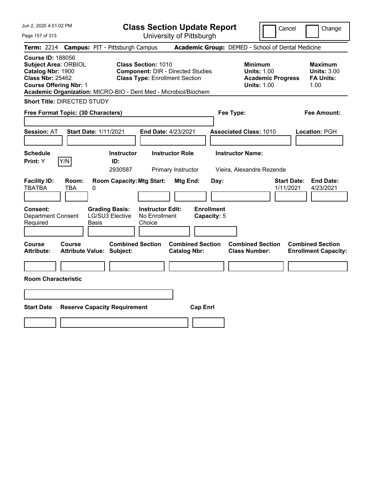| Jun 2, 2020 4:51:02 PM |  |  |  |  |  |
|------------------------|--|--|--|--|--|
|------------------------|--|--|--|--|--|

Page 157 of 313

**Class Section Update Report**

Cancel **Change** 

|                                                                                                                                          |              | Term: 2214 Campus: PIT - Pittsburgh Campus                      |                                                                                                                 |                                                |                                  | Academic Group: DEMED - School of Dental Medicine                                      |                                 |                                                                  |
|------------------------------------------------------------------------------------------------------------------------------------------|--------------|-----------------------------------------------------------------|-----------------------------------------------------------------------------------------------------------------|------------------------------------------------|----------------------------------|----------------------------------------------------------------------------------------|---------------------------------|------------------------------------------------------------------|
| <b>Course ID: 188056</b><br><b>Subject Area: ORBIOL</b><br>Catalog Nbr: 1900<br><b>Class Nbr: 25462</b><br><b>Course Offering Nbr: 1</b> |              | Academic Organization: MICRO-BIO - Dent Med - Microbiol/Biochem | <b>Class Section: 1010</b><br><b>Component: DIR - Directed Studies</b><br><b>Class Type: Enrollment Section</b> |                                                |                                  | <b>Minimum</b><br><b>Units: 1.00</b><br><b>Academic Progress</b><br><b>Units: 1.00</b> |                                 | <b>Maximum</b><br><b>Units: 3.00</b><br><b>FA Units:</b><br>1.00 |
| <b>Short Title: DIRECTED STUDY</b>                                                                                                       |              |                                                                 |                                                                                                                 |                                                |                                  |                                                                                        |                                 |                                                                  |
| Free Format Topic: (30 Characters)                                                                                                       |              |                                                                 |                                                                                                                 |                                                | Fee Type:                        |                                                                                        |                                 | <b>Fee Amount:</b>                                               |
| <b>Session: AT</b>                                                                                                                       |              | <b>Start Date: 1/11/2021</b>                                    | End Date: 4/23/2021                                                                                             |                                                |                                  | <b>Associated Class: 1010</b>                                                          |                                 | Location: PGH                                                    |
| <b>Schedule</b><br><b>Print:</b> Y                                                                                                       | Y/N          | <b>Instructor</b><br>ID:<br>2930587                             | <b>Instructor Role</b>                                                                                          | Primary Instructor                             |                                  | <b>Instructor Name:</b><br>Vieira, Alexandre Rezende                                   |                                 |                                                                  |
| <b>Facility ID:</b><br><b>TBATBA</b>                                                                                                     | Room:<br>TBA | <b>Room Capacity: Mtg Start:</b><br>0                           |                                                                                                                 | Mtg End:                                       | Day:                             |                                                                                        | <b>Start Date:</b><br>1/11/2021 | <b>End Date:</b><br>4/23/2021                                    |
| Consent:<br><b>Department Consent</b><br>Required                                                                                        |              | <b>Grading Basis:</b><br><b>LG/SU3 Elective</b><br>Basis        | <b>Instructor Edit:</b><br>No Enrollment<br>Choice                                                              |                                                | <b>Enrollment</b><br>Capacity: 5 |                                                                                        |                                 |                                                                  |
| <b>Course</b><br><b>Attribute:</b>                                                                                                       | Course       | <b>Combined Section</b><br><b>Attribute Value: Subject:</b>     |                                                                                                                 | <b>Combined Section</b><br><b>Catalog Nbr:</b> |                                  | <b>Combined Section</b><br><b>Class Number:</b>                                        |                                 | <b>Combined Section</b><br><b>Enrollment Capacity:</b>           |
| <b>Room Characteristic</b>                                                                                                               |              |                                                                 |                                                                                                                 |                                                |                                  |                                                                                        |                                 |                                                                  |
|                                                                                                                                          |              |                                                                 |                                                                                                                 |                                                |                                  |                                                                                        |                                 |                                                                  |
| <b>Start Date</b>                                                                                                                        |              | <b>Reserve Capacity Requirement</b>                             |                                                                                                                 | <b>Cap Enrl</b>                                |                                  |                                                                                        |                                 |                                                                  |
|                                                                                                                                          |              |                                                                 |                                                                                                                 |                                                |                                  |                                                                                        |                                 |                                                                  |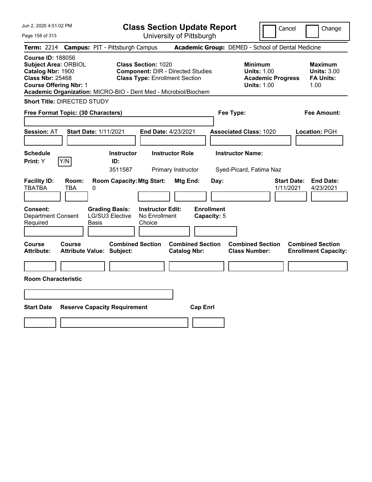|  |  | Jun 2, 2020 4:51:02 PM |  |
|--|--|------------------------|--|
|--|--|------------------------|--|

Page 158 of 313

**Class Section Update Report**

Cancel **Change** 

|                                                                                                                                          |                     | Term: 2214 Campus: PIT - Pittsburgh Campus                                                 |                                                                                                                 |                                                |                                          | Academic Group: DEMED - School of Dental Medicine                                      |                                                                  |
|------------------------------------------------------------------------------------------------------------------------------------------|---------------------|--------------------------------------------------------------------------------------------|-----------------------------------------------------------------------------------------------------------------|------------------------------------------------|------------------------------------------|----------------------------------------------------------------------------------------|------------------------------------------------------------------|
| <b>Course ID: 188056</b><br><b>Subject Area: ORBIOL</b><br>Catalog Nbr: 1900<br><b>Class Nbr: 25468</b><br><b>Course Offering Nbr: 1</b> |                     | Academic Organization: MICRO-BIO - Dent Med - Microbiol/Biochem                            | <b>Class Section: 1020</b><br><b>Component: DIR - Directed Studies</b><br><b>Class Type: Enrollment Section</b> |                                                |                                          | <b>Minimum</b><br><b>Units: 1.00</b><br><b>Academic Progress</b><br><b>Units: 1.00</b> | <b>Maximum</b><br><b>Units: 3.00</b><br><b>FA Units:</b><br>1.00 |
| <b>Short Title: DIRECTED STUDY</b>                                                                                                       |                     |                                                                                            |                                                                                                                 |                                                |                                          |                                                                                        |                                                                  |
| Free Format Topic: (30 Characters)                                                                                                       |                     |                                                                                            |                                                                                                                 |                                                |                                          | Fee Type:                                                                              | <b>Fee Amount:</b>                                               |
| <b>Session: AT</b>                                                                                                                       |                     | <b>Start Date: 1/11/2021</b>                                                               | End Date: 4/23/2021                                                                                             |                                                |                                          | <b>Associated Class: 1020</b>                                                          | Location: PGH                                                    |
| <b>Schedule</b><br>Print: Y                                                                                                              | Y/N                 | <b>Instructor</b><br>ID:<br>3511587                                                        | <b>Instructor Role</b>                                                                                          | Primary Instructor                             |                                          | <b>Instructor Name:</b><br>Syed-Picard, Fatima Naz                                     |                                                                  |
| <b>Facility ID:</b><br><b>TBATBA</b><br>Consent:<br><b>Department Consent</b><br>Required                                                | Room:<br><b>TBA</b> | <b>Room Capacity: Mtg Start:</b><br>0<br><b>Grading Basis:</b><br>LG/SU3 Elective<br>Basis | <b>Instructor Edit:</b><br>No Enrollment<br>Choice                                                              | <b>Mtg End:</b>                                | Day:<br><b>Enrollment</b><br>Capacity: 5 |                                                                                        | <b>Start Date:</b><br><b>End Date:</b><br>1/11/2021<br>4/23/2021 |
| Course<br><b>Attribute:</b>                                                                                                              | Course              | <b>Combined Section</b><br><b>Attribute Value: Subject:</b>                                |                                                                                                                 | <b>Combined Section</b><br><b>Catalog Nbr:</b> |                                          | <b>Combined Section</b><br><b>Class Number:</b>                                        | <b>Combined Section</b><br><b>Enrollment Capacity:</b>           |
| <b>Room Characteristic</b>                                                                                                               |                     |                                                                                            |                                                                                                                 |                                                |                                          |                                                                                        |                                                                  |
|                                                                                                                                          |                     |                                                                                            |                                                                                                                 |                                                |                                          |                                                                                        |                                                                  |
| <b>Start Date</b>                                                                                                                        |                     | <b>Reserve Capacity Requirement</b>                                                        |                                                                                                                 | <b>Cap Enrl</b>                                |                                          |                                                                                        |                                                                  |
|                                                                                                                                          |                     |                                                                                            |                                                                                                                 |                                                |                                          |                                                                                        |                                                                  |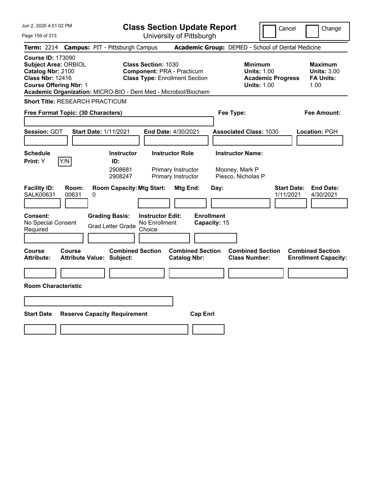| Jun 2, 2020 4:51:02 PM<br>Page 159 of 313                                                                                                                                                                   | <b>Class Section Update Report</b><br>University of Pittsburgh                                                                          | Cancel                                                                                 | Change                                                           |
|-------------------------------------------------------------------------------------------------------------------------------------------------------------------------------------------------------------|-----------------------------------------------------------------------------------------------------------------------------------------|----------------------------------------------------------------------------------------|------------------------------------------------------------------|
| Term: 2214 Campus: PIT - Pittsburgh Campus                                                                                                                                                                  |                                                                                                                                         | Academic Group: DEMED - School of Dental Medicine                                      |                                                                  |
| <b>Course ID: 173090</b><br><b>Subject Area: ORBIOL</b><br>Catalog Nbr: 2100<br><b>Class Nbr: 12416</b><br><b>Course Offering Nbr: 1</b><br>Academic Organization: MICRO-BIO - Dent Med - Microbiol/Biochem | <b>Class Section: 1030</b><br><b>Component: PRA - Practicum</b><br><b>Class Type: Enrollment Section</b>                                | <b>Minimum</b><br><b>Units: 1.00</b><br><b>Academic Progress</b><br><b>Units: 1.00</b> | <b>Maximum</b><br><b>Units: 3.00</b><br><b>FA Units:</b><br>1.00 |
| <b>Short Title: RESEARCH PRACTICUM</b>                                                                                                                                                                      |                                                                                                                                         |                                                                                        |                                                                  |
| Free Format Topic: (30 Characters)                                                                                                                                                                          |                                                                                                                                         | Fee Type:                                                                              | Fee Amount:                                                      |
| Session: GDT<br><b>Start Date: 1/11/2021</b>                                                                                                                                                                | <b>End Date: 4/30/2021</b>                                                                                                              | <b>Associated Class: 1030</b>                                                          | Location: PGH                                                    |
| <b>Schedule</b><br>Y/N<br>Print: Y<br>ID:                                                                                                                                                                   | <b>Instructor Role</b><br><b>Instructor</b><br>2908681<br>Primary Instructor<br>Primary Instructor<br>2908247                           | <b>Instructor Name:</b><br>Mooney, Mark P<br>Piesco, Nicholas P                        |                                                                  |
| <b>Facility ID:</b><br>Room:<br>SALK00631<br>00631<br>0<br><b>Grading Basis:</b><br><b>Consent:</b><br>No Special Consent<br><b>Grad Letter Grade</b><br>Required                                           | <b>Room Capacity: Mtg Start:</b><br>Mtg End:<br><b>Enrollment</b><br><b>Instructor Edit:</b><br>No Enrollment<br>Capacity: 15<br>Choice | <b>Start Date:</b><br>Day:<br>1/11/2021                                                | <b>End Date:</b><br>4/30/2021                                    |
| Course<br>Course<br><b>Attribute:</b><br><b>Attribute Value: Subject:</b>                                                                                                                                   | <b>Combined Section</b><br><b>Combined Section</b><br><b>Catalog Nbr:</b>                                                               | <b>Combined Section</b><br><b>Class Number:</b>                                        | <b>Combined Section</b><br><b>Enrollment Capacity:</b>           |
|                                                                                                                                                                                                             |                                                                                                                                         |                                                                                        |                                                                  |
| <b>Room Characteristic</b>                                                                                                                                                                                  |                                                                                                                                         |                                                                                        |                                                                  |
|                                                                                                                                                                                                             |                                                                                                                                         |                                                                                        |                                                                  |
| <b>Start Date</b><br><b>Reserve Capacity Requirement</b>                                                                                                                                                    | <b>Cap Enrl</b>                                                                                                                         |                                                                                        |                                                                  |
|                                                                                                                                                                                                             |                                                                                                                                         |                                                                                        |                                                                  |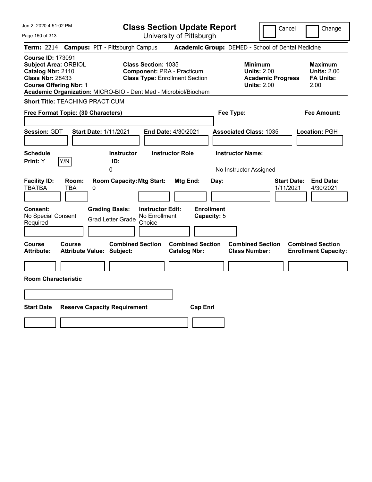| Jun 2, 2020 4:51:02 PM<br>Page 160 of 313                                                                                                                                                                   | <b>Class Section Update Report</b><br>University of Pittsburgh                                           | Cancel                                                                                 | Change                                                           |  |  |
|-------------------------------------------------------------------------------------------------------------------------------------------------------------------------------------------------------------|----------------------------------------------------------------------------------------------------------|----------------------------------------------------------------------------------------|------------------------------------------------------------------|--|--|
| <b>Campus: PIT - Pittsburgh Campus</b><br><b>Term:</b> 2214                                                                                                                                                 |                                                                                                          | Academic Group: DEMED - School of Dental Medicine                                      |                                                                  |  |  |
| <b>Course ID: 173091</b><br><b>Subject Area: ORBIOL</b><br>Catalog Nbr: 2110<br><b>Class Nbr: 28433</b><br><b>Course Offering Nbr: 1</b><br>Academic Organization: MICRO-BIO - Dent Med - Microbiol/Biochem | <b>Class Section: 1035</b><br><b>Component: PRA - Practicum</b><br><b>Class Type: Enrollment Section</b> | <b>Minimum</b><br><b>Units: 2.00</b><br><b>Academic Progress</b><br><b>Units: 2.00</b> | <b>Maximum</b><br><b>Units: 2.00</b><br><b>FA Units:</b><br>2.00 |  |  |
| <b>Short Title: TEACHING PRACTICUM</b>                                                                                                                                                                      |                                                                                                          |                                                                                        |                                                                  |  |  |
| Free Format Topic: (30 Characters)                                                                                                                                                                          | Fee Type:                                                                                                |                                                                                        | <b>Fee Amount:</b>                                               |  |  |
| <b>Session: GDT</b><br><b>Start Date: 1/11/2021</b>                                                                                                                                                         | <b>End Date: 4/30/2021</b>                                                                               | <b>Associated Class: 1035</b>                                                          | Location: PGH                                                    |  |  |
| <b>Schedule</b>                                                                                                                                                                                             | <b>Instructor</b><br><b>Instructor Role</b>                                                              | <b>Instructor Name:</b>                                                                |                                                                  |  |  |
| Y/N<br>Print: Y<br>ID:<br>0                                                                                                                                                                                 |                                                                                                          | No Instructor Assigned                                                                 |                                                                  |  |  |
| <b>Facility ID:</b><br>Room:<br><b>TBATBA</b><br><b>TBA</b><br>0                                                                                                                                            | <b>Room Capacity: Mtg Start:</b><br>Mtg End:<br>Day:                                                     | <b>Start Date:</b><br>1/11/2021                                                        | <b>End Date:</b><br>4/30/2021                                    |  |  |
| <b>Enrollment</b><br><b>Consent:</b><br><b>Grading Basis:</b><br><b>Instructor Edit:</b><br>No Special Consent<br>No Enrollment<br>Capacity: 5<br><b>Grad Letter Grade</b><br>Choice<br>Required            |                                                                                                          |                                                                                        |                                                                  |  |  |
| Course<br>Course<br><b>Attribute:</b><br><b>Attribute Value: Subject:</b>                                                                                                                                   | <b>Combined Section</b><br><b>Combined Section</b><br><b>Catalog Nbr:</b>                                | <b>Combined Section</b><br><b>Class Number:</b>                                        | <b>Combined Section</b><br><b>Enrollment Capacity:</b>           |  |  |
|                                                                                                                                                                                                             |                                                                                                          |                                                                                        |                                                                  |  |  |
| <b>Room Characteristic</b>                                                                                                                                                                                  |                                                                                                          |                                                                                        |                                                                  |  |  |
|                                                                                                                                                                                                             |                                                                                                          |                                                                                        |                                                                  |  |  |
|                                                                                                                                                                                                             |                                                                                                          |                                                                                        |                                                                  |  |  |
| <b>Start Date</b><br><b>Reserve Capacity Requirement</b>                                                                                                                                                    | <b>Cap Enrl</b>                                                                                          |                                                                                        |                                                                  |  |  |
|                                                                                                                                                                                                             |                                                                                                          |                                                                                        |                                                                  |  |  |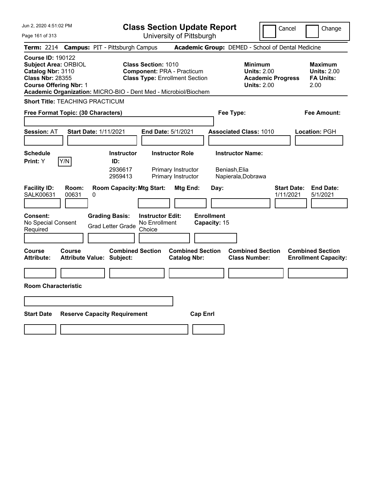| Jun 2, 2020 4:51:02 PM                                                                                                                                                                                      | <b>Class Section Update Report</b>                                                                            |                                                                                        | Cancel<br>Change                                                 |
|-------------------------------------------------------------------------------------------------------------------------------------------------------------------------------------------------------------|---------------------------------------------------------------------------------------------------------------|----------------------------------------------------------------------------------------|------------------------------------------------------------------|
| Page 161 of 313                                                                                                                                                                                             | University of Pittsburgh                                                                                      |                                                                                        |                                                                  |
| <b>Campus: PIT - Pittsburgh Campus</b><br><b>Term: 2214</b>                                                                                                                                                 |                                                                                                               | Academic Group: DEMED - School of Dental Medicine                                      |                                                                  |
| <b>Course ID: 190122</b><br><b>Subject Area: ORBIOL</b><br>Catalog Nbr: 3110<br><b>Class Nbr: 28355</b><br><b>Course Offering Nbr: 1</b><br>Academic Organization: MICRO-BIO - Dent Med - Microbiol/Biochem | <b>Class Section: 1010</b><br><b>Component: PRA - Practicum</b><br><b>Class Type: Enrollment Section</b>      | <b>Minimum</b><br><b>Units: 2.00</b><br><b>Academic Progress</b><br><b>Units: 2.00</b> | <b>Maximum</b><br><b>Units: 2.00</b><br><b>FA Units:</b><br>2.00 |
| <b>Short Title: TEACHING PRACTICUM</b>                                                                                                                                                                      |                                                                                                               |                                                                                        |                                                                  |
| Free Format Topic: (30 Characters)                                                                                                                                                                          |                                                                                                               | Fee Type:                                                                              | Fee Amount:                                                      |
| <b>Start Date: 1/11/2021</b><br><b>Session: AT</b>                                                                                                                                                          | End Date: 5/1/2021                                                                                            | <b>Associated Class: 1010</b>                                                          | Location: PGH                                                    |
| <b>Schedule</b><br>Y/N<br>Print: Y<br>ID:                                                                                                                                                                   | <b>Instructor Role</b><br><b>Instructor</b><br>2936617<br>Primary Instructor<br>Primary Instructor<br>2959413 | <b>Instructor Name:</b><br>Beniash, Elia<br>Napierala, Dobrawa                         |                                                                  |
| <b>Facility ID:</b><br>Room:<br><b>SALK00631</b><br>00631<br>0                                                                                                                                              | <b>Room Capacity: Mtg Start:</b><br>Mtg End:                                                                  | Day:                                                                                   | <b>End Date:</b><br><b>Start Date:</b><br>1/11/2021<br>5/1/2021  |
| <b>Consent:</b><br><b>Grading Basis:</b><br>No Special Consent<br><b>Grad Letter Grade</b><br>Required                                                                                                      | <b>Instructor Edit:</b><br>No Enrollment<br>Choice                                                            | <b>Enrollment</b><br>Capacity: 15                                                      |                                                                  |
| Course<br><b>Course</b><br><b>Attribute Value: Subject:</b><br>Attribute:                                                                                                                                   | <b>Combined Section</b><br><b>Catalog Nbr:</b>                                                                | <b>Combined Section</b><br><b>Combined Section</b><br><b>Class Number:</b>             | <b>Combined Section</b><br><b>Enrollment Capacity:</b>           |
|                                                                                                                                                                                                             |                                                                                                               |                                                                                        |                                                                  |
| <b>Room Characteristic</b>                                                                                                                                                                                  |                                                                                                               |                                                                                        |                                                                  |
|                                                                                                                                                                                                             |                                                                                                               |                                                                                        |                                                                  |
| <b>Start Date</b><br><b>Reserve Capacity Requirement</b>                                                                                                                                                    |                                                                                                               | <b>Cap Enrl</b>                                                                        |                                                                  |
|                                                                                                                                                                                                             |                                                                                                               |                                                                                        |                                                                  |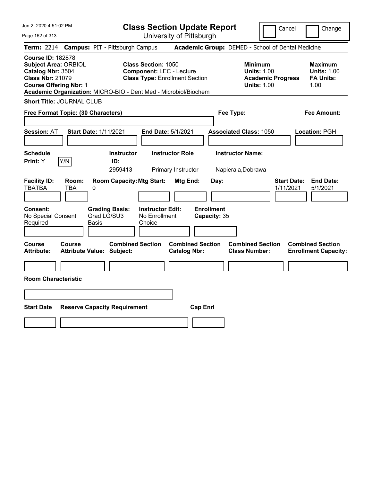|  | Jun 2, 2020 4:51:02 PM |  |
|--|------------------------|--|
|  |                        |  |

Page 162 of 313

Cancel Change

|                                                                                    |                                                              | Term: 2214 Campus: PIT - Pittsburgh Campus                                                    |                                                                                                        |                                                |                         | Academic Group: DEMED - School of Dental Medicine                                      |                                 |                                                                  |
|------------------------------------------------------------------------------------|--------------------------------------------------------------|-----------------------------------------------------------------------------------------------|--------------------------------------------------------------------------------------------------------|------------------------------------------------|-------------------------|----------------------------------------------------------------------------------------|---------------------------------|------------------------------------------------------------------|
| <b>Course ID: 182878</b><br>Catalog Nbr: 3504<br><b>Class Nbr: 21079</b>           | <b>Subject Area: ORBIOL</b><br><b>Course Offering Nbr: 1</b> | Academic Organization: MICRO-BIO - Dent Med - Microbiol/Biochem                               | <b>Class Section: 1050</b><br><b>Component: LEC - Lecture</b><br><b>Class Type: Enrollment Section</b> |                                                |                         | <b>Minimum</b><br><b>Units: 1.00</b><br><b>Academic Progress</b><br><b>Units: 1.00</b> |                                 | <b>Maximum</b><br><b>Units: 1.00</b><br><b>FA Units:</b><br>1.00 |
|                                                                                    | <b>Short Title: JOURNAL CLUB</b>                             |                                                                                               |                                                                                                        |                                                |                         |                                                                                        |                                 |                                                                  |
|                                                                                    | Free Format Topic: (30 Characters)                           |                                                                                               |                                                                                                        |                                                | Fee Type:               |                                                                                        |                                 | <b>Fee Amount:</b>                                               |
| <b>Session: AT</b>                                                                 |                                                              | <b>Start Date: 1/11/2021</b>                                                                  | End Date: 5/1/2021                                                                                     |                                                |                         | <b>Associated Class: 1050</b>                                                          |                                 | Location: PGH                                                    |
| <b>Schedule</b><br>Print: Y                                                        | Y/N                                                          | <b>Instructor</b><br>ID:<br>2959413                                                           | <b>Instructor Role</b><br>Primary Instructor                                                           |                                                | <b>Instructor Name:</b> | Napierala, Dobrawa                                                                     |                                 |                                                                  |
| <b>Facility ID:</b><br><b>TBATBA</b><br>Consent:<br>No Special Consent<br>Required | Room:<br><b>TBA</b>                                          | <b>Room Capacity: Mtg Start:</b><br>$\Omega$<br><b>Grading Basis:</b><br>Grad LG/SU3<br>Basis | <b>Instructor Edit:</b><br>No Enrollment<br>Choice                                                     | Mtg End:<br><b>Enrollment</b>                  | Day:<br>Capacity: 35    |                                                                                        | <b>Start Date:</b><br>1/11/2021 | <b>End Date:</b><br>5/1/2021                                     |
| Course<br><b>Attribute:</b>                                                        | Course                                                       | <b>Combined Section</b><br><b>Attribute Value: Subject:</b>                                   |                                                                                                        | <b>Combined Section</b><br><b>Catalog Nbr:</b> |                         | <b>Combined Section</b><br><b>Class Number:</b>                                        |                                 | <b>Combined Section</b><br><b>Enrollment Capacity:</b>           |
| <b>Room Characteristic</b>                                                         |                                                              |                                                                                               |                                                                                                        |                                                |                         |                                                                                        |                                 |                                                                  |
| <b>Start Date</b>                                                                  |                                                              | <b>Reserve Capacity Requirement</b>                                                           |                                                                                                        | <b>Cap Enrl</b>                                |                         |                                                                                        |                                 |                                                                  |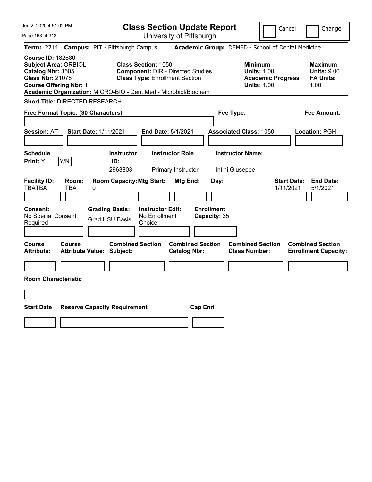| Jun 2, 2020 4:51:02 PM                                                                                                                   | <b>Class Section Update Report</b>                                                                                                                                                 | Cancel<br>Change                                                                                                                                           |  |  |  |
|------------------------------------------------------------------------------------------------------------------------------------------|------------------------------------------------------------------------------------------------------------------------------------------------------------------------------------|------------------------------------------------------------------------------------------------------------------------------------------------------------|--|--|--|
| Page 163 of 313                                                                                                                          | University of Pittsburgh                                                                                                                                                           |                                                                                                                                                            |  |  |  |
| Term: 2214<br><b>Campus: PIT - Pittsburgh Campus</b>                                                                                     |                                                                                                                                                                                    | Academic Group: DEMED - School of Dental Medicine                                                                                                          |  |  |  |
| <b>Course ID: 182880</b><br><b>Subject Area: ORBIOL</b><br>Catalog Nbr: 3505<br><b>Class Nbr: 21078</b><br><b>Course Offering Nbr: 1</b> | <b>Class Section: 1050</b><br><b>Component: DIR - Directed Studies</b><br><b>Class Type: Enrollment Section</b><br>Academic Organization: MICRO-BIO - Dent Med - Microbiol/Biochem | <b>Minimum</b><br><b>Maximum</b><br><b>Units: 1.00</b><br><b>Units: 9.00</b><br><b>FA Units:</b><br><b>Academic Progress</b><br>1.00<br><b>Units: 1.00</b> |  |  |  |
| <b>Short Title: DIRECTED RESEARCH</b>                                                                                                    |                                                                                                                                                                                    |                                                                                                                                                            |  |  |  |
| Free Format Topic: (30 Characters)                                                                                                       | Fee Type:                                                                                                                                                                          | Fee Amount:                                                                                                                                                |  |  |  |
| <b>Start Date: 1/11/2021</b><br><b>Session: AT</b>                                                                                       | End Date: 5/1/2021<br><b>Associated Class: 1050</b>                                                                                                                                | Location: PGH                                                                                                                                              |  |  |  |
| <b>Schedule</b><br>Y/N<br>Print: Y<br>ID:                                                                                                | <b>Instructor Role</b><br><b>Instructor Name:</b><br><b>Instructor</b><br>2963803<br>Primary Instructor<br>Intini, Giuseppe                                                        |                                                                                                                                                            |  |  |  |
| <b>Facility ID:</b><br>Room:<br><b>TBATBA</b><br><b>TBA</b><br>0                                                                         | <b>Room Capacity: Mtg Start:</b><br>Mtg End:<br>Day:                                                                                                                               | <b>Start Date:</b><br><b>End Date:</b><br>1/11/2021<br>5/1/2021                                                                                            |  |  |  |
| Consent:<br><b>Grading Basis:</b><br>No Special Consent<br><b>Grad HSU Basis</b><br>Required                                             | <b>Enrollment</b><br><b>Instructor Edit:</b><br>No Enrollment<br>Capacity: 35<br>Choice                                                                                            |                                                                                                                                                            |  |  |  |
| Course<br>Course<br><b>Attribute:</b><br><b>Attribute Value: Subject:</b>                                                                | <b>Combined Section</b><br><b>Combined Section</b><br><b>Catalog Nbr:</b>                                                                                                          | <b>Combined Section</b><br><b>Combined Section</b><br><b>Class Number:</b><br><b>Enrollment Capacity:</b>                                                  |  |  |  |
|                                                                                                                                          |                                                                                                                                                                                    |                                                                                                                                                            |  |  |  |
| <b>Room Characteristic</b>                                                                                                               |                                                                                                                                                                                    |                                                                                                                                                            |  |  |  |
|                                                                                                                                          |                                                                                                                                                                                    |                                                                                                                                                            |  |  |  |
| <b>Start Date</b><br><b>Reserve Capacity Requirement</b><br><b>Cap Enrl</b>                                                              |                                                                                                                                                                                    |                                                                                                                                                            |  |  |  |
|                                                                                                                                          |                                                                                                                                                                                    |                                                                                                                                                            |  |  |  |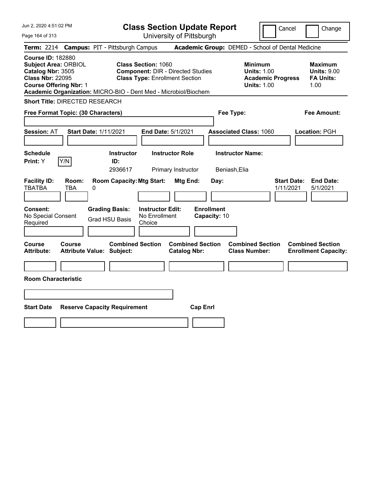| Jun 2, 2020 4:51:02 PM                                                                                                                   | <b>Class Section Update Report</b>                                                                                                                                                 | Cancel<br>Change                                                                                                                                           |
|------------------------------------------------------------------------------------------------------------------------------------------|------------------------------------------------------------------------------------------------------------------------------------------------------------------------------------|------------------------------------------------------------------------------------------------------------------------------------------------------------|
| Page 164 of 313                                                                                                                          | University of Pittsburgh                                                                                                                                                           |                                                                                                                                                            |
| <b>Term: 2214</b><br><b>Campus: PIT - Pittsburgh Campus</b>                                                                              |                                                                                                                                                                                    | Academic Group: DEMED - School of Dental Medicine                                                                                                          |
| <b>Course ID: 182880</b><br><b>Subject Area: ORBIOL</b><br>Catalog Nbr: 3505<br><b>Class Nbr: 22095</b><br><b>Course Offering Nbr: 1</b> | <b>Class Section: 1060</b><br><b>Component: DIR - Directed Studies</b><br><b>Class Type: Enrollment Section</b><br>Academic Organization: MICRO-BIO - Dent Med - Microbiol/Biochem | <b>Minimum</b><br><b>Maximum</b><br><b>Units: 1.00</b><br><b>Units: 9.00</b><br><b>FA Units:</b><br><b>Academic Progress</b><br><b>Units: 1.00</b><br>1.00 |
| <b>Short Title: DIRECTED RESEARCH</b>                                                                                                    |                                                                                                                                                                                    |                                                                                                                                                            |
| Free Format Topic: (30 Characters)                                                                                                       | Fee Type:                                                                                                                                                                          | Fee Amount:                                                                                                                                                |
| <b>Start Date: 1/11/2021</b><br><b>Session: AT</b>                                                                                       | End Date: 5/1/2021                                                                                                                                                                 | <b>Associated Class: 1060</b><br>Location: PGH                                                                                                             |
| <b>Schedule</b><br>Y/N<br><b>Print: Y</b>                                                                                                | <b>Instructor Name:</b><br><b>Instructor Role</b><br><b>Instructor</b><br>ID:<br>2936617<br>Primary Instructor<br>Beniash, Elia                                                    |                                                                                                                                                            |
| <b>Facility ID:</b><br>Room:<br><b>TBATBA</b><br>TBA<br>0                                                                                | <b>Room Capacity: Mtg Start:</b><br>Mtg End:<br>Day:                                                                                                                               | <b>Start Date:</b><br><b>End Date:</b><br>1/11/2021<br>5/1/2021                                                                                            |
| <b>Grading Basis:</b><br><b>Consent:</b><br>No Special Consent<br><b>Grad HSU Basis</b><br>Required                                      | <b>Enrollment</b><br><b>Instructor Edit:</b><br>No Enrollment<br>Capacity: 10<br>Choice                                                                                            |                                                                                                                                                            |
| Course<br><b>Course</b><br><b>Attribute:</b><br><b>Attribute Value: Subject:</b>                                                         | <b>Combined Section</b><br><b>Combined Section</b><br><b>Catalog Nbr:</b>                                                                                                          | <b>Combined Section</b><br><b>Combined Section</b><br><b>Class Number:</b><br><b>Enrollment Capacity:</b>                                                  |
|                                                                                                                                          |                                                                                                                                                                                    |                                                                                                                                                            |
| <b>Room Characteristic</b>                                                                                                               |                                                                                                                                                                                    |                                                                                                                                                            |
|                                                                                                                                          |                                                                                                                                                                                    |                                                                                                                                                            |
| <b>Start Date</b><br><b>Reserve Capacity Requirement</b>                                                                                 | <b>Cap Enrl</b>                                                                                                                                                                    |                                                                                                                                                            |
|                                                                                                                                          |                                                                                                                                                                                    |                                                                                                                                                            |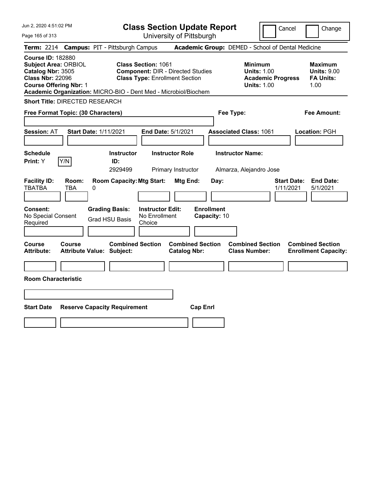| Jun 2, 2020 4:51:02 PM<br>Page 165 of 313                                                                                                | <b>Class Section Update Report</b><br>University of Pittsburgh                                                                                                              | Cancel<br>Change                                                                                                                                           |
|------------------------------------------------------------------------------------------------------------------------------------------|-----------------------------------------------------------------------------------------------------------------------------------------------------------------------------|------------------------------------------------------------------------------------------------------------------------------------------------------------|
| Term: 2214 Campus: PIT - Pittsburgh Campus                                                                                               |                                                                                                                                                                             | Academic Group: DEMED - School of Dental Medicine                                                                                                          |
| <b>Course ID: 182880</b><br><b>Subject Area: ORBIOL</b><br>Catalog Nbr: 3505<br><b>Class Nbr: 22096</b><br><b>Course Offering Nbr: 1</b> | Class Section: 1061<br><b>Component: DIR - Directed Studies</b><br><b>Class Type: Enrollment Section</b><br>Academic Organization: MICRO-BIO - Dent Med - Microbiol/Biochem | <b>Minimum</b><br><b>Maximum</b><br><b>Units: 1.00</b><br><b>Units: 9.00</b><br><b>Academic Progress</b><br><b>FA Units:</b><br><b>Units: 1.00</b><br>1.00 |
| <b>Short Title: DIRECTED RESEARCH</b>                                                                                                    |                                                                                                                                                                             |                                                                                                                                                            |
| Free Format Topic: (30 Characters)                                                                                                       | Fee Type:                                                                                                                                                                   | <b>Fee Amount:</b>                                                                                                                                         |
| <b>Session: AT</b><br><b>Start Date: 1/11/2021</b>                                                                                       | End Date: 5/1/2021                                                                                                                                                          | <b>Associated Class: 1061</b><br>Location: PGH                                                                                                             |
| <b>Schedule</b><br>Y/N<br>Print: Y                                                                                                       | <b>Instructor Role</b><br><b>Instructor</b><br>ID:<br>2929499<br>Primary Instructor                                                                                         | <b>Instructor Name:</b><br>Almarza, Alejandro Jose                                                                                                         |
| <b>Facility ID:</b><br>Room:<br><b>TBATBA</b><br>TBA<br>0                                                                                | <b>Room Capacity: Mtg Start:</b><br>Mtg End:<br>Day:                                                                                                                        | <b>Start Date:</b><br><b>End Date:</b><br>5/1/2021<br>1/11/2021                                                                                            |
| <b>Grading Basis:</b><br><b>Consent:</b><br>No Special Consent<br><b>Grad HSU Basis</b><br>Required                                      | <b>Enrollment</b><br><b>Instructor Edit:</b><br>No Enrollment<br>Capacity: 10<br>Choice                                                                                     |                                                                                                                                                            |
| Course<br>Course<br><b>Attribute:</b><br><b>Attribute Value: Subject:</b>                                                                | <b>Combined Section</b><br><b>Combined Section</b><br><b>Catalog Nbr:</b>                                                                                                   | <b>Combined Section</b><br><b>Combined Section</b><br><b>Class Number:</b><br><b>Enrollment Capacity:</b>                                                  |
|                                                                                                                                          |                                                                                                                                                                             |                                                                                                                                                            |
| <b>Room Characteristic</b>                                                                                                               |                                                                                                                                                                             |                                                                                                                                                            |
|                                                                                                                                          |                                                                                                                                                                             |                                                                                                                                                            |
| <b>Start Date</b><br><b>Reserve Capacity Requirement</b>                                                                                 | <b>Cap Enrl</b>                                                                                                                                                             |                                                                                                                                                            |
|                                                                                                                                          |                                                                                                                                                                             |                                                                                                                                                            |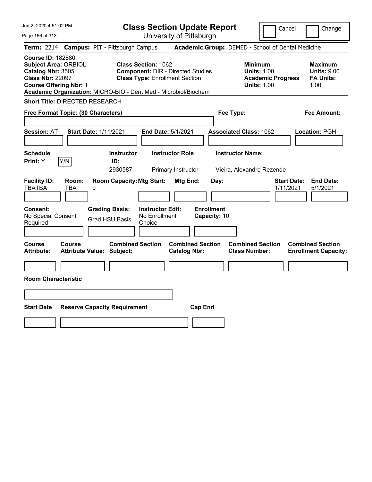| Jun 2, 2020 4:51:02 PM<br>Page 166 of 313                                                                                                | <b>Class Section Update Report</b><br>University of Pittsburgh                                                                                                                     | Cancel<br>Change                                                                                                                                           |
|------------------------------------------------------------------------------------------------------------------------------------------|------------------------------------------------------------------------------------------------------------------------------------------------------------------------------------|------------------------------------------------------------------------------------------------------------------------------------------------------------|
| Term: 2214 Campus: PIT - Pittsburgh Campus                                                                                               |                                                                                                                                                                                    | Academic Group: DEMED - School of Dental Medicine                                                                                                          |
| <b>Course ID: 182880</b><br><b>Subject Area: ORBIOL</b><br>Catalog Nbr: 3505<br><b>Class Nbr: 22097</b><br><b>Course Offering Nbr: 1</b> | <b>Class Section: 1062</b><br><b>Component: DIR - Directed Studies</b><br><b>Class Type: Enrollment Section</b><br>Academic Organization: MICRO-BIO - Dent Med - Microbiol/Biochem | <b>Minimum</b><br><b>Maximum</b><br><b>Units: 1.00</b><br><b>Units: 9.00</b><br><b>Academic Progress</b><br><b>FA Units:</b><br><b>Units: 1.00</b><br>1.00 |
| <b>Short Title: DIRECTED RESEARCH</b>                                                                                                    |                                                                                                                                                                                    |                                                                                                                                                            |
| Free Format Topic: (30 Characters)                                                                                                       | Fee Type:                                                                                                                                                                          | Fee Amount:                                                                                                                                                |
| <b>Session: AT</b><br><b>Start Date: 1/11/2021</b>                                                                                       | End Date: 5/1/2021                                                                                                                                                                 | <b>Associated Class: 1062</b><br>Location: PGH                                                                                                             |
| <b>Schedule</b><br>Y/N<br><b>Print:</b> Y<br>ID:                                                                                         | <b>Instructor</b><br><b>Instructor Role</b><br><b>Instructor Name:</b><br>2930587<br>Primary Instructor                                                                            | Vieira, Alexandre Rezende                                                                                                                                  |
| <b>Facility ID:</b><br>Room:<br><b>TBATBA</b><br>TBA<br>0                                                                                | <b>Room Capacity: Mtg Start:</b><br>Mtg End:<br>Day:                                                                                                                               | <b>Start Date:</b><br><b>End Date:</b><br>1/11/2021<br>5/1/2021                                                                                            |
| <b>Grading Basis:</b><br><b>Consent:</b><br>No Special Consent<br><b>Grad HSU Basis</b><br>Required                                      | <b>Instructor Edit:</b><br><b>Enrollment</b><br>No Enrollment<br>Capacity: 10<br>Choice                                                                                            |                                                                                                                                                            |
| Course<br>Course<br><b>Attribute:</b><br><b>Attribute Value: Subject:</b>                                                                | <b>Combined Section</b><br><b>Combined Section</b><br><b>Catalog Nbr:</b>                                                                                                          | <b>Combined Section</b><br><b>Combined Section</b><br><b>Class Number:</b><br><b>Enrollment Capacity:</b>                                                  |
| <b>Room Characteristic</b>                                                                                                               |                                                                                                                                                                                    |                                                                                                                                                            |
|                                                                                                                                          |                                                                                                                                                                                    |                                                                                                                                                            |
|                                                                                                                                          |                                                                                                                                                                                    |                                                                                                                                                            |
| <b>Start Date</b><br><b>Reserve Capacity Requirement</b>                                                                                 | <b>Cap Enrl</b>                                                                                                                                                                    |                                                                                                                                                            |
|                                                                                                                                          |                                                                                                                                                                                    |                                                                                                                                                            |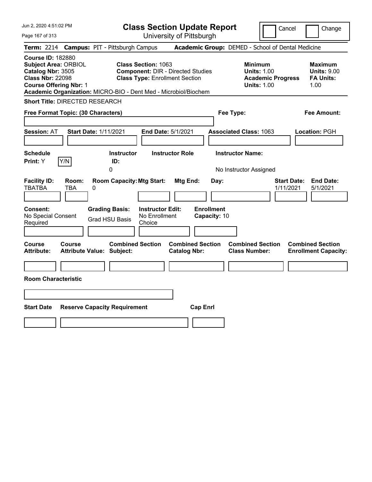| Jun 2, 2020 4:51:02 PM<br>Page 167 of 313                                                                                                                                                                   | <b>Class Section Update Report</b><br>University of Pittsburgh                                                  | Change<br>Cancel                                                                                                                                           |
|-------------------------------------------------------------------------------------------------------------------------------------------------------------------------------------------------------------|-----------------------------------------------------------------------------------------------------------------|------------------------------------------------------------------------------------------------------------------------------------------------------------|
| Term: 2214 Campus: PIT - Pittsburgh Campus                                                                                                                                                                  |                                                                                                                 | Academic Group: DEMED - School of Dental Medicine                                                                                                          |
| <b>Course ID: 182880</b><br><b>Subject Area: ORBIOL</b><br>Catalog Nbr: 3505<br><b>Class Nbr: 22098</b><br><b>Course Offering Nbr: 1</b><br>Academic Organization: MICRO-BIO - Dent Med - Microbiol/Biochem | <b>Class Section: 1063</b><br><b>Component: DIR - Directed Studies</b><br><b>Class Type: Enrollment Section</b> | <b>Minimum</b><br><b>Maximum</b><br><b>Units: 1.00</b><br><b>Units: 9.00</b><br><b>FA Units:</b><br><b>Academic Progress</b><br><b>Units: 1.00</b><br>1.00 |
| <b>Short Title: DIRECTED RESEARCH</b>                                                                                                                                                                       |                                                                                                                 |                                                                                                                                                            |
| Free Format Topic: (30 Characters)                                                                                                                                                                          | Fee Type:                                                                                                       | <b>Fee Amount:</b>                                                                                                                                         |
| <b>Session: AT</b><br><b>Start Date: 1/11/2021</b>                                                                                                                                                          | <b>Associated Class: 1063</b><br><b>End Date: 5/1/2021</b>                                                      | Location: PGH                                                                                                                                              |
| <b>Schedule</b><br>Y/N<br>Print: Y<br>ID:<br>0                                                                                                                                                              | <b>Instructor Role</b><br><b>Instructor Name:</b><br><b>Instructor</b>                                          | No Instructor Assigned                                                                                                                                     |
| <b>Facility ID:</b><br>Room:<br><b>TBATBA</b><br>TBA<br>0                                                                                                                                                   | <b>Room Capacity: Mtg Start:</b><br>Mtg End:<br>Day:                                                            | <b>Start Date:</b><br><b>End Date:</b><br>1/11/2021<br>5/1/2021                                                                                            |
| <b>Consent:</b><br><b>Grading Basis:</b><br>No Special Consent<br><b>Grad HSU Basis</b><br>Required                                                                                                         | <b>Instructor Edit:</b><br><b>Enrollment</b><br>No Enrollment<br>Capacity: 10<br>Choice                         |                                                                                                                                                            |
| Course<br>Course<br><b>Attribute:</b><br><b>Attribute Value: Subject:</b>                                                                                                                                   | <b>Combined Section</b><br><b>Combined Section</b><br><b>Catalog Nbr:</b>                                       | <b>Combined Section</b><br><b>Combined Section</b><br><b>Class Number:</b><br><b>Enrollment Capacity:</b>                                                  |
|                                                                                                                                                                                                             |                                                                                                                 |                                                                                                                                                            |
| <b>Room Characteristic</b>                                                                                                                                                                                  |                                                                                                                 |                                                                                                                                                            |
|                                                                                                                                                                                                             |                                                                                                                 |                                                                                                                                                            |
| <b>Start Date</b><br><b>Reserve Capacity Requirement</b>                                                                                                                                                    | <b>Cap Enrl</b>                                                                                                 |                                                                                                                                                            |
|                                                                                                                                                                                                             |                                                                                                                 |                                                                                                                                                            |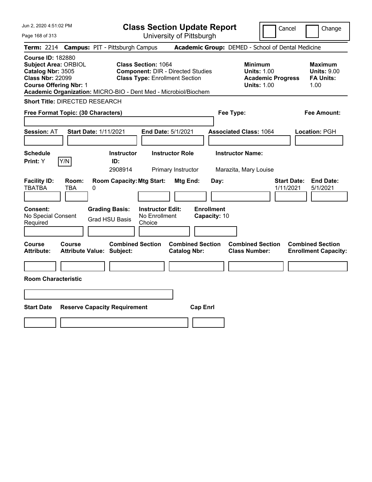| Jun 2, 2020 4:51:02 PM<br>Page 168 of 313                                                                                                | <b>Class Section Update Report</b><br>University of Pittsburgh                                                                                                                     | Cancel<br>Change                                                                                                                                           |
|------------------------------------------------------------------------------------------------------------------------------------------|------------------------------------------------------------------------------------------------------------------------------------------------------------------------------------|------------------------------------------------------------------------------------------------------------------------------------------------------------|
| Term: 2214 Campus: PIT - Pittsburgh Campus                                                                                               |                                                                                                                                                                                    | Academic Group: DEMED - School of Dental Medicine                                                                                                          |
| <b>Course ID: 182880</b><br><b>Subject Area: ORBIOL</b><br>Catalog Nbr: 3505<br><b>Class Nbr: 22099</b><br><b>Course Offering Nbr: 1</b> | <b>Class Section: 1064</b><br><b>Component: DIR - Directed Studies</b><br><b>Class Type: Enrollment Section</b><br>Academic Organization: MICRO-BIO - Dent Med - Microbiol/Biochem | <b>Minimum</b><br><b>Maximum</b><br><b>Units: 1.00</b><br><b>Units: 9.00</b><br><b>Academic Progress</b><br><b>FA Units:</b><br><b>Units: 1.00</b><br>1.00 |
| <b>Short Title: DIRECTED RESEARCH</b>                                                                                                    |                                                                                                                                                                                    |                                                                                                                                                            |
| Free Format Topic: (30 Characters)                                                                                                       | Fee Type:                                                                                                                                                                          | <b>Fee Amount:</b>                                                                                                                                         |
| <b>Session: AT</b><br><b>Start Date: 1/11/2021</b>                                                                                       | End Date: 5/1/2021                                                                                                                                                                 | <b>Associated Class: 1064</b><br>Location: PGH                                                                                                             |
| <b>Schedule</b><br>Y/N<br>Print: Y<br>ID:                                                                                                | <b>Instructor</b><br><b>Instructor Role</b><br><b>Instructor Name:</b><br>2908914<br>Primary Instructor                                                                            | Marazita, Mary Louise                                                                                                                                      |
| <b>Facility ID:</b><br>Room:<br><b>TBATBA</b><br>TBA<br>0                                                                                | <b>Room Capacity: Mtg Start:</b><br>Mtg End:<br>Day:                                                                                                                               | <b>Start Date:</b><br><b>End Date:</b><br>5/1/2021<br>1/11/2021                                                                                            |
| <b>Grading Basis:</b><br><b>Consent:</b><br>No Special Consent<br><b>Grad HSU Basis</b><br>Required                                      | <b>Enrollment</b><br><b>Instructor Edit:</b><br>No Enrollment<br>Capacity: 10<br>Choice                                                                                            |                                                                                                                                                            |
| <b>Course</b><br>Course<br><b>Attribute:</b><br><b>Attribute Value: Subject:</b>                                                         | <b>Combined Section</b><br><b>Combined Section</b><br><b>Catalog Nbr:</b>                                                                                                          | <b>Combined Section</b><br><b>Combined Section</b><br><b>Class Number:</b><br><b>Enrollment Capacity:</b>                                                  |
|                                                                                                                                          |                                                                                                                                                                                    |                                                                                                                                                            |
| <b>Room Characteristic</b>                                                                                                               |                                                                                                                                                                                    |                                                                                                                                                            |
|                                                                                                                                          |                                                                                                                                                                                    |                                                                                                                                                            |
| <b>Start Date</b><br><b>Reserve Capacity Requirement</b>                                                                                 | <b>Cap Enrl</b>                                                                                                                                                                    |                                                                                                                                                            |
|                                                                                                                                          |                                                                                                                                                                                    |                                                                                                                                                            |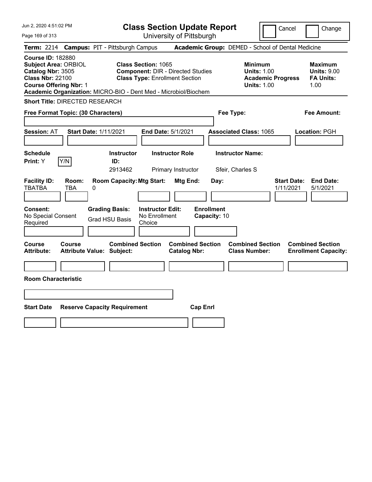| Jun 2, 2020 4:51:02 PM<br>Page 169 of 313                                                                                                | <b>Class Section Update Report</b><br>University of Pittsburgh                                                                                                                     | Cancel<br>Change                                                                                                                                           |
|------------------------------------------------------------------------------------------------------------------------------------------|------------------------------------------------------------------------------------------------------------------------------------------------------------------------------------|------------------------------------------------------------------------------------------------------------------------------------------------------------|
| <b>Campus: PIT - Pittsburgh Campus</b><br><b>Term: 2214</b>                                                                              |                                                                                                                                                                                    | Academic Group: DEMED - School of Dental Medicine                                                                                                          |
| <b>Course ID: 182880</b><br><b>Subject Area: ORBIOL</b><br>Catalog Nbr: 3505<br><b>Class Nbr: 22100</b><br><b>Course Offering Nbr: 1</b> | <b>Class Section: 1065</b><br><b>Component: DIR - Directed Studies</b><br><b>Class Type: Enrollment Section</b><br>Academic Organization: MICRO-BIO - Dent Med - Microbiol/Biochem | <b>Minimum</b><br><b>Maximum</b><br><b>Units: 1.00</b><br><b>Units: 9.00</b><br><b>FA Units:</b><br><b>Academic Progress</b><br><b>Units: 1.00</b><br>1.00 |
| <b>Short Title: DIRECTED RESEARCH</b>                                                                                                    |                                                                                                                                                                                    |                                                                                                                                                            |
| Free Format Topic: (30 Characters)                                                                                                       | Fee Type:                                                                                                                                                                          | Fee Amount:                                                                                                                                                |
| <b>Session: AT</b><br><b>Start Date: 1/11/2021</b>                                                                                       | End Date: 5/1/2021                                                                                                                                                                 | <b>Associated Class: 1065</b><br>Location: PGH                                                                                                             |
| <b>Schedule</b><br>Y/N<br>Print: Y                                                                                                       | <b>Instructor Role</b><br><b>Instructor</b><br>ID:<br>2913462<br>Primary Instructor                                                                                                | <b>Instructor Name:</b><br>Sfeir, Charles S                                                                                                                |
| <b>Facility ID:</b><br>Room:<br><b>TBATBA</b><br>TBA<br>0                                                                                | <b>Room Capacity: Mtg Start:</b><br>Mtg End:<br>Day:                                                                                                                               | <b>Start Date:</b><br><b>End Date:</b><br>1/11/2021<br>5/1/2021                                                                                            |
| <b>Grading Basis:</b><br><b>Consent:</b><br>No Special Consent<br><b>Grad HSU Basis</b><br>Required                                      | <b>Enrollment</b><br><b>Instructor Edit:</b><br>No Enrollment<br>Capacity: 10<br>Choice                                                                                            |                                                                                                                                                            |
| <b>Course</b><br>Course<br><b>Attribute:</b><br><b>Attribute Value: Subject:</b>                                                         | <b>Combined Section</b><br><b>Combined Section</b><br><b>Catalog Nbr:</b>                                                                                                          | <b>Combined Section</b><br><b>Combined Section</b><br><b>Class Number:</b><br><b>Enrollment Capacity:</b>                                                  |
| <b>Room Characteristic</b>                                                                                                               |                                                                                                                                                                                    |                                                                                                                                                            |
|                                                                                                                                          |                                                                                                                                                                                    |                                                                                                                                                            |
|                                                                                                                                          |                                                                                                                                                                                    |                                                                                                                                                            |
| <b>Start Date</b><br><b>Reserve Capacity Requirement</b>                                                                                 | <b>Cap Enrl</b>                                                                                                                                                                    |                                                                                                                                                            |
|                                                                                                                                          |                                                                                                                                                                                    |                                                                                                                                                            |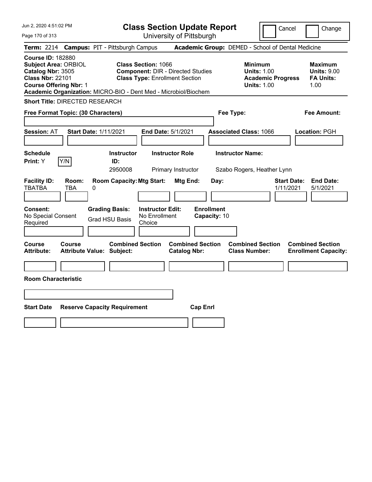| Jun 2, 2020 4:51:02 PM<br>Page 170 of 313                                                                                                | <b>Class Section Update Report</b><br>University of Pittsburgh                                                                                                                     | Cancel                                                                                 | Change                                                           |
|------------------------------------------------------------------------------------------------------------------------------------------|------------------------------------------------------------------------------------------------------------------------------------------------------------------------------------|----------------------------------------------------------------------------------------|------------------------------------------------------------------|
| Term: 2214 Campus: PIT - Pittsburgh Campus                                                                                               |                                                                                                                                                                                    | Academic Group: DEMED - School of Dental Medicine                                      |                                                                  |
| <b>Course ID: 182880</b><br><b>Subject Area: ORBIOL</b><br>Catalog Nbr: 3505<br><b>Class Nbr: 22101</b><br><b>Course Offering Nbr: 1</b> | <b>Class Section: 1066</b><br><b>Component: DIR - Directed Studies</b><br><b>Class Type: Enrollment Section</b><br>Academic Organization: MICRO-BIO - Dent Med - Microbiol/Biochem | <b>Minimum</b><br><b>Units: 1.00</b><br><b>Academic Progress</b><br><b>Units: 1.00</b> | <b>Maximum</b><br><b>Units: 9.00</b><br><b>FA Units:</b><br>1.00 |
| <b>Short Title: DIRECTED RESEARCH</b>                                                                                                    |                                                                                                                                                                                    |                                                                                        |                                                                  |
| Free Format Topic: (30 Characters)                                                                                                       |                                                                                                                                                                                    | Fee Type:                                                                              | <b>Fee Amount:</b>                                               |
| <b>Start Date: 1/11/2021</b><br><b>Session: AT</b>                                                                                       | End Date: 5/1/2021                                                                                                                                                                 | <b>Associated Class: 1066</b>                                                          | Location: PGH                                                    |
| <b>Schedule</b><br>Y/N<br>Print: Y                                                                                                       | <b>Instructor Role</b><br><b>Instructor</b><br>ID:<br>2950008<br>Primary Instructor                                                                                                | <b>Instructor Name:</b><br>Szabo Rogers, Heather Lynn                                  |                                                                  |
| <b>Facility ID:</b><br>Room:<br><b>TBATBA</b><br>TBA<br>0                                                                                | <b>Room Capacity: Mtg Start:</b><br>Mtg End:<br>Day:                                                                                                                               | <b>Start Date:</b><br>1/11/2021                                                        | <b>End Date:</b><br>5/1/2021                                     |
| <b>Grading Basis:</b><br><b>Consent:</b><br>No Special Consent<br><b>Grad HSU Basis</b><br>Required                                      | <b>Instructor Edit:</b><br><b>Enrollment</b><br>No Enrollment<br>Capacity: 10<br>Choice                                                                                            |                                                                                        |                                                                  |
| <b>Course</b><br><b>Course</b><br><b>Attribute:</b><br><b>Attribute Value: Subject:</b>                                                  | <b>Combined Section</b><br><b>Combined Section</b><br><b>Catalog Nbr:</b>                                                                                                          | <b>Combined Section</b><br><b>Class Number:</b>                                        | <b>Combined Section</b><br><b>Enrollment Capacity:</b>           |
|                                                                                                                                          |                                                                                                                                                                                    |                                                                                        |                                                                  |
| <b>Room Characteristic</b>                                                                                                               |                                                                                                                                                                                    |                                                                                        |                                                                  |
|                                                                                                                                          |                                                                                                                                                                                    |                                                                                        |                                                                  |
| <b>Start Date</b><br><b>Reserve Capacity Requirement</b>                                                                                 | <b>Cap Enrl</b>                                                                                                                                                                    |                                                                                        |                                                                  |
|                                                                                                                                          |                                                                                                                                                                                    |                                                                                        |                                                                  |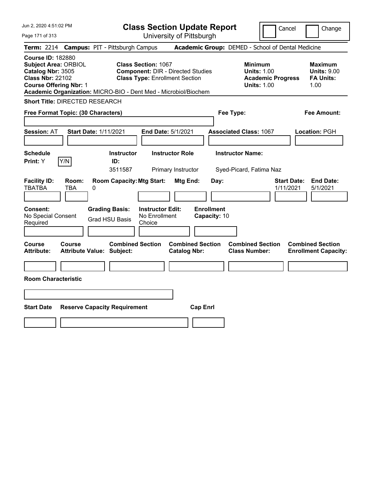| Jun 2, 2020 4:51:02 PM<br>Page 171 of 313                                                                                                | <b>Class Section Update Report</b><br>University of Pittsburgh                                                                                                                     |                                                    | Cancel                                                                                 | Change                                                           |
|------------------------------------------------------------------------------------------------------------------------------------------|------------------------------------------------------------------------------------------------------------------------------------------------------------------------------------|----------------------------------------------------|----------------------------------------------------------------------------------------|------------------------------------------------------------------|
| <b>Term: 2214</b>                                                                                                                        | <b>Campus: PIT - Pittsburgh Campus</b>                                                                                                                                             | Academic Group: DEMED - School of Dental Medicine  |                                                                                        |                                                                  |
| <b>Course ID: 182880</b><br><b>Subject Area: ORBIOL</b><br>Catalog Nbr: 3505<br><b>Class Nbr: 22102</b><br><b>Course Offering Nbr: 1</b> | <b>Class Section: 1067</b><br><b>Component: DIR - Directed Studies</b><br><b>Class Type: Enrollment Section</b><br>Academic Organization: MICRO-BIO - Dent Med - Microbiol/Biochem |                                                    | <b>Minimum</b><br><b>Units: 1.00</b><br><b>Academic Progress</b><br><b>Units: 1.00</b> | <b>Maximum</b><br><b>Units: 9.00</b><br><b>FA Units:</b><br>1.00 |
| <b>Short Title: DIRECTED RESEARCH</b>                                                                                                    |                                                                                                                                                                                    |                                                    |                                                                                        |                                                                  |
| Free Format Topic: (30 Characters)                                                                                                       |                                                                                                                                                                                    | Fee Type:                                          |                                                                                        | Fee Amount:                                                      |
| <b>Session: AT</b><br><b>Start Date: 1/11/2021</b>                                                                                       | End Date: 5/1/2021                                                                                                                                                                 | <b>Associated Class: 1067</b>                      |                                                                                        | Location: PGH                                                    |
| <b>Schedule</b><br>Y/N<br>Print: Y                                                                                                       | <b>Instructor Role</b><br><b>Instructor</b><br>ID:<br>3511587<br>Primary Instructor                                                                                                | <b>Instructor Name:</b><br>Syed-Picard, Fatima Naz |                                                                                        |                                                                  |
| <b>Facility ID:</b><br>Room:<br><b>TBATBA</b><br>TBA<br>0                                                                                | <b>Room Capacity: Mtg Start:</b><br>Mtg End:                                                                                                                                       | Day:                                               | <b>Start Date:</b><br>1/11/2021                                                        | <b>End Date:</b><br>5/1/2021                                     |
| <b>Consent:</b><br>No Special Consent<br>Required                                                                                        | <b>Grading Basis:</b><br><b>Instructor Edit:</b><br>No Enrollment<br><b>Grad HSU Basis</b><br>Choice                                                                               | <b>Enrollment</b><br>Capacity: 10                  |                                                                                        |                                                                  |
| <b>Course</b><br>Course<br><b>Attribute:</b><br><b>Attribute Value: Subject:</b>                                                         | <b>Combined Section</b><br><b>Catalog Nbr:</b>                                                                                                                                     | <b>Combined Section</b><br><b>Class Number:</b>    | <b>Combined Section</b>                                                                | <b>Combined Section</b><br><b>Enrollment Capacity:</b>           |
| <b>Room Characteristic</b>                                                                                                               |                                                                                                                                                                                    |                                                    |                                                                                        |                                                                  |
|                                                                                                                                          |                                                                                                                                                                                    |                                                    |                                                                                        |                                                                  |
|                                                                                                                                          |                                                                                                                                                                                    |                                                    |                                                                                        |                                                                  |
| <b>Start Date</b><br><b>Reserve Capacity Requirement</b>                                                                                 |                                                                                                                                                                                    | <b>Cap Enrl</b>                                    |                                                                                        |                                                                  |
|                                                                                                                                          |                                                                                                                                                                                    |                                                    |                                                                                        |                                                                  |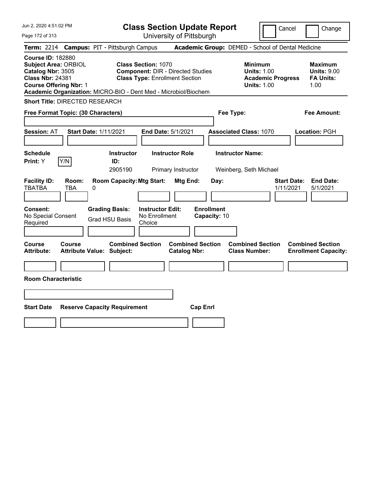| Jun 2, 2020 4:51:02 PM                                                                                                                   | <b>Class Section Update Report</b>                                                                                                                                                 |                                                   | Cancel                                                                                 | Change                                                           |
|------------------------------------------------------------------------------------------------------------------------------------------|------------------------------------------------------------------------------------------------------------------------------------------------------------------------------------|---------------------------------------------------|----------------------------------------------------------------------------------------|------------------------------------------------------------------|
| Page 172 of 313                                                                                                                          | University of Pittsburgh                                                                                                                                                           |                                                   |                                                                                        |                                                                  |
| <b>Term: 2214</b>                                                                                                                        | <b>Campus: PIT - Pittsburgh Campus</b>                                                                                                                                             | Academic Group: DEMED - School of Dental Medicine |                                                                                        |                                                                  |
| <b>Course ID: 182880</b><br><b>Subject Area: ORBIOL</b><br>Catalog Nbr: 3505<br><b>Class Nbr: 24381</b><br><b>Course Offering Nbr: 1</b> | <b>Class Section: 1070</b><br><b>Component: DIR - Directed Studies</b><br><b>Class Type: Enrollment Section</b><br>Academic Organization: MICRO-BIO - Dent Med - Microbiol/Biochem |                                                   | <b>Minimum</b><br><b>Units: 1.00</b><br><b>Academic Progress</b><br><b>Units: 1.00</b> | <b>Maximum</b><br><b>Units: 9.00</b><br><b>FA Units:</b><br>1.00 |
| <b>Short Title: DIRECTED RESEARCH</b>                                                                                                    |                                                                                                                                                                                    |                                                   |                                                                                        |                                                                  |
| Free Format Topic: (30 Characters)                                                                                                       |                                                                                                                                                                                    | Fee Type:                                         |                                                                                        | Fee Amount:                                                      |
| <b>Session: AT</b><br><b>Start Date: 1/11/2021</b>                                                                                       | End Date: 5/1/2021                                                                                                                                                                 | <b>Associated Class: 1070</b>                     |                                                                                        | Location: PGH                                                    |
| <b>Schedule</b><br>Y/N<br>Print: Y                                                                                                       | <b>Instructor Role</b><br><b>Instructor</b><br>ID:<br>2905190<br>Primary Instructor                                                                                                | <b>Instructor Name:</b><br>Weinberg, Seth Michael |                                                                                        |                                                                  |
| <b>Facility ID:</b><br>Room:<br><b>TBATBA</b><br>TBA<br>0                                                                                | <b>Room Capacity: Mtg Start:</b><br><b>Mtg End:</b>                                                                                                                                | Day:                                              | <b>Start Date:</b><br>1/11/2021                                                        | <b>End Date:</b><br>5/1/2021                                     |
| Consent:<br>No Special Consent<br>Required                                                                                               | <b>Grading Basis:</b><br><b>Instructor Edit:</b><br>No Enrollment<br><b>Grad HSU Basis</b><br>Choice                                                                               | <b>Enrollment</b><br>Capacity: 10                 |                                                                                        |                                                                  |
| <b>Course</b><br>Course<br>Attribute Value: Subject:<br><b>Attribute:</b>                                                                | <b>Combined Section</b><br><b>Combined Section</b><br><b>Catalog Nbr:</b>                                                                                                          | <b>Combined Section</b><br><b>Class Number:</b>   |                                                                                        | <b>Combined Section</b><br><b>Enrollment Capacity:</b>           |
|                                                                                                                                          |                                                                                                                                                                                    |                                                   |                                                                                        |                                                                  |
| <b>Room Characteristic</b>                                                                                                               |                                                                                                                                                                                    |                                                   |                                                                                        |                                                                  |
|                                                                                                                                          |                                                                                                                                                                                    |                                                   |                                                                                        |                                                                  |
| <b>Start Date</b><br><b>Reserve Capacity Requirement</b>                                                                                 |                                                                                                                                                                                    | <b>Cap Enrl</b>                                   |                                                                                        |                                                                  |
|                                                                                                                                          |                                                                                                                                                                                    |                                                   |                                                                                        |                                                                  |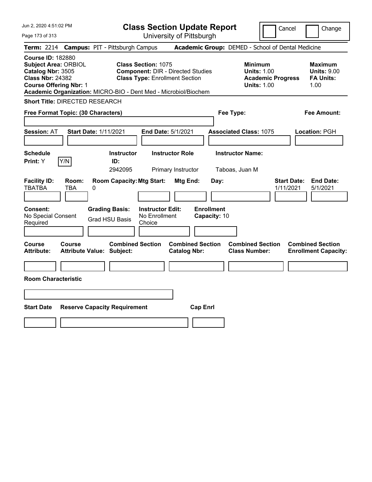| Jun 2, 2020 4:51:02 PM                                                                                                                                                                                      | <b>Class Section Update Report</b>                                                                              |                                                                            | Cancel<br>Change                                                                                                                         |
|-------------------------------------------------------------------------------------------------------------------------------------------------------------------------------------------------------------|-----------------------------------------------------------------------------------------------------------------|----------------------------------------------------------------------------|------------------------------------------------------------------------------------------------------------------------------------------|
| Page 173 of 313                                                                                                                                                                                             | University of Pittsburgh                                                                                        |                                                                            |                                                                                                                                          |
| <b>Term: 2214</b>                                                                                                                                                                                           | <b>Campus: PIT - Pittsburgh Campus</b>                                                                          | Academic Group: DEMED - School of Dental Medicine                          |                                                                                                                                          |
| <b>Course ID: 182880</b><br><b>Subject Area: ORBIOL</b><br>Catalog Nbr: 3505<br><b>Class Nbr: 24382</b><br><b>Course Offering Nbr: 1</b><br>Academic Organization: MICRO-BIO - Dent Med - Microbiol/Biochem | <b>Class Section: 1075</b><br><b>Component: DIR - Directed Studies</b><br><b>Class Type: Enrollment Section</b> | <b>Minimum</b>                                                             | <b>Maximum</b><br><b>Units: 1.00</b><br><b>Units: 9.00</b><br><b>FA Units:</b><br><b>Academic Progress</b><br><b>Units: 1.00</b><br>1.00 |
| <b>Short Title: DIRECTED RESEARCH</b>                                                                                                                                                                       |                                                                                                                 |                                                                            |                                                                                                                                          |
| Free Format Topic: (30 Characters)                                                                                                                                                                          |                                                                                                                 | Fee Type:                                                                  | Fee Amount:                                                                                                                              |
| <b>Start Date: 1/11/2021</b><br><b>Session: AT</b>                                                                                                                                                          | End Date: 5/1/2021                                                                                              | <b>Associated Class: 1075</b>                                              | Location: PGH                                                                                                                            |
| <b>Schedule</b><br>Y/N<br>Print: Y                                                                                                                                                                          | <b>Instructor Role</b><br><b>Instructor</b><br>ID:<br>2942095<br>Primary Instructor                             | <b>Instructor Name:</b><br>Taboas, Juan M                                  |                                                                                                                                          |
| <b>Facility ID:</b><br>Room:<br><b>TBATBA</b><br><b>TBA</b><br>0                                                                                                                                            | <b>Room Capacity: Mtg Start:</b><br>Mtg End:                                                                    | Day:                                                                       | <b>Start Date:</b><br><b>End Date:</b><br>1/11/2021<br>5/1/2021                                                                          |
| Consent:<br><b>Grading Basis:</b><br>No Special Consent<br>Required                                                                                                                                         | <b>Instructor Edit:</b><br>No Enrollment<br><b>Grad HSU Basis</b><br>Choice                                     | <b>Enrollment</b><br>Capacity: 10                                          |                                                                                                                                          |
| <b>Course</b><br>Course<br><b>Attribute:</b><br><b>Attribute Value: Subject:</b>                                                                                                                            | <b>Combined Section</b><br><b>Catalog Nbr:</b>                                                                  | <b>Combined Section</b><br><b>Combined Section</b><br><b>Class Number:</b> | <b>Combined Section</b><br><b>Enrollment Capacity:</b>                                                                                   |
|                                                                                                                                                                                                             |                                                                                                                 |                                                                            |                                                                                                                                          |
| <b>Room Characteristic</b>                                                                                                                                                                                  |                                                                                                                 |                                                                            |                                                                                                                                          |
|                                                                                                                                                                                                             |                                                                                                                 |                                                                            |                                                                                                                                          |
| <b>Start Date</b><br><b>Reserve Capacity Requirement</b>                                                                                                                                                    |                                                                                                                 | <b>Cap Enrl</b>                                                            |                                                                                                                                          |
|                                                                                                                                                                                                             |                                                                                                                 |                                                                            |                                                                                                                                          |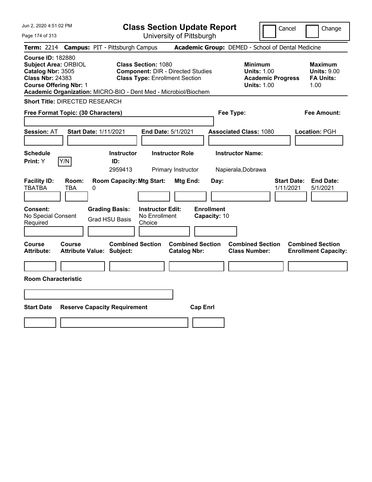| Jun 2, 2020 4:51:02 PM<br>Page 174 of 313                                                                                                | <b>Class Section Update Report</b><br>University of Pittsburgh                                                                                                                     | Cancel<br>Change                                                                                                                                           |
|------------------------------------------------------------------------------------------------------------------------------------------|------------------------------------------------------------------------------------------------------------------------------------------------------------------------------------|------------------------------------------------------------------------------------------------------------------------------------------------------------|
| <b>Campus: PIT - Pittsburgh Campus</b><br><b>Term:</b> 2214                                                                              |                                                                                                                                                                                    | Academic Group: DEMED - School of Dental Medicine                                                                                                          |
| <b>Course ID: 182880</b><br><b>Subject Area: ORBIOL</b><br>Catalog Nbr: 3505<br><b>Class Nbr: 24383</b><br><b>Course Offering Nbr: 1</b> | <b>Class Section: 1080</b><br><b>Component: DIR - Directed Studies</b><br><b>Class Type: Enrollment Section</b><br>Academic Organization: MICRO-BIO - Dent Med - Microbiol/Biochem | <b>Minimum</b><br><b>Maximum</b><br><b>Units: 1.00</b><br><b>Units: 9.00</b><br><b>Academic Progress</b><br><b>FA Units:</b><br><b>Units: 1.00</b><br>1.00 |
| <b>Short Title: DIRECTED RESEARCH</b>                                                                                                    |                                                                                                                                                                                    |                                                                                                                                                            |
| Free Format Topic: (30 Characters)                                                                                                       | Fee Type:                                                                                                                                                                          | Fee Amount:                                                                                                                                                |
| <b>Session: AT</b><br><b>Start Date: 1/11/2021</b>                                                                                       | End Date: 5/1/2021                                                                                                                                                                 | <b>Associated Class: 1080</b><br>Location: PGH                                                                                                             |
| <b>Schedule</b><br>Y/N<br>Print: Y                                                                                                       | <b>Instructor Role</b><br><b>Instructor</b><br>ID:<br>2959413<br>Primary Instructor                                                                                                | <b>Instructor Name:</b><br>Napierala, Dobrawa                                                                                                              |
| <b>Facility ID:</b><br>Room:<br><b>TBATBA</b><br><b>TBA</b><br>0                                                                         | <b>Room Capacity: Mtg Start:</b><br>Mtg End:<br>Day:                                                                                                                               | <b>End Date:</b><br><b>Start Date:</b><br>1/11/2021<br>5/1/2021                                                                                            |
| <b>Consent:</b><br><b>Grading Basis:</b><br>No Special Consent<br><b>Grad HSU Basis</b><br>Required                                      | <b>Enrollment</b><br><b>Instructor Edit:</b><br>No Enrollment<br>Capacity: 10<br>Choice                                                                                            |                                                                                                                                                            |
| Course<br>Course<br><b>Attribute:</b><br><b>Attribute Value: Subject:</b>                                                                | <b>Combined Section</b><br><b>Combined Section</b><br><b>Catalog Nbr:</b>                                                                                                          | <b>Combined Section</b><br><b>Combined Section</b><br><b>Class Number:</b><br><b>Enrollment Capacity:</b>                                                  |
| <b>Room Characteristic</b>                                                                                                               |                                                                                                                                                                                    |                                                                                                                                                            |
|                                                                                                                                          |                                                                                                                                                                                    |                                                                                                                                                            |
|                                                                                                                                          |                                                                                                                                                                                    |                                                                                                                                                            |
| <b>Start Date</b><br><b>Reserve Capacity Requirement</b>                                                                                 | <b>Cap Enrl</b>                                                                                                                                                                    |                                                                                                                                                            |
|                                                                                                                                          |                                                                                                                                                                                    |                                                                                                                                                            |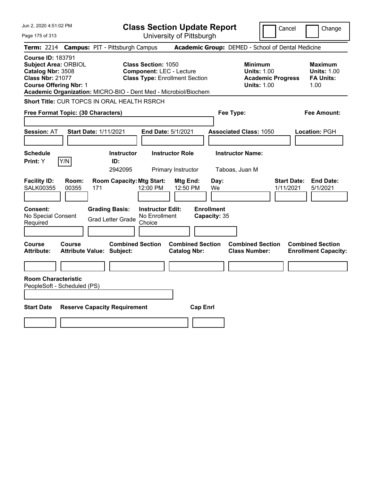| Jun 2, 2020 4:51:02 PM                                                                                                                                                                                      |                                                          | <b>Class Section Update Report</b>                                                                     |                                                |                                                 |                                                                                        | Cancel<br>Change                                                 |
|-------------------------------------------------------------------------------------------------------------------------------------------------------------------------------------------------------------|----------------------------------------------------------|--------------------------------------------------------------------------------------------------------|------------------------------------------------|-------------------------------------------------|----------------------------------------------------------------------------------------|------------------------------------------------------------------|
| Page 175 of 313                                                                                                                                                                                             |                                                          |                                                                                                        | University of Pittsburgh                       |                                                 |                                                                                        |                                                                  |
| <b>Term: 2214</b>                                                                                                                                                                                           | <b>Campus: PIT - Pittsburgh Campus</b>                   |                                                                                                        |                                                |                                                 | Academic Group: DEMED - School of Dental Medicine                                      |                                                                  |
| <b>Course ID: 183791</b><br><b>Subject Area: ORBIOL</b><br>Catalog Nbr: 3508<br><b>Class Nbr: 21077</b><br><b>Course Offering Nbr: 1</b><br>Academic Organization: MICRO-BIO - Dent Med - Microbiol/Biochem |                                                          | <b>Class Section: 1050</b><br><b>Component: LEC - Lecture</b><br><b>Class Type: Enrollment Section</b> |                                                |                                                 | <b>Minimum</b><br><b>Units: 1.00</b><br><b>Academic Progress</b><br><b>Units: 1.00</b> | <b>Maximum</b><br><b>Units: 1.00</b><br><b>FA Units:</b><br>1.00 |
| Short Title: CUR TOPCS IN ORAL HEALTH RSRCH                                                                                                                                                                 |                                                          |                                                                                                        |                                                |                                                 |                                                                                        |                                                                  |
| Free Format Topic: (30 Characters)                                                                                                                                                                          |                                                          |                                                                                                        |                                                | Fee Type:                                       |                                                                                        | Fee Amount:                                                      |
| <b>Session: AT</b>                                                                                                                                                                                          | <b>Start Date: 1/11/2021</b>                             |                                                                                                        | End Date: 5/1/2021                             |                                                 | <b>Associated Class: 1050</b>                                                          | Location: PGH                                                    |
| <b>Schedule</b><br>Y/N<br>Print: Y                                                                                                                                                                          | ID:                                                      | <b>Instructor</b><br>2942095                                                                           | <b>Instructor Role</b><br>Primary Instructor   | Taboas, Juan M                                  | <b>Instructor Name:</b>                                                                |                                                                  |
| <b>Facility ID:</b><br>Room:<br><b>SALK00355</b><br>00355<br><b>Consent:</b><br>No Special Consent<br>Required                                                                                              | 171<br><b>Grading Basis:</b><br><b>Grad Letter Grade</b> | <b>Room Capacity: Mtg Start:</b><br>12:00 PM<br><b>Instructor Edit:</b><br>No Enrollment<br>Choice     | Mtg End:<br>12:50 PM                           | Day:<br>We<br><b>Enrollment</b><br>Capacity: 35 |                                                                                        | <b>Start Date:</b><br><b>End Date:</b><br>1/11/2021<br>5/1/2021  |
| Course<br><b>Course</b><br><b>Attribute:</b>                                                                                                                                                                | <b>Attribute Value: Subject:</b>                         | <b>Combined Section</b>                                                                                | <b>Combined Section</b><br><b>Catalog Nbr:</b> |                                                 | <b>Combined Section</b><br><b>Class Number:</b>                                        | <b>Combined Section</b><br><b>Enrollment Capacity:</b>           |
| <b>Room Characteristic</b><br>PeopleSoft - Scheduled (PS)                                                                                                                                                   |                                                          |                                                                                                        |                                                |                                                 |                                                                                        |                                                                  |
| <b>Start Date</b>                                                                                                                                                                                           | <b>Reserve Capacity Requirement</b>                      |                                                                                                        | <b>Cap Enrl</b>                                |                                                 |                                                                                        |                                                                  |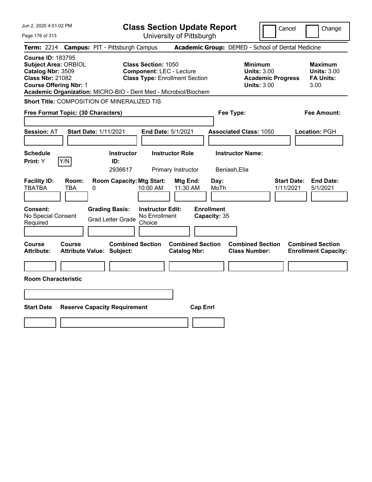| Jun 2, 2020 4:51:02 PM                                                                                                                   |                                                                                                                                                                           | <b>Class Section Update Report</b>             | Cancel                                                                          | Change                                                           |
|------------------------------------------------------------------------------------------------------------------------------------------|---------------------------------------------------------------------------------------------------------------------------------------------------------------------------|------------------------------------------------|---------------------------------------------------------------------------------|------------------------------------------------------------------|
| Page 176 of 313                                                                                                                          |                                                                                                                                                                           | University of Pittsburgh                       |                                                                                 |                                                                  |
| <b>Term: 2214</b>                                                                                                                        | <b>Campus: PIT - Pittsburgh Campus</b>                                                                                                                                    |                                                | Academic Group: DEMED - School of Dental Medicine                               |                                                                  |
| <b>Course ID: 183795</b><br><b>Subject Area: ORBIOL</b><br>Catalog Nbr: 3509<br><b>Class Nbr: 21082</b><br><b>Course Offering Nbr: 1</b> | <b>Class Section: 1050</b><br><b>Component: LEC - Lecture</b><br><b>Class Type: Enrollment Section</b><br>Academic Organization: MICRO-BIO - Dent Med - Microbiol/Biochem |                                                | Minimum<br><b>Units: 3.00</b><br><b>Academic Progress</b><br><b>Units: 3.00</b> | <b>Maximum</b><br><b>Units: 3.00</b><br><b>FA Units:</b><br>3.00 |
|                                                                                                                                          | <b>Short Title: COMPOSITION OF MINERALIZED TIS</b>                                                                                                                        |                                                |                                                                                 |                                                                  |
| Free Format Topic: (30 Characters)                                                                                                       |                                                                                                                                                                           |                                                | Fee Type:                                                                       | Fee Amount:                                                      |
| <b>Session: AT</b>                                                                                                                       | <b>Start Date: 1/11/2021</b>                                                                                                                                              | <b>End Date: 5/1/2021</b>                      | <b>Associated Class: 1050</b>                                                   | Location: PGH                                                    |
| <b>Schedule</b><br>Y/N<br><b>Print:</b> Y                                                                                                | <b>Instructor</b><br>ID:<br>2936617                                                                                                                                       | <b>Instructor Role</b><br>Primary Instructor   | <b>Instructor Name:</b><br>Beniash, Elia                                        |                                                                  |
| <b>Facility ID:</b><br>Room:<br><b>TBATBA</b><br><b>TBA</b>                                                                              | <b>Room Capacity: Mtg Start:</b><br>0<br>10:00 AM                                                                                                                         | Mtg End:<br>Day:<br>11:30 AM<br>MoTh           | 1/11/2021                                                                       | <b>End Date:</b><br><b>Start Date:</b><br>5/1/2021               |
| Consent:<br>No Special Consent<br>Required                                                                                               | <b>Grading Basis:</b><br><b>Instructor Edit:</b><br>No Enrollment<br><b>Grad Letter Grade</b><br>Choice                                                                   | <b>Enrollment</b><br>Capacity: 35              |                                                                                 |                                                                  |
| Course<br>Course<br>Attribute:                                                                                                           | <b>Combined Section</b><br><b>Attribute Value: Subject:</b>                                                                                                               | <b>Combined Section</b><br><b>Catalog Nbr:</b> | <b>Combined Section</b><br><b>Class Number:</b>                                 | <b>Combined Section</b><br><b>Enrollment Capacity:</b>           |
|                                                                                                                                          |                                                                                                                                                                           |                                                |                                                                                 |                                                                  |
| <b>Room Characteristic</b>                                                                                                               |                                                                                                                                                                           |                                                |                                                                                 |                                                                  |
|                                                                                                                                          |                                                                                                                                                                           |                                                |                                                                                 |                                                                  |
| <b>Start Date</b>                                                                                                                        | <b>Reserve Capacity Requirement</b>                                                                                                                                       | <b>Cap Enrl</b>                                |                                                                                 |                                                                  |
|                                                                                                                                          |                                                                                                                                                                           |                                                |                                                                                 |                                                                  |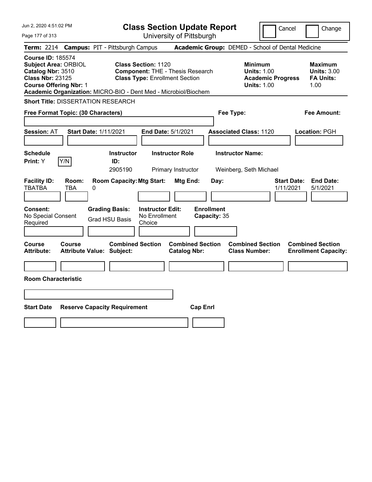| Jun 2, 2020 4:51:02 PM                                                                                                                                                                                      |                                                                                                                | <b>Class Section Update Report</b>             |                                                                                        | Cancel<br>Change                                                 |
|-------------------------------------------------------------------------------------------------------------------------------------------------------------------------------------------------------------|----------------------------------------------------------------------------------------------------------------|------------------------------------------------|----------------------------------------------------------------------------------------|------------------------------------------------------------------|
| Page 177 of 313                                                                                                                                                                                             |                                                                                                                | University of Pittsburgh                       |                                                                                        |                                                                  |
| <b>Term: 2214</b>                                                                                                                                                                                           | <b>Campus: PIT - Pittsburgh Campus</b>                                                                         |                                                | Academic Group: DEMED - School of Dental Medicine                                      |                                                                  |
| <b>Course ID: 185574</b><br><b>Subject Area: ORBIOL</b><br>Catalog Nbr: 3510<br><b>Class Nbr: 23125</b><br><b>Course Offering Nbr: 1</b><br>Academic Organization: MICRO-BIO - Dent Med - Microbiol/Biochem | <b>Class Section: 1120</b><br><b>Component: THE - Thesis Research</b><br><b>Class Type: Enrollment Section</b> |                                                | <b>Minimum</b><br><b>Units: 1.00</b><br><b>Academic Progress</b><br><b>Units: 1.00</b> | <b>Maximum</b><br><b>Units: 3.00</b><br><b>FA Units:</b><br>1.00 |
| <b>Short Title: DISSERTATION RESEARCH</b>                                                                                                                                                                   |                                                                                                                |                                                |                                                                                        |                                                                  |
| Free Format Topic: (30 Characters)                                                                                                                                                                          |                                                                                                                |                                                | Fee Type:                                                                              | Fee Amount:                                                      |
| <b>Start Date: 1/11/2021</b><br><b>Session: AT</b><br><b>Schedule</b><br>Y/N<br>Print: Y                                                                                                                    | End Date: 5/1/2021<br><b>Instructor</b><br>ID:<br>2905190                                                      | <b>Instructor Role</b><br>Primary Instructor   | <b>Associated Class: 1120</b><br><b>Instructor Name:</b><br>Weinberg, Seth Michael     | Location: PGH                                                    |
| <b>Facility ID:</b><br>Room:<br><b>TBATBA</b><br>0<br>TBA                                                                                                                                                   | <b>Room Capacity: Mtg Start:</b>                                                                               | Mtg End:<br>Day:                               |                                                                                        | <b>Start Date:</b><br><b>End Date:</b><br>1/11/2021<br>5/1/2021  |
| <b>Consent:</b><br>No Special Consent<br>Required                                                                                                                                                           | <b>Instructor Edit:</b><br><b>Grading Basis:</b><br>No Enrollment<br><b>Grad HSU Basis</b><br>Choice           | <b>Enrollment</b><br>Capacity: 35              |                                                                                        |                                                                  |
| <b>Course</b><br><b>Course</b><br><b>Attribute:</b><br>Attribute Value: Subject:                                                                                                                            | <b>Combined Section</b>                                                                                        | <b>Combined Section</b><br><b>Catalog Nbr:</b> | <b>Combined Section</b><br><b>Class Number:</b>                                        | <b>Combined Section</b><br><b>Enrollment Capacity:</b>           |
|                                                                                                                                                                                                             |                                                                                                                |                                                |                                                                                        |                                                                  |
| <b>Room Characteristic</b>                                                                                                                                                                                  |                                                                                                                |                                                |                                                                                        |                                                                  |
|                                                                                                                                                                                                             |                                                                                                                |                                                |                                                                                        |                                                                  |
| <b>Start Date</b><br><b>Reserve Capacity Requirement</b>                                                                                                                                                    |                                                                                                                | <b>Cap Enrl</b>                                |                                                                                        |                                                                  |
|                                                                                                                                                                                                             |                                                                                                                |                                                |                                                                                        |                                                                  |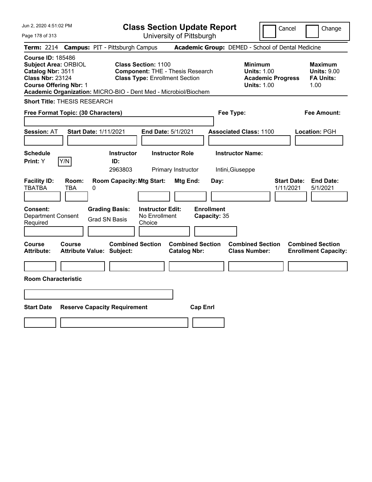| Jun 2, 2020 4:51:02 PM                                                                                                                                                                                      |                                                                                                                | <b>Class Section Update Report</b>             |                                                                                        | Cancel<br>Change                                                 |
|-------------------------------------------------------------------------------------------------------------------------------------------------------------------------------------------------------------|----------------------------------------------------------------------------------------------------------------|------------------------------------------------|----------------------------------------------------------------------------------------|------------------------------------------------------------------|
| Page 178 of 313                                                                                                                                                                                             |                                                                                                                | University of Pittsburgh                       |                                                                                        |                                                                  |
| <b>Term: 2214</b>                                                                                                                                                                                           | <b>Campus: PIT - Pittsburgh Campus</b>                                                                         |                                                | Academic Group: DEMED - School of Dental Medicine                                      |                                                                  |
| <b>Course ID: 185486</b><br><b>Subject Area: ORBIOL</b><br>Catalog Nbr: 3511<br><b>Class Nbr: 23124</b><br><b>Course Offering Nbr: 1</b><br>Academic Organization: MICRO-BIO - Dent Med - Microbiol/Biochem | <b>Class Section: 1100</b><br><b>Component: THE - Thesis Research</b><br><b>Class Type: Enrollment Section</b> |                                                | <b>Minimum</b><br><b>Units: 1.00</b><br><b>Academic Progress</b><br><b>Units: 1.00</b> | <b>Maximum</b><br><b>Units: 9.00</b><br><b>FA Units:</b><br>1.00 |
| <b>Short Title: THESIS RESEARCH</b>                                                                                                                                                                         |                                                                                                                |                                                |                                                                                        |                                                                  |
| Free Format Topic: (30 Characters)                                                                                                                                                                          |                                                                                                                |                                                | Fee Type:                                                                              | <b>Fee Amount:</b>                                               |
| <b>Session: AT</b><br><b>Start Date: 1/11/2021</b>                                                                                                                                                          | End Date: 5/1/2021                                                                                             |                                                | <b>Associated Class: 1100</b>                                                          | Location: PGH                                                    |
| <b>Schedule</b><br>Print: Y<br> Y/N                                                                                                                                                                         | <b>Instructor</b><br>ID:<br>2963803                                                                            | <b>Instructor Role</b><br>Primary Instructor   | <b>Instructor Name:</b><br>Intini, Giuseppe                                            |                                                                  |
| <b>Facility ID:</b><br>Room:<br><b>TBATBA</b><br><b>TBA</b><br>0                                                                                                                                            | <b>Room Capacity: Mtg Start:</b>                                                                               | Mtg End:<br>Day:                               |                                                                                        | <b>Start Date:</b><br><b>End Date:</b><br>5/1/2021<br>1/11/2021  |
| <b>Consent:</b><br><b>Department Consent</b><br>Required                                                                                                                                                    | <b>Instructor Edit:</b><br><b>Grading Basis:</b><br>No Enrollment<br><b>Grad SN Basis</b><br>Choice            | <b>Enrollment</b><br>Capacity: 35              |                                                                                        |                                                                  |
| <b>Course</b><br>Course<br><b>Attribute:</b><br><b>Attribute Value: Subject:</b>                                                                                                                            | <b>Combined Section</b>                                                                                        | <b>Combined Section</b><br><b>Catalog Nbr:</b> | <b>Combined Section</b><br><b>Class Number:</b>                                        | <b>Combined Section</b><br><b>Enrollment Capacity:</b>           |
|                                                                                                                                                                                                             |                                                                                                                |                                                |                                                                                        |                                                                  |
| <b>Room Characteristic</b>                                                                                                                                                                                  |                                                                                                                |                                                |                                                                                        |                                                                  |
|                                                                                                                                                                                                             |                                                                                                                |                                                |                                                                                        |                                                                  |
| <b>Start Date</b><br><b>Reserve Capacity Requirement</b>                                                                                                                                                    |                                                                                                                | <b>Cap Enrl</b>                                |                                                                                        |                                                                  |
|                                                                                                                                                                                                             |                                                                                                                |                                                |                                                                                        |                                                                  |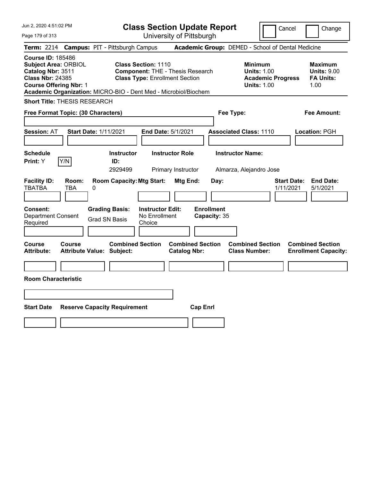| Jun 2, 2020 4:51:02 PM                                                                                                                   | <b>Class Section Update Report</b>                                                                                                                                                | Cancel<br>Change                                                                                                                                           |  |  |
|------------------------------------------------------------------------------------------------------------------------------------------|-----------------------------------------------------------------------------------------------------------------------------------------------------------------------------------|------------------------------------------------------------------------------------------------------------------------------------------------------------|--|--|
| Page 179 of 313                                                                                                                          | University of Pittsburgh                                                                                                                                                          |                                                                                                                                                            |  |  |
| <b>Campus: PIT - Pittsburgh Campus</b><br>Term: 2214                                                                                     |                                                                                                                                                                                   | Academic Group: DEMED - School of Dental Medicine                                                                                                          |  |  |
| <b>Course ID: 185486</b><br><b>Subject Area: ORBIOL</b><br>Catalog Nbr: 3511<br><b>Class Nbr: 24385</b><br><b>Course Offering Nbr: 1</b> | <b>Class Section: 1110</b><br><b>Component: THE - Thesis Research</b><br><b>Class Type: Enrollment Section</b><br>Academic Organization: MICRO-BIO - Dent Med - Microbiol/Biochem | <b>Minimum</b><br><b>Maximum</b><br><b>Units: 1.00</b><br><b>Units: 9.00</b><br><b>Academic Progress</b><br><b>FA Units:</b><br><b>Units: 1.00</b><br>1.00 |  |  |
| <b>Short Title: THESIS RESEARCH</b>                                                                                                      |                                                                                                                                                                                   |                                                                                                                                                            |  |  |
| Free Format Topic: (30 Characters)                                                                                                       |                                                                                                                                                                                   | Fee Type:<br>Fee Amount:                                                                                                                                   |  |  |
| <b>Session: AT</b><br><b>Start Date: 1/11/2021</b><br><b>Schedule</b><br>Y/N<br>Print: Y                                                 | End Date: 5/1/2021<br><b>Instructor Role</b><br><b>Instructor</b><br>ID:<br>2929499<br>Primary Instructor                                                                         | <b>Associated Class: 1110</b><br>Location: PGH<br><b>Instructor Name:</b><br>Almarza, Alejandro Jose                                                       |  |  |
| <b>Facility ID:</b><br>Room:<br><b>TBATBA</b><br>TBA<br>0                                                                                | <b>Room Capacity: Mtg Start:</b><br><b>Mtg End:</b><br>Day:                                                                                                                       | <b>End Date:</b><br><b>Start Date:</b><br>1/11/2021<br>5/1/2021                                                                                            |  |  |
| <b>Consent:</b><br><b>Grading Basis:</b><br><b>Department Consent</b><br><b>Grad SN Basis</b><br>Required                                | <b>Instructor Edit:</b><br><b>Enrollment</b><br>No Enrollment<br>Capacity: 35<br>Choice                                                                                           |                                                                                                                                                            |  |  |
| <b>Course</b><br><b>Course</b><br><b>Attribute:</b><br><b>Attribute Value: Subject:</b>                                                  | <b>Combined Section</b><br><b>Combined Section</b><br><b>Catalog Nbr:</b>                                                                                                         | <b>Combined Section</b><br><b>Combined Section</b><br><b>Class Number:</b><br><b>Enrollment Capacity:</b>                                                  |  |  |
|                                                                                                                                          |                                                                                                                                                                                   |                                                                                                                                                            |  |  |
| <b>Room Characteristic</b>                                                                                                               |                                                                                                                                                                                   |                                                                                                                                                            |  |  |
|                                                                                                                                          |                                                                                                                                                                                   |                                                                                                                                                            |  |  |
| <b>Reserve Capacity Requirement</b>                                                                                                      |                                                                                                                                                                                   |                                                                                                                                                            |  |  |
|                                                                                                                                          |                                                                                                                                                                                   |                                                                                                                                                            |  |  |
|                                                                                                                                          |                                                                                                                                                                                   |                                                                                                                                                            |  |  |
| <b>Start Date</b>                                                                                                                        | <b>Cap Enrl</b>                                                                                                                                                                   |                                                                                                                                                            |  |  |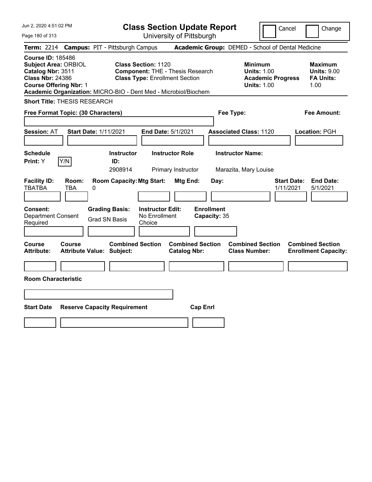| Jun 2, 2020 4:51:02 PM                                                                                                                   | <b>Class Section Update Report</b>                                                                                                                                                | Cancel<br>Change                                                                                                                                           |
|------------------------------------------------------------------------------------------------------------------------------------------|-----------------------------------------------------------------------------------------------------------------------------------------------------------------------------------|------------------------------------------------------------------------------------------------------------------------------------------------------------|
| Page 180 of 313                                                                                                                          | University of Pittsburgh                                                                                                                                                          |                                                                                                                                                            |
| Term: 2214                                                                                                                               | <b>Campus: PIT - Pittsburgh Campus</b>                                                                                                                                            | Academic Group: DEMED - School of Dental Medicine                                                                                                          |
| <b>Course ID: 185486</b><br><b>Subject Area: ORBIOL</b><br>Catalog Nbr: 3511<br><b>Class Nbr: 24386</b><br><b>Course Offering Nbr: 1</b> | <b>Class Section: 1120</b><br><b>Component: THE - Thesis Research</b><br><b>Class Type: Enrollment Section</b><br>Academic Organization: MICRO-BIO - Dent Med - Microbiol/Biochem | <b>Minimum</b><br><b>Maximum</b><br><b>Units: 1.00</b><br><b>Units: 9.00</b><br><b>Academic Progress</b><br><b>FA Units:</b><br><b>Units: 1.00</b><br>1.00 |
| <b>Short Title: THESIS RESEARCH</b>                                                                                                      |                                                                                                                                                                                   |                                                                                                                                                            |
| Free Format Topic: (30 Characters)                                                                                                       |                                                                                                                                                                                   | Fee Type:<br>Fee Amount:                                                                                                                                   |
| <b>Session: AT</b><br><b>Start Date: 1/11/2021</b><br><b>Schedule</b><br>Y/N<br>Print: Y                                                 | End Date: 5/1/2021<br><b>Instructor Role</b><br><b>Instructor</b><br>ID:<br>2908914<br>Primary Instructor                                                                         | <b>Associated Class: 1120</b><br>Location: PGH<br><b>Instructor Name:</b><br>Marazita, Mary Louise                                                         |
| <b>Facility ID:</b><br>Room:<br><b>TBATBA</b><br>TBA<br>0                                                                                | <b>Room Capacity: Mtg Start:</b><br><b>Mtg End:</b><br>Day:                                                                                                                       | <b>End Date:</b><br><b>Start Date:</b><br>1/11/2021<br>5/1/2021                                                                                            |
| <b>Consent:</b><br><b>Department Consent</b><br><b>Grad SN Basis</b><br>Required                                                         | <b>Instructor Edit:</b><br><b>Enrollment</b><br><b>Grading Basis:</b><br>No Enrollment<br>Capacity: 35<br>Choice                                                                  |                                                                                                                                                            |
| <b>Course</b><br><b>Course</b><br><b>Attribute:</b><br><b>Attribute Value: Subject:</b>                                                  | <b>Combined Section</b><br><b>Combined Section</b><br><b>Catalog Nbr:</b>                                                                                                         | <b>Combined Section</b><br><b>Combined Section</b><br><b>Class Number:</b><br><b>Enrollment Capacity:</b>                                                  |
|                                                                                                                                          |                                                                                                                                                                                   |                                                                                                                                                            |
| <b>Room Characteristic</b>                                                                                                               |                                                                                                                                                                                   |                                                                                                                                                            |
|                                                                                                                                          |                                                                                                                                                                                   |                                                                                                                                                            |
| <b>Start Date</b><br><b>Reserve Capacity Requirement</b>                                                                                 | <b>Cap Enrl</b>                                                                                                                                                                   |                                                                                                                                                            |
|                                                                                                                                          |                                                                                                                                                                                   |                                                                                                                                                            |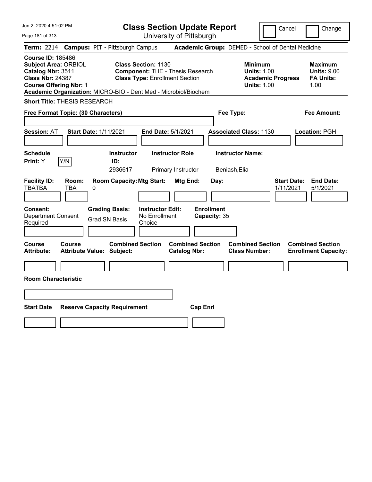| Jun 2, 2020 4:51:02 PM                                                                                                                   | <b>Class Section Update Report</b>                                                                                                                                                | Cancel                                                                                 | Change                                                           |
|------------------------------------------------------------------------------------------------------------------------------------------|-----------------------------------------------------------------------------------------------------------------------------------------------------------------------------------|----------------------------------------------------------------------------------------|------------------------------------------------------------------|
| Page 181 of 313                                                                                                                          | University of Pittsburgh                                                                                                                                                          |                                                                                        |                                                                  |
| <b>Term: 2214</b>                                                                                                                        | <b>Campus: PIT - Pittsburgh Campus</b>                                                                                                                                            | Academic Group: DEMED - School of Dental Medicine                                      |                                                                  |
| <b>Course ID: 185486</b><br><b>Subject Area: ORBIOL</b><br>Catalog Nbr: 3511<br><b>Class Nbr: 24387</b><br><b>Course Offering Nbr: 1</b> | <b>Class Section: 1130</b><br><b>Component: THE - Thesis Research</b><br><b>Class Type: Enrollment Section</b><br>Academic Organization: MICRO-BIO - Dent Med - Microbiol/Biochem | <b>Minimum</b><br><b>Units: 1.00</b><br><b>Academic Progress</b><br><b>Units: 1.00</b> | <b>Maximum</b><br><b>Units: 9.00</b><br><b>FA Units:</b><br>1.00 |
| <b>Short Title: THESIS RESEARCH</b>                                                                                                      |                                                                                                                                                                                   |                                                                                        |                                                                  |
| Free Format Topic: (30 Characters)                                                                                                       |                                                                                                                                                                                   | Fee Type:                                                                              | Fee Amount:                                                      |
| <b>Session: AT</b><br><b>Start Date: 1/11/2021</b>                                                                                       | End Date: 5/1/2021                                                                                                                                                                | <b>Associated Class: 1130</b>                                                          | Location: PGH                                                    |
| <b>Schedule</b><br>Y/N<br>Print: Y                                                                                                       | <b>Instructor Role</b><br><b>Instructor</b><br>ID:<br>2936617<br>Primary Instructor                                                                                               | <b>Instructor Name:</b><br>Beniash, Elia                                               |                                                                  |
| <b>Facility ID:</b><br>Room:<br><b>TBATBA</b><br><b>TBA</b><br>0                                                                         | <b>Room Capacity: Mtg Start:</b><br>Mtg End:                                                                                                                                      | <b>Start Date:</b><br>Day:<br>1/11/2021                                                | <b>End Date:</b><br>5/1/2021                                     |
| Consent:<br><b>Department Consent</b><br>Required                                                                                        | <b>Grading Basis:</b><br><b>Instructor Edit:</b><br>No Enrollment<br><b>Grad SN Basis</b><br>Choice                                                                               | <b>Enrollment</b><br>Capacity: 35                                                      |                                                                  |
| Course<br><b>Course</b><br><b>Attribute:</b><br><b>Attribute Value: Subject:</b>                                                         | <b>Combined Section</b><br><b>Combined Section</b><br><b>Catalog Nbr:</b>                                                                                                         | <b>Combined Section</b><br><b>Class Number:</b>                                        | <b>Combined Section</b><br><b>Enrollment Capacity:</b>           |
|                                                                                                                                          |                                                                                                                                                                                   |                                                                                        |                                                                  |
| <b>Room Characteristic</b>                                                                                                               |                                                                                                                                                                                   |                                                                                        |                                                                  |
|                                                                                                                                          |                                                                                                                                                                                   |                                                                                        |                                                                  |
| <b>Start Date</b><br><b>Reserve Capacity Requirement</b>                                                                                 | <b>Cap Enrl</b>                                                                                                                                                                   |                                                                                        |                                                                  |
|                                                                                                                                          |                                                                                                                                                                                   |                                                                                        |                                                                  |
|                                                                                                                                          |                                                                                                                                                                                   |                                                                                        |                                                                  |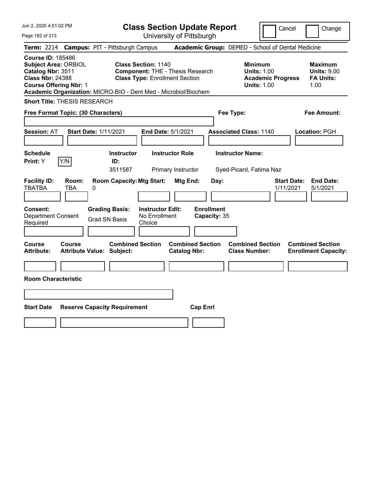| Jun 2, 2020 4:51:02 PM                                                                                                                   | <b>Class Section Update Report</b>                                                                                                                                                | Cancel<br>Change                                                                                                                                           |
|------------------------------------------------------------------------------------------------------------------------------------------|-----------------------------------------------------------------------------------------------------------------------------------------------------------------------------------|------------------------------------------------------------------------------------------------------------------------------------------------------------|
| Page 182 of 313                                                                                                                          | University of Pittsburgh                                                                                                                                                          |                                                                                                                                                            |
| Term: 2214                                                                                                                               | <b>Campus: PIT - Pittsburgh Campus</b>                                                                                                                                            | Academic Group: DEMED - School of Dental Medicine                                                                                                          |
| <b>Course ID: 185486</b><br><b>Subject Area: ORBIOL</b><br>Catalog Nbr: 3511<br><b>Class Nbr: 24388</b><br><b>Course Offering Nbr: 1</b> | <b>Class Section: 1140</b><br><b>Component: THE - Thesis Research</b><br><b>Class Type: Enrollment Section</b><br>Academic Organization: MICRO-BIO - Dent Med - Microbiol/Biochem | <b>Minimum</b><br><b>Maximum</b><br><b>Units: 1.00</b><br><b>Units: 9.00</b><br><b>FA Units:</b><br><b>Academic Progress</b><br><b>Units: 1.00</b><br>1.00 |
| <b>Short Title: THESIS RESEARCH</b>                                                                                                      |                                                                                                                                                                                   |                                                                                                                                                            |
| Free Format Topic: (30 Characters)                                                                                                       | Fee Type:                                                                                                                                                                         | Fee Amount:                                                                                                                                                |
| <b>Session: AT</b><br><b>Start Date: 1/11/2021</b><br><b>Schedule</b><br>Y/N<br>Print: Y                                                 | End Date: 5/1/2021<br><b>Instructor Role</b><br><b>Instructor</b><br>ID:<br>3511587<br>Primary Instructor                                                                         | <b>Associated Class: 1140</b><br>Location: PGH<br><b>Instructor Name:</b><br>Syed-Picard, Fatima Naz                                                       |
| <b>Facility ID:</b><br>Room:<br><b>TBATBA</b><br>0<br>TBA                                                                                | <b>Room Capacity: Mtg Start:</b><br>Mtg End:<br>Day:                                                                                                                              | <b>Start Date:</b><br><b>End Date:</b><br>1/11/2021<br>5/1/2021                                                                                            |
| <b>Grading Basis:</b><br><b>Consent:</b><br><b>Department Consent</b><br><b>Grad SN Basis</b><br>Required                                | <b>Enrollment</b><br><b>Instructor Edit:</b><br>No Enrollment<br>Capacity: 35<br>Choice                                                                                           |                                                                                                                                                            |
| <b>Course</b><br>Course<br><b>Attribute:</b><br><b>Attribute Value: Subject:</b>                                                         | <b>Combined Section</b><br><b>Combined Section</b><br><b>Catalog Nbr:</b>                                                                                                         | <b>Combined Section</b><br><b>Combined Section</b><br><b>Class Number:</b><br><b>Enrollment Capacity:</b>                                                  |
|                                                                                                                                          |                                                                                                                                                                                   |                                                                                                                                                            |
| <b>Room Characteristic</b>                                                                                                               |                                                                                                                                                                                   |                                                                                                                                                            |
|                                                                                                                                          |                                                                                                                                                                                   |                                                                                                                                                            |
| <b>Start Date</b><br><b>Reserve Capacity Requirement</b>                                                                                 | <b>Cap Enrl</b>                                                                                                                                                                   |                                                                                                                                                            |
|                                                                                                                                          |                                                                                                                                                                                   |                                                                                                                                                            |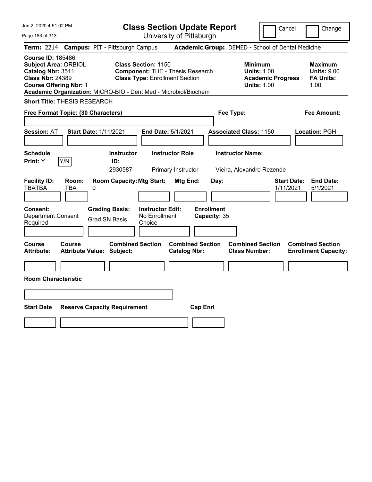| Jun 2, 2020 4:51:02 PM                                                                                                                   | <b>Class Section Update Report</b>                                                                                                                                                | Cancel<br>Change                                                                                                                                           |
|------------------------------------------------------------------------------------------------------------------------------------------|-----------------------------------------------------------------------------------------------------------------------------------------------------------------------------------|------------------------------------------------------------------------------------------------------------------------------------------------------------|
| Page 183 of 313                                                                                                                          | University of Pittsburgh                                                                                                                                                          |                                                                                                                                                            |
| <b>Term: 2214</b>                                                                                                                        | <b>Campus: PIT - Pittsburgh Campus</b>                                                                                                                                            | Academic Group: DEMED - School of Dental Medicine                                                                                                          |
| <b>Course ID: 185486</b><br><b>Subject Area: ORBIOL</b><br>Catalog Nbr: 3511<br><b>Class Nbr: 24389</b><br><b>Course Offering Nbr: 1</b> | <b>Class Section: 1150</b><br><b>Component: THE - Thesis Research</b><br><b>Class Type: Enrollment Section</b><br>Academic Organization: MICRO-BIO - Dent Med - Microbiol/Biochem | <b>Minimum</b><br><b>Maximum</b><br><b>Units: 1.00</b><br><b>Units: 9.00</b><br><b>Academic Progress</b><br><b>FA Units:</b><br><b>Units: 1.00</b><br>1.00 |
| <b>Short Title: THESIS RESEARCH</b>                                                                                                      |                                                                                                                                                                                   |                                                                                                                                                            |
| Free Format Topic: (30 Characters)                                                                                                       |                                                                                                                                                                                   | Fee Type:<br>Fee Amount:                                                                                                                                   |
| <b>Session: AT</b><br><b>Start Date: 1/11/2021</b><br><b>Schedule</b><br>Y/N<br><b>Print:</b> Y                                          | <b>End Date: 5/1/2021</b><br><b>Instructor</b><br><b>Instructor Role</b><br>ID:<br>2930587<br>Primary Instructor                                                                  | <b>Associated Class: 1150</b><br>Location: PGH<br><b>Instructor Name:</b><br>Vieira, Alexandre Rezende                                                     |
| <b>Facility ID:</b><br>Room:<br><b>TBATBA</b><br><b>TBA</b><br>0                                                                         | <b>Room Capacity: Mtg Start:</b><br>Mtg End:<br>Day:                                                                                                                              | <b>Start Date:</b><br><b>End Date:</b><br>1/11/2021<br>5/1/2021                                                                                            |
| <b>Consent:</b><br><b>Grading Basis:</b><br><b>Department Consent</b><br><b>Grad SN Basis</b><br>Required                                | <b>Enrollment</b><br><b>Instructor Edit:</b><br>No Enrollment<br>Capacity: 35<br>Choice                                                                                           |                                                                                                                                                            |
| <b>Course</b><br><b>Course</b><br><b>Attribute:</b><br><b>Attribute Value: Subject:</b>                                                  | <b>Combined Section</b><br><b>Combined Section</b><br><b>Catalog Nbr:</b>                                                                                                         | <b>Combined Section</b><br><b>Combined Section</b><br><b>Class Number:</b><br><b>Enrollment Capacity:</b>                                                  |
|                                                                                                                                          |                                                                                                                                                                                   |                                                                                                                                                            |
| <b>Room Characteristic</b>                                                                                                               |                                                                                                                                                                                   |                                                                                                                                                            |
|                                                                                                                                          |                                                                                                                                                                                   |                                                                                                                                                            |
|                                                                                                                                          |                                                                                                                                                                                   |                                                                                                                                                            |
| <b>Start Date</b><br><b>Reserve Capacity Requirement</b>                                                                                 | <b>Cap Enrl</b>                                                                                                                                                                   |                                                                                                                                                            |
|                                                                                                                                          |                                                                                                                                                                                   |                                                                                                                                                            |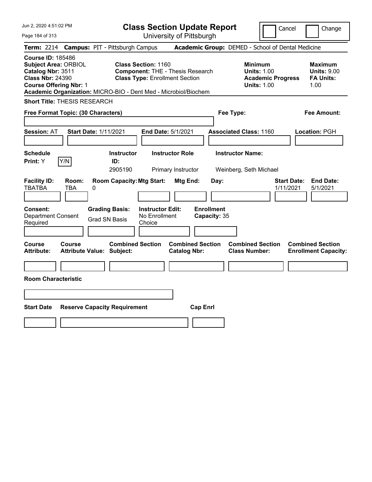| Jun 2, 2020 4:51:02 PM                                                                                                                   | <b>Class Section Update Report</b>                                                                                                                                                | Cancel<br>Change                                                                                                                                           |
|------------------------------------------------------------------------------------------------------------------------------------------|-----------------------------------------------------------------------------------------------------------------------------------------------------------------------------------|------------------------------------------------------------------------------------------------------------------------------------------------------------|
| Page 184 of 313                                                                                                                          | University of Pittsburgh                                                                                                                                                          |                                                                                                                                                            |
| Term: 2214                                                                                                                               | <b>Campus: PIT - Pittsburgh Campus</b>                                                                                                                                            | Academic Group: DEMED - School of Dental Medicine                                                                                                          |
| <b>Course ID: 185486</b><br><b>Subject Area: ORBIOL</b><br>Catalog Nbr: 3511<br><b>Class Nbr: 24390</b><br><b>Course Offering Nbr: 1</b> | <b>Class Section: 1160</b><br><b>Component: THE - Thesis Research</b><br><b>Class Type: Enrollment Section</b><br>Academic Organization: MICRO-BIO - Dent Med - Microbiol/Biochem | <b>Minimum</b><br><b>Maximum</b><br><b>Units: 1.00</b><br><b>Units: 9.00</b><br><b>Academic Progress</b><br><b>FA Units:</b><br><b>Units: 1.00</b><br>1.00 |
| <b>Short Title: THESIS RESEARCH</b>                                                                                                      |                                                                                                                                                                                   |                                                                                                                                                            |
| Free Format Topic: (30 Characters)                                                                                                       |                                                                                                                                                                                   | Fee Type:<br>Fee Amount:                                                                                                                                   |
| <b>Session: AT</b><br><b>Start Date: 1/11/2021</b><br><b>Schedule</b><br>Y/N<br>Print: Y                                                 | <b>End Date: 5/1/2021</b><br><b>Instructor Role</b><br><b>Instructor</b><br>ID:<br>2905190<br>Primary Instructor                                                                  | <b>Associated Class: 1160</b><br>Location: PGH<br><b>Instructor Name:</b><br>Weinberg, Seth Michael                                                        |
| <b>Facility ID:</b><br>Room:<br><b>TBATBA</b><br>TBA<br>0                                                                                | <b>Room Capacity: Mtg Start:</b><br><b>Mtg End:</b><br>Day:                                                                                                                       | <b>End Date:</b><br><b>Start Date:</b><br>1/11/2021<br>5/1/2021                                                                                            |
| <b>Consent:</b><br><b>Grading Basis:</b><br><b>Department Consent</b><br><b>Grad SN Basis</b><br>Required                                | <b>Instructor Edit:</b><br><b>Enrollment</b><br>No Enrollment<br>Capacity: 35<br>Choice                                                                                           |                                                                                                                                                            |
| <b>Course</b><br>Course<br><b>Attribute Value: Subject:</b><br><b>Attribute:</b>                                                         | <b>Combined Section</b><br><b>Combined Section</b><br><b>Catalog Nbr:</b>                                                                                                         | <b>Combined Section</b><br><b>Combined Section</b><br><b>Class Number:</b><br><b>Enrollment Capacity:</b>                                                  |
|                                                                                                                                          |                                                                                                                                                                                   |                                                                                                                                                            |
| <b>Room Characteristic</b>                                                                                                               |                                                                                                                                                                                   |                                                                                                                                                            |
|                                                                                                                                          |                                                                                                                                                                                   |                                                                                                                                                            |
| <b>Start Date</b><br><b>Reserve Capacity Requirement</b>                                                                                 | <b>Cap Enrl</b>                                                                                                                                                                   |                                                                                                                                                            |
|                                                                                                                                          |                                                                                                                                                                                   |                                                                                                                                                            |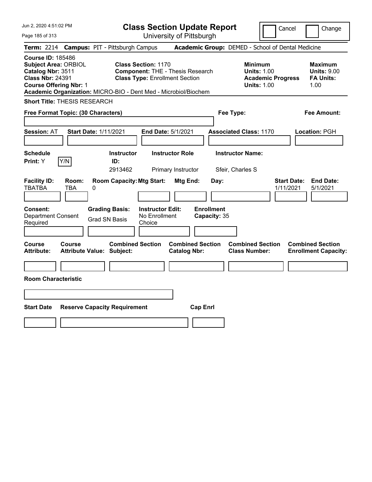| Jun 2, 2020 4:51:02 PM                                                                                                                                                                                      |                                                                                                                | <b>Class Section Update Report</b>             | Cancel                                                                                 | Change                                                           |
|-------------------------------------------------------------------------------------------------------------------------------------------------------------------------------------------------------------|----------------------------------------------------------------------------------------------------------------|------------------------------------------------|----------------------------------------------------------------------------------------|------------------------------------------------------------------|
| Page 185 of 313                                                                                                                                                                                             |                                                                                                                | University of Pittsburgh                       |                                                                                        |                                                                  |
| <b>Term: 2214</b>                                                                                                                                                                                           | <b>Campus: PIT - Pittsburgh Campus</b>                                                                         |                                                | Academic Group: DEMED - School of Dental Medicine                                      |                                                                  |
| <b>Course ID: 185486</b><br><b>Subject Area: ORBIOL</b><br>Catalog Nbr: 3511<br><b>Class Nbr: 24391</b><br><b>Course Offering Nbr: 1</b><br>Academic Organization: MICRO-BIO - Dent Med - Microbiol/Biochem | <b>Class Section: 1170</b><br><b>Component: THE - Thesis Research</b><br><b>Class Type: Enrollment Section</b> |                                                | <b>Minimum</b><br><b>Units: 1.00</b><br><b>Academic Progress</b><br><b>Units: 1.00</b> | <b>Maximum</b><br><b>Units: 9.00</b><br><b>FA Units:</b><br>1.00 |
| <b>Short Title: THESIS RESEARCH</b>                                                                                                                                                                         |                                                                                                                |                                                |                                                                                        |                                                                  |
| Free Format Topic: (30 Characters)                                                                                                                                                                          |                                                                                                                |                                                | Fee Type:                                                                              | <b>Fee Amount:</b>                                               |
| <b>Session: AT</b><br><b>Start Date: 1/11/2021</b>                                                                                                                                                          |                                                                                                                | End Date: 5/1/2021                             | <b>Associated Class: 1170</b>                                                          | Location: PGH                                                    |
| <b>Schedule</b><br>Print: Y<br> Y/N                                                                                                                                                                         | <b>Instructor</b><br>ID:<br>2913462                                                                            | <b>Instructor Role</b><br>Primary Instructor   | <b>Instructor Name:</b><br>Sfeir, Charles S                                            |                                                                  |
| <b>Facility ID:</b><br>Room:<br><b>TBATBA</b><br><b>TBA</b><br>0                                                                                                                                            | <b>Room Capacity: Mtg Start:</b>                                                                               | Mtg End:<br>Day:                               | 1/11/2021                                                                              | <b>Start Date:</b><br><b>End Date:</b><br>5/1/2021               |
| <b>Consent:</b><br><b>Department Consent</b><br>Required                                                                                                                                                    | <b>Instructor Edit:</b><br><b>Grading Basis:</b><br>No Enrollment<br><b>Grad SN Basis</b><br>Choice            | <b>Enrollment</b><br>Capacity: 35              |                                                                                        |                                                                  |
| <b>Course</b><br>Course<br><b>Attribute:</b><br><b>Attribute Value: Subject:</b>                                                                                                                            | <b>Combined Section</b>                                                                                        | <b>Combined Section</b><br><b>Catalog Nbr:</b> | <b>Combined Section</b><br><b>Class Number:</b>                                        | <b>Combined Section</b><br><b>Enrollment Capacity:</b>           |
|                                                                                                                                                                                                             |                                                                                                                |                                                |                                                                                        |                                                                  |
| <b>Room Characteristic</b>                                                                                                                                                                                  |                                                                                                                |                                                |                                                                                        |                                                                  |
|                                                                                                                                                                                                             |                                                                                                                |                                                |                                                                                        |                                                                  |
| <b>Start Date</b>                                                                                                                                                                                           | <b>Reserve Capacity Requirement</b>                                                                            | <b>Cap Enrl</b>                                |                                                                                        |                                                                  |
|                                                                                                                                                                                                             |                                                                                                                |                                                |                                                                                        |                                                                  |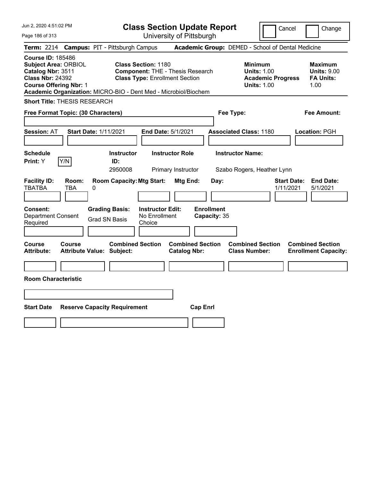| Jun 2, 2020 4:51:02 PM                                                                                                                   | <b>Class Section Update Report</b>                                                                                                                                                | Cancel<br>Change                                                                                                                                           |
|------------------------------------------------------------------------------------------------------------------------------------------|-----------------------------------------------------------------------------------------------------------------------------------------------------------------------------------|------------------------------------------------------------------------------------------------------------------------------------------------------------|
| Page 186 of 313                                                                                                                          | University of Pittsburgh                                                                                                                                                          |                                                                                                                                                            |
| <b>Term: 2214</b>                                                                                                                        | <b>Campus: PIT - Pittsburgh Campus</b>                                                                                                                                            | Academic Group: DEMED - School of Dental Medicine                                                                                                          |
| <b>Course ID: 185486</b><br><b>Subject Area: ORBIOL</b><br>Catalog Nbr: 3511<br><b>Class Nbr: 24392</b><br><b>Course Offering Nbr: 1</b> | <b>Class Section: 1180</b><br><b>Component: THE - Thesis Research</b><br><b>Class Type: Enrollment Section</b><br>Academic Organization: MICRO-BIO - Dent Med - Microbiol/Biochem | <b>Minimum</b><br><b>Maximum</b><br><b>Units: 1.00</b><br><b>Units: 9.00</b><br><b>FA Units:</b><br><b>Academic Progress</b><br><b>Units: 1.00</b><br>1.00 |
| <b>Short Title: THESIS RESEARCH</b>                                                                                                      |                                                                                                                                                                                   |                                                                                                                                                            |
| Free Format Topic: (30 Characters)                                                                                                       |                                                                                                                                                                                   | Fee Type:<br>Fee Amount:                                                                                                                                   |
| <b>Start Date: 1/11/2021</b><br><b>Session: AT</b><br><b>Schedule</b><br>Y/N<br>Print: Y                                                 | <b>End Date: 5/1/2021</b><br><b>Instructor Role</b><br><b>Instructor</b><br>ID:<br>2950008<br>Primary Instructor                                                                  | <b>Associated Class: 1180</b><br>Location: PGH<br><b>Instructor Name:</b><br>Szabo Rogers, Heather Lynn                                                    |
| <b>Facility ID:</b><br>Room:<br><b>TBATBA</b><br><b>TBA</b><br>0                                                                         | <b>Room Capacity: Mtg Start:</b><br><b>Mtg End:</b><br>Day:                                                                                                                       | <b>Start Date:</b><br><b>End Date:</b><br>1/11/2021<br>5/1/2021                                                                                            |
| Consent:<br><b>Grading Basis:</b><br><b>Department Consent</b><br><b>Grad SN Basis</b><br>Required                                       | <b>Enrollment</b><br><b>Instructor Edit:</b><br>No Enrollment<br>Capacity: 35<br>Choice                                                                                           |                                                                                                                                                            |
| <b>Course</b><br>Course<br><b>Attribute Value: Subject:</b><br><b>Attribute:</b>                                                         | <b>Combined Section</b><br><b>Combined Section</b><br><b>Catalog Nbr:</b>                                                                                                         | <b>Combined Section</b><br><b>Combined Section</b><br><b>Class Number:</b><br><b>Enrollment Capacity:</b>                                                  |
|                                                                                                                                          |                                                                                                                                                                                   |                                                                                                                                                            |
| <b>Room Characteristic</b>                                                                                                               |                                                                                                                                                                                   |                                                                                                                                                            |
|                                                                                                                                          |                                                                                                                                                                                   |                                                                                                                                                            |
|                                                                                                                                          |                                                                                                                                                                                   |                                                                                                                                                            |
| <b>Start Date</b><br><b>Reserve Capacity Requirement</b>                                                                                 | <b>Cap Enrl</b>                                                                                                                                                                   |                                                                                                                                                            |
|                                                                                                                                          |                                                                                                                                                                                   |                                                                                                                                                            |
|                                                                                                                                          |                                                                                                                                                                                   |                                                                                                                                                            |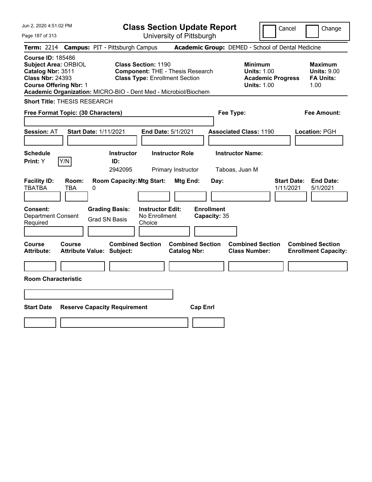| Jun 2, 2020 4:51:02 PM                                                                                                                   | <b>Class Section Update Report</b>                                                                                                                                                |                                                                                        | Cancel<br>Change                                                 |
|------------------------------------------------------------------------------------------------------------------------------------------|-----------------------------------------------------------------------------------------------------------------------------------------------------------------------------------|----------------------------------------------------------------------------------------|------------------------------------------------------------------|
| Page 187 of 313                                                                                                                          | University of Pittsburgh                                                                                                                                                          |                                                                                        |                                                                  |
| <b>Term: 2214</b>                                                                                                                        | <b>Campus: PIT - Pittsburgh Campus</b>                                                                                                                                            | Academic Group: DEMED - School of Dental Medicine                                      |                                                                  |
| <b>Course ID: 185486</b><br><b>Subject Area: ORBIOL</b><br>Catalog Nbr: 3511<br><b>Class Nbr: 24393</b><br><b>Course Offering Nbr: 1</b> | <b>Class Section: 1190</b><br><b>Component: THE - Thesis Research</b><br><b>Class Type: Enrollment Section</b><br>Academic Organization: MICRO-BIO - Dent Med - Microbiol/Biochem | <b>Minimum</b><br><b>Units: 1.00</b><br><b>Academic Progress</b><br><b>Units: 1.00</b> | <b>Maximum</b><br><b>Units: 9.00</b><br><b>FA Units:</b><br>1.00 |
| <b>Short Title: THESIS RESEARCH</b>                                                                                                      |                                                                                                                                                                                   |                                                                                        |                                                                  |
| Free Format Topic: (30 Characters)                                                                                                       |                                                                                                                                                                                   | Fee Type:                                                                              | Fee Amount:                                                      |
| <b>Start Date: 1/11/2021</b><br><b>Session: AT</b>                                                                                       | End Date: 5/1/2021                                                                                                                                                                | <b>Associated Class: 1190</b>                                                          | Location: PGH                                                    |
| <b>Schedule</b><br>Y/N<br>Print: Y                                                                                                       | <b>Instructor</b><br><b>Instructor Role</b><br>ID:<br>2942095<br>Primary Instructor                                                                                               | <b>Instructor Name:</b><br>Taboas, Juan M                                              |                                                                  |
| <b>Facility ID:</b><br>Room:<br><b>TBATBA</b><br><b>TBA</b><br>0                                                                         | <b>Room Capacity: Mtg Start:</b><br>Mtg End:                                                                                                                                      | Day:                                                                                   | <b>Start Date:</b><br><b>End Date:</b><br>1/11/2021<br>5/1/2021  |
| Consent:<br><b>Department Consent</b><br>Required                                                                                        | <b>Grading Basis:</b><br><b>Instructor Edit:</b><br>No Enrollment<br><b>Grad SN Basis</b><br>Choice                                                                               | <b>Enrollment</b><br>Capacity: 35                                                      |                                                                  |
| Course<br>Course<br><b>Attribute:</b><br><b>Attribute Value: Subject:</b>                                                                | <b>Combined Section</b><br><b>Catalog Nbr:</b>                                                                                                                                    | <b>Combined Section</b><br><b>Combined Section</b><br><b>Class Number:</b>             | <b>Combined Section</b><br><b>Enrollment Capacity:</b>           |
|                                                                                                                                          |                                                                                                                                                                                   |                                                                                        |                                                                  |
| <b>Room Characteristic</b>                                                                                                               |                                                                                                                                                                                   |                                                                                        |                                                                  |
|                                                                                                                                          |                                                                                                                                                                                   |                                                                                        |                                                                  |
| <b>Start Date</b><br><b>Reserve Capacity Requirement</b>                                                                                 |                                                                                                                                                                                   | <b>Cap Enrl</b>                                                                        |                                                                  |
|                                                                                                                                          |                                                                                                                                                                                   |                                                                                        |                                                                  |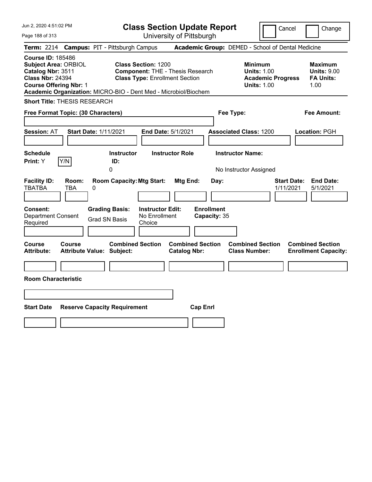| Jun 2, 2020 4:51:02 PM                                                                                                                   | <b>Class Section Update Report</b>                                                                                                                                                |                                                                                        | Cancel<br>Change                                                 |
|------------------------------------------------------------------------------------------------------------------------------------------|-----------------------------------------------------------------------------------------------------------------------------------------------------------------------------------|----------------------------------------------------------------------------------------|------------------------------------------------------------------|
| Page 188 of 313                                                                                                                          | University of Pittsburgh                                                                                                                                                          |                                                                                        |                                                                  |
| <b>Term: 2214</b>                                                                                                                        | <b>Campus: PIT - Pittsburgh Campus</b>                                                                                                                                            | Academic Group: DEMED - School of Dental Medicine                                      |                                                                  |
| <b>Course ID: 185486</b><br><b>Subject Area: ORBIOL</b><br>Catalog Nbr: 3511<br><b>Class Nbr: 24394</b><br><b>Course Offering Nbr: 1</b> | <b>Class Section: 1200</b><br><b>Component: THE - Thesis Research</b><br><b>Class Type: Enrollment Section</b><br>Academic Organization: MICRO-BIO - Dent Med - Microbiol/Biochem | <b>Minimum</b><br><b>Units: 1.00</b><br><b>Academic Progress</b><br><b>Units: 1.00</b> | <b>Maximum</b><br><b>Units: 9.00</b><br><b>FA Units:</b><br>1.00 |
| <b>Short Title: THESIS RESEARCH</b>                                                                                                      |                                                                                                                                                                                   |                                                                                        |                                                                  |
| Free Format Topic: (30 Characters)                                                                                                       |                                                                                                                                                                                   | Fee Type:                                                                              | <b>Fee Amount:</b>                                               |
| <b>Session: AT</b><br><b>Start Date: 1/11/2021</b>                                                                                       | End Date: 5/1/2021                                                                                                                                                                | <b>Associated Class: 1200</b>                                                          | Location: PGH                                                    |
| <b>Schedule</b><br>Print: Y<br> Y/N                                                                                                      | <b>Instructor Role</b><br><b>Instructor</b><br>ID:<br>0                                                                                                                           | <b>Instructor Name:</b><br>No Instructor Assigned                                      |                                                                  |
| <b>Facility ID:</b><br>Room:<br><b>TBATBA</b><br><b>TBA</b><br>0                                                                         | <b>Room Capacity: Mtg Start:</b><br>Mtg End:                                                                                                                                      | Day:                                                                                   | <b>End Date:</b><br><b>Start Date:</b><br>1/11/2021<br>5/1/2021  |
| <b>Consent:</b><br><b>Department Consent</b><br>Required                                                                                 | <b>Instructor Edit:</b><br><b>Grading Basis:</b><br>No Enrollment<br><b>Grad SN Basis</b><br>Choice                                                                               | <b>Enrollment</b><br>Capacity: 35                                                      |                                                                  |
| <b>Course</b><br>Course<br><b>Attribute:</b><br><b>Attribute Value: Subject:</b>                                                         | <b>Combined Section</b><br><b>Combined Section</b><br><b>Catalog Nbr:</b>                                                                                                         | <b>Combined Section</b><br><b>Class Number:</b>                                        | <b>Combined Section</b><br><b>Enrollment Capacity:</b>           |
|                                                                                                                                          |                                                                                                                                                                                   |                                                                                        |                                                                  |
| <b>Room Characteristic</b>                                                                                                               |                                                                                                                                                                                   |                                                                                        |                                                                  |
|                                                                                                                                          |                                                                                                                                                                                   |                                                                                        |                                                                  |
| <b>Start Date</b><br><b>Reserve Capacity Requirement</b>                                                                                 | <b>Cap Enrl</b>                                                                                                                                                                   |                                                                                        |                                                                  |
|                                                                                                                                          |                                                                                                                                                                                   |                                                                                        |                                                                  |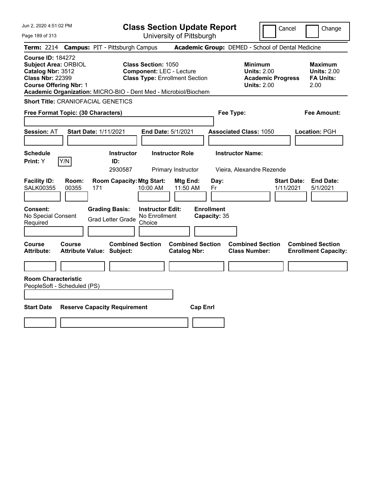| Jun 2, 2020 4:51:02 PM                                                                                                                                                                                      | <b>Class Section Update Report</b>                                                                     | Change<br>Cancel                                                                                                                                    |
|-------------------------------------------------------------------------------------------------------------------------------------------------------------------------------------------------------------|--------------------------------------------------------------------------------------------------------|-----------------------------------------------------------------------------------------------------------------------------------------------------|
| Page 189 of 313                                                                                                                                                                                             | University of Pittsburgh                                                                               |                                                                                                                                                     |
| <b>Campus: PIT - Pittsburgh Campus</b><br><b>Term:</b> 2214                                                                                                                                                 |                                                                                                        | Academic Group: DEMED - School of Dental Medicine                                                                                                   |
| <b>Course ID: 184272</b><br><b>Subject Area: ORBIOL</b><br>Catalog Nbr: 3512<br><b>Class Nbr: 22399</b><br><b>Course Offering Nbr: 1</b><br>Academic Organization: MICRO-BIO - Dent Med - Microbiol/Biochem | <b>Class Section: 1050</b><br><b>Component: LEC - Lecture</b><br><b>Class Type: Enrollment Section</b> | Minimum<br><b>Maximum</b><br><b>Units: 2.00</b><br><b>Units: 2.00</b><br><b>Academic Progress</b><br><b>FA Units:</b><br><b>Units: 2.00</b><br>2.00 |
| <b>Short Title: CRANIOFACIAL GENETICS</b>                                                                                                                                                                   |                                                                                                        |                                                                                                                                                     |
| Free Format Topic: (30 Characters)                                                                                                                                                                          |                                                                                                        | Fee Type:<br>Fee Amount:                                                                                                                            |
| <b>Session: AT</b><br><b>Start Date: 1/11/2021</b>                                                                                                                                                          | End Date: 5/1/2021                                                                                     | <b>Associated Class: 1050</b><br>Location: PGH                                                                                                      |
| <b>Schedule</b><br>Y/N<br>Print: Y<br>ID:                                                                                                                                                                   | <b>Instructor Role</b><br><b>Instructor</b><br>2930587<br>Primary Instructor                           | <b>Instructor Name:</b><br>Vieira, Alexandre Rezende                                                                                                |
| <b>Facility ID:</b><br>Room:<br><b>SALK00355</b><br>00355<br>171                                                                                                                                            | <b>Room Capacity: Mtg Start:</b><br>Mtg End:<br>Day:<br>11:50 AM<br>10:00 AM<br>Fr                     | <b>Start Date:</b><br><b>End Date:</b><br>1/11/2021<br>5/1/2021                                                                                     |
| Consent:<br><b>Grading Basis:</b><br>No Special Consent<br><b>Grad Letter Grade</b><br>Required                                                                                                             | <b>Enrollment</b><br><b>Instructor Edit:</b><br>No Enrollment<br>Capacity: 35<br>Choice                |                                                                                                                                                     |
| Course<br>Course<br><b>Attribute Value: Subject:</b><br>Attribute:                                                                                                                                          | <b>Combined Section</b><br><b>Combined Section</b><br><b>Catalog Nbr:</b>                              | <b>Combined Section</b><br><b>Combined Section</b><br><b>Class Number:</b><br><b>Enrollment Capacity:</b>                                           |
|                                                                                                                                                                                                             |                                                                                                        |                                                                                                                                                     |
| <b>Room Characteristic</b><br>PeopleSoft - Scheduled (PS)                                                                                                                                                   |                                                                                                        |                                                                                                                                                     |
| <b>Start Date</b><br><b>Reserve Capacity Requirement</b>                                                                                                                                                    | <b>Cap Enrl</b>                                                                                        |                                                                                                                                                     |
|                                                                                                                                                                                                             |                                                                                                        |                                                                                                                                                     |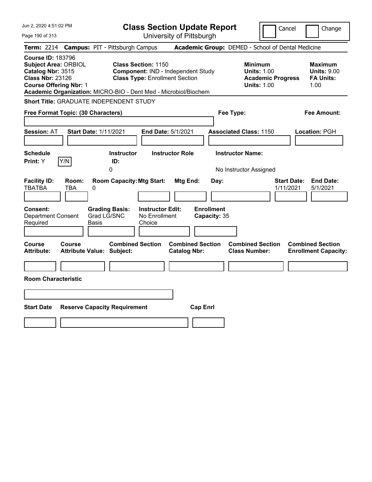| Jun 2, 2020 4:51:02 PM                                                                                                                                                                                      | <b>Class Section Update Report</b>                                                                        |                                                          | Cancel                                                                          | Change                                                           |
|-------------------------------------------------------------------------------------------------------------------------------------------------------------------------------------------------------------|-----------------------------------------------------------------------------------------------------------|----------------------------------------------------------|---------------------------------------------------------------------------------|------------------------------------------------------------------|
| Page 190 of 313                                                                                                                                                                                             | University of Pittsburgh                                                                                  |                                                          |                                                                                 |                                                                  |
| <b>Term: 2214</b>                                                                                                                                                                                           | <b>Campus: PIT - Pittsburgh Campus</b>                                                                    | Academic Group: DEMED - School of Dental Medicine        |                                                                                 |                                                                  |
| <b>Course ID: 183796</b><br><b>Subject Area: ORBIOL</b><br>Catalog Nbr: 3515<br><b>Class Nbr: 23126</b><br><b>Course Offering Nbr: 1</b><br>Academic Organization: MICRO-BIO - Dent Med - Microbiol/Biochem | <b>Class Section: 1150</b><br>Component: IND - Independent Study<br><b>Class Type: Enrollment Section</b> |                                                          | Minimum<br><b>Units: 1.00</b><br><b>Academic Progress</b><br><b>Units: 1.00</b> | <b>Maximum</b><br><b>Units: 9.00</b><br><b>FA Units:</b><br>1.00 |
| Short Title: GRADUATE INDEPENDENT STUDY                                                                                                                                                                     |                                                                                                           |                                                          |                                                                                 |                                                                  |
| Free Format Topic: (30 Characters)                                                                                                                                                                          |                                                                                                           | Fee Type:                                                |                                                                                 | Fee Amount:                                                      |
| <b>Session: AT</b><br><b>Start Date: 1/11/2021</b><br><b>Schedule</b>                                                                                                                                       | End Date: 5/1/2021<br><b>Instructor Role</b><br><b>Instructor</b>                                         | <b>Associated Class: 1150</b><br><b>Instructor Name:</b> |                                                                                 | Location: PGH                                                    |
| Y/N<br>Print: Y                                                                                                                                                                                             | ID:                                                                                                       |                                                          |                                                                                 |                                                                  |
| <b>Facility ID:</b><br>Room:<br><b>TBATBA</b><br>TBA<br>0                                                                                                                                                   | <b>Room Capacity: Mtg Start:</b><br>Mtg End:                                                              | No Instructor Assigned<br>Day:                           | <b>Start Date:</b><br>1/11/2021                                                 | <b>End Date:</b><br>5/1/2021                                     |
| Consent:<br>Grad LG/SNC<br><b>Department Consent</b><br>Required<br>Basis                                                                                                                                   | <b>Grading Basis:</b><br><b>Instructor Edit:</b><br>No Enrollment<br>Choice                               | <b>Enrollment</b><br>Capacity: 35                        |                                                                                 |                                                                  |
| Course<br><b>Course</b><br><b>Attribute:</b><br><b>Attribute Value: Subject:</b>                                                                                                                            | <b>Combined Section</b><br><b>Catalog Nbr:</b>                                                            | <b>Combined Section</b>                                  | <b>Combined Section</b><br><b>Class Number:</b>                                 | <b>Combined Section</b><br><b>Enrollment Capacity:</b>           |
|                                                                                                                                                                                                             |                                                                                                           |                                                          |                                                                                 |                                                                  |
| <b>Room Characteristic</b>                                                                                                                                                                                  |                                                                                                           |                                                          |                                                                                 |                                                                  |
|                                                                                                                                                                                                             |                                                                                                           |                                                          |                                                                                 |                                                                  |
| <b>Start Date</b><br><b>Reserve Capacity Requirement</b>                                                                                                                                                    |                                                                                                           | <b>Cap Enrl</b>                                          |                                                                                 |                                                                  |
|                                                                                                                                                                                                             |                                                                                                           |                                                          |                                                                                 |                                                                  |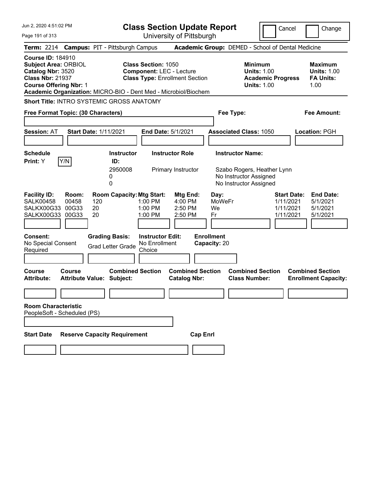| Jun 2, 2020 4:51:02 PM                                                                                                                   | <b>Class Section Update Report</b>                                                                                                                                                   | Cancel                                                                                                    | Change                                                           |
|------------------------------------------------------------------------------------------------------------------------------------------|--------------------------------------------------------------------------------------------------------------------------------------------------------------------------------------|-----------------------------------------------------------------------------------------------------------|------------------------------------------------------------------|
| Page 191 of 313                                                                                                                          | University of Pittsburgh                                                                                                                                                             |                                                                                                           |                                                                  |
| Term: 2214 Campus: PIT - Pittsburgh Campus                                                                                               |                                                                                                                                                                                      | Academic Group: DEMED - School of Dental Medicine                                                         |                                                                  |
| <b>Course ID: 184910</b><br><b>Subject Area: ORBIOL</b><br>Catalog Nbr: 3520<br><b>Class Nbr: 21937</b><br><b>Course Offering Nbr: 1</b> | <b>Class Section: 1050</b><br><b>Component: LEC - Lecture</b><br><b>Class Type: Enrollment Section</b><br>Academic Organization: MICRO-BIO - Dent Med - Microbiol/Biochem            | <b>Minimum</b><br><b>Units: 1.00</b><br><b>Academic Progress</b><br><b>Units: 1.00</b>                    | <b>Maximum</b><br><b>Units: 1.00</b><br><b>FA Units:</b><br>1.00 |
| <b>Short Title: INTRO SYSTEMIC GROSS ANATOMY</b>                                                                                         |                                                                                                                                                                                      |                                                                                                           |                                                                  |
| Free Format Topic: (30 Characters)                                                                                                       |                                                                                                                                                                                      | Fee Type:                                                                                                 | <b>Fee Amount:</b>                                               |
| <b>Start Date: 1/11/2021</b><br><b>Session: AT</b>                                                                                       | End Date: 5/1/2021                                                                                                                                                                   | <b>Associated Class: 1050</b>                                                                             | Location: PGH                                                    |
| <b>Schedule</b><br>Y/N<br>Print: Y                                                                                                       | <b>Instructor Role</b><br><b>Instructor</b><br>ID:<br>2950008<br>Primary Instructor<br>0<br>0                                                                                        | <b>Instructor Name:</b><br>Szabo Rogers, Heather Lynn<br>No Instructor Assigned<br>No Instructor Assigned |                                                                  |
| <b>Facility ID:</b><br>Room:<br><b>SALK00458</b><br>00458<br>120<br>20<br>SALKX00G33<br>00G33<br>20<br>SALKX00G33<br>00G33               | <b>Room Capacity: Mtg Start:</b><br>Mtg End:<br>1:00 PM<br>4:00 PM<br>1:00 PM<br>2:50 PM<br>1:00 PM<br>2:50 PM                                                                       | <b>Start Date:</b><br>Day:<br><b>MoWeFr</b><br>1/11/2021<br>1/11/2021<br>We<br>Fr<br>1/11/2021            | <b>End Date:</b><br>5/1/2021<br>5/1/2021<br>5/1/2021             |
| <b>Consent:</b><br>No Special Consent<br>Required<br>Course<br>Course<br><b>Attribute:</b><br><b>Attribute Value: Subject:</b>           | <b>Grading Basis:</b><br><b>Instructor Edit:</b><br>No Enrollment<br><b>Grad Letter Grade</b><br>Choice<br><b>Combined Section</b><br><b>Combined Section</b><br><b>Catalog Nbr:</b> | <b>Enrollment</b><br>Capacity: 20<br><b>Combined Section</b><br><b>Class Number:</b>                      | <b>Combined Section</b><br><b>Enrollment Capacity:</b>           |
| <b>Room Characteristic</b><br>PeopleSoft - Scheduled (PS)<br><b>Reserve Capacity Requirement</b><br><b>Start Date</b>                    | <b>Cap Enrl</b>                                                                                                                                                                      |                                                                                                           |                                                                  |
|                                                                                                                                          |                                                                                                                                                                                      |                                                                                                           |                                                                  |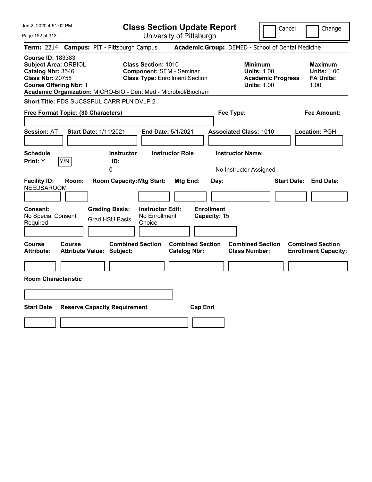| Jun 2, 2020 4:51:02 PM                                                                                                                                                                                      |                                                                                    |                                                                                                        | <b>Class Section Update Report</b>                    |                                                     | Cancel                                            | Change                                                           |
|-------------------------------------------------------------------------------------------------------------------------------------------------------------------------------------------------------------|------------------------------------------------------------------------------------|--------------------------------------------------------------------------------------------------------|-------------------------------------------------------|-----------------------------------------------------|---------------------------------------------------|------------------------------------------------------------------|
| Page 192 of 313                                                                                                                                                                                             |                                                                                    |                                                                                                        | University of Pittsburgh                              |                                                     |                                                   |                                                                  |
| <b>Term: 2214</b>                                                                                                                                                                                           | <b>Campus: PIT - Pittsburgh Campus</b>                                             |                                                                                                        |                                                       |                                                     | Academic Group: DEMED - School of Dental Medicine |                                                                  |
| <b>Course ID: 183383</b><br><b>Subject Area: ORBIOL</b><br>Catalog Nbr: 3546<br><b>Class Nbr: 20758</b><br><b>Course Offering Nbr: 1</b><br>Academic Organization: MICRO-BIO - Dent Med - Microbiol/Biochem |                                                                                    | <b>Class Section: 1010</b><br><b>Component: SEM - Seminar</b><br><b>Class Type: Enrollment Section</b> |                                                       | Minimum<br><b>Units: 1.00</b><br><b>Units: 1.00</b> | <b>Academic Progress</b>                          | <b>Maximum</b><br><b>Units: 1.00</b><br><b>FA Units:</b><br>1.00 |
| <b>Short Title: FDS SUCSSFUL CARR PLN DVLP 2</b>                                                                                                                                                            |                                                                                    |                                                                                                        |                                                       |                                                     |                                                   |                                                                  |
| Free Format Topic: (30 Characters)                                                                                                                                                                          |                                                                                    |                                                                                                        |                                                       | Fee Type:                                           |                                                   | Fee Amount:                                                      |
| <b>Session: AT</b>                                                                                                                                                                                          | <b>Start Date: 1/11/2021</b>                                                       | <b>End Date: 5/1/2021</b>                                                                              |                                                       | <b>Associated Class: 1010</b>                       |                                                   | Location: PGH                                                    |
| <b>Schedule</b><br>Y/N<br><b>Print:</b> Y                                                                                                                                                                   | <b>Instructor</b><br>ID:<br>0                                                      | <b>Instructor Role</b>                                                                                 |                                                       | <b>Instructor Name:</b><br>No Instructor Assigned   |                                                   |                                                                  |
| <b>Facility ID:</b><br>Room:<br>NEEDSAROOM<br>Consent:<br>No Special Consent<br>Required                                                                                                                    | <b>Room Capacity: Mtg Start:</b><br><b>Grading Basis:</b><br><b>Grad HSU Basis</b> | <b>Instructor Edit:</b><br>No Enrollment<br>Choice                                                     | Mtg End:<br>Day:<br><b>Enrollment</b><br>Capacity: 15 |                                                     |                                                   | <b>Start Date: End Date:</b>                                     |
| Course<br>Course<br>Attribute:<br><b>Room Characteristic</b>                                                                                                                                                | <b>Combined Section</b><br><b>Attribute Value: Subject:</b>                        |                                                                                                        | <b>Combined Section</b><br><b>Catalog Nbr:</b>        | <b>Combined Section</b><br><b>Class Number:</b>     |                                                   | <b>Combined Section</b><br><b>Enrollment Capacity:</b>           |
| <b>Start Date</b>                                                                                                                                                                                           | <b>Reserve Capacity Requirement</b>                                                |                                                                                                        | <b>Cap Enrl</b>                                       |                                                     |                                                   |                                                                  |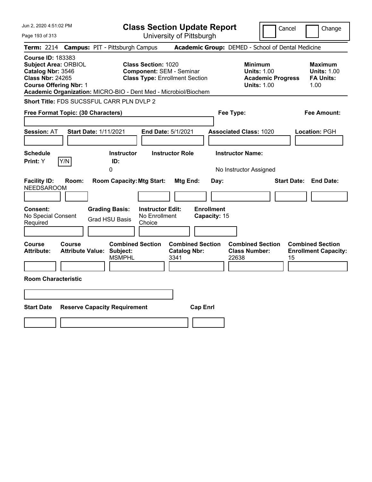| Jun 2, 2020 4:51:02 PM                                                                                                                                                                                      | <b>Class Section Update Report</b>                                                                     |                                                                                 | Change<br>Cancel                                                 |
|-------------------------------------------------------------------------------------------------------------------------------------------------------------------------------------------------------------|--------------------------------------------------------------------------------------------------------|---------------------------------------------------------------------------------|------------------------------------------------------------------|
| Page 193 of 313                                                                                                                                                                                             | University of Pittsburgh                                                                               |                                                                                 |                                                                  |
| <b>Campus: PIT - Pittsburgh Campus</b><br><b>Term:</b> 2214                                                                                                                                                 |                                                                                                        | Academic Group: DEMED - School of Dental Medicine                               |                                                                  |
| <b>Course ID: 183383</b><br><b>Subject Area: ORBIOL</b><br>Catalog Nbr: 3546<br><b>Class Nbr: 24265</b><br><b>Course Offering Nbr: 1</b><br>Academic Organization: MICRO-BIO - Dent Med - Microbiol/Biochem | <b>Class Section: 1020</b><br><b>Component: SEM - Seminar</b><br><b>Class Type: Enrollment Section</b> | Minimum<br><b>Units: 1.00</b><br><b>Academic Progress</b><br><b>Units: 1.00</b> | <b>Maximum</b><br><b>Units: 1.00</b><br><b>FA Units:</b><br>1.00 |
| <b>Short Title: FDS SUCSSFUL CARR PLN DVLP 2</b>                                                                                                                                                            |                                                                                                        |                                                                                 |                                                                  |
| Free Format Topic: (30 Characters)                                                                                                                                                                          |                                                                                                        | Fee Type:                                                                       | Fee Amount:                                                      |
| <b>Session: AT</b><br><b>Start Date: 1/11/2021</b>                                                                                                                                                          | End Date: 5/1/2021                                                                                     | <b>Associated Class: 1020</b>                                                   | Location: PGH                                                    |
| <b>Schedule</b><br>Y/N<br>Print: Y<br>ID:<br>0                                                                                                                                                              | <b>Instructor Role</b><br><b>Instructor</b>                                                            | <b>Instructor Name:</b><br>No Instructor Assigned                               |                                                                  |
| <b>Facility ID:</b><br>Room:<br><b>NEEDSAROOM</b><br>Consent:<br><b>Grading Basis:</b>                                                                                                                      | <b>Room Capacity: Mtg Start:</b><br>Mtg End:<br><b>Instructor Edit:</b>                                | Day:<br><b>Enrollment</b>                                                       | <b>Start Date: End Date:</b>                                     |
| No Special Consent<br><b>Grad HSU Basis</b><br>Required                                                                                                                                                     | No Enrollment<br>Choice                                                                                | Capacity: 15                                                                    |                                                                  |
| Course<br>Course<br><b>Attribute Value: Subject:</b><br>Attribute:                                                                                                                                          | <b>Combined Section</b><br><b>Combined Section</b><br><b>Catalog Nbr:</b><br><b>MSMPHL</b><br>3341     | <b>Combined Section</b><br><b>Class Number:</b><br>22638                        | <b>Combined Section</b><br><b>Enrollment Capacity:</b><br>15     |
| <b>Room Characteristic</b>                                                                                                                                                                                  |                                                                                                        |                                                                                 |                                                                  |
|                                                                                                                                                                                                             |                                                                                                        |                                                                                 |                                                                  |
| <b>Start Date</b><br><b>Reserve Capacity Requirement</b>                                                                                                                                                    | <b>Cap Enrl</b>                                                                                        |                                                                                 |                                                                  |
|                                                                                                                                                                                                             |                                                                                                        |                                                                                 |                                                                  |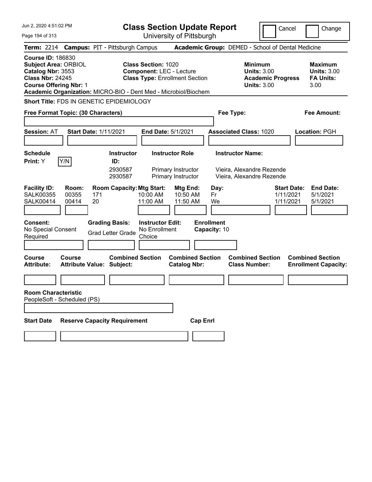| Jun 2, 2020 4:51:02 PM                                                                                                                   |                                                                 |                                                   |                                                    | <b>Class Section Update Report</b>                                       |                                   |                                                            | Cancel                   | Change                                                           |
|------------------------------------------------------------------------------------------------------------------------------------------|-----------------------------------------------------------------|---------------------------------------------------|----------------------------------------------------|--------------------------------------------------------------------------|-----------------------------------|------------------------------------------------------------|--------------------------|------------------------------------------------------------------|
| Page 194 of 313                                                                                                                          |                                                                 |                                                   |                                                    | University of Pittsburgh                                                 |                                   |                                                            |                          |                                                                  |
|                                                                                                                                          | Term: 2214 Campus: PIT - Pittsburgh Campus                      |                                                   |                                                    |                                                                          |                                   | Academic Group: DEMED - School of Dental Medicine          |                          |                                                                  |
| <b>Course ID: 186830</b><br><b>Subject Area: ORBIOL</b><br>Catalog Nbr: 3553<br><b>Class Nbr: 24245</b><br><b>Course Offering Nbr: 1</b> | Academic Organization: MICRO-BIO - Dent Med - Microbiol/Biochem |                                                   | <b>Class Section: 1020</b>                         | <b>Component: LEC - Lecture</b><br><b>Class Type: Enrollment Section</b> |                                   | <b>Minimum</b><br><b>Units: 3.00</b><br><b>Units: 3.00</b> | <b>Academic Progress</b> | <b>Maximum</b><br><b>Units: 3.00</b><br><b>FA Units:</b><br>3.00 |
|                                                                                                                                          | Short Title: FDS IN GENETIC EPIDEMIOLOGY                        |                                                   |                                                    |                                                                          |                                   |                                                            |                          |                                                                  |
|                                                                                                                                          | Free Format Topic: (30 Characters)                              |                                                   |                                                    |                                                                          |                                   | Fee Type:                                                  |                          | <b>Fee Amount:</b>                                               |
| <b>Session: AT</b>                                                                                                                       | <b>Start Date: 1/11/2021</b>                                    |                                                   | <b>End Date: 5/1/2021</b>                          |                                                                          |                                   | <b>Associated Class: 1020</b>                              |                          | <b>Location: PGH</b>                                             |
| <b>Schedule</b>                                                                                                                          |                                                                 | <b>Instructor</b>                                 |                                                    | <b>Instructor Role</b>                                                   |                                   | <b>Instructor Name:</b>                                    |                          |                                                                  |
| Print: Y                                                                                                                                 | Y/N                                                             | ID:<br>2930587<br>2930587                         |                                                    | Primary Instructor<br>Primary Instructor                                 |                                   | Vieira, Alexandre Rezende<br>Vieira, Alexandre Rezende     |                          |                                                                  |
| <b>Facility ID:</b><br><b>SALK00355</b><br><b>SALK00414</b>                                                                              | Room:<br>00355<br>171<br>00414<br>20                            | <b>Room Capacity: Mtg Start:</b>                  | 10:00 AM<br>11:00 AM                               | Mtg End:<br>10:50 AM<br>11:50 AM                                         | Day:<br>Fr<br>We                  |                                                            | 1/11/2021<br>1/11/2021   | <b>Start Date:</b><br><b>End Date:</b><br>5/1/2021<br>5/1/2021   |
| <b>Consent:</b><br>No Special Consent<br>Required                                                                                        |                                                                 | <b>Grading Basis:</b><br><b>Grad Letter Grade</b> | <b>Instructor Edit:</b><br>No Enrollment<br>Choice |                                                                          | <b>Enrollment</b><br>Capacity: 10 |                                                            |                          |                                                                  |
| Course<br><b>Attribute:</b>                                                                                                              | <b>Course</b><br><b>Attribute Value: Subject:</b>               | <b>Combined Section</b>                           |                                                    | <b>Combined Section</b><br><b>Catalog Nbr:</b>                           |                                   | <b>Combined Section</b><br><b>Class Number:</b>            |                          | <b>Combined Section</b><br><b>Enrollment Capacity:</b>           |
|                                                                                                                                          |                                                                 |                                                   |                                                    |                                                                          |                                   |                                                            |                          |                                                                  |
| <b>Room Characteristic</b>                                                                                                               | PeopleSoft - Scheduled (PS)                                     |                                                   |                                                    |                                                                          |                                   |                                                            |                          |                                                                  |
|                                                                                                                                          |                                                                 |                                                   |                                                    |                                                                          |                                   |                                                            |                          |                                                                  |
| <b>Start Date</b>                                                                                                                        | <b>Reserve Capacity Requirement</b>                             |                                                   |                                                    | <b>Cap Enrl</b>                                                          |                                   |                                                            |                          |                                                                  |
|                                                                                                                                          |                                                                 |                                                   |                                                    |                                                                          |                                   |                                                            |                          |                                                                  |
|                                                                                                                                          |                                                                 |                                                   |                                                    |                                                                          |                                   |                                                            |                          |                                                                  |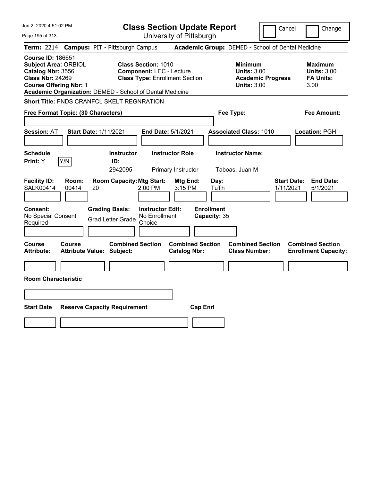| Jun 2, 2020 4:51:02 PM                                                                                                                                                                               | <b>Class Section Update Report</b>                                                                      | Cancel                                                                                 | Change                                                           |
|------------------------------------------------------------------------------------------------------------------------------------------------------------------------------------------------------|---------------------------------------------------------------------------------------------------------|----------------------------------------------------------------------------------------|------------------------------------------------------------------|
| Page 195 of 313                                                                                                                                                                                      | University of Pittsburgh                                                                                |                                                                                        |                                                                  |
| <b>Term: 2214</b>                                                                                                                                                                                    | <b>Campus: PIT - Pittsburgh Campus</b>                                                                  | Academic Group: DEMED - School of Dental Medicine                                      |                                                                  |
| <b>Course ID: 186651</b><br><b>Subject Area: ORBIOL</b><br>Catalog Nbr: 3556<br><b>Class Nbr: 24269</b><br><b>Course Offering Nbr: 1</b><br>Academic Organization: DEMED - School of Dental Medicine | <b>Class Section: 1010</b><br><b>Component: LEC - Lecture</b><br><b>Class Type: Enrollment Section</b>  | <b>Minimum</b><br><b>Units: 3.00</b><br><b>Academic Progress</b><br><b>Units: 3.00</b> | <b>Maximum</b><br><b>Units: 3.00</b><br><b>FA Units:</b><br>3.00 |
| Short Title: FNDS CRANFCL SKELT REGNRATION                                                                                                                                                           |                                                                                                         |                                                                                        |                                                                  |
| Free Format Topic: (30 Characters)                                                                                                                                                                   |                                                                                                         | Fee Type:                                                                              | Fee Amount:                                                      |
| <b>Session: AT</b><br><b>Start Date: 1/11/2021</b>                                                                                                                                                   | End Date: 5/1/2021                                                                                      | <b>Associated Class: 1010</b>                                                          | Location: PGH                                                    |
| <b>Schedule</b><br>Y/N<br>Print: Y                                                                                                                                                                   | <b>Instructor Role</b><br><b>Instructor</b><br>ID:<br>2942095<br>Primary Instructor                     | <b>Instructor Name:</b><br>Taboas, Juan M                                              |                                                                  |
| <b>Facility ID:</b><br>Room:<br><b>SALK00414</b><br>00414<br>20                                                                                                                                      | <b>Room Capacity: Mtg Start:</b><br>Mtg End:<br>2:00 PM<br>$3:15$ PM                                    | <b>Start Date:</b><br>Day:<br>TuTh<br>1/11/2021                                        | <b>End Date:</b><br>5/1/2021                                     |
| Consent:<br>No Special Consent<br>Required                                                                                                                                                           | <b>Grading Basis:</b><br><b>Instructor Edit:</b><br>No Enrollment<br><b>Grad Letter Grade</b><br>Choice | <b>Enrollment</b><br>Capacity: 35                                                      |                                                                  |
| <b>Course</b><br>Course<br><b>Attribute:</b><br><b>Attribute Value: Subject:</b>                                                                                                                     | <b>Combined Section</b><br><b>Combined Section</b><br><b>Catalog Nbr:</b>                               | <b>Combined Section</b><br><b>Class Number:</b>                                        | <b>Combined Section</b><br><b>Enrollment Capacity:</b>           |
|                                                                                                                                                                                                      |                                                                                                         |                                                                                        |                                                                  |
| <b>Room Characteristic</b>                                                                                                                                                                           |                                                                                                         |                                                                                        |                                                                  |
|                                                                                                                                                                                                      |                                                                                                         |                                                                                        |                                                                  |
| <b>Start Date</b><br><b>Reserve Capacity Requirement</b>                                                                                                                                             | <b>Cap Enrl</b>                                                                                         |                                                                                        |                                                                  |
|                                                                                                                                                                                                      |                                                                                                         |                                                                                        |                                                                  |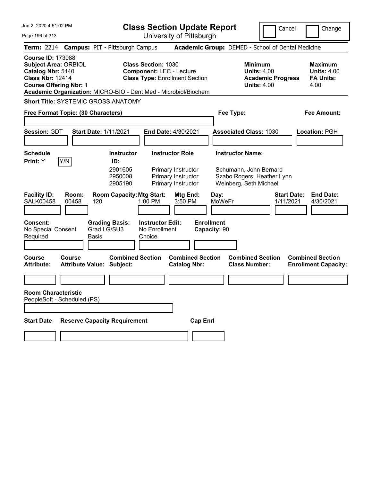| Jun 2, 2020 4:51:02 PM<br>Page 196 of 313                                                                                                                                                                   | <b>Class Section Update Report</b><br>University of Pittsburgh                                                | Cancel                                                                                                    | Change                                                           |
|-------------------------------------------------------------------------------------------------------------------------------------------------------------------------------------------------------------|---------------------------------------------------------------------------------------------------------------|-----------------------------------------------------------------------------------------------------------|------------------------------------------------------------------|
| <b>Campus: PIT - Pittsburgh Campus</b><br><b>Term: 2214</b>                                                                                                                                                 |                                                                                                               | Academic Group: DEMED - School of Dental Medicine                                                         |                                                                  |
| <b>Course ID: 173088</b><br><b>Subject Area: ORBIOL</b><br>Catalog Nbr: 5140<br><b>Class Nbr: 12414</b><br><b>Course Offering Nbr: 1</b><br>Academic Organization: MICRO-BIO - Dent Med - Microbiol/Biochem | <b>Class Section: 1030</b><br><b>Component: LEC - Lecture</b><br><b>Class Type: Enrollment Section</b>        | <b>Minimum</b><br><b>Units: 4.00</b><br><b>Academic Progress</b><br><b>Units: 4.00</b>                    | <b>Maximum</b><br><b>Units: 4.00</b><br><b>FA Units:</b><br>4.00 |
| <b>Short Title: SYSTEMIC GROSS ANATOMY</b>                                                                                                                                                                  |                                                                                                               |                                                                                                           |                                                                  |
| Free Format Topic: (30 Characters)                                                                                                                                                                          |                                                                                                               | Fee Type:                                                                                                 | <b>Fee Amount:</b>                                               |
| <b>Session: GDT</b><br><b>Start Date: 1/11/2021</b>                                                                                                                                                         | <b>End Date: 4/30/2021</b>                                                                                    | <b>Associated Class: 1030</b>                                                                             | <b>Location: PGH</b>                                             |
| <b>Schedule</b><br>Y/N<br>Print: Y<br>ID:<br>2901605<br>2950008<br>2905190                                                                                                                                  | <b>Instructor Role</b><br><b>Instructor</b><br>Primary Instructor<br>Primary Instructor<br>Primary Instructor | <b>Instructor Name:</b><br>Schumann, John Bernard<br>Szabo Rogers, Heather Lynn<br>Weinberg, Seth Michael |                                                                  |
| <b>Facility ID:</b><br>Room:<br><b>SALK00458</b><br>00458<br>120                                                                                                                                            | <b>Room Capacity: Mtg Start:</b><br>Mtg End:<br>1:00 PM<br>3:50 PM                                            | <b>Start Date:</b><br>Day:<br><b>MoWeFr</b><br>1/11/2021                                                  | <b>End Date:</b><br>4/30/2021                                    |
| <b>Consent:</b><br><b>Grading Basis:</b><br>Grad LG/SU3<br>No Special Consent<br>Required<br><b>Basis</b>                                                                                                   | <b>Enrollment</b><br><b>Instructor Edit:</b><br>No Enrollment<br>Capacity: 90<br>Choice                       |                                                                                                           |                                                                  |
| <b>Course</b><br>Course<br><b>Attribute Value: Subject:</b><br><b>Attribute:</b>                                                                                                                            | <b>Combined Section</b><br><b>Combined Section</b><br><b>Catalog Nbr:</b>                                     | <b>Combined Section</b><br><b>Class Number:</b>                                                           | <b>Combined Section</b><br><b>Enrollment Capacity:</b>           |
|                                                                                                                                                                                                             |                                                                                                               |                                                                                                           |                                                                  |
| <b>Room Characteristic</b><br>PeopleSoft - Scheduled (PS)                                                                                                                                                   |                                                                                                               |                                                                                                           |                                                                  |
|                                                                                                                                                                                                             |                                                                                                               |                                                                                                           |                                                                  |
| <b>Reserve Capacity Requirement</b><br><b>Start Date</b>                                                                                                                                                    | <b>Cap Enrl</b>                                                                                               |                                                                                                           |                                                                  |
|                                                                                                                                                                                                             |                                                                                                               |                                                                                                           |                                                                  |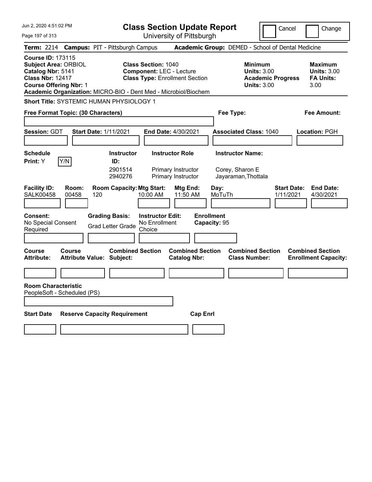| Jun 2, 2020 4:51:02 PM                                                                                                                   |                                                   |                                                                 |                                                               | <b>Class Section Update Report</b>                                 |                                   |                                                                   | Cancel                          | Change                                                           |
|------------------------------------------------------------------------------------------------------------------------------------------|---------------------------------------------------|-----------------------------------------------------------------|---------------------------------------------------------------|--------------------------------------------------------------------|-----------------------------------|-------------------------------------------------------------------|---------------------------------|------------------------------------------------------------------|
| Page 197 of 313                                                                                                                          |                                                   |                                                                 |                                                               | University of Pittsburgh                                           |                                   |                                                                   |                                 |                                                                  |
| <b>Term: 2214</b>                                                                                                                        |                                                   | <b>Campus: PIT - Pittsburgh Campus</b>                          |                                                               |                                                                    |                                   | Academic Group: DEMED - School of Dental Medicine                 |                                 |                                                                  |
| <b>Course ID: 173115</b><br><b>Subject Area: ORBIOL</b><br>Catalog Nbr: 5141<br><b>Class Nbr: 12417</b><br><b>Course Offering Nbr: 1</b> |                                                   | Academic Organization: MICRO-BIO - Dent Med - Microbiol/Biochem | <b>Class Section: 1040</b><br><b>Component: LEC - Lecture</b> | <b>Class Type: Enrollment Section</b>                              |                                   | <b>Minimum</b><br><b>Units: 3.00</b><br><b>Units: 3.00</b>        | <b>Academic Progress</b>        | <b>Maximum</b><br><b>Units: 3.00</b><br><b>FA Units:</b><br>3.00 |
|                                                                                                                                          |                                                   | Short Title: SYSTEMIC HUMAN PHYSIOLOGY 1                        |                                                               |                                                                    |                                   |                                                                   |                                 |                                                                  |
| Free Format Topic: (30 Characters)                                                                                                       |                                                   |                                                                 |                                                               |                                                                    |                                   | Fee Type:                                                         |                                 | Fee Amount:                                                      |
|                                                                                                                                          |                                                   |                                                                 |                                                               |                                                                    |                                   |                                                                   |                                 |                                                                  |
| Session: GDT                                                                                                                             |                                                   | <b>Start Date: 1/11/2021</b>                                    |                                                               | <b>End Date: 4/30/2021</b>                                         |                                   | <b>Associated Class: 1040</b>                                     |                                 | Location: PGH                                                    |
| <b>Schedule</b><br><b>Print:</b> Y                                                                                                       | Y/N                                               | <b>Instructor</b><br>ID:<br>2901514<br>2940276                  |                                                               | <b>Instructor Role</b><br>Primary Instructor<br>Primary Instructor |                                   | <b>Instructor Name:</b><br>Corey, Sharon E<br>Jayaraman, Thottala |                                 |                                                                  |
| <b>Facility ID:</b><br><b>SALK00458</b>                                                                                                  | Room:<br>00458<br>120                             | <b>Room Capacity: Mtg Start:</b>                                | 10:00 AM                                                      | Mtg End:<br>11:50 AM                                               | Day:<br>MoTuTh                    |                                                                   | <b>Start Date:</b><br>1/11/2021 | <b>End Date:</b><br>4/30/2021                                    |
| Consent:<br>No Special Consent<br>Required                                                                                               |                                                   | <b>Grading Basis:</b><br><b>Grad Letter Grade</b>               | <b>Instructor Edit:</b><br>No Enrollment<br>Choice            |                                                                    | <b>Enrollment</b><br>Capacity: 95 |                                                                   |                                 |                                                                  |
| Course<br><b>Attribute:</b>                                                                                                              | <b>Course</b><br><b>Attribute Value: Subject:</b> | <b>Combined Section</b>                                         |                                                               | <b>Combined Section</b><br><b>Catalog Nbr:</b>                     |                                   | <b>Combined Section</b><br><b>Class Number:</b>                   |                                 | <b>Combined Section</b><br><b>Enrollment Capacity:</b>           |
|                                                                                                                                          |                                                   |                                                                 |                                                               |                                                                    |                                   |                                                                   |                                 |                                                                  |
| <b>Room Characteristic</b><br>PeopleSoft - Scheduled (PS)                                                                                |                                                   |                                                                 |                                                               |                                                                    |                                   |                                                                   |                                 |                                                                  |
| <b>Start Date</b>                                                                                                                        |                                                   | <b>Reserve Capacity Requirement</b>                             |                                                               | <b>Cap Enri</b>                                                    |                                   |                                                                   |                                 |                                                                  |
|                                                                                                                                          |                                                   |                                                                 |                                                               |                                                                    |                                   |                                                                   |                                 |                                                                  |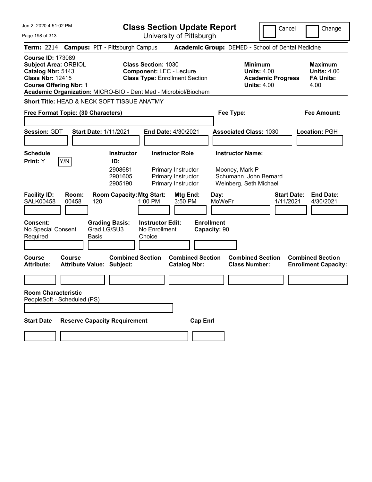| Jun 2, 2020 4:51:02 PM                                                                                                                                                                                      | <b>Class Section Update Report</b><br>Cancel<br>Change                                                 |                                                                                        |                                                                  |
|-------------------------------------------------------------------------------------------------------------------------------------------------------------------------------------------------------------|--------------------------------------------------------------------------------------------------------|----------------------------------------------------------------------------------------|------------------------------------------------------------------|
| Page 198 of 313                                                                                                                                                                                             | University of Pittsburgh                                                                               |                                                                                        |                                                                  |
| Term: 2214 Campus: PIT - Pittsburgh Campus                                                                                                                                                                  |                                                                                                        | Academic Group: DEMED - School of Dental Medicine                                      |                                                                  |
| <b>Course ID: 173089</b><br><b>Subject Area: ORBIOL</b><br>Catalog Nbr: 5143<br><b>Class Nbr: 12415</b><br><b>Course Offering Nbr: 1</b><br>Academic Organization: MICRO-BIO - Dent Med - Microbiol/Biochem | <b>Class Section: 1030</b><br><b>Component: LEC - Lecture</b><br><b>Class Type: Enrollment Section</b> | <b>Minimum</b><br><b>Units: 4.00</b><br><b>Academic Progress</b><br><b>Units: 4.00</b> | <b>Maximum</b><br><b>Units: 4.00</b><br><b>FA Units:</b><br>4.00 |
| <b>Short Title: HEAD &amp; NECK SOFT TISSUE ANATMY</b>                                                                                                                                                      |                                                                                                        |                                                                                        |                                                                  |
| Free Format Topic: (30 Characters)                                                                                                                                                                          |                                                                                                        | Fee Type:                                                                              | Fee Amount:                                                      |
|                                                                                                                                                                                                             |                                                                                                        |                                                                                        |                                                                  |
| <b>Session: GDT</b><br><b>Start Date: 1/11/2021</b>                                                                                                                                                         | End Date: 4/30/2021                                                                                    | <b>Associated Class: 1030</b>                                                          | Location: PGH                                                    |
|                                                                                                                                                                                                             |                                                                                                        |                                                                                        |                                                                  |
| <b>Schedule</b>                                                                                                                                                                                             | <b>Instructor Role</b><br><b>Instructor</b>                                                            | <b>Instructor Name:</b>                                                                |                                                                  |
| Y/N <br>Print: Y<br>ID:                                                                                                                                                                                     | 2908681<br>Primary Instructor<br>Primary Instructor<br>2901605<br>2905190<br>Primary Instructor        | Mooney, Mark P<br>Schumann, John Bernard<br>Weinberg, Seth Michael                     |                                                                  |
| <b>Facility ID:</b><br>Room:<br><b>SALK00458</b><br>00458<br>120                                                                                                                                            | <b>Room Capacity: Mtg Start:</b><br>Mtg End:<br>1:00 PM<br>3:50 PM                                     | <b>Start Date:</b><br>Day:<br><b>MoWeFr</b><br>1/11/2021                               | <b>End Date:</b><br>4/30/2021                                    |
| <b>Consent:</b><br><b>Grading Basis:</b><br>Grad LG/SU3<br>No Special Consent<br>Required<br>Basis                                                                                                          | <b>Instructor Edit:</b><br><b>Enrollment</b><br>No Enrollment<br>Capacity: 90<br>Choice                |                                                                                        |                                                                  |
| <b>Course</b><br>Course<br><b>Attribute Value: Subject:</b><br><b>Attribute:</b>                                                                                                                            | <b>Combined Section</b><br><b>Combined Section</b><br><b>Catalog Nbr:</b>                              | <b>Combined Section</b><br><b>Class Number:</b>                                        | <b>Combined Section</b><br><b>Enrollment Capacity:</b>           |
|                                                                                                                                                                                                             |                                                                                                        |                                                                                        |                                                                  |
| <b>Room Characteristic</b><br>PeopleSoft - Scheduled (PS)                                                                                                                                                   |                                                                                                        |                                                                                        |                                                                  |
|                                                                                                                                                                                                             |                                                                                                        |                                                                                        |                                                                  |
| <b>Reserve Capacity Requirement</b><br><b>Start Date</b>                                                                                                                                                    | <b>Cap Enrl</b>                                                                                        |                                                                                        |                                                                  |
|                                                                                                                                                                                                             |                                                                                                        |                                                                                        |                                                                  |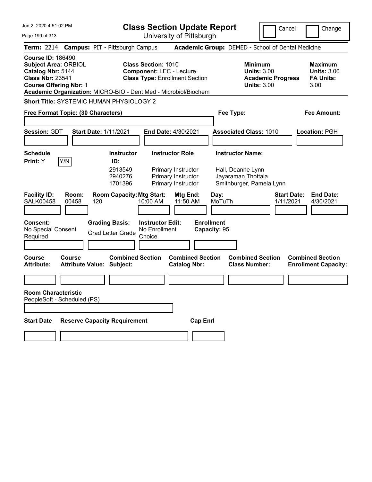| Jun 2, 2020 4:51:02 PM                                                                                                                                                                                      | <b>Class Section Update Report</b>                                                                     | Cancel                                                                                 | Change                                                           |
|-------------------------------------------------------------------------------------------------------------------------------------------------------------------------------------------------------------|--------------------------------------------------------------------------------------------------------|----------------------------------------------------------------------------------------|------------------------------------------------------------------|
| Page 199 of 313                                                                                                                                                                                             | University of Pittsburgh                                                                               |                                                                                        |                                                                  |
| Term: 2214 Campus: PIT - Pittsburgh Campus                                                                                                                                                                  |                                                                                                        | Academic Group: DEMED - School of Dental Medicine                                      |                                                                  |
| <b>Course ID: 186490</b><br><b>Subject Area: ORBIOL</b><br>Catalog Nbr: 5144<br><b>Class Nbr: 23541</b><br><b>Course Offering Nbr: 1</b><br>Academic Organization: MICRO-BIO - Dent Med - Microbiol/Biochem | <b>Class Section: 1010</b><br><b>Component: LEC - Lecture</b><br><b>Class Type: Enrollment Section</b> | <b>Minimum</b><br><b>Units: 3.00</b><br><b>Academic Progress</b><br><b>Units: 3.00</b> | <b>Maximum</b><br><b>Units: 3.00</b><br><b>FA Units:</b><br>3.00 |
| Short Title: SYSTEMIC HUMAN PHYSIOLOGY 2                                                                                                                                                                    |                                                                                                        |                                                                                        |                                                                  |
| Free Format Topic: (30 Characters)                                                                                                                                                                          |                                                                                                        | Fee Type:                                                                              | Fee Amount:                                                      |
|                                                                                                                                                                                                             |                                                                                                        |                                                                                        |                                                                  |
| <b>Session: GDT</b><br><b>Start Date: 1/11/2021</b>                                                                                                                                                         | End Date: 4/30/2021                                                                                    | <b>Associated Class: 1010</b>                                                          | <b>Location: PGH</b>                                             |
| <b>Schedule</b>                                                                                                                                                                                             | <b>Instructor Role</b><br><b>Instructor</b>                                                            | <b>Instructor Name:</b>                                                                |                                                                  |
| Y/N<br>Print: Y<br>ID:                                                                                                                                                                                      |                                                                                                        |                                                                                        |                                                                  |
|                                                                                                                                                                                                             | 2913549<br>Primary Instructor<br>2940276<br>Primary Instructor<br>1701396<br>Primary Instructor        | Hall, Deanne Lynn<br>Jayaraman, Thottala<br>Smithburger, Pamela Lynn                   |                                                                  |
| <b>Facility ID:</b><br>Room:<br><b>SALK00458</b><br>00458<br>120                                                                                                                                            | <b>Room Capacity: Mtg Start:</b><br>Mtg End:<br>11:50 AM<br>10:00 AM                                   | Day:<br><b>Start Date:</b><br>MoTuTh<br>1/11/2021                                      | <b>End Date:</b><br>4/30/2021                                    |
| <b>Consent:</b><br><b>Grading Basis:</b><br>No Special Consent<br><b>Grad Letter Grade</b><br>Required                                                                                                      | <b>Enrollment</b><br><b>Instructor Edit:</b><br>No Enrollment<br>Capacity: 95<br>Choice                |                                                                                        |                                                                  |
| <b>Course</b><br>Course<br><b>Attribute Value: Subject:</b><br><b>Attribute:</b>                                                                                                                            | <b>Combined Section</b><br><b>Combined Section</b><br><b>Catalog Nbr:</b>                              | <b>Combined Section</b><br><b>Class Number:</b>                                        | <b>Combined Section</b><br><b>Enrollment Capacity:</b>           |
|                                                                                                                                                                                                             |                                                                                                        |                                                                                        |                                                                  |
| <b>Room Characteristic</b><br>PeopleSoft - Scheduled (PS)                                                                                                                                                   |                                                                                                        |                                                                                        |                                                                  |
|                                                                                                                                                                                                             |                                                                                                        |                                                                                        |                                                                  |
| <b>Reserve Capacity Requirement</b><br><b>Start Date</b>                                                                                                                                                    | <b>Cap Enrl</b>                                                                                        |                                                                                        |                                                                  |
|                                                                                                                                                                                                             |                                                                                                        |                                                                                        |                                                                  |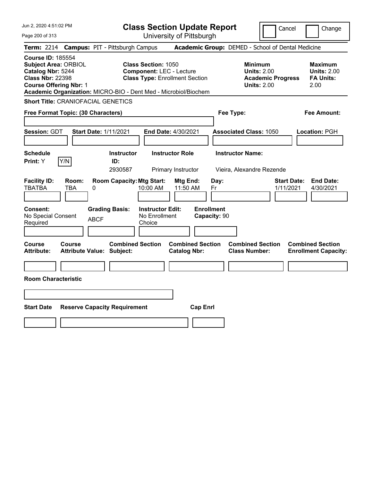| Jun 2, 2020 4:51:02 PM                                                                                                                                                                                      | <b>Class Section Update Report</b>                                                                     | Cancel<br>Change                                                                                                                             |
|-------------------------------------------------------------------------------------------------------------------------------------------------------------------------------------------------------------|--------------------------------------------------------------------------------------------------------|----------------------------------------------------------------------------------------------------------------------------------------------|
| Page 200 of 313                                                                                                                                                                                             | University of Pittsburgh                                                                               |                                                                                                                                              |
| <b>Campus: PIT - Pittsburgh Campus</b><br><b>Term: 2214</b>                                                                                                                                                 |                                                                                                        | Academic Group: DEMED - School of Dental Medicine                                                                                            |
| <b>Course ID: 185554</b><br><b>Subject Area: ORBIOL</b><br>Catalog Nbr: 5244<br><b>Class Nbr: 22398</b><br><b>Course Offering Nbr: 1</b><br>Academic Organization: MICRO-BIO - Dent Med - Microbiol/Biochem | <b>Class Section: 1050</b><br><b>Component: LEC - Lecture</b><br><b>Class Type: Enrollment Section</b> | Minimum<br>Maximum<br><b>Units: 2.00</b><br><b>Units: 2.00</b><br><b>FA Units:</b><br><b>Academic Progress</b><br><b>Units: 2.00</b><br>2.00 |
| <b>Short Title: CRANIOFACIAL GENETICS</b>                                                                                                                                                                   |                                                                                                        |                                                                                                                                              |
| Free Format Topic: (30 Characters)                                                                                                                                                                          |                                                                                                        | Fee Type:<br>Fee Amount:                                                                                                                     |
| Session: GDT<br><b>Start Date: 1/11/2021</b>                                                                                                                                                                | <b>End Date: 4/30/2021</b>                                                                             | <b>Associated Class: 1050</b><br>Location: PGH                                                                                               |
| <b>Schedule</b><br>Y/N<br>Print: Y<br>ID:                                                                                                                                                                   | <b>Instructor Role</b><br><b>Instructor</b><br>2930587<br>Primary Instructor                           | <b>Instructor Name:</b><br>Vieira, Alexandre Rezende                                                                                         |
| <b>Facility ID:</b><br>Room:<br><b>TBATBA</b><br>0<br>TBA                                                                                                                                                   | <b>Room Capacity: Mtg Start:</b><br>Mtg End:<br>Day:<br>10:00 AM<br>11:50 AM<br>Fr                     | <b>Start Date:</b><br><b>End Date:</b><br>1/11/2021<br>4/30/2021                                                                             |
| <b>Consent:</b><br><b>Grading Basis:</b><br>No Special Consent<br><b>ABCF</b><br>Required                                                                                                                   | <b>Enrollment</b><br><b>Instructor Edit:</b><br>No Enrollment<br>Capacity: 90<br>Choice                |                                                                                                                                              |
| <b>Course</b><br>Course<br><b>Attribute:</b><br><b>Attribute Value: Subject:</b>                                                                                                                            | <b>Combined Section</b><br><b>Combined Section</b><br><b>Catalog Nbr:</b>                              | <b>Combined Section</b><br><b>Combined Section</b><br><b>Class Number:</b><br><b>Enrollment Capacity:</b>                                    |
|                                                                                                                                                                                                             |                                                                                                        |                                                                                                                                              |
| <b>Room Characteristic</b>                                                                                                                                                                                  |                                                                                                        |                                                                                                                                              |
|                                                                                                                                                                                                             |                                                                                                        |                                                                                                                                              |
| <b>Start Date</b><br><b>Reserve Capacity Requirement</b>                                                                                                                                                    | <b>Cap Enrl</b>                                                                                        |                                                                                                                                              |
|                                                                                                                                                                                                             |                                                                                                        |                                                                                                                                              |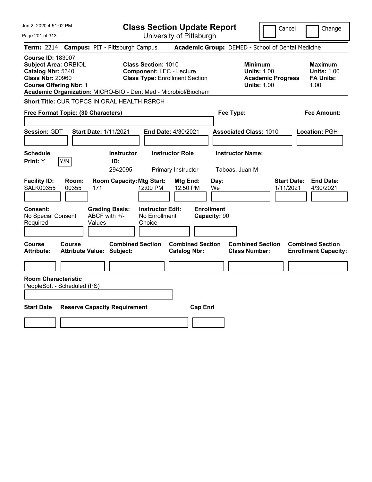| Jun 2, 2020 4:51:02 PM                                                                                                                                                                                      | <b>Class Section Update Report</b>                                                                     | Cancel<br>Change                                                                                                                                           |
|-------------------------------------------------------------------------------------------------------------------------------------------------------------------------------------------------------------|--------------------------------------------------------------------------------------------------------|------------------------------------------------------------------------------------------------------------------------------------------------------------|
| Page 201 of 313                                                                                                                                                                                             | University of Pittsburgh                                                                               |                                                                                                                                                            |
| <b>Campus: PIT - Pittsburgh Campus</b><br><b>Term: 2214</b>                                                                                                                                                 |                                                                                                        | Academic Group: DEMED - School of Dental Medicine                                                                                                          |
| <b>Course ID: 183007</b><br><b>Subject Area: ORBIOL</b><br>Catalog Nbr: 5340<br><b>Class Nbr: 20960</b><br><b>Course Offering Nbr: 1</b><br>Academic Organization: MICRO-BIO - Dent Med - Microbiol/Biochem | <b>Class Section: 1010</b><br><b>Component: LEC - Lecture</b><br><b>Class Type: Enrollment Section</b> | <b>Minimum</b><br><b>Maximum</b><br><b>Units: 1.00</b><br><b>Units: 1.00</b><br><b>Academic Progress</b><br><b>FA Units:</b><br><b>Units: 1.00</b><br>1.00 |
| Short Title: CUR TOPCS IN ORAL HEALTH RSRCH                                                                                                                                                                 |                                                                                                        |                                                                                                                                                            |
| Free Format Topic: (30 Characters)                                                                                                                                                                          |                                                                                                        | Fee Type:<br>Fee Amount:                                                                                                                                   |
| <b>Session: GDT</b><br><b>Start Date: 1/11/2021</b>                                                                                                                                                         | End Date: 4/30/2021                                                                                    | <b>Associated Class: 1010</b><br>Location: PGH                                                                                                             |
| <b>Schedule</b><br>Y/N<br>Print: Y<br>ID:                                                                                                                                                                   | <b>Instructor Role</b><br><b>Instructor</b><br>2942095<br>Primary Instructor                           | <b>Instructor Name:</b><br>Taboas, Juan M                                                                                                                  |
| <b>Facility ID:</b><br>Room:<br><b>SALK00355</b><br>00355<br>171                                                                                                                                            | <b>Room Capacity: Mtg Start:</b><br>Mtg End:<br>12:00 PM<br>12:50 PM<br>We                             | <b>Start Date:</b><br><b>End Date:</b><br>Day:<br>1/11/2021<br>4/30/2021                                                                                   |
| <b>Consent:</b><br><b>Grading Basis:</b><br>ABCF with +/-<br>No Special Consent<br>Required<br>Values                                                                                                       | <b>Enrollment</b><br><b>Instructor Edit:</b><br>No Enrollment<br>Capacity: 90<br>Choice                |                                                                                                                                                            |
| Course<br><b>Course</b><br><b>Attribute:</b><br><b>Attribute Value: Subject:</b>                                                                                                                            | <b>Combined Section</b><br><b>Combined Section</b><br><b>Catalog Nbr:</b>                              | <b>Combined Section</b><br><b>Combined Section</b><br><b>Class Number:</b><br><b>Enrollment Capacity:</b>                                                  |
| <b>Room Characteristic</b>                                                                                                                                                                                  |                                                                                                        |                                                                                                                                                            |
| PeopleSoft - Scheduled (PS)                                                                                                                                                                                 |                                                                                                        |                                                                                                                                                            |
| <b>Start Date</b><br><b>Reserve Capacity Requirement</b>                                                                                                                                                    | <b>Cap Enrl</b>                                                                                        |                                                                                                                                                            |
|                                                                                                                                                                                                             |                                                                                                        |                                                                                                                                                            |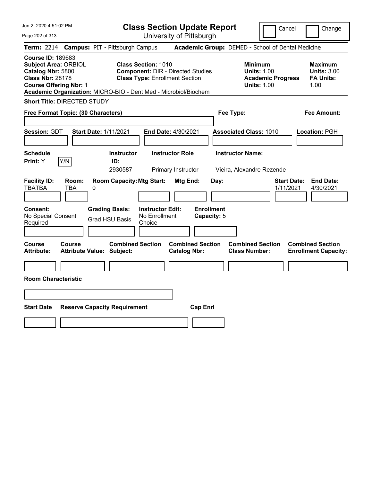Jun 2, 2020 4:51:02 PM Page 202 of 313 **Class Section Update Report** University of Pittsburgh Cancel | Change **Term:** 2214 **Campus:** PIT - Pittsburgh Campus **Academic Group:** DEMED - School of Dental Medicine **Course ID:** 189683 **Subject Area:** ORBIOL **Class Section:** 1010 **Minimum Maximum Catalog Nbr:** 5800 **Component:** DIR - Directed Studies **Units:** 1.00 **Units:** 3.00 **Class Type: Enrollment Section <b>Academic Progress FA Units: Course Offering Nbr: 1 Course Offering Nbr: 1 Units: 1.00** 1.00 **Academic Organization:** MICRO-BIO - Dent Med - Microbiol/Biochem **Short Title:** DIRECTED STUDY **Free Format Topic: (30 Characters) Fee Type: Fee Amount: Session:** GDT **Start Date:** 1/11/2021 **End Date:** 4/30/2021 **Associated Class:** 1010 **Location:** PGH **Schedule Instructor Instructor Role Instructor Name: Print:**  $Y$   $|Y/N|$  **ID:** 2930587 Primary Instructor Vieira, Alexandre Rezende **Facility ID: Room: Room Capacity:Mtg Start: Mtg End: Day: Start Date: End Date:** TBATBA TBA 0 1/11/2021 4/30/2021 **Consent: Grading Basis: Instructor Edit: Enrollment** No Special Consent Required Grad HSU Basis No Enrollment Choice **Capacity:** 5 **Course Course Combined Section Combined Section Combined Section Combined Section Attribute: Attribute Value: Subject: Catalog Nbr: Class Number: Enrollment Capacity: Room Characteristic Start Date Reserve Capacity Requirement Cap Enrl**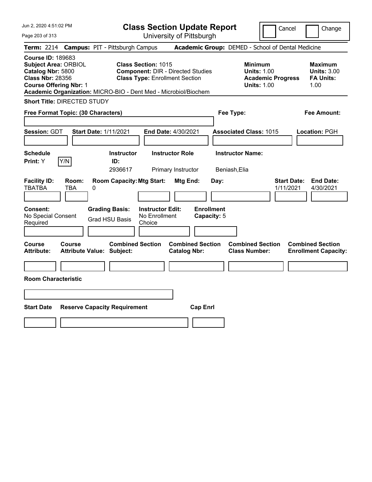| Jun 2, 2020 4:51:02 PM<br>Page 203 of 313                                                                                                | <b>Class Section Update Report</b><br>University of Pittsburgh                                                                                                                     | Cancel<br>Change                                                                                                                                           |
|------------------------------------------------------------------------------------------------------------------------------------------|------------------------------------------------------------------------------------------------------------------------------------------------------------------------------------|------------------------------------------------------------------------------------------------------------------------------------------------------------|
| Term: 2214 Campus: PIT - Pittsburgh Campus                                                                                               |                                                                                                                                                                                    | Academic Group: DEMED - School of Dental Medicine                                                                                                          |
| <b>Course ID: 189683</b><br><b>Subject Area: ORBIOL</b><br>Catalog Nbr: 5800<br><b>Class Nbr: 28356</b><br><b>Course Offering Nbr: 1</b> | <b>Class Section: 1015</b><br><b>Component: DIR - Directed Studies</b><br><b>Class Type: Enrollment Section</b><br>Academic Organization: MICRO-BIO - Dent Med - Microbiol/Biochem | <b>Minimum</b><br><b>Maximum</b><br><b>Units: 1.00</b><br><b>Units: 3.00</b><br><b>Academic Progress</b><br><b>FA Units:</b><br><b>Units: 1.00</b><br>1.00 |
| <b>Short Title: DIRECTED STUDY</b>                                                                                                       |                                                                                                                                                                                    |                                                                                                                                                            |
| Free Format Topic: (30 Characters)                                                                                                       |                                                                                                                                                                                    | Fee Type:<br><b>Fee Amount:</b>                                                                                                                            |
| <b>Session: GDT</b><br><b>Start Date: 1/11/2021</b><br><b>Schedule</b>                                                                   | End Date: 4/30/2021<br><b>Instructor</b><br><b>Instructor Role</b>                                                                                                                 | <b>Associated Class: 1015</b><br>Location: PGH<br><b>Instructor Name:</b>                                                                                  |
| Y/N<br><b>Print:</b> Y                                                                                                                   | ID:                                                                                                                                                                                |                                                                                                                                                            |
| <b>Facility ID:</b><br>Room:<br><b>TBATBA</b><br><b>TBA</b><br>0<br><b>Consent:</b><br><b>Grading Basis:</b>                             | 2936617<br>Primary Instructor<br><b>Room Capacity: Mtg Start:</b><br>Mtg End:<br>Day:<br><b>Enrollment</b><br><b>Instructor Edit:</b>                                              | Beniash, Elia<br><b>Start Date:</b><br><b>End Date:</b><br>1/11/2021<br>4/30/2021                                                                          |
| No Special Consent<br><b>Grad HSU Basis</b><br>Required                                                                                  | No Enrollment<br>Capacity: 5<br>Choice                                                                                                                                             |                                                                                                                                                            |
| Course<br>Course<br><b>Attribute:</b><br><b>Attribute Value: Subject:</b>                                                                | <b>Combined Section</b><br><b>Combined Section</b><br><b>Catalog Nbr:</b>                                                                                                          | <b>Combined Section</b><br><b>Combined Section</b><br><b>Class Number:</b><br><b>Enrollment Capacity:</b>                                                  |
|                                                                                                                                          |                                                                                                                                                                                    |                                                                                                                                                            |
| <b>Room Characteristic</b>                                                                                                               |                                                                                                                                                                                    |                                                                                                                                                            |
|                                                                                                                                          |                                                                                                                                                                                    |                                                                                                                                                            |
| <b>Start Date</b><br><b>Reserve Capacity Requirement</b>                                                                                 | <b>Cap Enrl</b>                                                                                                                                                                    |                                                                                                                                                            |
|                                                                                                                                          |                                                                                                                                                                                    |                                                                                                                                                            |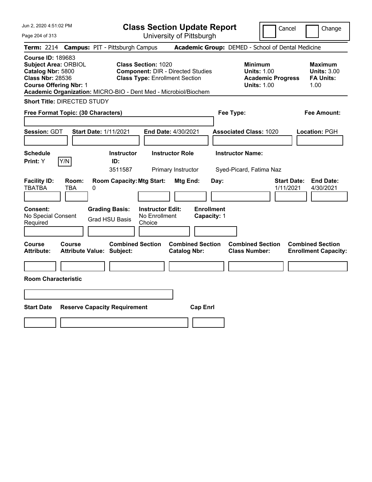Jun 2, 2020 4:51:02 PM Page 204 of 313 **Class Section Update Report** University of Pittsburgh Cancel | Change **Term:** 2214 **Campus:** PIT - Pittsburgh Campus **Academic Group:** DEMED - School of Dental Medicine **Course ID:** 189683 **Subject Area:** ORBIOL **Class Section:** 1020 **Minimum Maximum Catalog Nbr:** 5800 **Component:** DIR - Directed Studies **Units:** 1.00 **Units:** 3.00 **Class Nbr:** 28536 **Class Type:** Enrollment Section **Academic Progress FA Units: Course Offering Nbr: 1 Course Offering Nbr: 1 Units: 1.00** 1.00 **Academic Organization:** MICRO-BIO - Dent Med - Microbiol/Biochem **Short Title:** DIRECTED STUDY **Free Format Topic: (30 Characters) Fee Type: Fee Amount: Session:** GDT **Start Date:** 1/11/2021 **End Date:** 4/30/2021 **Associated Class:** 1020 **Location:** PGH **Schedule Instructor Instructor Role Instructor Name: Print:**  $Y$   $|Y/N|$  **ID:** 3511587 Primary Instructor Syed-Picard, Fatima Naz **Facility ID: Room: Room Capacity:Mtg Start: Mtg End: Day: Start Date: End Date:** TBATBA TBA 0 1/11/2021 4/30/2021 **Consent: Grading Basis: Instructor Edit: Enrollment** No Special Consent Required Grad HSU Basis No Enrollment Choice **Capacity:** 1 **Course Course Combined Section Combined Section Combined Section Combined Section Attribute: Attribute Value: Subject: Catalog Nbr: Class Number: Enrollment Capacity: Room Characteristic Start Date Reserve Capacity Requirement Cap Enrl**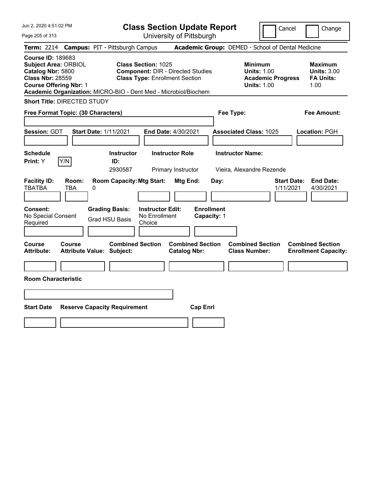Jun 2, 2020 4:51:02 PM Page 205 of 313 **Class Section Update Report** University of Pittsburgh Cancel | Change **Term:** 2214 **Campus:** PIT - Pittsburgh Campus **Academic Group:** DEMED - School of Dental Medicine **Course ID:** 189683 **Subject Area:** ORBIOL **Class Section:** 1025 **Minimum Maximum Catalog Nbr:** 5800 **Component:** DIR - Directed Studies **Units:** 1.00 **Units:** 3.00 **Class Nbr:** 28559 **Class Type:** Enrollment Section **Academic Progress FA Units: Course Offering Nbr: 1 Course Offering Nbr: 1 Units: 1.00** 1.00 **Academic Organization:** MICRO-BIO - Dent Med - Microbiol/Biochem **Short Title:** DIRECTED STUDY **Free Format Topic: (30 Characters) Fee Type: Fee Amount: Session:** GDT **Start Date:** 1/11/2021 **End Date:** 4/30/2021 **Associated Class:** 1025 **Location:** PGH **Schedule Instructor Instructor Role Instructor Name: Print:**  $Y$   $|Y/N|$  **ID:** 2930587 Primary Instructor Vieira, Alexandre Rezende **Facility ID: Room: Room Capacity:Mtg Start: Mtg End: Day: Start Date: End Date:** TBATBA TBA 0 1/11/2021 4/30/2021 **Consent: Grading Basis: Instructor Edit: Enrollment** No Special Consent Required Grad HSU Basis No Enrollment Choice **Capacity:** 1 **Course Course Combined Section Combined Section Combined Section Combined Section Attribute: Attribute Value: Subject: Catalog Nbr: Class Number: Enrollment Capacity: Room Characteristic Start Date Reserve Capacity Requirement Cap Enrl**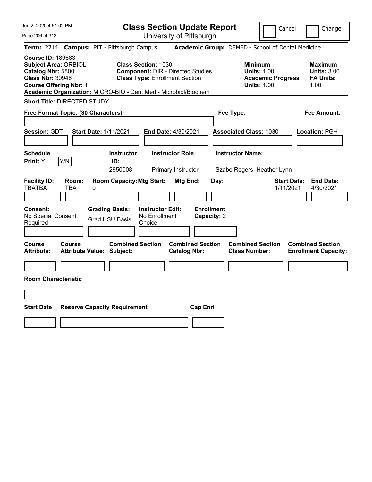|  | Jun 2, 2020 4:51:02 PM |  |
|--|------------------------|--|
|  |                        |  |

Page 206 of 313

**Class Section Update Report**

Cancel **Change** 

University of Pittsburgh

|                                                                                                                                          |                          | Term: 2214 Campus: PIT - Pittsburgh Campus                                         |                                                                                                                 |                                                |                         | Academic Group: DEMED - School of Dental Medicine                                      |                                 |                                                                  |
|------------------------------------------------------------------------------------------------------------------------------------------|--------------------------|------------------------------------------------------------------------------------|-----------------------------------------------------------------------------------------------------------------|------------------------------------------------|-------------------------|----------------------------------------------------------------------------------------|---------------------------------|------------------------------------------------------------------|
| <b>Course ID: 189683</b><br><b>Subject Area: ORBIOL</b><br>Catalog Nbr: 5800<br><b>Class Nbr: 30946</b><br><b>Course Offering Nbr: 1</b> |                          | Academic Organization: MICRO-BIO - Dent Med - Microbiol/Biochem                    | <b>Class Section: 1030</b><br><b>Component: DIR - Directed Studies</b><br><b>Class Type: Enrollment Section</b> |                                                |                         | <b>Minimum</b><br><b>Units: 1.00</b><br><b>Academic Progress</b><br><b>Units: 1.00</b> |                                 | <b>Maximum</b><br><b>Units: 3.00</b><br><b>FA Units:</b><br>1.00 |
| <b>Short Title: DIRECTED STUDY</b>                                                                                                       |                          |                                                                                    |                                                                                                                 |                                                |                         |                                                                                        |                                 |                                                                  |
| Free Format Topic: (30 Characters)                                                                                                       |                          |                                                                                    |                                                                                                                 |                                                | Fee Type:               |                                                                                        |                                 | Fee Amount:                                                      |
| Session: GDT                                                                                                                             |                          | <b>Start Date: 1/11/2021</b>                                                       | End Date: 4/30/2021                                                                                             |                                                |                         | <b>Associated Class: 1030</b>                                                          |                                 | Location: PGH                                                    |
| <b>Schedule</b><br>Print: Y                                                                                                              | Y/N                      | <b>Instructor</b><br>ID:<br>2950008                                                | <b>Instructor Role</b><br>Primary Instructor                                                                    |                                                | <b>Instructor Name:</b> | Szabo Rogers, Heather Lynn                                                             |                                 |                                                                  |
| <b>Facility ID:</b><br>TBATBA<br>Consent:<br>No Special Consent<br>Required                                                              | Room:<br><b>TBA</b><br>0 | <b>Room Capacity: Mtg Start:</b><br><b>Grading Basis:</b><br><b>Grad HSU Basis</b> | <b>Instructor Edit:</b><br>No Enrollment<br>Choice                                                              | Mtg End:<br><b>Enrollment</b><br>Capacity: 2   | Day:                    |                                                                                        | <b>Start Date:</b><br>1/11/2021 | <b>End Date:</b><br>4/30/2021                                    |
| Course<br>Attribute:                                                                                                                     | Course                   | <b>Combined Section</b><br><b>Attribute Value: Subject:</b>                        |                                                                                                                 | <b>Combined Section</b><br><b>Catalog Nbr:</b> |                         | <b>Combined Section</b><br><b>Class Number:</b>                                        |                                 | <b>Combined Section</b><br><b>Enrollment Capacity:</b>           |
|                                                                                                                                          |                          |                                                                                    |                                                                                                                 |                                                |                         |                                                                                        |                                 |                                                                  |
| <b>Room Characteristic</b>                                                                                                               |                          |                                                                                    |                                                                                                                 |                                                |                         |                                                                                        |                                 |                                                                  |
|                                                                                                                                          |                          |                                                                                    |                                                                                                                 |                                                |                         |                                                                                        |                                 |                                                                  |
| <b>Start Date</b>                                                                                                                        |                          | <b>Reserve Capacity Requirement</b>                                                |                                                                                                                 | <b>Cap Enrl</b>                                |                         |                                                                                        |                                 |                                                                  |
|                                                                                                                                          |                          |                                                                                    |                                                                                                                 |                                                |                         |                                                                                        |                                 |                                                                  |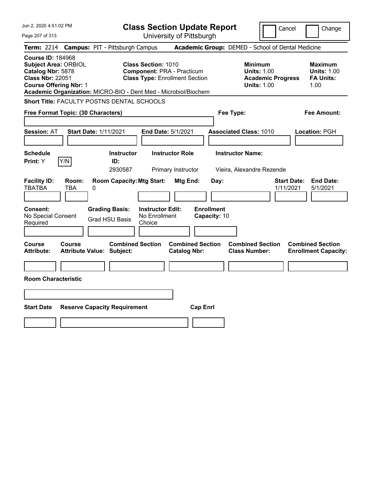| Jun 2, 2020 4:51:02 PM                                                                                                                   |                                                                 |                                                |                                                                                                          |                                              | <b>Class Section Update Report</b> |                                                      | Cancel                                         |                    | Change                                                           |
|------------------------------------------------------------------------------------------------------------------------------------------|-----------------------------------------------------------------|------------------------------------------------|----------------------------------------------------------------------------------------------------------|----------------------------------------------|------------------------------------|------------------------------------------------------|------------------------------------------------|--------------------|------------------------------------------------------------------|
| Page 207 of 313                                                                                                                          |                                                                 |                                                |                                                                                                          | University of Pittsburgh                     |                                    |                                                      |                                                |                    |                                                                  |
| <b>Term: 2214</b>                                                                                                                        | <b>Campus: PIT - Pittsburgh Campus</b>                          |                                                |                                                                                                          |                                              |                                    | Academic Group: DEMED - School of Dental Medicine    |                                                |                    |                                                                  |
| <b>Course ID: 184968</b><br><b>Subject Area: ORBIOL</b><br>Catalog Nbr: 5878<br><b>Class Nbr: 22051</b><br><b>Course Offering Nbr: 1</b> | Academic Organization: MICRO-BIO - Dent Med - Microbiol/Biochem |                                                | <b>Class Section: 1010</b><br><b>Component: PRA - Practicum</b><br><b>Class Type: Enrollment Section</b> |                                              |                                    | Minimum<br><b>Units: 1.00</b>                        | <b>Units: 1.00</b><br><b>Academic Progress</b> |                    | <b>Maximum</b><br><b>Units: 1.00</b><br><b>FA Units:</b><br>1.00 |
|                                                                                                                                          | <b>Short Title: FACULTY POSTNS DENTAL SCHOOLS</b>               |                                                |                                                                                                          |                                              |                                    |                                                      |                                                |                    |                                                                  |
|                                                                                                                                          | Free Format Topic: (30 Characters)                              |                                                |                                                                                                          |                                              |                                    | Fee Type:                                            |                                                |                    | Fee Amount:                                                      |
| <b>Session: AT</b>                                                                                                                       | <b>Start Date: 1/11/2021</b>                                    |                                                |                                                                                                          | <b>End Date: 5/1/2021</b>                    |                                    | <b>Associated Class: 1010</b>                        |                                                |                    | Location: PGH                                                    |
| <b>Schedule</b><br><b>Print:</b> Y                                                                                                       | Y/N                                                             | <b>Instructor</b><br>ID:<br>2930587            |                                                                                                          | <b>Instructor Role</b><br>Primary Instructor |                                    | <b>Instructor Name:</b><br>Vieira, Alexandre Rezende |                                                |                    |                                                                  |
| <b>Facility ID:</b><br><b>TBATBA</b>                                                                                                     | Room:<br>0<br><b>TBA</b>                                        | <b>Room Capacity: Mtg Start:</b>               |                                                                                                          | Mtg End:                                     | Day:                               |                                                      | 1/11/2021                                      | <b>Start Date:</b> | <b>End Date:</b><br>5/1/2021                                     |
| Consent:<br>No Special Consent<br>Required                                                                                               |                                                                 | <b>Grading Basis:</b><br><b>Grad HSU Basis</b> | <b>Instructor Edit:</b><br>No Enrollment<br>Choice                                                       |                                              | <b>Enrollment</b><br>Capacity: 10  |                                                      |                                                |                    |                                                                  |
| Course<br>Attribute:                                                                                                                     | Course<br><b>Attribute Value: Subject:</b>                      | <b>Combined Section</b>                        |                                                                                                          | <b>Catalog Nbr:</b>                          | <b>Combined Section</b>            | <b>Combined Section</b><br><b>Class Number:</b>      |                                                |                    | <b>Combined Section</b><br><b>Enrollment Capacity:</b>           |
| <b>Room Characteristic</b>                                                                                                               |                                                                 |                                                |                                                                                                          |                                              |                                    |                                                      |                                                |                    |                                                                  |
|                                                                                                                                          |                                                                 |                                                |                                                                                                          |                                              |                                    |                                                      |                                                |                    |                                                                  |
| <b>Start Date</b>                                                                                                                        | <b>Reserve Capacity Requirement</b>                             |                                                |                                                                                                          |                                              | <b>Cap Enrl</b>                    |                                                      |                                                |                    |                                                                  |
|                                                                                                                                          |                                                                 |                                                |                                                                                                          |                                              |                                    |                                                      |                                                |                    |                                                                  |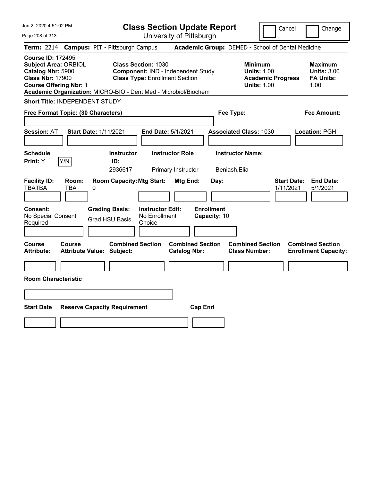| Jun 2, 2020 4:51:02 PM                                                                                                                   | <b>Class Section Update Report</b>                                                                                                                                           | Cancel<br>Change                                                                                                                                           |  |  |
|------------------------------------------------------------------------------------------------------------------------------------------|------------------------------------------------------------------------------------------------------------------------------------------------------------------------------|------------------------------------------------------------------------------------------------------------------------------------------------------------|--|--|
| Page 208 of 313                                                                                                                          | University of Pittsburgh                                                                                                                                                     |                                                                                                                                                            |  |  |
| <b>Term: 2214</b>                                                                                                                        | <b>Campus: PIT - Pittsburgh Campus</b>                                                                                                                                       | Academic Group: DEMED - School of Dental Medicine                                                                                                          |  |  |
| <b>Course ID: 172495</b><br><b>Subject Area: ORBIOL</b><br>Catalog Nbr: 5900<br><b>Class Nbr: 17900</b><br><b>Course Offering Nbr: 1</b> | <b>Class Section: 1030</b><br>Component: IND - Independent Study<br><b>Class Type: Enrollment Section</b><br>Academic Organization: MICRO-BIO - Dent Med - Microbiol/Biochem | <b>Minimum</b><br><b>Maximum</b><br><b>Units: 1.00</b><br><b>Units: 3.00</b><br><b>FA Units:</b><br><b>Academic Progress</b><br><b>Units: 1.00</b><br>1.00 |  |  |
| Short Title: INDEPENDENT STUDY                                                                                                           |                                                                                                                                                                              |                                                                                                                                                            |  |  |
| Free Format Topic: (30 Characters)                                                                                                       |                                                                                                                                                                              | Fee Type:<br>Fee Amount:                                                                                                                                   |  |  |
| Session: AT                                                                                                                              | <b>Start Date: 1/11/2021</b><br>End Date: 5/1/2021                                                                                                                           | <b>Associated Class: 1030</b><br>Location: PGH                                                                                                             |  |  |
| <b>Schedule</b><br>Print: Y<br>Y/N                                                                                                       | <b>Instructor Role</b><br><b>Instructor</b><br>ID:<br>2936617<br>Primary Instructor                                                                                          | <b>Instructor Name:</b><br>Beniash, Elia                                                                                                                   |  |  |
| <b>Facility ID:</b><br>Room:<br><b>TBATBA</b><br><b>TBA</b>                                                                              | <b>Room Capacity: Mtg Start:</b><br>Mtg End:<br>Day:<br>0                                                                                                                    | <b>End Date:</b><br><b>Start Date:</b><br>1/11/2021<br>5/1/2021                                                                                            |  |  |
| Consent:<br>No Special Consent<br>Required                                                                                               | <b>Enrollment</b><br><b>Grading Basis:</b><br><b>Instructor Edit:</b><br>No Enrollment<br>Capacity: 10<br><b>Grad HSU Basis</b><br>Choice                                    |                                                                                                                                                            |  |  |
| <b>Course</b><br>Course<br><b>Attribute:</b>                                                                                             | <b>Combined Section</b><br><b>Combined Section</b><br><b>Attribute Value: Subject:</b><br><b>Catalog Nbr:</b>                                                                | <b>Combined Section</b><br><b>Combined Section</b><br><b>Class Number:</b><br><b>Enrollment Capacity:</b>                                                  |  |  |
|                                                                                                                                          |                                                                                                                                                                              |                                                                                                                                                            |  |  |
| <b>Room Characteristic</b>                                                                                                               |                                                                                                                                                                              |                                                                                                                                                            |  |  |
|                                                                                                                                          |                                                                                                                                                                              |                                                                                                                                                            |  |  |
| <b>Start Date</b><br><b>Reserve Capacity Requirement</b><br><b>Cap Enrl</b>                                                              |                                                                                                                                                                              |                                                                                                                                                            |  |  |
|                                                                                                                                          |                                                                                                                                                                              |                                                                                                                                                            |  |  |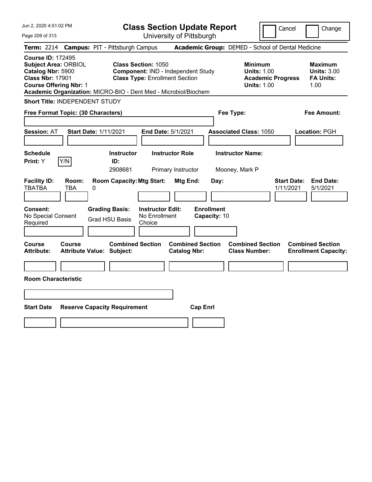| Jun 2, 2020 4:51:02 PM                                                                                                                                                                                      |                                                                                                           | <b>Class Section Update Report</b>             |                                                                                 | Cancel<br>Change                                                 |
|-------------------------------------------------------------------------------------------------------------------------------------------------------------------------------------------------------------|-----------------------------------------------------------------------------------------------------------|------------------------------------------------|---------------------------------------------------------------------------------|------------------------------------------------------------------|
| Page 209 of 313                                                                                                                                                                                             |                                                                                                           | University of Pittsburgh                       |                                                                                 |                                                                  |
| <b>Term: 2214</b>                                                                                                                                                                                           | <b>Campus: PIT - Pittsburgh Campus</b>                                                                    |                                                | Academic Group: DEMED - School of Dental Medicine                               |                                                                  |
| <b>Course ID: 172495</b><br><b>Subject Area: ORBIOL</b><br>Catalog Nbr: 5900<br><b>Class Nbr: 17901</b><br><b>Course Offering Nbr: 1</b><br>Academic Organization: MICRO-BIO - Dent Med - Microbiol/Biochem | <b>Class Section: 1050</b><br>Component: IND - Independent Study<br><b>Class Type: Enrollment Section</b> |                                                | Minimum<br><b>Units: 1.00</b><br><b>Academic Progress</b><br><b>Units: 1.00</b> | <b>Maximum</b><br><b>Units: 3.00</b><br><b>FA Units:</b><br>1.00 |
| <b>Short Title: INDEPENDENT STUDY</b>                                                                                                                                                                       |                                                                                                           |                                                |                                                                                 |                                                                  |
| Free Format Topic: (30 Characters)                                                                                                                                                                          |                                                                                                           |                                                | Fee Type:                                                                       | Fee Amount:                                                      |
| <b>Session: AT</b><br><b>Start Date: 1/11/2021</b>                                                                                                                                                          |                                                                                                           | End Date: 5/1/2021                             | <b>Associated Class: 1050</b>                                                   | Location: PGH                                                    |
| <b>Schedule</b><br>Y/N<br>Print: Y                                                                                                                                                                          | <b>Instructor</b><br>ID:<br>2908681                                                                       | <b>Instructor Role</b><br>Primary Instructor   | <b>Instructor Name:</b><br>Mooney, Mark P                                       |                                                                  |
| <b>Facility ID:</b><br>Room:<br><b>TBATBA</b><br>TBA<br>0                                                                                                                                                   | <b>Room Capacity: Mtg Start:</b>                                                                          | Mtg End:<br>Day:                               |                                                                                 | <b>Start Date:</b><br><b>End Date:</b><br>1/11/2021<br>5/1/2021  |
| <b>Consent:</b><br>No Special Consent<br>Required                                                                                                                                                           | <b>Grading Basis:</b><br><b>Instructor Edit:</b><br>No Enrollment<br><b>Grad HSU Basis</b><br>Choice      | <b>Enrollment</b><br>Capacity: 10              |                                                                                 |                                                                  |
| Course<br><b>Course</b><br><b>Attribute:</b><br><b>Attribute Value: Subject:</b>                                                                                                                            | <b>Combined Section</b>                                                                                   | <b>Combined Section</b><br><b>Catalog Nbr:</b> | <b>Combined Section</b><br><b>Class Number:</b>                                 | <b>Combined Section</b><br><b>Enrollment Capacity:</b>           |
|                                                                                                                                                                                                             |                                                                                                           |                                                |                                                                                 |                                                                  |
| <b>Room Characteristic</b>                                                                                                                                                                                  |                                                                                                           |                                                |                                                                                 |                                                                  |
|                                                                                                                                                                                                             |                                                                                                           |                                                |                                                                                 |                                                                  |
| <b>Start Date</b>                                                                                                                                                                                           | <b>Reserve Capacity Requirement</b>                                                                       | <b>Cap Enrl</b>                                |                                                                                 |                                                                  |
|                                                                                                                                                                                                             |                                                                                                           |                                                |                                                                                 |                                                                  |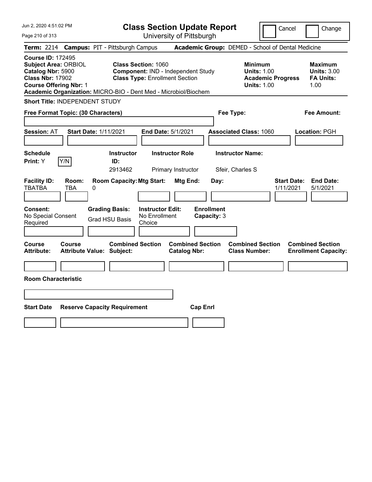| Jun 2, 2020 4:51:02 PM                                                                                                                                                                                      |                                                                                                                  | <b>Class Section Update Report</b>             | Cancel                                                                                 | Change                                                           |
|-------------------------------------------------------------------------------------------------------------------------------------------------------------------------------------------------------------|------------------------------------------------------------------------------------------------------------------|------------------------------------------------|----------------------------------------------------------------------------------------|------------------------------------------------------------------|
| Page 210 of 313                                                                                                                                                                                             |                                                                                                                  | University of Pittsburgh                       |                                                                                        |                                                                  |
| <b>Term: 2214</b>                                                                                                                                                                                           | <b>Campus: PIT - Pittsburgh Campus</b>                                                                           |                                                | Academic Group: DEMED - School of Dental Medicine                                      |                                                                  |
| <b>Course ID: 172495</b><br><b>Subject Area: ORBIOL</b><br>Catalog Nbr: 5900<br><b>Class Nbr: 17902</b><br><b>Course Offering Nbr: 1</b><br>Academic Organization: MICRO-BIO - Dent Med - Microbiol/Biochem | <b>Class Section: 1060</b><br><b>Component: IND - Independent Study</b><br><b>Class Type: Enrollment Section</b> |                                                | <b>Minimum</b><br><b>Units: 1.00</b><br><b>Academic Progress</b><br><b>Units: 1.00</b> | <b>Maximum</b><br><b>Units: 3.00</b><br><b>FA Units:</b><br>1.00 |
| Short Title: INDEPENDENT STUDY                                                                                                                                                                              |                                                                                                                  |                                                |                                                                                        |                                                                  |
| Free Format Topic: (30 Characters)                                                                                                                                                                          |                                                                                                                  |                                                | Fee Type:                                                                              | Fee Amount:                                                      |
| <b>Session: AT</b><br><b>Start Date: 1/11/2021</b>                                                                                                                                                          |                                                                                                                  | End Date: 5/1/2021                             | <b>Associated Class: 1060</b>                                                          | Location: PGH                                                    |
| <b>Schedule</b><br>Y/N<br>Print: Y                                                                                                                                                                          | <b>Instructor</b><br>ID:<br>2913462                                                                              | <b>Instructor Role</b><br>Primary Instructor   | <b>Instructor Name:</b><br>Sfeir, Charles S                                            |                                                                  |
| <b>Facility ID:</b><br>Room:<br><b>TBATBA</b><br><b>TBA</b><br>0                                                                                                                                            | <b>Room Capacity: Mtg Start:</b>                                                                                 | Mtg End:<br>Day:                               | <b>Start Date:</b><br>1/11/2021                                                        | <b>End Date:</b><br>5/1/2021                                     |
| Consent:<br>No Special Consent<br>Required                                                                                                                                                                  | <b>Grading Basis:</b><br><b>Instructor Edit:</b><br>No Enrollment<br><b>Grad HSU Basis</b><br>Choice             | <b>Enrollment</b><br>Capacity: 3               |                                                                                        |                                                                  |
| <b>Course</b><br>Course<br><b>Attribute:</b><br><b>Attribute Value: Subject:</b>                                                                                                                            | <b>Combined Section</b>                                                                                          | <b>Combined Section</b><br><b>Catalog Nbr:</b> | <b>Combined Section</b><br><b>Class Number:</b>                                        | <b>Combined Section</b><br><b>Enrollment Capacity:</b>           |
|                                                                                                                                                                                                             |                                                                                                                  |                                                |                                                                                        |                                                                  |
| <b>Room Characteristic</b>                                                                                                                                                                                  |                                                                                                                  |                                                |                                                                                        |                                                                  |
|                                                                                                                                                                                                             |                                                                                                                  |                                                |                                                                                        |                                                                  |
| <b>Start Date</b>                                                                                                                                                                                           | <b>Reserve Capacity Requirement</b>                                                                              | <b>Cap Enrl</b>                                |                                                                                        |                                                                  |
|                                                                                                                                                                                                             |                                                                                                                  |                                                |                                                                                        |                                                                  |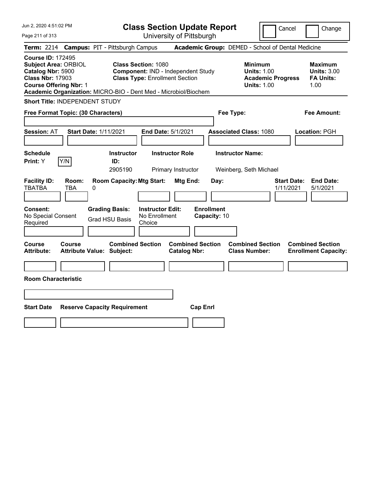| Jun 2, 2020 4:51:02 PM                                                                                                                   | <b>Class Section Update Report</b>                                                                                                                                           | Cancel                                                                                 | Change                                                           |
|------------------------------------------------------------------------------------------------------------------------------------------|------------------------------------------------------------------------------------------------------------------------------------------------------------------------------|----------------------------------------------------------------------------------------|------------------------------------------------------------------|
| Page 211 of 313                                                                                                                          | University of Pittsburgh                                                                                                                                                     |                                                                                        |                                                                  |
| <b>Term: 2214</b>                                                                                                                        | <b>Campus: PIT - Pittsburgh Campus</b>                                                                                                                                       | Academic Group: DEMED - School of Dental Medicine                                      |                                                                  |
| <b>Course ID: 172495</b><br><b>Subject Area: ORBIOL</b><br>Catalog Nbr: 5900<br><b>Class Nbr: 17903</b><br><b>Course Offering Nbr: 1</b> | <b>Class Section: 1080</b><br>Component: IND - Independent Study<br><b>Class Type: Enrollment Section</b><br>Academic Organization: MICRO-BIO - Dent Med - Microbiol/Biochem | <b>Minimum</b><br><b>Units: 1.00</b><br><b>Academic Progress</b><br><b>Units: 1.00</b> | <b>Maximum</b><br><b>Units: 3.00</b><br><b>FA Units:</b><br>1.00 |
| Short Title: INDEPENDENT STUDY                                                                                                           |                                                                                                                                                                              |                                                                                        |                                                                  |
| Free Format Topic: (30 Characters)                                                                                                       |                                                                                                                                                                              | Fee Type:                                                                              | Fee Amount:                                                      |
| <b>Start Date: 1/11/2021</b><br><b>Session: AT</b>                                                                                       | End Date: 5/1/2021                                                                                                                                                           | <b>Associated Class: 1080</b>                                                          | Location: PGH                                                    |
| <b>Schedule</b><br>Y/N<br>Print: Y                                                                                                       | <b>Instructor Role</b><br><b>Instructor</b><br>ID:<br>2905190<br>Primary Instructor                                                                                          | <b>Instructor Name:</b><br>Weinberg, Seth Michael                                      |                                                                  |
| <b>Facility ID:</b><br>Room:<br><b>TBATBA</b><br><b>TBA</b><br>0                                                                         | <b>Room Capacity: Mtg Start:</b><br>Mtg End:                                                                                                                                 | <b>Start Date:</b><br>Day:<br>1/11/2021                                                | <b>End Date:</b><br>5/1/2021                                     |
| Consent:<br>No Special Consent<br>Required                                                                                               | <b>Grading Basis:</b><br><b>Instructor Edit:</b><br>No Enrollment<br><b>Grad HSU Basis</b><br>Choice                                                                         | <b>Enrollment</b><br>Capacity: 10                                                      |                                                                  |
| Course<br><b>Course</b><br><b>Attribute:</b><br><b>Attribute Value: Subject:</b>                                                         | <b>Combined Section</b><br><b>Combined Section</b><br><b>Catalog Nbr:</b>                                                                                                    | <b>Combined Section</b><br><b>Class Number:</b>                                        | <b>Combined Section</b><br><b>Enrollment Capacity:</b>           |
|                                                                                                                                          |                                                                                                                                                                              |                                                                                        |                                                                  |
| <b>Room Characteristic</b>                                                                                                               |                                                                                                                                                                              |                                                                                        |                                                                  |
|                                                                                                                                          |                                                                                                                                                                              |                                                                                        |                                                                  |
| <b>Start Date</b>                                                                                                                        | <b>Cap Enrl</b><br><b>Reserve Capacity Requirement</b>                                                                                                                       |                                                                                        |                                                                  |
|                                                                                                                                          |                                                                                                                                                                              |                                                                                        |                                                                  |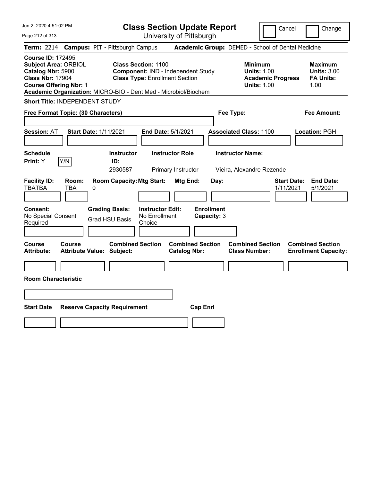| Jun 2, 2020 4:51:02 PM                                                                                                                   |                                                                                                                                                                              | <b>Class Section Update Report</b>             | Cancel                                                                                 | Change                                                           |
|------------------------------------------------------------------------------------------------------------------------------------------|------------------------------------------------------------------------------------------------------------------------------------------------------------------------------|------------------------------------------------|----------------------------------------------------------------------------------------|------------------------------------------------------------------|
| Page 212 of 313                                                                                                                          |                                                                                                                                                                              | University of Pittsburgh                       |                                                                                        |                                                                  |
| <b>Term: 2214</b>                                                                                                                        | <b>Campus: PIT - Pittsburgh Campus</b>                                                                                                                                       |                                                | Academic Group: DEMED - School of Dental Medicine                                      |                                                                  |
| <b>Course ID: 172495</b><br><b>Subject Area: ORBIOL</b><br>Catalog Nbr: 5900<br><b>Class Nbr: 17904</b><br><b>Course Offering Nbr: 1</b> | <b>Class Section: 1100</b><br>Component: IND - Independent Study<br><b>Class Type: Enrollment Section</b><br>Academic Organization: MICRO-BIO - Dent Med - Microbiol/Biochem |                                                | <b>Minimum</b><br><b>Units: 1.00</b><br><b>Academic Progress</b><br><b>Units: 1.00</b> | <b>Maximum</b><br><b>Units: 3.00</b><br><b>FA Units:</b><br>1.00 |
| <b>Short Title: INDEPENDENT STUDY</b>                                                                                                    |                                                                                                                                                                              |                                                |                                                                                        |                                                                  |
| Free Format Topic: (30 Characters)                                                                                                       |                                                                                                                                                                              | Fee Type:                                      |                                                                                        | Fee Amount:                                                      |
| <b>Session: AT</b>                                                                                                                       | <b>Start Date: 1/11/2021</b><br>End Date: 5/1/2021                                                                                                                           |                                                | <b>Associated Class: 1100</b>                                                          | Location: PGH                                                    |
| <b>Schedule</b><br>Print: Y<br>Y/N                                                                                                       | <b>Instructor</b><br>ID:<br>2930587                                                                                                                                          | <b>Instructor Role</b><br>Primary Instructor   | <b>Instructor Name:</b><br>Vieira, Alexandre Rezende                                   |                                                                  |
| <b>Facility ID:</b><br>Room:<br><b>TBATBA</b><br><b>TBA</b><br>0                                                                         | <b>Room Capacity: Mtg Start:</b>                                                                                                                                             | Mtg End:<br>Day:                               | <b>Start Date:</b><br>1/11/2021                                                        | <b>End Date:</b><br>5/1/2021                                     |
| Consent:<br>No Special Consent<br>Required                                                                                               | <b>Instructor Edit:</b><br><b>Grading Basis:</b><br>No Enrollment<br><b>Grad HSU Basis</b><br>Choice                                                                         | <b>Enrollment</b><br>Capacity: 3               |                                                                                        |                                                                  |
| Course<br>Course<br><b>Attribute:</b>                                                                                                    | <b>Combined Section</b><br><b>Attribute Value: Subject:</b>                                                                                                                  | <b>Combined Section</b><br><b>Catalog Nbr:</b> | <b>Combined Section</b><br><b>Class Number:</b>                                        | <b>Combined Section</b><br><b>Enrollment Capacity:</b>           |
|                                                                                                                                          |                                                                                                                                                                              |                                                |                                                                                        |                                                                  |
| <b>Room Characteristic</b>                                                                                                               |                                                                                                                                                                              |                                                |                                                                                        |                                                                  |
|                                                                                                                                          |                                                                                                                                                                              |                                                |                                                                                        |                                                                  |
| <b>Start Date</b><br><b>Reserve Capacity Requirement</b><br><b>Cap Enrl</b>                                                              |                                                                                                                                                                              |                                                |                                                                                        |                                                                  |
|                                                                                                                                          |                                                                                                                                                                              |                                                |                                                                                        |                                                                  |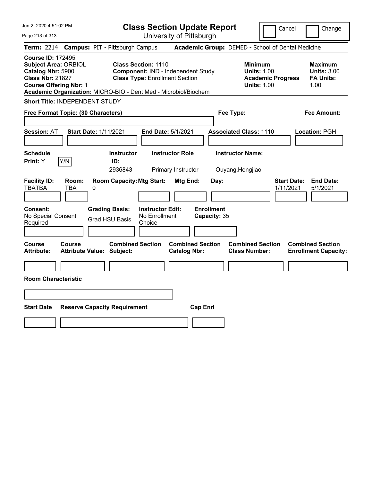| Jun 2, 2020 4:51:02 PM                                                                                                                   |                                                                                                                                                                                     | <b>Class Section Update Report</b>             | Cancel                                                                          | Change                                                           |
|------------------------------------------------------------------------------------------------------------------------------------------|-------------------------------------------------------------------------------------------------------------------------------------------------------------------------------------|------------------------------------------------|---------------------------------------------------------------------------------|------------------------------------------------------------------|
| Page 213 of 313                                                                                                                          |                                                                                                                                                                                     | University of Pittsburgh                       |                                                                                 |                                                                  |
| <b>Term: 2214</b>                                                                                                                        | <b>Campus: PIT - Pittsburgh Campus</b>                                                                                                                                              |                                                | Academic Group: DEMED - School of Dental Medicine                               |                                                                  |
| <b>Course ID: 172495</b><br><b>Subject Area: ORBIOL</b><br>Catalog Nbr: 5900<br><b>Class Nbr: 21827</b><br><b>Course Offering Nbr: 1</b> | <b>Class Section: 1110</b><br><b>Component: IND - Independent Study</b><br><b>Class Type: Enrollment Section</b><br>Academic Organization: MICRO-BIO - Dent Med - Microbiol/Biochem |                                                | Minimum<br><b>Units: 1.00</b><br><b>Academic Progress</b><br><b>Units: 1.00</b> | <b>Maximum</b><br><b>Units: 3.00</b><br><b>FA Units:</b><br>1.00 |
| <b>Short Title: INDEPENDENT STUDY</b>                                                                                                    |                                                                                                                                                                                     |                                                |                                                                                 |                                                                  |
| Free Format Topic: (30 Characters)                                                                                                       |                                                                                                                                                                                     |                                                | Fee Type:                                                                       | Fee Amount:                                                      |
| <b>Session: AT</b>                                                                                                                       | <b>Start Date: 1/11/2021</b>                                                                                                                                                        | End Date: 5/1/2021                             | <b>Associated Class: 1110</b>                                                   | Location: PGH                                                    |
| <b>Schedule</b><br>Y/N<br>Print: Y                                                                                                       | <b>Instructor</b><br>ID:<br>2936843                                                                                                                                                 | <b>Instructor Role</b><br>Primary Instructor   | <b>Instructor Name:</b><br>Ouyang, Hongjiao                                     |                                                                  |
| <b>Facility ID:</b><br>Room:<br><b>TBATBA</b><br><b>TBA</b>                                                                              | <b>Room Capacity: Mtg Start:</b><br>0                                                                                                                                               | Mtg End:<br>Day:                               | <b>Start Date:</b><br>1/11/2021                                                 | <b>End Date:</b><br>5/1/2021                                     |
| Consent:<br>No Special Consent<br>Required                                                                                               | <b>Grading Basis:</b><br><b>Instructor Edit:</b><br>No Enrollment<br><b>Grad HSU Basis</b><br>Choice                                                                                | <b>Enrollment</b><br>Capacity: 35              |                                                                                 |                                                                  |
| Course<br>Course<br><b>Attribute:</b>                                                                                                    | <b>Combined Section</b><br><b>Attribute Value: Subject:</b>                                                                                                                         | <b>Combined Section</b><br><b>Catalog Nbr:</b> | <b>Combined Section</b><br><b>Class Number:</b>                                 | <b>Combined Section</b><br><b>Enrollment Capacity:</b>           |
| <b>Room Characteristic</b>                                                                                                               |                                                                                                                                                                                     |                                                |                                                                                 |                                                                  |
|                                                                                                                                          |                                                                                                                                                                                     |                                                |                                                                                 |                                                                  |
| <b>Start Date</b>                                                                                                                        | <b>Reserve Capacity Requirement</b>                                                                                                                                                 | <b>Cap Enrl</b>                                |                                                                                 |                                                                  |
|                                                                                                                                          |                                                                                                                                                                                     |                                                |                                                                                 |                                                                  |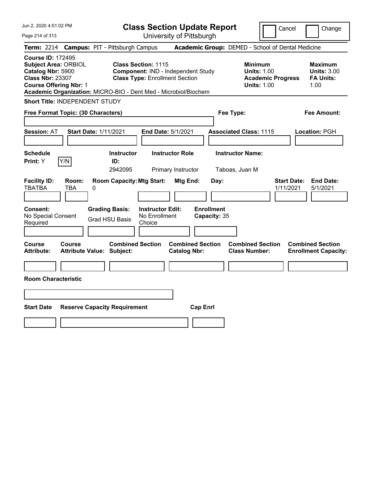| Jun 2, 2020 4:51:02 PM                                                                                                                                                                                      |                                                                                                           | <b>Class Section Update Report</b>             | Cancel                                                                                 | Change                                                           |
|-------------------------------------------------------------------------------------------------------------------------------------------------------------------------------------------------------------|-----------------------------------------------------------------------------------------------------------|------------------------------------------------|----------------------------------------------------------------------------------------|------------------------------------------------------------------|
| Page 214 of 313                                                                                                                                                                                             |                                                                                                           | University of Pittsburgh                       |                                                                                        |                                                                  |
| <b>Term: 2214</b>                                                                                                                                                                                           | <b>Campus: PIT - Pittsburgh Campus</b>                                                                    |                                                | Academic Group: DEMED - School of Dental Medicine                                      |                                                                  |
| <b>Course ID: 172495</b><br><b>Subject Area: ORBIOL</b><br>Catalog Nbr: 5900<br><b>Class Nbr: 23307</b><br><b>Course Offering Nbr: 1</b><br>Academic Organization: MICRO-BIO - Dent Med - Microbiol/Biochem | <b>Class Section: 1115</b><br>Component: IND - Independent Study<br><b>Class Type: Enrollment Section</b> |                                                | <b>Minimum</b><br><b>Units: 1.00</b><br><b>Academic Progress</b><br><b>Units: 1.00</b> | <b>Maximum</b><br><b>Units: 3.00</b><br><b>FA Units:</b><br>1.00 |
| <b>Short Title: INDEPENDENT STUDY</b>                                                                                                                                                                       |                                                                                                           |                                                |                                                                                        |                                                                  |
| Free Format Topic: (30 Characters)                                                                                                                                                                          |                                                                                                           |                                                | Fee Type:                                                                              | Fee Amount:                                                      |
| <b>Session: AT</b>                                                                                                                                                                                          | <b>Start Date: 1/11/2021</b><br>End Date: 5/1/2021                                                        |                                                | <b>Associated Class: 1115</b>                                                          | Location: PGH                                                    |
| <b>Schedule</b><br>Print: Y<br>Y/N                                                                                                                                                                          | <b>Instructor</b><br>ID:<br>2942095                                                                       | <b>Instructor Role</b><br>Primary Instructor   | <b>Instructor Name:</b><br>Taboas, Juan M                                              |                                                                  |
| <b>Facility ID:</b><br>Room:<br><b>TBATBA</b><br><b>TBA</b><br>0                                                                                                                                            | <b>Room Capacity: Mtg Start:</b>                                                                          | Mtg End:<br>Day:                               | <b>Start Date:</b><br>1/11/2021                                                        | <b>End Date:</b><br>5/1/2021                                     |
| Consent:<br>No Special Consent<br>Required                                                                                                                                                                  | <b>Instructor Edit:</b><br><b>Grading Basis:</b><br>No Enrollment<br><b>Grad HSU Basis</b><br>Choice      | <b>Enrollment</b><br>Capacity: 35              |                                                                                        |                                                                  |
| Course<br>Course<br><b>Attribute:</b>                                                                                                                                                                       | <b>Combined Section</b><br><b>Attribute Value: Subject:</b>                                               | <b>Combined Section</b><br><b>Catalog Nbr:</b> | <b>Combined Section</b><br><b>Class Number:</b>                                        | <b>Combined Section</b><br><b>Enrollment Capacity:</b>           |
|                                                                                                                                                                                                             |                                                                                                           |                                                |                                                                                        |                                                                  |
| <b>Room Characteristic</b>                                                                                                                                                                                  |                                                                                                           |                                                |                                                                                        |                                                                  |
|                                                                                                                                                                                                             |                                                                                                           |                                                |                                                                                        |                                                                  |
| <b>Start Date</b><br><b>Cap Enrl</b><br><b>Reserve Capacity Requirement</b>                                                                                                                                 |                                                                                                           |                                                |                                                                                        |                                                                  |
|                                                                                                                                                                                                             |                                                                                                           |                                                |                                                                                        |                                                                  |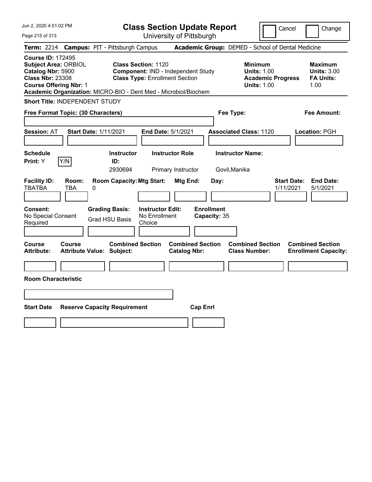| Jun 2, 2020 4:51:02 PM                                                                                                                   | <b>Class Section Update Report</b>                                                                                                                                                  | Cancel<br>Change                                                                                                                                           |  |  |
|------------------------------------------------------------------------------------------------------------------------------------------|-------------------------------------------------------------------------------------------------------------------------------------------------------------------------------------|------------------------------------------------------------------------------------------------------------------------------------------------------------|--|--|
| Page 215 of 313                                                                                                                          | University of Pittsburgh                                                                                                                                                            |                                                                                                                                                            |  |  |
| <b>Term: 2214</b>                                                                                                                        | <b>Campus: PIT - Pittsburgh Campus</b>                                                                                                                                              | Academic Group: DEMED - School of Dental Medicine                                                                                                          |  |  |
| <b>Course ID: 172495</b><br><b>Subject Area: ORBIOL</b><br>Catalog Nbr: 5900<br><b>Class Nbr: 23308</b><br><b>Course Offering Nbr: 1</b> | <b>Class Section: 1120</b><br><b>Component: IND - Independent Study</b><br><b>Class Type: Enrollment Section</b><br>Academic Organization: MICRO-BIO - Dent Med - Microbiol/Biochem | <b>Minimum</b><br><b>Maximum</b><br><b>Units: 1.00</b><br><b>Units: 3.00</b><br><b>FA Units:</b><br><b>Academic Progress</b><br><b>Units: 1.00</b><br>1.00 |  |  |
| Short Title: INDEPENDENT STUDY                                                                                                           |                                                                                                                                                                                     |                                                                                                                                                            |  |  |
| Free Format Topic: (30 Characters)                                                                                                       |                                                                                                                                                                                     | Fee Type:<br>Fee Amount:                                                                                                                                   |  |  |
| Session: AT                                                                                                                              | <b>Start Date: 1/11/2021</b><br>End Date: 5/1/2021                                                                                                                                  | <b>Associated Class: 1120</b><br>Location: PGH                                                                                                             |  |  |
| <b>Schedule</b><br>Print: Y<br>Y/N                                                                                                       | <b>Instructor Role</b><br><b>Instructor</b><br>ID:<br>2930694<br>Primary Instructor                                                                                                 | <b>Instructor Name:</b><br>Govil, Manika                                                                                                                   |  |  |
| <b>Facility ID:</b><br>Room:<br><b>TBATBA</b><br><b>TBA</b>                                                                              | <b>Room Capacity: Mtg Start:</b><br>Mtg End:<br>Day:<br>0                                                                                                                           | <b>End Date:</b><br><b>Start Date:</b><br>1/11/2021<br>5/1/2021                                                                                            |  |  |
| Consent:<br>No Special Consent<br>Required                                                                                               | <b>Enrollment</b><br><b>Grading Basis:</b><br><b>Instructor Edit:</b><br>No Enrollment<br>Capacity: 35<br><b>Grad HSU Basis</b><br>Choice                                           |                                                                                                                                                            |  |  |
| <b>Course</b><br>Course<br><b>Attribute:</b>                                                                                             | <b>Combined Section</b><br><b>Combined Section</b><br><b>Attribute Value: Subject:</b><br><b>Catalog Nbr:</b>                                                                       | <b>Combined Section</b><br><b>Combined Section</b><br><b>Class Number:</b><br><b>Enrollment Capacity:</b>                                                  |  |  |
|                                                                                                                                          |                                                                                                                                                                                     |                                                                                                                                                            |  |  |
| <b>Room Characteristic</b>                                                                                                               |                                                                                                                                                                                     |                                                                                                                                                            |  |  |
|                                                                                                                                          |                                                                                                                                                                                     |                                                                                                                                                            |  |  |
| <b>Start Date</b><br><b>Reserve Capacity Requirement</b><br><b>Cap Enrl</b>                                                              |                                                                                                                                                                                     |                                                                                                                                                            |  |  |
|                                                                                                                                          |                                                                                                                                                                                     |                                                                                                                                                            |  |  |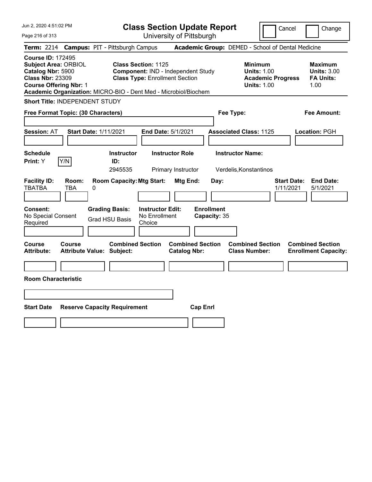| Jun 2, 2020 4:51:02 PM                                                                                                                                                                                      |                                                                                                           | <b>Class Section Update Report</b>             | Cancel                                                                                 | Change                                                           |
|-------------------------------------------------------------------------------------------------------------------------------------------------------------------------------------------------------------|-----------------------------------------------------------------------------------------------------------|------------------------------------------------|----------------------------------------------------------------------------------------|------------------------------------------------------------------|
| Page 216 of 313                                                                                                                                                                                             |                                                                                                           | University of Pittsburgh                       |                                                                                        |                                                                  |
| <b>Term: 2214</b>                                                                                                                                                                                           | <b>Campus: PIT - Pittsburgh Campus</b>                                                                    |                                                | Academic Group: DEMED - School of Dental Medicine                                      |                                                                  |
| <b>Course ID: 172495</b><br><b>Subject Area: ORBIOL</b><br>Catalog Nbr: 5900<br><b>Class Nbr: 23309</b><br><b>Course Offering Nbr: 1</b><br>Academic Organization: MICRO-BIO - Dent Med - Microbiol/Biochem | <b>Class Section: 1125</b><br>Component: IND - Independent Study<br><b>Class Type: Enrollment Section</b> |                                                | <b>Minimum</b><br><b>Units: 1.00</b><br><b>Academic Progress</b><br><b>Units: 1.00</b> | <b>Maximum</b><br><b>Units: 3.00</b><br><b>FA Units:</b><br>1.00 |
| <b>Short Title: INDEPENDENT STUDY</b>                                                                                                                                                                       |                                                                                                           |                                                |                                                                                        |                                                                  |
| Free Format Topic: (30 Characters)                                                                                                                                                                          |                                                                                                           |                                                | Fee Type:                                                                              | Fee Amount:                                                      |
| <b>Start Date: 1/11/2021</b><br><b>Session: AT</b>                                                                                                                                                          |                                                                                                           | End Date: 5/1/2021                             | <b>Associated Class: 1125</b>                                                          | Location: PGH                                                    |
| <b>Schedule</b><br>Y/N<br>Print: Y                                                                                                                                                                          | <b>Instructor</b><br>ID:<br>2945535                                                                       | <b>Instructor Role</b><br>Primary Instructor   | <b>Instructor Name:</b><br>Verdelis, Konstantinos                                      |                                                                  |
| <b>Facility ID:</b><br>Room:<br><b>TBATBA</b><br><b>TBA</b><br>0                                                                                                                                            | <b>Room Capacity: Mtg Start:</b>                                                                          | Mtg End:<br>Day:                               | <b>Start Date:</b><br>1/11/2021                                                        | <b>End Date:</b><br>5/1/2021                                     |
| Consent:<br>No Special Consent<br>Required                                                                                                                                                                  | <b>Grading Basis:</b><br><b>Instructor Edit:</b><br>No Enrollment<br><b>Grad HSU Basis</b><br>Choice      | <b>Enrollment</b><br>Capacity: 35              |                                                                                        |                                                                  |
| <b>Course</b><br>Course<br><b>Attribute Value: Subject:</b><br><b>Attribute:</b>                                                                                                                            | <b>Combined Section</b>                                                                                   | <b>Combined Section</b><br><b>Catalog Nbr:</b> | <b>Combined Section</b><br><b>Class Number:</b>                                        | <b>Combined Section</b><br><b>Enrollment Capacity:</b>           |
| <b>Room Characteristic</b>                                                                                                                                                                                  |                                                                                                           |                                                |                                                                                        |                                                                  |
|                                                                                                                                                                                                             |                                                                                                           |                                                |                                                                                        |                                                                  |
| <b>Start Date</b>                                                                                                                                                                                           | <b>Reserve Capacity Requirement</b>                                                                       | <b>Cap Enrl</b>                                |                                                                                        |                                                                  |
|                                                                                                                                                                                                             |                                                                                                           |                                                |                                                                                        |                                                                  |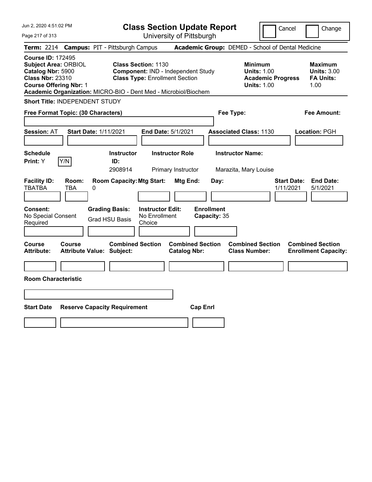| Jun 2, 2020 4:51:02 PM                                                                                                                   |                                                                                                                                                                              | <b>Class Section Update Report</b>             | Cancel                                                                                 | Change                                                           |
|------------------------------------------------------------------------------------------------------------------------------------------|------------------------------------------------------------------------------------------------------------------------------------------------------------------------------|------------------------------------------------|----------------------------------------------------------------------------------------|------------------------------------------------------------------|
| Page 217 of 313                                                                                                                          |                                                                                                                                                                              | University of Pittsburgh                       |                                                                                        |                                                                  |
| <b>Term: 2214</b>                                                                                                                        | <b>Campus: PIT - Pittsburgh Campus</b>                                                                                                                                       |                                                | Academic Group: DEMED - School of Dental Medicine                                      |                                                                  |
| <b>Course ID: 172495</b><br><b>Subject Area: ORBIOL</b><br>Catalog Nbr: 5900<br><b>Class Nbr: 23310</b><br><b>Course Offering Nbr: 1</b> | <b>Class Section: 1130</b><br>Component: IND - Independent Study<br><b>Class Type: Enrollment Section</b><br>Academic Organization: MICRO-BIO - Dent Med - Microbiol/Biochem |                                                | <b>Minimum</b><br><b>Units: 1.00</b><br><b>Academic Progress</b><br><b>Units: 1.00</b> | <b>Maximum</b><br><b>Units: 3.00</b><br><b>FA Units:</b><br>1.00 |
| <b>Short Title: INDEPENDENT STUDY</b>                                                                                                    |                                                                                                                                                                              |                                                |                                                                                        |                                                                  |
| Free Format Topic: (30 Characters)                                                                                                       |                                                                                                                                                                              | Fee Type:                                      |                                                                                        | Fee Amount:                                                      |
| <b>Session: AT</b>                                                                                                                       | <b>Start Date: 1/11/2021</b><br>End Date: 5/1/2021                                                                                                                           |                                                | <b>Associated Class: 1130</b>                                                          | Location: PGH                                                    |
| <b>Schedule</b><br>Print: Y<br>Y/N                                                                                                       | <b>Instructor</b><br><b>Instructor Role</b><br>ID:<br>2908914<br>Primary Instructor                                                                                          |                                                | <b>Instructor Name:</b><br>Marazita, Mary Louise                                       |                                                                  |
| <b>Facility ID:</b><br>Room:<br><b>TBATBA</b><br><b>TBA</b><br>0                                                                         | <b>Room Capacity: Mtg Start:</b>                                                                                                                                             | Mtg End:<br>Day:                               | <b>Start Date:</b><br>1/11/2021                                                        | <b>End Date:</b><br>5/1/2021                                     |
| Consent:<br>No Special Consent<br>Required                                                                                               | <b>Instructor Edit:</b><br><b>Grading Basis:</b><br>No Enrollment<br><b>Grad HSU Basis</b><br>Choice                                                                         | <b>Enrollment</b><br>Capacity: 35              |                                                                                        |                                                                  |
| <b>Course</b><br>Course<br><b>Attribute:</b>                                                                                             | <b>Combined Section</b><br><b>Attribute Value: Subject:</b>                                                                                                                  | <b>Combined Section</b><br><b>Catalog Nbr:</b> | <b>Combined Section</b><br><b>Class Number:</b>                                        | <b>Combined Section</b><br><b>Enrollment Capacity:</b>           |
|                                                                                                                                          |                                                                                                                                                                              |                                                |                                                                                        |                                                                  |
| <b>Room Characteristic</b>                                                                                                               |                                                                                                                                                                              |                                                |                                                                                        |                                                                  |
|                                                                                                                                          |                                                                                                                                                                              |                                                |                                                                                        |                                                                  |
| <b>Start Date</b>                                                                                                                        | <b>Reserve Capacity Requirement</b>                                                                                                                                          | <b>Cap Enrl</b>                                |                                                                                        |                                                                  |
|                                                                                                                                          |                                                                                                                                                                              |                                                |                                                                                        |                                                                  |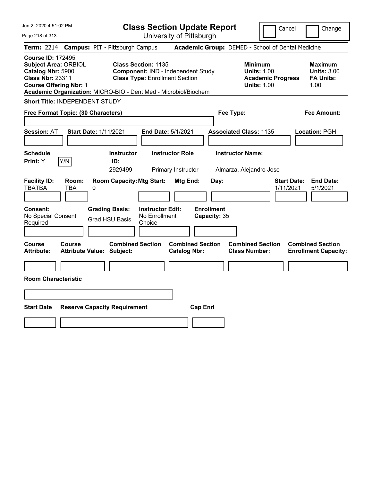| Jun 2, 2020 4:51:02 PM                                                                                                                   | <b>Class Section Update Report</b>                                                                                                                                           | Cancel                                                                                 | Change                                                           |
|------------------------------------------------------------------------------------------------------------------------------------------|------------------------------------------------------------------------------------------------------------------------------------------------------------------------------|----------------------------------------------------------------------------------------|------------------------------------------------------------------|
| Page 218 of 313                                                                                                                          | University of Pittsburgh                                                                                                                                                     |                                                                                        |                                                                  |
| <b>Term: 2214</b>                                                                                                                        | <b>Campus: PIT - Pittsburgh Campus</b>                                                                                                                                       | Academic Group: DEMED - School of Dental Medicine                                      |                                                                  |
| <b>Course ID: 172495</b><br><b>Subject Area: ORBIOL</b><br>Catalog Nbr: 5900<br><b>Class Nbr: 23311</b><br><b>Course Offering Nbr: 1</b> | <b>Class Section: 1135</b><br>Component: IND - Independent Study<br><b>Class Type: Enrollment Section</b><br>Academic Organization: MICRO-BIO - Dent Med - Microbiol/Biochem | <b>Minimum</b><br><b>Units: 1.00</b><br><b>Academic Progress</b><br><b>Units: 1.00</b> | <b>Maximum</b><br><b>Units: 3.00</b><br><b>FA Units:</b><br>1.00 |
| Short Title: INDEPENDENT STUDY                                                                                                           |                                                                                                                                                                              |                                                                                        |                                                                  |
| Free Format Topic: (30 Characters)                                                                                                       |                                                                                                                                                                              | Fee Type:                                                                              | Fee Amount:                                                      |
| <b>Start Date: 1/11/2021</b><br><b>Session: AT</b>                                                                                       | End Date: 5/1/2021                                                                                                                                                           | <b>Associated Class: 1135</b>                                                          | Location: PGH                                                    |
| <b>Schedule</b><br>Y/N<br>Print: Y                                                                                                       | <b>Instructor Role</b><br><b>Instructor</b><br>ID:<br>2929499<br>Primary Instructor                                                                                          | <b>Instructor Name:</b><br>Almarza, Alejandro Jose                                     |                                                                  |
| <b>Facility ID:</b><br>Room:<br><b>TBATBA</b><br><b>TBA</b><br>0                                                                         | <b>Room Capacity: Mtg Start:</b><br>Mtg End:                                                                                                                                 | <b>Start Date:</b><br>Day:<br>1/11/2021                                                | <b>End Date:</b><br>5/1/2021                                     |
| Consent:<br>No Special Consent<br>Required                                                                                               | <b>Grading Basis:</b><br><b>Instructor Edit:</b><br>No Enrollment<br><b>Grad HSU Basis</b><br>Choice                                                                         | <b>Enrollment</b><br>Capacity: 35                                                      |                                                                  |
| Course<br><b>Course</b><br><b>Attribute:</b><br><b>Attribute Value: Subject:</b>                                                         | <b>Combined Section</b><br><b>Combined Section</b><br><b>Catalog Nbr:</b>                                                                                                    | <b>Combined Section</b><br><b>Class Number:</b>                                        | <b>Combined Section</b><br><b>Enrollment Capacity:</b>           |
|                                                                                                                                          |                                                                                                                                                                              |                                                                                        |                                                                  |
| <b>Room Characteristic</b>                                                                                                               |                                                                                                                                                                              |                                                                                        |                                                                  |
|                                                                                                                                          |                                                                                                                                                                              |                                                                                        |                                                                  |
| <b>Start Date</b>                                                                                                                        | <b>Cap Enrl</b><br><b>Reserve Capacity Requirement</b>                                                                                                                       |                                                                                        |                                                                  |
|                                                                                                                                          |                                                                                                                                                                              |                                                                                        |                                                                  |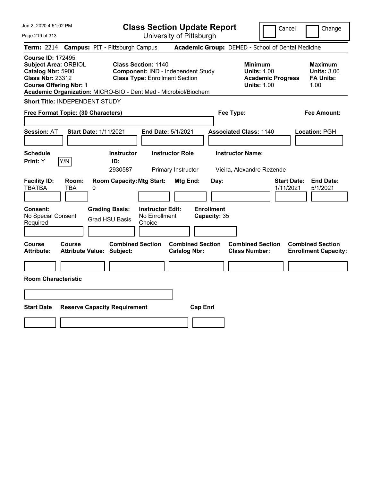| Jun 2, 2020 4:51:02 PM                                                                                                                   | <b>Class Section Update Report</b>                                                                                                                                           |                                                                                        | Cancel<br>Change                                                 |
|------------------------------------------------------------------------------------------------------------------------------------------|------------------------------------------------------------------------------------------------------------------------------------------------------------------------------|----------------------------------------------------------------------------------------|------------------------------------------------------------------|
| Page 219 of 313                                                                                                                          | University of Pittsburgh                                                                                                                                                     |                                                                                        |                                                                  |
| <b>Term: 2214</b>                                                                                                                        | <b>Campus: PIT - Pittsburgh Campus</b>                                                                                                                                       | Academic Group: DEMED - School of Dental Medicine                                      |                                                                  |
| <b>Course ID: 172495</b><br><b>Subject Area: ORBIOL</b><br>Catalog Nbr: 5900<br><b>Class Nbr: 23312</b><br><b>Course Offering Nbr: 1</b> | <b>Class Section: 1140</b><br>Component: IND - Independent Study<br><b>Class Type: Enrollment Section</b><br>Academic Organization: MICRO-BIO - Dent Med - Microbiol/Biochem | <b>Minimum</b><br><b>Units: 1.00</b><br><b>Academic Progress</b><br><b>Units: 1.00</b> | <b>Maximum</b><br><b>Units: 3.00</b><br><b>FA Units:</b><br>1.00 |
| Short Title: INDEPENDENT STUDY                                                                                                           |                                                                                                                                                                              |                                                                                        |                                                                  |
| Free Format Topic: (30 Characters)                                                                                                       |                                                                                                                                                                              | Fee Type:                                                                              | Fee Amount:                                                      |
| <b>Session: AT</b>                                                                                                                       | <b>Start Date: 1/11/2021</b><br>End Date: 5/1/2021                                                                                                                           | <b>Associated Class: 1140</b>                                                          | Location: PGH                                                    |
| <b>Schedule</b><br>Y/N<br>Print: Y                                                                                                       | <b>Instructor Role</b><br><b>Instructor</b><br>ID:<br>2930587<br>Primary Instructor                                                                                          | <b>Instructor Name:</b><br>Vieira, Alexandre Rezende                                   |                                                                  |
| <b>Facility ID:</b><br>Room:<br><b>TBATBA</b><br><b>TBA</b>                                                                              | <b>Room Capacity: Mtg Start:</b><br>Mtg End:<br>0                                                                                                                            | Day:                                                                                   | <b>End Date:</b><br><b>Start Date:</b><br>1/11/2021<br>5/1/2021  |
| Consent:<br>No Special Consent<br>Required                                                                                               | <b>Grading Basis:</b><br><b>Instructor Edit:</b><br>No Enrollment<br><b>Grad HSU Basis</b><br>Choice                                                                         | <b>Enrollment</b><br>Capacity: 35                                                      |                                                                  |
| Course<br><b>Course</b><br><b>Attribute:</b>                                                                                             | <b>Combined Section</b><br><b>Catalog Nbr:</b><br><b>Attribute Value: Subject:</b>                                                                                           | <b>Combined Section</b><br><b>Combined Section</b><br><b>Class Number:</b>             | <b>Combined Section</b><br><b>Enrollment Capacity:</b>           |
|                                                                                                                                          |                                                                                                                                                                              |                                                                                        |                                                                  |
| <b>Room Characteristic</b>                                                                                                               |                                                                                                                                                                              |                                                                                        |                                                                  |
|                                                                                                                                          |                                                                                                                                                                              |                                                                                        |                                                                  |
| <b>Start Date</b>                                                                                                                        | <b>Reserve Capacity Requirement</b>                                                                                                                                          | <b>Cap Enrl</b>                                                                        |                                                                  |
|                                                                                                                                          |                                                                                                                                                                              |                                                                                        |                                                                  |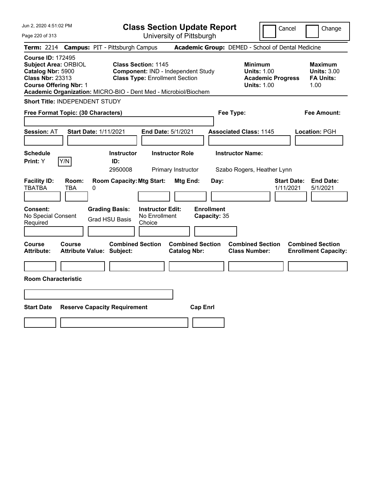| Jun 2, 2020 4:51:02 PM                                                                                                                                                                                      | <b>Class Section Update Report</b>                                                                        |                                                   | Cancel                                                                                 | Change                                                           |
|-------------------------------------------------------------------------------------------------------------------------------------------------------------------------------------------------------------|-----------------------------------------------------------------------------------------------------------|---------------------------------------------------|----------------------------------------------------------------------------------------|------------------------------------------------------------------|
| Page 220 of 313                                                                                                                                                                                             | University of Pittsburgh                                                                                  |                                                   |                                                                                        |                                                                  |
| <b>Term: 2214</b>                                                                                                                                                                                           | <b>Campus: PIT - Pittsburgh Campus</b>                                                                    | Academic Group: DEMED - School of Dental Medicine |                                                                                        |                                                                  |
| <b>Course ID: 172495</b><br><b>Subject Area: ORBIOL</b><br>Catalog Nbr: 5900<br><b>Class Nbr: 23313</b><br><b>Course Offering Nbr: 1</b><br>Academic Organization: MICRO-BIO - Dent Med - Microbiol/Biochem | <b>Class Section: 1145</b><br>Component: IND - Independent Study<br><b>Class Type: Enrollment Section</b> |                                                   | <b>Minimum</b><br><b>Units: 1.00</b><br><b>Academic Progress</b><br><b>Units: 1.00</b> | <b>Maximum</b><br><b>Units: 3.00</b><br><b>FA Units:</b><br>1.00 |
| Short Title: INDEPENDENT STUDY                                                                                                                                                                              |                                                                                                           |                                                   |                                                                                        |                                                                  |
| Free Format Topic: (30 Characters)                                                                                                                                                                          |                                                                                                           | Fee Type:                                         |                                                                                        | Fee Amount:                                                      |
| <b>Session: AT</b><br><b>Start Date: 1/11/2021</b>                                                                                                                                                          | <b>End Date: 5/1/2021</b>                                                                                 | <b>Associated Class: 1145</b>                     |                                                                                        | Location: PGH                                                    |
| <b>Schedule</b><br>Y/N<br>Print: Y                                                                                                                                                                          | <b>Instructor</b><br><b>Instructor Role</b><br>ID:<br>2950008<br>Primary Instructor                       | <b>Instructor Name:</b>                           | Szabo Rogers, Heather Lynn                                                             |                                                                  |
| <b>Facility ID:</b><br>Room:<br><b>TBATBA</b><br><b>TBA</b><br>0                                                                                                                                            | <b>Room Capacity: Mtg Start:</b><br>Mtg End:                                                              | Day:                                              | <b>Start Date:</b><br>1/11/2021                                                        | <b>End Date:</b><br>5/1/2021                                     |
| <b>Consent:</b><br>No Special Consent<br>Required                                                                                                                                                           | <b>Instructor Edit:</b><br><b>Grading Basis:</b><br>No Enrollment<br><b>Grad HSU Basis</b><br>Choice      | <b>Enrollment</b><br>Capacity: 35                 |                                                                                        |                                                                  |
| Course<br><b>Course</b><br><b>Attribute Value: Subject:</b><br><b>Attribute:</b>                                                                                                                            | <b>Combined Section</b><br><b>Catalog Nbr:</b>                                                            | <b>Combined Section</b>                           | <b>Combined Section</b><br><b>Class Number:</b>                                        | <b>Combined Section</b><br><b>Enrollment Capacity:</b>           |
|                                                                                                                                                                                                             |                                                                                                           |                                                   |                                                                                        |                                                                  |
| <b>Room Characteristic</b>                                                                                                                                                                                  |                                                                                                           |                                                   |                                                                                        |                                                                  |
|                                                                                                                                                                                                             |                                                                                                           |                                                   |                                                                                        |                                                                  |
| <b>Start Date</b><br><b>Reserve Capacity Requirement</b>                                                                                                                                                    |                                                                                                           | <b>Cap Enrl</b>                                   |                                                                                        |                                                                  |
|                                                                                                                                                                                                             |                                                                                                           |                                                   |                                                                                        |                                                                  |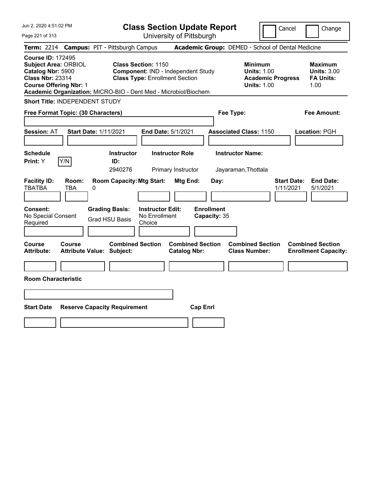| Jun 2, 2020 4:51:02 PM                                                                                                                   | <b>Class Section Update Report</b>                                                                                                                                                  | Cancel<br>Change                                                                                                                                           |
|------------------------------------------------------------------------------------------------------------------------------------------|-------------------------------------------------------------------------------------------------------------------------------------------------------------------------------------|------------------------------------------------------------------------------------------------------------------------------------------------------------|
| Page 221 of 313                                                                                                                          | University of Pittsburgh                                                                                                                                                            |                                                                                                                                                            |
| <b>Term: 2214</b>                                                                                                                        | <b>Campus: PIT - Pittsburgh Campus</b>                                                                                                                                              | Academic Group: DEMED - School of Dental Medicine                                                                                                          |
| <b>Course ID: 172495</b><br><b>Subject Area: ORBIOL</b><br>Catalog Nbr: 5900<br><b>Class Nbr: 23314</b><br><b>Course Offering Nbr: 1</b> | <b>Class Section: 1150</b><br><b>Component: IND - Independent Study</b><br><b>Class Type: Enrollment Section</b><br>Academic Organization: MICRO-BIO - Dent Med - Microbiol/Biochem | <b>Minimum</b><br><b>Maximum</b><br><b>Units: 1.00</b><br><b>Units: 3.00</b><br><b>FA Units:</b><br><b>Academic Progress</b><br><b>Units: 1.00</b><br>1.00 |
| Short Title: INDEPENDENT STUDY                                                                                                           |                                                                                                                                                                                     |                                                                                                                                                            |
| Free Format Topic: (30 Characters)                                                                                                       |                                                                                                                                                                                     | Fee Type:<br>Fee Amount:                                                                                                                                   |
| Session: AT                                                                                                                              | <b>Start Date: 1/11/2021</b><br>End Date: 5/1/2021                                                                                                                                  | <b>Associated Class: 1150</b><br>Location: PGH                                                                                                             |
| <b>Schedule</b><br>Print: Y<br>Y/N                                                                                                       | <b>Instructor Role</b><br><b>Instructor</b><br>ID:<br>2940276<br>Primary Instructor                                                                                                 | <b>Instructor Name:</b><br>Jayaraman, Thottala                                                                                                             |
| <b>Facility ID:</b><br>Room:<br><b>TBATBA</b><br><b>TBA</b>                                                                              | <b>Room Capacity: Mtg Start:</b><br>Mtg End:<br>Day:<br>0                                                                                                                           | <b>End Date:</b><br><b>Start Date:</b><br>1/11/2021<br>5/1/2021                                                                                            |
| Consent:<br>No Special Consent<br>Required                                                                                               | <b>Enrollment</b><br><b>Grading Basis:</b><br><b>Instructor Edit:</b><br>No Enrollment<br>Capacity: 35<br><b>Grad HSU Basis</b><br>Choice                                           |                                                                                                                                                            |
| <b>Course</b><br><b>Course</b><br><b>Attribute:</b>                                                                                      | <b>Combined Section</b><br><b>Combined Section</b><br><b>Attribute Value: Subject:</b><br><b>Catalog Nbr:</b>                                                                       | <b>Combined Section</b><br><b>Combined Section</b><br><b>Class Number:</b><br><b>Enrollment Capacity:</b>                                                  |
|                                                                                                                                          |                                                                                                                                                                                     |                                                                                                                                                            |
| <b>Room Characteristic</b>                                                                                                               |                                                                                                                                                                                     |                                                                                                                                                            |
|                                                                                                                                          |                                                                                                                                                                                     |                                                                                                                                                            |
| <b>Start Date</b>                                                                                                                        | <b>Reserve Capacity Requirement</b><br><b>Cap Enrl</b>                                                                                                                              |                                                                                                                                                            |
|                                                                                                                                          |                                                                                                                                                                                     |                                                                                                                                                            |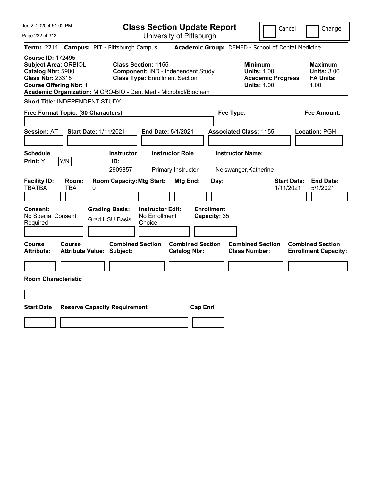| Jun 2, 2020 4:51:02 PM                                                                                                                   | <b>Class Section Update Report</b>                                                                                                                                           | Cancel<br>Change                                                                                                                                           |
|------------------------------------------------------------------------------------------------------------------------------------------|------------------------------------------------------------------------------------------------------------------------------------------------------------------------------|------------------------------------------------------------------------------------------------------------------------------------------------------------|
| Page 222 of 313                                                                                                                          | University of Pittsburgh                                                                                                                                                     |                                                                                                                                                            |
| <b>Term: 2214</b>                                                                                                                        | <b>Campus: PIT - Pittsburgh Campus</b>                                                                                                                                       | Academic Group: DEMED - School of Dental Medicine                                                                                                          |
| <b>Course ID: 172495</b><br><b>Subject Area: ORBIOL</b><br>Catalog Nbr: 5900<br><b>Class Nbr: 23315</b><br><b>Course Offering Nbr: 1</b> | <b>Class Section: 1155</b><br>Component: IND - Independent Study<br><b>Class Type: Enrollment Section</b><br>Academic Organization: MICRO-BIO - Dent Med - Microbiol/Biochem | <b>Minimum</b><br><b>Maximum</b><br><b>Units: 1.00</b><br><b>Units: 3.00</b><br><b>FA Units:</b><br><b>Academic Progress</b><br><b>Units: 1.00</b><br>1.00 |
| Short Title: INDEPENDENT STUDY                                                                                                           |                                                                                                                                                                              |                                                                                                                                                            |
| Free Format Topic: (30 Characters)                                                                                                       |                                                                                                                                                                              | Fee Type:<br>Fee Amount:                                                                                                                                   |
| <b>Start Date: 1/11/2021</b><br><b>Session: AT</b>                                                                                       | End Date: 5/1/2021                                                                                                                                                           | <b>Associated Class: 1155</b><br>Location: PGH                                                                                                             |
| <b>Schedule</b><br>Y/N<br>Print: Y                                                                                                       | <b>Instructor</b><br><b>Instructor Role</b><br>ID:<br>2909857<br>Primary Instructor                                                                                          | <b>Instructor Name:</b><br>Neiswanger, Katherine                                                                                                           |
| <b>Facility ID:</b><br>Room:<br><b>TBATBA</b><br><b>TBA</b><br>0                                                                         | <b>Room Capacity: Mtg Start:</b><br>Mtg End:<br>Day:                                                                                                                         | <b>Start Date:</b><br><b>End Date:</b><br>1/11/2021<br>5/1/2021                                                                                            |
| Consent:<br>No Special Consent<br>Required                                                                                               | <b>Enrollment</b><br><b>Grading Basis:</b><br><b>Instructor Edit:</b><br>No Enrollment<br>Capacity: 35<br><b>Grad HSU Basis</b><br>Choice                                    |                                                                                                                                                            |
| Course<br><b>Course</b><br><b>Attribute:</b><br><b>Attribute Value: Subject:</b>                                                         | <b>Combined Section</b><br><b>Combined Section</b><br><b>Catalog Nbr:</b>                                                                                                    | <b>Combined Section</b><br><b>Combined Section</b><br><b>Class Number:</b><br><b>Enrollment Capacity:</b>                                                  |
| <b>Room Characteristic</b>                                                                                                               |                                                                                                                                                                              |                                                                                                                                                            |
|                                                                                                                                          |                                                                                                                                                                              |                                                                                                                                                            |
|                                                                                                                                          |                                                                                                                                                                              |                                                                                                                                                            |
| <b>Start Date</b>                                                                                                                        | <b>Cap Enrl</b><br><b>Reserve Capacity Requirement</b>                                                                                                                       |                                                                                                                                                            |
|                                                                                                                                          |                                                                                                                                                                              |                                                                                                                                                            |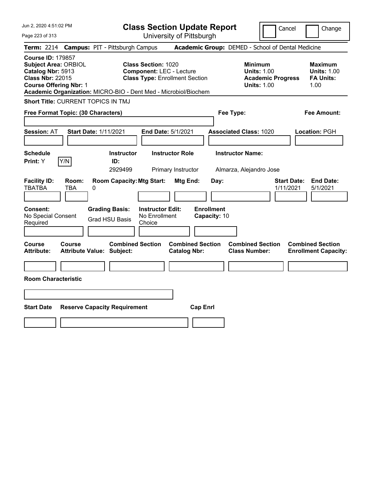| Jun 2, 2020 4:51:02 PM                                                                                                                                                                                      | <b>Class Section Update Report</b>                                                                      | Cancel<br>Change                                                                                                                                           |
|-------------------------------------------------------------------------------------------------------------------------------------------------------------------------------------------------------------|---------------------------------------------------------------------------------------------------------|------------------------------------------------------------------------------------------------------------------------------------------------------------|
| Page 223 of 313                                                                                                                                                                                             | University of Pittsburgh                                                                                |                                                                                                                                                            |
| <b>Campus: PIT - Pittsburgh Campus</b><br><b>Term: 2214</b>                                                                                                                                                 |                                                                                                         | Academic Group: DEMED - School of Dental Medicine                                                                                                          |
| <b>Course ID: 179857</b><br><b>Subject Area: ORBIOL</b><br>Catalog Nbr: 5913<br><b>Class Nbr: 22015</b><br><b>Course Offering Nbr: 1</b><br>Academic Organization: MICRO-BIO - Dent Med - Microbiol/Biochem | <b>Class Section: 1020</b><br><b>Component: LEC - Lecture</b><br><b>Class Type: Enrollment Section</b>  | <b>Minimum</b><br><b>Maximum</b><br><b>Units: 1.00</b><br><b>Units: 1.00</b><br><b>FA Units:</b><br><b>Academic Progress</b><br><b>Units: 1.00</b><br>1.00 |
| <b>Short Title: CURRENT TOPICS IN TMJ</b>                                                                                                                                                                   |                                                                                                         |                                                                                                                                                            |
| Free Format Topic: (30 Characters)                                                                                                                                                                          | Fee Type:                                                                                               | Fee Amount:                                                                                                                                                |
| <b>Start Date: 1/11/2021</b><br><b>Session: AT</b>                                                                                                                                                          | End Date: 5/1/2021<br><b>Associated Class: 1020</b>                                                     | Location: PGH                                                                                                                                              |
| <b>Schedule</b><br>Y/N<br>Print: Y<br>ID:                                                                                                                                                                   | <b>Instructor Name:</b><br><b>Instructor Role</b><br><b>Instructor</b><br>2929499<br>Primary Instructor | Almarza, Alejandro Jose                                                                                                                                    |
| <b>Facility ID:</b><br>Room:<br><b>TBATBA</b><br><b>TBA</b><br>0                                                                                                                                            | <b>Room Capacity: Mtg Start:</b><br><b>Mtg End:</b><br>Day:                                             | <b>Start Date:</b><br><b>End Date:</b><br>1/11/2021<br>5/1/2021                                                                                            |
| Consent:<br><b>Grading Basis:</b><br>No Special Consent<br><b>Grad HSU Basis</b><br>Required                                                                                                                | <b>Enrollment</b><br><b>Instructor Edit:</b><br>No Enrollment<br>Capacity: 10<br>Choice                 |                                                                                                                                                            |
| <b>Course</b><br>Course<br>Attribute Value: Subject:<br><b>Attribute:</b>                                                                                                                                   | <b>Combined Section</b><br><b>Combined Section</b><br><b>Catalog Nbr:</b>                               | <b>Combined Section</b><br><b>Combined Section</b><br><b>Class Number:</b><br><b>Enrollment Capacity:</b>                                                  |
|                                                                                                                                                                                                             |                                                                                                         |                                                                                                                                                            |
| <b>Room Characteristic</b>                                                                                                                                                                                  |                                                                                                         |                                                                                                                                                            |
|                                                                                                                                                                                                             |                                                                                                         |                                                                                                                                                            |
| <b>Start Date</b><br><b>Reserve Capacity Requirement</b>                                                                                                                                                    | <b>Cap Enrl</b>                                                                                         |                                                                                                                                                            |
|                                                                                                                                                                                                             |                                                                                                         |                                                                                                                                                            |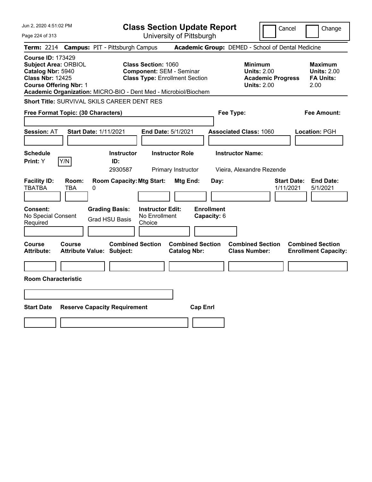| Jun 2, 2020 4:51:02 PM                                                                                                                                                                                      |                                                                                                        | <b>Class Section Update Report</b>             | Cancel                                                                          | Change                                                           |
|-------------------------------------------------------------------------------------------------------------------------------------------------------------------------------------------------------------|--------------------------------------------------------------------------------------------------------|------------------------------------------------|---------------------------------------------------------------------------------|------------------------------------------------------------------|
| Page 224 of 313                                                                                                                                                                                             |                                                                                                        | University of Pittsburgh                       |                                                                                 |                                                                  |
| <b>Term:</b> 2214                                                                                                                                                                                           | <b>Campus: PIT - Pittsburgh Campus</b>                                                                 |                                                | Academic Group: DEMED - School of Dental Medicine                               |                                                                  |
| <b>Course ID: 173429</b><br><b>Subject Area: ORBIOL</b><br>Catalog Nbr: 5940<br><b>Class Nbr: 12425</b><br><b>Course Offering Nbr: 1</b><br>Academic Organization: MICRO-BIO - Dent Med - Microbiol/Biochem | <b>Class Section: 1060</b><br><b>Component: SEM - Seminar</b><br><b>Class Type: Enrollment Section</b> |                                                | Minimum<br><b>Units: 2.00</b><br><b>Academic Progress</b><br><b>Units: 2.00</b> | <b>Maximum</b><br><b>Units: 2.00</b><br><b>FA Units:</b><br>2.00 |
| <b>Short Title: SURVIVAL SKILS CAREER DENT RES</b>                                                                                                                                                          |                                                                                                        |                                                |                                                                                 |                                                                  |
| Free Format Topic: (30 Characters)                                                                                                                                                                          |                                                                                                        |                                                | Fee Type:                                                                       | Fee Amount:                                                      |
| <b>Session: AT</b><br><b>Start Date: 1/11/2021</b>                                                                                                                                                          | End Date: 5/1/2021                                                                                     |                                                | <b>Associated Class: 1060</b>                                                   | Location: PGH                                                    |
| <b>Schedule</b><br>Y/N<br>Print: Y                                                                                                                                                                          | <b>Instructor</b><br>ID:<br>2930587                                                                    | <b>Instructor Role</b><br>Primary Instructor   | <b>Instructor Name:</b><br>Vieira, Alexandre Rezende                            |                                                                  |
| <b>Facility ID:</b><br>Room:<br><b>TBATBA</b><br><b>TBA</b><br>0                                                                                                                                            | <b>Room Capacity: Mtg Start:</b>                                                                       | Mtg End:<br>Day:                               | 1/11/2021                                                                       | <b>Start Date:</b><br><b>End Date:</b><br>5/1/2021               |
| Consent:<br>No Special Consent<br>Required                                                                                                                                                                  | <b>Grading Basis:</b><br><b>Instructor Edit:</b><br>No Enrollment<br><b>Grad HSU Basis</b><br>Choice   | <b>Enrollment</b><br>Capacity: 6               |                                                                                 |                                                                  |
| Course<br>Course<br><b>Attribute Value: Subject:</b><br>Attribute:                                                                                                                                          | <b>Combined Section</b>                                                                                | <b>Combined Section</b><br><b>Catalog Nbr:</b> | <b>Combined Section</b><br><b>Class Number:</b>                                 | <b>Combined Section</b><br><b>Enrollment Capacity:</b>           |
|                                                                                                                                                                                                             |                                                                                                        |                                                |                                                                                 |                                                                  |
| <b>Room Characteristic</b>                                                                                                                                                                                  |                                                                                                        |                                                |                                                                                 |                                                                  |
|                                                                                                                                                                                                             |                                                                                                        |                                                |                                                                                 |                                                                  |
| <b>Start Date</b>                                                                                                                                                                                           | <b>Reserve Capacity Requirement</b>                                                                    | <b>Cap Enrl</b>                                |                                                                                 |                                                                  |
|                                                                                                                                                                                                             |                                                                                                        |                                                |                                                                                 |                                                                  |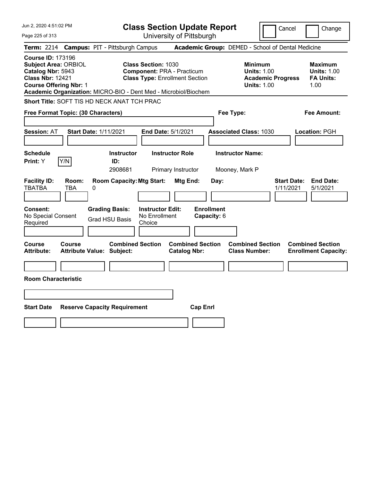| Jun 2, 2020 4:51:02 PM                                                                                                                                                                                      | <b>Class Section Update Report</b>                                                                       | Cancel<br>Change                                                                                                                                    |
|-------------------------------------------------------------------------------------------------------------------------------------------------------------------------------------------------------------|----------------------------------------------------------------------------------------------------------|-----------------------------------------------------------------------------------------------------------------------------------------------------|
| Page 225 of 313                                                                                                                                                                                             | University of Pittsburgh                                                                                 |                                                                                                                                                     |
| <b>Campus: PIT - Pittsburgh Campus</b><br><b>Term: 2214</b>                                                                                                                                                 |                                                                                                          | Academic Group: DEMED - School of Dental Medicine                                                                                                   |
| <b>Course ID: 173196</b><br><b>Subject Area: ORBIOL</b><br>Catalog Nbr: 5943<br><b>Class Nbr: 12421</b><br><b>Course Offering Nbr: 1</b><br>Academic Organization: MICRO-BIO - Dent Med - Microbiol/Biochem | <b>Class Section: 1030</b><br><b>Component: PRA - Practicum</b><br><b>Class Type: Enrollment Section</b> | Minimum<br><b>Maximum</b><br><b>Units: 1.00</b><br><b>Units: 1.00</b><br><b>Academic Progress</b><br><b>FA Units:</b><br><b>Units: 1.00</b><br>1.00 |
| <b>Short Title: SOFT TIS HD NECK ANAT TCH PRAC</b>                                                                                                                                                          |                                                                                                          |                                                                                                                                                     |
| Free Format Topic: (30 Characters)                                                                                                                                                                          |                                                                                                          | Fee Type:<br>Fee Amount:                                                                                                                            |
| <b>Session: AT</b><br><b>Start Date: 1/11/2021</b>                                                                                                                                                          | End Date: 5/1/2021                                                                                       | <b>Associated Class: 1030</b><br>Location: PGH                                                                                                      |
| <b>Schedule</b><br>Y/N<br>Print: Y<br>ID:                                                                                                                                                                   | <b>Instructor Role</b><br><b>Instructor</b><br>2908681<br>Primary Instructor                             | <b>Instructor Name:</b><br>Mooney, Mark P                                                                                                           |
| <b>Facility ID:</b><br>Room:<br><b>TBATBA</b><br><b>TBA</b><br>0                                                                                                                                            | <b>Room Capacity: Mtg Start:</b><br>Mtg End:<br>Day:                                                     | <b>Start Date:</b><br><b>End Date:</b><br>1/11/2021<br>5/1/2021                                                                                     |
| Consent:<br><b>Grading Basis:</b><br>No Special Consent<br><b>Grad HSU Basis</b><br>Required                                                                                                                | <b>Enrollment</b><br><b>Instructor Edit:</b><br>No Enrollment<br>Capacity: 6<br>Choice                   |                                                                                                                                                     |
| Course<br>Course<br><b>Attribute Value: Subject:</b><br>Attribute:                                                                                                                                          | <b>Combined Section</b><br><b>Combined Section</b><br><b>Catalog Nbr:</b>                                | <b>Combined Section</b><br><b>Combined Section</b><br><b>Class Number:</b><br><b>Enrollment Capacity:</b>                                           |
|                                                                                                                                                                                                             |                                                                                                          |                                                                                                                                                     |
| <b>Room Characteristic</b>                                                                                                                                                                                  |                                                                                                          |                                                                                                                                                     |
|                                                                                                                                                                                                             |                                                                                                          |                                                                                                                                                     |
| <b>Start Date</b><br><b>Reserve Capacity Requirement</b>                                                                                                                                                    | <b>Cap Enrl</b>                                                                                          |                                                                                                                                                     |
|                                                                                                                                                                                                             |                                                                                                          |                                                                                                                                                     |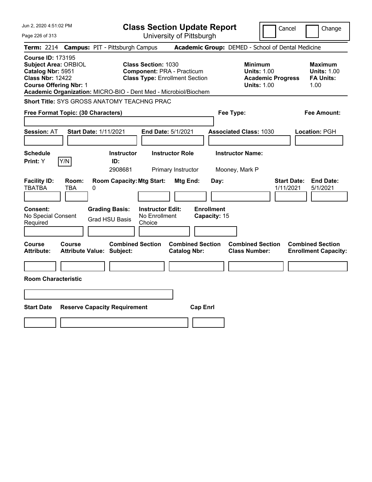| Jun 2, 2020 4:51:02 PM                                                                                                                                                                                      | <b>Class Section Update Report</b>                                                                       | Cancel<br>Change                                                                                                                                           |
|-------------------------------------------------------------------------------------------------------------------------------------------------------------------------------------------------------------|----------------------------------------------------------------------------------------------------------|------------------------------------------------------------------------------------------------------------------------------------------------------------|
| Page 226 of 313                                                                                                                                                                                             | University of Pittsburgh                                                                                 |                                                                                                                                                            |
| <b>Term: 2214</b><br><b>Campus: PIT - Pittsburgh Campus</b>                                                                                                                                                 |                                                                                                          | Academic Group: DEMED - School of Dental Medicine                                                                                                          |
| <b>Course ID: 173195</b><br><b>Subject Area: ORBIOL</b><br>Catalog Nbr: 5951<br><b>Class Nbr: 12422</b><br><b>Course Offering Nbr: 1</b><br>Academic Organization: MICRO-BIO - Dent Med - Microbiol/Biochem | <b>Class Section: 1030</b><br><b>Component: PRA - Practicum</b><br><b>Class Type: Enrollment Section</b> | <b>Minimum</b><br><b>Maximum</b><br><b>Units: 1.00</b><br><b>Units: 1.00</b><br><b>Academic Progress</b><br><b>FA Units:</b><br><b>Units: 1.00</b><br>1.00 |
| <b>Short Title: SYS GROSS ANATOMY TEACHNG PRAC</b>                                                                                                                                                          |                                                                                                          |                                                                                                                                                            |
| Free Format Topic: (30 Characters)                                                                                                                                                                          |                                                                                                          | Fee Type:<br>Fee Amount:                                                                                                                                   |
| <b>Start Date: 1/11/2021</b><br><b>Session: AT</b>                                                                                                                                                          | End Date: 5/1/2021                                                                                       | <b>Associated Class: 1030</b><br>Location: PGH                                                                                                             |
| <b>Schedule</b><br>Y/N<br><b>Print: Y</b><br>ID:                                                                                                                                                            | <b>Instructor Role</b><br><b>Instructor</b><br>2908681<br>Primary Instructor                             | <b>Instructor Name:</b><br>Mooney, Mark P                                                                                                                  |
| <b>Facility ID:</b><br>Room:<br><b>TBATBA</b><br><b>TBA</b><br>0                                                                                                                                            | <b>Room Capacity: Mtg Start:</b><br>Mtg End:<br>Day:                                                     | <b>End Date:</b><br><b>Start Date:</b><br>1/11/2021<br>5/1/2021                                                                                            |
| <b>Consent:</b><br><b>Grading Basis:</b><br>No Special Consent<br><b>Grad HSU Basis</b><br>Required                                                                                                         | <b>Enrollment</b><br><b>Instructor Edit:</b><br>No Enrollment<br>Capacity: 15<br>Choice                  |                                                                                                                                                            |
| <b>Course</b><br>Course<br><b>Attribute:</b><br><b>Attribute Value: Subject:</b>                                                                                                                            | <b>Combined Section</b><br><b>Combined Section</b><br><b>Catalog Nbr:</b>                                | <b>Combined Section</b><br><b>Combined Section</b><br><b>Class Number:</b><br><b>Enrollment Capacity:</b>                                                  |
| <b>Room Characteristic</b>                                                                                                                                                                                  |                                                                                                          |                                                                                                                                                            |
|                                                                                                                                                                                                             |                                                                                                          |                                                                                                                                                            |
| <b>Start Date</b><br><b>Reserve Capacity Requirement</b>                                                                                                                                                    | <b>Cap Enrl</b>                                                                                          |                                                                                                                                                            |
|                                                                                                                                                                                                             |                                                                                                          |                                                                                                                                                            |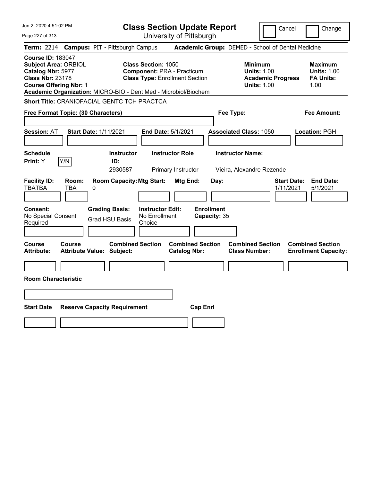| Jun 2, 2020 4:51:02 PM                                                                                                                   | <b>Class Section Update Report</b>                                                                                                                                          | Cancel<br>Change                                                                                                                                    |
|------------------------------------------------------------------------------------------------------------------------------------------|-----------------------------------------------------------------------------------------------------------------------------------------------------------------------------|-----------------------------------------------------------------------------------------------------------------------------------------------------|
| Page 227 of 313                                                                                                                          | University of Pittsburgh                                                                                                                                                    |                                                                                                                                                     |
| <b>Campus: PIT - Pittsburgh Campus</b><br><b>Term:</b> 2214                                                                              |                                                                                                                                                                             | Academic Group: DEMED - School of Dental Medicine                                                                                                   |
| <b>Course ID: 183047</b><br><b>Subject Area: ORBIOL</b><br>Catalog Nbr: 5977<br><b>Class Nbr: 23178</b><br><b>Course Offering Nbr: 1</b> | <b>Class Section: 1050</b><br><b>Component: PRA - Practicum</b><br><b>Class Type: Enrollment Section</b><br>Academic Organization: MICRO-BIO - Dent Med - Microbiol/Biochem | Minimum<br><b>Maximum</b><br><b>Units: 1.00</b><br><b>Units: 1.00</b><br><b>Academic Progress</b><br><b>FA Units:</b><br><b>Units: 1.00</b><br>1.00 |
| <b>Short Title: CRANIOFACIAL GENTC TCH PRACTCA</b>                                                                                       |                                                                                                                                                                             |                                                                                                                                                     |
| Free Format Topic: (30 Characters)                                                                                                       |                                                                                                                                                                             | Fee Type:<br>Fee Amount:                                                                                                                            |
| <b>Session: AT</b><br><b>Start Date: 1/11/2021</b>                                                                                       | End Date: 5/1/2021                                                                                                                                                          | <b>Associated Class: 1050</b><br>Location: PGH                                                                                                      |
| <b>Schedule</b><br>Y/N<br>Print: Y                                                                                                       | <b>Instructor Role</b><br><b>Instructor</b><br>ID:<br>2930587<br>Primary Instructor                                                                                         | <b>Instructor Name:</b><br>Vieira, Alexandre Rezende                                                                                                |
| <b>Facility ID:</b><br>Room:<br><b>TBATBA</b><br><b>TBA</b><br>0                                                                         | <b>Room Capacity: Mtg Start:</b><br>Mtg End:<br>Day:                                                                                                                        | <b>Start Date:</b><br><b>End Date:</b><br>1/11/2021<br>5/1/2021                                                                                     |
| Consent:<br><b>Grading Basis:</b><br>No Special Consent<br><b>Grad HSU Basis</b><br>Required                                             | <b>Enrollment</b><br><b>Instructor Edit:</b><br>No Enrollment<br>Capacity: 35<br>Choice                                                                                     |                                                                                                                                                     |
| Course<br>Course<br><b>Attribute Value: Subject:</b><br>Attribute:                                                                       | <b>Combined Section</b><br><b>Combined Section</b><br><b>Catalog Nbr:</b>                                                                                                   | <b>Combined Section</b><br><b>Combined Section</b><br><b>Class Number:</b><br><b>Enrollment Capacity:</b>                                           |
|                                                                                                                                          |                                                                                                                                                                             |                                                                                                                                                     |
| <b>Room Characteristic</b>                                                                                                               |                                                                                                                                                                             |                                                                                                                                                     |
|                                                                                                                                          |                                                                                                                                                                             |                                                                                                                                                     |
| <b>Start Date</b><br><b>Reserve Capacity Requirement</b>                                                                                 | <b>Cap Enrl</b>                                                                                                                                                             |                                                                                                                                                     |
|                                                                                                                                          |                                                                                                                                                                             |                                                                                                                                                     |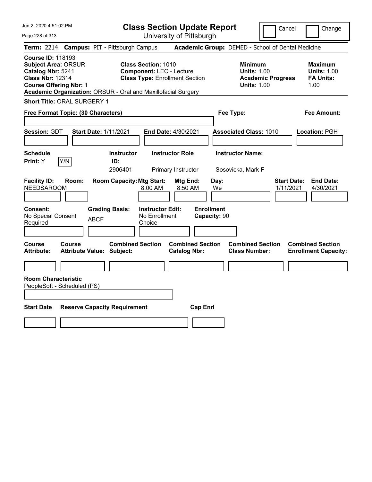Jun 2, 2020 4:51:02 PM Page 228 of 313 **Class Section Update Report** University of Pittsburgh Cancel Change **Term:** 2214 **Campus:** PIT - Pittsburgh Campus **Academic Group:** DEMED - School of Dental Medicine **Course ID:** 118193 **Subject Area:** ORSUR **Class Section:** 1010 **Minimum Maximum Catalog Nbr:** 5241 **Component:** LEC - Lecture **Units:** 1.00 **Units:** 1.00 **Class Nbr:** 12314 **Class Type:** Enrollment Section **Academic Progress FA Units: Course Offering Nbr: 1 1.00 1.00 1.00 1.00 1.00 1.00 1.00 1.00 1.00 Academic Organization:** ORSUR - Oral and Maxillofacial Surgery **Short Title:** ORAL SURGERY 1 **Free Format Topic: (30 Characters) Fee Type: Fee Amount: Session:** GDT **Start Date:** 1/11/2021 **End Date:** 4/30/2021 **Associated Class:** 1010 **Location:** PGH **Schedule Instructor Instructor Role Instructor Name: Print:**  $Y$   $|Y/N|$  **ID:** 2906401 Primary Instructor Sosovicka, Mark F **Facility ID: Room: Room Capacity:Mtg Start: Mtg End: Day: Start Date: End Date:** NEEDSAROOM 8:00 AM 8:50 AM We 1/11/2021 4/30/2021 **Consent: Grading Basis: Instructor Edit: Enrollment** No Special Consent BCF No Enrollment<br>Required ABCF Choice Choice **Capacity:** 90 **Course Course Combined Section Combined Section Combined Section Combined Section Attribute: Attribute Value: Subject: Catalog Nbr: Class Number: Enrollment Capacity: Room Characteristic** PeopleSoft - Scheduled (PS) **Start Date Reserve Capacity Requirement Cap Enrl**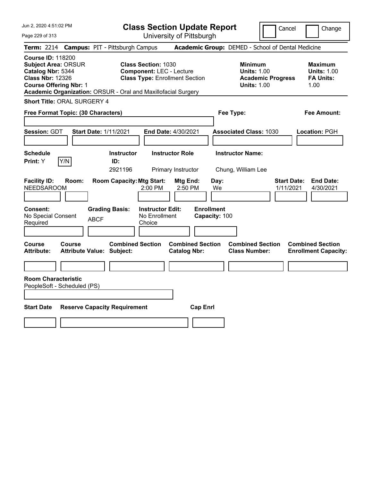Jun 2, 2020 4:51:02 PM Page 229 of 313 **Class Section Update Report** University of Pittsburgh Cancel Change **Term:** 2214 **Campus:** PIT - Pittsburgh Campus **Academic Group:** DEMED - School of Dental Medicine **Course ID:** 118200 **Subject Area:** ORSUR **Class Section:** 1030 **Minimum Maximum Catalog Nbr:** 5344 **Component:** LEC - Lecture **Units:** 1.00 **Units:** 1.00 **Class Nbr:** 12326 **Class Type:** Enrollment Section **Academic Progress FA Units: Course Offering Nbr: 1 1.00 1.00 1.00 1.00 1.00 1.00 1.00 1.00 1.00 Academic Organization:** ORSUR - Oral and Maxillofacial Surgery **Short Title:** ORAL SURGERY 4 **Free Format Topic: (30 Characters) Fee Type: Fee Amount: Session:** GDT **Start Date:** 1/11/2021 **End Date:** 4/30/2021 **Associated Class:** 1030 **Location:** PGH **Schedule Instructor Instructor Role Instructor Name: Print:**  $Y$   $|Y/N|$  **ID:** 2921196 Primary Instructor Chung, William Lee **Facility ID: Room: Room Capacity:Mtg Start: Mtg End: Day: Start Date: End Date:** NEEDSAROOM 2:00 PM 2:50 PM We 1/11/2021 4/30/2021 **Consent: Grading Basis: Instructor Edit: Enrollment** No Special Consent BCF No Enrollment<br>Required ABCF Choice Choice **Capacity:** 100 **Course Course Combined Section Combined Section Combined Section Combined Section Attribute: Attribute Value: Subject: Catalog Nbr: Class Number: Enrollment Capacity: Room Characteristic** PeopleSoft - Scheduled (PS) **Start Date Reserve Capacity Requirement Cap Enrl**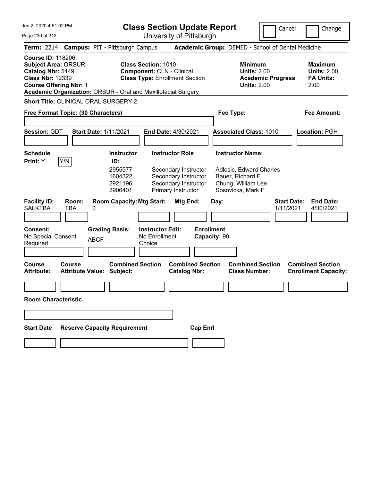| Jun 2, 2020 4:51:02 PM                                                                                                                                                                                   | <b>Class Section Update Report</b>                                                                                                                                                           | Cancel                                                                                                            | Change                                                           |
|----------------------------------------------------------------------------------------------------------------------------------------------------------------------------------------------------------|----------------------------------------------------------------------------------------------------------------------------------------------------------------------------------------------|-------------------------------------------------------------------------------------------------------------------|------------------------------------------------------------------|
| Page 230 of 313                                                                                                                                                                                          | University of Pittsburgh                                                                                                                                                                     |                                                                                                                   |                                                                  |
| Term: 2214 Campus: PIT - Pittsburgh Campus                                                                                                                                                               |                                                                                                                                                                                              | Academic Group: DEMED - School of Dental Medicine                                                                 |                                                                  |
| <b>Course ID: 118206</b><br><b>Subject Area: ORSUR</b><br>Catalog Nbr: 5449<br><b>Class Nbr: 12339</b><br><b>Course Offering Nbr: 1</b><br>Academic Organization: ORSUR - Oral and Maxillofacial Surgery | <b>Class Section: 1010</b><br><b>Component: CLN - Clinical</b><br><b>Class Type: Enrollment Section</b>                                                                                      | <b>Minimum</b><br><b>Units: 2.00</b><br><b>Academic Progress</b><br><b>Units: 2.00</b>                            | <b>Maximum</b><br><b>Units: 2.00</b><br><b>FA Units:</b><br>2.00 |
| Short Title: CLINICAL ORAL SURGERY 2                                                                                                                                                                     |                                                                                                                                                                                              |                                                                                                                   |                                                                  |
| Free Format Topic: (30 Characters)                                                                                                                                                                       |                                                                                                                                                                                              | Fee Type:                                                                                                         | Fee Amount:                                                      |
| Session: GDT<br><b>Start Date: 1/11/2021</b>                                                                                                                                                             | End Date: 4/30/2021                                                                                                                                                                          | <b>Associated Class: 1010</b>                                                                                     | Location: PGH                                                    |
| Schedule<br>Y/N<br>Print: Y                                                                                                                                                                              | <b>Instructor Role</b><br><b>Instructor</b><br>ID:<br>2955577<br>Secondary Instructor<br>1604322<br>Secondary Instructor<br>Secondary Instructor<br>2921196<br>2906401<br>Primary Instructor | <b>Instructor Name:</b><br>Adlesic, Edward Charles<br>Bauer, Richard E<br>Chung, William Lee<br>Sosovicka, Mark F |                                                                  |
| <b>Facility ID:</b><br>Room:<br><b>SALKTBA</b><br><b>TBA</b><br>0                                                                                                                                        | <b>Room Capacity: Mtg Start:</b><br>Mtg End:                                                                                                                                                 | <b>Start Date:</b><br>Day:<br>1/11/2021                                                                           | <b>End Date:</b><br>4/30/2021                                    |
| <b>Consent:</b><br><b>Grading Basis:</b><br>No Special Consent<br><b>ABCF</b><br>Required                                                                                                                | <b>Enrollment</b><br><b>Instructor Edit:</b><br>No Enrollment<br>Capacity: 90<br>Choice                                                                                                      |                                                                                                                   |                                                                  |
| <b>Course</b><br>Course<br><b>Attribute:</b><br><b>Attribute Value: Subject:</b>                                                                                                                         | <b>Combined Section</b><br><b>Combined Section</b><br><b>Catalog Nbr:</b>                                                                                                                    | <b>Combined Section</b><br><b>Class Number:</b>                                                                   | <b>Combined Section</b><br><b>Enrollment Capacity:</b>           |
| <b>Room Characteristic</b>                                                                                                                                                                               |                                                                                                                                                                                              |                                                                                                                   |                                                                  |
|                                                                                                                                                                                                          |                                                                                                                                                                                              |                                                                                                                   |                                                                  |
| <b>Reserve Capacity Requirement</b><br><b>Start Date</b>                                                                                                                                                 | <b>Cap Enrl</b>                                                                                                                                                                              |                                                                                                                   |                                                                  |
|                                                                                                                                                                                                          |                                                                                                                                                                                              |                                                                                                                   |                                                                  |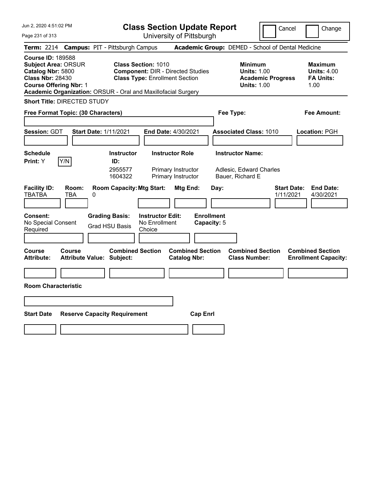| Jun 2, 2020 4:51:02 PM |  |
|------------------------|--|
|                        |  |

| <b>Class Section Update Report</b> |  |
|------------------------------------|--|
| University of Pittsburgh           |  |

Cancel Change

Page 231 of 313

|                                                                                                                                         | Term: 2214 Campus: PIT - Pittsburgh Campus                                                                                                                                       |                                                | Academic Group: DEMED - School of Dental Medicine                                      |                                                                  |
|-----------------------------------------------------------------------------------------------------------------------------------------|----------------------------------------------------------------------------------------------------------------------------------------------------------------------------------|------------------------------------------------|----------------------------------------------------------------------------------------|------------------------------------------------------------------|
| <b>Course ID: 189588</b><br><b>Subject Area: ORSUR</b><br>Catalog Nbr: 5800<br><b>Class Nbr: 28430</b><br><b>Course Offering Nbr: 1</b> | <b>Class Section: 1010</b><br><b>Component: DIR - Directed Studies</b><br><b>Class Type: Enrollment Section</b><br>Academic Organization: ORSUR - Oral and Maxillofacial Surgery |                                                | <b>Minimum</b><br><b>Units: 1.00</b><br><b>Academic Progress</b><br><b>Units: 1.00</b> | <b>Maximum</b><br><b>Units: 4.00</b><br><b>FA Units:</b><br>1.00 |
| <b>Short Title: DIRECTED STUDY</b>                                                                                                      |                                                                                                                                                                                  |                                                |                                                                                        |                                                                  |
| Free Format Topic: (30 Characters)                                                                                                      |                                                                                                                                                                                  |                                                | Fee Type:                                                                              | <b>Fee Amount:</b>                                               |
| <b>Session: GDT</b>                                                                                                                     | <b>Start Date: 1/11/2021</b>                                                                                                                                                     | End Date: 4/30/2021                            | <b>Associated Class: 1010</b>                                                          | Location: PGH                                                    |
| <b>Schedule</b><br>Y/N<br>Print: Y                                                                                                      | <b>Instructor</b><br>ID:<br>2955577                                                                                                                                              | <b>Instructor Role</b><br>Primary Instructor   | <b>Instructor Name:</b><br>Adlesic, Edward Charles                                     |                                                                  |
| <b>Facility ID:</b><br>Room:                                                                                                            | 1604322<br><b>Room Capacity: Mtg Start:</b>                                                                                                                                      | Primary Instructor<br>Mtg End:                 | Bauer, Richard E<br><b>Start Date:</b><br>Day:                                         | <b>End Date:</b>                                                 |
| TBATBA<br>TBA                                                                                                                           | 0                                                                                                                                                                                |                                                | 1/11/2021                                                                              | 4/30/2021                                                        |
| Consent:<br>No Special Consent<br>Required                                                                                              | <b>Grading Basis:</b><br><b>Instructor Edit:</b><br>No Enrollment<br><b>Grad HSU Basis</b><br>Choice                                                                             | <b>Enrollment</b><br>Capacity: 5               |                                                                                        |                                                                  |
| <b>Course</b><br>Course<br><b>Attribute:</b>                                                                                            | <b>Combined Section</b><br><b>Attribute Value: Subject:</b>                                                                                                                      | <b>Combined Section</b><br><b>Catalog Nbr:</b> | <b>Combined Section</b><br><b>Class Number:</b>                                        | <b>Combined Section</b><br><b>Enrollment Capacity:</b>           |
| <b>Room Characteristic</b>                                                                                                              |                                                                                                                                                                                  |                                                |                                                                                        |                                                                  |
| <b>Start Date</b>                                                                                                                       | <b>Reserve Capacity Requirement</b>                                                                                                                                              | <b>Cap Enrl</b>                                |                                                                                        |                                                                  |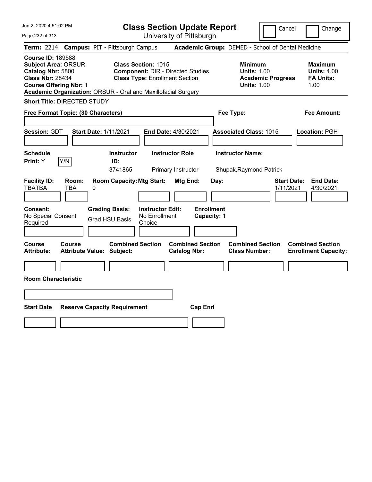Jun 2, 2020 4:51:02 PM Page 232 of 313 **Class Section Update Report** University of Pittsburgh Cancel | Change **Term:** 2214 **Campus:** PIT - Pittsburgh Campus **Academic Group:** DEMED - School of Dental Medicine **Course ID:** 189588 **Subject Area:** ORSUR **Class Section:** 1015 **Minimum Maximum Catalog Nbr:** 5800 **Component: DIR - Directed Studies Units: 1.00** Units: 4.00<br> **Class Nbr: 28434 Class Type:** Enrollment Section **Class Academic Progress FA Units: Class Type: Enrollment Section <b>Academic Progress FA Units: Course Offering Nbr: 1 1.00 1.00 1.00 1.00 1.00 1.00 1.00 1.00 1.00 Academic Organization:** ORSUR - Oral and Maxillofacial Surgery **Short Title:** DIRECTED STUDY **Free Format Topic: (30 Characters) Fee Type: Fee Amount: Session:** GDT **Start Date:** 1/11/2021 **End Date:** 4/30/2021 **Associated Class:** 1015 **Location:** PGH **Schedule Instructor Instructor Role Instructor Name: Print:**  $Y$   $|Y/N|$  **ID:** 3741865 Primary Instructor Shupak,Raymond Patrick **Facility ID: Room: Room Capacity:Mtg Start: Mtg End: Day: Start Date: End Date:** TBATBA TBA 0 1/11/2021 4/30/2021 **Consent: Grading Basis: Instructor Edit: Enrollment** No Special Consent Required Grad HSU Basis No Enrollment Choice **Capacity:** 1 **Course Course Combined Section Combined Section Combined Section Combined Section Attribute: Attribute Value: Subject: Catalog Nbr: Class Number: Enrollment Capacity: Room Characteristic Start Date Reserve Capacity Requirement Cap Enrl**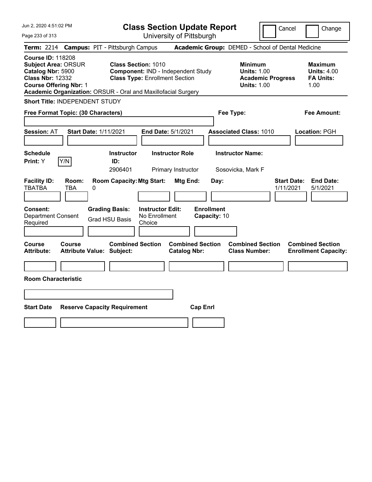| Jun 2, 2020 4:51:02 PM                                                                                                                                                                | <b>Class Section Update Report</b>                                                                        | Cancel                                                                                                                                      | Change                                                           |
|---------------------------------------------------------------------------------------------------------------------------------------------------------------------------------------|-----------------------------------------------------------------------------------------------------------|---------------------------------------------------------------------------------------------------------------------------------------------|------------------------------------------------------------------|
| Page 233 of 313                                                                                                                                                                       | University of Pittsburgh                                                                                  |                                                                                                                                             |                                                                  |
| Term: 2214 Campus: PIT - Pittsburgh Campus<br><b>Course ID: 118208</b><br><b>Subject Area: ORSUR</b><br>Catalog Nbr: 5900<br><b>Class Nbr: 12332</b><br><b>Course Offering Nbr: 1</b> | <b>Class Section: 1010</b><br>Component: IND - Independent Study<br><b>Class Type: Enrollment Section</b> | Academic Group: DEMED - School of Dental Medicine<br><b>Minimum</b><br><b>Units: 1.00</b><br><b>Academic Progress</b><br><b>Units: 1.00</b> | <b>Maximum</b><br><b>Units: 4.00</b><br><b>FA Units:</b><br>1.00 |
| Academic Organization: ORSUR - Oral and Maxillofacial Surgery<br>Short Title: INDEPENDENT STUDY                                                                                       |                                                                                                           |                                                                                                                                             |                                                                  |
| Free Format Topic: (30 Characters)                                                                                                                                                    | Fee Type:                                                                                                 |                                                                                                                                             | Fee Amount:                                                      |
| <b>Session: AT</b><br><b>Start Date: 1/11/2021</b>                                                                                                                                    | End Date: 5/1/2021                                                                                        | <b>Associated Class: 1010</b>                                                                                                               | Location: PGH                                                    |
| <b>Schedule</b><br>Y/N<br>Print: Y<br>ID:                                                                                                                                             | <b>Instructor</b><br><b>Instructor Role</b><br>2906401<br>Primary Instructor                              | <b>Instructor Name:</b><br>Sosovicka, Mark F                                                                                                |                                                                  |
| <b>Facility ID:</b><br>Room:<br><b>TBATBA</b><br><b>TBA</b><br>0                                                                                                                      | <b>Room Capacity: Mtg Start:</b><br>Mtg End:<br>Day:                                                      | <b>Start Date:</b><br>1/11/2021                                                                                                             | <b>End Date:</b><br>5/1/2021                                     |
| Consent:<br><b>Grading Basis:</b><br>Department Consent<br><b>Grad HSU Basis</b><br>Required                                                                                          | <b>Enrollment</b><br><b>Instructor Edit:</b><br>No Enrollment<br>Capacity: 10<br>Choice                   |                                                                                                                                             |                                                                  |
| Course<br>Course<br><b>Attribute Value: Subject:</b><br><b>Attribute:</b>                                                                                                             | <b>Combined Section</b><br><b>Combined Section</b><br><b>Catalog Nbr:</b>                                 | <b>Combined Section</b><br><b>Class Number:</b>                                                                                             | <b>Combined Section</b><br><b>Enrollment Capacity:</b>           |
| <b>Room Characteristic</b>                                                                                                                                                            |                                                                                                           |                                                                                                                                             |                                                                  |
|                                                                                                                                                                                       |                                                                                                           |                                                                                                                                             |                                                                  |
| <b>Start Date</b><br><b>Reserve Capacity Requirement</b>                                                                                                                              | <b>Cap Enrl</b>                                                                                           |                                                                                                                                             |                                                                  |
|                                                                                                                                                                                       |                                                                                                           |                                                                                                                                             |                                                                  |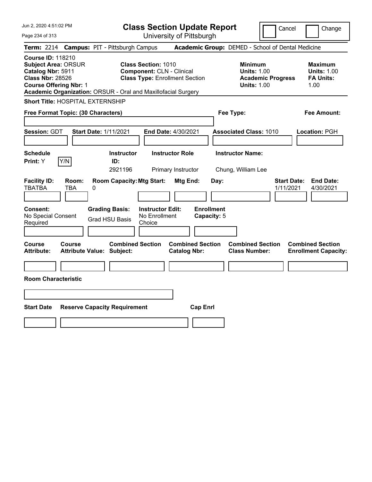| Jun 2, 2020 4:51:02 PM<br>Page 234 of 313                                                                                                                                                                | <b>Class Section Update Report</b><br>University of Pittsburgh                                          | Cancel                                                                                 | Change                                                           |
|----------------------------------------------------------------------------------------------------------------------------------------------------------------------------------------------------------|---------------------------------------------------------------------------------------------------------|----------------------------------------------------------------------------------------|------------------------------------------------------------------|
| <b>Campus: PIT - Pittsburgh Campus</b><br><b>Term: 2214</b>                                                                                                                                              |                                                                                                         | Academic Group: DEMED - School of Dental Medicine                                      |                                                                  |
| <b>Course ID: 118210</b><br><b>Subject Area: ORSUR</b><br>Catalog Nbr: 5911<br><b>Class Nbr: 28526</b><br><b>Course Offering Nbr: 1</b><br>Academic Organization: ORSUR - Oral and Maxillofacial Surgery | <b>Class Section: 1010</b><br><b>Component: CLN - Clinical</b><br><b>Class Type: Enrollment Section</b> | <b>Minimum</b><br><b>Units: 1.00</b><br><b>Academic Progress</b><br><b>Units: 1.00</b> | <b>Maximum</b><br><b>Units: 1.00</b><br><b>FA Units:</b><br>1.00 |
| Short Title: HOSPITAL EXTERNSHIP                                                                                                                                                                         |                                                                                                         |                                                                                        |                                                                  |
| Free Format Topic: (30 Characters)                                                                                                                                                                       |                                                                                                         | Fee Type:                                                                              | <b>Fee Amount:</b>                                               |
| Session: GDT<br><b>Start Date: 1/11/2021</b>                                                                                                                                                             | End Date: 4/30/2021                                                                                     | <b>Associated Class: 1010</b>                                                          | <b>Location: PGH</b>                                             |
| <b>Schedule</b>                                                                                                                                                                                          | <b>Instructor</b><br><b>Instructor Role</b>                                                             | <b>Instructor Name:</b>                                                                |                                                                  |
| Y/N<br>Print: Y<br>ID:                                                                                                                                                                                   | 2921196<br>Primary Instructor                                                                           | Chung, William Lee                                                                     |                                                                  |
| <b>Facility ID:</b><br>Room:<br><b>TBATBA</b><br>TBA<br>0<br><b>Consent:</b><br><b>Grading Basis:</b>                                                                                                    | <b>Room Capacity: Mtg Start:</b><br>Mtg End:<br><b>Enrollment</b><br><b>Instructor Edit:</b>            | Day:<br>1/11/2021                                                                      | <b>End Date:</b><br><b>Start Date:</b><br>4/30/2021              |
| No Special Consent<br><b>Grad HSU Basis</b><br>Required                                                                                                                                                  | No Enrollment<br>Capacity: 5<br>Choice                                                                  |                                                                                        |                                                                  |
|                                                                                                                                                                                                          |                                                                                                         |                                                                                        |                                                                  |
| Course<br>Course<br><b>Attribute:</b><br><b>Attribute Value: Subject:</b>                                                                                                                                | <b>Combined Section</b><br><b>Combined Section</b><br><b>Catalog Nbr:</b>                               | <b>Combined Section</b><br><b>Class Number:</b>                                        | <b>Combined Section</b><br><b>Enrollment Capacity:</b>           |
|                                                                                                                                                                                                          |                                                                                                         |                                                                                        |                                                                  |
| <b>Room Characteristic</b>                                                                                                                                                                               |                                                                                                         |                                                                                        |                                                                  |
|                                                                                                                                                                                                          |                                                                                                         |                                                                                        |                                                                  |
| <b>Start Date</b><br><b>Reserve Capacity Requirement</b>                                                                                                                                                 | <b>Cap Enrl</b>                                                                                         |                                                                                        |                                                                  |
|                                                                                                                                                                                                          |                                                                                                         |                                                                                        |                                                                  |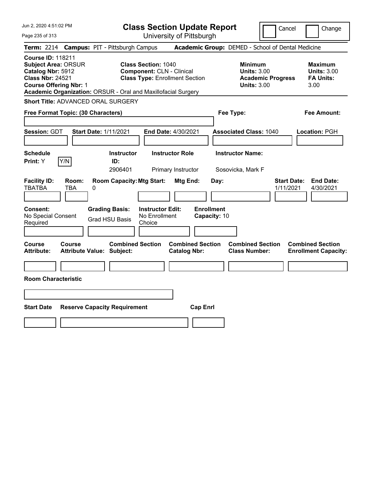| Jun 2, 2020 4:51:02 PM<br>Page 235 of 313                                                                                                                                                                | <b>Class Section Update Report</b><br>University of Pittsburgh                                          | Cancel                                                                                 | Change                                                           |
|----------------------------------------------------------------------------------------------------------------------------------------------------------------------------------------------------------|---------------------------------------------------------------------------------------------------------|----------------------------------------------------------------------------------------|------------------------------------------------------------------|
| <b>Campus: PIT - Pittsburgh Campus</b><br><b>Term: 2214</b>                                                                                                                                              |                                                                                                         | Academic Group: DEMED - School of Dental Medicine                                      |                                                                  |
| <b>Course ID: 118211</b><br><b>Subject Area: ORSUR</b><br>Catalog Nbr: 5912<br><b>Class Nbr: 24521</b><br><b>Course Offering Nbr: 1</b><br>Academic Organization: ORSUR - Oral and Maxillofacial Surgery | <b>Class Section: 1040</b><br><b>Component: CLN - Clinical</b><br><b>Class Type: Enrollment Section</b> | <b>Minimum</b><br><b>Units: 3.00</b><br><b>Academic Progress</b><br><b>Units: 3.00</b> | <b>Maximum</b><br><b>Units: 3.00</b><br><b>FA Units:</b><br>3.00 |
| Short Title: ADVANCED ORAL SURGERY                                                                                                                                                                       |                                                                                                         |                                                                                        |                                                                  |
| Free Format Topic: (30 Characters)                                                                                                                                                                       |                                                                                                         | Fee Type:                                                                              | <b>Fee Amount:</b>                                               |
| Session: GDT<br><b>Start Date: 1/11/2021</b>                                                                                                                                                             | End Date: 4/30/2021                                                                                     | <b>Associated Class: 1040</b>                                                          | Location: PGH                                                    |
| <b>Schedule</b><br>Y/N<br>Print: Y<br>ID:                                                                                                                                                                | <b>Instructor Role</b><br><b>Instructor</b><br>2906401<br>Primary Instructor                            | <b>Instructor Name:</b><br>Sosovicka, Mark F                                           |                                                                  |
| <b>Facility ID:</b><br>Room:<br><b>TBATBA</b><br>TBA<br>0                                                                                                                                                | <b>Room Capacity: Mtg Start:</b><br>Mtg End:                                                            | <b>Start Date:</b><br>Day:<br>1/11/2021                                                | <b>End Date:</b><br>4/30/2021                                    |
| <b>Consent:</b><br><b>Grading Basis:</b><br>No Special Consent<br><b>Grad HSU Basis</b><br>Required                                                                                                      | <b>Enrollment</b><br><b>Instructor Edit:</b><br>No Enrollment<br>Capacity: 10<br>Choice                 |                                                                                        |                                                                  |
| Course<br><b>Course</b><br><b>Attribute:</b><br><b>Attribute Value: Subject:</b>                                                                                                                         | <b>Combined Section</b><br><b>Combined Section</b><br><b>Catalog Nbr:</b>                               | <b>Combined Section</b><br><b>Class Number:</b>                                        | <b>Combined Section</b><br><b>Enrollment Capacity:</b>           |
| <b>Room Characteristic</b>                                                                                                                                                                               |                                                                                                         |                                                                                        |                                                                  |
|                                                                                                                                                                                                          |                                                                                                         |                                                                                        |                                                                  |
| <b>Start Date</b><br><b>Reserve Capacity Requirement</b>                                                                                                                                                 | <b>Cap Enrl</b>                                                                                         |                                                                                        |                                                                  |
|                                                                                                                                                                                                          |                                                                                                         |                                                                                        |                                                                  |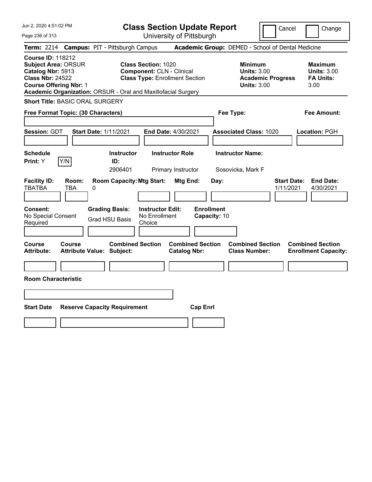| Jun 2, 2020 4:51:02 PM<br>Page 236 of 313                                                                                                                                                                | <b>Class Section Update Report</b><br>University of Pittsburgh                                          |                                                                                        | Cancel<br>Change                                                 |
|----------------------------------------------------------------------------------------------------------------------------------------------------------------------------------------------------------|---------------------------------------------------------------------------------------------------------|----------------------------------------------------------------------------------------|------------------------------------------------------------------|
| Term: 2214 Campus: PIT - Pittsburgh Campus                                                                                                                                                               |                                                                                                         | Academic Group: DEMED - School of Dental Medicine                                      |                                                                  |
| <b>Course ID: 118212</b><br><b>Subject Area: ORSUR</b><br>Catalog Nbr: 5913<br><b>Class Nbr: 24522</b><br><b>Course Offering Nbr: 1</b><br>Academic Organization: ORSUR - Oral and Maxillofacial Surgery | <b>Class Section: 1020</b><br><b>Component: CLN - Clinical</b><br><b>Class Type: Enrollment Section</b> | <b>Minimum</b><br><b>Units: 3.00</b><br><b>Academic Progress</b><br><b>Units: 3.00</b> | <b>Maximum</b><br><b>Units: 3.00</b><br><b>FA Units:</b><br>3.00 |
| Short Title: BASIC ORAL SURGERY                                                                                                                                                                          |                                                                                                         |                                                                                        |                                                                  |
| Free Format Topic: (30 Characters)                                                                                                                                                                       |                                                                                                         | Fee Type:                                                                              | <b>Fee Amount:</b>                                               |
| Session: GDT<br><b>Start Date: 1/11/2021</b>                                                                                                                                                             | End Date: 4/30/2021                                                                                     | <b>Associated Class: 1020</b>                                                          | Location: PGH                                                    |
| <b>Schedule</b><br>Y/N<br><b>Print:</b> Y                                                                                                                                                                | <b>Instructor</b><br><b>Instructor Role</b><br>ID:                                                      | <b>Instructor Name:</b>                                                                |                                                                  |
|                                                                                                                                                                                                          | 2906401<br>Primary Instructor                                                                           | Sosovicka, Mark F                                                                      |                                                                  |
| <b>Facility ID:</b><br>Room:<br><b>TBATBA</b><br><b>TBA</b><br>0                                                                                                                                         | <b>Room Capacity: Mtg Start:</b><br>Mtg End:                                                            | Day:                                                                                   | <b>Start Date:</b><br><b>End Date:</b><br>4/30/2021<br>1/11/2021 |
| <b>Grading Basis:</b><br><b>Consent:</b><br>No Special Consent<br><b>Grad HSU Basis</b><br>Required                                                                                                      | <b>Instructor Edit:</b><br>No Enrollment<br>Choice                                                      | <b>Enrollment</b><br>Capacity: 10                                                      |                                                                  |
| <b>Course</b><br>Course<br><b>Attribute:</b><br><b>Attribute Value: Subject:</b>                                                                                                                         | <b>Combined Section</b><br><b>Combined Section</b><br><b>Catalog Nbr:</b>                               | <b>Combined Section</b><br><b>Class Number:</b>                                        | <b>Combined Section</b><br><b>Enrollment Capacity:</b>           |
|                                                                                                                                                                                                          |                                                                                                         |                                                                                        |                                                                  |
| <b>Room Characteristic</b>                                                                                                                                                                               |                                                                                                         |                                                                                        |                                                                  |
|                                                                                                                                                                                                          |                                                                                                         |                                                                                        |                                                                  |
|                                                                                                                                                                                                          |                                                                                                         |                                                                                        |                                                                  |
| <b>Start Date</b><br><b>Reserve Capacity Requirement</b>                                                                                                                                                 | <b>Cap Enrl</b>                                                                                         |                                                                                        |                                                                  |
|                                                                                                                                                                                                          |                                                                                                         |                                                                                        |                                                                  |
|                                                                                                                                                                                                          |                                                                                                         |                                                                                        |                                                                  |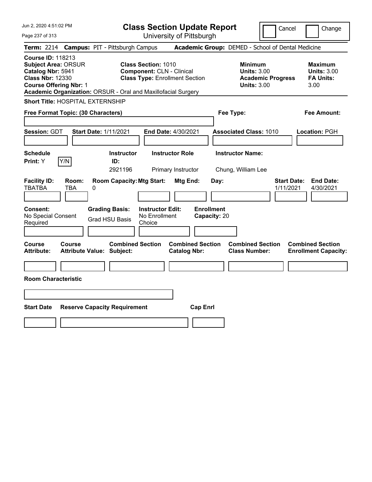| Jun 2, 2020 4:51:02 PM<br>Page 237 of 313                                                                                                                                                                | <b>Class Section Update Report</b><br>University of Pittsburgh                                          |                                                                                        | Cancel<br>Change                                                 |
|----------------------------------------------------------------------------------------------------------------------------------------------------------------------------------------------------------|---------------------------------------------------------------------------------------------------------|----------------------------------------------------------------------------------------|------------------------------------------------------------------|
| Term: 2214 Campus: PIT - Pittsburgh Campus                                                                                                                                                               |                                                                                                         | Academic Group: DEMED - School of Dental Medicine                                      |                                                                  |
| <b>Course ID: 118213</b><br><b>Subject Area: ORSUR</b><br>Catalog Nbr: 5941<br><b>Class Nbr: 12330</b><br><b>Course Offering Nbr: 1</b><br>Academic Organization: ORSUR - Oral and Maxillofacial Surgery | <b>Class Section: 1010</b><br><b>Component: CLN - Clinical</b><br><b>Class Type: Enrollment Section</b> | <b>Minimum</b><br><b>Units: 3.00</b><br><b>Academic Progress</b><br><b>Units: 3.00</b> | <b>Maximum</b><br><b>Units: 3.00</b><br><b>FA Units:</b><br>3.00 |
| <b>Short Title: HOSPITAL EXTERNSHIP</b>                                                                                                                                                                  |                                                                                                         |                                                                                        |                                                                  |
| Free Format Topic: (30 Characters)                                                                                                                                                                       |                                                                                                         | Fee Type:                                                                              | <b>Fee Amount:</b>                                               |
| Session: GDT<br><b>Start Date: 1/11/2021</b><br><b>Schedule</b>                                                                                                                                          | End Date: 4/30/2021<br><b>Instructor</b><br><b>Instructor Role</b>                                      | <b>Associated Class: 1010</b><br><b>Instructor Name:</b>                               | Location: PGH                                                    |
| Y/N<br><b>Print:</b> Y<br>ID:                                                                                                                                                                            |                                                                                                         |                                                                                        |                                                                  |
| <b>Facility ID:</b><br>Room:<br><b>TBATBA</b><br><b>TBA</b><br>0                                                                                                                                         | 2921196<br>Primary Instructor<br><b>Room Capacity: Mtg Start:</b><br>Mtg End:                           | Chung, William Lee<br>Day:                                                             | <b>Start Date:</b><br><b>End Date:</b><br>4/30/2021<br>1/11/2021 |
| <b>Grading Basis:</b><br><b>Consent:</b><br>No Special Consent<br><b>Grad HSU Basis</b><br>Required                                                                                                      | <b>Enrollment</b><br><b>Instructor Edit:</b><br>No Enrollment<br>Choice                                 | Capacity: 20                                                                           |                                                                  |
| <b>Course</b><br><b>Course</b><br><b>Attribute:</b><br><b>Attribute Value: Subject:</b>                                                                                                                  | <b>Combined Section</b><br><b>Combined Section</b><br><b>Catalog Nbr:</b>                               | <b>Combined Section</b><br><b>Class Number:</b>                                        | <b>Combined Section</b><br><b>Enrollment Capacity:</b>           |
|                                                                                                                                                                                                          |                                                                                                         |                                                                                        |                                                                  |
| <b>Room Characteristic</b>                                                                                                                                                                               |                                                                                                         |                                                                                        |                                                                  |
|                                                                                                                                                                                                          |                                                                                                         |                                                                                        |                                                                  |
| <b>Start Date</b><br><b>Reserve Capacity Requirement</b>                                                                                                                                                 | <b>Cap Enrl</b>                                                                                         |                                                                                        |                                                                  |
|                                                                                                                                                                                                          |                                                                                                         |                                                                                        |                                                                  |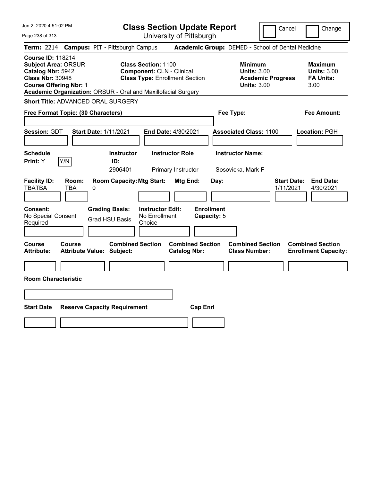| Jun 2, 2020 4:51:02 PM                                                                                                                                                                                   | <b>Class Section Update Report</b>                                                                      | Cancel                                                                                 | Change                                                    |
|----------------------------------------------------------------------------------------------------------------------------------------------------------------------------------------------------------|---------------------------------------------------------------------------------------------------------|----------------------------------------------------------------------------------------|-----------------------------------------------------------|
| Page 238 of 313                                                                                                                                                                                          | University of Pittsburgh                                                                                |                                                                                        |                                                           |
| <b>Campus: PIT - Pittsburgh Campus</b><br><b>Term: 2214</b>                                                                                                                                              |                                                                                                         | Academic Group: DEMED - School of Dental Medicine                                      |                                                           |
| <b>Course ID: 118214</b><br><b>Subject Area: ORSUR</b><br>Catalog Nbr: 5942<br><b>Class Nbr: 30948</b><br><b>Course Offering Nbr: 1</b><br>Academic Organization: ORSUR - Oral and Maxillofacial Surgery | <b>Class Section: 1100</b><br><b>Component: CLN - Clinical</b><br><b>Class Type: Enrollment Section</b> | <b>Minimum</b><br><b>Units: 3.00</b><br><b>Academic Progress</b><br><b>Units: 3.00</b> | Maximum<br><b>Units: 3.00</b><br><b>FA Units:</b><br>3.00 |
| <b>Short Title: ADVANCED ORAL SURGERY</b>                                                                                                                                                                |                                                                                                         |                                                                                        |                                                           |
| Free Format Topic: (30 Characters)                                                                                                                                                                       |                                                                                                         | Fee Type:                                                                              | Fee Amount:                                               |
| Session: GDT<br><b>Start Date: 1/11/2021</b>                                                                                                                                                             | End Date: 4/30/2021                                                                                     | <b>Associated Class: 1100</b>                                                          | Location: PGH                                             |
| <b>Schedule</b><br>Y/N<br>Print: Y                                                                                                                                                                       | <b>Instructor</b><br><b>Instructor Role</b><br>ID:<br>2906401<br>Primary Instructor                     | <b>Instructor Name:</b><br>Sosovicka, Mark F                                           |                                                           |
| <b>Facility ID:</b><br>Room:<br><b>TBATBA</b><br><b>TBA</b><br>0                                                                                                                                         | <b>Room Capacity: Mtg Start:</b><br>Mtg End:<br>Day:                                                    | <b>Start Date:</b><br>1/11/2021                                                        | <b>End Date:</b><br>4/30/2021                             |
| <b>Grading Basis:</b><br>Consent:<br>No Special Consent<br><b>Grad HSU Basis</b><br>Required                                                                                                             | <b>Enrollment</b><br><b>Instructor Edit:</b><br>No Enrollment<br>Capacity: 5<br>Choice                  |                                                                                        |                                                           |
| <b>Course</b><br><b>Course</b><br><b>Attribute:</b><br><b>Attribute Value: Subject:</b>                                                                                                                  | <b>Combined Section</b><br><b>Combined Section</b><br><b>Catalog Nbr:</b>                               | <b>Combined Section</b><br><b>Class Number:</b>                                        | <b>Combined Section</b><br><b>Enrollment Capacity:</b>    |
|                                                                                                                                                                                                          |                                                                                                         |                                                                                        |                                                           |
| <b>Room Characteristic</b>                                                                                                                                                                               |                                                                                                         |                                                                                        |                                                           |
|                                                                                                                                                                                                          |                                                                                                         |                                                                                        |                                                           |
| <b>Start Date</b><br><b>Reserve Capacity Requirement</b>                                                                                                                                                 | <b>Cap Enrl</b>                                                                                         |                                                                                        |                                                           |
|                                                                                                                                                                                                          |                                                                                                         |                                                                                        |                                                           |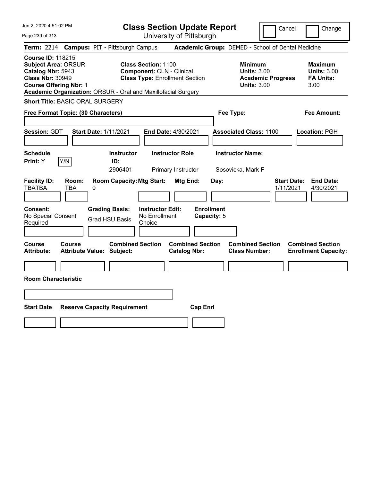| University of Pittsburgh                                                                                                                                                                                                                                                                                                                                                                                                                                                          |  |
|-----------------------------------------------------------------------------------------------------------------------------------------------------------------------------------------------------------------------------------------------------------------------------------------------------------------------------------------------------------------------------------------------------------------------------------------------------------------------------------|--|
| Term: 2214 Campus: PIT - Pittsburgh Campus<br>Academic Group: DEMED - School of Dental Medicine                                                                                                                                                                                                                                                                                                                                                                                   |  |
| <b>Course ID: 118215</b><br><b>Class Section: 1100</b><br><b>Subject Area: ORSUR</b><br><b>Minimum</b><br><b>Maximum</b><br>Catalog Nbr: 5943<br><b>Component: CLN - Clinical</b><br><b>Units: 3.00</b><br><b>Units: 3.00</b><br><b>Class Nbr: 30949</b><br><b>Class Type: Enrollment Section</b><br><b>Academic Progress</b><br><b>FA Units:</b><br><b>Course Offering Nbr: 1</b><br><b>Units: 3.00</b><br>3.00<br>Academic Organization: ORSUR - Oral and Maxillofacial Surgery |  |
| <b>Short Title: BASIC ORAL SURGERY</b>                                                                                                                                                                                                                                                                                                                                                                                                                                            |  |
| Free Format Topic: (30 Characters)<br>Fee Type:<br>Fee Amount:                                                                                                                                                                                                                                                                                                                                                                                                                    |  |
| <b>Session: GDT</b><br><b>Start Date: 1/11/2021</b><br>End Date: 4/30/2021<br><b>Associated Class: 1100</b><br>Location: PGH                                                                                                                                                                                                                                                                                                                                                      |  |
| <b>Instructor Role</b><br><b>Instructor Name:</b><br><b>Schedule</b><br><b>Instructor</b>                                                                                                                                                                                                                                                                                                                                                                                         |  |
| Y/N<br>Print: Y<br>ID:<br>2906401<br>Primary Instructor<br>Sosovicka, Mark F                                                                                                                                                                                                                                                                                                                                                                                                      |  |
| <b>Facility ID:</b><br>Room:<br><b>Room Capacity: Mtg Start:</b><br>Mtg End:<br><b>Start Date:</b><br><b>End Date:</b><br>Day:<br><b>TBATBA</b><br>TBA<br>1/11/2021<br>4/30/2021<br>0                                                                                                                                                                                                                                                                                             |  |
| <b>Enrollment</b><br><b>Grading Basis:</b><br><b>Instructor Edit:</b><br><b>Consent:</b><br>No Special Consent<br>No Enrollment<br>Capacity: 5<br><b>Grad HSU Basis</b><br>Required<br>Choice                                                                                                                                                                                                                                                                                     |  |
| <b>Combined Section</b><br>Course<br><b>Combined Section</b><br><b>Combined Section</b><br>Course<br><b>Combined Section</b><br><b>Catalog Nbr:</b><br><b>Class Number:</b><br><b>Attribute:</b><br><b>Attribute Value: Subject:</b><br><b>Enrollment Capacity:</b>                                                                                                                                                                                                               |  |
|                                                                                                                                                                                                                                                                                                                                                                                                                                                                                   |  |
| <b>Room Characteristic</b>                                                                                                                                                                                                                                                                                                                                                                                                                                                        |  |
|                                                                                                                                                                                                                                                                                                                                                                                                                                                                                   |  |
|                                                                                                                                                                                                                                                                                                                                                                                                                                                                                   |  |
| <b>Start Date</b><br><b>Reserve Capacity Requirement</b><br><b>Cap Enrl</b>                                                                                                                                                                                                                                                                                                                                                                                                       |  |
|                                                                                                                                                                                                                                                                                                                                                                                                                                                                                   |  |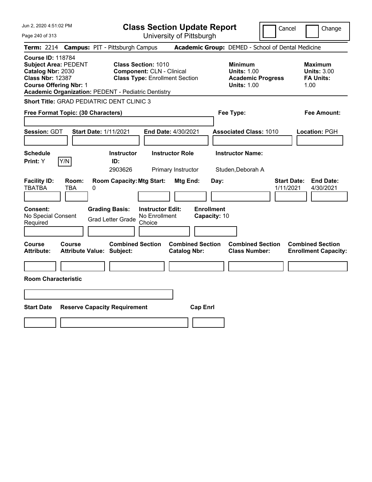| Jun 2, 2020 4:51:02 PM                                                                                                                                                                                 | <b>Class Section Update Report</b>                                                                                                                      | Cancel                                                                                 | Change                                                           |
|--------------------------------------------------------------------------------------------------------------------------------------------------------------------------------------------------------|---------------------------------------------------------------------------------------------------------------------------------------------------------|----------------------------------------------------------------------------------------|------------------------------------------------------------------|
| Page 240 of 313                                                                                                                                                                                        | University of Pittsburgh                                                                                                                                |                                                                                        |                                                                  |
| <b>Term: 2214</b>                                                                                                                                                                                      | <b>Campus: PIT - Pittsburgh Campus</b>                                                                                                                  | Academic Group: DEMED - School of Dental Medicine                                      |                                                                  |
| <b>Course ID: 118784</b><br><b>Subject Area: PEDENT</b><br>Catalog Nbr: 2030<br><b>Class Nbr: 12387</b><br><b>Course Offering Nbr: 1</b><br><b>Academic Organization: PEDENT - Pediatric Dentistry</b> | <b>Class Section: 1010</b><br><b>Component: CLN - Clinical</b><br><b>Class Type: Enrollment Section</b>                                                 | <b>Minimum</b><br><b>Units: 1.00</b><br><b>Academic Progress</b><br><b>Units: 1.00</b> | <b>Maximum</b><br><b>Units: 3.00</b><br><b>FA Units:</b><br>1.00 |
| <b>Short Title: GRAD PEDIATRIC DENT CLINIC 3</b>                                                                                                                                                       |                                                                                                                                                         |                                                                                        |                                                                  |
| Free Format Topic: (30 Characters)                                                                                                                                                                     |                                                                                                                                                         | Fee Type:                                                                              | Fee Amount:                                                      |
| Session: GDT<br><b>Start Date: 1/11/2021</b>                                                                                                                                                           | <b>End Date: 4/30/2021</b>                                                                                                                              | <b>Associated Class: 1010</b>                                                          | Location: PGH                                                    |
| <b>Schedule</b>                                                                                                                                                                                        | <b>Instructor</b><br><b>Instructor Role</b>                                                                                                             | <b>Instructor Name:</b>                                                                |                                                                  |
| Y/N<br>Print: Y                                                                                                                                                                                        | ID:<br>2903626<br>Primary Instructor                                                                                                                    | Studen, Deborah A                                                                      |                                                                  |
| <b>Facility ID:</b><br>Room:<br><b>TBATBA</b><br><b>TBA</b><br>0<br>Consent:<br>No Special Consent<br>Required                                                                                         | <b>Room Capacity: Mtg Start:</b><br>Mtg End:<br><b>Grading Basis:</b><br><b>Instructor Edit:</b><br>No Enrollment<br><b>Grad Letter Grade</b><br>Choice | Day:<br>1/11/2021<br><b>Enrollment</b><br>Capacity: 10                                 | <b>Start Date:</b><br><b>End Date:</b><br>4/30/2021              |
| Course<br><b>Course</b><br><b>Attribute:</b><br><b>Attribute Value: Subject:</b>                                                                                                                       | <b>Combined Section</b><br><b>Combined Section</b><br><b>Catalog Nbr:</b>                                                                               | <b>Combined Section</b><br><b>Class Number:</b>                                        | <b>Combined Section</b><br><b>Enrollment Capacity:</b>           |
|                                                                                                                                                                                                        |                                                                                                                                                         |                                                                                        |                                                                  |
| <b>Room Characteristic</b>                                                                                                                                                                             |                                                                                                                                                         |                                                                                        |                                                                  |
| <b>Start Date</b><br><b>Reserve Capacity Requirement</b>                                                                                                                                               | <b>Cap Enrl</b>                                                                                                                                         |                                                                                        |                                                                  |
|                                                                                                                                                                                                        |                                                                                                                                                         |                                                                                        |                                                                  |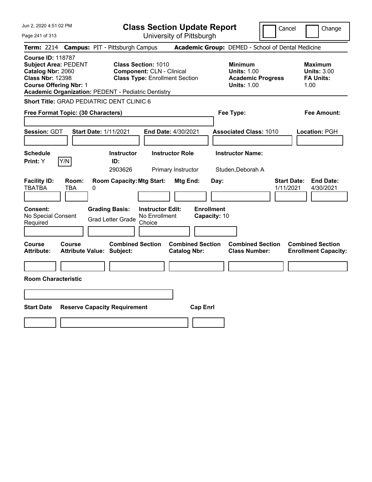| Jun 2, 2020 4:51:02 PM                                                                                                                                                                                 | <b>Class Section Update Report</b>                                                                                                                      | Cancel                                                                                 | Change                                                           |
|--------------------------------------------------------------------------------------------------------------------------------------------------------------------------------------------------------|---------------------------------------------------------------------------------------------------------------------------------------------------------|----------------------------------------------------------------------------------------|------------------------------------------------------------------|
| Page 241 of 313                                                                                                                                                                                        | University of Pittsburgh                                                                                                                                |                                                                                        |                                                                  |
| <b>Term: 2214</b>                                                                                                                                                                                      | <b>Campus: PIT - Pittsburgh Campus</b>                                                                                                                  | Academic Group: DEMED - School of Dental Medicine                                      |                                                                  |
| <b>Course ID: 118787</b><br><b>Subject Area: PEDENT</b><br>Catalog Nbr: 2060<br><b>Class Nbr: 12398</b><br><b>Course Offering Nbr: 1</b><br><b>Academic Organization: PEDENT - Pediatric Dentistry</b> | <b>Class Section: 1010</b><br><b>Component: CLN - Clinical</b><br><b>Class Type: Enrollment Section</b>                                                 | <b>Minimum</b><br><b>Units: 1.00</b><br><b>Academic Progress</b><br><b>Units: 1.00</b> | <b>Maximum</b><br><b>Units: 3.00</b><br><b>FA Units:</b><br>1.00 |
| <b>Short Title: GRAD PEDIATRIC DENT CLINIC 6</b>                                                                                                                                                       |                                                                                                                                                         |                                                                                        |                                                                  |
| Free Format Topic: (30 Characters)                                                                                                                                                                     |                                                                                                                                                         | Fee Type:                                                                              | Fee Amount:                                                      |
| Session: GDT<br><b>Start Date: 1/11/2021</b><br><b>Schedule</b>                                                                                                                                        | <b>End Date: 4/30/2021</b><br><b>Instructor Role</b><br><b>Instructor</b>                                                                               | <b>Associated Class: 1010</b><br><b>Instructor Name:</b>                               | Location: PGH                                                    |
| Y/N<br>Print: Y                                                                                                                                                                                        | ID:<br>2903626<br>Primary Instructor                                                                                                                    | Studen, Deborah A                                                                      |                                                                  |
| <b>Facility ID:</b><br>Room:<br><b>TBATBA</b><br>TBA<br>0<br><b>Consent:</b><br>No Special Consent<br>Required                                                                                         | <b>Room Capacity: Mtg Start:</b><br>Mtg End:<br><b>Grading Basis:</b><br><b>Instructor Edit:</b><br>No Enrollment<br><b>Grad Letter Grade</b><br>Choice | Day:<br><b>Start Date:</b><br>1/11/2021<br><b>Enrollment</b><br>Capacity: 10           | <b>End Date:</b><br>4/30/2021                                    |
| Course<br><b>Course</b><br><b>Attribute:</b><br>Attribute Value: Subject:                                                                                                                              | <b>Combined Section</b><br><b>Combined Section</b><br><b>Catalog Nbr:</b>                                                                               | <b>Combined Section</b><br><b>Class Number:</b>                                        | <b>Combined Section</b><br><b>Enrollment Capacity:</b>           |
|                                                                                                                                                                                                        |                                                                                                                                                         |                                                                                        |                                                                  |
| <b>Room Characteristic</b>                                                                                                                                                                             |                                                                                                                                                         |                                                                                        |                                                                  |
|                                                                                                                                                                                                        |                                                                                                                                                         |                                                                                        |                                                                  |
| <b>Start Date</b><br><b>Reserve Capacity Requirement</b>                                                                                                                                               | <b>Cap Enrl</b>                                                                                                                                         |                                                                                        |                                                                  |
|                                                                                                                                                                                                        |                                                                                                                                                         |                                                                                        |                                                                  |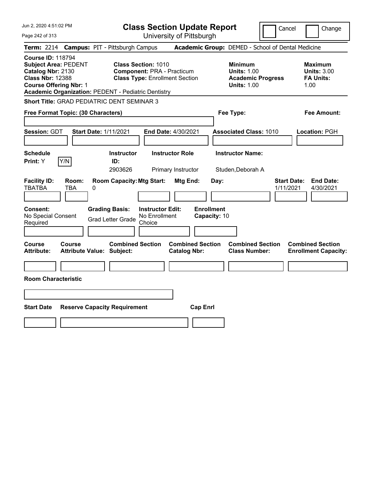| Jun 2, 2020 4:51:02 PM                                                                                                                                                                                 | <b>Class Section Update Report</b>                                                                       | Cancel                                                                                 | Change                                                           |
|--------------------------------------------------------------------------------------------------------------------------------------------------------------------------------------------------------|----------------------------------------------------------------------------------------------------------|----------------------------------------------------------------------------------------|------------------------------------------------------------------|
| Page 242 of 313                                                                                                                                                                                        | University of Pittsburgh                                                                                 |                                                                                        |                                                                  |
| <b>Term: 2214</b>                                                                                                                                                                                      | <b>Campus: PIT - Pittsburgh Campus</b>                                                                   | Academic Group: DEMED - School of Dental Medicine                                      |                                                                  |
| <b>Course ID: 118794</b><br><b>Subject Area: PEDENT</b><br>Catalog Nbr: 2130<br><b>Class Nbr: 12388</b><br><b>Course Offering Nbr: 1</b><br><b>Academic Organization: PEDENT - Pediatric Dentistry</b> | <b>Class Section: 1010</b><br><b>Component: PRA - Practicum</b><br><b>Class Type: Enrollment Section</b> | <b>Minimum</b><br><b>Units: 1.00</b><br><b>Academic Progress</b><br><b>Units: 1.00</b> | <b>Maximum</b><br><b>Units: 3.00</b><br><b>FA Units:</b><br>1.00 |
| <b>Short Title: GRAD PEDIATRIC DENT SEMINAR 3</b>                                                                                                                                                      |                                                                                                          |                                                                                        |                                                                  |
| Free Format Topic: (30 Characters)                                                                                                                                                                     |                                                                                                          | Fee Type:                                                                              | Fee Amount:                                                      |
| Session: GDT<br><b>Start Date: 1/11/2021</b>                                                                                                                                                           | End Date: 4/30/2021                                                                                      | <b>Associated Class: 1010</b>                                                          | Location: PGH                                                    |
| <b>Schedule</b><br>Y/N<br>Print: Y                                                                                                                                                                     | <b>Instructor Role</b><br><b>Instructor</b><br>ID:<br>2903626<br>Primary Instructor                      | <b>Instructor Name:</b><br>Studen, Deborah A                                           |                                                                  |
| <b>Facility ID:</b><br>Room:<br><b>TBATBA</b><br>TBA<br>0                                                                                                                                              | <b>Room Capacity: Mtg Start:</b><br>Mtg End:                                                             | Day:<br>1/11/2021                                                                      | <b>End Date:</b><br><b>Start Date:</b><br>4/30/2021              |
| Consent:<br>No Special Consent<br>Required                                                                                                                                                             | <b>Grading Basis:</b><br><b>Instructor Edit:</b><br>No Enrollment<br><b>Grad Letter Grade</b><br>Choice  | <b>Enrollment</b><br>Capacity: 10                                                      |                                                                  |
| Course<br><b>Course</b><br><b>Attribute:</b><br><b>Attribute Value: Subject:</b>                                                                                                                       | <b>Combined Section</b><br><b>Combined Section</b><br><b>Catalog Nbr:</b>                                | <b>Combined Section</b><br><b>Class Number:</b>                                        | <b>Combined Section</b><br><b>Enrollment Capacity:</b>           |
|                                                                                                                                                                                                        |                                                                                                          |                                                                                        |                                                                  |
| <b>Room Characteristic</b>                                                                                                                                                                             |                                                                                                          |                                                                                        |                                                                  |
|                                                                                                                                                                                                        |                                                                                                          |                                                                                        |                                                                  |
| <b>Start Date</b>                                                                                                                                                                                      | <b>Reserve Capacity Requirement</b><br><b>Cap Enrl</b>                                                   |                                                                                        |                                                                  |
|                                                                                                                                                                                                        |                                                                                                          |                                                                                        |                                                                  |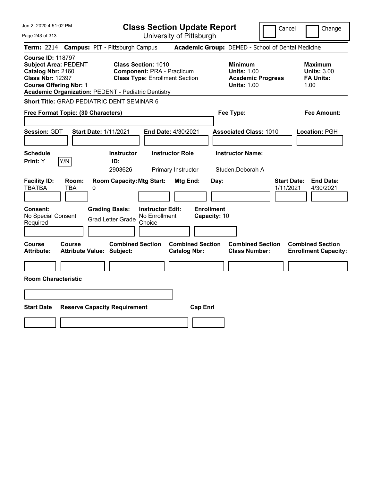| Jun 2, 2020 4:51:02 PM                                                                                                                                                                                 | <b>Class Section Update Report</b>                                                                       | Cancel                                                                                 | Change                                                           |
|--------------------------------------------------------------------------------------------------------------------------------------------------------------------------------------------------------|----------------------------------------------------------------------------------------------------------|----------------------------------------------------------------------------------------|------------------------------------------------------------------|
| Page 243 of 313                                                                                                                                                                                        | University of Pittsburgh                                                                                 |                                                                                        |                                                                  |
| <b>Term: 2214</b>                                                                                                                                                                                      | <b>Campus: PIT - Pittsburgh Campus</b>                                                                   | Academic Group: DEMED - School of Dental Medicine                                      |                                                                  |
| <b>Course ID: 118797</b><br><b>Subject Area: PEDENT</b><br>Catalog Nbr: 2160<br><b>Class Nbr: 12397</b><br><b>Course Offering Nbr: 1</b><br><b>Academic Organization: PEDENT - Pediatric Dentistry</b> | <b>Class Section: 1010</b><br><b>Component: PRA - Practicum</b><br><b>Class Type: Enrollment Section</b> | <b>Minimum</b><br><b>Units: 1.00</b><br><b>Academic Progress</b><br><b>Units: 1.00</b> | <b>Maximum</b><br><b>Units: 3.00</b><br><b>FA Units:</b><br>1.00 |
| <b>Short Title: GRAD PEDIATRIC DENT SEMINAR 6</b>                                                                                                                                                      |                                                                                                          |                                                                                        |                                                                  |
| Free Format Topic: (30 Characters)                                                                                                                                                                     |                                                                                                          | Fee Type:                                                                              | Fee Amount:                                                      |
| Session: GDT<br><b>Start Date: 1/11/2021</b>                                                                                                                                                           | End Date: 4/30/2021                                                                                      | <b>Associated Class: 1010</b>                                                          | Location: PGH                                                    |
| <b>Schedule</b><br>Y/N<br>Print: Y                                                                                                                                                                     | <b>Instructor Role</b><br><b>Instructor</b><br>ID:<br>2903626<br>Primary Instructor                      | <b>Instructor Name:</b><br>Studen, Deborah A                                           |                                                                  |
| <b>Facility ID:</b><br>Room:<br><b>TBATBA</b><br>TBA<br>0                                                                                                                                              | <b>Room Capacity: Mtg Start:</b><br>Mtg End:                                                             | Day:<br>1/11/2021                                                                      | <b>End Date:</b><br><b>Start Date:</b><br>4/30/2021              |
| Consent:<br>No Special Consent<br>Required                                                                                                                                                             | <b>Grading Basis:</b><br><b>Instructor Edit:</b><br>No Enrollment<br><b>Grad Letter Grade</b><br>Choice  | <b>Enrollment</b><br>Capacity: 10                                                      |                                                                  |
| Course<br><b>Course</b><br><b>Attribute:</b><br><b>Attribute Value: Subject:</b>                                                                                                                       | <b>Combined Section</b><br><b>Combined Section</b><br><b>Catalog Nbr:</b>                                | <b>Combined Section</b><br><b>Class Number:</b>                                        | <b>Combined Section</b><br><b>Enrollment Capacity:</b>           |
|                                                                                                                                                                                                        |                                                                                                          |                                                                                        |                                                                  |
| <b>Room Characteristic</b>                                                                                                                                                                             |                                                                                                          |                                                                                        |                                                                  |
|                                                                                                                                                                                                        |                                                                                                          |                                                                                        |                                                                  |
| <b>Start Date</b>                                                                                                                                                                                      | <b>Reserve Capacity Requirement</b><br><b>Cap Enrl</b>                                                   |                                                                                        |                                                                  |
|                                                                                                                                                                                                        |                                                                                                          |                                                                                        |                                                                  |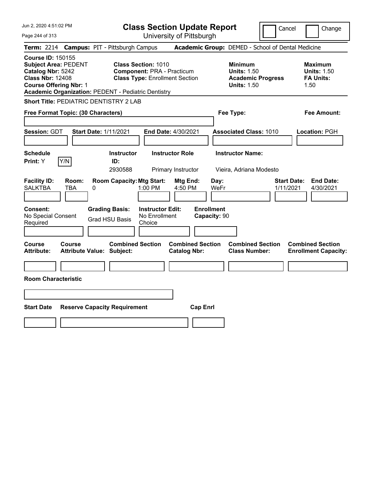| Jun 2, 2020 4:51:02 PM                                                                                                                                                                                 | <b>Class Section Update Report</b>                                                                       | Cancel                                                                                 | Change                                                           |
|--------------------------------------------------------------------------------------------------------------------------------------------------------------------------------------------------------|----------------------------------------------------------------------------------------------------------|----------------------------------------------------------------------------------------|------------------------------------------------------------------|
| Page 244 of 313                                                                                                                                                                                        | University of Pittsburgh                                                                                 |                                                                                        |                                                                  |
| <b>Term:</b> 2214                                                                                                                                                                                      | <b>Campus: PIT - Pittsburgh Campus</b>                                                                   | Academic Group: DEMED - School of Dental Medicine                                      |                                                                  |
| <b>Course ID: 150155</b><br><b>Subject Area: PEDENT</b><br>Catalog Nbr: 5242<br><b>Class Nbr: 12408</b><br><b>Course Offering Nbr: 1</b><br><b>Academic Organization: PEDENT - Pediatric Dentistry</b> | <b>Class Section: 1010</b><br><b>Component: PRA - Practicum</b><br><b>Class Type: Enrollment Section</b> | <b>Minimum</b><br><b>Units: 1.50</b><br><b>Academic Progress</b><br><b>Units: 1.50</b> | <b>Maximum</b><br><b>Units: 1.50</b><br><b>FA Units:</b><br>1.50 |
| <b>Short Title: PEDIATRIC DENTISTRY 2 LAB</b>                                                                                                                                                          |                                                                                                          |                                                                                        |                                                                  |
| Free Format Topic: (30 Characters)                                                                                                                                                                     |                                                                                                          | Fee Type:                                                                              | Fee Amount:                                                      |
| Session: GDT<br><b>Start Date: 1/11/2021</b>                                                                                                                                                           | End Date: 4/30/2021                                                                                      | <b>Associated Class: 1010</b>                                                          | Location: PGH                                                    |
| <b>Schedule</b><br>Y/N<br>Print: Y                                                                                                                                                                     | <b>Instructor Role</b><br><b>Instructor</b><br>ID:<br>2930588<br>Primary Instructor                      | <b>Instructor Name:</b><br>Vieira, Adriana Modesto                                     |                                                                  |
| <b>Facility ID:</b><br>Room:<br><b>SALKTBA</b><br>TBA<br>0                                                                                                                                             | <b>Room Capacity: Mtg Start:</b><br>Mtg End:<br>1:00 PM<br>4:50 PM                                       | Day:<br>WeFr<br>1/11/2021                                                              | <b>Start Date:</b><br><b>End Date:</b><br>4/30/2021              |
| Consent:<br>No Special Consent<br>Required                                                                                                                                                             | <b>Grading Basis:</b><br><b>Instructor Edit:</b><br>No Enrollment<br><b>Grad HSU Basis</b><br>Choice     | <b>Enrollment</b><br>Capacity: 90                                                      |                                                                  |
| Course<br><b>Course</b><br><b>Attribute:</b><br><b>Attribute Value: Subject:</b>                                                                                                                       | <b>Combined Section</b><br><b>Combined Section</b><br><b>Catalog Nbr:</b>                                | <b>Combined Section</b><br><b>Class Number:</b>                                        | <b>Combined Section</b><br><b>Enrollment Capacity:</b>           |
|                                                                                                                                                                                                        |                                                                                                          |                                                                                        |                                                                  |
| <b>Room Characteristic</b>                                                                                                                                                                             |                                                                                                          |                                                                                        |                                                                  |
|                                                                                                                                                                                                        |                                                                                                          |                                                                                        |                                                                  |
| <b>Start Date</b><br><b>Reserve Capacity Requirement</b>                                                                                                                                               | <b>Cap Enrl</b>                                                                                          |                                                                                        |                                                                  |
|                                                                                                                                                                                                        |                                                                                                          |                                                                                        |                                                                  |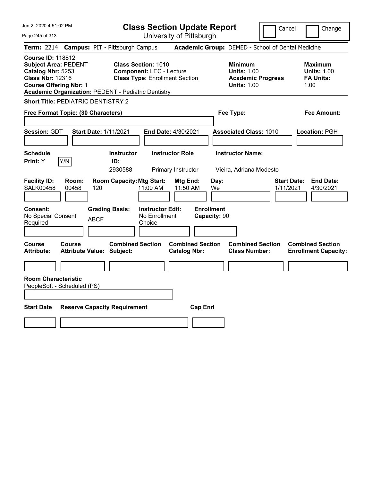| Jun 2, 2020 4:51:02 PM                                                                                                                                                                                 | <b>Class Section Update Report</b>                                                                                                                                            | Cancel                                                                                 | Change                                                           |
|--------------------------------------------------------------------------------------------------------------------------------------------------------------------------------------------------------|-------------------------------------------------------------------------------------------------------------------------------------------------------------------------------|----------------------------------------------------------------------------------------|------------------------------------------------------------------|
| Page 245 of 313                                                                                                                                                                                        | University of Pittsburgh                                                                                                                                                      |                                                                                        |                                                                  |
| <b>Campus: PIT - Pittsburgh Campus</b><br><b>Term: 2214</b>                                                                                                                                            |                                                                                                                                                                               | Academic Group: DEMED - School of Dental Medicine                                      |                                                                  |
| <b>Course ID: 118812</b><br><b>Subject Area: PEDENT</b><br>Catalog Nbr: 5253<br><b>Class Nbr: 12316</b><br><b>Course Offering Nbr: 1</b><br><b>Academic Organization: PEDENT - Pediatric Dentistry</b> | <b>Class Section: 1010</b><br><b>Component: LEC - Lecture</b><br><b>Class Type: Enrollment Section</b>                                                                        | <b>Minimum</b><br><b>Units: 1.00</b><br><b>Academic Progress</b><br><b>Units: 1.00</b> | <b>Maximum</b><br><b>Units: 1.00</b><br><b>FA Units:</b><br>1.00 |
| <b>Short Title: PEDIATRIC DENTISTRY 2</b>                                                                                                                                                              |                                                                                                                                                                               |                                                                                        |                                                                  |
| Free Format Topic: (30 Characters)                                                                                                                                                                     |                                                                                                                                                                               | Fee Type:                                                                              | <b>Fee Amount:</b>                                               |
| Session: GDT<br><b>Start Date: 1/11/2021</b>                                                                                                                                                           | End Date: 4/30/2021                                                                                                                                                           | <b>Associated Class: 1010</b>                                                          | Location: PGH                                                    |
| <b>Schedule</b>                                                                                                                                                                                        | <b>Instructor Role</b><br><b>Instructor</b>                                                                                                                                   | <b>Instructor Name:</b>                                                                |                                                                  |
| Print: Y<br>Y/N<br>ID:                                                                                                                                                                                 | 2930588<br>Primary Instructor                                                                                                                                                 | Vieira, Adriana Modesto                                                                |                                                                  |
| <b>Facility ID:</b><br>Room:<br><b>SALK00458</b><br>00458<br>120<br><b>Grading Basis:</b><br>Consent:<br>No Special Consent<br><b>ABCF</b><br>Required                                                 | <b>Room Capacity: Mtg Start:</b><br>Mtg End:<br>Day:<br>11:00 AM<br>11:50 AM<br>We<br><b>Enrollment</b><br><b>Instructor Edit:</b><br>No Enrollment<br>Capacity: 90<br>Choice | <b>Start Date:</b><br>1/11/2021                                                        | <b>End Date:</b><br>4/30/2021                                    |
| Course<br><b>Course</b><br><b>Attribute:</b><br><b>Attribute Value: Subject:</b>                                                                                                                       | <b>Combined Section</b><br><b>Combined Section</b><br><b>Catalog Nbr:</b>                                                                                                     | <b>Combined Section</b><br><b>Class Number:</b>                                        | <b>Combined Section</b><br><b>Enrollment Capacity:</b>           |
| <b>Room Characteristic</b>                                                                                                                                                                             |                                                                                                                                                                               |                                                                                        |                                                                  |
| PeopleSoft - Scheduled (PS)                                                                                                                                                                            |                                                                                                                                                                               |                                                                                        |                                                                  |
|                                                                                                                                                                                                        |                                                                                                                                                                               |                                                                                        |                                                                  |
| <b>Start Date</b><br><b>Reserve Capacity Requirement</b>                                                                                                                                               | <b>Cap Enrl</b>                                                                                                                                                               |                                                                                        |                                                                  |
|                                                                                                                                                                                                        |                                                                                                                                                                               |                                                                                        |                                                                  |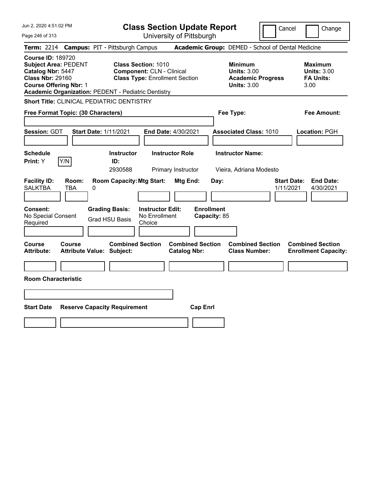| Jun 2, 2020 4:51:02 PM                                                                                                                                                                                 | <b>Class Section Update Report</b>                                                                                                                   | Cancel                                                                                 | Change                                                           |
|--------------------------------------------------------------------------------------------------------------------------------------------------------------------------------------------------------|------------------------------------------------------------------------------------------------------------------------------------------------------|----------------------------------------------------------------------------------------|------------------------------------------------------------------|
| Page 246 of 313                                                                                                                                                                                        | University of Pittsburgh                                                                                                                             |                                                                                        |                                                                  |
| <b>Term: 2214</b>                                                                                                                                                                                      | <b>Campus: PIT - Pittsburgh Campus</b>                                                                                                               | Academic Group: DEMED - School of Dental Medicine                                      |                                                                  |
| <b>Course ID: 189720</b><br><b>Subject Area: PEDENT</b><br>Catalog Nbr: 5447<br><b>Class Nbr: 29160</b><br><b>Course Offering Nbr: 1</b><br><b>Academic Organization: PEDENT - Pediatric Dentistry</b> | <b>Class Section: 1010</b><br><b>Component: CLN - Clinical</b><br><b>Class Type: Enrollment Section</b>                                              | <b>Minimum</b><br><b>Units: 3.00</b><br><b>Academic Progress</b><br><b>Units: 3.00</b> | <b>Maximum</b><br><b>Units: 3.00</b><br><b>FA Units:</b><br>3.00 |
| <b>Short Title: CLINICAL PEDIATRIC DENTISTRY</b>                                                                                                                                                       |                                                                                                                                                      |                                                                                        |                                                                  |
| Free Format Topic: (30 Characters)                                                                                                                                                                     |                                                                                                                                                      | Fee Type:                                                                              | Fee Amount:                                                      |
| Session: GDT<br><b>Start Date: 1/11/2021</b>                                                                                                                                                           | End Date: 4/30/2021                                                                                                                                  | <b>Associated Class: 1010</b>                                                          | Location: PGH                                                    |
| <b>Schedule</b><br>Y/N<br>Print: Y                                                                                                                                                                     | <b>Instructor</b><br><b>Instructor Role</b><br>ID:                                                                                                   | <b>Instructor Name:</b>                                                                |                                                                  |
|                                                                                                                                                                                                        | 2930588<br>Primary Instructor                                                                                                                        | Vieira, Adriana Modesto                                                                |                                                                  |
| <b>Facility ID:</b><br>Room:<br><b>SALKTBA</b><br><b>TBA</b><br>0<br>Consent:<br>No Special Consent<br>Required                                                                                        | <b>Room Capacity: Mtg Start:</b><br>Mtg End:<br><b>Grading Basis:</b><br><b>Instructor Edit:</b><br>No Enrollment<br><b>Grad HSU Basis</b><br>Choice | Day:<br>1/11/2021<br><b>Enrollment</b><br>Capacity: 85                                 | <b>Start Date:</b><br><b>End Date:</b><br>4/30/2021              |
| <b>Course</b><br><b>Course</b><br><b>Attribute:</b><br><b>Attribute Value: Subject:</b>                                                                                                                | <b>Combined Section</b><br><b>Combined Section</b><br><b>Catalog Nbr:</b>                                                                            | <b>Combined Section</b><br><b>Class Number:</b>                                        | <b>Combined Section</b><br><b>Enrollment Capacity:</b>           |
|                                                                                                                                                                                                        |                                                                                                                                                      |                                                                                        |                                                                  |
| <b>Room Characteristic</b>                                                                                                                                                                             |                                                                                                                                                      |                                                                                        |                                                                  |
|                                                                                                                                                                                                        |                                                                                                                                                      |                                                                                        |                                                                  |
| <b>Start Date</b>                                                                                                                                                                                      | <b>Cap Enrl</b><br><b>Reserve Capacity Requirement</b>                                                                                               |                                                                                        |                                                                  |
|                                                                                                                                                                                                        |                                                                                                                                                      |                                                                                        |                                                                  |
|                                                                                                                                                                                                        |                                                                                                                                                      |                                                                                        |                                                                  |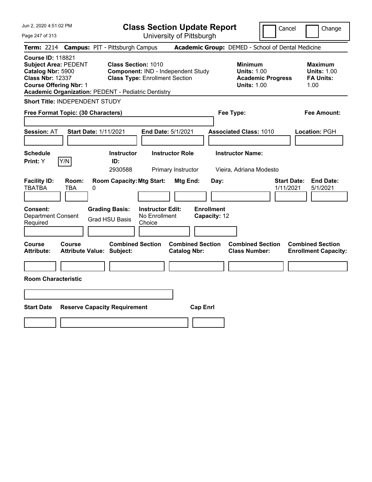| Jun 2, 2020 4:51:02 PM                                                                                                                                                                                 |                                        |                                                |                                                    | <b>Class Section Update Report</b>             |                                   |                                                            |                          | Cancel<br>Change                                                 |
|--------------------------------------------------------------------------------------------------------------------------------------------------------------------------------------------------------|----------------------------------------|------------------------------------------------|----------------------------------------------------|------------------------------------------------|-----------------------------------|------------------------------------------------------------|--------------------------|------------------------------------------------------------------|
| Page 247 of 313                                                                                                                                                                                        |                                        |                                                |                                                    | University of Pittsburgh                       |                                   |                                                            |                          |                                                                  |
| <b>Term: 2214</b>                                                                                                                                                                                      | <b>Campus: PIT - Pittsburgh Campus</b> |                                                |                                                    |                                                |                                   |                                                            |                          | Academic Group: DEMED - School of Dental Medicine                |
| <b>Course ID: 118821</b><br><b>Subject Area: PEDENT</b><br>Catalog Nbr: 5900<br><b>Class Nbr: 12337</b><br><b>Course Offering Nbr: 1</b><br><b>Academic Organization: PEDENT - Pediatric Dentistry</b> |                                        | <b>Class Section: 1010</b>                     | <b>Class Type: Enrollment Section</b>              | Component: IND - Independent Study             |                                   | <b>Minimum</b><br><b>Units: 1.00</b><br><b>Units: 1.00</b> | <b>Academic Progress</b> | <b>Maximum</b><br><b>Units: 1.00</b><br><b>FA Units:</b><br>1.00 |
| Short Title: INDEPENDENT STUDY                                                                                                                                                                         |                                        |                                                |                                                    |                                                |                                   |                                                            |                          |                                                                  |
| Free Format Topic: (30 Characters)                                                                                                                                                                     |                                        |                                                |                                                    |                                                |                                   | Fee Type:                                                  |                          | <b>Fee Amount:</b>                                               |
| <b>Session: AT</b>                                                                                                                                                                                     | <b>Start Date: 1/11/2021</b>           |                                                | End Date: 5/1/2021                                 |                                                |                                   | <b>Associated Class: 1010</b>                              |                          | Location: PGH                                                    |
| <b>Schedule</b><br>Print: Y<br> Y/N                                                                                                                                                                    |                                        | <b>Instructor</b><br>ID:<br>2930588            |                                                    | <b>Instructor Role</b><br>Primary Instructor   |                                   | <b>Instructor Name:</b><br>Vieira, Adriana Modesto         |                          |                                                                  |
| <b>Facility ID:</b><br><b>TBATBA</b><br><b>TBA</b>                                                                                                                                                     | Room:<br>0                             | <b>Room Capacity: Mtg Start:</b>               |                                                    | Mtg End:                                       | Day:                              |                                                            |                          | <b>End Date:</b><br><b>Start Date:</b><br>1/11/2021<br>5/1/2021  |
| <b>Consent:</b><br><b>Department Consent</b><br>Required                                                                                                                                               |                                        | <b>Grading Basis:</b><br><b>Grad HSU Basis</b> | <b>Instructor Edit:</b><br>No Enrollment<br>Choice |                                                | <b>Enrollment</b><br>Capacity: 12 |                                                            |                          |                                                                  |
| <b>Course</b><br><b>Course</b><br><b>Attribute:</b>                                                                                                                                                    | <b>Attribute Value: Subject:</b>       | <b>Combined Section</b>                        |                                                    | <b>Combined Section</b><br><b>Catalog Nbr:</b> |                                   | <b>Combined Section</b><br><b>Class Number:</b>            |                          | <b>Combined Section</b><br><b>Enrollment Capacity:</b>           |
|                                                                                                                                                                                                        |                                        |                                                |                                                    |                                                |                                   |                                                            |                          |                                                                  |
| <b>Room Characteristic</b>                                                                                                                                                                             |                                        |                                                |                                                    |                                                |                                   |                                                            |                          |                                                                  |
|                                                                                                                                                                                                        |                                        |                                                |                                                    |                                                |                                   |                                                            |                          |                                                                  |
| <b>Start Date</b>                                                                                                                                                                                      | <b>Reserve Capacity Requirement</b>    |                                                |                                                    |                                                | <b>Cap Enrl</b>                   |                                                            |                          |                                                                  |
|                                                                                                                                                                                                        |                                        |                                                |                                                    |                                                |                                   |                                                            |                          |                                                                  |
|                                                                                                                                                                                                        |                                        |                                                |                                                    |                                                |                                   |                                                            |                          |                                                                  |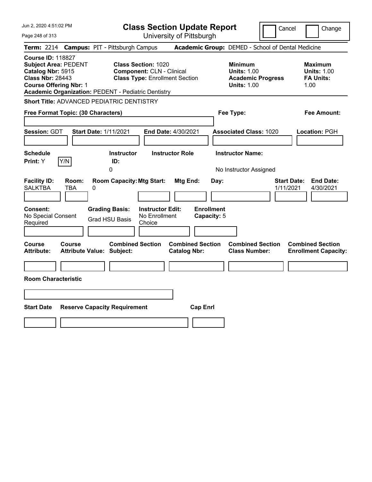| Jun 2, 2020 4:51:02 PM                                                                                                                                                                                 | <b>Class Section Update Report</b>                                                                                                                   | Cancel                                                                                 | Change                                                           |
|--------------------------------------------------------------------------------------------------------------------------------------------------------------------------------------------------------|------------------------------------------------------------------------------------------------------------------------------------------------------|----------------------------------------------------------------------------------------|------------------------------------------------------------------|
| Page 248 of 313                                                                                                                                                                                        | University of Pittsburgh                                                                                                                             |                                                                                        |                                                                  |
| <b>Term: 2214</b>                                                                                                                                                                                      | <b>Campus: PIT - Pittsburgh Campus</b>                                                                                                               | Academic Group: DEMED - School of Dental Medicine                                      |                                                                  |
| <b>Course ID: 118827</b><br><b>Subject Area: PEDENT</b><br>Catalog Nbr: 5915<br><b>Class Nbr: 28443</b><br><b>Course Offering Nbr: 1</b><br><b>Academic Organization: PEDENT - Pediatric Dentistry</b> | <b>Class Section: 1020</b><br><b>Component: CLN - Clinical</b><br><b>Class Type: Enrollment Section</b>                                              | <b>Minimum</b><br><b>Units: 1.00</b><br><b>Academic Progress</b><br><b>Units: 1.00</b> | <b>Maximum</b><br><b>Units: 1.00</b><br><b>FA Units:</b><br>1.00 |
| <b>Short Title: ADVANCED PEDIATRIC DENTISTRY</b>                                                                                                                                                       |                                                                                                                                                      |                                                                                        |                                                                  |
| Free Format Topic: (30 Characters)                                                                                                                                                                     |                                                                                                                                                      | Fee Type:                                                                              | <b>Fee Amount:</b>                                               |
| Session: GDT<br><b>Start Date: 1/11/2021</b><br><b>Schedule</b>                                                                                                                                        | <b>End Date: 4/30/2021</b><br><b>Instructor Role</b><br><b>Instructor</b>                                                                            | <b>Associated Class: 1020</b><br><b>Instructor Name:</b>                               | Location: PGH                                                    |
| Y/N<br>Print: Y                                                                                                                                                                                        | ID:<br>0                                                                                                                                             | No Instructor Assigned                                                                 |                                                                  |
| <b>Facility ID:</b><br>Room:<br><b>SALKTBA</b><br>TBA<br>0<br>Consent:<br>No Special Consent<br>Required                                                                                               | <b>Room Capacity: Mtg Start:</b><br>Mtg End:<br><b>Instructor Edit:</b><br><b>Grading Basis:</b><br>No Enrollment<br><b>Grad HSU Basis</b><br>Choice | Day:<br>1/11/2021<br><b>Enrollment</b><br>Capacity: 5                                  | <b>End Date:</b><br><b>Start Date:</b><br>4/30/2021              |
| Course<br>Course<br><b>Attribute:</b><br><b>Attribute Value: Subject:</b>                                                                                                                              | <b>Combined Section</b><br><b>Combined Section</b><br><b>Catalog Nbr:</b>                                                                            | <b>Combined Section</b><br><b>Class Number:</b>                                        | <b>Combined Section</b><br><b>Enrollment Capacity:</b>           |
|                                                                                                                                                                                                        |                                                                                                                                                      |                                                                                        |                                                                  |
| <b>Room Characteristic</b>                                                                                                                                                                             |                                                                                                                                                      |                                                                                        |                                                                  |
| <b>Start Date</b><br><b>Reserve Capacity Requirement</b>                                                                                                                                               | <b>Cap Enrl</b>                                                                                                                                      |                                                                                        |                                                                  |
|                                                                                                                                                                                                        |                                                                                                                                                      |                                                                                        |                                                                  |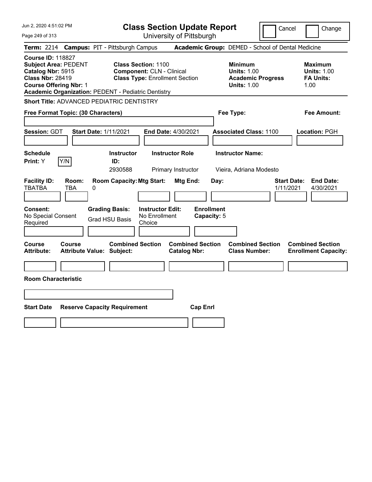| Jun 2, 2020 4:51:02 PM                                                                                                                                                                                 | <b>Class Section Update Report</b>                                                                      | Cancel                                                                                 | Change                                                           |
|--------------------------------------------------------------------------------------------------------------------------------------------------------------------------------------------------------|---------------------------------------------------------------------------------------------------------|----------------------------------------------------------------------------------------|------------------------------------------------------------------|
| Page 249 of 313                                                                                                                                                                                        | University of Pittsburgh                                                                                |                                                                                        |                                                                  |
| <b>Term: 2214</b>                                                                                                                                                                                      | <b>Campus: PIT - Pittsburgh Campus</b>                                                                  | Academic Group: DEMED - School of Dental Medicine                                      |                                                                  |
| <b>Course ID: 118827</b><br><b>Subject Area: PEDENT</b><br>Catalog Nbr: 5915<br><b>Class Nbr: 28419</b><br><b>Course Offering Nbr: 1</b><br><b>Academic Organization: PEDENT - Pediatric Dentistry</b> | <b>Class Section: 1100</b><br><b>Component: CLN - Clinical</b><br><b>Class Type: Enrollment Section</b> | <b>Minimum</b><br><b>Units: 1.00</b><br><b>Academic Progress</b><br><b>Units: 1.00</b> | <b>Maximum</b><br><b>Units: 1.00</b><br><b>FA Units:</b><br>1.00 |
| <b>Short Title: ADVANCED PEDIATRIC DENTISTRY</b>                                                                                                                                                       |                                                                                                         |                                                                                        |                                                                  |
| Free Format Topic: (30 Characters)                                                                                                                                                                     |                                                                                                         | Fee Type:                                                                              | Fee Amount:                                                      |
| Session: GDT<br><b>Start Date: 1/11/2021</b>                                                                                                                                                           | <b>End Date: 4/30/2021</b>                                                                              | <b>Associated Class: 1100</b>                                                          | Location: PGH                                                    |
| <b>Schedule</b><br>Y/N<br>Print: Y                                                                                                                                                                     | <b>Instructor</b><br><b>Instructor Role</b><br>ID:<br>2930588<br>Primary Instructor                     | <b>Instructor Name:</b><br>Vieira, Adriana Modesto                                     |                                                                  |
| <b>Facility ID:</b><br>Room:<br><b>TBATBA</b><br>TBA<br>0                                                                                                                                              | <b>Room Capacity: Mtg Start:</b><br>Mtg End:                                                            | Day:                                                                                   | <b>End Date:</b><br><b>Start Date:</b><br>1/11/2021<br>4/30/2021 |
| <b>Consent:</b><br>No Special Consent<br>Required                                                                                                                                                      | <b>Grading Basis:</b><br><b>Instructor Edit:</b><br>No Enrollment<br><b>Grad HSU Basis</b><br>Choice    | <b>Enrollment</b><br>Capacity: 5                                                       |                                                                  |
| <b>Course</b><br><b>Course</b><br><b>Attribute:</b><br><b>Attribute Value: Subject:</b>                                                                                                                | <b>Combined Section</b><br><b>Combined Section</b><br><b>Catalog Nbr:</b>                               | <b>Combined Section</b><br><b>Class Number:</b>                                        | <b>Combined Section</b><br><b>Enrollment Capacity:</b>           |
|                                                                                                                                                                                                        |                                                                                                         |                                                                                        |                                                                  |
| <b>Room Characteristic</b>                                                                                                                                                                             |                                                                                                         |                                                                                        |                                                                  |
|                                                                                                                                                                                                        |                                                                                                         |                                                                                        |                                                                  |
| <b>Start Date</b><br><b>Reserve Capacity Requirement</b>                                                                                                                                               | <b>Cap Enrl</b>                                                                                         |                                                                                        |                                                                  |
|                                                                                                                                                                                                        |                                                                                                         |                                                                                        |                                                                  |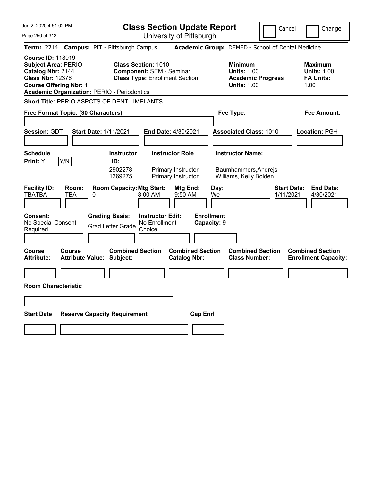|  |  |  | Jun 2, 2020 4:51:02 PM |  |
|--|--|--|------------------------|--|
|--|--|--|------------------------|--|

| Jun 2, 2020 4:51:02 PM                                                                                                                                                                        | <b>Class Section Update Report</b>                                                                      | Cancel                                                                                 | Change                                                           |
|-----------------------------------------------------------------------------------------------------------------------------------------------------------------------------------------------|---------------------------------------------------------------------------------------------------------|----------------------------------------------------------------------------------------|------------------------------------------------------------------|
| Page 250 of 313                                                                                                                                                                               | University of Pittsburgh                                                                                |                                                                                        |                                                                  |
| <b>Term: 2214</b>                                                                                                                                                                             | <b>Campus: PIT - Pittsburgh Campus</b>                                                                  | Academic Group: DEMED - School of Dental Medicine                                      |                                                                  |
| <b>Course ID: 118919</b><br><b>Subject Area: PERIO</b><br>Catalog Nbr: 2144<br><b>Class Nbr: 12376</b><br><b>Course Offering Nbr: 1</b><br><b>Academic Organization: PERIO - Periodontics</b> | <b>Class Section: 1010</b><br><b>Component: SEM - Seminar</b><br><b>Class Type: Enrollment Section</b>  | <b>Minimum</b><br><b>Units: 1.00</b><br><b>Academic Progress</b><br><b>Units: 1.00</b> | <b>Maximum</b><br><b>Units: 1.00</b><br><b>FA Units:</b><br>1.00 |
| Short Title: PERIO ASPCTS OF DENTL IMPLANTS                                                                                                                                                   |                                                                                                         |                                                                                        |                                                                  |
| Free Format Topic: (30 Characters)                                                                                                                                                            |                                                                                                         | Fee Type:                                                                              | Fee Amount:                                                      |
|                                                                                                                                                                                               |                                                                                                         |                                                                                        |                                                                  |
| <b>Session: GDT</b><br><b>Start Date: 1/11/2021</b>                                                                                                                                           | End Date: 4/30/2021                                                                                     | <b>Associated Class: 1010</b>                                                          | Location: PGH                                                    |
|                                                                                                                                                                                               |                                                                                                         |                                                                                        |                                                                  |
| Schedule                                                                                                                                                                                      | <b>Instructor Role</b><br><b>Instructor</b>                                                             | <b>Instructor Name:</b>                                                                |                                                                  |
| Y/N<br><b>Print:</b> Y                                                                                                                                                                        | ID:<br>2902278<br>Primary Instructor<br>1369275<br>Primary Instructor                                   | Baumhammers, Andrejs<br>Williams, Kelly Bolden                                         |                                                                  |
| <b>Facility ID:</b><br>Room:<br><b>TBATBA</b><br><b>TBA</b><br>0                                                                                                                              | <b>Room Capacity: Mtg Start:</b><br>Mtg End:<br>8:00 AM<br>9:50 AM                                      | <b>Start Date:</b><br>Day:<br>1/11/2021<br>We                                          | <b>End Date:</b><br>4/30/2021                                    |
| Consent:<br>No Special Consent<br>Required                                                                                                                                                    | <b>Grading Basis:</b><br><b>Instructor Edit:</b><br>No Enrollment<br><b>Grad Letter Grade</b><br>Choice | <b>Enrollment</b><br>Capacity: 9                                                       |                                                                  |
| Course<br><b>Course</b><br><b>Attribute Value: Subject:</b><br><b>Attribute:</b>                                                                                                              | <b>Combined Section</b><br><b>Combined Section</b><br><b>Catalog Nbr:</b>                               | <b>Combined Section</b><br><b>Class Number:</b>                                        | <b>Combined Section</b><br><b>Enrollment Capacity:</b>           |
|                                                                                                                                                                                               |                                                                                                         |                                                                                        |                                                                  |
| <b>Room Characteristic</b>                                                                                                                                                                    |                                                                                                         |                                                                                        |                                                                  |
|                                                                                                                                                                                               |                                                                                                         |                                                                                        |                                                                  |
| <b>Reserve Capacity Requirement</b><br><b>Start Date</b>                                                                                                                                      | <b>Cap Enrl</b>                                                                                         |                                                                                        |                                                                  |
|                                                                                                                                                                                               |                                                                                                         |                                                                                        |                                                                  |
|                                                                                                                                                                                               |                                                                                                         |                                                                                        |                                                                  |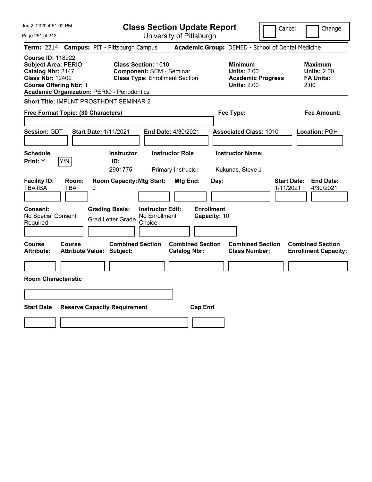Jun 2, 2020 4:51:02 PM Page 251 of 313 **Class Section Update Report** University of Pittsburgh Cancel Change **Term:** 2214 **Campus:** PIT - Pittsburgh Campus **Academic Group:** DEMED - School of Dental Medicine **Course ID:** 118922 **Subject Area:** PERIO **Class Section:** 1010 **Minimum Maximum Catalog Nbr:** 2147 **Component:** SEM - Seminar **Units:** 2.00 **Units:** 2.00 **Class Nbr:** 12402 **Class Type:** Enrollment Section **Academic Progress FA Units: Course Offering Nbr:** 1 **Units:** 2.00 2.00 **Academic Organization:** PERIO - Periodontics **Short Title:** IMPLNT PROSTHDNT SEMINAR 2 **Free Format Topic: (30 Characters) Fee Type: Fee Amount: Session:** GDT **Start Date:** 1/11/2021 **End Date:** 4/30/2021 **Associated Class:** 1010 **Location:** PGH **Schedule Instructor Instructor Role Instructor Name: Print:**  $Y$   $|Y/N|$  **ID:** 2901775 Primary Instructor Kukunas, Steve J **Facility ID: Room: Room Capacity:Mtg Start: Mtg End: Day: Start Date: End Date:** TBATBA TBA 0 1/11/2021 4/30/2021 **Consent: Grading Basis: Instructor Edit: Enrollment** No Special Consent Grad Letter Grade No Enrollment Choice **Capacity:** 10 **Course Course Combined Section Combined Section Combined Section Combined Section Attribute: Attribute Value: Subject: Catalog Nbr: Class Number: Enrollment Capacity: Room Characteristic Start Date Reserve Capacity Requirement Cap Enrl**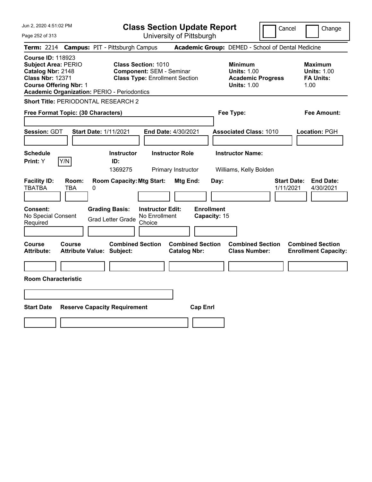Jun 2, 2020 4:51:02 PM Page 252 of 313 **Class Section Update Report** University of Pittsburgh Cancel Change **Term:** 2214 **Campus:** PIT - Pittsburgh Campus **Academic Group:** DEMED - School of Dental Medicine **Course ID:** 118923 **Subject Area:** PERIO **Class Section:** 1010 **Minimum Maximum Catalog Nbr:** 2148 **Component:** SEM - Seminar **Units:** 1.00 **Units:** 1.00 **Class Nbr:** 12371 **Class Type:** Enrollment Section **Academic Progress FA Units: Course Offering Nbr:** 1 **Units:** 1.00 1.00 **Academic Organization:** PERIO - Periodontics **Short Title:** PERIODONTAL RESEARCH 2 **Free Format Topic: (30 Characters) Fee Type: Fee Amount: Session:** GDT **Start Date:** 1/11/2021 **End Date:** 4/30/2021 **Associated Class:** 1010 **Location:** PGH **Schedule Instructor Instructor Role Instructor Name: Print:**  $Y$   $|Y/N|$  **ID:** 1369275 Primary Instructor Williams, Kelly Bolden **Facility ID: Room: Room Capacity:Mtg Start: Mtg End: Day: Start Date: End Date:** TBATBA TBA 0 1/11/2021 4/30/2021 **Consent: Grading Basis: Instructor Edit: Enrollment** No Special Consent Grad Letter Grade No Enrollment Choice **Capacity:** 15 **Course Course Combined Section Combined Section Combined Section Combined Section Attribute: Attribute Value: Subject: Catalog Nbr: Class Number: Enrollment Capacity: Room Characteristic Start Date Reserve Capacity Requirement Cap Enrl**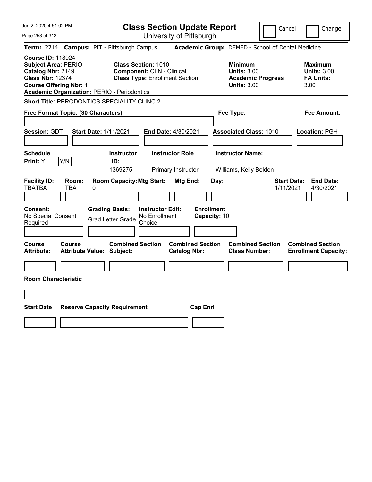|  |  |  | Jun 2, 2020 4:51:02 PM |  |
|--|--|--|------------------------|--|
|--|--|--|------------------------|--|

Page 253 of 313

**Class Section Update Report**

Cancel Change

University of Pittsburgh

|                                                                                                                                         |              | Term: 2214 Campus: PIT - Pittsburgh Campus                                                 |                                                                                                         |                                                |                                           | Academic Group: DEMED - School of Dental Medicine                                      |                                                                  |
|-----------------------------------------------------------------------------------------------------------------------------------------|--------------|--------------------------------------------------------------------------------------------|---------------------------------------------------------------------------------------------------------|------------------------------------------------|-------------------------------------------|----------------------------------------------------------------------------------------|------------------------------------------------------------------|
| <b>Course ID: 118924</b><br><b>Subject Area: PERIO</b><br>Catalog Nbr: 2149<br><b>Class Nbr: 12374</b><br><b>Course Offering Nbr: 1</b> |              | <b>Academic Organization: PERIO - Periodontics</b>                                         | <b>Class Section: 1010</b><br><b>Component: CLN - Clinical</b><br><b>Class Type: Enrollment Section</b> |                                                |                                           | <b>Minimum</b><br><b>Units: 3.00</b><br><b>Academic Progress</b><br><b>Units: 3.00</b> | Maximum<br><b>Units: 3.00</b><br><b>FA Units:</b><br>3.00        |
|                                                                                                                                         |              | Short Title: PERODONTICS SPECIALITY CLINC 2                                                |                                                                                                         |                                                |                                           |                                                                                        |                                                                  |
| Free Format Topic: (30 Characters)                                                                                                      |              |                                                                                            |                                                                                                         |                                                |                                           | Fee Type:                                                                              | Fee Amount:                                                      |
| <b>Session: GDT</b>                                                                                                                     |              | <b>Start Date: 1/11/2021</b>                                                               | End Date: 4/30/2021                                                                                     |                                                |                                           | <b>Associated Class: 1010</b>                                                          | Location: PGH                                                    |
| <b>Schedule</b><br>Print: Y                                                                                                             | Y/N          | <b>Instructor</b><br>ID:<br>1369275                                                        |                                                                                                         | <b>Instructor Role</b><br>Primary Instructor   |                                           | <b>Instructor Name:</b><br>Williams, Kelly Bolden                                      |                                                                  |
| <b>Facility ID:</b><br><b>TBATBA</b><br>Consent:<br>No Special Consent<br>Required                                                      | Room:<br>TBA | <b>Room Capacity: Mtg Start:</b><br>0<br><b>Grading Basis:</b><br><b>Grad Letter Grade</b> | <b>Instructor Edit:</b><br>No Enrollment<br>Choice                                                      | Mtg End:                                       | Day:<br><b>Enrollment</b><br>Capacity: 10 |                                                                                        | <b>Start Date:</b><br><b>End Date:</b><br>1/11/2021<br>4/30/2021 |
| Course<br><b>Attribute:</b>                                                                                                             | Course       | <b>Combined Section</b><br><b>Attribute Value: Subject:</b>                                |                                                                                                         | <b>Combined Section</b><br><b>Catalog Nbr:</b> |                                           | <b>Combined Section</b><br><b>Class Number:</b>                                        | <b>Combined Section</b><br><b>Enrollment Capacity:</b>           |
| <b>Room Characteristic</b>                                                                                                              |              |                                                                                            |                                                                                                         |                                                |                                           |                                                                                        |                                                                  |
| <b>Start Date</b>                                                                                                                       |              | <b>Reserve Capacity Requirement</b>                                                        |                                                                                                         | <b>Cap Enrl</b>                                |                                           |                                                                                        |                                                                  |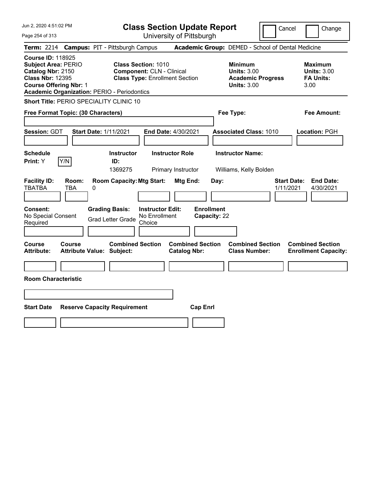**Class Section Update Report** University of Pittsburgh

Cancel Change

Page 254 of 313

**Term:** 2214 **Campus:** PIT - Pittsburgh Campus **Academic Group:** DEMED - School of Dental Medicine **Course ID:** 118925 **Subject Area:** PERIO **Class Section:** 1010 **Minimum Maximum Catalog Nbr:** 2150 **Component:** CLN - Clinical **Units:** 3.00 **Units:** 3.00 **Class Nbr:** 12395 **Class Type:** Enrollment Section **Academic Progress FA Units: Course Offering Nbr:** 1 **Units:** 3.00 3.00 **Academic Organization:** PERIO - Periodontics **Short Title:** PERIO SPECIALITY CLINIC 10 **Free Format Topic: (30 Characters) Fee Type: Fee Amount: Session:** GDT **Start Date:** 1/11/2021 **End Date:** 4/30/2021 **Associated Class:** 1010 **Location:** PGH **Schedule Instructor Instructor Role Instructor Name: Print:**  $Y$   $|Y/N|$  **ID:** 1369275 Primary Instructor Williams, Kelly Bolden **Facility ID: Room: Room Capacity:Mtg Start: Mtg End: Day: Start Date: End Date:** TBATBA TBA 0 1/11/2021 4/30/2021 **Consent: Grading Basis: Instructor Edit: Enrollment** No Special Consent Grad Letter Grade No Enrollment Choice **Capacity:** 22 **Course Course Combined Section Combined Section Combined Section Combined Section Attribute: Attribute Value: Subject: Catalog Nbr: Class Number: Enrollment Capacity: Room Characteristic Start Date Reserve Capacity Requirement Cap Enrl**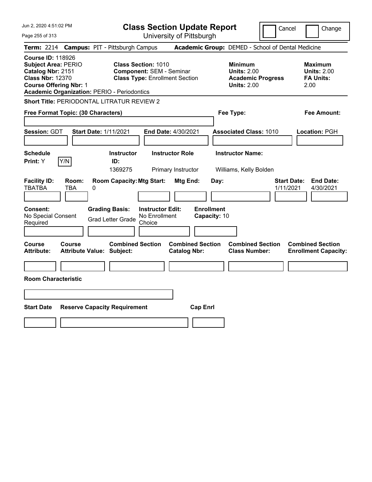Jun 2, 2020 4:51:02 PM Page 255 of 313 **Class Section Update Report** University of Pittsburgh Cancel Change **Term:** 2214 **Campus:** PIT - Pittsburgh Campus **Academic Group:** DEMED - School of Dental Medicine **Course ID:** 118926 **Subject Area:** PERIO **Class Section:** 1010 **Minimum Maximum Catalog Nbr:** 2151 **Component:** SEM - Seminar **Units:** 2.00 **Units:** 2.00 **Class Nbr:** 12370 **Class Type:** Enrollment Section **Academic Progress FA Units: Course Offering Nbr:** 1 **Units:** 2.00 2.00 **Academic Organization:** PERIO - Periodontics **Short Title:** PERIODONTAL LITRATUR REVIEW 2 **Free Format Topic: (30 Characters) Fee Type: Fee Amount: Session:** GDT **Start Date:** 1/11/2021 **End Date:** 4/30/2021 **Associated Class:** 1010 **Location:** PGH **Schedule Instructor Instructor Role Instructor Name: Print:**  $Y$   $|Y/N|$  **ID:** 1369275 Primary Instructor Williams, Kelly Bolden **Facility ID: Room: Room Capacity:Mtg Start: Mtg End: Day: Start Date: End Date:** TBATBA TBA 0 1/11/2021 4/30/2021 **Consent: Grading Basis: Instructor Edit: Enrollment** No Special Consent Grad Letter Grade No Enrollment Choice **Capacity:** 10 **Course Course Combined Section Combined Section Combined Section Combined Section Attribute: Attribute Value: Subject: Catalog Nbr: Class Number: Enrollment Capacity: Room Characteristic Start Date Reserve Capacity Requirement Cap Enrl**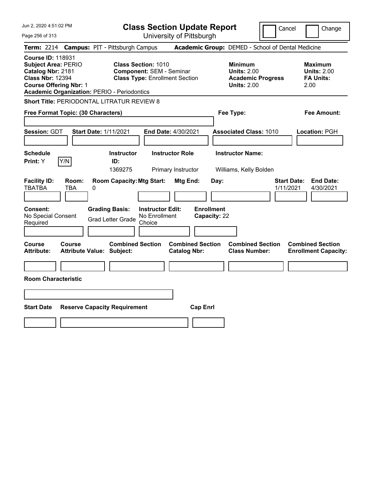Jun 2, 2020 4:51:02 PM Page 256 of 313 **Class Section Update Report** University of Pittsburgh Cancel Change **Term:** 2214 **Campus:** PIT - Pittsburgh Campus **Academic Group:** DEMED - School of Dental Medicine **Course ID:** 118931 **Subject Area:** PERIO **Class Section:** 1010 **Minimum Maximum Catalog Nbr:** 2181 **Component:** SEM - Seminar **Units:** 2.00 **Units:** 2.00 **Class Nbr:** 12394 **Class Type:** Enrollment Section **Academic Progress FA Units: Course Offering Nbr:** 1 **Units:** 2.00 2.00 **Academic Organization:** PERIO - Periodontics **Short Title:** PERIODONTAL LITRATUR REVIEW 8 **Free Format Topic: (30 Characters) Fee Type: Fee Amount: Session:** GDT **Start Date:** 1/11/2021 **End Date:** 4/30/2021 **Associated Class:** 1010 **Location:** PGH **Schedule Instructor Instructor Role Instructor Name: Print:**  $Y$   $|Y/N|$  **ID:** 1369275 Primary Instructor Williams, Kelly Bolden **Facility ID: Room: Room Capacity:Mtg Start: Mtg End: Day: Start Date: End Date:** TBATBA TBA 0 1/11/2021 4/30/2021 **Consent: Grading Basis: Instructor Edit: Enrollment** No Special Consent Grad Letter Grade No Enrollment Choice **Capacity:** 22 **Course Course Combined Section Combined Section Combined Section Combined Section Attribute: Attribute Value: Subject: Catalog Nbr: Class Number: Enrollment Capacity: Room Characteristic Start Date Reserve Capacity Requirement Cap Enrl**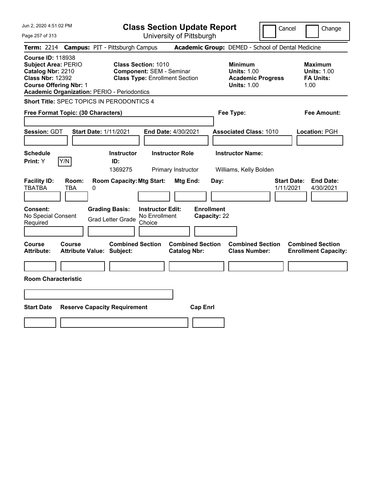Jun 2, 2020 4:51:02 PM Page 257 of 313 **Class Section Update Report** University of Pittsburgh Cancel Change **Term:** 2214 **Campus:** PIT - Pittsburgh Campus **Academic Group:** DEMED - School of Dental Medicine **Course ID:** 118938 **Subject Area:** PERIO **Class Section:** 1010 **Minimum Maximum Catalog Nbr:** 2210 **Component:** SEM - Seminar **Units:** 1.00 **Units:** 1.00 **Class Nbr:** 12392 **Class Type:** Enrollment Section **Academic Progress FA Units: Course Offering Nbr:** 1 **Units:** 1.00 1.00 **Academic Organization:** PERIO - Periodontics **Short Title:** SPEC TOPICS IN PERODONTICS 4 **Free Format Topic: (30 Characters) Fee Type: Fee Amount: Session:** GDT **Start Date:** 1/11/2021 **End Date:** 4/30/2021 **Associated Class:** 1010 **Location:** PGH **Schedule Instructor Instructor Role Instructor Name: Print:**  $Y$   $|Y/N|$  **ID:** 1369275 Primary Instructor Williams, Kelly Bolden **Facility ID: Room: Room Capacity:Mtg Start: Mtg End: Day: Start Date: End Date:** TBATBA TBA 0 1/11/2021 4/30/2021 **Consent: Grading Basis: Instructor Edit: Enrollment** No Special Consent Grad Letter Grade No Enrollment Choice **Capacity:** 22 **Course Course Combined Section Combined Section Combined Section Combined Section Attribute: Attribute Value: Subject: Catalog Nbr: Class Number: Enrollment Capacity: Room Characteristic Start Date Reserve Capacity Requirement Cap Enrl**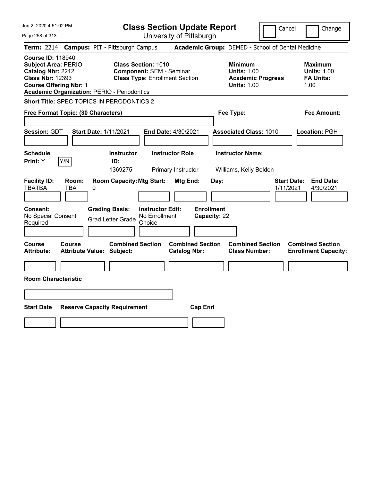Jun 2, 2020 4:51:02 PM Page 258 of 313 **Class Section Update Report** University of Pittsburgh Cancel Change **Term:** 2214 **Campus:** PIT - Pittsburgh Campus **Academic Group:** DEMED - School of Dental Medicine **Course ID:** 118940 **Subject Area:** PERIO **Class Section:** 1010 **Minimum Maximum Catalog Nbr:** 2212 **Component:** SEM - Seminar **Units:** 1.00 **Units:** 1.00 **Class Nbr:** 12393 **Class Type:** Enrollment Section **Academic Progress FA Units: Course Offering Nbr:** 1 **Units:** 1.00 1.00 **Academic Organization:** PERIO - Periodontics **Short Title:** SPEC TOPICS IN PERODONTICS 2 **Free Format Topic: (30 Characters) Fee Type: Fee Amount: Session:** GDT **Start Date:** 1/11/2021 **End Date:** 4/30/2021 **Associated Class:** 1010 **Location:** PGH **Schedule Instructor Instructor Role Instructor Name: Print:**  $Y$   $|Y/N|$  **ID:** 1369275 Primary Instructor Williams, Kelly Bolden **Facility ID: Room: Room Capacity:Mtg Start: Mtg End: Day: Start Date: End Date:** TBATBA TBA 0 1/11/2021 4/30/2021 **Consent: Grading Basis: Instructor Edit: Enrollment** No Special Consent Grad Letter Grade No Enrollment Choice **Capacity:** 22 **Course Course Combined Section Combined Section Combined Section Combined Section Attribute: Attribute Value: Subject: Catalog Nbr: Class Number: Enrollment Capacity: Room Characteristic Start Date Reserve Capacity Requirement Cap Enrl**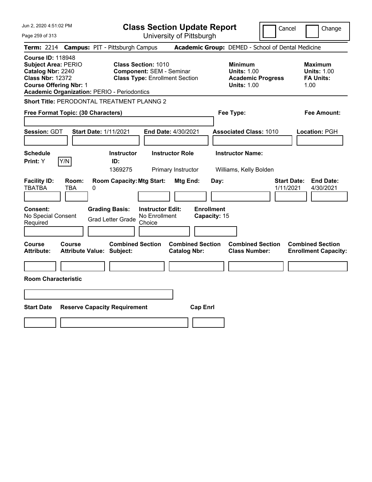Jun 2, 2020 4:51:02 PM Page 259 of 313 **Class Section Update Report** University of Pittsburgh Cancel Change **Term:** 2214 **Campus:** PIT - Pittsburgh Campus **Academic Group:** DEMED - School of Dental Medicine **Course ID:** 118948 **Subject Area:** PERIO **Class Section:** 1010 **Minimum Maximum Catalog Nbr:** 2240 **Component:** SEM - Seminar **Units:** 1.00 **Units:** 1.00 **Class Nbr:** 12372 **Class Type:** Enrollment Section **Academic Progress FA Units: Course Offering Nbr:** 1 **Units:** 1.00 1.00 **Academic Organization:** PERIO - Periodontics **Short Title:** PERODONTAL TREATMENT PLANNG 2 **Free Format Topic: (30 Characters) Fee Type: Fee Amount: Session:** GDT **Start Date:** 1/11/2021 **End Date:** 4/30/2021 **Associated Class:** 1010 **Location:** PGH **Schedule Instructor Instructor Role Instructor Name: Print:**  $Y$   $|Y/N|$  **ID:** 1369275 Primary Instructor Williams, Kelly Bolden **Facility ID: Room: Room Capacity:Mtg Start: Mtg End: Day: Start Date: End Date:** TBATBA TBA 0 1/11/2021 4/30/2021 **Consent: Grading Basis: Instructor Edit: Enrollment** No Special Consent Grad Letter Grade No Enrollment Choice **Capacity:** 15 **Course Course Combined Section Combined Section Combined Section Combined Section Attribute: Attribute Value: Subject: Catalog Nbr: Class Number: Enrollment Capacity: Room Characteristic Start Date Reserve Capacity Requirement Cap Enrl**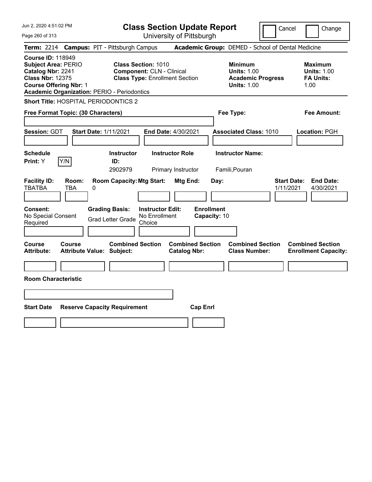|  |  |  | Jun 2, 2020 4:51:02 PM |  |
|--|--|--|------------------------|--|
|--|--|--|------------------------|--|

**Class Section Update Report**

Cancel Change

| Page 260 of 313                                                                                                                                                                               |                                                             |                                                                                                         | University of Pittsburgh                       |                                   |                                                                                        |                                 |                                                                  |
|-----------------------------------------------------------------------------------------------------------------------------------------------------------------------------------------------|-------------------------------------------------------------|---------------------------------------------------------------------------------------------------------|------------------------------------------------|-----------------------------------|----------------------------------------------------------------------------------------|---------------------------------|------------------------------------------------------------------|
| Term: 2214 Campus: PIT - Pittsburgh Campus                                                                                                                                                    |                                                             |                                                                                                         |                                                |                                   | Academic Group: DEMED - School of Dental Medicine                                      |                                 |                                                                  |
| <b>Course ID: 118949</b><br><b>Subject Area: PERIO</b><br>Catalog Nbr: 2241<br><b>Class Nbr: 12375</b><br><b>Course Offering Nbr: 1</b><br><b>Academic Organization: PERIO - Periodontics</b> |                                                             | <b>Class Section: 1010</b><br><b>Component: CLN - Clinical</b><br><b>Class Type: Enrollment Section</b> |                                                |                                   | <b>Minimum</b><br><b>Units: 1.00</b><br><b>Academic Progress</b><br><b>Units: 1.00</b> |                                 | <b>Maximum</b><br><b>Units: 1.00</b><br><b>FA Units:</b><br>1.00 |
| Short Title: HOSPITAL PERIODONTICS 2                                                                                                                                                          |                                                             |                                                                                                         |                                                |                                   |                                                                                        |                                 |                                                                  |
| Free Format Topic: (30 Characters)                                                                                                                                                            |                                                             |                                                                                                         |                                                |                                   | Fee Type:                                                                              |                                 | Fee Amount:                                                      |
| <b>Session: GDT</b>                                                                                                                                                                           | <b>Start Date: 1/11/2021</b>                                | <b>End Date: 4/30/2021</b>                                                                              |                                                |                                   | <b>Associated Class: 1010</b>                                                          |                                 | Location: PGH                                                    |
| <b>Schedule</b><br>Y/N<br>Print: Y                                                                                                                                                            | <b>Instructor</b><br>ID:<br>2902979                         |                                                                                                         | <b>Instructor Role</b><br>Primary Instructor   |                                   | <b>Instructor Name:</b><br>Famili, Pouran                                              |                                 |                                                                  |
| <b>Facility ID:</b><br>Room:<br>TBATBA<br>TBA                                                                                                                                                 | <b>Room Capacity: Mtg Start:</b><br>0                       |                                                                                                         | <b>Mtg End:</b>                                | Day:                              |                                                                                        | <b>Start Date:</b><br>1/11/2021 | <b>End Date:</b><br>4/30/2021                                    |
| <b>Consent:</b><br>No Special Consent<br>Required                                                                                                                                             | <b>Grading Basis:</b><br><b>Grad Letter Grade</b>           | <b>Instructor Edit:</b><br>No Enrollment<br>Choice                                                      |                                                | <b>Enrollment</b><br>Capacity: 10 |                                                                                        |                                 |                                                                  |
| Course<br>Course<br>Attribute:                                                                                                                                                                | <b>Combined Section</b><br><b>Attribute Value: Subject:</b> |                                                                                                         | <b>Combined Section</b><br><b>Catalog Nbr:</b> |                                   | <b>Combined Section</b><br><b>Class Number:</b>                                        |                                 | <b>Combined Section</b><br><b>Enrollment Capacity:</b>           |
| <b>Room Characteristic</b>                                                                                                                                                                    |                                                             |                                                                                                         |                                                |                                   |                                                                                        |                                 |                                                                  |
| <b>Start Date</b>                                                                                                                                                                             | <b>Reserve Capacity Requirement</b>                         |                                                                                                         | <b>Cap Enrl</b>                                |                                   |                                                                                        |                                 |                                                                  |
|                                                                                                                                                                                               |                                                             |                                                                                                         |                                                |                                   |                                                                                        |                                 |                                                                  |
|                                                                                                                                                                                               |                                                             |                                                                                                         |                                                |                                   |                                                                                        |                                 |                                                                  |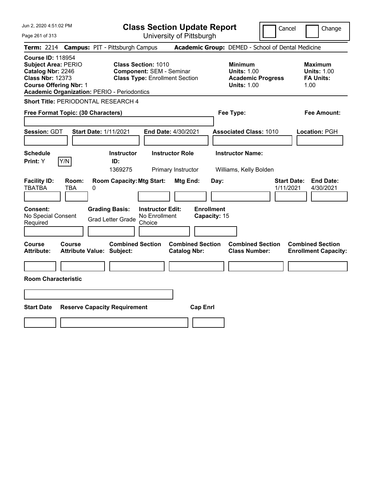Jun 2, 2020 4:51:02 PM Page 261 of 313 **Class Section Update Report** University of Pittsburgh Cancel Change **Term:** 2214 **Campus:** PIT - Pittsburgh Campus **Academic Group:** DEMED - School of Dental Medicine **Course ID:** 118954 **Subject Area:** PERIO **Class Section:** 1010 **Minimum Maximum Catalog Nbr:** 2246 **Component:** SEM - Seminar **Units:** 1.00 **Units:** 1.00 **Class Nbr:** 12373 **Class Type:** Enrollment Section **Academic Progress FA Units: Course Offering Nbr:** 1 **Units:** 1.00 1.00 **Academic Organization:** PERIO - Periodontics **Short Title:** PERIODONTAL RESEARCH 4 **Free Format Topic: (30 Characters) Fee Type: Fee Amount: Session:** GDT **Start Date:** 1/11/2021 **End Date:** 4/30/2021 **Associated Class:** 1010 **Location:** PGH **Schedule Instructor Instructor Role Instructor Name: Print:**  $Y$   $|Y/N|$  **ID:** 1369275 Primary Instructor Williams, Kelly Bolden **Facility ID: Room: Room Capacity:Mtg Start: Mtg End: Day: Start Date: End Date:** TBATBA TBA 0 1/11/2021 4/30/2021 **Consent: Grading Basis: Instructor Edit: Enrollment** No Special Consent Grad Letter Grade No Enrollment Choice **Capacity:** 15 **Course Course Combined Section Combined Section Combined Section Combined Section Attribute: Attribute Value: Subject: Catalog Nbr: Class Number: Enrollment Capacity: Room Characteristic Start Date Reserve Capacity Requirement Cap Enrl**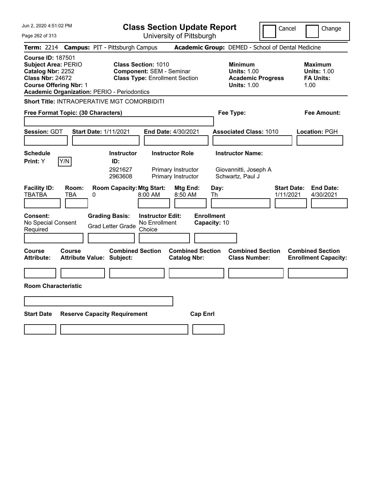|  |  |  | Jun 2, 2020 4:51:02 PM |  |
|--|--|--|------------------------|--|
|--|--|--|------------------------|--|

Cancel **Change** 

| Jun 2, 2020 4:51:02 PM                                                                                                                  |                                                                                            | <b>Class Section Update Report</b>                                                                     | Cancel                                                                                 | Change                                                           |
|-----------------------------------------------------------------------------------------------------------------------------------------|--------------------------------------------------------------------------------------------|--------------------------------------------------------------------------------------------------------|----------------------------------------------------------------------------------------|------------------------------------------------------------------|
| Page 262 of 313                                                                                                                         |                                                                                            | University of Pittsburgh                                                                               |                                                                                        |                                                                  |
| <b>Term: 2214</b>                                                                                                                       | <b>Campus: PIT - Pittsburgh Campus</b>                                                     |                                                                                                        | Academic Group: DEMED - School of Dental Medicine                                      |                                                                  |
| <b>Course ID: 187501</b><br><b>Subject Area: PERIO</b><br>Catalog Nbr: 2252<br><b>Class Nbr: 24672</b><br><b>Course Offering Nbr: 1</b> | <b>Academic Organization: PERIO - Periodontics</b>                                         | <b>Class Section: 1010</b><br><b>Component: SEM - Seminar</b><br><b>Class Type: Enrollment Section</b> | <b>Minimum</b><br><b>Units: 1.00</b><br><b>Academic Progress</b><br><b>Units: 1.00</b> | <b>Maximum</b><br><b>Units: 1.00</b><br><b>FA Units:</b><br>1.00 |
|                                                                                                                                         | Short Title: INTRAOPERATIVE MGT COMORBIDITI                                                |                                                                                                        |                                                                                        |                                                                  |
| Free Format Topic: (30 Characters)                                                                                                      |                                                                                            |                                                                                                        | Fee Type:                                                                              | Fee Amount:                                                      |
| <b>Session: GDT</b>                                                                                                                     | <b>Start Date: 1/11/2021</b>                                                               | <b>End Date: 4/30/2021</b>                                                                             | <b>Associated Class: 1010</b>                                                          | Location: PGH                                                    |
| <b>Schedule</b><br>Y/N<br>Print: Y                                                                                                      | <b>Instructor</b><br>ID:<br>2921627<br>2963608                                             | <b>Instructor Role</b><br>Primary Instructor<br>Primary Instructor                                     | <b>Instructor Name:</b><br>Giovannitti, Joseph A<br>Schwartz, Paul J                   |                                                                  |
| <b>Facility ID:</b><br>Room:<br><b>TBATBA</b><br><b>TBA</b><br>Consent:<br>No Special Consent<br>Required                               | <b>Room Capacity: Mtg Start:</b><br>0<br><b>Grading Basis:</b><br><b>Grad Letter Grade</b> | Mtg End:<br>8:00 AM<br>8:50 AM<br><b>Instructor Edit:</b><br>No Enrollment<br>Choice                   | Day:<br><b>Start Date:</b><br>1/11/2021<br>Th<br><b>Enrollment</b><br>Capacity: 10     | <b>End Date:</b><br>4/30/2021                                    |
| Course<br>Course<br>Attribute:                                                                                                          | <b>Combined Section</b><br><b>Attribute Value: Subject:</b>                                | <b>Combined Section</b><br><b>Catalog Nbr:</b>                                                         | <b>Combined Section</b><br><b>Class Number:</b>                                        | <b>Combined Section</b><br><b>Enrollment Capacity:</b>           |
| <b>Room Characteristic</b>                                                                                                              |                                                                                            |                                                                                                        |                                                                                        |                                                                  |
| <b>Start Date</b>                                                                                                                       | <b>Reserve Capacity Requirement</b>                                                        |                                                                                                        | <b>Cap Enrl</b>                                                                        |                                                                  |
|                                                                                                                                         |                                                                                            |                                                                                                        |                                                                                        |                                                                  |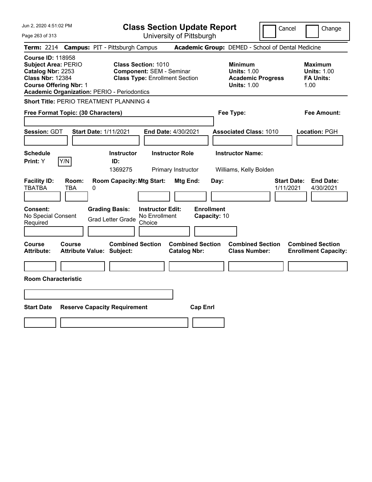|  |  |  | Jun 2, 2020 4:51:02 PM |  |
|--|--|--|------------------------|--|
|--|--|--|------------------------|--|

**Class Section Update Report** University of Pittsburgh

Cancel Change

Page 263 of 313

| <b>Term: 2214</b>                                                        |                                                             | <b>Campus: PIT - Pittsburgh Campus</b>                      |                                                                                                        |                                                |                                   | Academic Group: DEMED - School of Dental Medicine                                      |                                 |                                                                  |
|--------------------------------------------------------------------------|-------------------------------------------------------------|-------------------------------------------------------------|--------------------------------------------------------------------------------------------------------|------------------------------------------------|-----------------------------------|----------------------------------------------------------------------------------------|---------------------------------|------------------------------------------------------------------|
| <b>Course ID: 118958</b><br>Catalog Nbr: 2253<br><b>Class Nbr: 12384</b> | <b>Subject Area: PERIO</b><br><b>Course Offering Nbr: 1</b> | <b>Academic Organization: PERIO - Periodontics</b>          | <b>Class Section: 1010</b><br><b>Component: SEM - Seminar</b><br><b>Class Type: Enrollment Section</b> |                                                |                                   | <b>Minimum</b><br><b>Units: 1.00</b><br><b>Academic Progress</b><br><b>Units: 1.00</b> |                                 | <b>Maximum</b><br><b>Units: 1.00</b><br><b>FA Units:</b><br>1.00 |
|                                                                          |                                                             | <b>Short Title: PERIO TREATMENT PLANNING 4</b>              |                                                                                                        |                                                |                                   |                                                                                        |                                 |                                                                  |
|                                                                          |                                                             | Free Format Topic: (30 Characters)                          |                                                                                                        |                                                |                                   | Fee Type:                                                                              |                                 | <b>Fee Amount:</b>                                               |
| Session: GDT                                                             |                                                             | <b>Start Date: 1/11/2021</b>                                |                                                                                                        | End Date: 4/30/2021                            |                                   | <b>Associated Class: 1010</b>                                                          |                                 | Location: PGH                                                    |
| <b>Schedule</b><br>Print: Y                                              | Y/N                                                         | <b>Instructor</b><br>ID:<br>1369275                         |                                                                                                        | <b>Instructor Role</b><br>Primary Instructor   |                                   | <b>Instructor Name:</b><br>Williams, Kelly Bolden                                      |                                 |                                                                  |
| <b>Facility ID:</b><br><b>TBATBA</b>                                     | Room:<br><b>TBA</b>                                         | <b>Room Capacity: Mtg Start:</b><br>0                       |                                                                                                        | Mtg End:                                       | Day:                              |                                                                                        | <b>Start Date:</b><br>1/11/2021 | <b>End Date:</b><br>4/30/2021                                    |
| <b>Consent:</b><br>No Special Consent<br>Required                        |                                                             | <b>Grading Basis:</b><br><b>Grad Letter Grade</b>           | <b>Instructor Edit:</b><br>No Enrollment<br>Choice                                                     |                                                | <b>Enrollment</b><br>Capacity: 10 |                                                                                        |                                 |                                                                  |
| Course<br><b>Attribute:</b>                                              | Course                                                      | <b>Combined Section</b><br><b>Attribute Value: Subject:</b> |                                                                                                        | <b>Combined Section</b><br><b>Catalog Nbr:</b> |                                   | <b>Combined Section</b><br><b>Class Number:</b>                                        |                                 | <b>Combined Section</b><br><b>Enrollment Capacity:</b>           |
|                                                                          | <b>Room Characteristic</b>                                  |                                                             |                                                                                                        |                                                |                                   |                                                                                        |                                 |                                                                  |
| <b>Start Date</b>                                                        |                                                             | <b>Reserve Capacity Requirement</b>                         |                                                                                                        | <b>Cap Enrl</b>                                |                                   |                                                                                        |                                 |                                                                  |
|                                                                          |                                                             |                                                             |                                                                                                        |                                                |                                   |                                                                                        |                                 |                                                                  |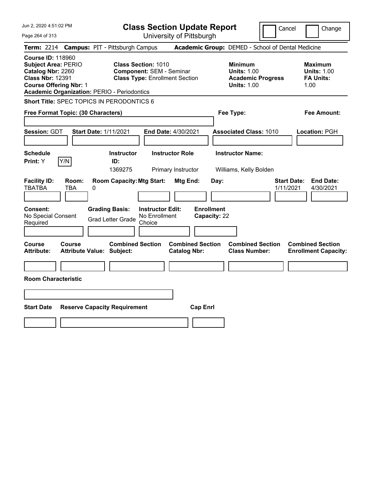Jun 2, 2020 4:51:02 PM Page 264 of 313 **Class Section Update Report** University of Pittsburgh Cancel Change **Term:** 2214 **Campus:** PIT - Pittsburgh Campus **Academic Group:** DEMED - School of Dental Medicine **Course ID:** 118960 **Subject Area:** PERIO **Class Section:** 1010 **Minimum Maximum Catalog Nbr:** 2260 **Component:** SEM - Seminar **Units:** 1.00 **Units:** 1.00 **Class Nbr:** 12391 **Class Type:** Enrollment Section **Academic Progress FA Units: Course Offering Nbr:** 1 **Units:** 1.00 1.00 **Academic Organization:** PERIO - Periodontics **Short Title:** SPEC TOPICS IN PERODONTICS 6 **Free Format Topic: (30 Characters) Fee Type: Fee Amount: Session:** GDT **Start Date:** 1/11/2021 **End Date:** 4/30/2021 **Associated Class:** 1010 **Location:** PGH **Schedule Instructor Instructor Role Instructor Name: Print:**  $Y$   $|Y/N|$  **ID:** 1369275 Primary Instructor Williams, Kelly Bolden **Facility ID: Room: Room Capacity:Mtg Start: Mtg End: Day: Start Date: End Date:** TBATBA TBA 0 1/11/2021 4/30/2021 **Consent: Grading Basis: Instructor Edit: Enrollment** No Special Consent Grad Letter Grade No Enrollment Choice **Capacity:** 22 **Course Course Combined Section Combined Section Combined Section Combined Section Attribute: Attribute Value: Subject: Catalog Nbr: Class Number: Enrollment Capacity: Room Characteristic Start Date Reserve Capacity Requirement Cap Enrl**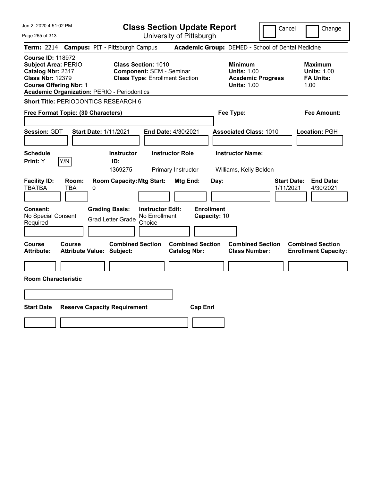Jun 2, 2020 4:51:02 PM Page 265 of 313 **Class Section Update Report** University of Pittsburgh Cancel Change **Term:** 2214 **Campus:** PIT - Pittsburgh Campus **Academic Group:** DEMED - School of Dental Medicine **Course ID:** 118972 **Subject Area:** PERIO **Class Section:** 1010 **Minimum Maximum Catalog Nbr:** 2317 **Component:** SEM - Seminar **Units:** 1.00 **Units:** 1.00 **Class Nbr:** 12379 **Class Type:** Enrollment Section **Academic Progress FA Units: Course Offering Nbr:** 1 **Units:** 1.00 1.00 **Academic Organization:** PERIO - Periodontics **Short Title: PERIODONTICS RESEARCH 6 Free Format Topic: (30 Characters) Fee Type: Fee Amount: Session:** GDT **Start Date:** 1/11/2021 **End Date:** 4/30/2021 **Associated Class:** 1010 **Location:** PGH **Schedule Instructor Instructor Role Instructor Name: Print:**  $Y$   $|Y/N|$  **ID:** 1369275 Primary Instructor Williams, Kelly Bolden **Facility ID: Room: Room Capacity:Mtg Start: Mtg End: Day: Start Date: End Date:** TBATBA TBA 0 1/11/2021 4/30/2021 **Consent: Grading Basis: Instructor Edit: Enrollment** No Special Consent Grad Letter Grade No Enrollment Choice **Capacity:** 10 **Course Course Combined Section Combined Section Combined Section Combined Section Attribute: Attribute Value: Subject: Catalog Nbr: Class Number: Enrollment Capacity: Room Characteristic Start Date Reserve Capacity Requirement Cap Enrl**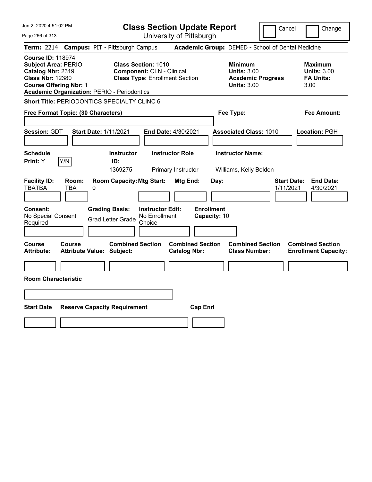|  |  |  | Jun 2, 2020 4:51:02 PM |  |
|--|--|--|------------------------|--|
|--|--|--|------------------------|--|

**Class Section Update Report**

Cancel Change

| Page 266 of 313                                                                                                                                                                                              |                                                                                                                                                                                                                                                        | University of Pittsburgh                                                                                           |                                                                                        |                                                                                                                            |
|--------------------------------------------------------------------------------------------------------------------------------------------------------------------------------------------------------------|--------------------------------------------------------------------------------------------------------------------------------------------------------------------------------------------------------------------------------------------------------|--------------------------------------------------------------------------------------------------------------------|----------------------------------------------------------------------------------------|----------------------------------------------------------------------------------------------------------------------------|
| <b>Term: 2214</b>                                                                                                                                                                                            | <b>Campus: PIT - Pittsburgh Campus</b>                                                                                                                                                                                                                 |                                                                                                                    | Academic Group: DEMED - School of Dental Medicine                                      |                                                                                                                            |
| <b>Course ID: 118974</b><br><b>Subject Area: PERIO</b><br>Catalog Nbr: 2319<br><b>Class Nbr: 12380</b><br><b>Course Offering Nbr: 1</b><br><b>Academic Organization: PERIO - Periodontics</b>                | <b>Class Section: 1010</b><br><b>Component: CLN - Clinical</b><br><b>Class Type: Enrollment Section</b>                                                                                                                                                |                                                                                                                    | <b>Minimum</b><br><b>Units: 3.00</b><br><b>Academic Progress</b><br><b>Units: 3.00</b> | <b>Maximum</b><br><b>Units: 3.00</b><br><b>FA Units:</b><br>3.00                                                           |
|                                                                                                                                                                                                              | Short Title: PERIODONTICS SPECIALTY CLINC 6                                                                                                                                                                                                            |                                                                                                                    |                                                                                        |                                                                                                                            |
| Free Format Topic: (30 Characters)                                                                                                                                                                           |                                                                                                                                                                                                                                                        |                                                                                                                    | Fee Type:                                                                              | Fee Amount:                                                                                                                |
| Session: GDT                                                                                                                                                                                                 | <b>Start Date: 1/11/2021</b>                                                                                                                                                                                                                           | End Date: 4/30/2021                                                                                                | <b>Associated Class: 1010</b>                                                          | Location: PGH                                                                                                              |
| <b>Schedule</b>                                                                                                                                                                                              | <b>Instructor</b>                                                                                                                                                                                                                                      | <b>Instructor Role</b>                                                                                             | <b>Instructor Name:</b>                                                                |                                                                                                                            |
| Print: Y<br>Y/N                                                                                                                                                                                              | ID:<br>1369275                                                                                                                                                                                                                                         | Primary Instructor                                                                                                 | Williams, Kelly Bolden                                                                 |                                                                                                                            |
| <b>Facility ID:</b><br>Room:<br><b>TBATBA</b><br><b>TBA</b><br>Consent:<br>No Special Consent<br>Required<br><b>Course</b><br>Course<br><b>Attribute:</b><br><b>Room Characteristic</b><br><b>Start Date</b> | <b>Room Capacity: Mtg Start:</b><br>0<br><b>Grading Basis:</b><br><b>Instructor Edit:</b><br>No Enrollment<br><b>Grad Letter Grade</b><br>Choice<br><b>Combined Section</b><br><b>Attribute Value: Subject:</b><br><b>Reserve Capacity Requirement</b> | Mtg End:<br><b>Enrollment</b><br>Capacity: 10<br><b>Combined Section</b><br><b>Catalog Nbr:</b><br><b>Cap Enrl</b> | Day:<br><b>Combined Section</b><br><b>Class Number:</b>                                | <b>End Date:</b><br><b>Start Date:</b><br>1/11/2021<br>4/30/2021<br><b>Combined Section</b><br><b>Enrollment Capacity:</b> |
|                                                                                                                                                                                                              |                                                                                                                                                                                                                                                        |                                                                                                                    |                                                                                        |                                                                                                                            |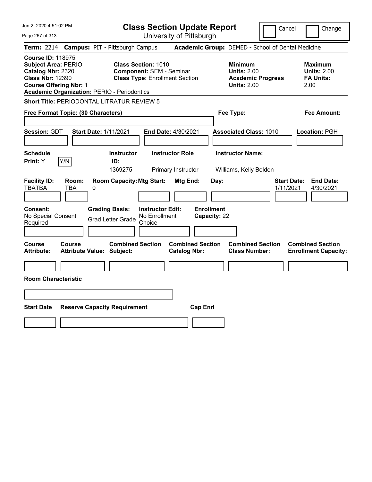Jun 2, 2020 4:51:02 PM Page 267 of 313 **Class Section Update Report** University of Pittsburgh Cancel Change **Term:** 2214 **Campus:** PIT - Pittsburgh Campus **Academic Group:** DEMED - School of Dental Medicine **Course ID:** 118975 **Subject Area:** PERIO **Class Section:** 1010 **Minimum Maximum Catalog Nbr:** 2320 **Component:** SEM - Seminar **Units:** 2.00 **Units:** 2.00 **Class Nbr:** 12390 **Class Type:** Enrollment Section **Academic Progress FA Units: Course Offering Nbr:** 1 **Units:** 2.00 2.00 **Academic Organization:** PERIO - Periodontics **Short Title:** PERIODONTAL LITRATUR REVIEW 5 **Free Format Topic: (30 Characters) Fee Type: Fee Amount: Session:** GDT **Start Date:** 1/11/2021 **End Date:** 4/30/2021 **Associated Class:** 1010 **Location:** PGH **Schedule Instructor Instructor Role Instructor Name: Print:**  $Y$   $|Y/N|$  **ID:** 1369275 Primary Instructor Williams, Kelly Bolden **Facility ID: Room: Room Capacity:Mtg Start: Mtg End: Day: Start Date: End Date:** TBATBA TBA 0 1/11/2021 4/30/2021 **Consent: Grading Basis: Instructor Edit: Enrollment** No Special Consent Grad Letter Grade No Enrollment Choice **Capacity:** 22 **Course Course Combined Section Combined Section Combined Section Combined Section Attribute: Attribute Value: Subject: Catalog Nbr: Class Number: Enrollment Capacity: Room Characteristic Start Date Reserve Capacity Requirement Cap Enrl**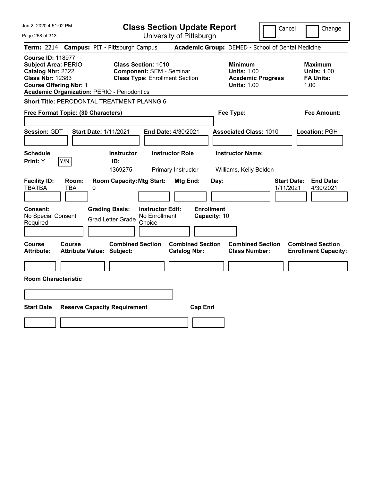| Jun 2, 2020 4:51:02 PM                                                                                                                                                                        | <b>Class Section Update Report</b>                                                                      | Cancel                                                                                 | Change                                                           |
|-----------------------------------------------------------------------------------------------------------------------------------------------------------------------------------------------|---------------------------------------------------------------------------------------------------------|----------------------------------------------------------------------------------------|------------------------------------------------------------------|
| Page 268 of 313                                                                                                                                                                               | University of Pittsburgh                                                                                |                                                                                        |                                                                  |
| <b>Term: 2214</b>                                                                                                                                                                             | <b>Campus: PIT - Pittsburgh Campus</b>                                                                  | Academic Group: DEMED - School of Dental Medicine                                      |                                                                  |
| <b>Course ID: 118977</b><br><b>Subject Area: PERIO</b><br>Catalog Nbr: 2322<br><b>Class Nbr: 12383</b><br><b>Course Offering Nbr: 1</b><br><b>Academic Organization: PERIO - Periodontics</b> | <b>Class Section: 1010</b><br><b>Component: SEM - Seminar</b><br><b>Class Type: Enrollment Section</b>  | <b>Minimum</b><br><b>Units: 1.00</b><br><b>Academic Progress</b><br><b>Units: 1.00</b> | <b>Maximum</b><br><b>Units: 1.00</b><br><b>FA Units:</b><br>1.00 |
| Short Title: PERODONTAL TREATMENT PLANNG 6                                                                                                                                                    |                                                                                                         |                                                                                        |                                                                  |
| Free Format Topic: (30 Characters)                                                                                                                                                            |                                                                                                         | Fee Type:                                                                              | Fee Amount:                                                      |
| Session: GDT<br><b>Start Date: 1/11/2021</b>                                                                                                                                                  | End Date: 4/30/2021                                                                                     | <b>Associated Class: 1010</b>                                                          | Location: PGH                                                    |
| <b>Schedule</b>                                                                                                                                                                               | <b>Instructor Role</b><br><b>Instructor</b>                                                             | <b>Instructor Name:</b>                                                                |                                                                  |
| Y/N<br>Print: Y                                                                                                                                                                               | ID:<br>1369275<br>Primary Instructor                                                                    | Williams, Kelly Bolden                                                                 |                                                                  |
| <b>Facility ID:</b><br>Room:<br><b>TBATBA</b><br>TBA<br>0                                                                                                                                     | <b>Room Capacity: Mtg Start:</b><br>Mtg End:                                                            | Day:                                                                                   | <b>Start Date:</b><br><b>End Date:</b><br>1/11/2021<br>4/30/2021 |
| <b>Consent:</b><br>No Special Consent<br>Required                                                                                                                                             | <b>Grading Basis:</b><br><b>Instructor Edit:</b><br>No Enrollment<br><b>Grad Letter Grade</b><br>Choice | <b>Enrollment</b><br>Capacity: 10                                                      |                                                                  |
|                                                                                                                                                                                               |                                                                                                         |                                                                                        |                                                                  |
| Course<br>Course<br><b>Attribute:</b><br><b>Attribute Value: Subject:</b>                                                                                                                     | <b>Combined Section</b><br><b>Combined Section</b><br><b>Catalog Nbr:</b>                               | <b>Combined Section</b><br><b>Class Number:</b>                                        | <b>Combined Section</b><br><b>Enrollment Capacity:</b>           |
|                                                                                                                                                                                               |                                                                                                         |                                                                                        |                                                                  |
| <b>Room Characteristic</b>                                                                                                                                                                    |                                                                                                         |                                                                                        |                                                                  |
|                                                                                                                                                                                               |                                                                                                         |                                                                                        |                                                                  |
| <b>Start Date</b><br><b>Reserve Capacity Requirement</b>                                                                                                                                      | <b>Cap Enrl</b>                                                                                         |                                                                                        |                                                                  |
|                                                                                                                                                                                               |                                                                                                         |                                                                                        |                                                                  |
|                                                                                                                                                                                               |                                                                                                         |                                                                                        |                                                                  |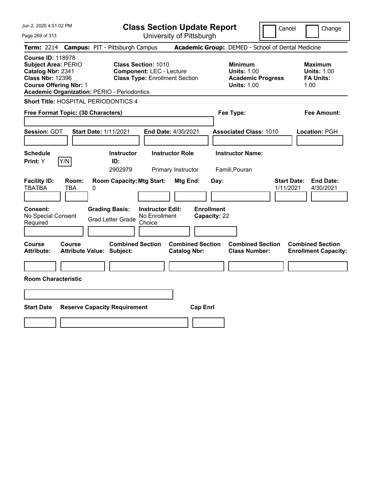| Jun 2, 2020 4:51:02 PM   |  |
|--------------------------|--|
| $D_{max}$ 000 $\leq$ 040 |  |

| <b>Class Section Update Report</b> |
|------------------------------------|
|------------------------------------|

Cancel Change

 $P_6$ 

| Jun 2, 2020 4:51:02 PM<br>Page 269 of 313                                                                                                                                                     |                                                                         |                                                                                                                     | <b>Class Section Update Report</b><br>University of Pittsburgh                                | Cancel                                                                                 | Change                                                    |
|-----------------------------------------------------------------------------------------------------------------------------------------------------------------------------------------------|-------------------------------------------------------------------------|---------------------------------------------------------------------------------------------------------------------|-----------------------------------------------------------------------------------------------|----------------------------------------------------------------------------------------|-----------------------------------------------------------|
| <b>Term: 2214</b>                                                                                                                                                                             |                                                                         | <b>Campus: PIT - Pittsburgh Campus</b>                                                                              |                                                                                               | Academic Group: DEMED - School of Dental Medicine                                      |                                                           |
| <b>Course ID: 118978</b><br><b>Subject Area: PERIO</b><br>Catalog Nbr: 2341<br><b>Class Nbr: 12396</b><br><b>Course Offering Nbr: 1</b><br><b>Academic Organization: PERIO - Periodontics</b> |                                                                         | <b>Class Section: 1010</b><br><b>Component: LEC - Lecture</b><br><b>Class Type: Enrollment Section</b>              |                                                                                               | <b>Minimum</b><br><b>Units: 1.00</b><br><b>Academic Progress</b><br><b>Units: 1.00</b> | Maximum<br><b>Units: 1.00</b><br><b>FA Units:</b><br>1.00 |
| Short Title: HOSPITAL PERIODONTICS 4                                                                                                                                                          |                                                                         |                                                                                                                     |                                                                                               |                                                                                        |                                                           |
| Free Format Topic: (30 Characters)                                                                                                                                                            |                                                                         |                                                                                                                     |                                                                                               | Fee Type:                                                                              | Fee Amount:                                               |
|                                                                                                                                                                                               |                                                                         |                                                                                                                     |                                                                                               |                                                                                        |                                                           |
| Session: GDT                                                                                                                                                                                  | <b>Start Date: 1/11/2021</b>                                            |                                                                                                                     | <b>End Date: 4/30/2021</b>                                                                    | <b>Associated Class: 1010</b>                                                          | <b>Location: PGH</b>                                      |
| <b>Schedule</b><br>Y/N<br><b>Print:</b> Y<br><b>Facility ID:</b><br>Room:<br><b>TBATBA</b><br><b>TBA</b><br><b>Consent:</b><br>No Special Consent                                             | 0<br><b>Grading Basis:</b><br><b>Grad Letter Grade</b>                  | <b>Instructor</b><br>ID:<br>2902979<br><b>Room Capacity: Mtg Start:</b><br><b>Instructor Edit:</b><br>No Enrollment | <b>Instructor Role</b><br>Primary Instructor<br>Mtg End:<br><b>Enrollment</b><br>Capacity: 22 | <b>Instructor Name:</b><br>Famili, Pouran<br><b>Start Date:</b><br>Day:<br>1/11/2021   | <b>End Date:</b><br>4/30/2021                             |
| Required                                                                                                                                                                                      |                                                                         | Choice                                                                                                              |                                                                                               |                                                                                        |                                                           |
| Course<br><b>Course</b><br><b>Attribute:</b><br><b>Room Characteristic</b><br><b>Start Date</b>                                                                                               | <b>Attribute Value: Subject:</b><br><b>Reserve Capacity Requirement</b> | <b>Combined Section</b>                                                                                             | <b>Combined Section</b><br><b>Catalog Nbr:</b><br><b>Cap Enrl</b>                             | <b>Combined Section</b><br><b>Class Number:</b>                                        | <b>Combined Section</b><br><b>Enrollment Capacity:</b>    |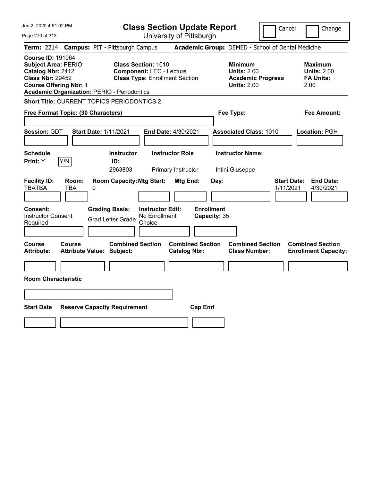Jun 2, 2020 4:51:02 PM Page 270 of 313 **Class Section Update Report** University of Pittsburgh Cancel Change **Term:** 2214 **Campus:** PIT - Pittsburgh Campus **Academic Group:** DEMED - School of Dental Medicine **Course ID:** 191064 **Subject Area:** PERIO **Class Section:** 1010 **Minimum Maximum Catalog Nbr: 2412 Component:** LEC - Lecture **Component: LEC - Lecture 1998 Units: 2.00 Units: 2.00 Class Nbr: 29452 Class Type:** Enrollment Section **Academic Progress FA Units: Class Type: Enrollment Section <b>Academic Progress FA Units: Course Offering Nbr:** 1 **Units:** 2.00 2.00 **Academic Organization:** PERIO - Periodontics **Short Title:** CURRENT TOPICS PERIODONTICS 2 **Free Format Topic: (30 Characters) Fee Type: Fee Amount: Session:** GDT **Start Date:** 1/11/2021 **End Date:** 4/30/2021 **Associated Class:** 1010 **Location:** PGH **Schedule Instructor Instructor Role Instructor Name: Print:**  $Y$   $|Y/N|$  **ID:** 2963803 Primary Instructor Intini,Giuseppe **Facility ID: Room: Room Capacity:Mtg Start: Mtg End: Day: Start Date: End Date:** TBATBA TBA 0 1/11/2021 4/30/2021 **Consent: Grading Basis: Instructor Edit: Enrollment** Instructor Consent Instructor Consent<br>
Required Crad Letter Grade Choice<br>
Choice Choice **Capacity:** 35 **Course Course Combined Section Combined Section Combined Section Combined Section Attribute: Attribute Value: Subject: Catalog Nbr: Class Number: Enrollment Capacity: Room Characteristic Start Date Reserve Capacity Requirement Cap Enrl**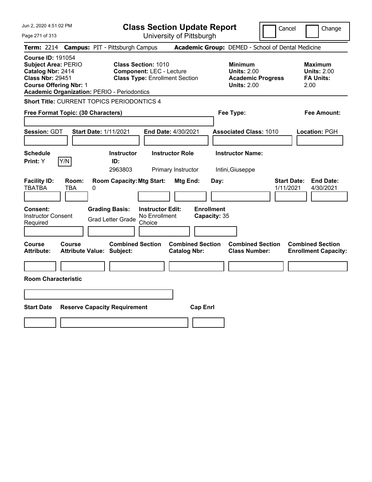Jun 2, 2020 4:51:02 PM Page 271 of 313 **Class Section Update Report** University of Pittsburgh Cancel Change **Term:** 2214 **Campus:** PIT - Pittsburgh Campus **Academic Group:** DEMED - School of Dental Medicine **Course ID:** 191054 **Subject Area:** PERIO **Class Section:** 1010 **Minimum Maximum Catalog Nbr: 2414 Component:** LEC - Lecture **1996 Units: 2.00 Units: 2.00 Class Nbr: 29451 Class Type:** Enrollment Section **1996 Academic Progress FA Units: Class Type: Enrollment Section <b>Academic Progress FA Units: Course Offering Nbr:** 1 **Units:** 2.00 2.00 **Academic Organization:** PERIO - Periodontics **Short Title:** CURRENT TOPICS PERIODONTICS 4 **Free Format Topic: (30 Characters) Fee Type: Fee Amount: Session:** GDT **Start Date:** 1/11/2021 **End Date:** 4/30/2021 **Associated Class:** 1010 **Location:** PGH **Schedule Instructor Instructor Role Instructor Name: Print:**  $Y$   $|Y/N|$  **ID:** 2963803 Primary Instructor Intini,Giuseppe **Facility ID: Room: Room Capacity:Mtg Start: Mtg End: Day: Start Date: End Date:** TBATBA TBA 0 1/11/2021 4/30/2021 **Consent: Grading Basis: Instructor Edit: Enrollment** Instructor Consent Instructor Consent<br>
Required Crad Letter Grade Choice<br>
Choice Choice **Capacity:** 35 **Course Course Combined Section Combined Section Combined Section Combined Section Attribute: Attribute Value: Subject: Catalog Nbr: Class Number: Enrollment Capacity: Room Characteristic Start Date Reserve Capacity Requirement Cap Enrl**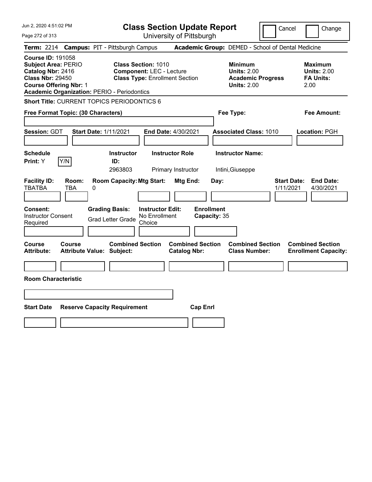Jun 2, 2020 4:51:02 PM Page 272 of 313 **Class Section Update Report** University of Pittsburgh Cancel Change **Term:** 2214 **Campus:** PIT - Pittsburgh Campus **Academic Group:** DEMED - School of Dental Medicine **Course ID:** 191058 **Subject Area:** PERIO **Class Section:** 1010 **Minimum Maximum Catalog Nbr: 2416 Component: LEC - Lecture <b>Units: 2.00 Units: 2.00 Class Nbr: 29450 Class Type: Enrollment Section Class Academic Progress FA Units:** 2.00 **Class Type: Enrollment Section <b>Academic Progress FA Units: Course Offering Nbr:** 1 **Units:** 2.00 2.00 **Academic Organization:** PERIO - Periodontics **Short Title:** CURRENT TOPICS PERIODONTICS 6 **Free Format Topic: (30 Characters) Fee Type: Fee Amount: Session:** GDT **Start Date:** 1/11/2021 **End Date:** 4/30/2021 **Associated Class:** 1010 **Location:** PGH **Schedule Instructor Instructor Role Instructor Name: Print:**  $Y$   $|Y/N|$  **ID:** 2963803 Primary Instructor Intini,Giuseppe **Facility ID: Room: Room Capacity:Mtg Start: Mtg End: Day: Start Date: End Date:** TBATBA TBA 0 1/11/2021 4/30/2021 **Consent: Grading Basis: Instructor Edit: Enrollment** Instructor Consent Instructor Consent<br>
Required Crad Letter Grade Choice<br>
Choice Choice **Capacity:** 35 **Course Course Combined Section Combined Section Combined Section Combined Section Attribute: Attribute Value: Subject: Catalog Nbr: Class Number: Enrollment Capacity: Room Characteristic Start Date Reserve Capacity Requirement Cap Enrl**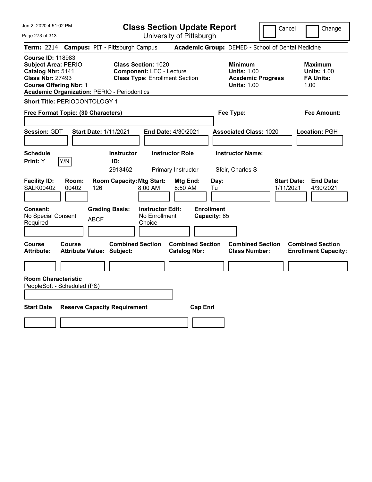| Jun 2, 2020 4:51:02 PM<br>Page 273 of 313                                                                                                                                                     | <b>Class Section Update Report</b><br>University of Pittsburgh                                                                                    | Cancel                                                                                 | Change                                                           |
|-----------------------------------------------------------------------------------------------------------------------------------------------------------------------------------------------|---------------------------------------------------------------------------------------------------------------------------------------------------|----------------------------------------------------------------------------------------|------------------------------------------------------------------|
| <b>Term: 2214</b>                                                                                                                                                                             | <b>Campus: PIT - Pittsburgh Campus</b>                                                                                                            | Academic Group: DEMED - School of Dental Medicine                                      |                                                                  |
| <b>Course ID: 118983</b><br><b>Subject Area: PERIO</b><br>Catalog Nbr: 5141<br><b>Class Nbr: 27493</b><br><b>Course Offering Nbr: 1</b><br><b>Academic Organization: PERIO - Periodontics</b> | <b>Class Section: 1020</b><br><b>Component: LEC - Lecture</b><br><b>Class Type: Enrollment Section</b>                                            | <b>Minimum</b><br><b>Units: 1.00</b><br><b>Academic Progress</b><br><b>Units: 1.00</b> | <b>Maximum</b><br><b>Units: 1.00</b><br><b>FA Units:</b><br>1.00 |
| Short Title: PERIODONTOLOGY 1                                                                                                                                                                 |                                                                                                                                                   |                                                                                        |                                                                  |
| Free Format Topic: (30 Characters)                                                                                                                                                            |                                                                                                                                                   | Fee Type:                                                                              | Fee Amount:                                                      |
|                                                                                                                                                                                               |                                                                                                                                                   |                                                                                        |                                                                  |
| Session: GDT                                                                                                                                                                                  | <b>Start Date: 1/11/2021</b><br>End Date: 4/30/2021                                                                                               | <b>Associated Class: 1020</b>                                                          | Location: PGH                                                    |
|                                                                                                                                                                                               |                                                                                                                                                   |                                                                                        |                                                                  |
| <b>Schedule</b>                                                                                                                                                                               | <b>Instructor Role</b><br><b>Instructor</b>                                                                                                       | <b>Instructor Name:</b>                                                                |                                                                  |
| Print: Y<br>Y/N                                                                                                                                                                               | ID:<br>2913462<br>Primary Instructor                                                                                                              | Sfeir, Charles S                                                                       |                                                                  |
| <b>Facility ID:</b><br>Room:<br><b>SALK00402</b><br>00402<br>126<br><b>Consent:</b><br>No Special Consent<br><b>ABCF</b><br>Required                                                          | <b>Room Capacity: Mtg Start:</b><br>Mtg End:<br>8:00 AM<br>8:50 AM<br><b>Instructor Edit:</b><br><b>Grading Basis:</b><br>No Enrollment<br>Choice | Day:<br><b>Start Date:</b><br>Tu<br>1/11/2021<br><b>Enrollment</b><br>Capacity: 85     | <b>End Date:</b><br>4/30/2021                                    |
|                                                                                                                                                                                               |                                                                                                                                                   |                                                                                        |                                                                  |
| Course<br>Course<br><b>Attribute Value: Subject:</b><br><b>Attribute:</b>                                                                                                                     | <b>Combined Section</b><br><b>Combined Section</b><br><b>Catalog Nbr:</b>                                                                         | <b>Combined Section</b><br><b>Class Number:</b>                                        | <b>Combined Section</b><br><b>Enrollment Capacity:</b>           |
|                                                                                                                                                                                               |                                                                                                                                                   |                                                                                        |                                                                  |
| <b>Room Characteristic</b><br>PeopleSoft - Scheduled (PS)                                                                                                                                     |                                                                                                                                                   |                                                                                        |                                                                  |
| <b>Start Date</b>                                                                                                                                                                             | <b>Reserve Capacity Requirement</b><br><b>Cap Enrl</b>                                                                                            |                                                                                        |                                                                  |
|                                                                                                                                                                                               |                                                                                                                                                   |                                                                                        |                                                                  |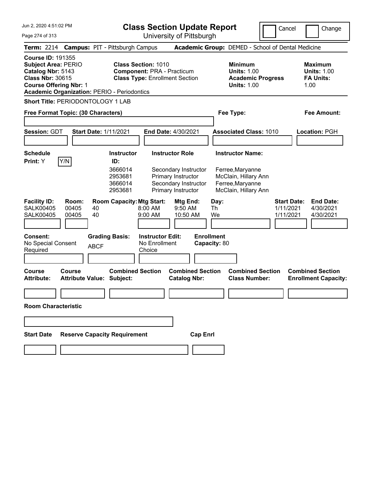**Class Section Update Report**

Cancel **Change** 

| Page 274 of 313                                                                                                                                                                               |                                                                                                                                                       |          |                                                                      | Class Occubii Opuale Report                                                                              | University of Pittsburgh                                                                                                  |                         |                  |                                                                                                                 | Cancer                                       | Change                                                           |
|-----------------------------------------------------------------------------------------------------------------------------------------------------------------------------------------------|-------------------------------------------------------------------------------------------------------------------------------------------------------|----------|----------------------------------------------------------------------|----------------------------------------------------------------------------------------------------------|---------------------------------------------------------------------------------------------------------------------------|-------------------------|------------------|-----------------------------------------------------------------------------------------------------------------|----------------------------------------------|------------------------------------------------------------------|
| <b>Term: 2214</b>                                                                                                                                                                             |                                                                                                                                                       |          | <b>Campus: PIT - Pittsburgh Campus</b>                               |                                                                                                          |                                                                                                                           |                         |                  | Academic Group: DEMED - School of Dental Medicine                                                               |                                              |                                                                  |
| <b>Course ID: 191355</b><br><b>Subject Area: PERIO</b><br>Catalog Nbr: 5143<br><b>Class Nbr: 30615</b><br><b>Course Offering Nbr: 1</b><br><b>Academic Organization: PERIO - Periodontics</b> |                                                                                                                                                       |          |                                                                      | <b>Class Section: 1010</b><br><b>Component: PRA - Practicum</b><br><b>Class Type: Enrollment Section</b> |                                                                                                                           |                         |                  | <b>Minimum</b><br><b>Units: 1.00</b><br><b>Academic Progress</b><br><b>Units: 1.00</b>                          |                                              | <b>Maximum</b><br><b>Units: 1.00</b><br><b>FA Units:</b><br>1.00 |
| <b>Short Title: PERIODONTOLOGY 1 LAB</b>                                                                                                                                                      |                                                                                                                                                       |          |                                                                      |                                                                                                          |                                                                                                                           |                         |                  |                                                                                                                 |                                              |                                                                  |
| Free Format Topic: (30 Characters)                                                                                                                                                            |                                                                                                                                                       |          |                                                                      |                                                                                                          |                                                                                                                           |                         |                  | Fee Type:                                                                                                       |                                              | <b>Fee Amount:</b>                                               |
| <b>Session: GDT</b>                                                                                                                                                                           |                                                                                                                                                       |          | <b>Start Date: 1/11/2021</b>                                         |                                                                                                          | End Date: 4/30/2021                                                                                                       |                         |                  | <b>Associated Class: 1010</b>                                                                                   |                                              | Location: PGH                                                    |
| <b>Schedule</b><br>Print: Y                                                                                                                                                                   | Y/N                                                                                                                                                   |          | <b>Instructor</b><br>ID:<br>3666014<br>2953681<br>3666014<br>2953681 |                                                                                                          | <b>Instructor Role</b><br>Secondary Instructor<br><b>Primary Instructor</b><br>Secondary Instructor<br>Primary Instructor |                         |                  | <b>Instructor Name:</b><br>Ferree, Maryanne<br>McClain, Hillary Ann<br>Ferree, Maryanne<br>McClain, Hillary Ann |                                              |                                                                  |
| <b>Facility ID:</b><br><b>SALK00405</b><br><b>SALK00405</b>                                                                                                                                   | Room:<br>00405<br>00405                                                                                                                               | 40<br>40 | <b>Room Capacity: Mtg Start:</b>                                     | 8:00 AM<br>9:00 AM                                                                                       | Mtg End:<br>9:50 AM<br>10:50 AM                                                                                           |                         | Day:<br>Th<br>We |                                                                                                                 | <b>Start Date:</b><br>1/11/2021<br>1/11/2021 | <b>End Date:</b><br>4/30/2021<br>4/30/2021                       |
| <b>Consent:</b><br>Required                                                                                                                                                                   | <b>Enrollment</b><br><b>Grading Basis:</b><br><b>Instructor Edit:</b><br>No Special Consent<br>No Enrollment<br>Capacity: 80<br><b>ABCF</b><br>Choice |          |                                                                      |                                                                                                          |                                                                                                                           |                         |                  |                                                                                                                 |                                              |                                                                  |
| <b>Course</b><br><b>Attribute:</b>                                                                                                                                                            | Course<br><b>Attribute Value: Subject:</b>                                                                                                            |          | <b>Combined Section</b>                                              |                                                                                                          | <b>Catalog Nbr:</b>                                                                                                       | <b>Combined Section</b> |                  | <b>Combined Section</b><br><b>Class Number:</b>                                                                 |                                              | <b>Combined Section</b><br><b>Enrollment Capacity:</b>           |
| <b>Room Characteristic</b>                                                                                                                                                                    |                                                                                                                                                       |          |                                                                      |                                                                                                          |                                                                                                                           |                         |                  |                                                                                                                 |                                              |                                                                  |
| <b>Start Date</b>                                                                                                                                                                             |                                                                                                                                                       |          | <b>Reserve Capacity Requirement</b>                                  |                                                                                                          |                                                                                                                           | <b>Cap Enrl</b>         |                  |                                                                                                                 |                                              |                                                                  |
|                                                                                                                                                                                               |                                                                                                                                                       |          |                                                                      |                                                                                                          |                                                                                                                           |                         |                  |                                                                                                                 |                                              |                                                                  |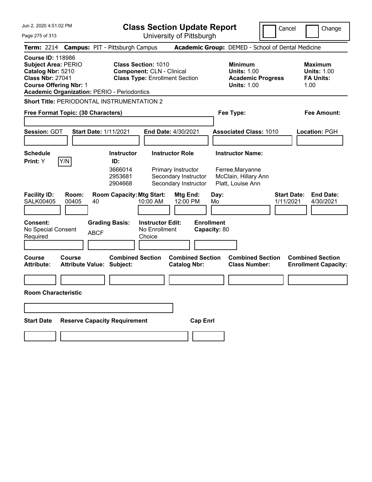**Class Section Update Report**

Cancel **Change** 

 $\mathop{||}$ 

Page 275 of 313

| Page 275 of 313                                                                                                                         |                                                   |                                                                                                                                                               |                                                    | University of Pittsburgh                                             |              |                                                                                 |                                                                  |
|-----------------------------------------------------------------------------------------------------------------------------------------|---------------------------------------------------|---------------------------------------------------------------------------------------------------------------------------------------------------------------|----------------------------------------------------|----------------------------------------------------------------------|--------------|---------------------------------------------------------------------------------|------------------------------------------------------------------|
| <b>Term:</b> 2214                                                                                                                       |                                                   | <b>Campus: PIT - Pittsburgh Campus</b>                                                                                                                        |                                                    |                                                                      |              | Academic Group: DEMED - School of Dental Medicine                               |                                                                  |
| <b>Course ID: 118986</b><br><b>Subject Area: PERIO</b><br>Catalog Nbr: 5210<br><b>Class Nbr: 27041</b><br><b>Course Offering Nbr: 1</b> |                                                   | <b>Class Section: 1010</b><br><b>Component: CLN - Clinical</b><br><b>Class Type: Enrollment Section</b><br><b>Academic Organization: PERIO - Periodontics</b> |                                                    |                                                                      |              | Minimum<br><b>Units: 1.00</b><br><b>Academic Progress</b><br><b>Units: 1.00</b> | Maximum<br><b>Units: 1.00</b><br><b>FA Units:</b><br>1.00        |
|                                                                                                                                         | <b>Short Title: PERIODONTAL INSTRUMENTATION 2</b> |                                                                                                                                                               |                                                    |                                                                      |              |                                                                                 |                                                                  |
|                                                                                                                                         | Free Format Topic: (30 Characters)                |                                                                                                                                                               |                                                    |                                                                      |              | Fee Type:                                                                       | Fee Amount:                                                      |
| <b>Session: GDT</b>                                                                                                                     | <b>Start Date: 1/11/2021</b>                      |                                                                                                                                                               | <b>End Date: 4/30/2021</b>                         |                                                                      |              | <b>Associated Class: 1010</b>                                                   | Location: PGH                                                    |
| <b>Schedule</b>                                                                                                                         |                                                   | Instructor                                                                                                                                                    | <b>Instructor Role</b>                             |                                                                      |              | <b>Instructor Name:</b>                                                         |                                                                  |
| Print: Y<br><b>Facility ID:</b><br><b>SALK00405</b>                                                                                     | Y/N<br>Room:<br>00405<br>40                       | ID:<br>3666014<br>2953681<br>2904668<br><b>Room Capacity: Mtg Start:</b>                                                                                      | Primary Instructor<br>10:00 AM                     | Secondary Instructor<br>Secondary Instructor<br>Mtg End:<br>12:00 PM | Day:<br>Mo   | Ferree, Maryanne<br>McClain, Hillary Ann<br>Platt, Louise Ann                   | <b>Start Date:</b><br><b>End Date:</b><br>1/11/2021<br>4/30/2021 |
| <b>Consent:</b><br>No Special Consent<br>Required                                                                                       | <b>ABCF</b>                                       | <b>Grading Basis:</b>                                                                                                                                         | <b>Instructor Edit:</b><br>No Enrollment<br>Choice | <b>Enrollment</b>                                                    | Capacity: 80 |                                                                                 |                                                                  |
| Course<br><b>Attribute:</b>                                                                                                             | Course<br><b>Attribute Value: Subject:</b>        | <b>Combined Section</b>                                                                                                                                       |                                                    | <b>Combined Section</b><br><b>Catalog Nbr:</b>                       |              | <b>Combined Section</b><br><b>Class Number:</b>                                 | <b>Combined Section</b><br><b>Enrollment Capacity:</b>           |
|                                                                                                                                         |                                                   |                                                                                                                                                               |                                                    |                                                                      |              |                                                                                 |                                                                  |
| <b>Room Characteristic</b>                                                                                                              |                                                   |                                                                                                                                                               |                                                    |                                                                      |              |                                                                                 |                                                                  |
|                                                                                                                                         |                                                   |                                                                                                                                                               |                                                    |                                                                      |              |                                                                                 |                                                                  |
| <b>Start Date</b>                                                                                                                       |                                                   | <b>Reserve Capacity Requirement</b>                                                                                                                           |                                                    | <b>Cap Enrl</b>                                                      |              |                                                                                 |                                                                  |
|                                                                                                                                         |                                                   |                                                                                                                                                               |                                                    |                                                                      |              |                                                                                 |                                                                  |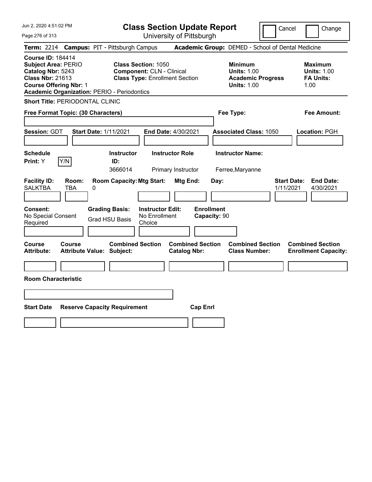**Class Section Update Report** University of Pittsburgh

Cancel Change

Page 276 of 313

|                                                                                                                                                                                        | <b>Term: 2214 Campus: PIT - Pittsburgh Campus</b>                                                       |                                                | <b>Academic Group:</b> DEMED - School of Dental Medicine                               |                                                                  |
|----------------------------------------------------------------------------------------------------------------------------------------------------------------------------------------|---------------------------------------------------------------------------------------------------------|------------------------------------------------|----------------------------------------------------------------------------------------|------------------------------------------------------------------|
| <b>Course ID: 184414</b><br><b>Subject Area: PERIO</b><br>Catalog Nbr: 5243<br><b>Class Nbr: 21613</b><br><b>Course Offering Nbr: 1</b><br>Academic Organization: PERIO - Periodontics | <b>Class Section: 1050</b><br><b>Component: CLN - Clinical</b><br><b>Class Type: Enrollment Section</b> |                                                | <b>Minimum</b><br><b>Units: 1.00</b><br><b>Academic Progress</b><br><b>Units: 1.00</b> | <b>Maximum</b><br><b>Units: 1.00</b><br><b>FA Units:</b><br>1.00 |
| <b>Short Title: PERIODONTAL CLINIC</b>                                                                                                                                                 |                                                                                                         |                                                |                                                                                        |                                                                  |
| Free Format Topic: (30 Characters)                                                                                                                                                     |                                                                                                         |                                                | Fee Type:                                                                              | <b>Fee Amount:</b>                                               |
| Session: GDT                                                                                                                                                                           | <b>Start Date: 1/11/2021</b>                                                                            | End Date: 4/30/2021                            | <b>Associated Class: 1050</b>                                                          | Location: PGH                                                    |
| <b>Schedule</b><br>Y/N<br>Print: Y                                                                                                                                                     | <b>Instructor</b><br>ID:<br>3666014                                                                     | <b>Instructor Role</b><br>Primary Instructor   | <b>Instructor Name:</b><br>Ferree, Maryanne                                            |                                                                  |
| <b>Facility ID:</b><br>Room:<br><b>SALKTBA</b><br>TBA                                                                                                                                  | <b>Room Capacity: Mtg Start:</b><br>0                                                                   | Mtg End:<br>Day:                               |                                                                                        | <b>Start Date:</b><br><b>End Date:</b><br>1/11/2021<br>4/30/2021 |
| <b>Consent:</b><br>No Special Consent<br>Required                                                                                                                                      | <b>Grading Basis:</b><br><b>Instructor Edit:</b><br>No Enrollment<br><b>Grad HSU Basis</b><br>Choice    | <b>Enrollment</b><br>Capacity: 90              |                                                                                        |                                                                  |
| <b>Course</b><br>Course<br>Attribute:                                                                                                                                                  | <b>Combined Section</b><br><b>Attribute Value: Subject:</b>                                             | <b>Combined Section</b><br><b>Catalog Nbr:</b> | <b>Combined Section</b><br><b>Class Number:</b>                                        | <b>Combined Section</b><br><b>Enrollment Capacity:</b>           |
| <b>Room Characteristic</b>                                                                                                                                                             |                                                                                                         |                                                |                                                                                        |                                                                  |
| <b>Start Date</b>                                                                                                                                                                      | <b>Reserve Capacity Requirement</b>                                                                     | <b>Cap Enrl</b>                                |                                                                                        |                                                                  |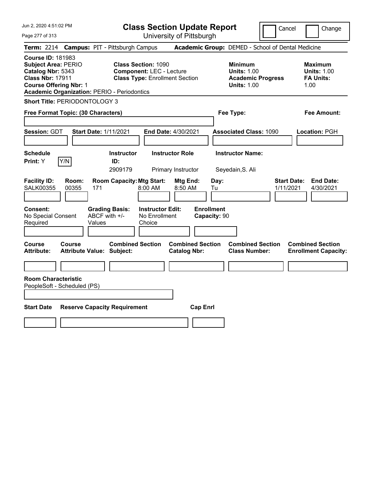| Jun 2, 2020 4:51:02 PM<br>Page 277 of 313                                                                                                                                                     | <b>Class Section Update Report</b><br>University of Pittsburgh                                         | Cancel                                                                                 | Change                                                           |  |
|-----------------------------------------------------------------------------------------------------------------------------------------------------------------------------------------------|--------------------------------------------------------------------------------------------------------|----------------------------------------------------------------------------------------|------------------------------------------------------------------|--|
| Term: 2214 Campus: PIT - Pittsburgh Campus                                                                                                                                                    |                                                                                                        | Academic Group: DEMED - School of Dental Medicine                                      |                                                                  |  |
| <b>Course ID: 181983</b><br><b>Subject Area: PERIO</b><br>Catalog Nbr: 5343<br><b>Class Nbr: 17911</b><br><b>Course Offering Nbr: 1</b><br><b>Academic Organization: PERIO - Periodontics</b> | <b>Class Section: 1090</b><br><b>Component: LEC - Lecture</b><br><b>Class Type: Enrollment Section</b> | <b>Minimum</b><br><b>Units: 1.00</b><br><b>Academic Progress</b><br><b>Units: 1.00</b> | <b>Maximum</b><br><b>Units: 1.00</b><br><b>FA Units:</b><br>1.00 |  |
| Short Title: PERIODONTOLOGY 3                                                                                                                                                                 |                                                                                                        |                                                                                        |                                                                  |  |
| Free Format Topic: (30 Characters)                                                                                                                                                            |                                                                                                        | Fee Type:                                                                              | <b>Fee Amount:</b>                                               |  |
| Session: GDT<br><b>Start Date: 1/11/2021</b>                                                                                                                                                  | End Date: 4/30/2021                                                                                    | <b>Associated Class: 1090</b>                                                          | Location: PGH                                                    |  |
| Schedule<br>Y/N<br>Print: Y                                                                                                                                                                   | <b>Instructor</b><br><b>Instructor Role</b><br>ID:<br>2909179<br>Primary Instructor                    | <b>Instructor Name:</b><br>Seyedain, S. Ali                                            |                                                                  |  |
| <b>Facility ID:</b><br>Room:<br><b>SALK00355</b><br>00355<br>171                                                                                                                              | <b>Room Capacity: Mtg Start:</b><br>Mtg End:<br>8:50 AM<br>8:00 AM                                     | Day:<br>Tu<br>1/11/2021                                                                | <b>Start Date:</b><br><b>End Date:</b><br>4/30/2021              |  |
| <b>Consent:</b><br>ABCF with +/-<br>No Special Consent<br>Required<br>Values                                                                                                                  | <b>Grading Basis:</b><br><b>Instructor Edit:</b><br>No Enrollment<br>Choice                            | <b>Enrollment</b><br>Capacity: 90                                                      |                                                                  |  |
| Course<br><b>Course</b><br><b>Attribute:</b><br><b>Attribute Value: Subject:</b>                                                                                                              | <b>Combined Section</b><br><b>Combined Section</b><br><b>Catalog Nbr:</b>                              | <b>Combined Section</b><br><b>Class Number:</b>                                        | <b>Combined Section</b><br><b>Enrollment Capacity:</b>           |  |
|                                                                                                                                                                                               |                                                                                                        |                                                                                        |                                                                  |  |
| <b>Room Characteristic</b><br>PeopleSoft - Scheduled (PS)                                                                                                                                     |                                                                                                        |                                                                                        |                                                                  |  |
| <b>Start Date</b><br><b>Reserve Capacity Requirement</b><br><b>Cap Enrl</b>                                                                                                                   |                                                                                                        |                                                                                        |                                                                  |  |
|                                                                                                                                                                                               |                                                                                                        |                                                                                        |                                                                  |  |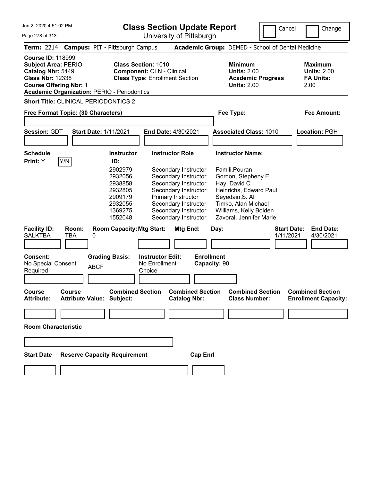**Class Section Update Report**

Cancel Change

| University of Pittsburgh                                                                                                                                                                                                                                                                                                                 |                                                                                        |                                                                                                                                                                                                                                                                                                                                                                         |
|------------------------------------------------------------------------------------------------------------------------------------------------------------------------------------------------------------------------------------------------------------------------------------------------------------------------------------------|----------------------------------------------------------------------------------------|-------------------------------------------------------------------------------------------------------------------------------------------------------------------------------------------------------------------------------------------------------------------------------------------------------------------------------------------------------------------------|
| Term: 2214 Campus: PIT - Pittsburgh Campus                                                                                                                                                                                                                                                                                               |                                                                                        |                                                                                                                                                                                                                                                                                                                                                                         |
| <b>Class Section: 1010</b><br><b>Component: CLN - Clinical</b><br><b>Class Type: Enrollment Section</b>                                                                                                                                                                                                                                  | <b>Minimum</b><br><b>Units: 2.00</b><br><b>Academic Progress</b><br><b>Units: 2.00</b> | <b>Maximum</b><br><b>Units: 2.00</b><br><b>FA Units:</b><br>2.00                                                                                                                                                                                                                                                                                                        |
| <b>Short Title: CLINICAL PERIODONTICS 2</b>                                                                                                                                                                                                                                                                                              |                                                                                        |                                                                                                                                                                                                                                                                                                                                                                         |
| Free Format Topic: (30 Characters)                                                                                                                                                                                                                                                                                                       | Fee Type:                                                                              | Fee Amount:                                                                                                                                                                                                                                                                                                                                                             |
| <b>Start Date: 1/11/2021</b><br><b>End Date: 4/30/2021</b>                                                                                                                                                                                                                                                                               |                                                                                        | Location: PGH                                                                                                                                                                                                                                                                                                                                                           |
|                                                                                                                                                                                                                                                                                                                                          |                                                                                        |                                                                                                                                                                                                                                                                                                                                                                         |
| <b>Instructor Role</b><br><b>Instructor</b><br>ID:<br>2902979<br>Secondary Instructor<br>Secondary Instructor<br>2932056<br>Secondary Instructor<br>2938858<br>Secondary Instructor<br>2932805<br>2909179<br>Primary Instructor<br>Secondary Instructor<br>2932055<br>Secondary Instructor<br>1369275<br>Secondary Instructor<br>1552048 |                                                                                        |                                                                                                                                                                                                                                                                                                                                                                         |
| <b>Room Capacity: Mtg Start:</b><br>Mtg End:                                                                                                                                                                                                                                                                                             | <b>Start Date:</b><br>1/11/2021                                                        | <b>End Date:</b><br>4/30/2021                                                                                                                                                                                                                                                                                                                                           |
| <b>Grading Basis:</b><br><b>Instructor Edit:</b><br>No Enrollment<br>Choice                                                                                                                                                                                                                                                              |                                                                                        |                                                                                                                                                                                                                                                                                                                                                                         |
| <b>Combined Section</b><br><b>Attribute Value: Subject:</b><br><b>Catalog Nbr:</b>                                                                                                                                                                                                                                                       | <b>Combined Section</b><br><b>Class Number:</b>                                        | <b>Combined Section</b><br><b>Enrollment Capacity:</b>                                                                                                                                                                                                                                                                                                                  |
|                                                                                                                                                                                                                                                                                                                                          |                                                                                        |                                                                                                                                                                                                                                                                                                                                                                         |
|                                                                                                                                                                                                                                                                                                                                          |                                                                                        |                                                                                                                                                                                                                                                                                                                                                                         |
| <b>Reserve Capacity Requirement</b><br><b>Cap Enrl</b>                                                                                                                                                                                                                                                                                   |                                                                                        |                                                                                                                                                                                                                                                                                                                                                                         |
|                                                                                                                                                                                                                                                                                                                                          | <b>Academic Organization: PERIO - Periodontics</b>                                     | Academic Group: DEMED - School of Dental Medicine<br><b>Associated Class: 1010</b><br><b>Instructor Name:</b><br>Famili, Pouran<br>Gordon, Stepheny E<br>Hay, David C<br>Heinrichs, Edward Paul<br>Seyedain, S. Ali<br>Timko, Alan Michael<br>Williams, Kelly Bolden<br>Zavoral, Jennifer Marie<br>Day:<br><b>Enrollment</b><br>Capacity: 90<br><b>Combined Section</b> |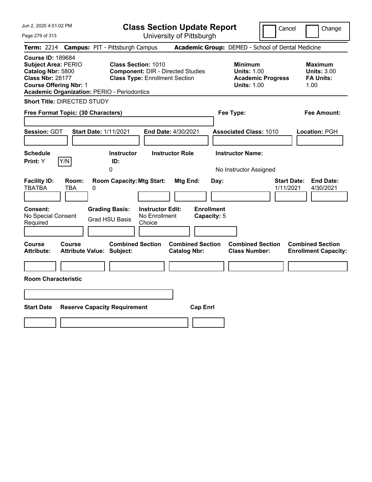| Jun 2, 2020 4:51:02 PM<br>Page 279 of 313                                                                                                                                                     | <b>Class Section Update Report</b><br>University of Pittsburgh                                                  | Cancel                                                                                 | Change                                                           |
|-----------------------------------------------------------------------------------------------------------------------------------------------------------------------------------------------|-----------------------------------------------------------------------------------------------------------------|----------------------------------------------------------------------------------------|------------------------------------------------------------------|
| <b>Term: 2214</b>                                                                                                                                                                             | <b>Campus: PIT - Pittsburgh Campus</b>                                                                          | Academic Group: DEMED - School of Dental Medicine                                      |                                                                  |
| <b>Course ID: 189684</b><br><b>Subject Area: PERIO</b><br>Catalog Nbr: 5800<br><b>Class Nbr: 28177</b><br><b>Course Offering Nbr: 1</b><br><b>Academic Organization: PERIO - Periodontics</b> | <b>Class Section: 1010</b><br><b>Component: DIR - Directed Studies</b><br><b>Class Type: Enrollment Section</b> | <b>Minimum</b><br><b>Units: 1.00</b><br><b>Academic Progress</b><br><b>Units: 1.00</b> | <b>Maximum</b><br><b>Units: 3.00</b><br><b>FA Units:</b><br>1.00 |
| Short Title: DIRECTED STUDY                                                                                                                                                                   |                                                                                                                 |                                                                                        |                                                                  |
| Free Format Topic: (30 Characters)                                                                                                                                                            |                                                                                                                 | Fee Type:                                                                              | Fee Amount:                                                      |
| <b>Session: GDT</b><br><b>Start Date: 1/11/2021</b>                                                                                                                                           | End Date: 4/30/2021                                                                                             | <b>Associated Class: 1010</b>                                                          | Location: PGH                                                    |
| Schedule<br>Y/N<br>Print: Y                                                                                                                                                                   | <b>Instructor Role</b><br><b>Instructor</b><br>ID:<br>0                                                         | <b>Instructor Name:</b><br>No Instructor Assigned                                      |                                                                  |
| <b>Facility ID:</b><br>Room:<br><b>TBATBA</b><br>TBA<br>0                                                                                                                                     | <b>Room Capacity: Mtg Start:</b><br>Mtg End:                                                                    | Day:<br>1/11/2021                                                                      | <b>Start Date:</b><br><b>End Date:</b><br>4/30/2021              |
| <b>Consent:</b><br>No Special Consent<br>Required                                                                                                                                             | <b>Grading Basis:</b><br><b>Instructor Edit:</b><br>No Enrollment<br><b>Grad HSU Basis</b><br>Choice            | <b>Enrollment</b><br>Capacity: 5                                                       |                                                                  |
| <b>Course</b><br>Course<br><b>Attribute:</b><br><b>Attribute Value: Subject:</b>                                                                                                              | <b>Combined Section</b><br><b>Combined Section</b><br><b>Catalog Nbr:</b>                                       | <b>Combined Section</b><br><b>Class Number:</b>                                        | <b>Combined Section</b><br><b>Enrollment Capacity:</b>           |
| <b>Room Characteristic</b>                                                                                                                                                                    |                                                                                                                 |                                                                                        |                                                                  |
|                                                                                                                                                                                               |                                                                                                                 |                                                                                        |                                                                  |
|                                                                                                                                                                                               |                                                                                                                 |                                                                                        |                                                                  |
| <b>Start Date</b><br><b>Reserve Capacity Requirement</b>                                                                                                                                      | <b>Cap Enrl</b>                                                                                                 |                                                                                        |                                                                  |
|                                                                                                                                                                                               |                                                                                                                 |                                                                                        |                                                                  |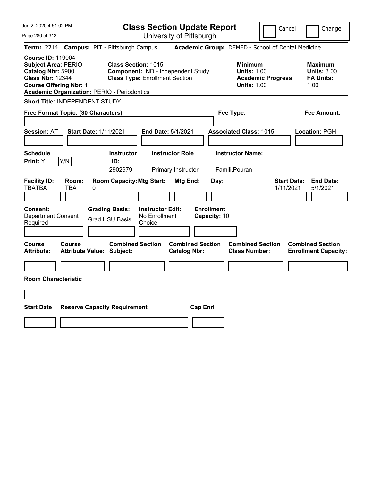| Jun 2, 2020 4:51:02 PM                                                                                                                                                                        |                                                                                                      | <b>Class Section Update Report</b>             |                                                                                        | Cancel<br>Change                                                 |
|-----------------------------------------------------------------------------------------------------------------------------------------------------------------------------------------------|------------------------------------------------------------------------------------------------------|------------------------------------------------|----------------------------------------------------------------------------------------|------------------------------------------------------------------|
| Page 280 of 313                                                                                                                                                                               |                                                                                                      | University of Pittsburgh                       |                                                                                        |                                                                  |
| <b>Term:</b> 2214                                                                                                                                                                             | <b>Campus: PIT - Pittsburgh Campus</b>                                                               |                                                | Academic Group: DEMED - School of Dental Medicine                                      |                                                                  |
| <b>Course ID: 119004</b><br><b>Subject Area: PERIO</b><br>Catalog Nbr: 5900<br><b>Class Nbr: 12344</b><br><b>Course Offering Nbr: 1</b><br><b>Academic Organization: PERIO - Periodontics</b> | Class Section: 1015<br>Component: IND - Independent Study<br><b>Class Type: Enrollment Section</b>   |                                                | <b>Minimum</b><br><b>Units: 1.00</b><br><b>Academic Progress</b><br><b>Units: 1.00</b> | <b>Maximum</b><br><b>Units: 3.00</b><br><b>FA Units:</b><br>1.00 |
| Short Title: INDEPENDENT STUDY                                                                                                                                                                |                                                                                                      |                                                |                                                                                        |                                                                  |
| Free Format Topic: (30 Characters)                                                                                                                                                            |                                                                                                      |                                                | Fee Type:                                                                              | Fee Amount:                                                      |
| <b>Start Date: 1/11/2021</b><br><b>Session: AT</b>                                                                                                                                            | End Date: 5/1/2021                                                                                   |                                                | <b>Associated Class: 1015</b>                                                          | Location: PGH                                                    |
| <b>Schedule</b><br>Y/N<br>Print: Y                                                                                                                                                            | <b>Instructor</b><br>ID:<br>2902979                                                                  | <b>Instructor Role</b><br>Primary Instructor   | <b>Instructor Name:</b><br>Famili, Pouran                                              |                                                                  |
| <b>Facility ID:</b><br>Room:<br><b>TBATBA</b><br>TBA<br>0                                                                                                                                     | <b>Room Capacity: Mtg Start:</b>                                                                     | <b>Mtg End:</b><br>Day:                        |                                                                                        | <b>Start Date:</b><br><b>End Date:</b><br>1/11/2021<br>5/1/2021  |
| Consent:<br><b>Department Consent</b><br>Required                                                                                                                                             | <b>Grading Basis:</b><br><b>Instructor Edit:</b><br>No Enrollment<br><b>Grad HSU Basis</b><br>Choice | <b>Enrollment</b><br>Capacity: 10              |                                                                                        |                                                                  |
| Course<br><b>Course</b><br><b>Attribute:</b><br><b>Attribute Value: Subject:</b>                                                                                                              | <b>Combined Section</b>                                                                              | <b>Combined Section</b><br><b>Catalog Nbr:</b> | <b>Combined Section</b><br><b>Class Number:</b>                                        | <b>Combined Section</b><br><b>Enrollment Capacity:</b>           |
|                                                                                                                                                                                               |                                                                                                      |                                                |                                                                                        |                                                                  |
| <b>Room Characteristic</b>                                                                                                                                                                    |                                                                                                      |                                                |                                                                                        |                                                                  |
|                                                                                                                                                                                               |                                                                                                      |                                                |                                                                                        |                                                                  |
| <b>Start Date</b>                                                                                                                                                                             | <b>Reserve Capacity Requirement</b>                                                                  | <b>Cap Enrl</b>                                |                                                                                        |                                                                  |
|                                                                                                                                                                                               |                                                                                                      |                                                |                                                                                        |                                                                  |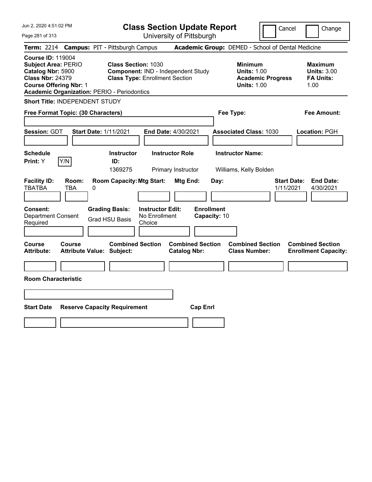| Jun 2, 2020 4:51:02 PM<br>Page 281 of 313                                                                                                                                                     | <b>Class Section Update Report</b><br>University of Pittsburgh                                                                          | Cancel                                                                                 | Change                                                           |
|-----------------------------------------------------------------------------------------------------------------------------------------------------------------------------------------------|-----------------------------------------------------------------------------------------------------------------------------------------|----------------------------------------------------------------------------------------|------------------------------------------------------------------|
| Term: 2214 Campus: PIT - Pittsburgh Campus                                                                                                                                                    |                                                                                                                                         | Academic Group: DEMED - School of Dental Medicine                                      |                                                                  |
| <b>Course ID: 119004</b><br><b>Subject Area: PERIO</b><br>Catalog Nbr: 5900<br><b>Class Nbr: 24379</b><br><b>Course Offering Nbr: 1</b><br><b>Academic Organization: PERIO - Periodontics</b> | <b>Class Section: 1030</b><br>Component: IND - Independent Study<br><b>Class Type: Enrollment Section</b>                               | <b>Minimum</b><br><b>Units: 1.00</b><br><b>Academic Progress</b><br><b>Units: 1.00</b> | <b>Maximum</b><br><b>Units: 3.00</b><br><b>FA Units:</b><br>1.00 |
| Short Title: INDEPENDENT STUDY                                                                                                                                                                |                                                                                                                                         |                                                                                        |                                                                  |
| Free Format Topic: (30 Characters)                                                                                                                                                            |                                                                                                                                         | Fee Type:                                                                              | <b>Fee Amount:</b>                                               |
| Session: GDT<br><b>Start Date: 1/11/2021</b>                                                                                                                                                  | End Date: 4/30/2021                                                                                                                     | <b>Associated Class: 1030</b>                                                          | Location: PGH                                                    |
| <b>Schedule</b><br><b>Instructor</b>                                                                                                                                                          | <b>Instructor Role</b>                                                                                                                  | <b>Instructor Name:</b>                                                                |                                                                  |
| Y/N<br>Print: Y<br>ID:<br>1369275                                                                                                                                                             | Primary Instructor                                                                                                                      | Williams, Kelly Bolden                                                                 |                                                                  |
| <b>Facility ID:</b><br>Room:<br><b>TBATBA</b><br><b>TBA</b><br>0<br><b>Grading Basis:</b><br><b>Consent:</b><br><b>Department Consent</b><br><b>Grad HSU Basis</b><br>Required                | <b>Room Capacity: Mtg Start:</b><br>Mtg End:<br><b>Enrollment</b><br><b>Instructor Edit:</b><br>No Enrollment<br>Capacity: 10<br>Choice | <b>Start Date:</b><br>Day:<br>1/11/2021                                                | <b>End Date:</b><br>4/30/2021                                    |
|                                                                                                                                                                                               |                                                                                                                                         |                                                                                        |                                                                  |
| Course<br>Course<br><b>Attribute:</b><br><b>Attribute Value: Subject:</b>                                                                                                                     | <b>Combined Section</b><br><b>Combined Section</b><br><b>Catalog Nbr:</b>                                                               | <b>Combined Section</b><br><b>Class Number:</b>                                        | <b>Combined Section</b><br><b>Enrollment Capacity:</b>           |
|                                                                                                                                                                                               |                                                                                                                                         |                                                                                        |                                                                  |
| <b>Room Characteristic</b>                                                                                                                                                                    |                                                                                                                                         |                                                                                        |                                                                  |
|                                                                                                                                                                                               |                                                                                                                                         |                                                                                        |                                                                  |
|                                                                                                                                                                                               |                                                                                                                                         |                                                                                        |                                                                  |
| <b>Start Date</b><br><b>Reserve Capacity Requirement</b>                                                                                                                                      | <b>Cap Enrl</b>                                                                                                                         |                                                                                        |                                                                  |
|                                                                                                                                                                                               |                                                                                                                                         |                                                                                        |                                                                  |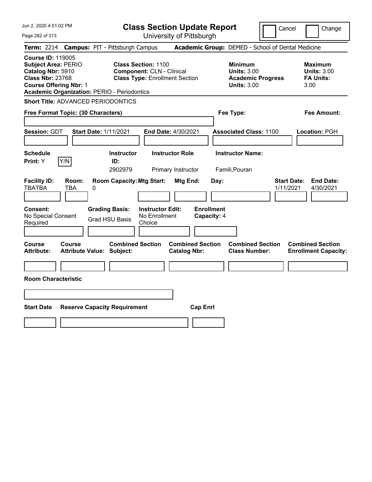**Class Section Update Report**

Cancel | Change

Page 282 of 313 University of Pittsburgh **Term:** 2214 **Campus:** PIT - Pittsburgh Campus **Academic Group:** DEMED - School of Dental Medicine **Course ID:** 119005 **Subject Area:** PERIO **Class Section:** 1100 **Minimum Maximum Catalog Nbr:** 5910 **Component:** CLN - Clinical **Units:** 3.00 **Units:** 3.00 **Class Nbr:** 23768 **Class Type:** Enrollment Section **Academic Progress FA Units: Course Offering Nbr:** 1 **Units:** 3.00 3.00 **Academic Organization:** PERIO - Periodontics **Short Title:** ADVANCED PERIODONTICS **Free Format Topic: (30 Characters) Fee Type: Fee Amount: Session:** GDT **Start Date:** 1/11/2021 **End Date:** 4/30/2021 **Associated Class:** 1100 **Location:** PGH **Schedule Instructor Instructor Role Instructor Name: Print:**  $Y$   $|Y/N|$  **ID:** 2902979 Primary Instructor Famili,Pouran **Facility ID: Room: Room Capacity:Mtg Start: Mtg End: Day: Start Date: End Date:** TBATBA TBA 0 1/11/2021 4/30/2021 **Consent: Grading Basis: Instructor Edit: Enrollment** No Special Consent Required Grad HSU Basis No Enrollment Choice **Capacity:** 4 **Course Course Combined Section Combined Section Combined Section Combined Section Attribute: Attribute Value: Subject: Catalog Nbr: Class Number: Enrollment Capacity: Room Characteristic Start Date Reserve Capacity Requirement Cap Enrl**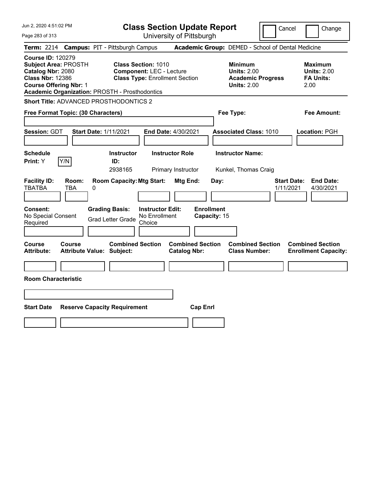| Jun 2, 2020 4:51:02 PM<br>Page 283 of 313                                                                                                                                                         | <b>Class Section Update Report</b><br>University of Pittsburgh                                                                                  | Cancel                                                                                 | Change                                                           |  |
|---------------------------------------------------------------------------------------------------------------------------------------------------------------------------------------------------|-------------------------------------------------------------------------------------------------------------------------------------------------|----------------------------------------------------------------------------------------|------------------------------------------------------------------|--|
| <b>Campus: PIT - Pittsburgh Campus</b><br><b>Term: 2214</b>                                                                                                                                       |                                                                                                                                                 | Academic Group: DEMED - School of Dental Medicine                                      |                                                                  |  |
| <b>Course ID: 120279</b><br><b>Subject Area: PROSTH</b><br>Catalog Nbr: 2080<br><b>Class Nbr: 12386</b><br><b>Course Offering Nbr: 1</b><br><b>Academic Organization: PROSTH - Prosthodontics</b> | <b>Class Section: 1010</b><br><b>Component: LEC - Lecture</b><br><b>Class Type: Enrollment Section</b>                                          | <b>Minimum</b><br><b>Units: 2.00</b><br><b>Academic Progress</b><br><b>Units: 2.00</b> | <b>Maximum</b><br><b>Units: 2.00</b><br><b>FA Units:</b><br>2.00 |  |
| <b>Short Title: ADVANCED PROSTHODONTICS 2</b>                                                                                                                                                     |                                                                                                                                                 |                                                                                        |                                                                  |  |
| Free Format Topic: (30 Characters)                                                                                                                                                                |                                                                                                                                                 | Fee Type:                                                                              | Fee Amount:                                                      |  |
| <b>Session: GDT</b><br><b>Start Date: 1/11/2021</b>                                                                                                                                               | End Date: 4/30/2021                                                                                                                             | <b>Associated Class: 1010</b>                                                          | Location: PGH                                                    |  |
| <b>Schedule</b>                                                                                                                                                                                   | <b>Instructor Role</b><br><b>Instructor</b>                                                                                                     | <b>Instructor Name:</b>                                                                |                                                                  |  |
| Y/N<br>Print: Y                                                                                                                                                                                   | ID:<br>2938165<br>Primary Instructor                                                                                                            | Kunkel, Thomas Craig                                                                   |                                                                  |  |
| <b>Facility ID:</b><br>Room:<br><b>TBATBA</b><br>TBA<br>0<br>Consent:<br><b>Grading Basis:</b><br>No Special Consent<br><b>Grad Letter Grade</b><br>Required                                      | <b>Room Capacity: Mtg Start:</b><br>Mtg End:<br>Day:<br><b>Enrollment</b><br><b>Instructor Edit:</b><br>No Enrollment<br>Capacity: 15<br>Choice | <b>Start Date:</b><br>1/11/2021                                                        | <b>End Date:</b><br>4/30/2021                                    |  |
|                                                                                                                                                                                                   |                                                                                                                                                 |                                                                                        |                                                                  |  |
| <b>Course</b><br><b>Course</b><br>Attribute Value: Subject:<br><b>Attribute:</b>                                                                                                                  | <b>Combined Section</b><br><b>Combined Section</b><br><b>Catalog Nbr:</b>                                                                       | <b>Combined Section</b><br><b>Class Number:</b>                                        | <b>Combined Section</b><br><b>Enrollment Capacity:</b>           |  |
|                                                                                                                                                                                                   |                                                                                                                                                 |                                                                                        |                                                                  |  |
| <b>Room Characteristic</b>                                                                                                                                                                        |                                                                                                                                                 |                                                                                        |                                                                  |  |
|                                                                                                                                                                                                   |                                                                                                                                                 |                                                                                        |                                                                  |  |
| <b>Start Date</b><br><b>Reserve Capacity Requirement</b><br><b>Cap Enrl</b>                                                                                                                       |                                                                                                                                                 |                                                                                        |                                                                  |  |
|                                                                                                                                                                                                   |                                                                                                                                                 |                                                                                        |                                                                  |  |
|                                                                                                                                                                                                   |                                                                                                                                                 |                                                                                        |                                                                  |  |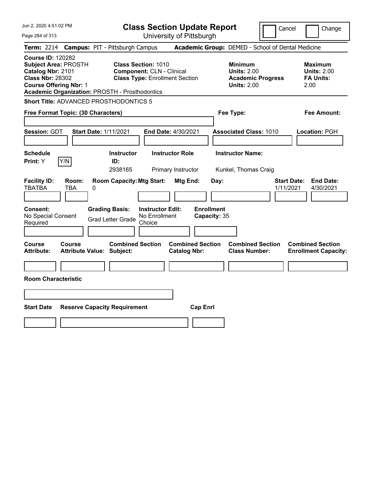Jun 2, 2020 4:51:02 PM Page 284 of 313 **Class Section Update Report** University of Pittsburgh Cancel Change **Term:** 2214 **Campus:** PIT - Pittsburgh Campus **Academic Group:** DEMED - School of Dental Medicine **Course ID:** 120282 **Subject Area:** PROSTH **Class Section:** 1010 **Minimum Maximum Catalog Nbr:** 2101 **Component:** CLN - Clinical **Units:** 2.00 **Units:** 2.00 **Class Nbr:** 28302 **Class Type:** Enrollment Section **Academic Progress FA Units: Course Offering Nbr:** 1 **Units:** 2.00 2.00 **Academic Organization:** PROSTH - Prosthodontics **Short Title:** ADVANCED PROSTHODONTICS 5 **Free Format Topic: (30 Characters) Fee Type: Fee Amount: Session:** GDT **Start Date:** 1/11/2021 **End Date:** 4/30/2021 **Associated Class:** 1010 **Location:** PGH **Schedule Instructor Instructor Role Instructor Name: Print:**  $Y$   $|Y/N|$  **ID:** 2938165 Primary Instructor Kunkel, Thomas Craig **Facility ID: Room: Room Capacity:Mtg Start: Mtg End: Day: Start Date: End Date:** TBATBA TBA 0 1/11/2021 4/30/2021 **Consent: Grading Basis: Instructor Edit: Enrollment** No Special Consent Grad Letter Grade No Enrollment Choice **Capacity:** 35 **Course Course Combined Section Combined Section Combined Section Combined Section Attribute: Attribute Value: Subject: Catalog Nbr: Class Number: Enrollment Capacity: Room Characteristic Start Date Reserve Capacity Requirement Cap Enrl**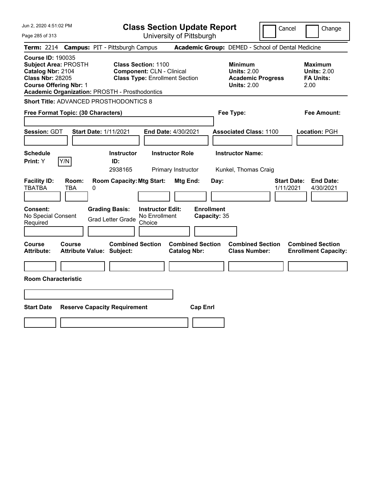Jun 2, 2020 4:51:02 PM Page 285 of 313 **Class Section Update Report** University of Pittsburgh Cancel Change **Term:** 2214 **Campus:** PIT - Pittsburgh Campus **Academic Group:** DEMED - School of Dental Medicine **Course ID:** 190035 **Subject Area:** PROSTH **Class Section:** 1100 **Minimum Maximum Catalog Nbr:** 2104 **Component:** CLN - Clinical **Units:** 2.00 **Units:** 2.00 **Class Nbr:** 28205 **Class Type:** Enrollment Section **Academic Progress FA Units: Course Offering Nbr:** 1 **Units:** 2.00 2.00 **Academic Organization:** PROSTH - Prosthodontics **Short Title:** ADVANCED PROSTHODONTICS 8 **Free Format Topic: (30 Characters) Fee Type: Fee Amount: Session:** GDT **Start Date:** 1/11/2021 **End Date:** 4/30/2021 **Associated Class:** 1100 **Location:** PGH **Schedule Instructor Instructor Role Instructor Name: Print:**  $Y$   $|Y/N|$  **ID:** 2938165 Primary Instructor Kunkel, Thomas Craig **Facility ID: Room: Room Capacity:Mtg Start: Mtg End: Day: Start Date: End Date:** TBATBA TBA 0 1/11/2021 4/30/2021 **Consent: Grading Basis: Instructor Edit: Enrollment** No Special Consent Grad Letter Grade No Enrollment Choice **Capacity:** 35 **Course Course Combined Section Combined Section Combined Section Combined Section Attribute: Attribute Value: Subject: Catalog Nbr: Class Number: Enrollment Capacity: Room Characteristic Start Date Reserve Capacity Requirement Cap Enrl**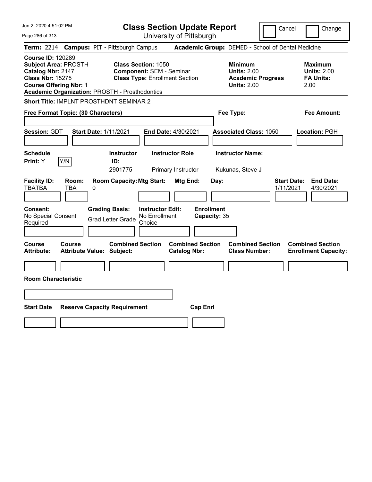| Jun 2, 2020 4:51:02 PM                                                                                                                                                                            | <b>Class Section Update Report</b>                                                                      | Cancel                                                                                 | Change                                                           |  |
|---------------------------------------------------------------------------------------------------------------------------------------------------------------------------------------------------|---------------------------------------------------------------------------------------------------------|----------------------------------------------------------------------------------------|------------------------------------------------------------------|--|
| Page 286 of 313                                                                                                                                                                                   | University of Pittsburgh                                                                                |                                                                                        |                                                                  |  |
| <b>Term: 2214</b>                                                                                                                                                                                 | <b>Campus: PIT - Pittsburgh Campus</b>                                                                  | Academic Group: DEMED - School of Dental Medicine                                      |                                                                  |  |
| <b>Course ID: 120289</b><br><b>Subject Area: PROSTH</b><br>Catalog Nbr: 2147<br><b>Class Nbr: 15275</b><br><b>Course Offering Nbr: 1</b><br><b>Academic Organization: PROSTH - Prosthodontics</b> | <b>Class Section: 1050</b><br><b>Component: SEM - Seminar</b><br><b>Class Type: Enrollment Section</b>  | <b>Minimum</b><br><b>Units: 2.00</b><br><b>Academic Progress</b><br><b>Units: 2.00</b> | Maximum<br><b>Units: 2.00</b><br><b>FA Units:</b><br>2.00        |  |
| Short Title: IMPLNT PROSTHDNT SEMINAR 2                                                                                                                                                           |                                                                                                         |                                                                                        |                                                                  |  |
| Free Format Topic: (30 Characters)                                                                                                                                                                |                                                                                                         | Fee Type:                                                                              | Fee Amount:                                                      |  |
| Session: GDT<br><b>Start Date: 1/11/2021</b>                                                                                                                                                      | End Date: 4/30/2021                                                                                     | <b>Associated Class: 1050</b>                                                          | Location: PGH                                                    |  |
| <b>Schedule</b><br>Y/N<br><b>Print: Y</b>                                                                                                                                                         | <b>Instructor</b><br><b>Instructor Role</b><br>ID:<br>2901775<br>Primary Instructor                     | <b>Instructor Name:</b><br>Kukunas, Steve J                                            |                                                                  |  |
| <b>Facility ID:</b><br>Room:<br><b>TBATBA</b><br>TBA<br>0                                                                                                                                         | <b>Room Capacity: Mtg Start:</b><br><b>Mtg End:</b>                                                     | Day:                                                                                   | <b>Start Date:</b><br><b>End Date:</b><br>1/11/2021<br>4/30/2021 |  |
| <b>Consent:</b><br>No Special Consent<br>Required                                                                                                                                                 | <b>Grading Basis:</b><br><b>Instructor Edit:</b><br>No Enrollment<br><b>Grad Letter Grade</b><br>Choice | <b>Enrollment</b><br>Capacity: 35                                                      |                                                                  |  |
| Course<br>Course<br><b>Attribute:</b><br><b>Attribute Value: Subject:</b>                                                                                                                         | <b>Combined Section</b><br><b>Combined Section</b><br><b>Catalog Nbr:</b>                               | <b>Combined Section</b><br><b>Class Number:</b>                                        | <b>Combined Section</b><br><b>Enrollment Capacity:</b>           |  |
|                                                                                                                                                                                                   |                                                                                                         |                                                                                        |                                                                  |  |
| <b>Room Characteristic</b>                                                                                                                                                                        |                                                                                                         |                                                                                        |                                                                  |  |
|                                                                                                                                                                                                   |                                                                                                         |                                                                                        |                                                                  |  |
| <b>Start Date</b><br><b>Reserve Capacity Requirement</b><br><b>Cap Enrl</b>                                                                                                                       |                                                                                                         |                                                                                        |                                                                  |  |
|                                                                                                                                                                                                   |                                                                                                         |                                                                                        |                                                                  |  |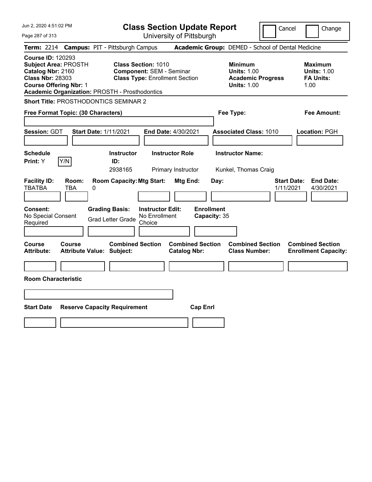| Jun 2, 2020 4:51:02 PM<br>Page 287 of 313                                                                                                                                                  | <b>Class Section Update Report</b><br>University of Pittsburgh                                         | Cancel                                                                                 | Change                                                           |  |
|--------------------------------------------------------------------------------------------------------------------------------------------------------------------------------------------|--------------------------------------------------------------------------------------------------------|----------------------------------------------------------------------------------------|------------------------------------------------------------------|--|
| Term: 2214 Campus: PIT - Pittsburgh Campus                                                                                                                                                 |                                                                                                        | Academic Group: DEMED - School of Dental Medicine                                      |                                                                  |  |
| <b>Course ID: 120293</b><br><b>Subject Area: PROSTH</b><br>Catalog Nbr: 2160<br><b>Class Nbr: 28303</b><br><b>Course Offering Nbr: 1</b><br>Academic Organization: PROSTH - Prosthodontics | <b>Class Section: 1010</b><br><b>Component: SEM - Seminar</b><br><b>Class Type: Enrollment Section</b> | <b>Minimum</b><br><b>Units: 1.00</b><br><b>Academic Progress</b><br><b>Units: 1.00</b> | <b>Maximum</b><br><b>Units: 1.00</b><br><b>FA Units:</b><br>1.00 |  |
| Short Title: PROSTHODONTICS SEMINAR 2                                                                                                                                                      |                                                                                                        |                                                                                        |                                                                  |  |
| Free Format Topic: (30 Characters)                                                                                                                                                         |                                                                                                        | Fee Type:                                                                              | <b>Fee Amount:</b>                                               |  |
| Session: GDT<br><b>Start Date: 1/11/2021</b><br><b>Schedule</b><br>Y/N<br>Print: Y<br>ID:                                                                                                  | End Date: 4/30/2021<br><b>Instructor Role</b><br><b>Instructor</b><br>2938165<br>Primary Instructor    | <b>Associated Class: 1010</b><br><b>Instructor Name:</b><br>Kunkel, Thomas Craig       | Location: PGH                                                    |  |
| <b>Facility ID:</b><br>Room:<br><b>TBATBA</b><br>TBA<br>0                                                                                                                                  | <b>Room Capacity: Mtg Start:</b><br>Mtg End:                                                           | <b>Start Date:</b><br>Day:<br>1/11/2021                                                | <b>End Date:</b><br>4/30/2021                                    |  |
| <b>Consent:</b><br><b>Grading Basis:</b><br>No Special Consent<br><b>Grad Letter Grade</b><br>Required                                                                                     | <b>Enrollment</b><br><b>Instructor Edit:</b><br>No Enrollment<br>Capacity: 35<br>Choice                |                                                                                        |                                                                  |  |
| Course<br><b>Course</b><br><b>Attribute:</b><br><b>Attribute Value: Subject:</b>                                                                                                           | <b>Combined Section</b><br><b>Combined Section</b><br><b>Catalog Nbr:</b>                              | <b>Combined Section</b><br><b>Class Number:</b>                                        | <b>Combined Section</b><br><b>Enrollment Capacity:</b>           |  |
| <b>Room Characteristic</b>                                                                                                                                                                 |                                                                                                        |                                                                                        |                                                                  |  |
|                                                                                                                                                                                            |                                                                                                        |                                                                                        |                                                                  |  |
| <b>Start Date</b><br><b>Reserve Capacity Requirement</b><br><b>Cap Enrl</b>                                                                                                                |                                                                                                        |                                                                                        |                                                                  |  |
|                                                                                                                                                                                            |                                                                                                        |                                                                                        |                                                                  |  |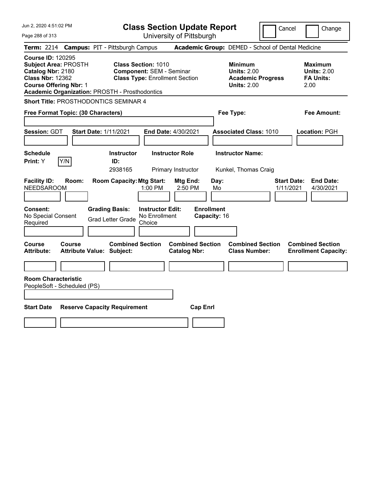| Jun 2, 2020 4:51:02 PM<br>Page 288 of 313                                                                                                                                                         | <b>Class Section Update Report</b><br>University of Pittsburgh                                                      | Cancel                                                                                 | Change                                                           |
|---------------------------------------------------------------------------------------------------------------------------------------------------------------------------------------------------|---------------------------------------------------------------------------------------------------------------------|----------------------------------------------------------------------------------------|------------------------------------------------------------------|
| <b>Campus: PIT - Pittsburgh Campus</b><br><b>Term: 2214</b>                                                                                                                                       |                                                                                                                     | Academic Group: DEMED - School of Dental Medicine                                      |                                                                  |
| <b>Course ID: 120295</b><br><b>Subject Area: PROSTH</b><br>Catalog Nbr: 2180<br><b>Class Nbr: 12362</b><br><b>Course Offering Nbr: 1</b><br><b>Academic Organization: PROSTH - Prosthodontics</b> | <b>Class Section: 1010</b><br><b>Component: SEM - Seminar</b><br><b>Class Type: Enrollment Section</b>              | <b>Minimum</b><br><b>Units: 2.00</b><br><b>Academic Progress</b><br><b>Units: 2.00</b> | <b>Maximum</b><br><b>Units: 2.00</b><br><b>FA Units:</b><br>2.00 |
| <b>Short Title: PROSTHODONTICS SEMINAR 4</b>                                                                                                                                                      |                                                                                                                     |                                                                                        |                                                                  |
| Free Format Topic: (30 Characters)                                                                                                                                                                |                                                                                                                     | Fee Type:                                                                              | <b>Fee Amount:</b>                                               |
| Session: GDT<br><b>Start Date: 1/11/2021</b>                                                                                                                                                      | <b>End Date: 4/30/2021</b>                                                                                          | <b>Associated Class: 1010</b>                                                          | Location: PGH                                                    |
| <b>Schedule</b><br>Y/N<br><b>Print: Y</b>                                                                                                                                                         | <b>Instructor Role</b><br><b>Instructor</b><br>ID:<br>2938165<br>Primary Instructor                                 | <b>Instructor Name:</b><br>Kunkel, Thomas Craig                                        |                                                                  |
| <b>Facility ID:</b><br>Room:<br><b>NEEDSAROOM</b>                                                                                                                                                 | <b>Room Capacity: Mtg Start:</b><br>Mtg End:<br>1:00 PM<br>2:50 PM                                                  | Day:<br>Mo<br>1/11/2021                                                                | <b>Start Date:</b><br><b>End Date:</b><br>4/30/2021              |
| <b>Consent:</b><br><b>Grading Basis:</b><br>No Special Consent<br>Required                                                                                                                        | <b>Enrollment</b><br><b>Instructor Edit:</b><br>No Enrollment<br>Capacity: 16<br><b>Grad Letter Grade</b><br>Choice |                                                                                        |                                                                  |
| <b>Course</b><br>Course<br><b>Attribute:</b><br><b>Attribute Value: Subject:</b>                                                                                                                  | <b>Combined Section</b><br><b>Combined Section</b><br><b>Catalog Nbr:</b>                                           | <b>Combined Section</b><br><b>Class Number:</b>                                        | <b>Combined Section</b><br><b>Enrollment Capacity:</b>           |
|                                                                                                                                                                                                   |                                                                                                                     |                                                                                        |                                                                  |
| <b>Room Characteristic</b><br>PeopleSoft - Scheduled (PS)                                                                                                                                         |                                                                                                                     |                                                                                        |                                                                  |
|                                                                                                                                                                                                   |                                                                                                                     |                                                                                        |                                                                  |
| <b>Start Date</b><br><b>Reserve Capacity Requirement</b>                                                                                                                                          | <b>Cap Enrl</b>                                                                                                     |                                                                                        |                                                                  |
|                                                                                                                                                                                                   |                                                                                                                     |                                                                                        |                                                                  |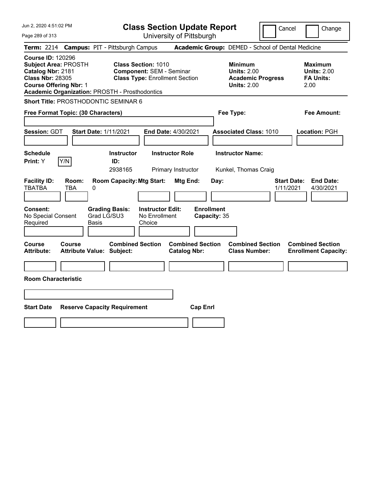| Jun 2, 2020 4:51:02 PM<br>Page 289 of 313                                                                                                                                                         | <b>Class Section Update Report</b><br>University of Pittsburgh                                         |                                                                                        | Cancel<br>Change                                                 |
|---------------------------------------------------------------------------------------------------------------------------------------------------------------------------------------------------|--------------------------------------------------------------------------------------------------------|----------------------------------------------------------------------------------------|------------------------------------------------------------------|
| <b>Term: 2214</b>                                                                                                                                                                                 | <b>Campus: PIT - Pittsburgh Campus</b>                                                                 | Academic Group: DEMED - School of Dental Medicine                                      |                                                                  |
| <b>Course ID: 120296</b><br><b>Subject Area: PROSTH</b><br>Catalog Nbr: 2181<br><b>Class Nbr: 28305</b><br><b>Course Offering Nbr: 1</b><br><b>Academic Organization: PROSTH - Prosthodontics</b> | <b>Class Section: 1010</b><br><b>Component: SEM - Seminar</b><br><b>Class Type: Enrollment Section</b> | <b>Minimum</b><br><b>Units: 2.00</b><br><b>Academic Progress</b><br><b>Units: 2.00</b> | <b>Maximum</b><br><b>Units: 2.00</b><br><b>FA Units:</b><br>2.00 |
| Short Title: PROSTHODONTIC SEMINAR 6                                                                                                                                                              |                                                                                                        |                                                                                        |                                                                  |
| Free Format Topic: (30 Characters)                                                                                                                                                                |                                                                                                        | Fee Type:                                                                              | <b>Fee Amount:</b>                                               |
| Session: GDT<br><b>Start Date: 1/11/2021</b>                                                                                                                                                      | End Date: 4/30/2021                                                                                    | <b>Associated Class: 1010</b>                                                          | <b>Location: PGH</b>                                             |
| <b>Schedule</b><br>Y/N<br>Print: Y                                                                                                                                                                | <b>Instructor</b><br><b>Instructor Role</b><br>ID:<br>2938165<br>Primary Instructor                    | <b>Instructor Name:</b><br>Kunkel, Thomas Craig                                        |                                                                  |
| <b>Facility ID:</b><br>Room:<br><b>TBATBA</b><br>TBA<br>0                                                                                                                                         | <b>Room Capacity: Mtg Start:</b><br>Mtg End:                                                           | Day:                                                                                   | <b>End Date:</b><br><b>Start Date:</b><br>1/11/2021<br>4/30/2021 |
| <b>Consent:</b><br>Grad LG/SU3<br>No Special Consent<br>Required<br>Basis                                                                                                                         | <b>Grading Basis:</b><br><b>Instructor Edit:</b><br>No Enrollment<br>Choice                            | <b>Enrollment</b><br>Capacity: 35                                                      |                                                                  |
| Course<br>Course<br><b>Attribute:</b><br><b>Attribute Value: Subject:</b>                                                                                                                         | <b>Combined Section</b><br><b>Catalog Nbr:</b>                                                         | <b>Combined Section</b><br><b>Combined Section</b><br><b>Class Number:</b>             | <b>Combined Section</b><br><b>Enrollment Capacity:</b>           |
| <b>Room Characteristic</b>                                                                                                                                                                        |                                                                                                        |                                                                                        |                                                                  |
|                                                                                                                                                                                                   |                                                                                                        |                                                                                        |                                                                  |
| <b>Start Date</b><br><b>Reserve Capacity Requirement</b>                                                                                                                                          |                                                                                                        | <b>Cap Enrl</b>                                                                        |                                                                  |
|                                                                                                                                                                                                   |                                                                                                        |                                                                                        |                                                                  |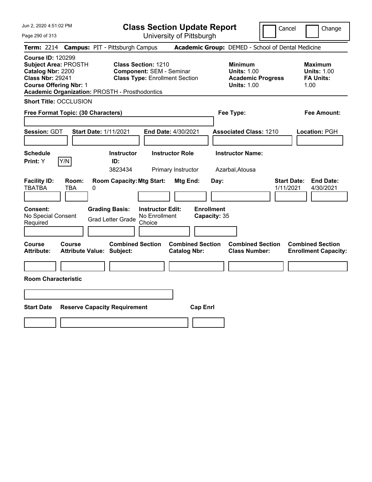|  |  | Jun 2, 2020 4:51:02 PM |  |
|--|--|------------------------|--|
|--|--|------------------------|--|

Page 290 of 313

**Class Section Update Report**

Cancel Change

|                                                                                                                                          | Term: 2214 Campus: PIT - Pittsburgh Campus                  |                                                                                                        |                                   | Academic Group: DEMED - School of Dental Medicine                                      |                                                                  |
|------------------------------------------------------------------------------------------------------------------------------------------|-------------------------------------------------------------|--------------------------------------------------------------------------------------------------------|-----------------------------------|----------------------------------------------------------------------------------------|------------------------------------------------------------------|
| <b>Course ID: 120299</b><br><b>Subject Area: PROSTH</b><br>Catalog Nbr: 2200<br><b>Class Nbr: 29241</b><br><b>Course Offering Nbr: 1</b> | <b>Academic Organization: PROSTH - Prosthodontics</b>       | <b>Class Section: 1210</b><br><b>Component: SEM - Seminar</b><br><b>Class Type: Enrollment Section</b> |                                   | <b>Minimum</b><br><b>Units: 1.00</b><br><b>Academic Progress</b><br><b>Units: 1.00</b> | <b>Maximum</b><br><b>Units: 1.00</b><br><b>FA Units:</b><br>1.00 |
| <b>Short Title: OCCLUSION</b>                                                                                                            |                                                             |                                                                                                        |                                   |                                                                                        |                                                                  |
| Free Format Topic: (30 Characters)                                                                                                       |                                                             |                                                                                                        |                                   | Fee Type:                                                                              | <b>Fee Amount:</b>                                               |
| Session: GDT                                                                                                                             | <b>Start Date: 1/11/2021</b>                                | End Date: 4/30/2021                                                                                    |                                   | <b>Associated Class: 1210</b>                                                          | Location: PGH                                                    |
| <b>Schedule</b><br>Y/N<br>Print: Y                                                                                                       | Instructor<br>ID:<br>3823434                                | <b>Instructor Role</b><br>Primary Instructor                                                           |                                   | <b>Instructor Name:</b><br>Azarbal, Atousa                                             |                                                                  |
| <b>Facility ID:</b><br>Room:<br><b>TBATBA</b><br>TBA                                                                                     | <b>Room Capacity: Mtg Start:</b><br>0                       | Mtg End:                                                                                               | Day:                              |                                                                                        | <b>Start Date:</b><br><b>End Date:</b><br>1/11/2021<br>4/30/2021 |
| <b>Consent:</b><br>No Special Consent<br>Required                                                                                        | <b>Grading Basis:</b><br><b>Grad Letter Grade</b>           | <b>Instructor Edit:</b><br>No Enrollment<br>Choice                                                     | <b>Enrollment</b><br>Capacity: 35 |                                                                                        |                                                                  |
| Course<br>Course<br><b>Attribute:</b>                                                                                                    | <b>Combined Section</b><br><b>Attribute Value: Subject:</b> | <b>Catalog Nbr:</b>                                                                                    | <b>Combined Section</b>           | <b>Combined Section</b><br><b>Class Number:</b>                                        | <b>Combined Section</b><br><b>Enrollment Capacity:</b>           |
| <b>Room Characteristic</b>                                                                                                               |                                                             |                                                                                                        |                                   |                                                                                        |                                                                  |
|                                                                                                                                          |                                                             |                                                                                                        |                                   |                                                                                        |                                                                  |
| <b>Start Date</b>                                                                                                                        | <b>Reserve Capacity Requirement</b>                         |                                                                                                        | <b>Cap Enrl</b>                   |                                                                                        |                                                                  |
|                                                                                                                                          |                                                             |                                                                                                        |                                   |                                                                                        |                                                                  |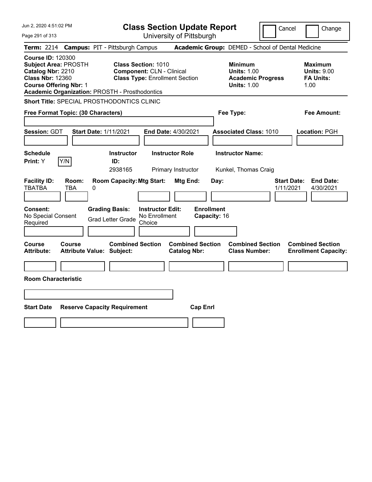|  |  |  | Jun 2, 2020 4:51:02 PM |  |
|--|--|--|------------------------|--|
|--|--|--|------------------------|--|

Page 291 of 313

**Class Section Update Report**

Cancel **Change** 

|                                                                                                                                          |                     | Term: 2214 Campus: PIT - Pittsburgh Campus                                                 |                                                                                                         |                                                       | Academic Group: DEMED - School of Dental Medicine                                      |                                                                  |
|------------------------------------------------------------------------------------------------------------------------------------------|---------------------|--------------------------------------------------------------------------------------------|---------------------------------------------------------------------------------------------------------|-------------------------------------------------------|----------------------------------------------------------------------------------------|------------------------------------------------------------------|
| <b>Course ID: 120300</b><br><b>Subject Area: PROSTH</b><br>Catalog Nbr: 2210<br><b>Class Nbr: 12360</b><br><b>Course Offering Nbr: 1</b> |                     | Academic Organization: PROSTH - Prosthodontics                                             | <b>Class Section: 1010</b><br><b>Component: CLN - Clinical</b><br><b>Class Type: Enrollment Section</b> |                                                       | <b>Minimum</b><br><b>Units: 1.00</b><br><b>Academic Progress</b><br><b>Units: 1.00</b> | Maximum<br><b>Units: 9.00</b><br><b>FA Units:</b><br>1.00        |
|                                                                                                                                          |                     | <b>Short Title: SPECIAL PROSTHODONTICS CLINIC</b>                                          |                                                                                                         |                                                       |                                                                                        |                                                                  |
| Free Format Topic: (30 Characters)                                                                                                       |                     |                                                                                            |                                                                                                         |                                                       | Fee Type:                                                                              | <b>Fee Amount:</b>                                               |
| Session: GDT                                                                                                                             |                     | <b>Start Date: 1/11/2021</b>                                                               | End Date: 4/30/2021                                                                                     |                                                       | <b>Associated Class: 1010</b>                                                          | Location: PGH                                                    |
| <b>Schedule</b><br>Print: Y                                                                                                              | Y/N                 | <b>Instructor</b><br>ID:<br>2938165                                                        | <b>Instructor Role</b><br>Primary Instructor                                                            |                                                       | <b>Instructor Name:</b><br>Kunkel, Thomas Craig                                        |                                                                  |
| <b>Facility ID:</b><br><b>TBATBA</b><br>Consent:<br>No Special Consent<br>Required                                                       | Room:<br><b>TBA</b> | <b>Room Capacity: Mtg Start:</b><br>0<br><b>Grading Basis:</b><br><b>Grad Letter Grade</b> | <b>Instructor Edit:</b><br>No Enrollment<br>Choice                                                      | Mtg End:<br>Day:<br><b>Enrollment</b><br>Capacity: 16 |                                                                                        | <b>End Date:</b><br><b>Start Date:</b><br>1/11/2021<br>4/30/2021 |
| Course<br>Attribute:                                                                                                                     | Course              | <b>Combined Section</b><br><b>Attribute Value: Subject:</b>                                |                                                                                                         | <b>Combined Section</b><br><b>Catalog Nbr:</b>        | <b>Combined Section</b><br><b>Class Number:</b>                                        | <b>Combined Section</b><br><b>Enrollment Capacity:</b>           |
| <b>Room Characteristic</b>                                                                                                               |                     |                                                                                            |                                                                                                         |                                                       |                                                                                        |                                                                  |
|                                                                                                                                          |                     |                                                                                            |                                                                                                         |                                                       |                                                                                        |                                                                  |
| <b>Start Date</b>                                                                                                                        |                     | <b>Reserve Capacity Requirement</b>                                                        |                                                                                                         | <b>Cap Enrl</b>                                       |                                                                                        |                                                                  |
|                                                                                                                                          |                     |                                                                                            |                                                                                                         |                                                       |                                                                                        |                                                                  |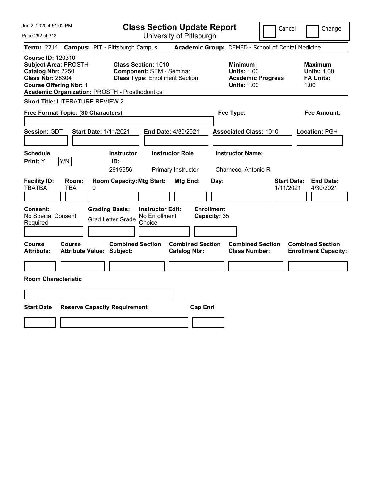Jun 2, 2020 4:51:02 PM Page 292 of 313 **Class Section Update Report** University of Pittsburgh Cancel Change **Term:** 2214 **Campus:** PIT - Pittsburgh Campus **Academic Group:** DEMED - School of Dental Medicine **Course ID:** 120310 **Subject Area:** PROSTH **Class Section:** 1010 **Minimum Maximum Catalog Nbr:** 2250 **Component:** SEM - Seminar **Units:** 1.00 **Units:** 1.00 **Class Nbr:** 28304 **Class Type:** Enrollment Section **Academic Progress FA Units: Course Offering Nbr:** 1 **Units:** 1.00 1.00 **Academic Organization:** PROSTH - Prosthodontics **Short Title:** LITERATURE REVIEW 2 **Free Format Topic: (30 Characters) Fee Type: Fee Amount: Session:** GDT **Start Date:** 1/11/2021 **End Date:** 4/30/2021 **Associated Class:** 1010 **Location:** PGH **Schedule Instructor Instructor Role Instructor Name: Print:**  $Y$   $|Y/N|$  **ID:** 2919656 Primary Instructor Charneco, Antonio R **Facility ID: Room: Room Capacity:Mtg Start: Mtg End: Day: Start Date: End Date:** TBATBA TBA 0 1/11/2021 4/30/2021 **Consent: Grading Basis: Instructor Edit: Enrollment** No Special Consent Grad Letter Grade No Enrollment Choice **Capacity:** 35 **Course Course Combined Section Combined Section Combined Section Combined Section Attribute: Attribute Value: Subject: Catalog Nbr: Class Number: Enrollment Capacity: Room Characteristic Start Date Reserve Capacity Requirement Cap Enrl**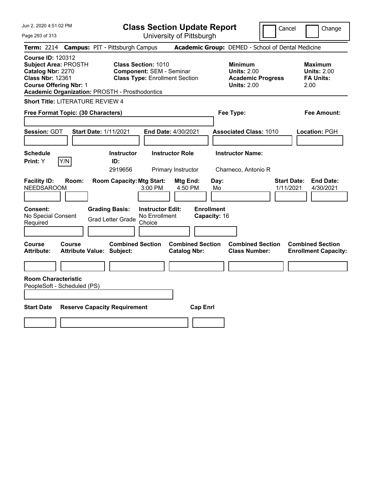| Jun 2, 2020 4:51:02 PM<br>Page 293 of 313                                                                                                                                                         | <b>Class Section Update Report</b><br>University of Pittsburgh                                          | Cancel                                                                                 | Change                                                           |
|---------------------------------------------------------------------------------------------------------------------------------------------------------------------------------------------------|---------------------------------------------------------------------------------------------------------|----------------------------------------------------------------------------------------|------------------------------------------------------------------|
| <b>Term: 2214</b>                                                                                                                                                                                 | <b>Campus: PIT - Pittsburgh Campus</b>                                                                  | Academic Group: DEMED - School of Dental Medicine                                      |                                                                  |
| <b>Course ID: 120312</b><br><b>Subject Area: PROSTH</b><br>Catalog Nbr: 2270<br><b>Class Nbr: 12361</b><br><b>Course Offering Nbr: 1</b><br><b>Academic Organization: PROSTH - Prosthodontics</b> | <b>Class Section: 1010</b><br><b>Component: SEM - Seminar</b><br><b>Class Type: Enrollment Section</b>  | <b>Minimum</b><br><b>Units: 2.00</b><br><b>Academic Progress</b><br><b>Units: 2.00</b> | <b>Maximum</b><br><b>Units: 2.00</b><br><b>FA Units:</b><br>2.00 |
| <b>Short Title: LITERATURE REVIEW 4</b>                                                                                                                                                           |                                                                                                         |                                                                                        |                                                                  |
| Free Format Topic: (30 Characters)                                                                                                                                                                |                                                                                                         | Fee Type:                                                                              | <b>Fee Amount:</b>                                               |
| Session: GDT<br><b>Start Date: 1/11/2021</b>                                                                                                                                                      | <b>End Date: 4/30/2021</b>                                                                              | <b>Associated Class: 1010</b>                                                          | Location: PGH                                                    |
| <b>Schedule</b><br>Y/N<br><b>Print: Y</b>                                                                                                                                                         | <b>Instructor Role</b><br><b>Instructor</b><br>ID:<br>2919656<br>Primary Instructor                     | <b>Instructor Name:</b><br>Charneco, Antonio R                                         |                                                                  |
| <b>Facility ID:</b><br>Room:<br><b>NEEDSAROOM</b>                                                                                                                                                 | <b>Room Capacity: Mtg Start:</b><br>Mtg End:<br>3:00 PM<br>4:50 PM                                      | Day:<br>Mo                                                                             | <b>Start Date:</b><br><b>End Date:</b><br>1/11/2021<br>4/30/2021 |
| <b>Consent:</b><br>No Special Consent<br>Required                                                                                                                                                 | <b>Grading Basis:</b><br><b>Instructor Edit:</b><br>No Enrollment<br><b>Grad Letter Grade</b><br>Choice | <b>Enrollment</b><br>Capacity: 16                                                      |                                                                  |
| <b>Course</b><br><b>Course</b><br><b>Attribute:</b><br><b>Attribute Value: Subject:</b>                                                                                                           | <b>Combined Section</b><br><b>Combined Section</b><br><b>Catalog Nbr:</b>                               | <b>Combined Section</b><br><b>Class Number:</b>                                        | <b>Combined Section</b><br><b>Enrollment Capacity:</b>           |
|                                                                                                                                                                                                   |                                                                                                         |                                                                                        |                                                                  |
| <b>Room Characteristic</b><br>PeopleSoft - Scheduled (PS)                                                                                                                                         |                                                                                                         |                                                                                        |                                                                  |
| <b>Start Date</b><br><b>Reserve Capacity Requirement</b>                                                                                                                                          | <b>Cap Enrl</b>                                                                                         |                                                                                        |                                                                  |
|                                                                                                                                                                                                   |                                                                                                         |                                                                                        |                                                                  |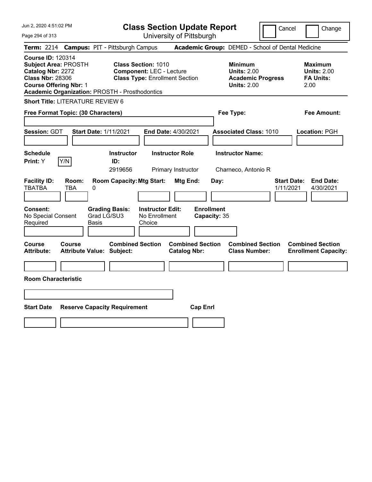Jun 2, 2020 4:51:02 PM Page 294 of 313 **Class Section Update Report** University of Pittsburgh Cancel | Change **Term:** 2214 **Campus:** PIT - Pittsburgh Campus **Academic Group:** DEMED - School of Dental Medicine **Course ID:** 120314 **Subject Area:** PROSTH **Class Section:** 1010 **Minimum Maximum Catalog Nbr:** 2272 **Component:** LEC - Lecture **Units:** 2.00 **Units:** 2.00 **Class Nbr:** 28306 **Class Type:** Enrollment Section **Academic Progress FA Units: Course Offering Nbr:** 1 **Units:** 2.00 2.00 **Academic Organization:** PROSTH - Prosthodontics **Short Title:** LITERATURE REVIEW 6 **Free Format Topic: (30 Characters) Fee Type: Fee Amount: Session:** GDT **Start Date:** 1/11/2021 **End Date:** 4/30/2021 **Associated Class:** 1010 **Location:** PGH **Schedule Instructor Instructor Role Instructor Name: Print:**  $Y$   $|Y/N|$  **ID:** 2919656 Primary Instructor Charneco, Antonio R **Facility ID: Room: Room Capacity:Mtg Start: Mtg End: Day: Start Date: End Date:** TBATBA TBA 0 1/11/2021 4/30/2021 **Consent: Grading Basis: Instructor Edit: Enrollment** No Special Consent Required Grad LG/SU3 Basis No Enrollment Choice **Capacity:** 35 **Course Course Combined Section Combined Section Combined Section Combined Section Attribute: Attribute Value: Subject: Catalog Nbr: Class Number: Enrollment Capacity: Room Characteristic Start Date Reserve Capacity Requirement Cap Enrl**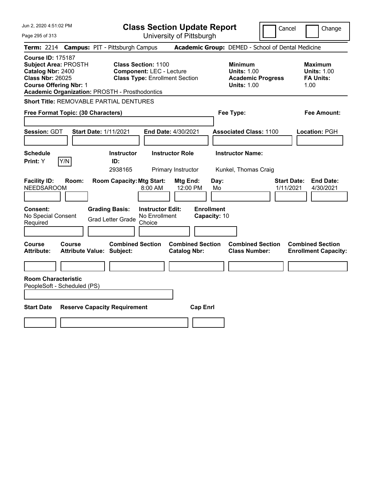Jun 2, 2020 4:51:02 PM Page 295 of 313 **Class Section Update Report** University of Pittsburgh Cancel Change **Term:** 2214 **Campus:** PIT - Pittsburgh Campus **Academic Group:** DEMED - School of Dental Medicine **Course ID:** 175187 **Subject Area:** PROSTH **Class Section:** 1100 **Minimum Maximum Catalog Nbr:** 2400 **Component:** LEC - Lecture **Units:** 1.00 **Units:** 1.00 **Class Nbr:** 26025 **Class Type:** Enrollment Section **Academic Progress FA Units: Course Offering Nbr:** 1 **Units:** 1.00 1.00 **Academic Organization:** PROSTH - Prosthodontics **Short Title:** REMOVABLE PARTIAL DENTURES **Free Format Topic: (30 Characters) Fee Type: Fee Amount: Session:** GDT **Start Date:** 1/11/2021 **End Date:** 4/30/2021 **Associated Class:** 1100 **Location:** PGH **Schedule Instructor Instructor Role Instructor Name: Print:**  $Y$   $|Y/N|$  **ID:** 2938165 Primary Instructor Kunkel, Thomas Craig **Facility ID: Room: Room Capacity:Mtg Start: Mtg End: Day: Start Date: End Date:** NEEDSAROOM 8:00 AM 12:00 PM Mo 1/11/2021 4/30/2021 **Consent: Grading Basis: Instructor Edit: Enrollment** No Special Consent No Special Consent Grad Letter Grade No Enrollment<br>Required Choice Choice **Capacity:** 10 **Course Course Combined Section Combined Section Combined Section Combined Section Attribute: Attribute Value: Subject: Catalog Nbr: Class Number: Enrollment Capacity: Room Characteristic** PeopleSoft - Scheduled (PS) **Start Date Reserve Capacity Requirement Cap Enrl**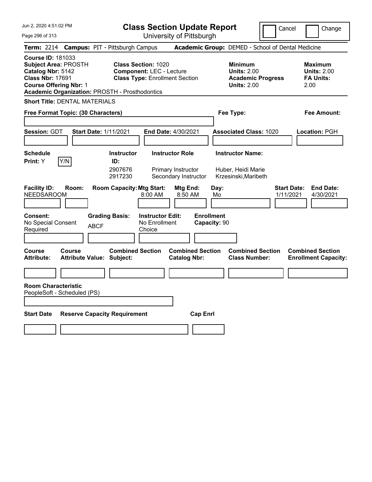|  |  |  | Jun 2, 2020 4:51:02 PM |  |
|--|--|--|------------------------|--|
|--|--|--|------------------------|--|

**Class Section Update Report**

Cancel **I** Change

Page 296 of 313

| Page 296 of 313                                                                                                                                                                                   |                                            |                               |                                                                                                        |                                                               | University of Pittsburgh                                             |                                   |            |                                                                                        |                                 |                                                           |
|---------------------------------------------------------------------------------------------------------------------------------------------------------------------------------------------------|--------------------------------------------|-------------------------------|--------------------------------------------------------------------------------------------------------|---------------------------------------------------------------|----------------------------------------------------------------------|-----------------------------------|------------|----------------------------------------------------------------------------------------|---------------------------------|-----------------------------------------------------------|
| <b>Term:</b> 2214                                                                                                                                                                                 | <b>Campus: PIT - Pittsburgh Campus</b>     |                               |                                                                                                        |                                                               |                                                                      |                                   |            | Academic Group: DEMED - School of Dental Medicine                                      |                                 |                                                           |
| <b>Course ID: 181033</b><br><b>Subject Area: PROSTH</b><br>Catalog Nbr: 5142<br><b>Class Nbr: 17691</b><br><b>Course Offering Nbr: 1</b><br><b>Academic Organization: PROSTH - Prosthodontics</b> |                                            |                               | <b>Class Section: 1020</b><br><b>Component: LEC - Lecture</b><br><b>Class Type: Enrollment Section</b> |                                                               |                                                                      |                                   |            | <b>Minimum</b><br><b>Units: 2.00</b><br><b>Academic Progress</b><br><b>Units: 2.00</b> |                                 | Maximum<br><b>Units: 2.00</b><br><b>FA Units:</b><br>2.00 |
| <b>Short Title: DENTAL MATERIALS</b>                                                                                                                                                              |                                            |                               |                                                                                                        |                                                               |                                                                      |                                   |            |                                                                                        |                                 |                                                           |
| Free Format Topic: (30 Characters)                                                                                                                                                                |                                            |                               |                                                                                                        |                                                               |                                                                      |                                   |            | Fee Type:                                                                              |                                 | Fee Amount:                                               |
| <b>Session:</b> GDT                                                                                                                                                                               |                                            | <b>Start Date: 1/11/2021</b>  |                                                                                                        |                                                               | End Date: 4/30/2021                                                  |                                   |            | <b>Associated Class: 1020</b>                                                          |                                 | Location: PGH                                             |
| <b>Schedule</b><br>Print: Y                                                                                                                                                                       | Y/N                                        |                               | <b>Instructor</b><br>ID:<br>2907676<br>2917230                                                         |                                                               | <b>Instructor Role</b><br>Primary Instructor<br>Secondary Instructor |                                   |            | <b>Instructor Name:</b><br>Huber, Heidi Marie<br>Krzesinski, Maribeth                  |                                 |                                                           |
| <b>Facility ID:</b><br><b>NEEDSAROOM</b><br><b>Consent:</b><br>No Special Consent<br>Required                                                                                                     | Room:                                      | <b>Grading Basis:</b><br>ABCF | <b>Room Capacity: Mtg Start:</b>                                                                       | 8:00 AM<br><b>Instructor Edit:</b><br>No Enrollment<br>Choice | Mtg End:<br>8:50 AM                                                  | <b>Enrollment</b><br>Capacity: 90 | Day:<br>Mo |                                                                                        | <b>Start Date:</b><br>1/11/2021 | <b>End Date:</b><br>4/30/2021                             |
| Course<br><b>Attribute:</b><br><b>Room Characteristic</b><br>PeopleSoft - Scheduled (PS)                                                                                                          | Course<br><b>Attribute Value: Subject:</b> |                               | <b>Combined Section</b>                                                                                |                                                               | <b>Combined Section</b><br><b>Catalog Nbr:</b>                       |                                   |            | <b>Combined Section</b><br><b>Class Number:</b>                                        |                                 | <b>Combined Section</b><br><b>Enrollment Capacity:</b>    |
| <b>Start Date</b>                                                                                                                                                                                 | <b>Reserve Capacity Requirement</b>        |                               |                                                                                                        |                                                               |                                                                      | <b>Cap Enrl</b>                   |            |                                                                                        |                                 |                                                           |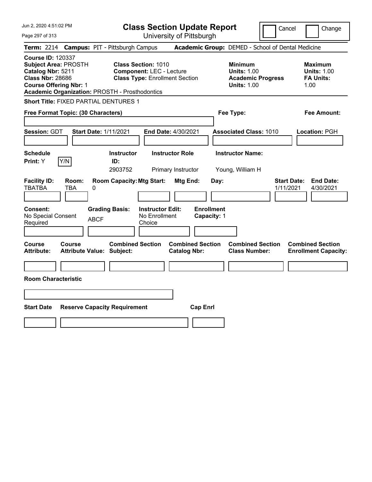| Jun 2, 2020 4:51:02 PM<br>Page 297 of 313                                                                                                                                                         | <b>Class Section Update Report</b><br>University of Pittsburgh                                         |                                                                                        | Cancel<br>Change                                                 |
|---------------------------------------------------------------------------------------------------------------------------------------------------------------------------------------------------|--------------------------------------------------------------------------------------------------------|----------------------------------------------------------------------------------------|------------------------------------------------------------------|
| Term: 2214 Campus: PIT - Pittsburgh Campus                                                                                                                                                        |                                                                                                        | Academic Group: DEMED - School of Dental Medicine                                      |                                                                  |
| <b>Course ID: 120337</b><br><b>Subject Area: PROSTH</b><br>Catalog Nbr: 5211<br><b>Class Nbr: 28686</b><br><b>Course Offering Nbr: 1</b><br><b>Academic Organization: PROSTH - Prosthodontics</b> | <b>Class Section: 1010</b><br><b>Component: LEC - Lecture</b><br><b>Class Type: Enrollment Section</b> | <b>Minimum</b><br><b>Units: 1.00</b><br><b>Academic Progress</b><br><b>Units: 1.00</b> | <b>Maximum</b><br><b>Units: 1.00</b><br><b>FA Units:</b><br>1.00 |
| <b>Short Title: FIXED PARTIAL DENTURES 1</b>                                                                                                                                                      |                                                                                                        |                                                                                        |                                                                  |
| Free Format Topic: (30 Characters)                                                                                                                                                                |                                                                                                        | Fee Type:                                                                              | Fee Amount:                                                      |
| <b>Session: GDT</b><br><b>Start Date: 1/11/2021</b>                                                                                                                                               | End Date: 4/30/2021                                                                                    | <b>Associated Class: 1010</b>                                                          | Location: PGH                                                    |
| <b>Schedule</b><br>Y/N<br>Print: Y                                                                                                                                                                | <b>Instructor Role</b><br><b>Instructor</b><br>ID:<br>2903752<br>Primary Instructor                    | <b>Instructor Name:</b><br>Young, William H                                            |                                                                  |
| <b>Facility ID:</b><br>Room:<br><b>TBATBA</b><br>TBA<br>0                                                                                                                                         | <b>Room Capacity: Mtg Start:</b><br>Mtg End:                                                           | Day:                                                                                   | <b>Start Date:</b><br><b>End Date:</b><br>1/11/2021<br>4/30/2021 |
| <b>Consent:</b><br>No Special Consent<br><b>ABCF</b><br>Required                                                                                                                                  | <b>Grading Basis:</b><br><b>Instructor Edit:</b><br>No Enrollment<br>Choice                            | <b>Enrollment</b><br>Capacity: 1                                                       |                                                                  |
| Course<br>Course<br><b>Attribute:</b><br><b>Attribute Value: Subject:</b>                                                                                                                         | <b>Combined Section</b><br><b>Catalog Nbr:</b>                                                         | <b>Combined Section</b><br><b>Combined Section</b><br><b>Class Number:</b>             | <b>Combined Section</b><br><b>Enrollment Capacity:</b>           |
| <b>Room Characteristic</b>                                                                                                                                                                        |                                                                                                        |                                                                                        |                                                                  |
|                                                                                                                                                                                                   |                                                                                                        |                                                                                        |                                                                  |
|                                                                                                                                                                                                   |                                                                                                        |                                                                                        |                                                                  |
| <b>Start Date</b><br><b>Reserve Capacity Requirement</b>                                                                                                                                          |                                                                                                        | <b>Cap Enrl</b>                                                                        |                                                                  |
|                                                                                                                                                                                                   |                                                                                                        |                                                                                        |                                                                  |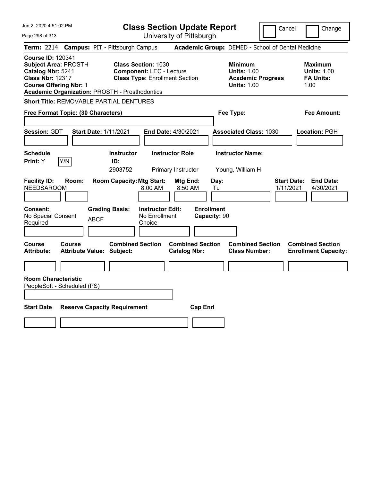Jun 2, 2020 4:51:02 PM Page 298 of 313 **Class Section Update Report** University of Pittsburgh Cancel Change **Term:** 2214 **Campus:** PIT - Pittsburgh Campus **Academic Group:** DEMED - School of Dental Medicine **Course ID:** 120341 **Subject Area:** PROSTH **Class Section:** 1030 **Minimum Maximum Catalog Nbr:** 5241 **Component:** LEC - Lecture **Units:** 1.00 **Units:** 1.00 **Class Nbr:** 12317 **Class Type:** Enrollment Section **Academic Progress FA Units: Course Offering Nbr:** 1 **Units:** 1.00 1.00 **Academic Organization:** PROSTH - Prosthodontics **Short Title:** REMOVABLE PARTIAL DENTURES **Free Format Topic: (30 Characters) Fee Type: Fee Amount: Session:** GDT **Start Date:** 1/11/2021 **End Date:** 4/30/2021 **Associated Class:** 1030 **Location:** PGH **Schedule Instructor Instructor Role Instructor Name: Print:**  $Y$   $|Y/N|$  **ID:** 2903752 Primary Instructor Young, William H **Facility ID: Room: Room Capacity:Mtg Start: Mtg End: Day: Start Date: End Date:** NEEDSAROOM 8:00 AM 8:50 AM Tu 1/11/2021 4/30/2021 **Consent: Grading Basis: Instructor Edit: Enrollment** No Special Consent BCF No Enrollment<br>Required ABCF Choice Choice **Capacity:** 90 **Course Course Combined Section Combined Section Combined Section Combined Section Attribute: Attribute Value: Subject: Catalog Nbr: Class Number: Enrollment Capacity: Room Characteristic** PeopleSoft - Scheduled (PS) **Start Date Reserve Capacity Requirement Cap Enrl**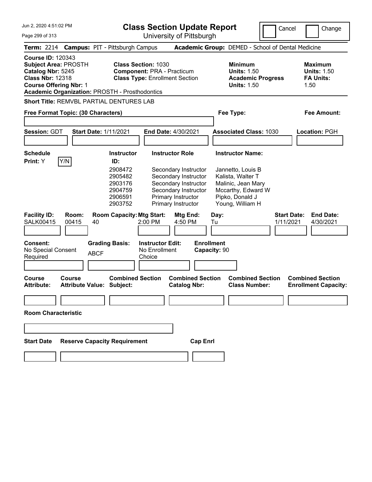Jun 2, 2020 4:51:02 PM

**Class Section Update Report**

| JUN 2, 2020 4:51:02 PM                                                                                                                                                                            |                                                                | <b>Class Section Update Report</b>                                                                                                       |                                   |                                                                                                                           | Cancel                          | Change                                                           |
|---------------------------------------------------------------------------------------------------------------------------------------------------------------------------------------------------|----------------------------------------------------------------|------------------------------------------------------------------------------------------------------------------------------------------|-----------------------------------|---------------------------------------------------------------------------------------------------------------------------|---------------------------------|------------------------------------------------------------------|
| Page 299 of 313                                                                                                                                                                                   |                                                                | University of Pittsburgh                                                                                                                 |                                   |                                                                                                                           |                                 |                                                                  |
| <b>Term: 2214</b>                                                                                                                                                                                 | <b>Campus: PIT - Pittsburgh Campus</b>                         |                                                                                                                                          |                                   | Academic Group: DEMED - School of Dental Medicine                                                                         |                                 |                                                                  |
| <b>Course ID: 120343</b><br><b>Subject Area: PROSTH</b><br>Catalog Nbr: 5245<br><b>Class Nbr: 12318</b><br><b>Course Offering Nbr: 1</b><br><b>Academic Organization: PROSTH - Prosthodontics</b> | <b>Class Section: 1030</b>                                     | <b>Component: PRA - Practicum</b><br><b>Class Type: Enrollment Section</b>                                                               |                                   | <b>Minimum</b><br><b>Units: 1.50</b><br><b>Academic Progress</b><br><b>Units: 1.50</b>                                    |                                 | <b>Maximum</b><br><b>Units: 1.50</b><br><b>FA Units:</b><br>1.50 |
| Short Title: REMVBL PARTIAL DENTURES LAB                                                                                                                                                          |                                                                |                                                                                                                                          |                                   |                                                                                                                           |                                 |                                                                  |
| Free Format Topic: (30 Characters)                                                                                                                                                                |                                                                |                                                                                                                                          |                                   | Fee Type:                                                                                                                 |                                 | <b>Fee Amount:</b>                                               |
| Session: GDT                                                                                                                                                                                      | <b>Start Date: 1/11/2021</b>                                   | End Date: 4/30/2021                                                                                                                      |                                   | <b>Associated Class: 1030</b>                                                                                             |                                 | Location: PGH                                                    |
| <b>Schedule</b><br>Y/N<br>Print: Y                                                                                                                                                                | <b>Instructor</b><br>ID:                                       | <b>Instructor Role</b>                                                                                                                   |                                   | <b>Instructor Name:</b>                                                                                                   |                                 |                                                                  |
|                                                                                                                                                                                                   | 2908472<br>2905482<br>2903176<br>2904759<br>2906591<br>2903752 | Secondary Instructor<br>Secondary Instructor<br>Secondary Instructor<br>Secondary Instructor<br>Primary Instructor<br>Primary Instructor |                                   | Jannetto, Louis B<br>Kalista, Walter T<br>Malinic, Jean Mary<br>Mccarthy, Edward W<br>Pipko, Donald J<br>Young, William H |                                 |                                                                  |
| <b>Facility ID:</b><br>Room:<br><b>SALK00415</b><br>00415                                                                                                                                         | <b>Room Capacity: Mtg Start:</b><br>40                         | Mtg End:<br>2:00 PM<br>4:50 PM                                                                                                           | Day:<br>Tu                        |                                                                                                                           | <b>Start Date:</b><br>1/11/2021 | <b>End Date:</b><br>4/30/2021                                    |
| <b>Consent:</b><br>No Special Consent<br>Required                                                                                                                                                 | <b>Grading Basis:</b><br><b>ABCF</b>                           | <b>Instructor Edit:</b><br>No Enrollment<br>Choice                                                                                       | <b>Enrollment</b><br>Capacity: 90 |                                                                                                                           |                                 |                                                                  |
| Course<br><b>Course</b><br><b>Attribute:</b>                                                                                                                                                      | <b>Combined Section</b><br><b>Attribute Value: Subject:</b>    | <b>Catalog Nbr:</b>                                                                                                                      | <b>Combined Section</b>           | <b>Combined Section</b><br><b>Class Number:</b>                                                                           |                                 | <b>Combined Section</b><br><b>Enrollment Capacity:</b>           |
|                                                                                                                                                                                                   |                                                                |                                                                                                                                          |                                   |                                                                                                                           |                                 |                                                                  |
| <b>Room Characteristic</b>                                                                                                                                                                        |                                                                |                                                                                                                                          |                                   |                                                                                                                           |                                 |                                                                  |
|                                                                                                                                                                                                   |                                                                |                                                                                                                                          |                                   |                                                                                                                           |                                 |                                                                  |
| <b>Start Date</b>                                                                                                                                                                                 | <b>Reserve Capacity Requirement</b>                            |                                                                                                                                          | <b>Cap Enrl</b>                   |                                                                                                                           |                                 |                                                                  |
|                                                                                                                                                                                                   |                                                                |                                                                                                                                          |                                   |                                                                                                                           |                                 |                                                                  |
|                                                                                                                                                                                                   |                                                                |                                                                                                                                          |                                   |                                                                                                                           |                                 |                                                                  |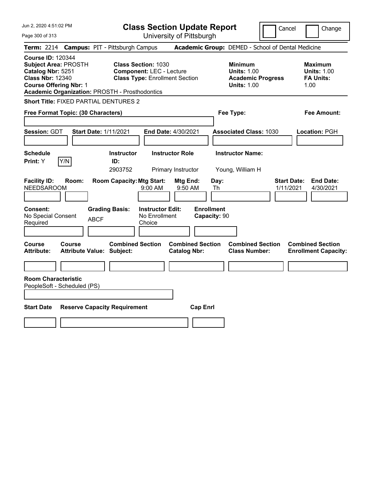| Jun 2, 2020 4:51:02 PM<br>Page 300 of 313                                                                                                                                                  | <b>Class Section Update Report</b><br>University of Pittsburgh                                         |                                                                                        | Cancel<br>Change                                                 |
|--------------------------------------------------------------------------------------------------------------------------------------------------------------------------------------------|--------------------------------------------------------------------------------------------------------|----------------------------------------------------------------------------------------|------------------------------------------------------------------|
| <b>Campus: PIT - Pittsburgh Campus</b><br><b>Term: 2214</b>                                                                                                                                |                                                                                                        | Academic Group: DEMED - School of Dental Medicine                                      |                                                                  |
| <b>Course ID: 120344</b><br><b>Subject Area: PROSTH</b><br>Catalog Nbr: 5251<br><b>Class Nbr: 12340</b><br><b>Course Offering Nbr: 1</b><br>Academic Organization: PROSTH - Prosthodontics | <b>Class Section: 1030</b><br><b>Component: LEC - Lecture</b><br><b>Class Type: Enrollment Section</b> | <b>Minimum</b><br><b>Units: 1.00</b><br><b>Academic Progress</b><br><b>Units: 1.00</b> | <b>Maximum</b><br><b>Units: 1.00</b><br><b>FA Units:</b><br>1.00 |
| <b>Short Title: FIXED PARTIAL DENTURES 2</b>                                                                                                                                               |                                                                                                        |                                                                                        |                                                                  |
| Free Format Topic: (30 Characters)                                                                                                                                                         |                                                                                                        | Fee Type:                                                                              | <b>Fee Amount:</b>                                               |
| <b>Session: GDT</b><br><b>Start Date: 1/11/2021</b>                                                                                                                                        | End Date: 4/30/2021                                                                                    | <b>Associated Class: 1030</b>                                                          | Location: PGH                                                    |
| <b>Schedule</b><br>Y/N<br>Print: Y<br>ID:                                                                                                                                                  | <b>Instructor Role</b><br><b>Instructor</b><br>2903752<br>Primary Instructor                           | <b>Instructor Name:</b><br>Young, William H                                            |                                                                  |
| <b>Facility ID:</b><br>Room:<br><b>NEEDSAROOM</b>                                                                                                                                          | <b>Room Capacity: Mtg Start:</b><br>Mtg End:<br>Day:<br>9:00 AM<br>9:50 AM<br>Th                       |                                                                                        | <b>Start Date:</b><br><b>End Date:</b><br>1/11/2021<br>4/30/2021 |
| <b>Grading Basis:</b><br><b>Consent:</b><br>No Special Consent<br><b>ABCF</b><br>Required                                                                                                  | <b>Enrollment</b><br><b>Instructor Edit:</b><br>No Enrollment<br>Capacity: 90<br>Choice                |                                                                                        |                                                                  |
| <b>Course</b><br>Course<br><b>Attribute:</b><br><b>Attribute Value: Subject:</b>                                                                                                           | <b>Combined Section</b><br><b>Combined Section</b><br><b>Catalog Nbr:</b>                              | <b>Combined Section</b><br><b>Class Number:</b>                                        | <b>Combined Section</b><br><b>Enrollment Capacity:</b>           |
|                                                                                                                                                                                            |                                                                                                        |                                                                                        |                                                                  |
| <b>Room Characteristic</b><br>PeopleSoft - Scheduled (PS)                                                                                                                                  |                                                                                                        |                                                                                        |                                                                  |
| <b>Start Date</b><br><b>Reserve Capacity Requirement</b>                                                                                                                                   | <b>Cap Enrl</b>                                                                                        |                                                                                        |                                                                  |
|                                                                                                                                                                                            |                                                                                                        |                                                                                        |                                                                  |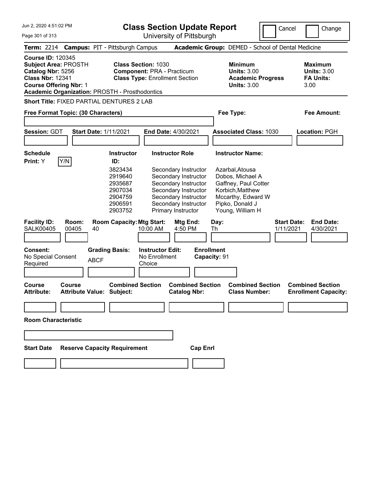Jun 2, 2020 4:51:02 PM

**Class Section Update Report**

University of Pittsburgh

Cancel **Change** 

Page 301 of 313

|                                                                                                                                                                                                                                                                                                        |  |        |       |             | Term: 2214 Campus: PIT - Pittsburgh Campus                                                            |                                                    |                                                                                                                                                                                              |                                                                  |                                   |                                                                                                                           | <b>Academic Group: DEMED - School of Dental Medicine</b> |                                 |                                                        |
|--------------------------------------------------------------------------------------------------------------------------------------------------------------------------------------------------------------------------------------------------------------------------------------------------------|--|--------|-------|-------------|-------------------------------------------------------------------------------------------------------|----------------------------------------------------|----------------------------------------------------------------------------------------------------------------------------------------------------------------------------------------------|------------------------------------------------------------------|-----------------------------------|---------------------------------------------------------------------------------------------------------------------------|----------------------------------------------------------|---------------------------------|--------------------------------------------------------|
| <b>Course ID: 120345</b><br>Subject Area: PROSTH<br><b>Class Section: 1030</b><br>Catalog Nbr: 5256<br><b>Component: PRA - Practicum</b><br><b>Class Nbr: 12341</b><br><b>Class Type: Enrollment Section</b><br><b>Course Offering Nbr: 1</b><br><b>Academic Organization: PROSTH - Prosthodontics</b> |  |        |       |             | <b>Minimum</b><br><b>Units: 3.00</b><br><b>Academic Progress</b><br><b>Units: 3.00</b>                |                                                    |                                                                                                                                                                                              | <b>Maximum</b><br><b>Units: 3.00</b><br><b>FA Units:</b><br>3.00 |                                   |                                                                                                                           |                                                          |                                 |                                                        |
|                                                                                                                                                                                                                                                                                                        |  |        |       |             | Short Title: FIXED PARTIAL DENTURES 2 LAB                                                             |                                                    |                                                                                                                                                                                              |                                                                  |                                   |                                                                                                                           |                                                          |                                 |                                                        |
| Free Format Topic: (30 Characters)                                                                                                                                                                                                                                                                     |  |        |       |             |                                                                                                       |                                                    |                                                                                                                                                                                              |                                                                  |                                   | Fee Type:                                                                                                                 |                                                          |                                 | <b>Fee Amount:</b>                                     |
| <b>Session: GDT</b>                                                                                                                                                                                                                                                                                    |  |        |       |             | <b>Start Date: 1/11/2021</b>                                                                          |                                                    | <b>End Date: 4/30/2021</b>                                                                                                                                                                   |                                                                  |                                   |                                                                                                                           | <b>Associated Class: 1030</b>                            |                                 | Location: PGH                                          |
| <b>Schedule</b><br>Print: Y                                                                                                                                                                                                                                                                            |  | Y/N    |       |             | <b>Instructor</b><br>ID:<br>3823434<br>2919640<br>2935687<br>2907034<br>2904759<br>2906591<br>2903752 |                                                    | <b>Instructor Role</b><br>Secondary Instructor<br>Secondary Instructor<br>Secondary Instructor<br>Secondary Instructor<br>Secondary Instructor<br>Secondary Instructor<br>Primary Instructor |                                                                  |                                   | <b>Instructor Name:</b><br>Azarbal, Atousa<br>Dobos, Michael A<br>Korbich, Matthew<br>Pipko, Donald J<br>Young, William H | Gaffney, Paul Cotter<br>Mccarthy, Edward W               |                                 |                                                        |
| <b>Facility ID:</b><br><b>SALK00405</b>                                                                                                                                                                                                                                                                |  | 00405  | Room: | 40          | <b>Room Capacity: Mtg Start:</b>                                                                      | 10:00 AM                                           | Mtg End:<br>4:50 PM                                                                                                                                                                          |                                                                  | Day:<br>Th                        |                                                                                                                           |                                                          | <b>Start Date:</b><br>1/11/2021 | <b>End Date:</b><br>4/30/2021                          |
| <b>Consent:</b><br>No Special Consent<br>Required                                                                                                                                                                                                                                                      |  |        |       | <b>ABCF</b> | <b>Grading Basis:</b>                                                                                 | <b>Instructor Edit:</b><br>No Enrollment<br>Choice |                                                                                                                                                                                              |                                                                  | <b>Enrollment</b><br>Capacity: 91 |                                                                                                                           |                                                          |                                 |                                                        |
| <b>Course</b><br><b>Attribute:</b>                                                                                                                                                                                                                                                                     |  | Course |       |             | <b>Combined Section</b><br><b>Attribute Value: Subject:</b>                                           |                                                    | <b>Combined Section</b><br><b>Catalog Nbr:</b>                                                                                                                                               |                                                                  |                                   |                                                                                                                           | <b>Combined Section</b><br><b>Class Number:</b>          |                                 | <b>Combined Section</b><br><b>Enrollment Capacity:</b> |
| <b>Room Characteristic</b>                                                                                                                                                                                                                                                                             |  |        |       |             |                                                                                                       |                                                    |                                                                                                                                                                                              |                                                                  |                                   |                                                                                                                           |                                                          |                                 |                                                        |
|                                                                                                                                                                                                                                                                                                        |  |        |       |             |                                                                                                       |                                                    |                                                                                                                                                                                              |                                                                  |                                   |                                                                                                                           |                                                          |                                 |                                                        |
| <b>Start Date</b>                                                                                                                                                                                                                                                                                      |  |        |       |             | <b>Reserve Capacity Requirement</b>                                                                   |                                                    |                                                                                                                                                                                              | <b>Cap Enrl</b>                                                  |                                   |                                                                                                                           |                                                          |                                 |                                                        |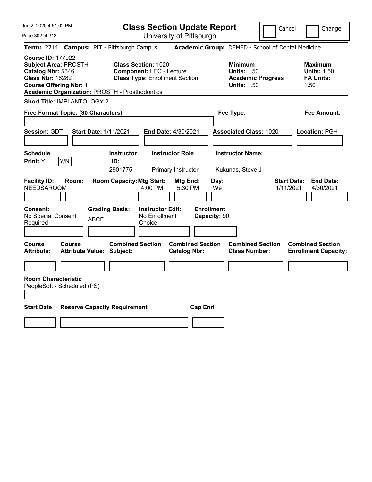| Jun 2, 2020 4:51:02 PM<br>Page 302 of 313                                                                                                                                                         | <b>Class Section Update Report</b><br>University of Pittsburgh                                                                                                   | Cancel                                                                                 | Change                                                           |
|---------------------------------------------------------------------------------------------------------------------------------------------------------------------------------------------------|------------------------------------------------------------------------------------------------------------------------------------------------------------------|----------------------------------------------------------------------------------------|------------------------------------------------------------------|
| Term: 2214 Campus: PIT - Pittsburgh Campus                                                                                                                                                        |                                                                                                                                                                  | Academic Group: DEMED - School of Dental Medicine                                      |                                                                  |
| <b>Course ID: 177922</b><br><b>Subject Area: PROSTH</b><br>Catalog Nbr: 5346<br><b>Class Nbr: 16282</b><br><b>Course Offering Nbr: 1</b><br><b>Academic Organization: PROSTH - Prosthodontics</b> | <b>Class Section: 1020</b><br><b>Component: LEC - Lecture</b><br><b>Class Type: Enrollment Section</b>                                                           | <b>Minimum</b><br><b>Units: 1.50</b><br><b>Academic Progress</b><br><b>Units: 1.50</b> | <b>Maximum</b><br><b>Units: 1.50</b><br><b>FA Units:</b><br>1.50 |
| <b>Short Title: IMPLANTOLOGY 2</b>                                                                                                                                                                |                                                                                                                                                                  |                                                                                        |                                                                  |
| Free Format Topic: (30 Characters)                                                                                                                                                                |                                                                                                                                                                  | Fee Type:                                                                              | <b>Fee Amount:</b>                                               |
| Session: GDT                                                                                                                                                                                      | <b>Start Date: 1/11/2021</b><br>End Date: 4/30/2021                                                                                                              | <b>Associated Class: 1020</b>                                                          | Location: PGH                                                    |
| <b>Schedule</b>                                                                                                                                                                                   | <b>Instructor Role</b><br><b>Instructor</b>                                                                                                                      | <b>Instructor Name:</b>                                                                |                                                                  |
| Print: Y<br>Y/N                                                                                                                                                                                   | ID:<br>Primary Instructor                                                                                                                                        | Kukunas, Steve J                                                                       |                                                                  |
| <b>Facility ID:</b><br>Room:<br><b>NEEDSAROOM</b><br>Consent:<br>No Special Consent<br>Required                                                                                                   | <b>Room Capacity: Mtg Start:</b><br>Mtg End:<br>4:00 PM<br>5:30 PM<br><b>Grading Basis:</b><br><b>Instructor Edit:</b><br>No Enrollment<br><b>ABCF</b><br>Choice | <b>Start Date:</b><br>Day:<br>We<br>1/11/2021<br><b>Enrollment</b><br>Capacity: 90     | <b>End Date:</b><br>4/30/2021                                    |
| Course<br>Course<br><b>Attribute:</b>                                                                                                                                                             | <b>Combined Section</b><br><b>Combined Section</b><br><b>Attribute Value: Subject:</b><br><b>Catalog Nbr:</b>                                                    | <b>Combined Section</b><br><b>Class Number:</b>                                        | <b>Combined Section</b><br><b>Enrollment Capacity:</b>           |
| <b>Room Characteristic</b><br>PeopleSoft - Scheduled (PS)                                                                                                                                         |                                                                                                                                                                  |                                                                                        |                                                                  |
| <b>Start Date</b>                                                                                                                                                                                 | <b>Reserve Capacity Requirement</b><br><b>Cap Enrl</b>                                                                                                           |                                                                                        |                                                                  |
|                                                                                                                                                                                                   |                                                                                                                                                                  |                                                                                        |                                                                  |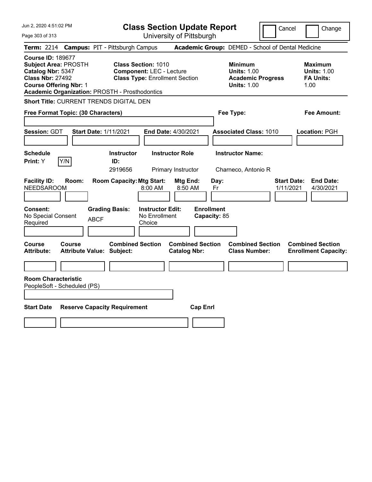| Jun 2, 2020 4:51:02 PM<br>Page 303 of 313                                                                                                                                                         | <b>Class Section Update Report</b><br>University of Pittsburgh                                                                                    | Cancel                                                                                 | Change                                                           |
|---------------------------------------------------------------------------------------------------------------------------------------------------------------------------------------------------|---------------------------------------------------------------------------------------------------------------------------------------------------|----------------------------------------------------------------------------------------|------------------------------------------------------------------|
| <b>Term: 2214</b>                                                                                                                                                                                 | <b>Campus: PIT - Pittsburgh Campus</b>                                                                                                            | Academic Group: DEMED - School of Dental Medicine                                      |                                                                  |
| <b>Course ID: 189677</b><br><b>Subject Area: PROSTH</b><br>Catalog Nbr: 5347<br><b>Class Nbr: 27492</b><br><b>Course Offering Nbr: 1</b><br><b>Academic Organization: PROSTH - Prosthodontics</b> | <b>Class Section: 1010</b><br><b>Component: LEC - Lecture</b><br><b>Class Type: Enrollment Section</b>                                            | <b>Minimum</b><br><b>Units: 1.00</b><br><b>Academic Progress</b><br><b>Units: 1.00</b> | <b>Maximum</b><br><b>Units: 1.00</b><br><b>FA Units:</b><br>1.00 |
| Short Title: CURRENT TRENDS DIGITAL DEN                                                                                                                                                           |                                                                                                                                                   |                                                                                        |                                                                  |
| Free Format Topic: (30 Characters)                                                                                                                                                                |                                                                                                                                                   | Fee Type:                                                                              | Fee Amount:                                                      |
| Session: GDT                                                                                                                                                                                      | <b>Start Date: 1/11/2021</b><br><b>End Date: 4/30/2021</b>                                                                                        | <b>Associated Class: 1010</b>                                                          | Location: PGH                                                    |
| <b>Schedule</b>                                                                                                                                                                                   | <b>Instructor</b><br><b>Instructor Role</b>                                                                                                       | <b>Instructor Name:</b>                                                                |                                                                  |
| Y/N<br>Print: Y                                                                                                                                                                                   | ID:<br>2919656<br>Primary Instructor                                                                                                              | Charneco, Antonio R                                                                    |                                                                  |
| <b>Facility ID:</b><br>Room:<br><b>NEEDSAROOM</b><br>Consent:<br>No Special Consent<br><b>ABCF</b><br>Required                                                                                    | <b>Room Capacity: Mtg Start:</b><br>Mtg End:<br>8:00 AM<br>8:50 AM<br><b>Grading Basis:</b><br><b>Instructor Edit:</b><br>No Enrollment<br>Choice | Day:<br>Fr<br><b>Enrollment</b><br>Capacity: 85                                        | <b>Start Date:</b><br><b>End Date:</b><br>1/11/2021<br>4/30/2021 |
| Course<br>Course<br><b>Attribute:</b><br><b>Attribute Value: Subject:</b>                                                                                                                         | <b>Combined Section</b><br><b>Combined Section</b><br><b>Catalog Nbr:</b>                                                                         | <b>Combined Section</b><br><b>Class Number:</b>                                        | <b>Combined Section</b><br><b>Enrollment Capacity:</b>           |
|                                                                                                                                                                                                   |                                                                                                                                                   |                                                                                        |                                                                  |
| <b>Room Characteristic</b><br>PeopleSoft - Scheduled (PS)                                                                                                                                         |                                                                                                                                                   |                                                                                        |                                                                  |
| <b>Start Date</b>                                                                                                                                                                                 | <b>Reserve Capacity Requirement</b><br><b>Cap Enrl</b>                                                                                            |                                                                                        |                                                                  |
|                                                                                                                                                                                                   |                                                                                                                                                   |                                                                                        |                                                                  |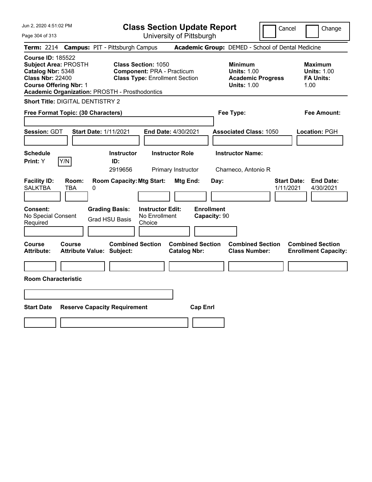| Jun 2, 2020 4:51:02 PM                                                                                                                                                                            | <b>Class Section Update Report</b>                                                                                                        |                                                                                        | Cancel<br>Change                                                 |
|---------------------------------------------------------------------------------------------------------------------------------------------------------------------------------------------------|-------------------------------------------------------------------------------------------------------------------------------------------|----------------------------------------------------------------------------------------|------------------------------------------------------------------|
| Page 304 of 313                                                                                                                                                                                   | University of Pittsburgh                                                                                                                  |                                                                                        |                                                                  |
| <b>Term: 2214</b>                                                                                                                                                                                 | <b>Campus: PIT - Pittsburgh Campus</b>                                                                                                    | Academic Group: DEMED - School of Dental Medicine                                      |                                                                  |
| <b>Course ID: 185522</b><br><b>Subject Area: PROSTH</b><br>Catalog Nbr: 5348<br><b>Class Nbr: 22400</b><br><b>Course Offering Nbr: 1</b><br><b>Academic Organization: PROSTH - Prosthodontics</b> | <b>Class Section: 1050</b><br><b>Component: PRA - Practicum</b><br><b>Class Type: Enrollment Section</b>                                  | <b>Minimum</b><br><b>Units: 1.00</b><br><b>Academic Progress</b><br><b>Units: 1.00</b> | <b>Maximum</b><br><b>Units: 1.00</b><br><b>FA Units:</b><br>1.00 |
| Short Title: DIGITAL DENTISTRY 2                                                                                                                                                                  |                                                                                                                                           |                                                                                        |                                                                  |
| Free Format Topic: (30 Characters)                                                                                                                                                                |                                                                                                                                           | Fee Type:                                                                              | Fee Amount:                                                      |
| Session: GDT<br><b>Start Date: 1/11/2021</b>                                                                                                                                                      | End Date: 4/30/2021                                                                                                                       | <b>Associated Class: 1050</b>                                                          | Location: PGH                                                    |
| <b>Schedule</b><br>Y/N<br>Print: Y                                                                                                                                                                | <b>Instructor Role</b><br><b>Instructor</b><br>ID:                                                                                        | <b>Instructor Name:</b>                                                                |                                                                  |
|                                                                                                                                                                                                   | 2919656<br>Primary Instructor                                                                                                             | Charneco, Antonio R                                                                    |                                                                  |
| <b>Facility ID:</b><br>Room:<br><b>SALKTBA</b><br>TBA<br>$\pmb{0}$                                                                                                                                | <b>Room Capacity: Mtg Start:</b><br><b>Mtg End:</b>                                                                                       | Day:                                                                                   | <b>End Date:</b><br><b>Start Date:</b><br>1/11/2021<br>4/30/2021 |
| <b>Consent:</b><br>No Special Consent<br>Required                                                                                                                                                 | <b>Instructor Edit:</b><br><b>Enrollment</b><br><b>Grading Basis:</b><br>No Enrollment<br>Capacity: 90<br><b>Grad HSU Basis</b><br>Choice |                                                                                        |                                                                  |
| Course<br>Course<br>Attribute Value: Subject:<br><b>Attribute:</b>                                                                                                                                | <b>Combined Section</b><br><b>Combined Section</b><br><b>Catalog Nbr:</b>                                                                 | <b>Combined Section</b><br><b>Class Number:</b>                                        | <b>Combined Section</b><br><b>Enrollment Capacity:</b>           |
|                                                                                                                                                                                                   |                                                                                                                                           |                                                                                        |                                                                  |
| <b>Room Characteristic</b>                                                                                                                                                                        |                                                                                                                                           |                                                                                        |                                                                  |
|                                                                                                                                                                                                   |                                                                                                                                           |                                                                                        |                                                                  |
| <b>Start Date</b><br><b>Reserve Capacity Requirement</b>                                                                                                                                          | <b>Cap Enrl</b>                                                                                                                           |                                                                                        |                                                                  |
|                                                                                                                                                                                                   |                                                                                                                                           |                                                                                        |                                                                  |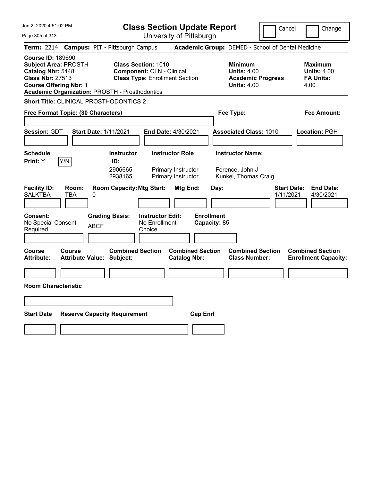|  |  |  | Jun 2, 2020 4:51:02 PM |  |
|--|--|--|------------------------|--|
|--|--|--|------------------------|--|

**Class Section Update Report**

Cancel **Change** 

Page 305 of 313

| Page 305 of 313                                                                                                                          |                                    |                                                                        |                                                                | University of Pittsburgh                                           |                                           |                                                                                        |                                                                  |
|------------------------------------------------------------------------------------------------------------------------------------------|------------------------------------|------------------------------------------------------------------------|----------------------------------------------------------------|--------------------------------------------------------------------|-------------------------------------------|----------------------------------------------------------------------------------------|------------------------------------------------------------------|
| <b>Term:</b> 2214                                                                                                                        |                                    | <b>Campus: PIT - Pittsburgh Campus</b>                                 |                                                                |                                                                    |                                           | <b>Academic Group: DEMED - School of Dental Medicine</b>                               |                                                                  |
| <b>Course ID: 189690</b><br><b>Subject Area: PROSTH</b><br>Catalog Nbr: 5448<br><b>Class Nbr: 27513</b><br><b>Course Offering Nbr: 1</b> |                                    | Academic Organization: PROSTH - Prosthodontics                         | <b>Class Section: 1010</b><br><b>Component: CLN - Clinical</b> | <b>Class Type: Enrollment Section</b>                              |                                           | <b>Minimum</b><br><b>Units: 4.00</b><br><b>Academic Progress</b><br><b>Units: 4.00</b> | Maximum<br><b>Units: 4.00</b><br><b>FA Units:</b><br>4.00        |
|                                                                                                                                          |                                    | <b>Short Title: CLINICAL PROSTHODONTICS 2</b>                          |                                                                |                                                                    |                                           |                                                                                        |                                                                  |
|                                                                                                                                          | Free Format Topic: (30 Characters) |                                                                        |                                                                |                                                                    |                                           | Fee Type:                                                                              | Fee Amount:                                                      |
| <b>Session: GDT</b>                                                                                                                      |                                    | <b>Start Date: 1/11/2021</b>                                           |                                                                | <b>End Date: 4/30/2021</b>                                         |                                           | <b>Associated Class: 1010</b>                                                          | Location: PGH                                                    |
| <b>Schedule</b><br>Print: Y                                                                                                              | Y/N                                | <b>Instructor</b><br>ID:<br>2906665<br>2938165                         |                                                                | <b>Instructor Role</b><br>Primary Instructor<br>Primary Instructor |                                           | <b>Instructor Name:</b><br>Ference, John J<br>Kunkel, Thomas Craig                     |                                                                  |
| <b>Facility ID:</b><br><b>SALKTBA</b><br><b>Consent:</b><br>No Special Consent<br>Required                                               | Room:<br>TBA                       | <b>Room Capacity: Mtg Start:</b><br>0<br><b>Grading Basis:</b><br>ABCF | <b>Instructor Edit:</b><br>No Enrollment<br>Choice             | Mtg End:                                                           | Day:<br><b>Enrollment</b><br>Capacity: 85 |                                                                                        | <b>End Date:</b><br><b>Start Date:</b><br>1/11/2021<br>4/30/2021 |
| <b>Course</b><br><b>Attribute:</b><br><b>Room Characteristic</b>                                                                         | Course                             | <b>Combined Section</b><br><b>Attribute Value: Subject:</b>            |                                                                | <b>Combined Section</b><br><b>Catalog Nbr:</b>                     |                                           | <b>Combined Section</b><br><b>Class Number:</b>                                        | <b>Combined Section</b><br><b>Enrollment Capacity:</b>           |
| <b>Start Date</b>                                                                                                                        |                                    | <b>Reserve Capacity Requirement</b>                                    |                                                                | <b>Cap Enrl</b>                                                    |                                           |                                                                                        |                                                                  |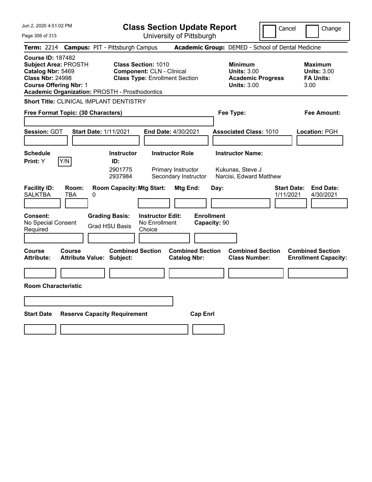|  |  | Jun 2, 2020 4:51:02 PM |  |
|--|--|------------------------|--|
|--|--|------------------------|--|

**Class Section Update Report**

Cancel **Change** 

Page 306 of 313

| Page 306 of 313                                                                                                                                                                                                                                                                                       |               |                                                                                         |                                                    | University of Pittsburgh                                             |                                           |                                                                                        |                                                                  |
|-------------------------------------------------------------------------------------------------------------------------------------------------------------------------------------------------------------------------------------------------------------------------------------------------------|---------------|-----------------------------------------------------------------------------------------|----------------------------------------------------|----------------------------------------------------------------------|-------------------------------------------|----------------------------------------------------------------------------------------|------------------------------------------------------------------|
|                                                                                                                                                                                                                                                                                                       |               | Term: 2214 Campus: PIT - Pittsburgh Campus                                              |                                                    |                                                                      |                                           | Academic Group: DEMED - School of Dental Medicine                                      |                                                                  |
| <b>Course ID: 187482</b><br><b>Subject Area: PROSTH</b><br><b>Class Section: 1010</b><br>Catalog Nbr: 5469<br><b>Component: CLN - Clinical</b><br><b>Class Nbr: 24998</b><br><b>Class Type: Enrollment Section</b><br><b>Course Offering Nbr: 1</b><br>Academic Organization: PROSTH - Prosthodontics |               |                                                                                         |                                                    |                                                                      |                                           | <b>Minimum</b><br><b>Units: 3.00</b><br><b>Academic Progress</b><br><b>Units: 3.00</b> | Maximum<br><b>Units: 3.00</b><br><b>FA Units:</b><br>3.00        |
|                                                                                                                                                                                                                                                                                                       |               | <b>Short Title: CLINICAL IMPLANT DENTISTRY</b>                                          |                                                    |                                                                      |                                           |                                                                                        |                                                                  |
| Free Format Topic: (30 Characters)                                                                                                                                                                                                                                                                    |               |                                                                                         |                                                    |                                                                      |                                           | Fee Type:                                                                              | Fee Amount:                                                      |
| Session: GDT                                                                                                                                                                                                                                                                                          |               | Start Date: 1/11/2021                                                                   |                                                    | End Date: 4/30/2021                                                  |                                           | <b>Associated Class: 1010</b>                                                          | Location: PGH                                                    |
| <b>Schedule</b><br>Print: Y                                                                                                                                                                                                                                                                           | Y/N           | <b>Instructor</b><br>ID:<br>2901775<br>2937984                                          |                                                    | <b>Instructor Role</b><br>Primary Instructor<br>Secondary Instructor |                                           | <b>Instructor Name:</b><br>Kukunas, Steve J<br>Narcisi, Edward Matthew                 |                                                                  |
| <b>Facility ID:</b><br><b>SALKTBA</b><br>Consent:<br>No Special Consent<br>Required                                                                                                                                                                                                                   | Room:<br>TBA  | <b>Room Capacity: Mtg Start:</b><br>0<br><b>Grading Basis:</b><br><b>Grad HSU Basis</b> | <b>Instructor Edit:</b><br>No Enrollment<br>Choice | Mtg End:                                                             | Day:<br><b>Enrollment</b><br>Capacity: 90 |                                                                                        | <b>End Date:</b><br><b>Start Date:</b><br>1/11/2021<br>4/30/2021 |
| <b>Course</b><br>Attribute:<br><b>Room Characteristic</b>                                                                                                                                                                                                                                             | <b>Course</b> | <b>Combined Section</b><br><b>Attribute Value: Subject:</b>                             |                                                    | <b>Combined Section</b><br><b>Catalog Nbr:</b>                       |                                           | <b>Combined Section</b><br><b>Class Number:</b>                                        | <b>Combined Section</b><br><b>Enrollment Capacity:</b>           |
| <b>Start Date</b>                                                                                                                                                                                                                                                                                     |               | <b>Reserve Capacity Requirement</b>                                                     |                                                    | <b>Cap Enrl</b>                                                      |                                           |                                                                                        |                                                                  |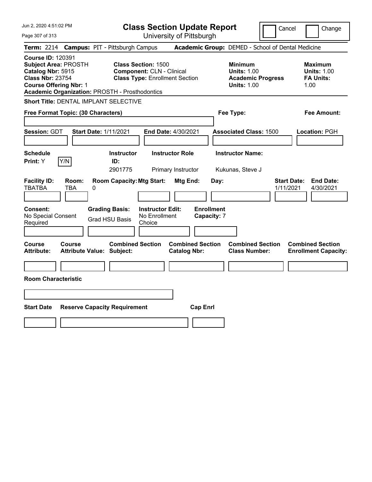Jun 2, 2020 4:51:02 PM Page 307 of 313 **Class Section Update Report** University of Pittsburgh Cancel | Change **Term:** 2214 **Campus:** PIT - Pittsburgh Campus **Academic Group:** DEMED - School of Dental Medicine **Course ID:** 120391 **Subject Area:** PROSTH **Class Section:** 1500 **Minimum Maximum Catalog Nbr:** 5915 **Component:** CLN - Clinical **Units:** 1.00 **Units:** 1.00 **Class Nbr:** 23754 **Class Type:** Enrollment Section **Academic Progress FA Units: Course Offering Nbr:** 1 **Units:** 1.00 1.00 **Academic Organization:** PROSTH - Prosthodontics **Short Title:** DENTAL IMPLANT SELECTIVE **Free Format Topic: (30 Characters) Fee Type: Fee Amount: Session:** GDT **Start Date:** 1/11/2021 **End Date:** 4/30/2021 **Associated Class:** 1500 **Location:** PGH **Schedule Instructor Instructor Role Instructor Name: Print:**  $Y$   $|Y/N|$  **ID:** 2901775 Primary Instructor Kukunas, Steve J **Facility ID: Room: Room Capacity:Mtg Start: Mtg End: Day: Start Date: End Date:** TBATBA TBA 0 1/11/2021 4/30/2021 **Consent: Grading Basis: Instructor Edit: Enrollment** No Special Consent Required Grad HSU Basis No Enrollment Choice **Capacity:** 7 **Course Course Combined Section Combined Section Combined Section Combined Section Attribute: Attribute Value: Subject: Catalog Nbr: Class Number: Enrollment Capacity: Room Characteristic**

**Start Date Reserve Capacity Requirement Cap Enrl**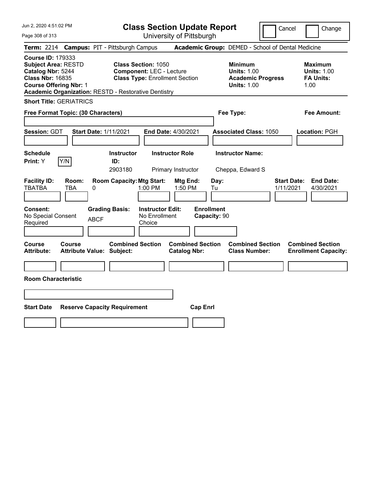Jun 2, 2020 4:51:02 PM

Page 308 of 313

**Class Section Update Report**

Cancel Change

|                                                                                                                                         |                     | Term: 2214 Campus: PIT - Pittsburgh Campus                  |                                                                                                        |                                              |                                   |                                             | Academic Group: DEMED - School of Dental Medicine |                                 |                                                                  |
|-----------------------------------------------------------------------------------------------------------------------------------------|---------------------|-------------------------------------------------------------|--------------------------------------------------------------------------------------------------------|----------------------------------------------|-----------------------------------|---------------------------------------------|---------------------------------------------------|---------------------------------|------------------------------------------------------------------|
| <b>Course ID: 179333</b><br><b>Subject Area: RESTD</b><br>Catalog Nbr: 5244<br><b>Class Nbr: 16835</b><br><b>Course Offering Nbr: 1</b> |                     | <b>Academic Organization: RESTD - Restorative Dentistry</b> | <b>Class Section: 1050</b><br><b>Component: LEC - Lecture</b><br><b>Class Type: Enrollment Section</b> |                                              |                                   | <b>Minimum</b><br><b>Units: 1.00</b>        | <b>Academic Progress</b><br><b>Units: 1.00</b>    |                                 | <b>Maximum</b><br><b>Units: 1.00</b><br><b>FA Units:</b><br>1.00 |
| <b>Short Title: GERIATRICS</b>                                                                                                          |                     |                                                             |                                                                                                        |                                              |                                   |                                             |                                                   |                                 |                                                                  |
| Free Format Topic: (30 Characters)                                                                                                      |                     |                                                             |                                                                                                        |                                              |                                   | Fee Type:                                   |                                                   |                                 | <b>Fee Amount:</b>                                               |
| Session: GDT                                                                                                                            |                     | <b>Start Date: 1/11/2021</b>                                | End Date: 4/30/2021                                                                                    |                                              |                                   |                                             | <b>Associated Class: 1050</b>                     |                                 | Location: PGH                                                    |
| <b>Schedule</b><br>Print: Y                                                                                                             | Y/N                 | <b>Instructor</b><br>ID:<br>2903180                         |                                                                                                        | <b>Instructor Role</b><br>Primary Instructor |                                   | <b>Instructor Name:</b><br>Cheppa, Edward S |                                                   |                                 |                                                                  |
| <b>Facility ID:</b><br><b>TBATBA</b>                                                                                                    | Room:<br><b>TBA</b> | <b>Room Capacity: Mtg Start:</b><br>0                       | 1:00 PM                                                                                                | Mtg End:<br>1:50 PM                          | Day:<br>Tu                        |                                             |                                                   | <b>Start Date:</b><br>1/11/2021 | <b>End Date:</b><br>4/30/2021                                    |
| <b>Consent:</b><br>No Special Consent<br>Required                                                                                       |                     | <b>Grading Basis:</b><br><b>ABCF</b>                        | <b>Instructor Edit:</b><br>No Enrollment<br>Choice                                                     |                                              | <b>Enrollment</b><br>Capacity: 90 |                                             |                                                   |                                 |                                                                  |
| Course<br><b>Attribute:</b>                                                                                                             | Course              | <b>Combined Section</b><br><b>Attribute Value: Subject:</b> |                                                                                                        | <b>Catalog Nbr:</b>                          | <b>Combined Section</b>           |                                             | <b>Combined Section</b><br><b>Class Number:</b>   |                                 | <b>Combined Section</b><br><b>Enrollment Capacity:</b>           |
| <b>Room Characteristic</b>                                                                                                              |                     |                                                             |                                                                                                        |                                              |                                   |                                             |                                                   |                                 |                                                                  |
|                                                                                                                                         |                     |                                                             |                                                                                                        |                                              |                                   |                                             |                                                   |                                 |                                                                  |
| <b>Start Date</b>                                                                                                                       |                     | <b>Reserve Capacity Requirement</b>                         |                                                                                                        |                                              | <b>Cap Enrl</b>                   |                                             |                                                   |                                 |                                                                  |
|                                                                                                                                         |                     |                                                             |                                                                                                        |                                              |                                   |                                             |                                                   |                                 |                                                                  |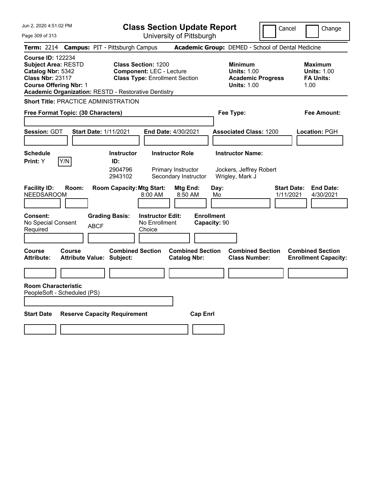|  |  |  | Jun 2, 2020 4:51:02 PM |  |
|--|--|--|------------------------|--|
|--|--|--|------------------------|--|

Page 309 of 313

**Class Section Update Report**

Cancel **Change** 

|                                                                                                                                                                                                                                                                         |                                     |                                                |                                                    | University of Fittoparyn                                             |                                   |                                                                                        |                                 |                                                                  |
|-------------------------------------------------------------------------------------------------------------------------------------------------------------------------------------------------------------------------------------------------------------------------|-------------------------------------|------------------------------------------------|----------------------------------------------------|----------------------------------------------------------------------|-----------------------------------|----------------------------------------------------------------------------------------|---------------------------------|------------------------------------------------------------------|
| Term: 2214 Campus: PIT - Pittsburgh Campus                                                                                                                                                                                                                              |                                     |                                                |                                                    |                                                                      |                                   | <b>Academic Group: DEMED - School of Dental Medicine</b>                               |                                 |                                                                  |
| <b>Course ID: 122234</b><br><b>Subject Area: RESTD</b><br><b>Class Section: 1200</b><br>Catalog Nbr: 5342<br><b>Component: LEC - Lecture</b><br><b>Class Nbr: 23117</b><br><b>Course Offering Nbr: 1</b><br><b>Academic Organization: RESTD - Restorative Dentistry</b> |                                     |                                                |                                                    | <b>Class Type: Enrollment Section</b>                                |                                   | <b>Minimum</b><br><b>Units: 1.00</b><br><b>Academic Progress</b><br><b>Units: 1.00</b> |                                 | <b>Maximum</b><br><b>Units: 1.00</b><br><b>FA Units:</b><br>1.00 |
| <b>Short Title: PRACTICE ADMINISTRATION</b>                                                                                                                                                                                                                             |                                     |                                                |                                                    |                                                                      |                                   |                                                                                        |                                 |                                                                  |
| Free Format Topic: (30 Characters)                                                                                                                                                                                                                                      |                                     |                                                |                                                    |                                                                      |                                   | Fee Type:                                                                              |                                 | <b>Fee Amount:</b>                                               |
|                                                                                                                                                                                                                                                                         |                                     |                                                |                                                    |                                                                      |                                   |                                                                                        |                                 |                                                                  |
| Session: GDT                                                                                                                                                                                                                                                            | <b>Start Date: 1/11/2021</b>        |                                                |                                                    | <b>End Date: 4/30/2021</b>                                           |                                   | <b>Associated Class: 1200</b>                                                          |                                 | Location: PGH                                                    |
| <b>Schedule</b><br>Y/N<br><b>Print:</b> Y                                                                                                                                                                                                                               |                                     | <b>Instructor</b><br>ID:<br>2904796<br>2943102 |                                                    | <b>Instructor Role</b><br>Primary Instructor<br>Secondary Instructor |                                   | <b>Instructor Name:</b><br>Jockers, Jeffrey Robert<br>Wrigley, Mark J                  |                                 |                                                                  |
| <b>Facility ID:</b><br>Room:<br><b>NEEDSAROOM</b>                                                                                                                                                                                                                       |                                     | <b>Room Capacity: Mtg Start:</b>               | $8:00$ AM                                          | Mtg End:<br>8:50 AM                                                  | Day:<br>Mo                        |                                                                                        | <b>Start Date:</b><br>1/11/2021 | <b>End Date:</b><br>4/30/2021                                    |
| Consent:<br>No Special Consent<br>Required                                                                                                                                                                                                                              | <b>ABCF</b>                         | <b>Grading Basis:</b>                          | <b>Instructor Edit:</b><br>No Enrollment<br>Choice |                                                                      | <b>Enrollment</b><br>Capacity: 90 |                                                                                        |                                 |                                                                  |
| Course<br>Course<br>Attribute:                                                                                                                                                                                                                                          | <b>Attribute Value: Subject:</b>    | <b>Combined Section</b>                        |                                                    | <b>Combined Section</b><br><b>Catalog Nbr:</b>                       |                                   | <b>Combined Section</b><br><b>Class Number:</b>                                        |                                 | <b>Combined Section</b><br><b>Enrollment Capacity:</b>           |
| <b>Room Characteristic</b><br>PeopleSoft - Scheduled (PS)                                                                                                                                                                                                               |                                     |                                                |                                                    |                                                                      |                                   |                                                                                        |                                 |                                                                  |
| <b>Start Date</b>                                                                                                                                                                                                                                                       | <b>Reserve Capacity Requirement</b> |                                                |                                                    |                                                                      | <b>Cap Enrl</b>                   |                                                                                        |                                 |                                                                  |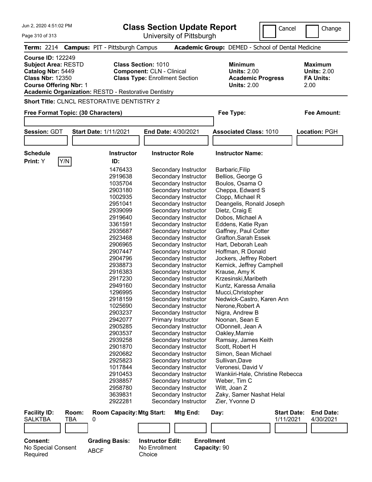| Jun 2, 2020 4:51:02 PM                                                                                                                                                                                 |     |                                            | <b>Class Section Update Report</b>                                        | Cancel                                                                                 | Change                                                           |
|--------------------------------------------------------------------------------------------------------------------------------------------------------------------------------------------------------|-----|--------------------------------------------|---------------------------------------------------------------------------|----------------------------------------------------------------------------------------|------------------------------------------------------------------|
| Page 310 of 313                                                                                                                                                                                        |     |                                            | University of Pittsburgh                                                  |                                                                                        |                                                                  |
| <b>Term: 2214</b>                                                                                                                                                                                      |     | <b>Campus: PIT - Pittsburgh Campus</b>     |                                                                           | <b>Academic Group: DEMED - School of Dental Medicine</b>                               |                                                                  |
| <b>Course ID: 122249</b><br><b>Subject Area: RESTD</b><br>Catalog Nbr: 5449<br><b>Class Nbr: 12350</b><br><b>Course Offering Nbr: 1</b><br><b>Academic Organization: RESTD - Restorative Dentistry</b> |     | <b>Class Section: 1010</b>                 | <b>Component: CLN - Clinical</b><br><b>Class Type: Enrollment Section</b> | <b>Minimum</b><br><b>Units: 2.00</b><br><b>Academic Progress</b><br><b>Units: 2.00</b> | <b>Maximum</b><br><b>Units: 2.00</b><br><b>FA Units:</b><br>2.00 |
|                                                                                                                                                                                                        |     | Short Title: CLNCL RESTORATIVE DENTISTRY 2 |                                                                           |                                                                                        |                                                                  |
| Free Format Topic: (30 Characters)                                                                                                                                                                     |     |                                            |                                                                           | Fee Type:                                                                              | <b>Fee Amount:</b>                                               |
|                                                                                                                                                                                                        |     |                                            |                                                                           |                                                                                        |                                                                  |
| Session: GDT                                                                                                                                                                                           |     | <b>Start Date: 1/11/2021</b>               | End Date: 4/30/2021                                                       | <b>Associated Class: 1010</b>                                                          | Location: PGH                                                    |
|                                                                                                                                                                                                        |     |                                            |                                                                           |                                                                                        |                                                                  |
|                                                                                                                                                                                                        |     |                                            |                                                                           |                                                                                        |                                                                  |
| <b>Schedule</b>                                                                                                                                                                                        |     | <b>Instructor</b>                          | <b>Instructor Role</b>                                                    | <b>Instructor Name:</b>                                                                |                                                                  |
| Print: Y                                                                                                                                                                                               | Y/N | ID:                                        |                                                                           |                                                                                        |                                                                  |
|                                                                                                                                                                                                        |     | 1476433                                    | Secondary Instructor                                                      | Barbaric, Filip                                                                        |                                                                  |
|                                                                                                                                                                                                        |     | 2919638                                    | Secondary Instructor                                                      | Bellios, George G                                                                      |                                                                  |
|                                                                                                                                                                                                        |     | 1035704                                    | Secondary Instructor                                                      | Boulos, Osama O                                                                        |                                                                  |
|                                                                                                                                                                                                        |     | 2903180                                    | Secondary Instructor                                                      | Cheppa, Edward S                                                                       |                                                                  |
|                                                                                                                                                                                                        |     | 1002935                                    | Secondary Instructor                                                      | Clopp, Michael R                                                                       |                                                                  |
|                                                                                                                                                                                                        |     | 2951041                                    | Secondary Instructor                                                      | Deangelis, Ronald Joseph                                                               |                                                                  |
|                                                                                                                                                                                                        |     | 2939099                                    | Secondary Instructor                                                      | Dietz, Craig E                                                                         |                                                                  |
|                                                                                                                                                                                                        |     | 2919640                                    | Secondary Instructor                                                      | Dobos, Michael A                                                                       |                                                                  |
|                                                                                                                                                                                                        |     | 3361591                                    | Secondary Instructor                                                      | Eddens, Katie Ryan                                                                     |                                                                  |
|                                                                                                                                                                                                        |     | 2935687                                    | Secondary Instructor                                                      | Gaffney, Paul Cotter                                                                   |                                                                  |
|                                                                                                                                                                                                        |     | 2923468                                    | Secondary Instructor                                                      | <b>Grafton, Sarah Essek</b>                                                            |                                                                  |
|                                                                                                                                                                                                        |     | 2906965                                    | Secondary Instructor                                                      | Hart, Deborah Leah                                                                     |                                                                  |
|                                                                                                                                                                                                        |     | 2907447                                    | Secondary Instructor                                                      | Hoffman, R Donald                                                                      |                                                                  |
|                                                                                                                                                                                                        |     | 2904796                                    | Secondary Instructor                                                      | Jockers, Jeffrey Robert                                                                |                                                                  |
|                                                                                                                                                                                                        |     | 2938873                                    | Secondary Instructor                                                      | Kernick, Jeffrey Camphell                                                              |                                                                  |
|                                                                                                                                                                                                        |     | 2916383                                    | Secondary Instructor                                                      | Krause, Amy K                                                                          |                                                                  |
|                                                                                                                                                                                                        |     | 2917230                                    | Secondary Instructor                                                      | Krzesinski, Maribeth                                                                   |                                                                  |
|                                                                                                                                                                                                        |     | 2949160                                    | Secondary Instructor                                                      | Kuntz, Karessa Amalia                                                                  |                                                                  |
|                                                                                                                                                                                                        |     | 1296995                                    | Secondary Instructor                                                      | Mucci, Christopher                                                                     |                                                                  |
|                                                                                                                                                                                                        |     | 2918159                                    | Secondary Instructor                                                      | Nedwick-Castro, Karen Ann                                                              |                                                                  |
|                                                                                                                                                                                                        |     | 1025690                                    | Secondary Instructor                                                      | Nerone, Robert A                                                                       |                                                                  |
|                                                                                                                                                                                                        |     | 2903237                                    | Secondary Instructor                                                      | Nigra, Andrew B                                                                        |                                                                  |
|                                                                                                                                                                                                        |     | 2942077                                    | Primary Instructor                                                        | Noonan, Sean E                                                                         |                                                                  |
|                                                                                                                                                                                                        |     | 2905285                                    | Secondary Instructor                                                      | ODonnell, Jean A                                                                       |                                                                  |
|                                                                                                                                                                                                        |     | 2903537                                    | Secondary Instructor                                                      | Oakley, Marnie                                                                         |                                                                  |
|                                                                                                                                                                                                        |     | 2939258                                    | Secondary Instructor                                                      | Ramsay, James Keith                                                                    |                                                                  |
|                                                                                                                                                                                                        |     | 2901870                                    | Secondary Instructor                                                      | Scott, Robert H                                                                        |                                                                  |
|                                                                                                                                                                                                        |     | 2920682                                    | Secondary Instructor                                                      | Simon, Sean Michael                                                                    |                                                                  |
|                                                                                                                                                                                                        |     | 2925823                                    | Secondary Instructor                                                      | Sullivan, Dave                                                                         |                                                                  |
|                                                                                                                                                                                                        |     | 1017844                                    | Secondary Instructor                                                      | Veronesi, David V                                                                      |                                                                  |
|                                                                                                                                                                                                        |     | 2910453                                    | Secondary Instructor                                                      | Wankiiri-Hale, Christine Rebecca                                                       |                                                                  |
|                                                                                                                                                                                                        |     | 2938857                                    | Secondary Instructor                                                      | Weber, Tim C                                                                           |                                                                  |
|                                                                                                                                                                                                        |     | 2958780                                    | Secondary Instructor                                                      | Witt, Joan Z                                                                           |                                                                  |
|                                                                                                                                                                                                        |     | 3639831                                    | Secondary Instructor                                                      | Zaky, Samer Nashat Helal                                                               |                                                                  |
|                                                                                                                                                                                                        |     | 2922281                                    | Secondary Instructor                                                      | Zier, Yvonne D                                                                         |                                                                  |

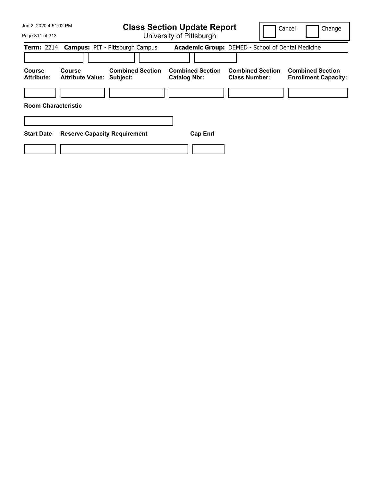| Jun 2, 2020 4:51:02 PM<br>Page 311 of 313 |                                                   | <b>Class Section Update Report</b><br>University of Pittsburgh |                                                |                                                   | Change<br>Cancel                                       |  |
|-------------------------------------------|---------------------------------------------------|----------------------------------------------------------------|------------------------------------------------|---------------------------------------------------|--------------------------------------------------------|--|
|                                           |                                                   |                                                                |                                                |                                                   |                                                        |  |
|                                           |                                                   | Term: 2214 Campus: PIT - Pittsburgh Campus                     |                                                | Academic Group: DEMED - School of Dental Medicine |                                                        |  |
|                                           |                                                   |                                                                |                                                |                                                   |                                                        |  |
| Course<br><b>Attribute:</b>               | <b>Course</b><br><b>Attribute Value: Subject:</b> | <b>Combined Section</b>                                        | <b>Combined Section</b><br><b>Catalog Nbr:</b> | <b>Combined Section</b><br><b>Class Number:</b>   | <b>Combined Section</b><br><b>Enrollment Capacity:</b> |  |
|                                           |                                                   |                                                                |                                                |                                                   |                                                        |  |
| <b>Room Characteristic</b>                |                                                   |                                                                |                                                |                                                   |                                                        |  |
|                                           |                                                   |                                                                |                                                |                                                   |                                                        |  |
| <b>Start Date</b>                         | <b>Reserve Capacity Requirement</b>               |                                                                | <b>Cap Enrl</b>                                |                                                   |                                                        |  |
|                                           |                                                   |                                                                |                                                |                                                   |                                                        |  |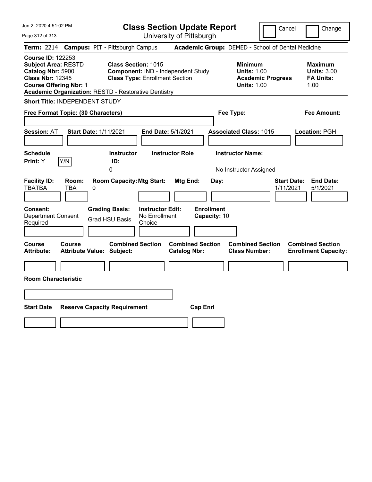| Jun 2, 2020 4:51:02 PM                                                                                                                                                                                 | <b>Class Section Update Report</b><br>Cancel<br>Change                                                                                               |                                                                                        |                                                                  |  |  |  |
|--------------------------------------------------------------------------------------------------------------------------------------------------------------------------------------------------------|------------------------------------------------------------------------------------------------------------------------------------------------------|----------------------------------------------------------------------------------------|------------------------------------------------------------------|--|--|--|
| Page 312 of 313                                                                                                                                                                                        | University of Pittsburgh                                                                                                                             |                                                                                        |                                                                  |  |  |  |
| <b>Term:</b> 2214                                                                                                                                                                                      | <b>Campus: PIT - Pittsburgh Campus</b>                                                                                                               | Academic Group: DEMED - School of Dental Medicine                                      |                                                                  |  |  |  |
| <b>Course ID: 122253</b><br><b>Subject Area: RESTD</b><br>Catalog Nbr: 5900<br><b>Class Nbr: 12345</b><br><b>Course Offering Nbr: 1</b><br><b>Academic Organization: RESTD - Restorative Dentistry</b> | <b>Class Section: 1015</b><br>Component: IND - Independent Study<br><b>Class Type: Enrollment Section</b>                                            | <b>Minimum</b><br><b>Units: 1.00</b><br><b>Academic Progress</b><br><b>Units: 1.00</b> | <b>Maximum</b><br><b>Units: 3.00</b><br><b>FA Units:</b><br>1.00 |  |  |  |
| Short Title: INDEPENDENT STUDY                                                                                                                                                                         |                                                                                                                                                      |                                                                                        |                                                                  |  |  |  |
| Free Format Topic: (30 Characters)                                                                                                                                                                     |                                                                                                                                                      | Fee Type:                                                                              | Fee Amount:                                                      |  |  |  |
| <b>Start Date: 1/11/2021</b><br><b>Session: AT</b><br><b>Schedule</b>                                                                                                                                  | End Date: 5/1/2021<br><b>Instructor</b><br><b>Instructor Role</b>                                                                                    | <b>Associated Class: 1015</b><br><b>Instructor Name:</b>                               | Location: PGH                                                    |  |  |  |
| Y/N<br>Print: Y                                                                                                                                                                                        | ID:<br>0                                                                                                                                             |                                                                                        |                                                                  |  |  |  |
| <b>Facility ID:</b><br>Room:<br><b>TBATBA</b><br>TBA<br>0<br>Consent:<br><b>Department Consent</b><br>Required                                                                                         | <b>Room Capacity: Mtg Start:</b><br>Mtg End:<br><b>Grading Basis:</b><br><b>Instructor Edit:</b><br>No Enrollment<br><b>Grad HSU Basis</b><br>Choice | No Instructor Assigned<br>Day:<br>1/11/2021<br><b>Enrollment</b><br>Capacity: 10       | <b>Start Date:</b><br><b>End Date:</b><br>5/1/2021               |  |  |  |
| Course<br><b>Course</b><br><b>Attribute:</b><br><b>Attribute Value: Subject:</b><br><b>Room Characteristic</b>                                                                                         | <b>Combined Section</b><br><b>Combined Section</b><br><b>Catalog Nbr:</b>                                                                            | <b>Combined Section</b><br><b>Class Number:</b>                                        | <b>Combined Section</b><br><b>Enrollment Capacity:</b>           |  |  |  |
|                                                                                                                                                                                                        |                                                                                                                                                      |                                                                                        |                                                                  |  |  |  |
|                                                                                                                                                                                                        |                                                                                                                                                      |                                                                                        |                                                                  |  |  |  |
| <b>Start Date</b><br><b>Reserve Capacity Requirement</b><br><b>Cap Enrl</b>                                                                                                                            |                                                                                                                                                      |                                                                                        |                                                                  |  |  |  |
|                                                                                                                                                                                                        |                                                                                                                                                      |                                                                                        |                                                                  |  |  |  |